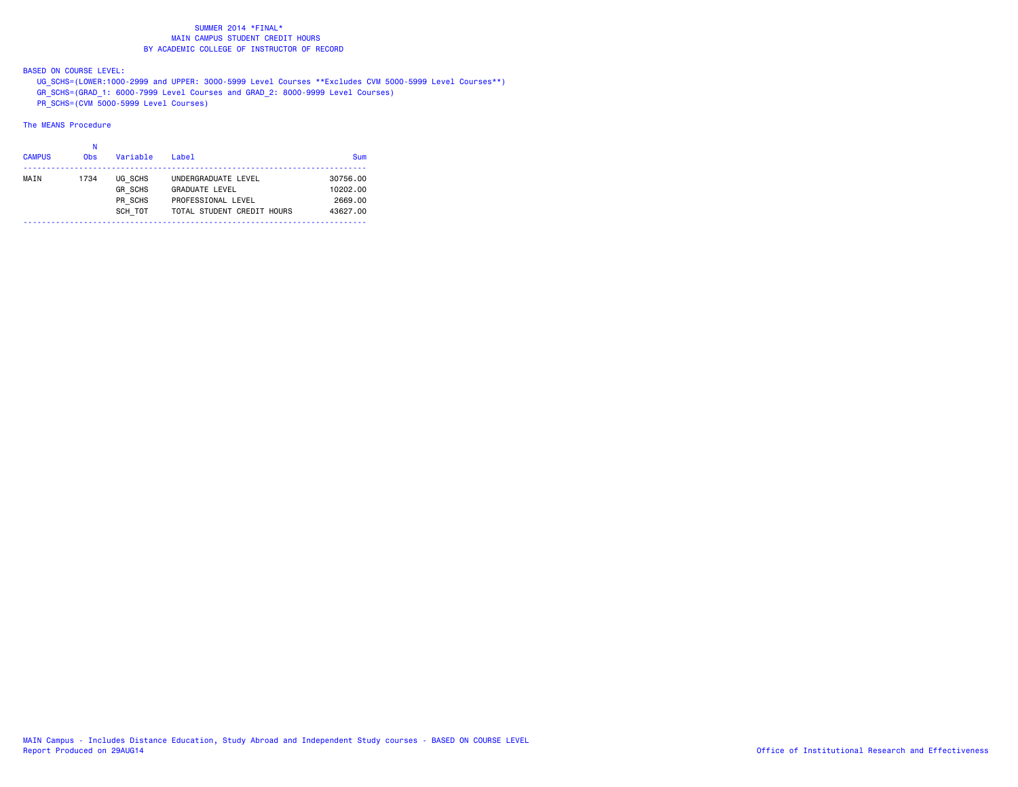BASED ON COURSE LEVEL:

UG\_SCHS=(LOWER:1000-2999 and UPPER: 3000-5999 Level Courses \*\*Excludes CVM 5000-5999 Level Courses\*\*)

GR\_SCHS=(GRAD\_1: 6000-7999 Level Courses and GRAD\_2: 8000-9999 Level Courses)

PR\_SCHS=(CVM 5000-5999 Level Courses)

| <b>CAMPUS</b> | <b>Obs</b> | Variable       | Label                      | Sum      |
|---------------|------------|----------------|----------------------------|----------|
| MAIN          | 1734       | UG SCHS        | UNDERGRADUATE LEVEL        | 30756.00 |
|               |            | <b>GR SCHS</b> | <b>GRADUATE LEVEL</b>      | 10202.00 |
|               |            | PR SCHS        | PROFESSIONAL LEVEL         | 2669.00  |
|               |            | SCH TOT        | TOTAL STUDENT CREDIT HOURS | 43627.00 |
|               |            |                |                            |          |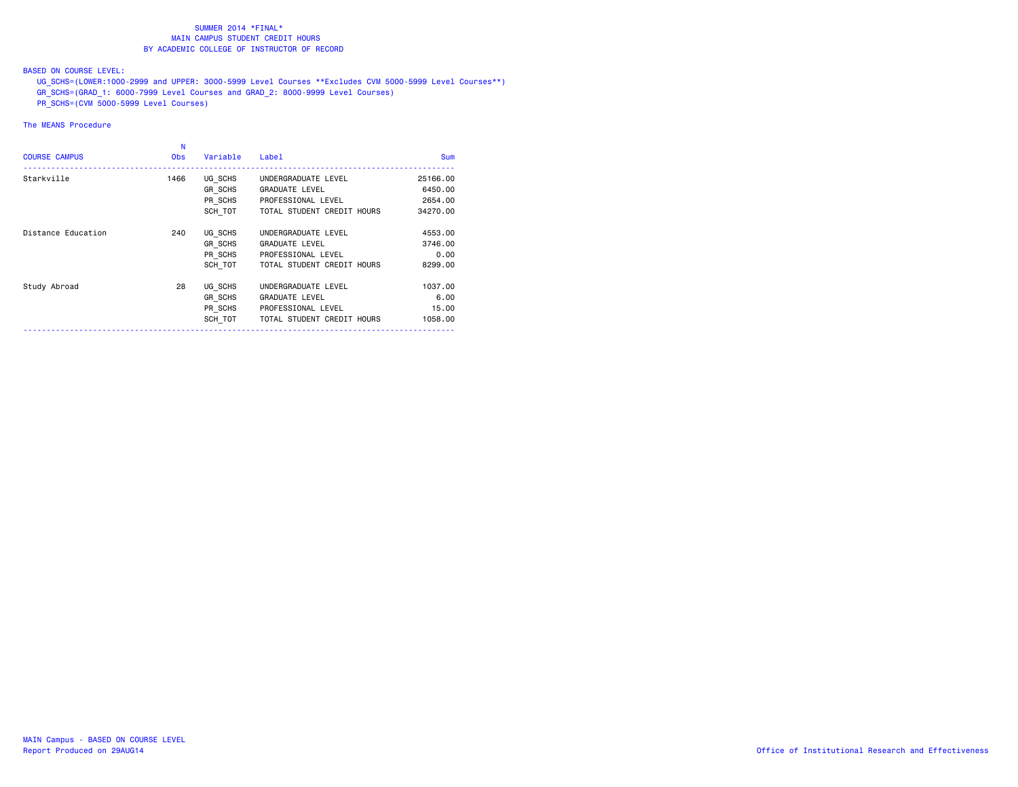BASED ON COURSE LEVEL:

UG\_SCHS=(LOWER:1000-2999 and UPPER: 3000-5999 Level Courses \*\*Excludes CVM 5000-5999 Level Courses\*\*)

GR\_SCHS=(GRAD\_1: 6000-7999 Level Courses and GRAD\_2: 8000-9999 Level Courses)

PR\_SCHS=(CVM 5000-5999 Level Courses)

| <b>COURSE CAMPUS</b> | N<br><b>Obs</b> | Variable | Label                      | Sum      |
|----------------------|-----------------|----------|----------------------------|----------|
| Starkville           | 1466            | UG SCHS  | UNDERGRADUATE LEVEL        | 25166,00 |
|                      |                 | GR SCHS  | <b>GRADUATE LEVEL</b>      | 6450.00  |
|                      |                 | PR SCHS  | PROFESSIONAL LEVEL         | 2654,00  |
|                      |                 | SCH TOT  | TOTAL STUDENT CREDIT HOURS | 34270.00 |
| Distance Education   | 240             | UG SCHS  | UNDERGRADUATE LEVEL        | 4553,00  |
|                      |                 | GR SCHS  | <b>GRADUATE LEVEL</b>      | 3746.00  |
|                      |                 | PR SCHS  | PROFESSIONAL LEVEL         | 0.00     |
|                      |                 | SCH TOT  | TOTAL STUDENT CREDIT HOURS | 8299.00  |
| Study Abroad         | 28              | UG SCHS  | UNDERGRADUATE LEVEL        | 1037.00  |
|                      |                 | GR SCHS  | <b>GRADUATE LEVEL</b>      | 6.00     |
|                      |                 | PR SCHS  | PROFESSIONAL LEVEL         | 15.00    |
|                      |                 | SCH TOT  | TOTAL STUDENT CREDIT HOURS | 1058,00  |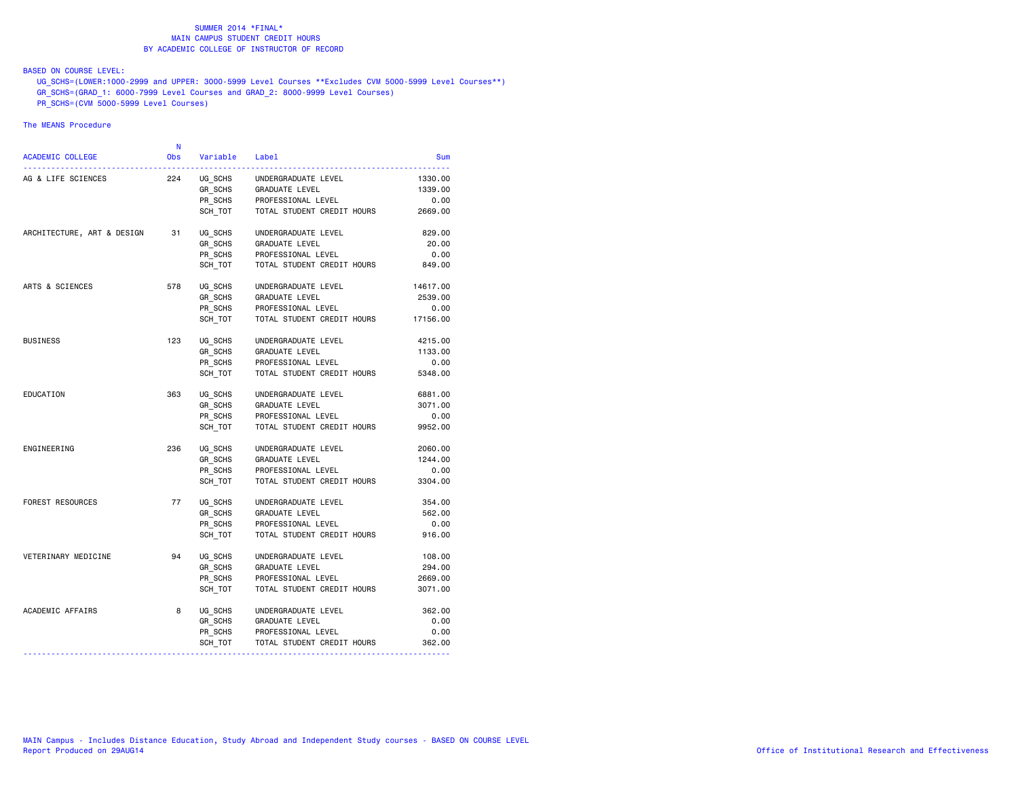# BASED ON COURSE LEVEL:

UG\_SCHS=(LOWER:1000-2999 and UPPER: 3000-5999 Level Courses \*\*Excludes CVM 5000-5999 Level Courses\*\*)

- GR\_SCHS=(GRAD\_1: 6000-7999 Level Courses and GRAD\_2: 8000-9999 Level Courses)
- PR\_SCHS=(CVM 5000-5999 Level Courses)

| 224<br>UG SCHS<br>UNDERGRADUATE LEVEL<br>1330,00<br>AG & LIFE SCIENCES<br>GR SCHS<br>GRADUATE LEVEL<br>1339.00<br>PR_SCHS<br>SCH TOT<br>PROFESSIONAL LEVEL<br>0.00<br>SCH TOT<br>TOTAL STUDENT CREDIT HOURS<br>2669.00<br>ARCHITECTURE, ART & DESIGN<br>31<br>UG SCHS<br>UNDERGRADUATE LEVEL<br>829.00<br>GR SCHS<br><b>GRADUATE LEVEL</b><br>20.00<br>PR_SCHS<br>PROFESSIONAL LEVEL<br>0.00<br>SCH TOT<br>TOTAL STUDENT CREDIT HOURS<br>849.00<br>ARTS & SCIENCES<br>578<br>UG SCHS<br>UNDERGRADUATE LEVEL<br>14617.00<br>GR SCHS<br><b>GRADUATE LEVEL</b><br>2539.00<br>PR SCHS<br>PROFESSIONAL LEVEL<br>0.00<br>17156.00<br>SCH TOT<br>TOTAL STUDENT CREDIT HOURS<br><b>BUSINESS</b><br>123<br>UG SCHS<br>UNDERGRADUATE LEVEL<br>4215.00<br>GR SCHS<br>1133.00<br>GRADUATE LEVEL<br>PR SCHS<br>PROFESSIONAL LEVEL<br>0.00<br>SCH TOT<br>TOTAL STUDENT CREDIT HOURS<br>5348.00<br>EDUCATION<br>363<br>UG SCHS<br>UNDERGRADUATE LEVEL<br>6881.00<br>GR_SCHS<br>3071.00<br><b>GRADUATE LEVEL</b><br>PR SCHS<br>PROFESSIONAL LEVEL<br>0.00<br>TOTAL STUDENT CREDIT HOURS<br>SCH TOT<br>9952.00<br>236<br>ENGINEERING<br>UG SCHS<br>UNDERGRADUATE LEVEL<br>2060.00<br>GR SCHS<br>1244.00<br><b>GRADUATE LEVEL</b><br>PR_SCHS<br>PROFESSIONAL LEVEL<br>0.00<br>SCH_TOT<br>TOTAL STUDENT CREDIT HOURS<br>3304.00<br><b>FOREST RESOURCES</b><br>77<br>UG SCHS<br>UNDERGRADUATE LEVEL<br>354.00<br>GR SCHS<br><b>GRADUATE LEVEL</b><br>562.00<br>PR SCHS<br>PROFESSIONAL LEVEL<br>0.00<br>SCH TOT<br>TOTAL STUDENT CREDIT HOURS<br>916.00<br>VETERINARY MEDICINE<br>94<br>UG SCHS<br>UNDERGRADUATE LEVEL<br>108.00<br>GR SCHS<br><b>GRADUATE LEVEL</b><br>294.00<br>PR SCHS<br>PROFESSIONAL LEVEL<br>2669.00<br>SCH TOT<br>TOTAL STUDENT CREDIT HOURS<br>3071.00<br>ACADEMIC AFFAIRS<br>8<br>UG_SCHS<br>362.00<br>UNDERGRADUATE LEVEL<br>GR_SCHS<br><b>GRADUATE LEVEL</b><br>0.00<br>PR_SCHS<br>0.00<br>PROFESSIONAL LEVEL<br>SCH_TOT<br>TOTAL STUDENT CREDIT HOURS<br>362.00 | <b>ACADEMIC COLLEGE</b> | N<br><b>Obs</b> | Variable | Label | Sum |
|-------------------------------------------------------------------------------------------------------------------------------------------------------------------------------------------------------------------------------------------------------------------------------------------------------------------------------------------------------------------------------------------------------------------------------------------------------------------------------------------------------------------------------------------------------------------------------------------------------------------------------------------------------------------------------------------------------------------------------------------------------------------------------------------------------------------------------------------------------------------------------------------------------------------------------------------------------------------------------------------------------------------------------------------------------------------------------------------------------------------------------------------------------------------------------------------------------------------------------------------------------------------------------------------------------------------------------------------------------------------------------------------------------------------------------------------------------------------------------------------------------------------------------------------------------------------------------------------------------------------------------------------------------------------------------------------------------------------------------------------------------------------------------------------------------------------------------------------------------------------------------------------------------------------------------------------------------------------------|-------------------------|-----------------|----------|-------|-----|
|                                                                                                                                                                                                                                                                                                                                                                                                                                                                                                                                                                                                                                                                                                                                                                                                                                                                                                                                                                                                                                                                                                                                                                                                                                                                                                                                                                                                                                                                                                                                                                                                                                                                                                                                                                                                                                                                                                                                                                         |                         |                 |          |       |     |
|                                                                                                                                                                                                                                                                                                                                                                                                                                                                                                                                                                                                                                                                                                                                                                                                                                                                                                                                                                                                                                                                                                                                                                                                                                                                                                                                                                                                                                                                                                                                                                                                                                                                                                                                                                                                                                                                                                                                                                         |                         |                 |          |       |     |
|                                                                                                                                                                                                                                                                                                                                                                                                                                                                                                                                                                                                                                                                                                                                                                                                                                                                                                                                                                                                                                                                                                                                                                                                                                                                                                                                                                                                                                                                                                                                                                                                                                                                                                                                                                                                                                                                                                                                                                         |                         |                 |          |       |     |
|                                                                                                                                                                                                                                                                                                                                                                                                                                                                                                                                                                                                                                                                                                                                                                                                                                                                                                                                                                                                                                                                                                                                                                                                                                                                                                                                                                                                                                                                                                                                                                                                                                                                                                                                                                                                                                                                                                                                                                         |                         |                 |          |       |     |
|                                                                                                                                                                                                                                                                                                                                                                                                                                                                                                                                                                                                                                                                                                                                                                                                                                                                                                                                                                                                                                                                                                                                                                                                                                                                                                                                                                                                                                                                                                                                                                                                                                                                                                                                                                                                                                                                                                                                                                         |                         |                 |          |       |     |
|                                                                                                                                                                                                                                                                                                                                                                                                                                                                                                                                                                                                                                                                                                                                                                                                                                                                                                                                                                                                                                                                                                                                                                                                                                                                                                                                                                                                                                                                                                                                                                                                                                                                                                                                                                                                                                                                                                                                                                         |                         |                 |          |       |     |
|                                                                                                                                                                                                                                                                                                                                                                                                                                                                                                                                                                                                                                                                                                                                                                                                                                                                                                                                                                                                                                                                                                                                                                                                                                                                                                                                                                                                                                                                                                                                                                                                                                                                                                                                                                                                                                                                                                                                                                         |                         |                 |          |       |     |
|                                                                                                                                                                                                                                                                                                                                                                                                                                                                                                                                                                                                                                                                                                                                                                                                                                                                                                                                                                                                                                                                                                                                                                                                                                                                                                                                                                                                                                                                                                                                                                                                                                                                                                                                                                                                                                                                                                                                                                         |                         |                 |          |       |     |
|                                                                                                                                                                                                                                                                                                                                                                                                                                                                                                                                                                                                                                                                                                                                                                                                                                                                                                                                                                                                                                                                                                                                                                                                                                                                                                                                                                                                                                                                                                                                                                                                                                                                                                                                                                                                                                                                                                                                                                         |                         |                 |          |       |     |
|                                                                                                                                                                                                                                                                                                                                                                                                                                                                                                                                                                                                                                                                                                                                                                                                                                                                                                                                                                                                                                                                                                                                                                                                                                                                                                                                                                                                                                                                                                                                                                                                                                                                                                                                                                                                                                                                                                                                                                         |                         |                 |          |       |     |
|                                                                                                                                                                                                                                                                                                                                                                                                                                                                                                                                                                                                                                                                                                                                                                                                                                                                                                                                                                                                                                                                                                                                                                                                                                                                                                                                                                                                                                                                                                                                                                                                                                                                                                                                                                                                                                                                                                                                                                         |                         |                 |          |       |     |
|                                                                                                                                                                                                                                                                                                                                                                                                                                                                                                                                                                                                                                                                                                                                                                                                                                                                                                                                                                                                                                                                                                                                                                                                                                                                                                                                                                                                                                                                                                                                                                                                                                                                                                                                                                                                                                                                                                                                                                         |                         |                 |          |       |     |
|                                                                                                                                                                                                                                                                                                                                                                                                                                                                                                                                                                                                                                                                                                                                                                                                                                                                                                                                                                                                                                                                                                                                                                                                                                                                                                                                                                                                                                                                                                                                                                                                                                                                                                                                                                                                                                                                                                                                                                         |                         |                 |          |       |     |
|                                                                                                                                                                                                                                                                                                                                                                                                                                                                                                                                                                                                                                                                                                                                                                                                                                                                                                                                                                                                                                                                                                                                                                                                                                                                                                                                                                                                                                                                                                                                                                                                                                                                                                                                                                                                                                                                                                                                                                         |                         |                 |          |       |     |
|                                                                                                                                                                                                                                                                                                                                                                                                                                                                                                                                                                                                                                                                                                                                                                                                                                                                                                                                                                                                                                                                                                                                                                                                                                                                                                                                                                                                                                                                                                                                                                                                                                                                                                                                                                                                                                                                                                                                                                         |                         |                 |          |       |     |
|                                                                                                                                                                                                                                                                                                                                                                                                                                                                                                                                                                                                                                                                                                                                                                                                                                                                                                                                                                                                                                                                                                                                                                                                                                                                                                                                                                                                                                                                                                                                                                                                                                                                                                                                                                                                                                                                                                                                                                         |                         |                 |          |       |     |
|                                                                                                                                                                                                                                                                                                                                                                                                                                                                                                                                                                                                                                                                                                                                                                                                                                                                                                                                                                                                                                                                                                                                                                                                                                                                                                                                                                                                                                                                                                                                                                                                                                                                                                                                                                                                                                                                                                                                                                         |                         |                 |          |       |     |
|                                                                                                                                                                                                                                                                                                                                                                                                                                                                                                                                                                                                                                                                                                                                                                                                                                                                                                                                                                                                                                                                                                                                                                                                                                                                                                                                                                                                                                                                                                                                                                                                                                                                                                                                                                                                                                                                                                                                                                         |                         |                 |          |       |     |
|                                                                                                                                                                                                                                                                                                                                                                                                                                                                                                                                                                                                                                                                                                                                                                                                                                                                                                                                                                                                                                                                                                                                                                                                                                                                                                                                                                                                                                                                                                                                                                                                                                                                                                                                                                                                                                                                                                                                                                         |                         |                 |          |       |     |
|                                                                                                                                                                                                                                                                                                                                                                                                                                                                                                                                                                                                                                                                                                                                                                                                                                                                                                                                                                                                                                                                                                                                                                                                                                                                                                                                                                                                                                                                                                                                                                                                                                                                                                                                                                                                                                                                                                                                                                         |                         |                 |          |       |     |
|                                                                                                                                                                                                                                                                                                                                                                                                                                                                                                                                                                                                                                                                                                                                                                                                                                                                                                                                                                                                                                                                                                                                                                                                                                                                                                                                                                                                                                                                                                                                                                                                                                                                                                                                                                                                                                                                                                                                                                         |                         |                 |          |       |     |
|                                                                                                                                                                                                                                                                                                                                                                                                                                                                                                                                                                                                                                                                                                                                                                                                                                                                                                                                                                                                                                                                                                                                                                                                                                                                                                                                                                                                                                                                                                                                                                                                                                                                                                                                                                                                                                                                                                                                                                         |                         |                 |          |       |     |
|                                                                                                                                                                                                                                                                                                                                                                                                                                                                                                                                                                                                                                                                                                                                                                                                                                                                                                                                                                                                                                                                                                                                                                                                                                                                                                                                                                                                                                                                                                                                                                                                                                                                                                                                                                                                                                                                                                                                                                         |                         |                 |          |       |     |
|                                                                                                                                                                                                                                                                                                                                                                                                                                                                                                                                                                                                                                                                                                                                                                                                                                                                                                                                                                                                                                                                                                                                                                                                                                                                                                                                                                                                                                                                                                                                                                                                                                                                                                                                                                                                                                                                                                                                                                         |                         |                 |          |       |     |
|                                                                                                                                                                                                                                                                                                                                                                                                                                                                                                                                                                                                                                                                                                                                                                                                                                                                                                                                                                                                                                                                                                                                                                                                                                                                                                                                                                                                                                                                                                                                                                                                                                                                                                                                                                                                                                                                                                                                                                         |                         |                 |          |       |     |
|                                                                                                                                                                                                                                                                                                                                                                                                                                                                                                                                                                                                                                                                                                                                                                                                                                                                                                                                                                                                                                                                                                                                                                                                                                                                                                                                                                                                                                                                                                                                                                                                                                                                                                                                                                                                                                                                                                                                                                         |                         |                 |          |       |     |
|                                                                                                                                                                                                                                                                                                                                                                                                                                                                                                                                                                                                                                                                                                                                                                                                                                                                                                                                                                                                                                                                                                                                                                                                                                                                                                                                                                                                                                                                                                                                                                                                                                                                                                                                                                                                                                                                                                                                                                         |                         |                 |          |       |     |
|                                                                                                                                                                                                                                                                                                                                                                                                                                                                                                                                                                                                                                                                                                                                                                                                                                                                                                                                                                                                                                                                                                                                                                                                                                                                                                                                                                                                                                                                                                                                                                                                                                                                                                                                                                                                                                                                                                                                                                         |                         |                 |          |       |     |
|                                                                                                                                                                                                                                                                                                                                                                                                                                                                                                                                                                                                                                                                                                                                                                                                                                                                                                                                                                                                                                                                                                                                                                                                                                                                                                                                                                                                                                                                                                                                                                                                                                                                                                                                                                                                                                                                                                                                                                         |                         |                 |          |       |     |
|                                                                                                                                                                                                                                                                                                                                                                                                                                                                                                                                                                                                                                                                                                                                                                                                                                                                                                                                                                                                                                                                                                                                                                                                                                                                                                                                                                                                                                                                                                                                                                                                                                                                                                                                                                                                                                                                                                                                                                         |                         |                 |          |       |     |
|                                                                                                                                                                                                                                                                                                                                                                                                                                                                                                                                                                                                                                                                                                                                                                                                                                                                                                                                                                                                                                                                                                                                                                                                                                                                                                                                                                                                                                                                                                                                                                                                                                                                                                                                                                                                                                                                                                                                                                         |                         |                 |          |       |     |
|                                                                                                                                                                                                                                                                                                                                                                                                                                                                                                                                                                                                                                                                                                                                                                                                                                                                                                                                                                                                                                                                                                                                                                                                                                                                                                                                                                                                                                                                                                                                                                                                                                                                                                                                                                                                                                                                                                                                                                         |                         |                 |          |       |     |
|                                                                                                                                                                                                                                                                                                                                                                                                                                                                                                                                                                                                                                                                                                                                                                                                                                                                                                                                                                                                                                                                                                                                                                                                                                                                                                                                                                                                                                                                                                                                                                                                                                                                                                                                                                                                                                                                                                                                                                         |                         |                 |          |       |     |
|                                                                                                                                                                                                                                                                                                                                                                                                                                                                                                                                                                                                                                                                                                                                                                                                                                                                                                                                                                                                                                                                                                                                                                                                                                                                                                                                                                                                                                                                                                                                                                                                                                                                                                                                                                                                                                                                                                                                                                         |                         |                 |          |       |     |
|                                                                                                                                                                                                                                                                                                                                                                                                                                                                                                                                                                                                                                                                                                                                                                                                                                                                                                                                                                                                                                                                                                                                                                                                                                                                                                                                                                                                                                                                                                                                                                                                                                                                                                                                                                                                                                                                                                                                                                         |                         |                 |          |       |     |
|                                                                                                                                                                                                                                                                                                                                                                                                                                                                                                                                                                                                                                                                                                                                                                                                                                                                                                                                                                                                                                                                                                                                                                                                                                                                                                                                                                                                                                                                                                                                                                                                                                                                                                                                                                                                                                                                                                                                                                         |                         |                 |          |       |     |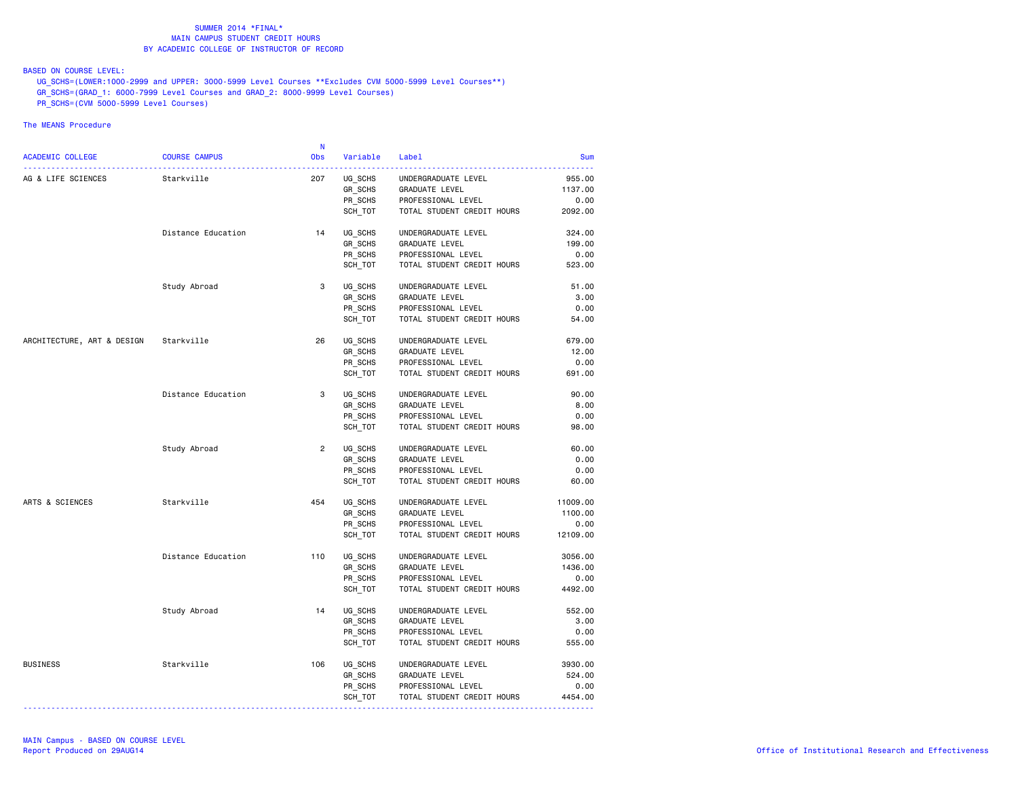BASED ON COURSE LEVEL:

UG\_SCHS=(LOWER:1000-2999 and UPPER: 3000-5999 Level Courses \*\*Excludes CVM 5000-5999 Level Courses\*\*)

- GR\_SCHS=(GRAD\_1: 6000-7999 Level Courses and GRAD\_2: 8000-9999 Level Courses)
- PR\_SCHS=(CVM 5000-5999 Level Courses)

|                            |                      | <b>N</b>       |          |                            |            |
|----------------------------|----------------------|----------------|----------|----------------------------|------------|
| ACADEMIC COLLEGE           | <b>COURSE CAMPUS</b> | <b>Obs</b>     | Variable | Label                      | <b>Sum</b> |
| AG & LIFE SCIENCES         | Starkville           | 207            | UG_SCHS  | UNDERGRADUATE LEVEL        | 955.00     |
|                            |                      |                | GR_SCHS  | GRADUATE LEVEL             | 1137.00    |
|                            |                      |                | PR SCHS  | PROFESSIONAL LEVEL         | 0.00       |
|                            |                      |                | SCH TOT  | TOTAL STUDENT CREDIT HOURS | 2092.00    |
|                            |                      |                |          |                            |            |
|                            | Distance Education   | 14             | UG SCHS  | UNDERGRADUATE LEVEL        | 324.00     |
|                            |                      |                | GR SCHS  | GRADUATE LEVEL             | 199.00     |
|                            |                      |                | PR_SCHS  | PROFESSIONAL LEVEL         | 0.00       |
|                            |                      |                | SCH TOT  | TOTAL STUDENT CREDIT HOURS | 523.00     |
|                            | Study Abroad         | 3              | UG SCHS  | UNDERGRADUATE LEVEL        | 51.00      |
|                            |                      |                | GR_SCHS  | GRADUATE LEVEL             | 3.00       |
|                            |                      |                | PR SCHS  | PROFESSIONAL LEVEL         | 0.00       |
|                            |                      |                | SCH_TOT  | TOTAL STUDENT CREDIT HOURS | 54.00      |
|                            |                      |                |          |                            |            |
| ARCHITECTURE, ART & DESIGN | Starkville           | 26             | UG_SCHS  | UNDERGRADUATE LEVEL        | 679.00     |
|                            |                      |                | GR_SCHS  | GRADUATE LEVEL             | 12.00      |
|                            |                      |                | PR SCHS  | PROFESSIONAL LEVEL         | 0.00       |
|                            |                      |                | SCH_TOT  | TOTAL STUDENT CREDIT HOURS | 691.00     |
|                            | Distance Education   | 3              | UG SCHS  | UNDERGRADUATE LEVEL        | 90.00      |
|                            |                      |                | GR_SCHS  | <b>GRADUATE LEVEL</b>      | 8.00       |
|                            |                      |                | PR SCHS  | PROFESSIONAL LEVEL         | 0.00       |
|                            |                      |                | SCH TOT  | TOTAL STUDENT CREDIT HOURS | 98.00      |
|                            |                      |                |          |                            |            |
|                            | Study Abroad         | $\overline{2}$ | UG SCHS  | UNDERGRADUATE LEVEL        | 60.00      |
|                            |                      |                | GR_SCHS  | GRADUATE LEVEL             | 0.00       |
|                            |                      |                | PR SCHS  | PROFESSIONAL LEVEL         | 0.00       |
|                            |                      |                | SCH_TOT  | TOTAL STUDENT CREDIT HOURS | 60.00      |
| ARTS & SCIENCES            | Starkville           | 454            | UG_SCHS  | UNDERGRADUATE LEVEL        | 11009.00   |
|                            |                      |                | GR_SCHS  | GRADUATE LEVEL             | 1100.00    |
|                            |                      |                | PR SCHS  | PROFESSIONAL LEVEL         | 0.00       |
|                            |                      |                | SCH_TOT  | TOTAL STUDENT CREDIT HOURS | 12109.00   |
|                            |                      |                |          |                            |            |
|                            | Distance Education   | 110            | UG_SCHS  | UNDERGRADUATE LEVEL        | 3056.00    |
|                            |                      |                | GR SCHS  | <b>GRADUATE LEVEL</b>      | 1436.00    |
|                            |                      |                | PR_SCHS  | PROFESSIONAL LEVEL         | 0.00       |
|                            |                      |                | SCH TOT  | TOTAL STUDENT CREDIT HOURS | 4492.00    |
|                            | Study Abroad         | 14             | UG SCHS  | UNDERGRADUATE LEVEL        | 552.00     |
|                            |                      |                | GR_SCHS  | GRADUATE LEVEL             | 3.00       |
|                            |                      |                | PR SCHS  | PROFESSIONAL LEVEL         | 0.00       |
|                            |                      |                |          |                            |            |
|                            |                      |                | SCH_TOT  | TOTAL STUDENT CREDIT HOURS | 555.00     |
| <b>BUSINESS</b>            | Starkville           | 106            | UG SCHS  | UNDERGRADUATE LEVEL        | 3930.00    |
|                            |                      |                | GR_SCHS  | GRADUATE LEVEL             | 524.00     |
|                            |                      |                | PR SCHS  | PROFESSIONAL LEVEL         | 0.00       |
|                            |                      |                | SCH_TOT  | TOTAL STUDENT CREDIT HOURS | 4454.00    |
|                            |                      |                |          |                            |            |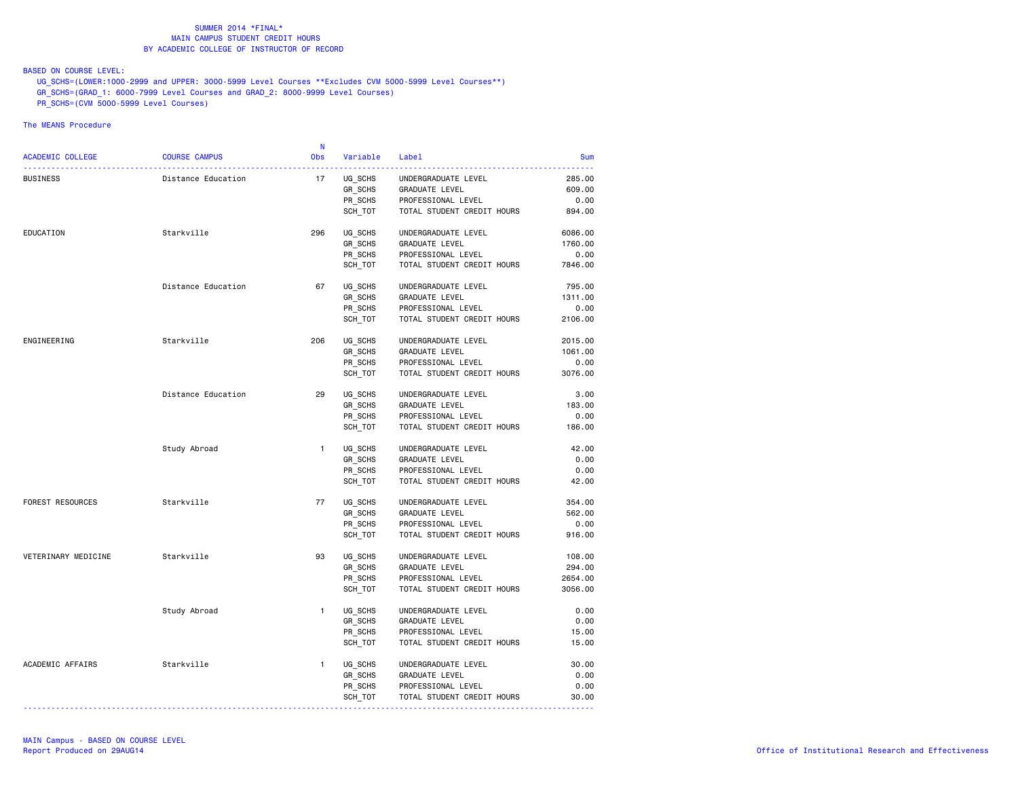BASED ON COURSE LEVEL:

UG\_SCHS=(LOWER:1000-2999 and UPPER: 3000-5999 Level Courses \*\*Excludes CVM 5000-5999 Level Courses\*\*)

- GR\_SCHS=(GRAD\_1: 6000-7999 Level Courses and GRAD\_2: 8000-9999 Level Courses)
- PR\_SCHS=(CVM 5000-5999 Level Courses)

|                     |                      | <b>N</b>     |          |                            |            |
|---------------------|----------------------|--------------|----------|----------------------------|------------|
| ACADEMIC COLLEGE    | <b>COURSE CAMPUS</b> | <b>Obs</b>   | Variable | Label                      | <b>Sum</b> |
| <b>BUSINESS</b>     | Distance Education   | 17           | UG_SCHS  | UNDERGRADUATE LEVEL        | 285.00     |
|                     |                      |              | GR_SCHS  | GRADUATE LEVEL             | 609.00     |
|                     |                      |              | PR SCHS  | PROFESSIONAL LEVEL         | 0.00       |
|                     |                      |              | SCH_TOT  | TOTAL STUDENT CREDIT HOURS | 894.00     |
|                     |                      |              |          |                            |            |
| EDUCATION           | Starkville           | 296          | UG_SCHS  | UNDERGRADUATE LEVEL        | 6086.00    |
|                     |                      |              | GR_SCHS  | <b>GRADUATE LEVEL</b>      | 1760.00    |
|                     |                      |              | PR_SCHS  | PROFESSIONAL LEVEL         | 0.00       |
|                     |                      |              | SCH TOT  | TOTAL STUDENT CREDIT HOURS | 7846.00    |
|                     | Distance Education   | 67           | UG SCHS  | UNDERGRADUATE LEVEL        | 795.00     |
|                     |                      |              | GR_SCHS  | <b>GRADUATE LEVEL</b>      | 1311.00    |
|                     |                      |              | PR SCHS  | PROFESSIONAL LEVEL         | 0.00       |
|                     |                      |              | SCH_TOT  | TOTAL STUDENT CREDIT HOURS | 2106.00    |
|                     |                      |              |          |                            |            |
| ENGINEERING         | Starkville           | 206          | UG_SCHS  | UNDERGRADUATE LEVEL        | 2015.00    |
|                     |                      |              | GR_SCHS  | GRADUATE LEVEL             | 1061.00    |
|                     |                      |              | PR SCHS  | PROFESSIONAL LEVEL         | 0.00       |
|                     |                      |              | SCH_TOT  | TOTAL STUDENT CREDIT HOURS | 3076.00    |
|                     | Distance Education   | 29           | UG_SCHS  | UNDERGRADUATE LEVEL        | 3.00       |
|                     |                      |              | GR_SCHS  | <b>GRADUATE LEVEL</b>      | 183.00     |
|                     |                      |              | PR SCHS  | PROFESSIONAL LEVEL         | 0.00       |
|                     |                      |              | SCH TOT  | TOTAL STUDENT CREDIT HOURS | 186.00     |
|                     |                      |              |          |                            |            |
|                     | Study Abroad         | $\mathbf{1}$ | UG SCHS  | UNDERGRADUATE LEVEL        | 42.00      |
|                     |                      |              | GR_SCHS  | GRADUATE LEVEL             | 0.00       |
|                     |                      |              | PR SCHS  | PROFESSIONAL LEVEL         | 0.00       |
|                     |                      |              | SCH_TOT  | TOTAL STUDENT CREDIT HOURS | 42.00      |
| FOREST RESOURCES    | Starkville           | 77           | UG_SCHS  | UNDERGRADUATE LEVEL        | 354.00     |
|                     |                      |              | GR_SCHS  | GRADUATE LEVEL             | 562.00     |
|                     |                      |              | PR SCHS  | PROFESSIONAL LEVEL         | 0.00       |
|                     |                      |              | SCH_TOT  | TOTAL STUDENT CREDIT HOURS | 916.00     |
| VETERINARY MEDICINE | Starkville           | 93           | UG_SCHS  | UNDERGRADUATE LEVEL        | 108.00     |
|                     |                      |              | GR SCHS  | <b>GRADUATE LEVEL</b>      | 294.00     |
|                     |                      |              | PR_SCHS  | PROFESSIONAL LEVEL         | 2654.00    |
|                     |                      |              | SCH TOT  | TOTAL STUDENT CREDIT HOURS | 3056.00    |
|                     |                      |              |          |                            |            |
|                     | Study Abroad         | $\mathbf{1}$ | UG SCHS  | UNDERGRADUATE LEVEL        | 0.00       |
|                     |                      |              | GR_SCHS  | GRADUATE LEVEL             | 0.00       |
|                     |                      |              | PR SCHS  | PROFESSIONAL LEVEL         | 15.00      |
|                     |                      |              | SCH_TOT  | TOTAL STUDENT CREDIT HOURS | 15.00      |
| ACADEMIC AFFAIRS    | Starkville           | $\mathbf{1}$ | UG SCHS  | UNDERGRADUATE LEVEL        | 30.00      |
|                     |                      |              | GR_SCHS  | GRADUATE LEVEL             | 0.00       |
|                     |                      |              | PR SCHS  | PROFESSIONAL LEVEL         | 0.00       |
|                     |                      |              | SCH_TOT  | TOTAL STUDENT CREDIT HOURS | 30.00      |
|                     |                      |              |          |                            |            |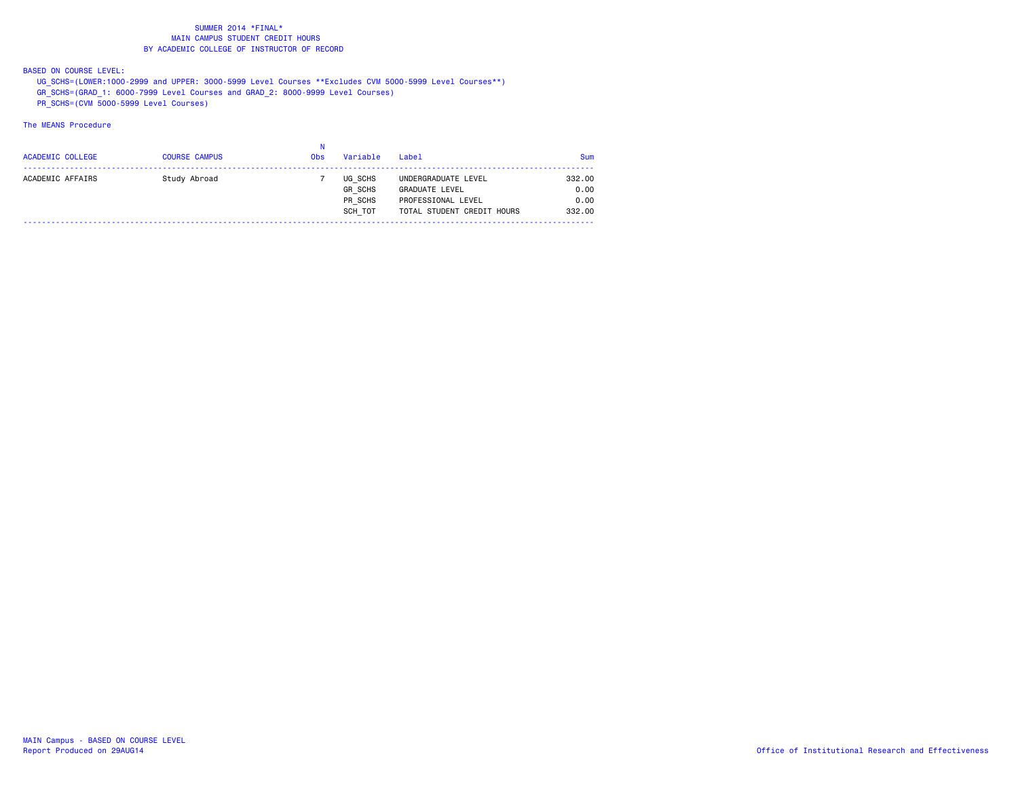BASED ON COURSE LEVEL:

UG\_SCHS=(LOWER:1000-2999 and UPPER: 3000-5999 Level Courses \*\*Excludes CVM 5000-5999 Level Courses\*\*)

GR\_SCHS=(GRAD\_1: 6000-7999 Level Courses and GRAD\_2: 8000-9999 Level Courses)

PR\_SCHS=(CVM 5000-5999 Level Courses)

| <b>ACADEMIC COLLEGE</b> | <b>COURSE CAMPUS</b> | <b>Obs</b> | Variable                                        | Label                                                                                            | Sum                              |
|-------------------------|----------------------|------------|-------------------------------------------------|--------------------------------------------------------------------------------------------------|----------------------------------|
| ACADEMIC AFFAIRS        | Study Abroad         |            | UG SCHS<br><b>GR SCHS</b><br>PR SCHS<br>SCH TOT | UNDERGRADUATE LEVEL<br><b>GRADUATE LEVEL</b><br>PROFESSIONAL LEVEL<br>TOTAL STUDENT CREDIT HOURS | 332,00<br>0.00<br>0.00<br>332.00 |
|                         |                      |            |                                                 |                                                                                                  |                                  |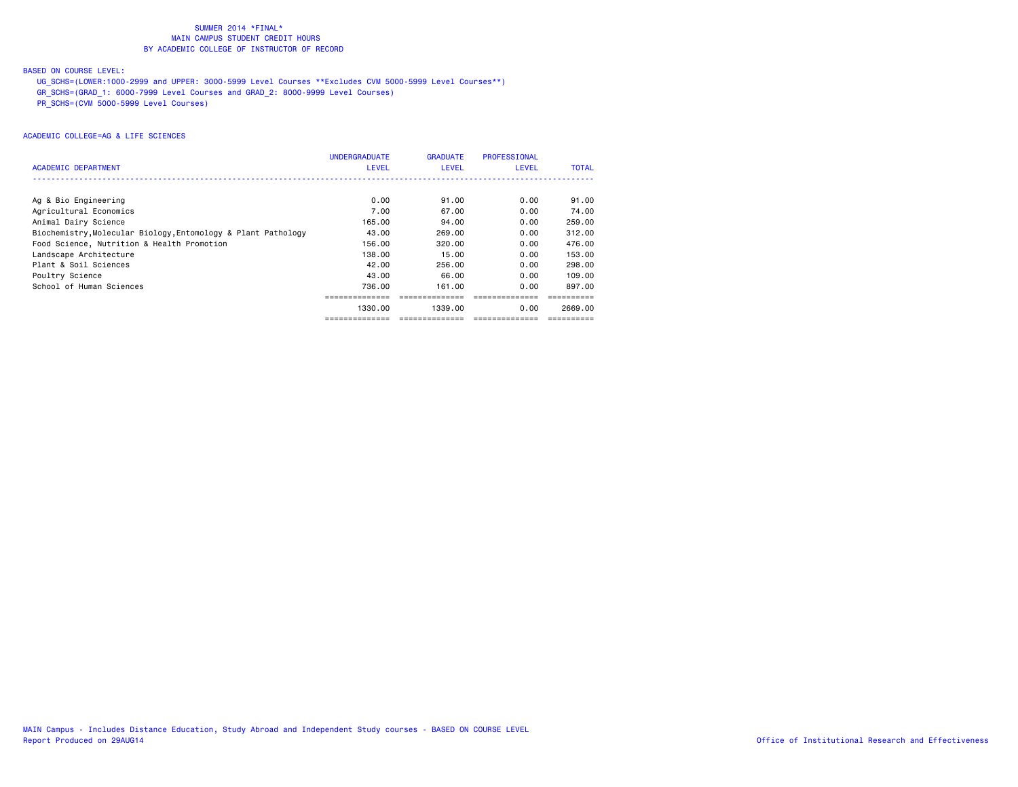# BASED ON COURSE LEVEL:

UG\_SCHS=(LOWER:1000-2999 and UPPER: 3000-5999 Level Courses \*\*Excludes CVM 5000-5999 Level Courses\*\*)

GR\_SCHS=(GRAD\_1: 6000-7999 Level Courses and GRAD\_2: 8000-9999 Level Courses)

PR\_SCHS=(CVM 5000-5999 Level Courses)

|                                                               | <b>UNDERGRADUATE</b> | <b>GRADUATE</b> | <b>PROFESSIONAL</b> |              |
|---------------------------------------------------------------|----------------------|-----------------|---------------------|--------------|
| <b>ACADEMIC DEPARTMENT</b>                                    | <b>LEVEL</b>         | <b>LEVEL</b>    | LEVEL               | <b>TOTAL</b> |
|                                                               |                      |                 |                     |              |
| Ag & Bio Engineering                                          | 0.00                 | 91.00           | 0.00                | 91.00        |
| Agricultural Economics                                        | 7.00                 | 67.00           | 0.00                | 74.00        |
| Animal Dairy Science                                          | 165.00               | 94.00           | 0.00                | 259.00       |
| Biochemistry, Molecular Biology, Entomology & Plant Pathology | 43.00                | 269,00          | 0.00                | 312,00       |
| Food Science, Nutrition & Health Promotion                    | 156.00               | 320.00          | 0.00                | 476.00       |
| Landscape Architecture                                        | 138.00               | 15.00           | 0.00                | 153.00       |
| Plant & Soil Sciences                                         | 42.00                | 256,00          | 0.00                | 298,00       |
| Poultry Science                                               | 43.00                | 66.00           | 0.00                | 109.00       |
| School of Human Sciences                                      | 736.00               | 161.00          | 0.00                | 897.00       |
|                                                               |                      |                 |                     |              |
|                                                               | 1330.00              | 1339.00         | 0.00                | 2669.00      |
|                                                               |                      |                 |                     |              |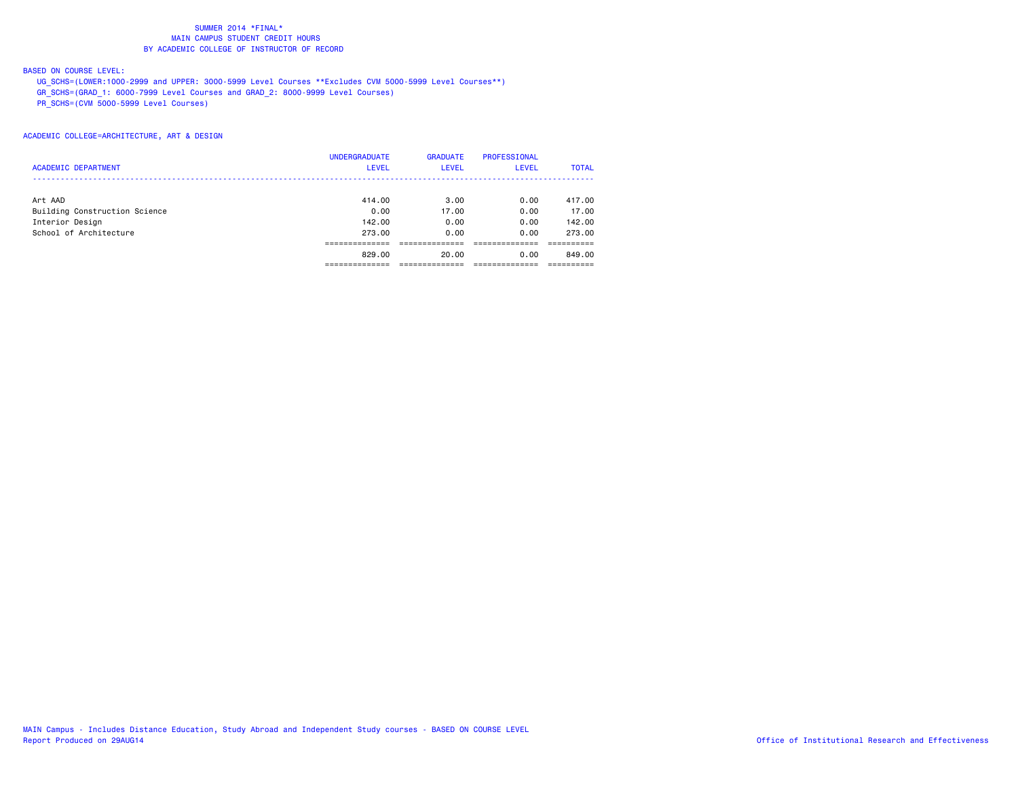# BASED ON COURSE LEVEL:

UG\_SCHS=(LOWER:1000-2999 and UPPER: 3000-5999 Level Courses \*\*Excludes CVM 5000-5999 Level Courses\*\*)

GR\_SCHS=(GRAD\_1: 6000-7999 Level Courses and GRAD\_2: 8000-9999 Level Courses)

PR\_SCHS=(CVM 5000-5999 Level Courses)

|                               | <b>UNDERGRADUATE</b> | <b>GRADUATE</b> | PROFESSIONAL |              |
|-------------------------------|----------------------|-----------------|--------------|--------------|
| <b>ACADEMIC DEPARTMENT</b>    | <b>LEVEL</b>         | <b>LEVEL</b>    | <b>LEVEL</b> | <b>TOTAL</b> |
|                               |                      |                 |              |              |
| Art AAD                       | 414.00               | 3.00            | 0.00         | 417.00       |
| Building Construction Science | 0.00                 | 17.00           | 0.00         | 17.00        |
| Interior Design               | 142.00               | 0.00            | 0.00         | 142.00       |
| School of Architecture        | 273.00               | 0.00            | 0.00         | 273.00       |
|                               |                      |                 |              |              |
|                               | 829.00               | 20.00           | 0.00         | 849,00       |
|                               |                      |                 |              |              |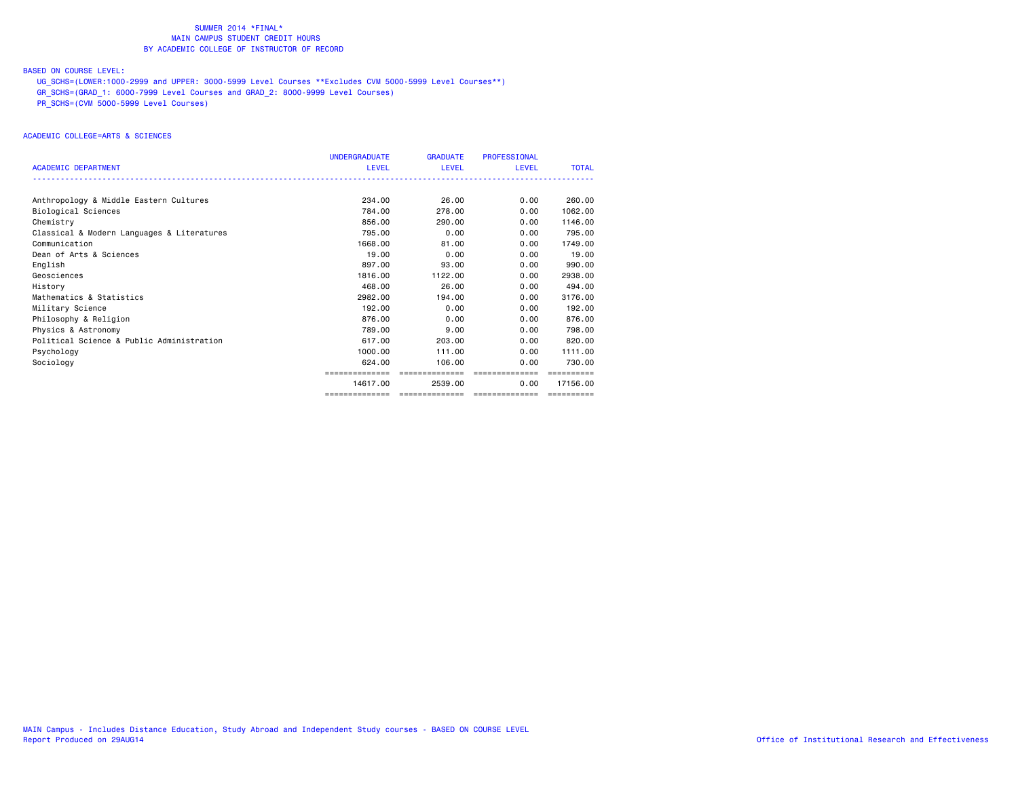# BASED ON COURSE LEVEL:

UG\_SCHS=(LOWER:1000-2999 and UPPER: 3000-5999 Level Courses \*\*Excludes CVM 5000-5999 Level Courses\*\*)

GR\_SCHS=(GRAD\_1: 6000-7999 Level Courses and GRAD\_2: 8000-9999 Level Courses)

PR\_SCHS=(CVM 5000-5999 Level Courses)

|                                            | <b>UNDERGRADUATE</b> | <b>GRADUATE</b> | PROFESSIONAL   |              |
|--------------------------------------------|----------------------|-----------------|----------------|--------------|
| <b>ACADEMIC DEPARTMENT</b>                 | <b>LEVEL</b>         | LEVEL           | <b>LEVEL</b>   | <b>TOTAL</b> |
|                                            |                      |                 |                |              |
| Anthropology & Middle Eastern Cultures     | 234.00               | 26.00           | 0.00           | 260.00       |
| Biological Sciences                        | 784.00               | 278.00          | 0.00           | 1062.00      |
| Chemistry                                  | 856.00               | 290,00          | 0.00           | 1146.00      |
| Classical & Modern Languages & Literatures | 795.00               | 0.00            | 0.00           | 795,00       |
| Communication                              | 1668,00              | 81.00           | 0.00           | 1749.00      |
| Dean of Arts & Sciences                    | 19.00                | 0.00            | 0.00           | 19.00        |
| English                                    | 897.00               | 93.00           | 0.00           | 990.00       |
| Geosciences                                | 1816.00              | 1122.00         | 0.00           | 2938.00      |
| History                                    | 468,00               | 26.00           | 0.00           | 494.00       |
| Mathematics & Statistics                   | 2982.00              | 194.00          | 0.00           | 3176.00      |
| Military Science                           | 192.00               | 0.00            | 0.00           | 192.00       |
| Philosophy & Religion                      | 876.00               | 0.00            | 0.00           | 876.00       |
| Physics & Astronomy                        | 789.00               | 9.00            | 0.00           | 798.00       |
| Political Science & Public Administration  | 617.00               | 203,00          | 0.00           | 820,00       |
| Psychology                                 | 1000.00              | 111.00          | 0.00           | 1111.00      |
| Sociology                                  | 624.00               | 106.00          | 0.00           | 730.00       |
|                                            |                      | ==============  | ============== |              |
|                                            | 14617.00             | 2539.00         | 0.00           | 17156.00     |
|                                            | ==============       | ==============  | ============== | -----------  |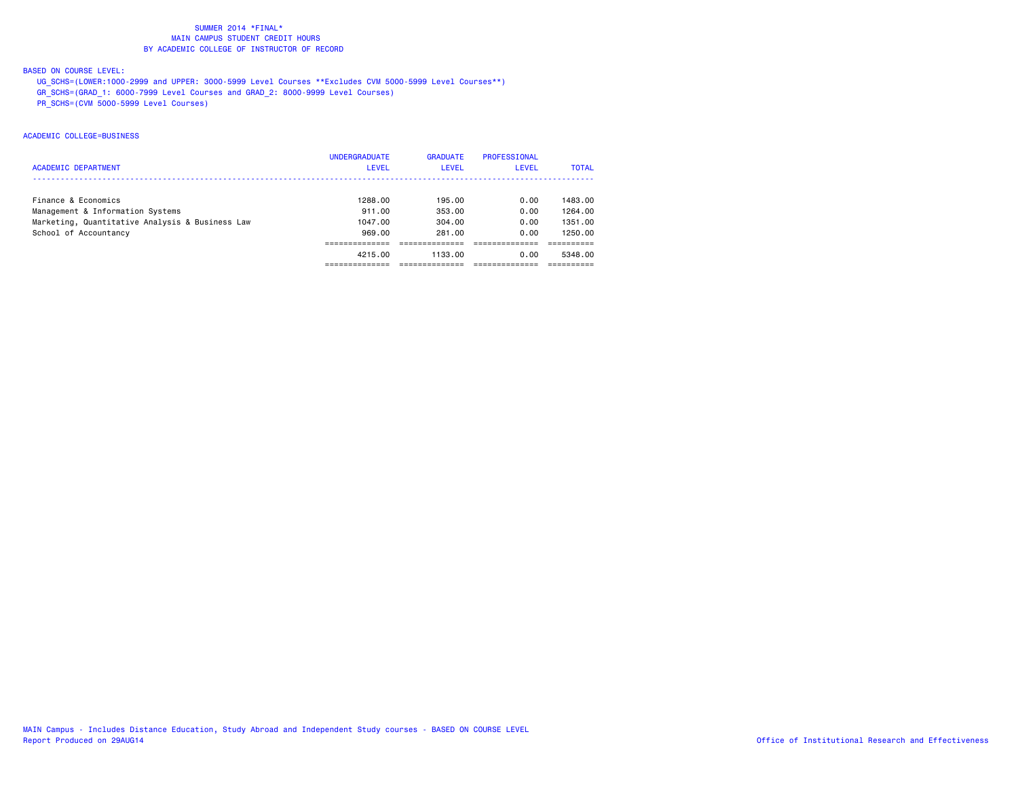# BASED ON COURSE LEVEL:

UG\_SCHS=(LOWER:1000-2999 and UPPER: 3000-5999 Level Courses \*\*Excludes CVM 5000-5999 Level Courses\*\*)

GR\_SCHS=(GRAD\_1: 6000-7999 Level Courses and GRAD\_2: 8000-9999 Level Courses)

PR\_SCHS=(CVM 5000-5999 Level Courses)

# ACADEMIC COLLEGE=BUSINESS

|                                                 | <b>UNDERGRADUATE</b> | <b>GRADUATE</b> | <b>PROFESSIONAL</b> |              |
|-------------------------------------------------|----------------------|-----------------|---------------------|--------------|
| <b>ACADEMIC DEPARTMENT</b>                      | <b>LEVEL</b>         | <b>LEVEL</b>    | <b>LEVEL</b>        | <b>TOTAL</b> |
|                                                 |                      |                 |                     |              |
| Finance & Economics                             | 1288.00              | 195.00          | 0.00                | 1483.00      |
| Management & Information Systems                | 911.00               | 353.00          | 0.00                | 1264.00      |
| Marketing, Quantitative Analysis & Business Law | 1047.00              | 304.00          | 0.00                | 1351.00      |
| School of Accountancy                           | 969.00               | 281.00          | 0.00                | 1250.00      |
|                                                 |                      |                 |                     |              |
|                                                 | 4215.00              | 1133.00         | 0.00                | 5348.00      |
|                                                 |                      |                 |                     |              |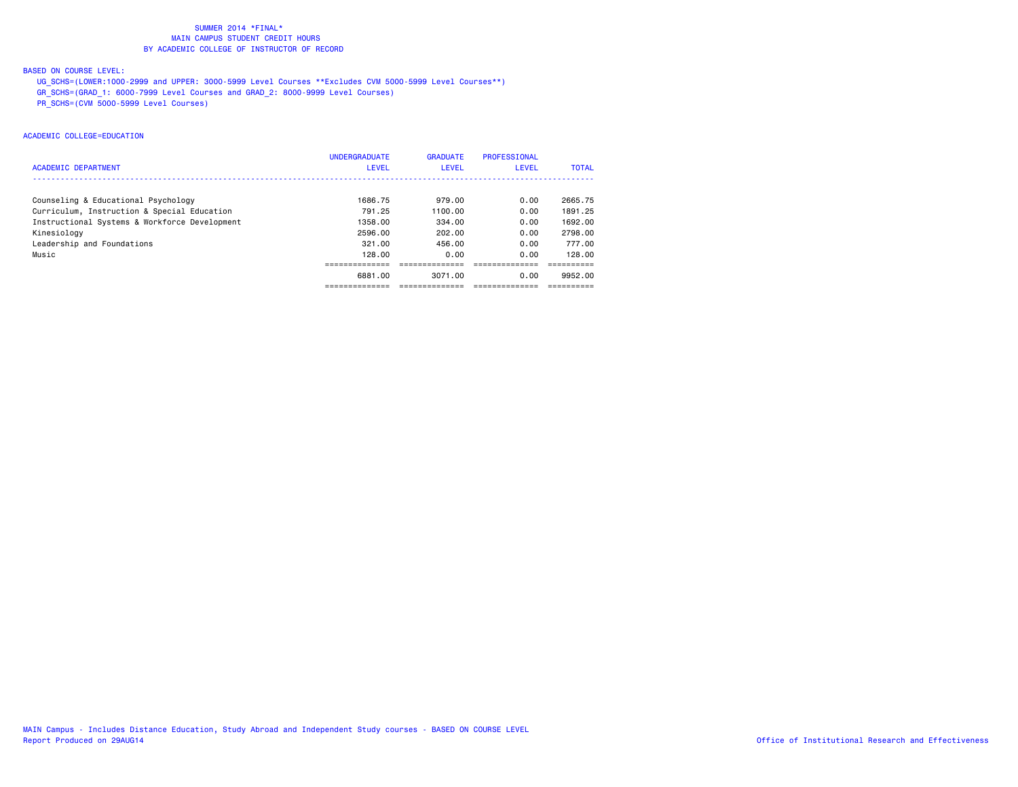# BASED ON COURSE LEVEL:

UG\_SCHS=(LOWER:1000-2999 and UPPER: 3000-5999 Level Courses \*\*Excludes CVM 5000-5999 Level Courses\*\*)

GR\_SCHS=(GRAD\_1: 6000-7999 Level Courses and GRAD\_2: 8000-9999 Level Courses)

PR\_SCHS=(CVM 5000-5999 Level Courses)

# ACADEMIC COLLEGE=EDUCATION

|                                               | <b>UNDERGRADUATE</b> | <b>GRADUATE</b> | PROFESSIONAL |              |
|-----------------------------------------------|----------------------|-----------------|--------------|--------------|
| <b>ACADEMIC DEPARTMENT</b>                    | <b>LEVEL</b>         | <b>LEVEL</b>    | <b>LEVEL</b> | <b>TOTAL</b> |
|                                               |                      |                 |              |              |
| Counseling & Educational Psychology           | 1686.75              | 979.00          | 0.00         | 2665.75      |
| Curriculum, Instruction & Special Education   | 791.25               | 1100.00         | 0.00         | 1891.25      |
| Instructional Systems & Workforce Development | 1358.00              | 334.00          | 0.00         | 1692.00      |
| Kinesiology                                   | 2596.00              | 202.00          | 0.00         | 2798.00      |
| Leadership and Foundations                    | 321.00               | 456.00          | 0.00         | 777.00       |
| Music                                         | 128.00               | 0.00            | 0.00         | 128.00       |
|                                               |                      |                 |              |              |
|                                               | 6881.00              | 3071.00         | 0.00         | 9952.00      |
|                                               |                      |                 |              |              |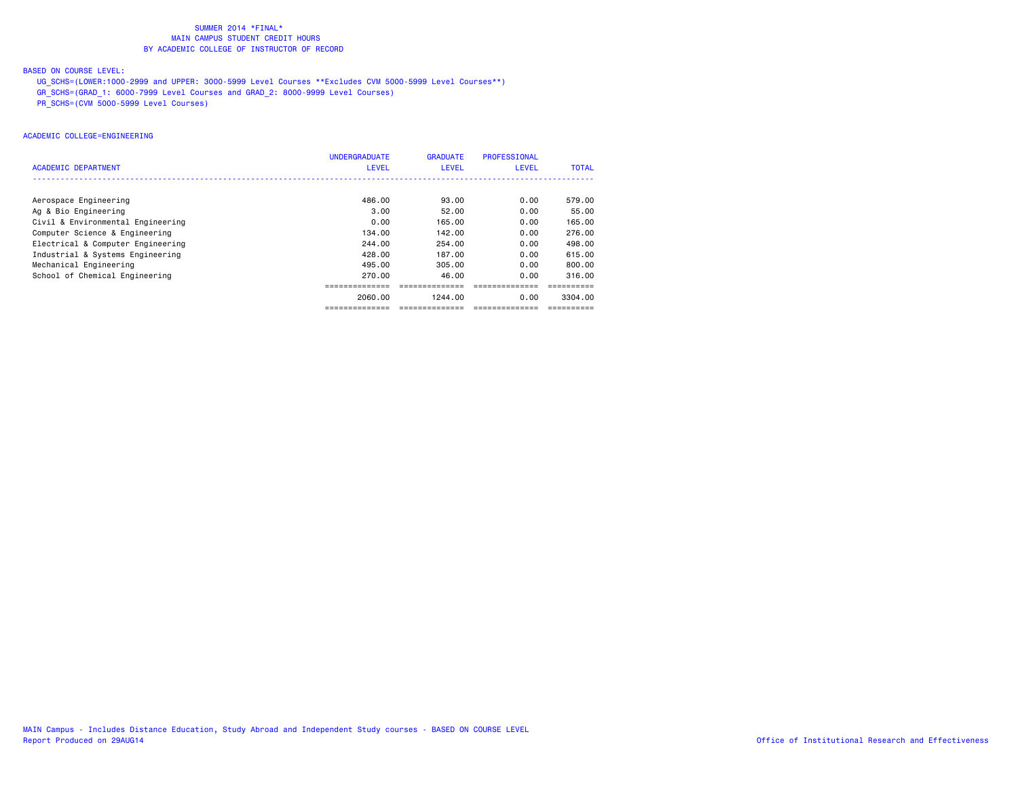# BASED ON COURSE LEVEL:

UG\_SCHS=(LOWER:1000-2999 and UPPER: 3000-5999 Level Courses \*\*Excludes CVM 5000-5999 Level Courses\*\*)

GR\_SCHS=(GRAD\_1: 6000-7999 Level Courses and GRAD\_2: 8000-9999 Level Courses)

PR\_SCHS=(CVM 5000-5999 Level Courses)

# ACADEMIC COLLEGE=ENGINEERING

|                                   | <b>UNDERGRADUATE</b> | <b>GRADUATE</b> | PROFESSIONAL    |              |
|-----------------------------------|----------------------|-----------------|-----------------|--------------|
| <b>ACADEMIC DEPARTMENT</b>        | <b>LEVEL</b>         | <b>LEVEL</b>    | <b>LEVEL</b>    | <b>TOTAL</b> |
|                                   |                      |                 |                 |              |
| Aerospace Engineering             | 486.00               | 93.00           | 0.00            | 579.00       |
| Ag & Bio Engineering              | 3.00                 | 52.00           | 0.00            | 55.00        |
| Civil & Environmental Engineering | 0.00                 | 165.00          | 0.00            | 165.00       |
| Computer Science & Engineering    | 134,00               | 142.00          | 0.00            | 276.00       |
| Electrical & Computer Engineering | 244,00               | 254.00          | 0.00            | 498,00       |
| Industrial & Systems Engineering  | 428,00               | 187.00          | 0.00            | 615,00       |
| Mechanical Engineering            | 495.00               | 305,00          | 0.00            | 800,00       |
| School of Chemical Engineering    | 270.00               | 46.00           | 0.00            | 316.00       |
|                                   |                      |                 |                 |              |
|                                   | 2060.00              | 1244.00         | 0.00            | 3304.00      |
|                                   | ==============       | =============== | =============== |              |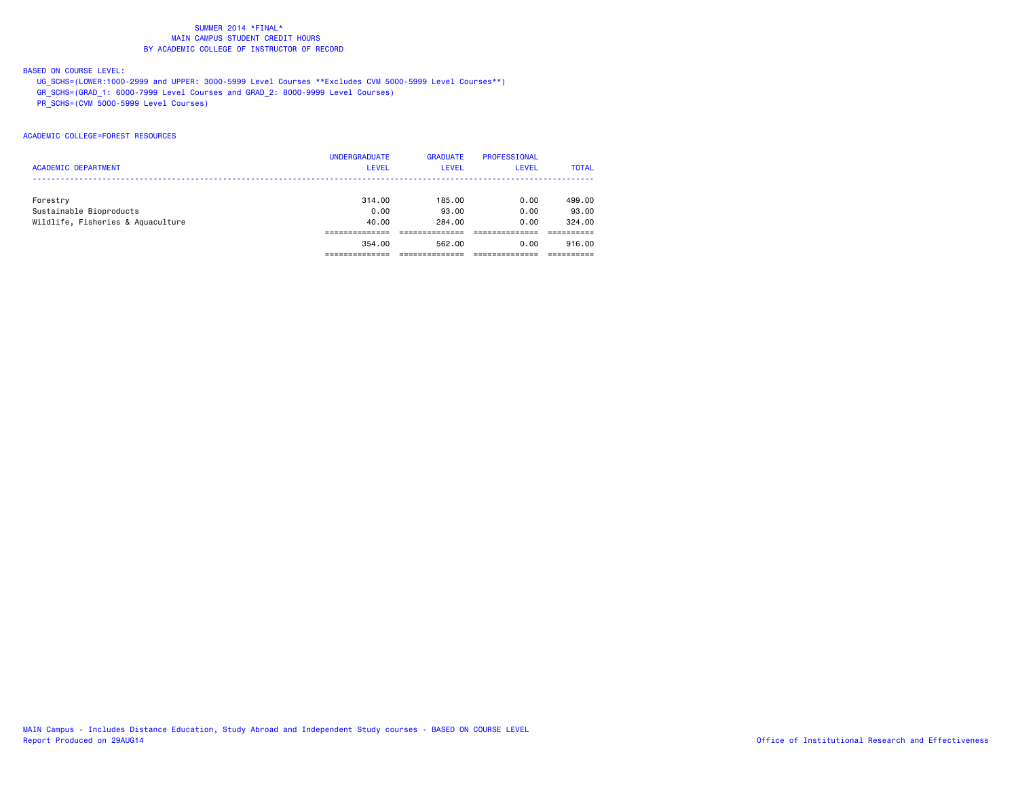# BASED ON COURSE LEVEL:

UG\_SCHS=(LOWER:1000-2999 and UPPER: 3000-5999 Level Courses \*\*Excludes CVM 5000-5999 Level Courses\*\*)

GR\_SCHS=(GRAD\_1: 6000-7999 Level Courses and GRAD\_2: 8000-9999 Level Courses)

PR\_SCHS=(CVM 5000-5999 Level Courses)

## ACADEMIC COLLEGE=FOREST RESOURCES

|                                   | <b>UNDERGRADUATE</b> | <b>GRADUATE</b> | PROFESSIONAL |              |
|-----------------------------------|----------------------|-----------------|--------------|--------------|
| <b>ACADEMIC DEPARTMENT</b>        | <b>LEVEL</b>         | <b>LEVEL</b>    | <b>LEVEL</b> | <b>TOTAL</b> |
|                                   |                      |                 |              |              |
| Forestry                          | 314.00               | 185.00          | 0.00         | 499.00       |
| Sustainable Bioproducts           | 0.00                 | 93.00           | 0.00         | 93.00        |
| Wildlife, Fisheries & Aquaculture | 40.00                | 284.00          | 0.00         | 324.00       |
|                                   |                      |                 |              |              |
|                                   | 354,00               | 562.00          | 0.00         | 916,00       |
|                                   |                      |                 |              |              |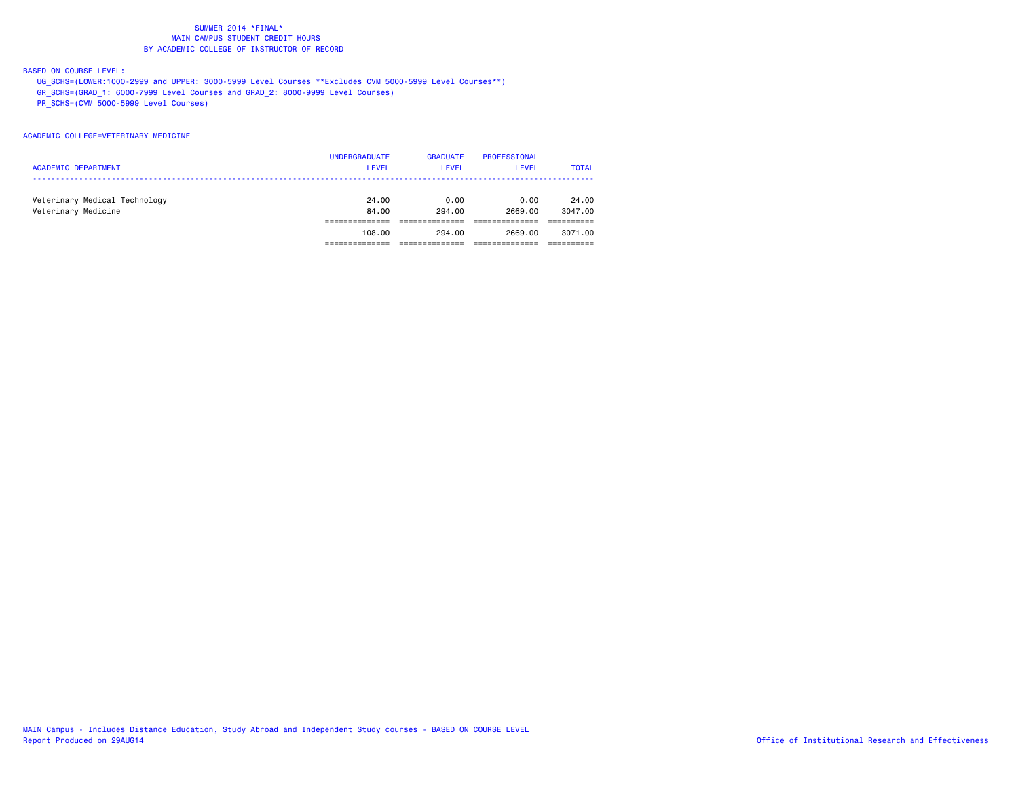# BASED ON COURSE LEVEL:

UG\_SCHS=(LOWER:1000-2999 and UPPER: 3000-5999 Level Courses \*\*Excludes CVM 5000-5999 Level Courses\*\*)

GR\_SCHS=(GRAD\_1: 6000-7999 Level Courses and GRAD\_2: 8000-9999 Level Courses)

PR\_SCHS=(CVM 5000-5999 Level Courses)

# ACADEMIC COLLEGE=VETERINARY MEDICINE

|                               | <b>UNDERGRADUATE</b> | <b>GRADUATE</b> | PROFESSIONAL |              |
|-------------------------------|----------------------|-----------------|--------------|--------------|
| <b>ACADEMIC DEPARTMENT</b>    | <b>LEVEL</b>         | <b>LEVEL</b>    | LEVEL        | <b>TOTAL</b> |
|                               |                      |                 |              |              |
| Veterinary Medical Technology | 24.00                | 0.00            | 0.00         | 24.00        |
| Veterinary Medicine           | 84.00                | 294.00          | 2669.00      | 3047.00      |
|                               |                      |                 |              |              |
|                               | 108,00               | 294.00          | 2669.00      | 3071.00      |
|                               |                      |                 |              |              |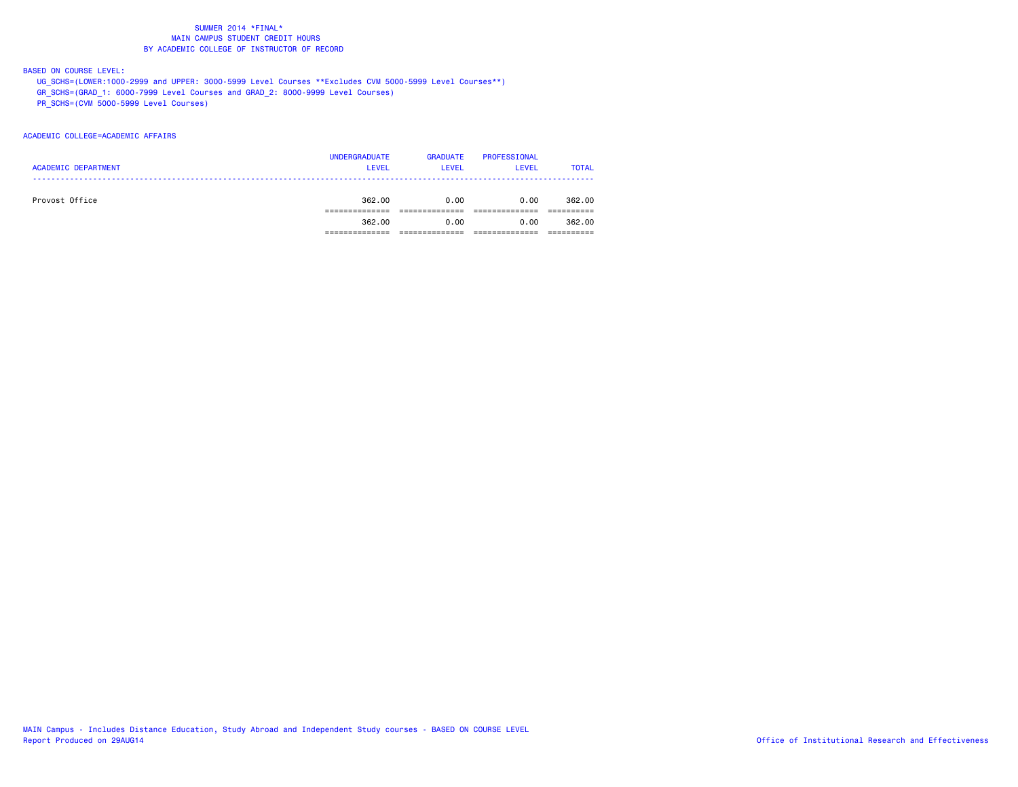BASED ON COURSE LEVEL:

UG\_SCHS=(LOWER:1000-2999 and UPPER: 3000-5999 Level Courses \*\*Excludes CVM 5000-5999 Level Courses\*\*)

GR\_SCHS=(GRAD\_1: 6000-7999 Level Courses and GRAD\_2: 8000-9999 Level Courses)

PR\_SCHS=(CVM 5000-5999 Level Courses)

## ACADEMIC COLLEGE=ACADEMIC AFFAIRS

|                            | <b>UNDERGRADUATE</b> | <b>GRADUATE</b> | PROFESSIONAL |              |
|----------------------------|----------------------|-----------------|--------------|--------------|
| <b>ACADEMIC DEPARTMENT</b> | <b>LEVEL</b>         | <b>LEVEL</b>    | <b>LEVEL</b> | <b>TOTAL</b> |
|                            |                      |                 |              |              |
| Provost Office             | 362,00               | 0.00            | 0.00         | 362.00       |
|                            |                      |                 |              |              |
|                            | 362,00               | 0.00            | 0.00         | 362.00       |
|                            |                      |                 |              |              |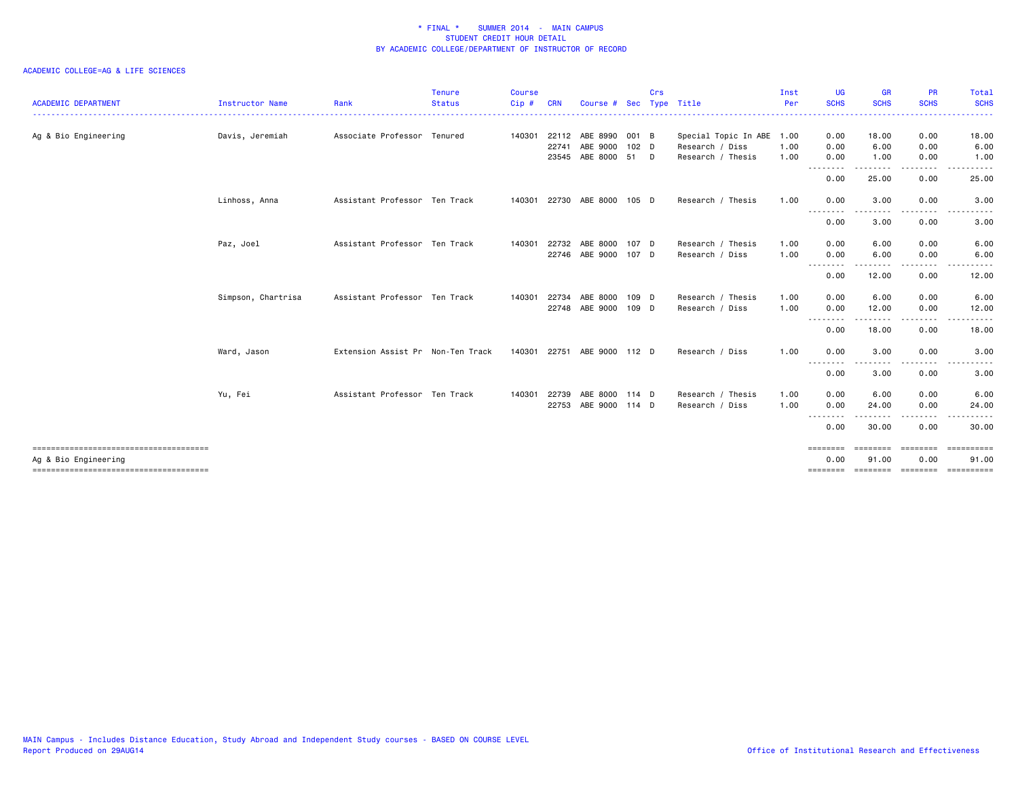| <b>ACADEMIC DEPARTMENT</b> | Instructor Name    | Rank                              | <b>Tenure</b><br><b>Status</b> | <b>Course</b><br>$Cip$ # | CRN   | Course #                    |                  | Crs | Sec Type Title            | Inst<br>Per | <b>UG</b><br><b>SCHS</b>                                                                                    | <b>GR</b><br><b>SCHS</b> | <b>PR</b><br><b>SCHS</b> | Total<br><b>SCHS</b>    |
|----------------------------|--------------------|-----------------------------------|--------------------------------|--------------------------|-------|-----------------------------|------------------|-----|---------------------------|-------------|-------------------------------------------------------------------------------------------------------------|--------------------------|--------------------------|-------------------------|
| Ag & Bio Engineering       | Davis, Jeremiah    | Associate Professor Tenured       |                                | 140301                   | 22112 | ABE 8990                    | 001 B            |     | Special Topic In ABE 1.00 |             | 0.00                                                                                                        | 18.00                    | 0.00                     | 18.00                   |
|                            |                    |                                   |                                |                          | 22741 | ABE 9000                    | 102 <sub>D</sub> |     | Research / Diss           | 1.00        | 0.00                                                                                                        | 6.00                     | 0.00                     | 6.00                    |
|                            |                    |                                   |                                |                          | 23545 | ABE 8000                    | 51 D             |     | Research / Thesis         | 1.00        | 0.00                                                                                                        | 1.00                     | 0.00                     | 1.00                    |
|                            |                    |                                   |                                |                          |       |                             |                  |     |                           |             | . <b>.</b><br>0.00                                                                                          | - - - - - -<br>25.00     | .<br>0.00                | .<br>25.00              |
|                            | Linhoss, Anna      | Assistant Professor Ten Track     |                                | 140301 22730             |       | ABE 8000 105 D              |                  |     | Research / Thesis         | 1.00        | 0.00<br>.                                                                                                   | 3.00<br>. <b>.</b> .     | 0.00<br>. <b>.</b>       | 3.00<br>. <b>.</b> .    |
|                            |                    |                                   |                                |                          |       |                             |                  |     |                           |             | 0.00                                                                                                        | 3.00                     | 0.00                     | 3.00                    |
|                            | Paz, Joel          | Assistant Professor Ten Track     |                                | 140301                   | 22732 | ABE 8000                    | 107 D            |     | Research / Thesis         | 1.00        | 0.00                                                                                                        | 6.00                     | 0.00                     | 6.00                    |
|                            |                    |                                   |                                |                          | 22746 | ABE 9000 107 D              |                  |     | Research / Diss           | 1.00        | 0.00<br>$\frac{1}{2} \left( \frac{1}{2} \right) \left( \frac{1}{2} \right) \left( \frac{1}{2} \right)$<br>. | 6.00                     | 0.00                     | 6.00                    |
|                            |                    |                                   |                                |                          |       |                             |                  |     |                           |             | 0.00                                                                                                        | 12.00                    | 0.00                     | 12.00                   |
|                            | Simpson, Chartrisa | Assistant Professor Ten Track     |                                | 140301 22734             |       | ABE 8000                    | 109 D            |     | Research / Thesis         | 1.00        | 0.00                                                                                                        | 6.00                     | 0.00                     | 6.00                    |
|                            |                    |                                   |                                |                          | 22748 | ABE 9000                    | 109 D            |     | Research / Diss           | 1.00        | 0.00<br>.                                                                                                   | 12.00<br>.               | 0.00<br>.                | 12.00<br>.              |
|                            |                    |                                   |                                |                          |       |                             |                  |     |                           |             | 0.00                                                                                                        | 18.00                    | 0.00                     | 18.00                   |
|                            | Ward, Jason        | Extension Assist Pr Non-Ten Track |                                |                          |       | 140301 22751 ABE 9000 112 D |                  |     | Research / Diss           | 1.00        | 0.00<br><u>.</u>                                                                                            | 3.00                     | 0.00                     | 3.00                    |
|                            |                    |                                   |                                |                          |       |                             |                  |     |                           |             | 0.00                                                                                                        | 3.00                     | 0.00                     | 3.00                    |
|                            | Yu, Fei            | Assistant Professor Ten Track     |                                | 140301                   | 22739 | ABE 8000                    | 114 D            |     | Research / Thesis         | 1.00        | 0.00                                                                                                        | 6.00                     | 0.00                     | 6.00                    |
|                            |                    |                                   |                                |                          | 22753 | ABE 9000 114 D              |                  |     | Research / Diss           | 1.00        | 0.00<br>.                                                                                                   | 24.00<br>-----           | 0.00                     | 24.00                   |
|                            |                    |                                   |                                |                          |       |                             |                  |     |                           |             | 0.00                                                                                                        | 30.00                    | 0.00                     | 30,00                   |
| Ag & Bio Engineering       |                    |                                   |                                |                          |       |                             |                  |     |                           |             | $=$ = = = = = = =<br>0.00                                                                                   | 91.00                    | ========<br>0.00         | $=$ ==========<br>91.00 |
|                            |                    |                                   |                                |                          |       |                             |                  |     |                           |             |                                                                                                             |                          |                          |                         |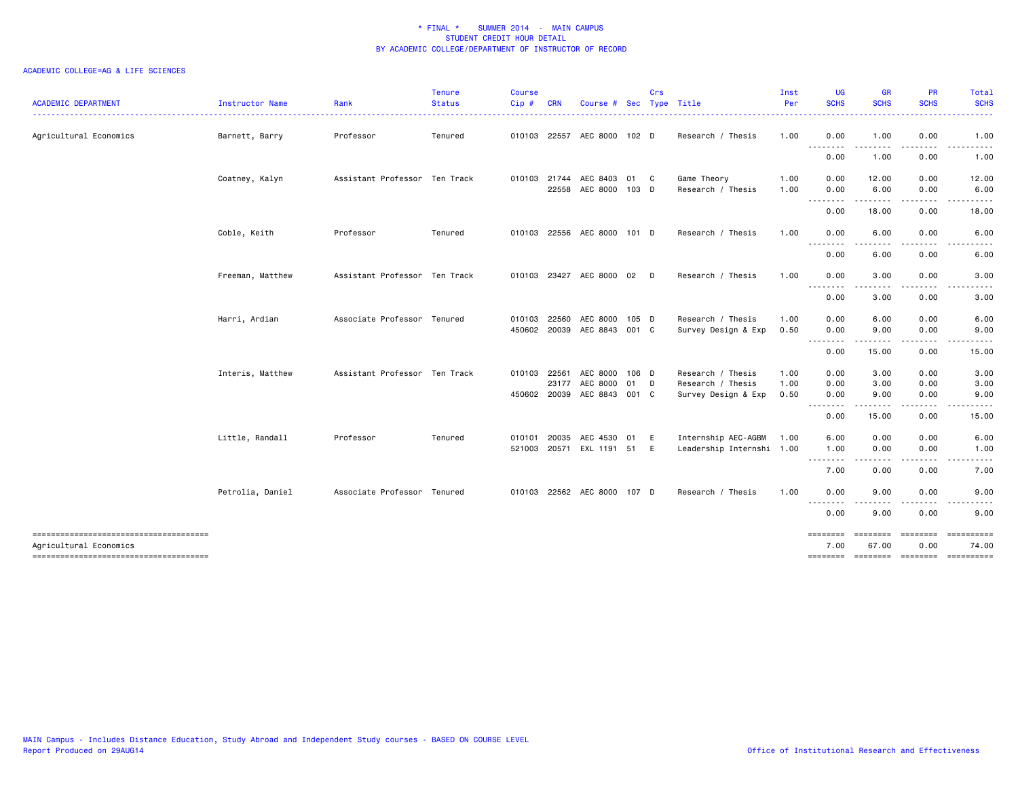| <b>ACADEMIC DEPARTMENT</b>                                      | Instructor Name  | Rank                          | <b>Tenure</b><br><b>Status</b> | <b>Course</b><br>Cip# | <b>CRN</b>   | Course #                        |    | Crs | Sec Type Title                   | Inst<br>Per  | <b>UG</b><br><b>SCHS</b>        | <b>GR</b><br><b>SCHS</b>         | <b>PR</b><br><b>SCHS</b> | Total<br><b>SCHS</b> |
|-----------------------------------------------------------------|------------------|-------------------------------|--------------------------------|-----------------------|--------------|---------------------------------|----|-----|----------------------------------|--------------|---------------------------------|----------------------------------|--------------------------|----------------------|
| Agricultural Economics                                          | Barnett, Barry   | Professor                     | Tenured                        |                       |              | 010103 22557 AEC 8000 102 D     |    |     | Research / Thesis                | 1.00         | 0.00                            | 1.00                             | 0.00                     | 1.00                 |
|                                                                 |                  |                               |                                |                       |              |                                 |    |     |                                  |              | <u> - - - - - - - -</u><br>0.00 | 1.00                             | 0.00                     | 1.00                 |
|                                                                 | Coatney, Kalyn   | Assistant Professor Ten Track |                                | 010103 21744          | 22558        | AEC 8403 01 C<br>AEC 8000 103 D |    |     | Game Theory<br>Research / Thesis | 1.00<br>1.00 | 0.00<br>0.00                    | 12.00<br>6.00                    | 0.00<br>0.00             | 12.00<br>6.00        |
|                                                                 |                  |                               |                                |                       |              |                                 |    |     |                                  |              | ---------<br>0.00               | .<br>18.00                       | .<br>0.00                | .<br>18.00           |
|                                                                 | Coble, Keith     | Professor                     | Tenured                        | 010103                |              | 22556 AEC 8000 101 D            |    |     | Research / Thesis                | 1.00         | 0.00                            | 6.00                             | 0.00                     | 6.00                 |
|                                                                 |                  |                               |                                |                       |              |                                 |    |     |                                  |              | .<br>0.00                       | $\overline{\phantom{a}}$<br>6.00 | 0.00                     | 6.00                 |
|                                                                 | Freeman, Matthew | Assistant Professor Ten Track |                                | 010103 23427          |              | AEC 8000 02                     |    | D   | Research / Thesis                | 1.00         | 0.00                            | 3.00                             | 0.00                     | 3.00                 |
|                                                                 |                  |                               |                                |                       |              |                                 |    |     |                                  |              | $  -$<br>0.00                   | 3.00                             | 0.00                     | 3.00                 |
|                                                                 | Harri, Ardian    | Associate Professor Tenured   |                                | 010103                | 22560        | AEC 8000 105 D                  |    |     | Research / Thesis                | 1.00         | 0.00                            | 6.00                             | 0.00                     | 6.00                 |
|                                                                 |                  |                               |                                |                       | 450602 20039 | AEC 8843 001 C                  |    |     | Survey Design & Exp              | 0.50         | 0.00<br>$\sim$ $\sim$ $\sim$    | 9.00                             | 0.00                     | 9.00                 |
|                                                                 |                  |                               |                                |                       |              |                                 |    |     |                                  |              | 0.00                            | 15.00                            | 0.00                     | 15.00                |
|                                                                 | Interis, Matthew | Assistant Professor Ten Track |                                | 010103                | 22561        | AEC 8000 106 D                  |    |     | Research / Thesis                | 1.00         | 0.00                            | 3.00                             | 0.00                     | 3.00                 |
|                                                                 |                  |                               |                                |                       | 23177        | AEC 8000 01                     |    | D   | Research / Thesis                | 1.00         | 0.00                            | 3.00                             | 0.00                     | 3.00                 |
|                                                                 |                  |                               |                                | 450602                | 20039        | AEC 8843 001 C                  |    |     | Survey Design & Exp              | 0.50         | 0.00<br>.                       | 9.00<br>.                        | 0.00                     | 9.00                 |
|                                                                 |                  |                               |                                |                       |              |                                 |    |     |                                  |              | 0.00                            | 15.00                            | 0.00                     | 15.00                |
|                                                                 | Little, Randall  | Professor                     | Tenured                        | 010101                | 20035        | AEC 4530                        | 01 | E   | Internship AEC-AGBM              | 1.00         | 6.00                            | 0.00                             | 0.00                     | 6.00                 |
|                                                                 |                  |                               |                                |                       |              | 521003 20571 EXL 1191 51        |    | E   | Leadership Internshi 1.00        |              | 1.00                            | 0.00                             | 0.00                     | 1.00                 |
|                                                                 |                  |                               |                                |                       |              |                                 |    |     |                                  |              | ---------<br>7.00               | .<br>0.00                        | .<br>0.00                | 7.00                 |
|                                                                 | Petrolia, Daniel | Associate Professor Tenured   |                                |                       |              | 010103 22562 AEC 8000 107 D     |    |     | Research / Thesis                | 1.00         | 0.00                            | 9.00                             | 0.00                     | 9.00                 |
|                                                                 |                  |                               |                                |                       |              |                                 |    |     |                                  |              | 0.00                            | 9.00                             | 0.00                     | 9.00                 |
| --------------------------------------                          |                  |                               |                                |                       |              |                                 |    |     |                                  |              | ========                        | ========                         | ========                 |                      |
| Agricultural Economics<br>------------------------------------- |                  |                               |                                |                       |              |                                 |    |     |                                  |              | 7.00                            | 67.00                            | 0.00                     | 74.00                |
|                                                                 |                  |                               |                                |                       |              |                                 |    |     |                                  |              |                                 |                                  |                          |                      |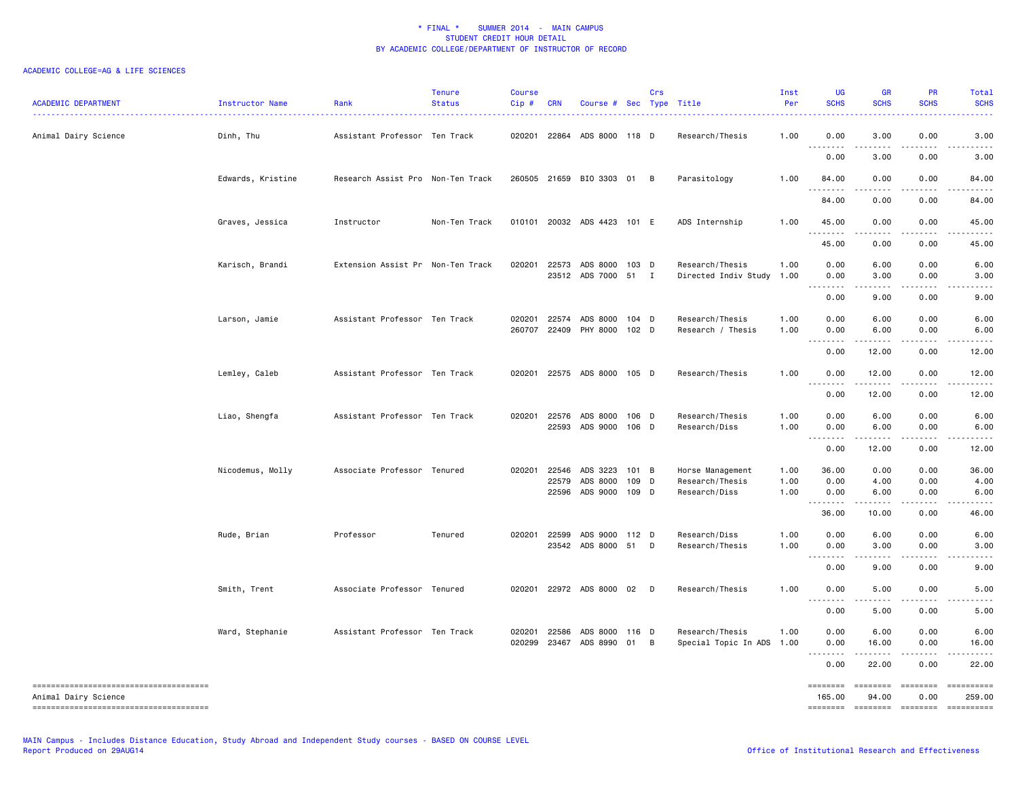| <b>ACADEMIC DEPARTMENT</b>            | Instructor Name   | Rank                              | <b>Tenure</b><br><b>Status</b> | Course<br>Cip#   | <b>CRN</b>     | Course # Sec Type Title       |                | Crs |                                              | Inst<br>Per  | <b>UG</b><br><b>SCHS</b>                      | <b>GR</b><br><b>SCHS</b>                                                         | <b>PR</b><br><b>SCHS</b>    | <b>Total</b><br><b>SCHS</b>                                                                                                        |
|---------------------------------------|-------------------|-----------------------------------|--------------------------------|------------------|----------------|-------------------------------|----------------|-----|----------------------------------------------|--------------|-----------------------------------------------|----------------------------------------------------------------------------------|-----------------------------|------------------------------------------------------------------------------------------------------------------------------------|
| Animal Dairy Science                  | Dinh, Thu         | Assistant Professor Ten Track     |                                |                  |                | 020201 22864 ADS 8000 118 D   |                |     | Research/Thesis                              | 1.00         | 0.00                                          | 3.00<br>$- - - - -$                                                              | 0.00<br>$- - -$             | 3.00<br>$- - - -$                                                                                                                  |
|                                       |                   |                                   |                                |                  |                |                               |                |     |                                              |              | 0.00                                          | 3.00                                                                             | 0.00                        | 3.00                                                                                                                               |
|                                       | Edwards, Kristine | Research Assist Pro Non-Ten Track |                                |                  |                | 260505 21659 BIO 3303 01 B    |                |     | Parasitology                                 | 1.00         | 84.00<br>.                                    | 0.00<br>$- - - -$                                                                | 0.00<br>$- - -$             | 84.00<br>$\frac{1}{2} \left( \frac{1}{2} \right) \left( \frac{1}{2} \right) \left( \frac{1}{2} \right) \left( \frac{1}{2} \right)$ |
|                                       |                   |                                   |                                |                  |                |                               |                |     |                                              |              | 84.00                                         | 0.00                                                                             | 0.00                        | 84.00                                                                                                                              |
|                                       | Graves, Jessica   | Instructor                        | Non-Ten Track                  |                  |                | 010101 20032 ADS 4423 101 E   |                |     | ADS Internship                               | 1.00         | 45.00<br>$\sim$ $\sim$ $\sim$<br>.            | 0.00                                                                             | 0.00                        | 45.00                                                                                                                              |
|                                       |                   |                                   |                                |                  |                |                               |                |     |                                              |              | 45.00                                         | 0.00                                                                             | 0.00                        | 45.00                                                                                                                              |
|                                       | Karisch, Brandi   | Extension Assist Pr Non-Ten Track |                                | 020201           | 22573          | ADS 8000<br>23512 ADS 7000    | $103$ D<br>51  | I   | Research/Thesis<br>Directed Indiv Study      | 1.00<br>1.00 | 0.00<br>0.00                                  | 6.00<br>3.00                                                                     | 0.00<br>0.00                | 6.00<br>3.00                                                                                                                       |
|                                       |                   |                                   |                                |                  |                |                               |                |     |                                              |              | .<br>$\sim$ $\sim$ $\sim$<br>0.00             | .<br>9.00                                                                        | د د د د<br>0.00             | .<br>9.00                                                                                                                          |
|                                       | Larson, Jamie     | Assistant Professor Ten Track     |                                | 020201           | 22574          | ADS 8000 104 D                |                |     | Research/Thesis                              | 1.00         | 0.00                                          | 6.00                                                                             | 0.00                        | 6.00                                                                                                                               |
|                                       |                   |                                   |                                | 260707           | 22409          | PHY 8000                      | 102 D          |     | Research / Thesis                            | 1.00         | 0.00<br>$\sim$ $\sim$ $\sim$                  | 6.00                                                                             | 0.00                        | 6.00<br>.                                                                                                                          |
|                                       |                   |                                   |                                |                  |                |                               |                |     |                                              |              | 0.00                                          | 12.00                                                                            | 0.00                        | 12.00                                                                                                                              |
|                                       | Lemley, Caleb     | Assistant Professor Ten Track     |                                | 020201           |                | 22575 ADS 8000 105 D          |                |     | Research/Thesis                              | 1.00         | 0.00<br>$\sim$ $\sim$ .                       | 12.00                                                                            | 0.00                        | 12.00                                                                                                                              |
|                                       |                   |                                   |                                |                  |                |                               |                |     |                                              |              | 0.00                                          | 12.00                                                                            | 0.00                        | 12.00                                                                                                                              |
|                                       | Liao, Shengfa     | Assistant Professor Ten Track     |                                | 020201           | 22576<br>22593 | ADS 8000<br>ADS 9000          | 106 D<br>106 D |     | Research/Thesis<br>Research/Diss             | 1.00<br>1.00 | 0.00<br>0.00                                  | 6.00<br>6.00                                                                     | 0.00<br>0.00                | 6.00<br>6.00                                                                                                                       |
|                                       |                   |                                   |                                |                  |                |                               |                |     |                                              |              | $\sim$ $\sim$ $\sim$<br>.                     |                                                                                  | $\sim$ $\sim$ $\sim$ $\sim$ |                                                                                                                                    |
|                                       |                   |                                   |                                |                  |                |                               |                |     |                                              |              | 0.00                                          | 12.00                                                                            | 0.00                        | 12.00                                                                                                                              |
|                                       | Nicodemus, Molly  | Associate Professor Tenured       |                                | 020201           | 22546<br>22579 | ADS 3223<br>ADS 8000          | 101 B<br>109   | D   | Horse Management<br>Research/Thesis          | 1.00<br>1.00 | 36.00<br>0.00                                 | 0.00<br>4.00                                                                     | 0.00<br>0.00                | 36.00<br>4.00                                                                                                                      |
|                                       |                   |                                   |                                |                  | 22596          | ADS 9000                      | 109 D          |     | Research/Diss                                | 1.00         | 0.00                                          | 6.00                                                                             | 0.00                        | 6.00                                                                                                                               |
|                                       |                   |                                   |                                |                  |                |                               |                |     |                                              |              | $\sim$ $\sim$ $\sim$<br>36.00                 | 10.00                                                                            | 0.00                        | 46.00                                                                                                                              |
|                                       |                   |                                   |                                |                  |                |                               |                |     |                                              |              |                                               |                                                                                  |                             |                                                                                                                                    |
|                                       | Rude, Brian       | Professor                         | Tenured                        | 020201           | 22599          | ADS 9000<br>23542 ADS 8000 51 | 112 D          | D   | Research/Diss<br>Research/Thesis             | 1.00<br>1.00 | 0.00<br>0.00                                  | 6.00<br>3.00                                                                     | 0.00<br>0.00                | 6.00<br>3.00                                                                                                                       |
|                                       |                   |                                   |                                |                  |                |                               |                |     |                                              |              | .<br>0.00                                     | $- - - - -$<br>9.00                                                              | $\frac{1}{2}$<br>0.00       | .<br>9.00                                                                                                                          |
|                                       | Smith, Trent      | Associate Professor Tenured       |                                | 020201           |                | 22972 ADS 8000 02 D           |                |     | Research/Thesis                              | 1.00         | 0.00                                          | 5.00                                                                             | 0.00                        | 5.00                                                                                                                               |
|                                       |                   |                                   |                                |                  |                |                               |                |     |                                              |              | $\sim$ $\sim$ $\sim$<br>$\sim$ $\sim$<br>0.00 | $- - - -$<br>5.00                                                                | 0.00                        | 5.00                                                                                                                               |
|                                       |                   |                                   |                                |                  |                |                               |                |     |                                              |              |                                               |                                                                                  |                             |                                                                                                                                    |
|                                       | Ward, Stephanie   | Assistant Professor Ten Track     |                                | 020201<br>020299 | 22586<br>23467 | ADS 8000<br>ADS 8990          | 116 D<br>01    | B   | Research/Thesis<br>Special Topic In ADS 1.00 | 1.00         | 0.00<br>0.00                                  | 6.00<br>16.00                                                                    | 0.00<br>0.00                | 6.00<br>16.00                                                                                                                      |
|                                       |                   |                                   |                                |                  |                |                               |                |     |                                              |              | $\sim$ $\sim$ $\sim$ $\sim$<br>$  -$<br>0.00  | .<br>22.00                                                                       | .<br>0.00                   | .<br>22.00                                                                                                                         |
|                                       |                   |                                   |                                |                  |                |                               |                |     |                                              |              |                                               |                                                                                  |                             |                                                                                                                                    |
| Animal Dairy Science                  |                   |                                   |                                |                  |                |                               |                |     |                                              |              | ========<br>165.00                            | $\qquad \qquad \equiv \equiv \equiv \equiv \equiv \equiv \equiv \equiv$<br>94.00 | ========<br>0.00            | ==========<br>259.00                                                                                                               |
| ------------------------------------- |                   |                                   |                                |                  |                |                               |                |     |                                              |              | ========                                      |                                                                                  | <b>CONSIDER</b>             | $\begin{minipage}{0.9\linewidth} \hspace*{-0.2cm} \textbf{m} = \textbf{m} = \textbf{m} = \textbf{m} = \textbf{m} \end{minipage}$   |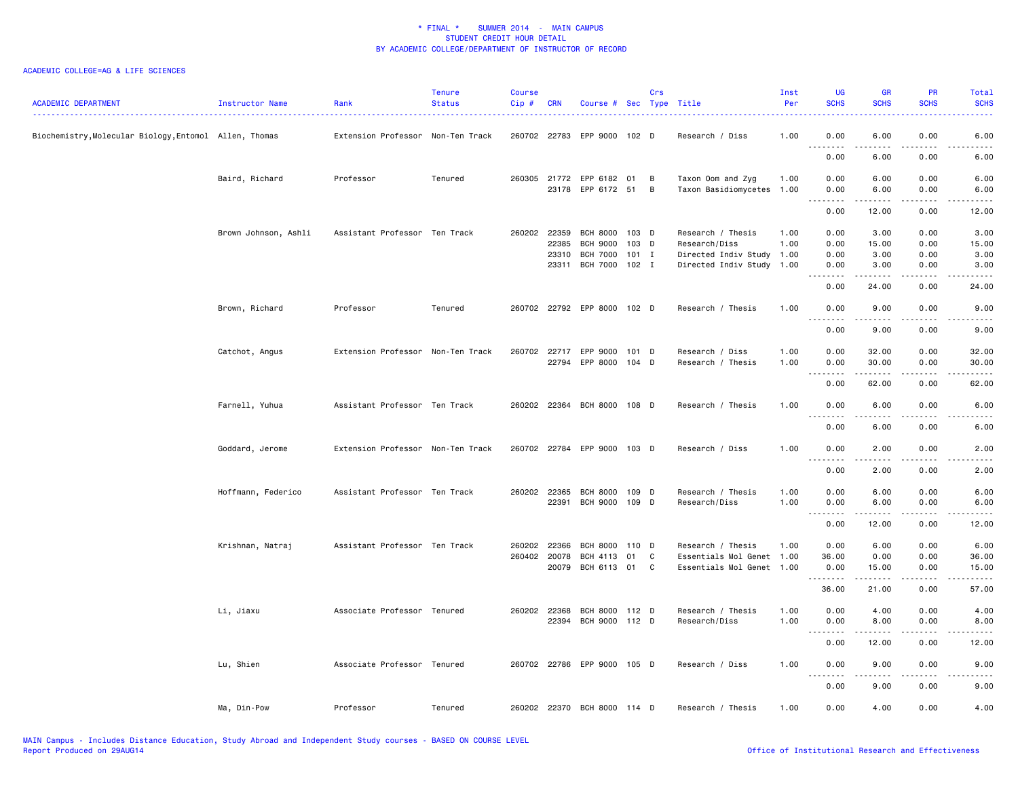| <b>ACADEMIC DEPARTMENT</b>                             | Instructor Name      | Rank                              | <b>Tenure</b><br><b>Status</b> | <b>Course</b><br>$Cip \#$ | <b>CRN</b>   | Course # Sec Type Title                       |       | Crs                              |                                                | Inst<br>Per | UG<br><b>SCHS</b>                                      | <b>GR</b><br><b>SCHS</b> | <b>PR</b><br><b>SCHS</b> | Total<br><b>SCHS</b> |
|--------------------------------------------------------|----------------------|-----------------------------------|--------------------------------|---------------------------|--------------|-----------------------------------------------|-------|----------------------------------|------------------------------------------------|-------------|--------------------------------------------------------|--------------------------|--------------------------|----------------------|
| Biochemistry, Molecular Biology, Entomol Allen, Thomas |                      | Extension Professor Non-Ten Track |                                |                           |              | 260702 22783 EPP 9000 102 D                   |       |                                  | Research / Diss                                | 1.00        | 0.00                                                   | 6.00                     | 0.00                     | 6.00                 |
|                                                        |                      |                                   |                                |                           |              |                                               |       |                                  |                                                |             | $\sim$ $\sim$ $\sim$<br>-----<br>0.00                  | 6.00                     | 0.00                     | 6.00                 |
|                                                        | Baird, Richard       | Professor                         | Tenured                        |                           |              | 260305 21772 EPP 6182 01<br>23178 EPP 6172 51 |       | $\overline{B}$<br>$\overline{B}$ | Taxon Oom and Zyg<br>Taxon Basidiomycetes 1.00 | 1.00        | 0.00<br>0.00                                           | 6.00<br>6.00             | 0.00<br>0.00             | 6.00<br>6.00         |
|                                                        |                      |                                   |                                |                           |              |                                               |       |                                  |                                                |             | .<br>0.00                                              | .<br>12.00               | <u>.</u><br>0.00         | .<br>12.00           |
|                                                        | Brown Johnson, Ashli | Assistant Professor Ten Track     |                                |                           | 260202 22359 | BCH 8000 103 D                                |       |                                  | Research / Thesis                              | 1.00        | 0.00                                                   | 3.00                     | 0.00                     | 3.00                 |
|                                                        |                      |                                   |                                |                           | 22385        | <b>BCH 9000</b>                               | 103 D |                                  | Research/Diss                                  | 1.00        | 0.00                                                   | 15.00                    | 0.00                     | 15.00                |
|                                                        |                      |                                   |                                |                           |              |                                               |       |                                  |                                                |             |                                                        |                          |                          |                      |
|                                                        |                      |                                   |                                |                           | 23310        | BCH 7000                                      | 101 I |                                  | Directed Indiv Study 1.00                      |             | 0.00                                                   | 3.00                     | 0.00                     | 3.00                 |
|                                                        |                      |                                   |                                |                           |              | 23311 BCH 7000 102 I                          |       |                                  | Directed Indiv Study 1.00                      |             | 0.00<br>.                                              | 3.00<br>.                | 0.00<br>.                | 3.00<br>. <b>.</b> . |
|                                                        |                      |                                   |                                |                           |              |                                               |       |                                  |                                                |             | 0.00                                                   | 24.00                    | 0.00                     | 24.00                |
|                                                        | Brown, Richard       | Professor                         | Tenured                        |                           |              | 260702 22792 EPP 8000 102 D                   |       |                                  | Research / Thesis                              | 1.00        | 0.00<br>$\sim$ $\sim$<br>.                             | 9.00<br>$- - - - -$      | 0.00<br>.                | 9.00<br>.            |
|                                                        |                      |                                   |                                |                           |              |                                               |       |                                  |                                                |             | 0.00                                                   | 9.00                     | 0.00                     | 9.00                 |
|                                                        |                      |                                   |                                |                           |              |                                               |       |                                  |                                                |             |                                                        |                          |                          |                      |
|                                                        | Catchot, Angus       | Extension Professor Non-Ten Track |                                |                           | 260702 22717 | EPP 9000 101 D                                |       |                                  | Research / Diss                                | 1.00        | 0.00                                                   | 32.00                    | 0.00                     | 32.00                |
|                                                        |                      |                                   |                                |                           | 22794        | EPP 8000 104 D                                |       |                                  | Research / Thesis                              | 1.00        | 0.00<br>$\sim$ $\sim$ $\sim$ $\sim$<br>$\sim$ $\sim$ . | 30.00                    | 0.00                     | 30.00                |
|                                                        |                      |                                   |                                |                           |              |                                               |       |                                  |                                                |             | 0.00                                                   | 62.00                    | 0.00                     | 62.00                |
|                                                        | Farnell, Yuhua       | Assistant Professor Ten Track     |                                |                           |              | 260202 22364 BCH 8000 108 D                   |       |                                  | Research / Thesis                              | 1.00        | 0.00<br>$\sim$ $\sim$                                  | 6.00                     | 0.00                     | 6.00                 |
|                                                        |                      |                                   |                                |                           |              |                                               |       |                                  |                                                |             | 0.00                                                   | 6.00                     | 0.00                     | 6.00                 |
|                                                        | Goddard, Jerome      | Extension Professor Non-Ten Track |                                |                           |              | 260702 22784 EPP 9000 103 D                   |       |                                  | Research / Diss                                | 1.00        | 0.00                                                   | 2.00                     | 0.00                     | 2.00                 |
|                                                        |                      |                                   |                                |                           |              |                                               |       |                                  |                                                |             | 0.00                                                   | 2.00                     | 0.00                     | 2.00                 |
|                                                        |                      |                                   |                                |                           |              |                                               |       |                                  |                                                |             |                                                        |                          |                          |                      |
|                                                        | Hoffmann, Federico   | Assistant Professor Ten Track     |                                |                           | 260202 22365 | <b>BCH 8000</b>                               | 109 D |                                  | Research / Thesis                              | 1.00        | 0.00                                                   | 6.00                     | 0.00                     | 6.00                 |
|                                                        |                      |                                   |                                |                           |              | 22391 BCH 9000 109 D                          |       |                                  | Research/Diss                                  | 1.00        | 0.00<br>.<br>$\sim$ $\sim$                             | 6.00<br>.                | 0.00<br>.                | 6.00<br>.            |
|                                                        |                      |                                   |                                |                           |              |                                               |       |                                  |                                                |             | 0.00                                                   | 12.00                    | 0.00                     | 12.00                |
|                                                        | Krishnan, Natraj     | Assistant Professor Ten Track     |                                | 260202                    | 22366        | BCH 8000 110 D                                |       |                                  | Research / Thesis                              | 1.00        | 0.00                                                   | 6.00                     | 0.00                     | 6.00                 |
|                                                        |                      |                                   |                                | 260402                    | 20078        | BCH 4113                                      | 01    | C                                | Essentials Mol Genet 1.00                      |             | 36.00                                                  | 0.00                     | 0.00                     | 36.00                |
|                                                        |                      |                                   |                                |                           |              | 20079 BCH 6113 01                             |       | C.                               | Essentials Mol Genet 1.00                      |             | 0.00<br>.                                              | 15.00<br>.               | 0.00                     | 15.00<br>.           |
|                                                        |                      |                                   |                                |                           |              |                                               |       |                                  |                                                |             | 36.00                                                  | 21.00                    | 0.00                     | 57.00                |
|                                                        | Li, Jiaxu            | Associate Professor Tenured       |                                |                           | 260202 22368 | BCH 8000 112 D                                |       |                                  | Research / Thesis                              | 1.00        | 0.00                                                   | 4.00                     | 0.00                     | 4.00                 |
|                                                        |                      |                                   |                                |                           |              | 22394 BCH 9000 112 D                          |       |                                  | Research/Diss                                  | 1.00        | 0.00                                                   | 8.00                     | 0.00                     | 8.00                 |
|                                                        |                      |                                   |                                |                           |              |                                               |       |                                  |                                                |             | .<br>$\sim$ $\sim$                                     | .                        | <u>.</u>                 | .                    |
|                                                        |                      |                                   |                                |                           |              |                                               |       |                                  |                                                |             | 0.00                                                   | 12.00                    | 0.00                     | 12.00                |
|                                                        | Lu, Shien            | Associate Professor Tenured       |                                |                           |              | 260702 22786 EPP 9000 105 D                   |       |                                  | Research / Diss                                | 1.00        | 0.00<br>$\sim$ $\sim$<br>.                             | 9.00<br>.                | 0.00<br>$\frac{1}{2}$    | 9.00<br>.            |
|                                                        |                      |                                   |                                |                           |              |                                               |       |                                  |                                                |             | 0.00                                                   | 9.00                     | 0.00                     | 9.00                 |
|                                                        | Ma, Din-Pow          | Professor                         | Tenured                        |                           |              | 260202 22370 BCH 8000 114 D                   |       |                                  | Research / Thesis                              | 1.00        | 0.00                                                   | 4.00                     | 0.00                     | 4.00                 |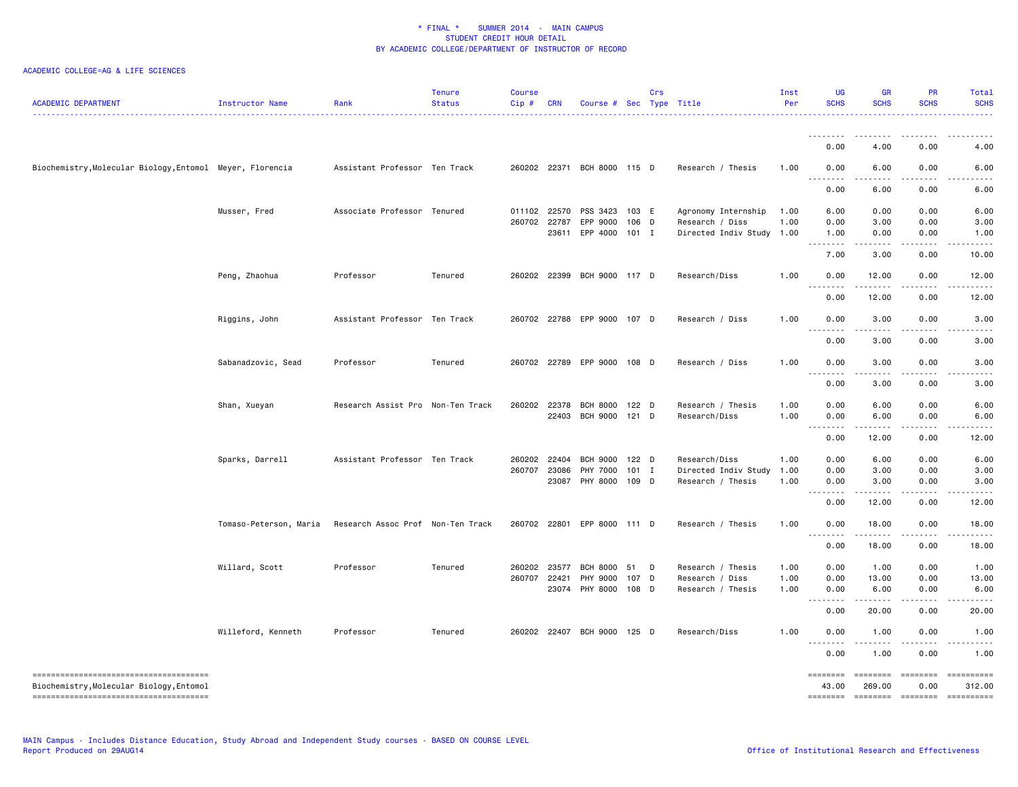| <b>ACADEMIC DEPARTMENT</b>                                                        | Instructor Name        | Rank                              | <b>Tenure</b><br><b>Status</b> | <b>Course</b><br>$Cip$ # | <b>CRN</b>   | Course # Sec Type Title     |         | Crs |                      | Inst<br>Per | <b>UG</b><br><b>SCHS</b> | <b>GR</b><br><b>SCHS</b>                    | PR<br><b>SCHS</b> | <b>Total</b><br><b>SCHS</b>                                                                                                                                                                                                                                                                                                                                                                                                                   |
|-----------------------------------------------------------------------------------|------------------------|-----------------------------------|--------------------------------|--------------------------|--------------|-----------------------------|---------|-----|----------------------|-------------|--------------------------|---------------------------------------------|-------------------|-----------------------------------------------------------------------------------------------------------------------------------------------------------------------------------------------------------------------------------------------------------------------------------------------------------------------------------------------------------------------------------------------------------------------------------------------|
|                                                                                   |                        |                                   |                                |                          |              |                             |         |     |                      |             |                          |                                             |                   |                                                                                                                                                                                                                                                                                                                                                                                                                                               |
|                                                                                   |                        |                                   |                                |                          |              |                             |         |     |                      |             | 0.00                     | 4.00                                        | 0.00              | 4.00                                                                                                                                                                                                                                                                                                                                                                                                                                          |
| Biochemistry, Molecular Biology, Entomol Meyer, Florencia                         |                        | Assistant Professor Ten Track     |                                |                          |              | 260202 22371 BCH 8000 115 D |         |     | Research / Thesis    | 1.00        | 0.00<br>.                | 6.00<br>$\sim$ $\sim$ $\sim$                | 0.00              | 6.00                                                                                                                                                                                                                                                                                                                                                                                                                                          |
|                                                                                   |                        |                                   |                                |                          |              |                             |         |     |                      |             | 0.00                     | 6.00                                        | 0.00              | 6.00                                                                                                                                                                                                                                                                                                                                                                                                                                          |
|                                                                                   | Musser, Fred           | Associate Professor Tenured       |                                | 011102 22570             |              | PSS 3423 103 E              |         |     | Agronomy Internship  | 1.00        | 6.00                     | 0.00                                        | 0.00              | 6.00                                                                                                                                                                                                                                                                                                                                                                                                                                          |
|                                                                                   |                        |                                   |                                | 260702                   | 22787        | EPP 9000                    | 106 D   |     | Research / Diss      | 1.00        | 0.00                     | 3.00                                        | 0.00              | 3.00                                                                                                                                                                                                                                                                                                                                                                                                                                          |
|                                                                                   |                        |                                   |                                |                          | 23611        | EPP 4000 101 I              |         |     | Directed Indiv Study | 1.00        | 1.00                     | 0.00                                        | 0.00              | 1.00                                                                                                                                                                                                                                                                                                                                                                                                                                          |
|                                                                                   |                        |                                   |                                |                          |              |                             |         |     |                      |             | 7.00                     | 3.00                                        | 0.00              | 10.00                                                                                                                                                                                                                                                                                                                                                                                                                                         |
|                                                                                   | Peng, Zhaohua          | Professor                         | Tenured                        |                          |              | 260202 22399 BCH 9000 117 D |         |     | Research/Diss        | 1.00        | 0.00                     | 12.00<br>.                                  | 0.00              | 12.00                                                                                                                                                                                                                                                                                                                                                                                                                                         |
|                                                                                   |                        |                                   |                                |                          |              |                             |         |     |                      |             | 0.00                     | 12.00                                       | 0.00              | 12.00                                                                                                                                                                                                                                                                                                                                                                                                                                         |
|                                                                                   | Riggins, John          | Assistant Professor Ten Track     |                                |                          |              | 260702 22788 EPP 9000 107 D |         |     | Research / Diss      | 1.00        | 0.00<br><u>.</u>         | 3.00<br>.                                   | 0.00<br>.         | 3.00                                                                                                                                                                                                                                                                                                                                                                                                                                          |
|                                                                                   |                        |                                   |                                |                          |              |                             |         |     |                      |             | 0.00                     | 3.00                                        | 0.00              | 3.00                                                                                                                                                                                                                                                                                                                                                                                                                                          |
|                                                                                   | Sabanadzovic, Sead     | Professor                         | Tenured                        |                          |              | 260702 22789 EPP 9000 108 D |         |     | Research / Diss      | 1.00        | 0.00                     | 3.00<br>$\omega$ $\omega$ $\omega$ $\omega$ | 0.00              | 3.00                                                                                                                                                                                                                                                                                                                                                                                                                                          |
|                                                                                   |                        |                                   |                                |                          |              |                             |         |     |                      |             | 0.00                     | 3.00                                        | 0.00              | 3.00                                                                                                                                                                                                                                                                                                                                                                                                                                          |
|                                                                                   | Shan, Xueyan           | Research Assist Pro Non-Ten Track |                                | 260202                   | 22378        | BCH 8000 122 D              |         |     | Research / Thesis    | 1.00        | 0.00                     | 6.00                                        | 0.00              | 6.00                                                                                                                                                                                                                                                                                                                                                                                                                                          |
|                                                                                   |                        |                                   |                                |                          |              | 22403 BCH 9000 121 D        |         |     | Research/Diss        | 1.00        | 0.00<br>.                | 6.00<br>-----                               | 0.00              | 6.00                                                                                                                                                                                                                                                                                                                                                                                                                                          |
|                                                                                   |                        |                                   |                                |                          |              |                             |         |     |                      |             | 0.00                     | 12.00                                       | 0.00              | 12.00                                                                                                                                                                                                                                                                                                                                                                                                                                         |
|                                                                                   | Sparks, Darrell        | Assistant Professor Ten Track     |                                | 260202                   | 22404        | BCH 9000                    | 122 D   |     | Research/Diss        | 1.00        | 0.00                     | 6.00                                        | 0.00              | 6.00                                                                                                                                                                                                                                                                                                                                                                                                                                          |
|                                                                                   |                        |                                   |                                | 260707                   | 23086        | PHY 7000                    | $101$ I |     | Directed Indiv Study | 1.00        | 0.00                     | 3.00                                        | 0.00              | 3.00                                                                                                                                                                                                                                                                                                                                                                                                                                          |
|                                                                                   |                        |                                   |                                |                          |              | 23087 PHY 8000              | 109 D   |     | Research / Thesis    | 1.00        | 0.00<br>.                | 3.00                                        | 0.00              | 3.00                                                                                                                                                                                                                                                                                                                                                                                                                                          |
|                                                                                   |                        |                                   |                                |                          |              |                             |         |     |                      |             | 0.00                     | 12.00                                       | 0.00              | 12.00                                                                                                                                                                                                                                                                                                                                                                                                                                         |
|                                                                                   | Tomaso-Peterson, Maria | Research Assoc Prof Non-Ten Track |                                |                          |              | 260702 22801 EPP 8000 111 D |         |     | Research / Thesis    | 1.00        | 0.00                     | 18.00                                       | 0.00              | 18.00                                                                                                                                                                                                                                                                                                                                                                                                                                         |
|                                                                                   |                        |                                   |                                |                          |              |                             |         |     |                      |             | 0.00                     | 18.00                                       | 0.00              | 18.00                                                                                                                                                                                                                                                                                                                                                                                                                                         |
|                                                                                   | Willard, Scott         | Professor                         | Tenured                        |                          | 260202 23577 | <b>BCH 8000</b>             | 51      | D   | Research / Thesis    | 1.00        | 0.00                     | 1.00                                        | 0.00              | 1.00                                                                                                                                                                                                                                                                                                                                                                                                                                          |
|                                                                                   |                        |                                   |                                | 260707 22421             |              | PHY 9000                    | 107 D   |     | Research / Diss      | 1.00        | 0.00                     | 13.00                                       | 0.00              | 13.00                                                                                                                                                                                                                                                                                                                                                                                                                                         |
|                                                                                   |                        |                                   |                                |                          |              | 23074 PHY 8000              | 108 D   |     | Research / Thesis    | 1.00        | 0.00                     | 6.00                                        | 0.00              | 6.00                                                                                                                                                                                                                                                                                                                                                                                                                                          |
|                                                                                   |                        |                                   |                                |                          |              |                             |         |     |                      |             | 0.00                     | 20.00                                       | 0.00              | 20.00                                                                                                                                                                                                                                                                                                                                                                                                                                         |
|                                                                                   | Willeford, Kenneth     | Professor                         | Tenured                        |                          |              | 260202 22407 BCH 9000 125 D |         |     | Research/Diss        | 1.00        | 0.00                     | 1.00                                        | 0.00              | 1.00                                                                                                                                                                                                                                                                                                                                                                                                                                          |
|                                                                                   |                        |                                   |                                |                          |              |                             |         |     |                      |             | 0.00                     | 1.00                                        | 0.00              | 1.00                                                                                                                                                                                                                                                                                                                                                                                                                                          |
| -------------------------------------<br>Biochemistry, Molecular Biology, Entomol |                        |                                   |                                |                          |              |                             |         |     |                      |             | ========<br>43.00        | $= 222222222$<br>269.00                     | ========<br>0.00  | $\begin{minipage}{0.9\linewidth} \hspace*{-0.2cm} \textbf{1} & \textbf{2} & \textbf{3} & \textbf{5} & \textbf{6} & \textbf{7} & \textbf{8} \\ \textbf{1} & \textbf{2} & \textbf{3} & \textbf{5} & \textbf{6} & \textbf{7} & \textbf{8} & \textbf{8} \\ \textbf{3} & \textbf{4} & \textbf{5} & \textbf{5} & \textbf{6} & \textbf{7} & \textbf{8} & \textbf{8} \\ \textbf{5} & \textbf{5} & \textbf{6} & \textbf{7} & \textbf{8} & \$<br>312.00 |
|                                                                                   |                        |                                   |                                |                          |              |                             |         |     |                      |             | <b>SEESSEES</b>          | ========                                    | ========          | ==========                                                                                                                                                                                                                                                                                                                                                                                                                                    |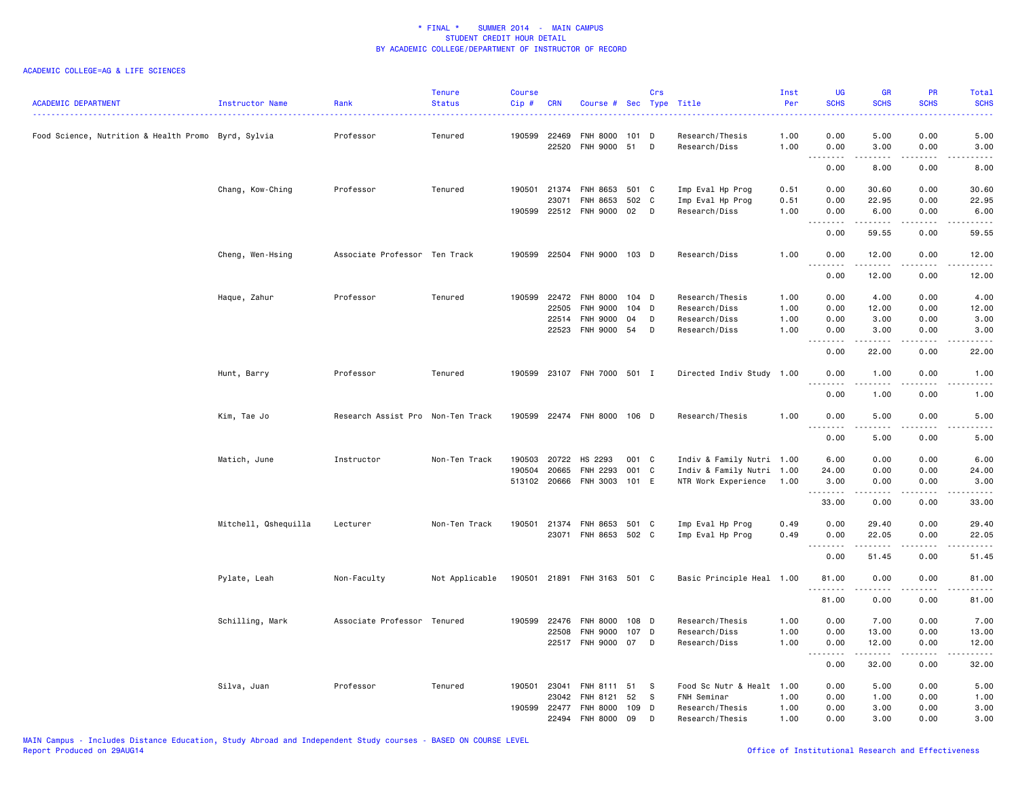| <b>ACADEMIC DEPARTMENT</b>                          | Instructor Name      | Rank                              | <b>Tenure</b><br><b>Status</b> | <b>Course</b><br>Cip# | <b>CRN</b>     | Course # Sec Type Title            |               | Crs |                                  | Inst<br>Per  | UG<br><b>SCHS</b>                                    | <b>GR</b><br><b>SCHS</b> | <b>PR</b><br><b>SCHS</b> | Total<br><b>SCHS</b>                                                                                                                                         |
|-----------------------------------------------------|----------------------|-----------------------------------|--------------------------------|-----------------------|----------------|------------------------------------|---------------|-----|----------------------------------|--------------|------------------------------------------------------|--------------------------|--------------------------|--------------------------------------------------------------------------------------------------------------------------------------------------------------|
| Food Science, Nutrition & Health Promo Byrd, Sylvia |                      | Professor                         | Tenured                        | 190599                | 22469<br>22520 | <b>FNH 8000</b><br><b>FNH 9000</b> | 101 D<br>51 D |     | Research/Thesis<br>Research/Diss | 1.00<br>1.00 | 0.00<br>0.00                                         | 5.00<br>3.00             | 0.00<br>0.00             | 5.00<br>3.00                                                                                                                                                 |
|                                                     |                      |                                   |                                |                       |                |                                    |               |     |                                  |              | $\overline{a}$<br>$\sim$ $\sim$ $\sim$<br>0.00       | .<br>8.00                | 0.00                     | -----<br>8.00                                                                                                                                                |
|                                                     | Chang, Kow-Ching     | Professor                         | Tenured                        |                       | 190501 21374   | FNH 8653                           | 501 C         |     | Imp Eval Hp Prog                 | 0.51         | 0.00                                                 | 30.60                    | 0.00                     | 30.60                                                                                                                                                        |
|                                                     |                      |                                   |                                |                       | 23071          | FNH 8653                           | 502 C         |     | Imp Eval Hp Prog                 | 0.51         | 0.00                                                 | 22.95                    | 0.00                     | 22.95                                                                                                                                                        |
|                                                     |                      |                                   |                                | 190599                | 22512          | <b>FNH 9000</b>                    | 02            | D   | Research/Diss                    | 1.00         | 0.00                                                 | 6.00                     | 0.00                     | 6.00                                                                                                                                                         |
|                                                     |                      |                                   |                                |                       |                |                                    |               |     |                                  |              | $\sim$ $\sim$ $\sim$<br>.<br>0.00                    | .<br>59.55               | الدامات ب<br>0.00        | $\frac{1}{2}$<br>59.55                                                                                                                                       |
|                                                     | Cheng, Wen-Hsing     | Associate Professor Ten Track     |                                | 190599                | 22504          | FNH 9000 103 D                     |               |     | Research/Diss                    | 1.00         | 0.00                                                 | 12.00                    | 0.00                     | 12.00                                                                                                                                                        |
|                                                     |                      |                                   |                                |                       |                |                                    |               |     |                                  |              | $\sim$ $\sim$ $\sim$<br>0.00                         | 12.00                    | 0.00                     | .<br>12.00                                                                                                                                                   |
|                                                     | Haque, Zahur         | Professor                         | Tenured                        | 190599                | 22472          | <b>FNH 8000</b>                    | 104           | D   | Research/Thesis                  | 1.00         | 0.00                                                 | 4.00                     | 0.00                     | 4.00                                                                                                                                                         |
|                                                     |                      |                                   |                                |                       | 22505          | <b>FNH 9000</b>                    | 104           | D   | Research/Diss                    | 1.00         | 0.00                                                 | 12.00                    | 0.00                     | 12.00                                                                                                                                                        |
|                                                     |                      |                                   |                                |                       | 22514          | <b>FNH 9000</b>                    | 04            | D   | Research/Diss                    | 1.00         | 0.00                                                 | 3.00                     | 0.00                     | 3.00                                                                                                                                                         |
|                                                     |                      |                                   |                                |                       | 22523          | <b>FNH 9000</b>                    | 54            | D   | Research/Diss                    | 1.00         | 0.00                                                 | 3.00                     | 0.00                     | 3.00                                                                                                                                                         |
|                                                     |                      |                                   |                                |                       |                |                                    |               |     |                                  |              | $\sim$ $\sim$ $\sim$ $\sim$<br>$\sim$ $\sim$<br>0.00 | د د د د د<br>22.00       | د د د د<br>0.00          | $\omega$ is $\omega$ in .<br>22.00                                                                                                                           |
|                                                     | Hunt, Barry          | Professor                         | Tenured                        | 190599                |                | 23107 FNH 7000 501 I               |               |     | Directed Indiv Study 1.00        |              | 0.00                                                 | 1.00                     | 0.00                     | 1.00                                                                                                                                                         |
|                                                     |                      |                                   |                                |                       |                |                                    |               |     |                                  |              | .<br>0.00                                            | .<br>1.00                | $-$ - - - $-$<br>0.00    | $\omega$ $\omega$ $\omega$ $\omega$ $\omega$<br>1.00                                                                                                         |
|                                                     | Kim, Tae Jo          | Research Assist Pro Non-Ten Track |                                | 190599                |                | 22474 FNH 8000 106 D               |               |     | Research/Thesis                  | 1.00         | 0.00                                                 | 5.00                     | 0.00                     | 5.00                                                                                                                                                         |
|                                                     |                      |                                   |                                |                       |                |                                    |               |     |                                  |              | .<br>0.00                                            | .<br>5.00                | .<br>0.00                | $\frac{1}{2} \left( \frac{1}{2} \right) \left( \frac{1}{2} \right) \left( \frac{1}{2} \right) \left( \frac{1}{2} \right) \left( \frac{1}{2} \right)$<br>5.00 |
|                                                     | Matich, June         | Instructor                        | Non-Ten Track                  | 190503                | 20722          | HS 2293                            | 001 C         |     | Indiv & Family Nutri 1.00        |              | 6.00                                                 | 0.00                     | 0.00                     | 6.00                                                                                                                                                         |
|                                                     |                      |                                   |                                | 190504                | 20665          | FNH 2293                           | 001           | C   | Indiv & Family Nutri 1.00        |              | 24.00                                                | 0.00                     | 0.00                     | 24.00                                                                                                                                                        |
|                                                     |                      |                                   |                                |                       | 513102 20666   | FNH 3003 101 E                     |               |     | NTR Work Experience              | 1.00         | 3.00                                                 | 0.00                     | 0.00                     | 3.00                                                                                                                                                         |
|                                                     |                      |                                   |                                |                       |                |                                    |               |     |                                  |              | .<br>33.00                                           | .<br>0.00                | $\frac{1}{2}$<br>0.00    | $\sim$ $\sim$ $\sim$ $\sim$ $\sim$<br>33.00                                                                                                                  |
|                                                     | Mitchell, Qshequilla | Lecturer                          | Non-Ten Track                  |                       | 190501 21374   | FNH 8653                           | 501 C         |     | Imp Eval Hp Prog                 | 0.49         | 0.00                                                 | 29.40                    | 0.00                     | 29.40                                                                                                                                                        |
|                                                     |                      |                                   |                                |                       |                | 23071 FNH 8653 502 C               |               |     | Imp Eval Hp Prog                 | 0.49         | 0.00                                                 | 22.05                    | 0.00                     | 22.05                                                                                                                                                        |
|                                                     |                      |                                   |                                |                       |                |                                    |               |     |                                  |              | .<br>$\sim$ $\sim$ $\sim$                            | د د د د د                | .                        | $\omega$ is $\omega$ in .                                                                                                                                    |
|                                                     |                      |                                   |                                |                       |                |                                    |               |     |                                  |              | 0.00                                                 | 51.45                    | 0.00                     | 51.45                                                                                                                                                        |
|                                                     | Pylate, Leah         | Non-Faculty                       | Not Applicable                 |                       |                | 190501 21891 FNH 3163 501 C        |               |     | Basic Principle Heal 1.00        |              | 81.00<br>.                                           | 0.00<br>.                | 0.00                     | 81.00<br>$\omega$ is $\omega$ in .                                                                                                                           |
|                                                     |                      |                                   |                                |                       |                |                                    |               |     |                                  |              | 81.00                                                | 0.00                     | 0.00                     | 81.00                                                                                                                                                        |
|                                                     | Schilling, Mark      | Associate Professor Tenured       |                                | 190599                | 22476          | <b>FNH 8000</b>                    | 108 D         |     | Research/Thesis                  | 1.00         | 0.00                                                 | 7.00                     | 0.00                     | 7.00                                                                                                                                                         |
|                                                     |                      |                                   |                                |                       | 22508          | <b>FNH 9000</b>                    | 107 D         |     | Research/Diss                    | 1.00         | 0.00                                                 | 13.00                    | 0.00                     | 13.00                                                                                                                                                        |
|                                                     |                      |                                   |                                |                       | 22517          | FNH 9000 07 D                      |               |     | Research/Diss                    | 1.00         | 0.00<br>.<br>.                                       | 12.00<br>$- - - - -$     | 0.00<br>الدامات ب        | 12.00<br>.                                                                                                                                                   |
|                                                     |                      |                                   |                                |                       |                |                                    |               |     |                                  |              | 0.00                                                 | 32.00                    | 0.00                     | 32.00                                                                                                                                                        |
|                                                     | Silva, Juan          | Professor                         | Tenured                        | 190501 23041          |                | FNH 8111                           | 51            | -S  | Food Sc Nutr & Healt 1.00        |              | 0.00                                                 | 5.00                     | 0.00                     | 5.00                                                                                                                                                         |
|                                                     |                      |                                   |                                |                       | 23042          | FNH 8121                           | 52            | -S  | FNH Seminar                      | 1.00         | 0.00                                                 | 1.00                     | 0.00                     | 1.00                                                                                                                                                         |
|                                                     |                      |                                   |                                | 190599                | 22477          | <b>FNH 8000</b>                    | 109           | D   | Research/Thesis                  | 1.00         | 0.00                                                 | 3.00                     | 0.00                     | 3.00                                                                                                                                                         |
|                                                     |                      |                                   |                                |                       | 22494          | <b>FNH 8000</b>                    | 09            | D   | Research/Thesis                  | 1.00         | 0.00                                                 | 3.00                     | 0.00                     | 3.00                                                                                                                                                         |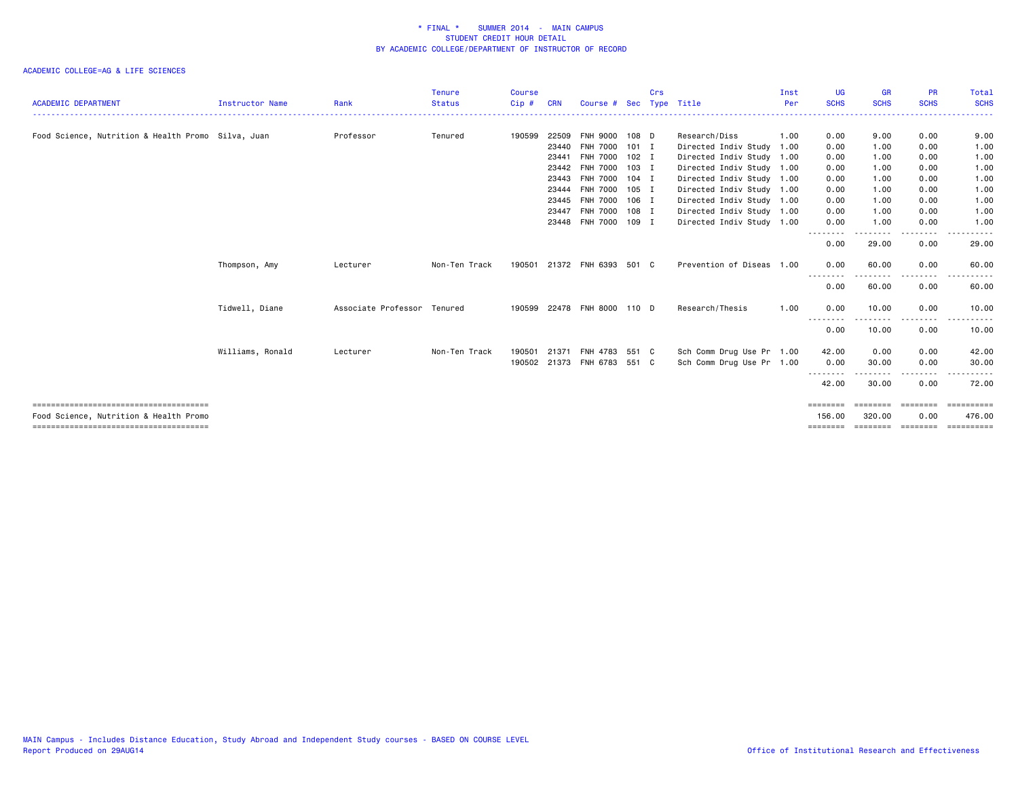| <b>ACADEMIC DEPARTMENT</b>                         | <b>Instructor Name</b> | Rank                        | <b>Tenure</b><br><b>Status</b> | <b>Course</b><br>Cip# | <b>CRN</b> | Course #                    | <b>Sec</b> | Crs | Type Title                | Inst<br>Per | <b>UG</b><br><b>SCHS</b> | <b>GR</b><br><b>SCHS</b> | <b>PR</b><br><b>SCHS</b> | <b>Total</b><br><b>SCHS</b>     |
|----------------------------------------------------|------------------------|-----------------------------|--------------------------------|-----------------------|------------|-----------------------------|------------|-----|---------------------------|-------------|--------------------------|--------------------------|--------------------------|---------------------------------|
|                                                    |                        |                             |                                |                       |            |                             |            |     |                           |             |                          |                          |                          |                                 |
| Food Science, Nutrition & Health Promo Silva, Juan |                        | Professor                   | Tenured                        | 190599                | 22509      | <b>FNH 9000</b>             | 108 D      |     | Research/Diss             | 1.00        | 0.00                     | 9.00                     | 0.00                     | 9.00                            |
|                                                    |                        |                             |                                |                       | 23440      | <b>FNH 7000</b>             | $101$ I    |     | Directed Indiv Study 1.00 |             | 0.00                     | 1.00                     | 0.00                     | 1.00                            |
|                                                    |                        |                             |                                |                       | 23441      | FNH 7000                    | $102$ I    |     | Directed Indiv Study 1.00 |             | 0.00                     | 1.00                     | 0.00                     | 1.00                            |
|                                                    |                        |                             |                                |                       | 23442      | <b>FNH 7000</b>             | 103 I      |     | Directed Indiv Study 1.00 |             | 0.00                     | 1.00                     | 0.00                     | 1.00                            |
|                                                    |                        |                             |                                |                       | 23443      | FNH 7000 104 I              |            |     | Directed Indiv Study 1.00 |             | 0.00                     | 1.00                     | 0.00                     | 1.00                            |
|                                                    |                        |                             |                                |                       | 23444      | <b>FNH 7000</b>             | $105$ I    |     | Directed Indiv Study 1.00 |             | 0.00                     | 1.00                     | 0.00                     | 1.00                            |
|                                                    |                        |                             |                                |                       | 23445      | <b>FNH 7000</b>             | $106$ I    |     | Directed Indiv Study 1.00 |             | 0.00                     | 1.00                     | 0.00                     | 1.00                            |
|                                                    |                        |                             |                                |                       | 23447      | <b>FNH 7000</b>             | $108$ I    |     | Directed Indiv Study 1.00 |             | 0.00                     | 1.00                     | 0.00                     | 1.00                            |
|                                                    |                        |                             |                                |                       |            | 23448 FNH 7000 109 I        |            |     | Directed Indiv Study 1.00 |             | 0.00                     | 1.00                     | 0.00                     | 1.00                            |
|                                                    |                        |                             |                                |                       |            |                             |            |     |                           |             | --------<br>0.00         | . <b>.</b><br>29.00      | -----<br>0.00            | 29.00                           |
|                                                    | Thompson, Amy          | Lecturer                    | Non-Ten Track                  |                       |            | 190501 21372 FNH 6393       | 501 C      |     | Prevention of Diseas 1.00 |             | 0.00                     | 60.00                    | 0.00                     | 60.00                           |
|                                                    |                        |                             |                                |                       |            |                             |            |     |                           |             | --------<br>0.00         | 60.00                    | . <b>.</b><br>0.00       | 60.00                           |
|                                                    | Tidwell, Diane         | Associate Professor Tenured |                                | 190599                |            | 22478 FNH 8000 110 D        |            |     | Research/Thesis           | 1.00        | 0.00<br>--------         | 10.00                    | 0.00                     | 10.00                           |
|                                                    |                        |                             |                                |                       |            |                             |            |     |                           |             | 0.00                     | 10.00                    | 0.00                     | 10.00                           |
|                                                    | Williams, Ronald       | Lecturer                    | Non-Ten Track                  | 190501                | 21371      | FNH 4783                    | 551 C      |     | Sch Comm Drug Use Pr 1.00 |             | 42.00                    | 0.00                     | 0.00                     | 42.00                           |
|                                                    |                        |                             |                                |                       |            | 190502 21373 FNH 6783 551 C |            |     | Sch Comm Drug Use Pr 1.00 |             | 0.00                     | 30.00                    | 0.00                     | 30.00                           |
|                                                    |                        |                             |                                |                       |            |                             |            |     |                           |             | --------<br>42.00        | .<br>30.00               | - - - - - - - -<br>0.00  | .<br>72.00                      |
| Food Science, Nutrition & Health Promo             |                        |                             |                                |                       |            |                             |            |     |                           |             | ========<br>156.00       | ========<br>320.00       | ========<br>0.00         | ==========<br>476.00            |
|                                                    |                        |                             |                                |                       |            |                             |            |     |                           |             | ========                 |                          |                          | =============================== |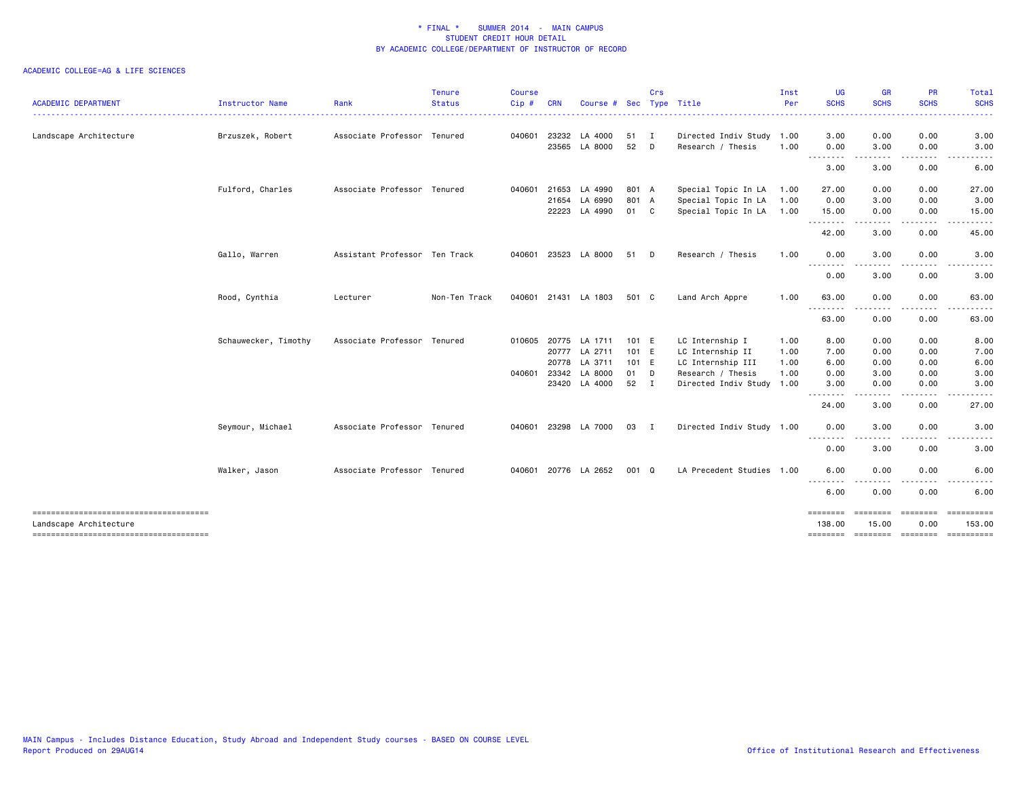| <b>ACADEMIC DEPARTMENT</b>                                      | Instructor Name      | Rank                          | <b>Tenure</b><br><b>Status</b> | <b>Course</b><br>Cip# | <b>CRN</b>     | Course #             |          | Crs               | Sec Type Title                                 | Inst<br>Per | UG<br><b>SCHS</b>                                                                                                                                                                                                                                                                                                                                                                                                                                           | GR<br><b>SCHS</b>                                                                                                                 | <b>PR</b><br><b>SCHS</b>   | <b>Total</b><br><b>SCHS</b>   |
|-----------------------------------------------------------------|----------------------|-------------------------------|--------------------------------|-----------------------|----------------|----------------------|----------|-------------------|------------------------------------------------|-------------|-------------------------------------------------------------------------------------------------------------------------------------------------------------------------------------------------------------------------------------------------------------------------------------------------------------------------------------------------------------------------------------------------------------------------------------------------------------|-----------------------------------------------------------------------------------------------------------------------------------|----------------------------|-------------------------------|
|                                                                 |                      |                               |                                |                       |                |                      |          |                   |                                                |             |                                                                                                                                                                                                                                                                                                                                                                                                                                                             |                                                                                                                                   |                            |                               |
| Landscape Architecture                                          | Brzuszek, Robert     | Associate Professor Tenured   |                                | 040601                | 23232<br>23565 | LA 4000<br>LA 8000   | 51<br>52 | $\mathbf{I}$<br>D | Directed Indiv Study 1.00<br>Research / Thesis | 1.00        | 3.00<br>0.00                                                                                                                                                                                                                                                                                                                                                                                                                                                | 0.00<br>3.00                                                                                                                      | 0.00<br>0.00               | 3.00<br>3.00                  |
|                                                                 |                      |                               |                                |                       |                |                      |          |                   |                                                |             | .<br>3.00                                                                                                                                                                                                                                                                                                                                                                                                                                                   | $\frac{1}{2} \left( \frac{1}{2} \right) \left( \frac{1}{2} \right) \left( \frac{1}{2} \right) \left( \frac{1}{2} \right)$<br>3.00 | .<br>0.00                  | 6.00                          |
|                                                                 |                      |                               |                                |                       |                |                      |          |                   |                                                |             |                                                                                                                                                                                                                                                                                                                                                                                                                                                             |                                                                                                                                   |                            |                               |
|                                                                 | Fulford, Charles     | Associate Professor Tenured   |                                | 040601 21653          |                | LA 4990              | 801 A    |                   | Special Topic In LA                            | 1.00        | 27.00                                                                                                                                                                                                                                                                                                                                                                                                                                                       | 0.00                                                                                                                              | 0.00                       | 27.00                         |
|                                                                 |                      |                               |                                |                       | 21654          | LA 6990              | 801 A    |                   | Special Topic In LA                            | 1.00        | 0.00                                                                                                                                                                                                                                                                                                                                                                                                                                                        | 3.00                                                                                                                              | 0.00                       | 3.00                          |
|                                                                 |                      |                               |                                |                       | 22223          | LA 4990              | 01 C     |                   | Special Topic In LA                            | 1.00        | 15.00<br><u>.</u>                                                                                                                                                                                                                                                                                                                                                                                                                                           | 0.00<br>$\frac{1}{2} \left( \frac{1}{2} \right) \left( \frac{1}{2} \right) \left( \frac{1}{2} \right) \left( \frac{1}{2} \right)$ | 0.00<br>.                  | 15.00<br>.                    |
|                                                                 |                      |                               |                                |                       |                |                      |          |                   |                                                |             | 42.00                                                                                                                                                                                                                                                                                                                                                                                                                                                       | 3.00                                                                                                                              | 0.00                       | 45.00                         |
|                                                                 | Gallo, Warren        | Assistant Professor Ten Track |                                |                       |                | 040601 23523 LA 8000 | 51       | D                 | Research / Thesis                              | 1.00        | 0.00                                                                                                                                                                                                                                                                                                                                                                                                                                                        | 3.00                                                                                                                              | 0.00                       | 3.00                          |
|                                                                 |                      |                               |                                |                       |                |                      |          |                   |                                                |             | .<br>0.00                                                                                                                                                                                                                                                                                                                                                                                                                                                   | 3.00                                                                                                                              | 0.00                       | 3.00                          |
|                                                                 | Rood, Cynthia        | Lecturer                      | Non-Ten Track                  | 040601                |                | 21431 LA 1803        | 501 C    |                   | Land Arch Appre                                | 1.00        | 63.00                                                                                                                                                                                                                                                                                                                                                                                                                                                       | 0.00                                                                                                                              | 0.00                       | 63.00                         |
|                                                                 |                      |                               |                                |                       |                |                      |          |                   |                                                |             | .<br>63.00                                                                                                                                                                                                                                                                                                                                                                                                                                                  | - - - -<br>0.00                                                                                                                   | .<br>0.00                  | .<br>63.00                    |
|                                                                 | Schauwecker, Timothy | Associate Professor Tenured   |                                | 010605 20775          |                | LA 1711              | 101 E    |                   | LC Internship I                                | 1.00        | 8.00                                                                                                                                                                                                                                                                                                                                                                                                                                                        | 0.00                                                                                                                              | 0.00                       | 8.00                          |
|                                                                 |                      |                               |                                |                       | 20777          | LA 2711              | 101 E    |                   | LC Internship II                               | 1.00        | 7.00                                                                                                                                                                                                                                                                                                                                                                                                                                                        | 0.00                                                                                                                              | 0.00                       | 7.00                          |
|                                                                 |                      |                               |                                |                       | 20778          | LA 3711              | 101 E    |                   | LC Internship III                              | 1.00        | 6.00                                                                                                                                                                                                                                                                                                                                                                                                                                                        | 0.00                                                                                                                              | 0.00                       | 6.00                          |
|                                                                 |                      |                               |                                | 040601                | 23342          | LA 8000              | 01       | $\mathsf{D}$      | Research / Thesis                              | 1.00        | 0.00                                                                                                                                                                                                                                                                                                                                                                                                                                                        | 3.00                                                                                                                              | 0.00                       | 3.00                          |
|                                                                 |                      |                               |                                |                       |                | 23420 LA 4000        | 52       | $\mathbf{I}$      | Directed Indiv Study 1.00                      |             | 3.00<br>-------- <b>-</b>                                                                                                                                                                                                                                                                                                                                                                                                                                   | 0.00<br>.                                                                                                                         | 0.00<br>-----              | 3.00<br>.                     |
|                                                                 |                      |                               |                                |                       |                |                      |          |                   |                                                |             | 24.00                                                                                                                                                                                                                                                                                                                                                                                                                                                       | 3.00                                                                                                                              | 0.00                       | 27.00                         |
|                                                                 | Seymour, Michael     | Associate Professor Tenured   |                                | 040601                |                | 23298 LA 7000        | 03       | $\blacksquare$    | Directed Indiv Study 1.00                      |             | 0.00                                                                                                                                                                                                                                                                                                                                                                                                                                                        | 3.00                                                                                                                              | 0.00                       | 3.00                          |
|                                                                 |                      |                               |                                |                       |                |                      |          |                   |                                                |             | .<br>$\frac{1}{2} \left( \frac{1}{2} \right) + \frac{1}{2} \left( \frac{1}{2} \right) + \frac{1}{2} \left( \frac{1}{2} \right) + \frac{1}{2} \left( \frac{1}{2} \right) + \frac{1}{2} \left( \frac{1}{2} \right) + \frac{1}{2} \left( \frac{1}{2} \right) + \frac{1}{2} \left( \frac{1}{2} \right) + \frac{1}{2} \left( \frac{1}{2} \right) + \frac{1}{2} \left( \frac{1}{2} \right) + \frac{1}{2} \left( \frac{1}{2} \right) + \frac{1}{2} \left($<br>0.00 | 3.00                                                                                                                              | 0.00                       | 3.00                          |
|                                                                 | Walker, Jason        | Associate Professor Tenured   |                                |                       |                | 040601 20776 LA 2652 | 001 Q    |                   | LA Precedent Studies 1.00                      |             | 6.00                                                                                                                                                                                                                                                                                                                                                                                                                                                        | 0.00                                                                                                                              | 0.00                       | 6.00                          |
|                                                                 |                      |                               |                                |                       |                |                      |          |                   |                                                |             | $\frac{1}{2} \left( \frac{1}{2} \right) \left( \frac{1}{2} \right) \left( \frac{1}{2} \right)$<br>6.00                                                                                                                                                                                                                                                                                                                                                      | 0.00                                                                                                                              | 0.00                       | 6.00                          |
| -------------------------------------                           |                      |                               |                                |                       |                |                      |          |                   |                                                |             | ========                                                                                                                                                                                                                                                                                                                                                                                                                                                    |                                                                                                                                   |                            | --------- -------- ---------- |
| Landscape Architecture<br>------------------------------------- |                      |                               |                                |                       |                |                      |          |                   |                                                |             | 138.00<br>========                                                                                                                                                                                                                                                                                                                                                                                                                                          | 15.00                                                                                                                             | 0.00<br>--------- -------- | 153.00                        |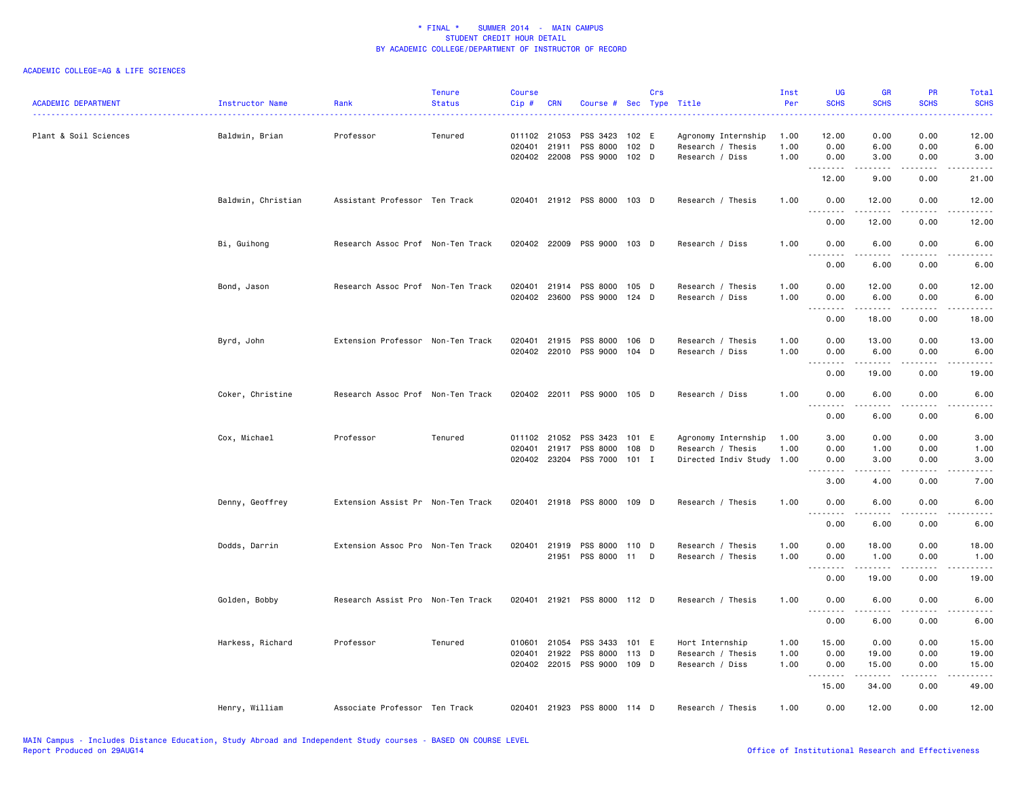| <b>ACADEMIC DEPARTMENT</b> | Instructor Name<br>. | Rank                              | <b>Tenure</b><br><b>Status</b> | Course<br>Cip#   | <b>CRN</b>                            | Course # Sec Type Title                             |                         | Crs |                                                                       | Inst<br>Per          | UG<br><b>SCHS</b>                                                                                                                                                                            | <b>GR</b><br><b>SCHS</b>                                                                                                                                     | <b>PR</b><br><b>SCHS</b>                                                                                                          | Total<br><b>SCHS</b><br>$\frac{1}{2}$ . $\frac{1}{2}$ . $\frac{1}{2}$ . |
|----------------------------|----------------------|-----------------------------------|--------------------------------|------------------|---------------------------------------|-----------------------------------------------------|-------------------------|-----|-----------------------------------------------------------------------|----------------------|----------------------------------------------------------------------------------------------------------------------------------------------------------------------------------------------|--------------------------------------------------------------------------------------------------------------------------------------------------------------|-----------------------------------------------------------------------------------------------------------------------------------|-------------------------------------------------------------------------|
| Plant & Soil Sciences      | Baldwin, Brian       | Professor                         | Tenured                        | 020401           | 011102 21053<br>21911<br>020402 22008 | PSS 3423<br>PSS 8000<br>PSS 9000                    | 102 E<br>102 D<br>102 D |     | Agronomy Internship<br>Research / Thesis<br>Research / Diss           | 1.00<br>1.00<br>1.00 | 12.00<br>0.00<br>0.00                                                                                                                                                                        | 0.00<br>6.00<br>3.00                                                                                                                                         | 0.00<br>0.00<br>0.00                                                                                                              | 12.00<br>6.00<br>3.00                                                   |
|                            |                      |                                   |                                |                  |                                       |                                                     |                         |     |                                                                       |                      | .<br>12.00                                                                                                                                                                                   | $- - - - -$<br>9.00                                                                                                                                          | .<br>0.00                                                                                                                         | .<br>21.00                                                              |
|                            | Baldwin, Christian   | Assistant Professor Ten Track     |                                |                  |                                       | 020401 21912 PSS 8000 103 D                         |                         |     | Research / Thesis                                                     | 1.00                 | 0.00<br>$\sim$ $\sim$ $\sim$<br>$\frac{1}{2} \left( \frac{1}{2} \right) \left( \frac{1}{2} \right) \left( \frac{1}{2} \right) \left( \frac{1}{2} \right) \left( \frac{1}{2} \right)$         | 12.00<br>.                                                                                                                                                   | 0.00<br>$\sim$ $\sim$ $\sim$                                                                                                      | 12.00<br>.                                                              |
|                            |                      |                                   |                                |                  |                                       |                                                     |                         |     |                                                                       |                      | 0.00                                                                                                                                                                                         | 12.00                                                                                                                                                        | 0.00                                                                                                                              | 12.00                                                                   |
|                            | Bi, Guihong          | Research Assoc Prof Non-Ten Track |                                |                  | 020402 22009                          | PSS 9000 103 D                                      |                         |     | Research / Diss                                                       | 1.00                 | 0.00<br>.<br>$\sim$ $\sim$ $\sim$                                                                                                                                                            | 6.00<br>$\frac{1}{2}$                                                                                                                                        | 0.00<br>$\frac{1}{2}$                                                                                                             | 6.00<br>.                                                               |
|                            |                      |                                   |                                |                  |                                       |                                                     |                         |     |                                                                       |                      | 0.00                                                                                                                                                                                         | 6.00                                                                                                                                                         | 0.00                                                                                                                              | 6.00                                                                    |
|                            | Bond, Jason          | Research Assoc Prof Non-Ten Track |                                | 020401<br>020402 | 21914<br>23600                        | PSS 8000<br>PSS 9000                                | 105 D<br>124 D          |     | Research / Thesis<br>Research / Diss                                  | 1.00<br>1.00         | 0.00<br>0.00<br>$\sim$ $\sim$ $\sim$<br>$\frac{1}{2} \left( \frac{1}{2} \right) \left( \frac{1}{2} \right) \left( \frac{1}{2} \right) \left( \frac{1}{2} \right) \left( \frac{1}{2} \right)$ | 12.00<br>6.00<br>.                                                                                                                                           | 0.00<br>0.00<br>بالمحام                                                                                                           | 12.00<br>6.00<br>.                                                      |
|                            |                      |                                   |                                |                  |                                       |                                                     |                         |     |                                                                       |                      | 0.00                                                                                                                                                                                         | 18.00                                                                                                                                                        | 0.00                                                                                                                              | 18.00                                                                   |
|                            | Byrd, John           | Extension Professor Non-Ten Track |                                | 020401           | 21915<br>020402 22010                 | PSS 8000<br>PSS 9000 104 D                          | 106 D                   |     | Research / Thesis<br>Research / Diss                                  | 1.00<br>1.00         | 0.00<br>0.00                                                                                                                                                                                 | 13.00<br>6.00                                                                                                                                                | 0.00<br>0.00<br>.                                                                                                                 | 13.00<br>6.00                                                           |
|                            |                      |                                   |                                |                  |                                       |                                                     |                         |     |                                                                       |                      | $\sim$ $\sim$ .<br>.<br>0.00                                                                                                                                                                 | .<br>19.00                                                                                                                                                   | 0.00                                                                                                                              | والمناصبات<br>19.00                                                     |
|                            | Coker, Christine     | Research Assoc Prof Non-Ten Track |                                |                  | 020402 22011                          | PSS 9000 105 D                                      |                         |     | Research / Diss                                                       | 1.00                 | 0.00                                                                                                                                                                                         | 6.00<br>.                                                                                                                                                    | 0.00<br>.                                                                                                                         | 6.00<br>د د د د د                                                       |
|                            |                      |                                   |                                |                  |                                       |                                                     |                         |     |                                                                       |                      | <u>.</u><br>0.00                                                                                                                                                                             | 6.00                                                                                                                                                         | 0.00                                                                                                                              | 6.00                                                                    |
|                            | Cox, Michael         | Professor                         | Tenured                        | 020401           | 011102 21052<br>21917                 | PSS 3423<br>PSS 8000<br>020402 23204 PSS 7000 101 I | 101 E<br>108 D          |     | Agronomy Internship<br>Research / Thesis<br>Directed Indiv Study 1.00 | 1.00<br>1.00         | 3.00<br>0.00<br>0.00                                                                                                                                                                         | 0.00<br>1.00<br>3.00                                                                                                                                         | 0.00<br>0.00<br>0.00                                                                                                              | 3.00<br>1.00<br>3.00                                                    |
|                            |                      |                                   |                                |                  |                                       |                                                     |                         |     |                                                                       |                      | .<br>3.00                                                                                                                                                                                    | $\frac{1}{2} \left( \frac{1}{2} \right) \left( \frac{1}{2} \right) \left( \frac{1}{2} \right) \left( \frac{1}{2} \right) \left( \frac{1}{2} \right)$<br>4.00 | $\frac{1}{2} \left( \frac{1}{2} \right) \left( \frac{1}{2} \right) \left( \frac{1}{2} \right) \left( \frac{1}{2} \right)$<br>0.00 | -----<br>7.00                                                           |
|                            | Denny, Geoffrey      | Extension Assist Pr Non-Ten Track |                                | 020401           |                                       | 21918 PSS 8000 109 D                                |                         |     | Research / Thesis                                                     | 1.00                 | 0.00<br>$\sim$ $\sim$ $\sim$ $\sim$<br>$\sim$ $\sim$ .                                                                                                                                       | 6.00                                                                                                                                                         | 0.00<br>.                                                                                                                         | 6.00                                                                    |
|                            |                      |                                   |                                |                  |                                       |                                                     |                         |     |                                                                       |                      | 0.00                                                                                                                                                                                         | 6.00                                                                                                                                                         | 0.00                                                                                                                              | 6.00                                                                    |
|                            | Dodds, Darrin        | Extension Assoc Pro Non-Ten Track |                                |                  | 020401 21919<br>21951                 | PSS 8000<br>PSS 8000 11                             | 110 D                   | D   | Research / Thesis<br>Research / Thesis                                | 1.00<br>1.00         | 0.00<br>0.00                                                                                                                                                                                 | 18.00<br>1.00                                                                                                                                                | 0.00<br>0.00                                                                                                                      | 18.00<br>1.00                                                           |
|                            |                      |                                   |                                |                  |                                       |                                                     |                         |     |                                                                       |                      | لأعاجب<br>.<br>0.00                                                                                                                                                                          | .<br>19.00                                                                                                                                                   | $\sim$ $\sim$ $\sim$<br>0.00                                                                                                      | $\sim$ $\sim$ $\sim$ $\sim$ $\sim$<br>19.00                             |
|                            | Golden, Bobby        | Research Assist Pro Non-Ten Track |                                | 020401           | 21921                                 | PSS 8000 112 D                                      |                         |     | Research / Thesis                                                     | 1.00                 | 0.00<br>$\sim$ $\sim$ $\sim$ $\sim$<br>$\sim$ $\sim$ $\sim$                                                                                                                                  | 6.00<br>.                                                                                                                                                    | 0.00<br>$- - - -$                                                                                                                 | 6.00<br>$- - - -$                                                       |
|                            |                      |                                   |                                |                  |                                       |                                                     |                         |     |                                                                       |                      | 0.00                                                                                                                                                                                         | 6.00                                                                                                                                                         | 0.00                                                                                                                              | 6.00                                                                    |
|                            | Harkess, Richard     | Professor                         | Tenured                        | 010601<br>020401 | 21054<br>21922                        | PSS 3433<br>PSS 8000                                | 101 E<br>$113$ D        |     | Hort Internship<br>Research / Thesis                                  | 1.00<br>1.00         | 15.00<br>0.00                                                                                                                                                                                | 0.00<br>19.00                                                                                                                                                | 0.00<br>0.00                                                                                                                      | 15.00<br>19.00                                                          |
|                            |                      |                                   |                                |                  | 020402 22015                          | PSS 9000 109 D                                      |                         |     | Research / Diss                                                       | 1.00                 | 0.00<br>.                                                                                                                                                                                    | 15.00                                                                                                                                                        | 0.00<br>$\sim$ $\sim$ $\sim$                                                                                                      | 15.00<br>.                                                              |
|                            |                      |                                   |                                |                  |                                       |                                                     |                         |     |                                                                       |                      | 15.00                                                                                                                                                                                        | 34.00                                                                                                                                                        | 0.00                                                                                                                              | 49.00                                                                   |
|                            | Henry, William       | Associate Professor Ten Track     |                                |                  |                                       | 020401 21923 PSS 8000 114 D                         |                         |     | Research / Thesis                                                     | 1.00                 | 0.00                                                                                                                                                                                         | 12.00                                                                                                                                                        | 0.00                                                                                                                              | 12.00                                                                   |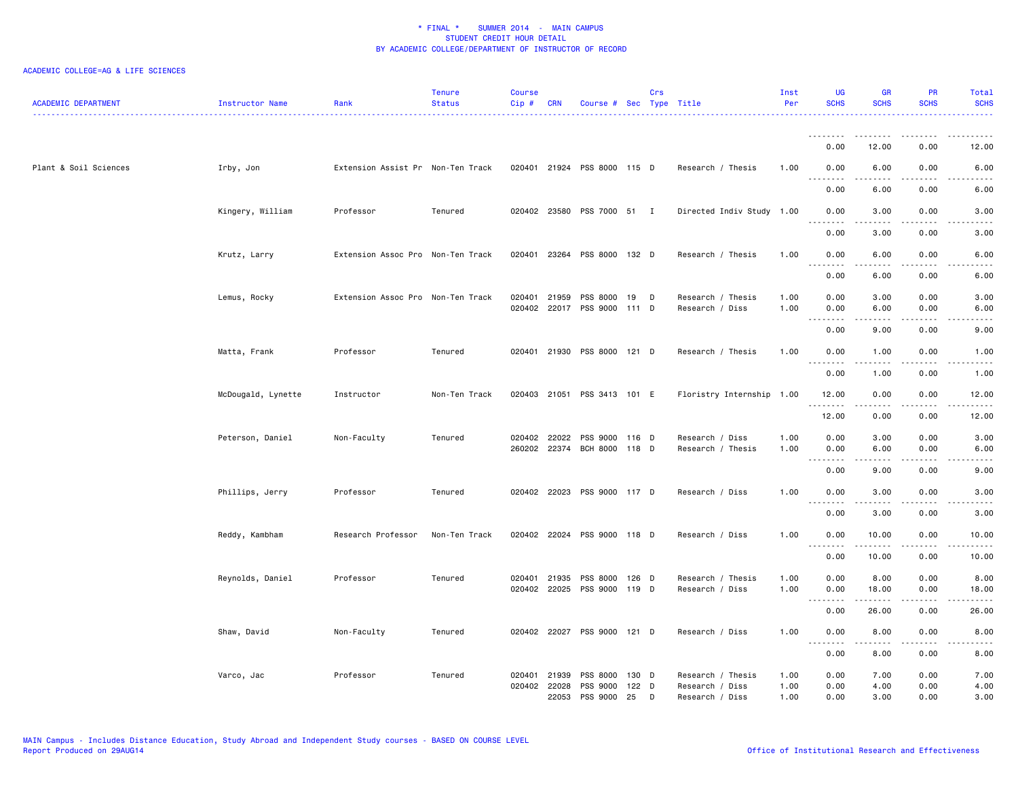| <b>ACADEMIC DEPARTMENT</b> | Instructor Name    | Rank                              | <b>Tenure</b><br><b>Status</b> | <b>Course</b><br>$Cip \#$ | <b>CRN</b>   | Course # Sec Type Title                       |       | Crs |                                      | Inst<br>Per  | UG<br><b>SCHS</b>                             | <b>GR</b><br><b>SCHS</b>            | PR<br><b>SCHS</b> | Total<br><b>SCHS</b>                                                                                                              |
|----------------------------|--------------------|-----------------------------------|--------------------------------|---------------------------|--------------|-----------------------------------------------|-------|-----|--------------------------------------|--------------|-----------------------------------------------|-------------------------------------|-------------------|-----------------------------------------------------------------------------------------------------------------------------------|
|                            |                    |                                   |                                |                           |              |                                               |       |     |                                      |              | .                                             |                                     |                   |                                                                                                                                   |
|                            |                    |                                   |                                |                           |              |                                               |       |     |                                      |              | 0.00                                          | 12.00                               | 0.00              | 12.00                                                                                                                             |
| Plant & Soil Sciences      | Irby, Jon          | Extension Assist Pr Non-Ten Track |                                |                           |              | 020401 21924 PSS 8000 115 D                   |       |     | Research / Thesis                    | 1.00         | 0.00<br>$\sim$ $\sim$<br>.                    | 6.00<br>.                           | 0.00              | 6.00                                                                                                                              |
|                            |                    |                                   |                                |                           |              |                                               |       |     |                                      |              | 0.00                                          | 6.00                                | 0.00              | 6.00                                                                                                                              |
|                            | Kingery, William   | Professor                         | Tenured                        |                           |              | 020402 23580 PSS 7000 51 I                    |       |     | Directed Indiv Study 1.00            |              | 0.00<br>$\sim$ $\sim$<br>$\sim$ $\sim$ $\sim$ | 3.00<br>.                           | 0.00<br>.         | 3.00<br>$\frac{1}{2} \left( \frac{1}{2} \right) \left( \frac{1}{2} \right) \left( \frac{1}{2} \right) \left( \frac{1}{2} \right)$ |
|                            |                    |                                   |                                |                           |              |                                               |       |     |                                      |              | 0.00                                          | 3.00                                | 0.00              | 3.00                                                                                                                              |
|                            | Krutz, Larry       | Extension Assoc Pro Non-Ten Track |                                | 020401                    |              | 23264 PSS 8000 132 D                          |       |     | Research / Thesis                    | 1.00         | 0.00<br>. <b>.</b>                            | 6.00<br>.                           | 0.00<br>.         | 6.00<br>----                                                                                                                      |
|                            |                    |                                   |                                |                           |              |                                               |       |     |                                      |              | 0.00                                          | 6.00                                | 0.00              | 6.00                                                                                                                              |
|                            | Lemus, Rocky       | Extension Assoc Pro Non-Ten Track |                                | 020401                    | 21959        | PSS 8000 19<br>020402 22017 PSS 9000 111 D    |       | D   | Research / Thesis<br>Research / Diss | 1.00<br>1.00 | 0.00<br>0.00                                  | 3.00<br>6.00                        | 0.00<br>0.00      | 3.00<br>6.00                                                                                                                      |
|                            |                    |                                   |                                |                           |              |                                               |       |     |                                      |              | $\sim$ $\sim$<br>.<br>0.00                    | 9.00                                | 0.00              | 9.00                                                                                                                              |
|                            | Matta, Frank       | Professor                         | Tenured                        |                           |              | 020401 21930 PSS 8000 121 D                   |       |     | Research / Thesis                    | 1.00         | 0.00                                          | 1.00                                | 0.00              | 1.00                                                                                                                              |
|                            |                    |                                   |                                |                           |              |                                               |       |     |                                      |              | .<br>0.00                                     | .<br>1.00                           | <u>.</u><br>0.00  | .<br>1.00                                                                                                                         |
|                            | McDougald, Lynette | Instructor                        | Non-Ten Track                  |                           |              | 020403 21051 PSS 3413 101 E                   |       |     | Floristry Internship 1.00            |              | 12.00<br>.                                    | 0.00<br>$\frac{1}{2}$               | 0.00<br>.         | 12.00<br>.                                                                                                                        |
|                            |                    |                                   |                                |                           |              |                                               |       |     |                                      |              | 12.00                                         | 0.00                                | 0.00              | 12.00                                                                                                                             |
|                            | Peterson, Daniel   | Non-Faculty                       | Tenured                        |                           | 020402 22022 | PSS 9000 116 D<br>260202 22374 BCH 8000 118 D |       |     | Research / Diss<br>Research / Thesis | 1.00<br>1.00 | 0.00<br>0.00                                  | 3.00<br>6.00                        | 0.00<br>0.00      | 3.00<br>6.00                                                                                                                      |
|                            |                    |                                   |                                |                           |              |                                               |       |     |                                      |              | $\sim$ $\sim$<br>0.00                         | 9.00                                | 0.00              | 9.00                                                                                                                              |
|                            | Phillips, Jerry    | Professor                         | Tenured                        |                           |              | 020402 22023 PSS 9000 117 D                   |       |     | Research / Diss                      | 1.00         | 0.00                                          | 3.00                                | 0.00              | 3.00                                                                                                                              |
|                            |                    |                                   |                                |                           |              |                                               |       |     |                                      |              | .<br>0.00                                     | $\sim$ $\sim$ $\sim$ $\sim$<br>3.00 | 0.00              | 3.00                                                                                                                              |
|                            | Reddy, Kambham     | Research Professor                | Non-Ten Track                  |                           |              | 020402 22024 PSS 9000 118 D                   |       |     | Research / Diss                      | 1.00         | 0.00                                          | 10.00                               | 0.00              | 10.00                                                                                                                             |
|                            |                    |                                   |                                |                           |              |                                               |       |     |                                      |              | 0.00                                          | 10.00                               | 0.00              | 10.00                                                                                                                             |
|                            | Reynolds, Daniel   | Professor                         | Tenured                        |                           | 020401 21935 | PSS 8000                                      | 126 D |     | Research / Thesis                    | 1.00         | 0.00                                          | 8.00                                | 0.00              | 8.00                                                                                                                              |
|                            |                    |                                   |                                |                           |              | 020402 22025 PSS 9000 119 D                   |       |     | Research / Diss                      | 1.00         | 0.00<br>.<br>$\sim$ $\sim$ .                  | 18.00<br>.                          | 0.00<br>.         | 18.00<br>.                                                                                                                        |
|                            |                    |                                   |                                |                           |              |                                               |       |     |                                      |              | 0.00                                          | 26.00                               | 0.00              | 26.00                                                                                                                             |
|                            | Shaw, David        | Non-Faculty                       | Tenured                        |                           |              | 020402 22027 PSS 9000 121 D                   |       |     | Research / Diss                      | 1.00         | 0.00<br>.<br>$\sim$ $\sim$                    | 8.00<br>.                           | 0.00              | 8.00                                                                                                                              |
|                            |                    |                                   |                                |                           | 21939        |                                               |       |     |                                      |              | 0.00<br>0.00                                  | 8.00                                | 0.00<br>0.00      | 8.00                                                                                                                              |
|                            | Varco, Jac         | Professor                         | Tenured                        | 020401                    | 020402 22028 | PSS 8000<br>PSS 9000 122 D                    | 130 D |     | Research / Thesis<br>Research / Diss | 1.00<br>1.00 | 0.00                                          | 7.00<br>4.00                        | 0.00              | 7.00<br>4.00                                                                                                                      |
|                            |                    |                                   |                                |                           | 22053        | PSS 9000 25                                   |       | D   | Research / Diss                      | 1.00         | 0.00                                          | 3.00                                | 0.00              | 3,00                                                                                                                              |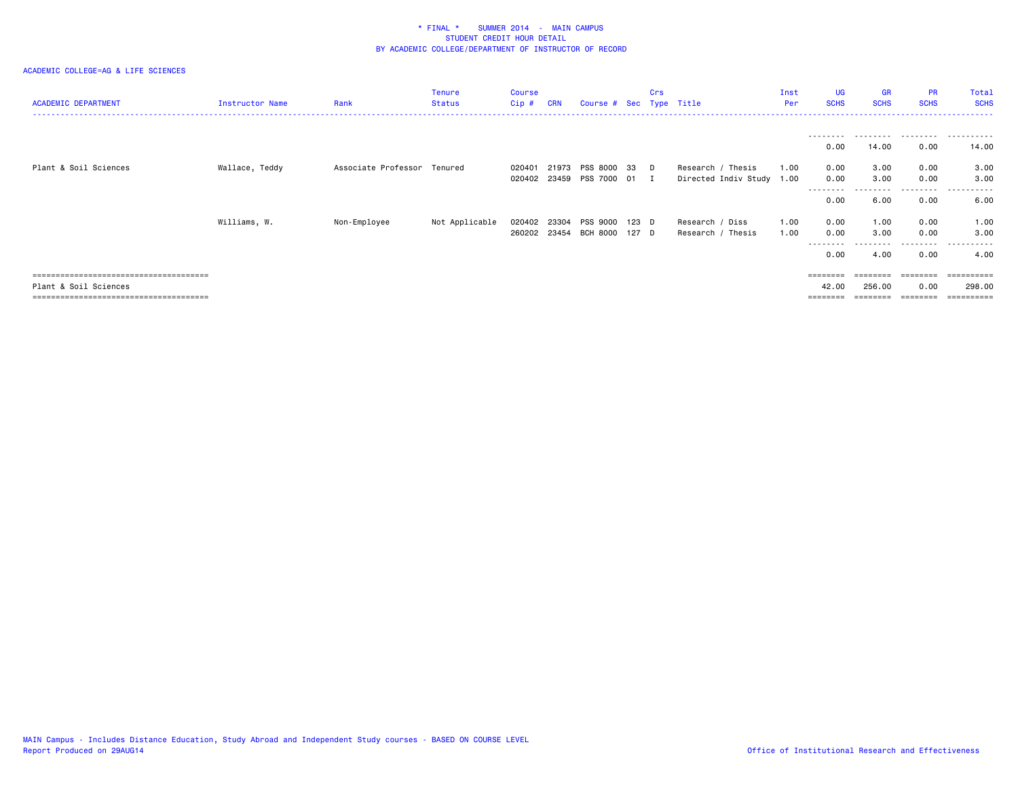| <b>ACADEMIC DEPARTMENT</b> | Instructor Name | Rank                        | <b>Tenure</b><br><b>Status</b> | Course<br>$Cip$ # | <b>CRN</b> | Course # Sec Type Title                    |       | Crs |                                                | Inst<br>Per  | <b>UG</b><br><b>SCHS</b>         | <b>GR</b><br><b>SCHS</b>  | <b>PR</b><br><b>SCHS</b>     | Total<br><b>SCHS</b>           |
|----------------------------|-----------------|-----------------------------|--------------------------------|-------------------|------------|--------------------------------------------|-------|-----|------------------------------------------------|--------------|----------------------------------|---------------------------|------------------------------|--------------------------------|
|                            |                 |                             |                                |                   |            |                                            |       |     |                                                |              | --------<br>0.00                 | 14.00                     | .<br>0.00                    | .<br>14.00                     |
| Plant & Soil Sciences      | Wallace, Teddy  | Associate Professor Tenured |                                | 020401<br>020402  |            | 21973 PSS 8000 33 D<br>23459 PSS 7000 01 I |       |     | Research / Thesis<br>Directed Indiv Study 1.00 | 1.00         | 0.00<br>0.00<br>--------<br>0.00 | 3.00<br>3.00<br>6.00      | 0.00<br>0.00<br>----<br>0.00 | 3.00<br>3.00<br>------<br>6.00 |
|                            | Williams, W.    | Non-Employee                | Not Applicable                 | 020402            | 23304      | PSS 9000<br>260202 23454 BCH 8000 127 D    | 123 D |     | Research / Diss<br>Research / Thesis           | 1.00<br>1.00 | 0.00<br>0.00<br>--------<br>0.00 | 1.00<br>3.00<br>.<br>4.00 | 0.00<br>0.00<br>.<br>0.00    | 1.00<br>3.00<br>.<br>4.00      |
| Plant & Soil Sciences      |                 |                             |                                |                   |            |                                            |       |     |                                                |              | 42.00                            | 256.00                    | 0.00<br>========             | =========<br>298,00            |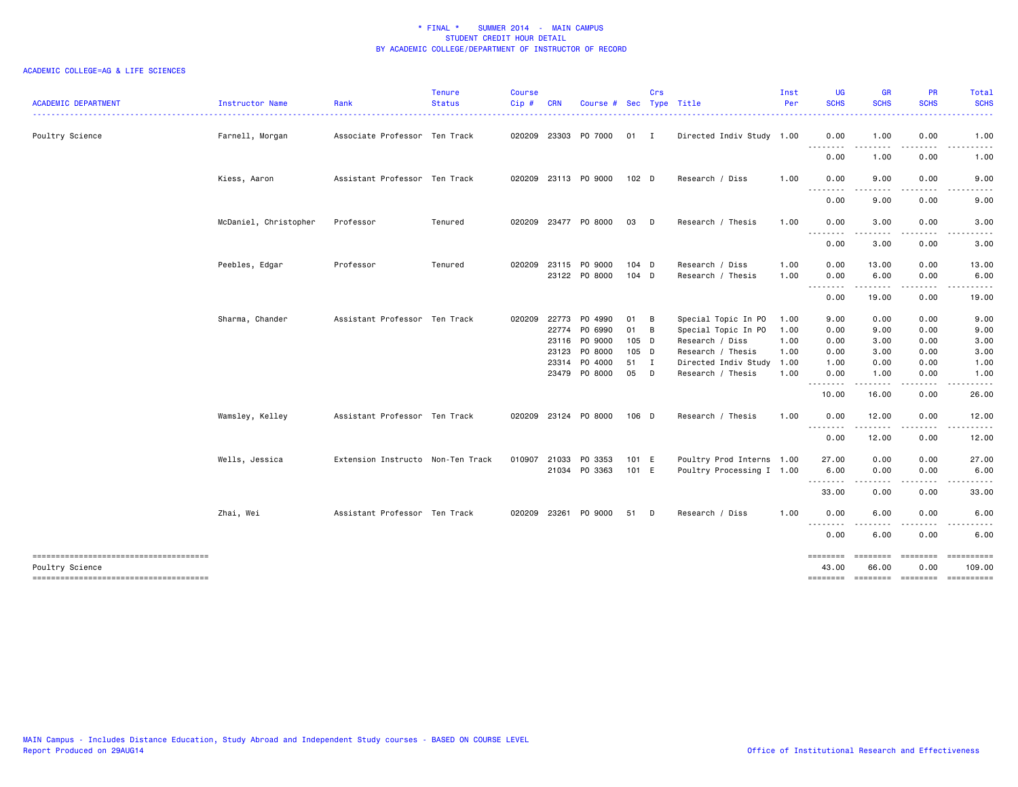| <b>ACADEMIC DEPARTMENT</b>            | Instructor Name       | Rank                              | <b>Tenure</b><br><b>Status</b> | <b>Course</b><br>Cip# | <b>CRN</b>     | Course #                 |                    | Crs    | Sec Type Title                             | Inst<br>Per  | UG<br><b>SCHS</b>  | <b>GR</b><br><b>SCHS</b>                                                                                                                                     | <b>PR</b><br><b>SCHS</b> | Total<br><b>SCHS</b>                           |
|---------------------------------------|-----------------------|-----------------------------------|--------------------------------|-----------------------|----------------|--------------------------|--------------------|--------|--------------------------------------------|--------------|--------------------|--------------------------------------------------------------------------------------------------------------------------------------------------------------|--------------------------|------------------------------------------------|
| Poultry Science                       | Farnell, Morgan       | Associate Professor Ten Track     |                                | 020209                |                | 23303 PO 7000            | 01 I               |        | Directed Indiv Study 1.00                  |              | 0.00<br>. <b>.</b> | 1.00<br>- - -                                                                                                                                                | 0.00                     | 1.00                                           |
|                                       |                       |                                   |                                |                       |                |                          |                    |        |                                            |              | 0.00               | 1.00                                                                                                                                                         | 0.00                     | 1.00                                           |
|                                       | Kiess, Aaron          | Assistant Professor Ten Track     |                                |                       |                | 020209 23113 PO 9000     | 102 D              |        | Research / Diss                            | 1.00         | 0.00<br><u>.</u>   | 9.00                                                                                                                                                         | 0.00                     | 9.00                                           |
|                                       |                       |                                   |                                |                       |                |                          |                    |        |                                            |              | 0.00               | 9.00                                                                                                                                                         | 0.00                     | 9.00                                           |
|                                       | McDaniel, Christopher | Professor                         | Tenured                        |                       |                | 020209 23477 P0 8000     | 03 D               |        | Research / Thesis                          | 1.00         | 0.00               | 3.00                                                                                                                                                         | 0.00                     | 3.00                                           |
|                                       |                       |                                   |                                |                       |                |                          |                    |        |                                            |              | .<br>0.00          | $- - - -$<br>3.00                                                                                                                                            | .<br>0.00                | 3.00                                           |
|                                       | Peebles, Edgar        | Professor                         | Tenured                        | 020209                | 23115          | PO 9000<br>23122 PO 8000 | $104$ D<br>$104$ D |        | Research / Diss<br>Research / Thesis       | 1.00<br>1.00 | 0.00<br>0.00       | 13.00<br>6.00                                                                                                                                                | 0.00<br>0.00             | 13.00<br>6.00                                  |
|                                       |                       |                                   |                                |                       |                |                          |                    |        |                                            |              | --------<br>0.00   | .<br>19.00                                                                                                                                                   | <u>.</u><br>0.00         | 19.00                                          |
|                                       | Sharma, Chander       | Assistant Professor Ten Track     |                                | 020209                | 22773<br>22774 | P0 4990<br>P0 6990       | 01<br>01           | B<br>B | Special Topic In PO<br>Special Topic In PO | 1.00<br>1.00 | 9.00<br>0.00       | 0.00<br>9.00                                                                                                                                                 | 0.00<br>0.00             | 9.00<br>9.00                                   |
|                                       |                       |                                   |                                |                       | 23116          | PO 9000                  | 105 D              |        | Research / Diss                            | 1.00         | 0.00               | 3.00                                                                                                                                                         | 0.00                     | 3.00                                           |
|                                       |                       |                                   |                                |                       | 23123          | P0 8000                  | 105 D              |        | Research / Thesis                          | 1.00         | 0.00               | 3.00                                                                                                                                                         | 0.00                     | 3.00                                           |
|                                       |                       |                                   |                                |                       | 23314          | P0 4000                  | 51 I               |        | Directed Indiv Study                       | 1.00         | 1.00               | 0.00                                                                                                                                                         | 0.00                     | 1.00                                           |
|                                       |                       |                                   |                                |                       |                | 23479 PO 8000            | 05                 | D      | Research / Thesis                          | 1.00         | 0.00<br>--------   | 1.00<br>.                                                                                                                                                    | 0.00<br>- - - - -        | 1.00                                           |
|                                       |                       |                                   |                                |                       |                |                          |                    |        |                                            |              | 10.00              | 16.00                                                                                                                                                        | 0.00                     | 26.00                                          |
|                                       | Wamsley, Kelley       | Assistant Professor Ten Track     |                                | 020209                |                | 23124 PO 8000            | 106 D              |        | Research / Thesis                          | 1.00         | 0.00<br>--------   | 12.00<br>.                                                                                                                                                   | 0.00                     | 12.00                                          |
|                                       |                       |                                   |                                |                       |                |                          |                    |        |                                            |              | 0.00               | 12.00                                                                                                                                                        | 0.00                     | 12.00                                          |
|                                       | Wells, Jessica        | Extension Instructo Non-Ten Track |                                | 010907                | 21033          | PO 3353                  | 101 E              |        | Poultry Prod Interns 1.00                  |              | 27.00              | 0.00                                                                                                                                                         | 0.00                     | 27.00                                          |
|                                       |                       |                                   |                                |                       |                | 21034 PO 3363            | 101 E              |        | Poultry Processing I 1.00                  |              | 6.00<br>.          | 0.00<br>$\frac{1}{2} \left( \frac{1}{2} \right) \left( \frac{1}{2} \right) \left( \frac{1}{2} \right) \left( \frac{1}{2} \right) \left( \frac{1}{2} \right)$ | 0.00<br>.                | 6.00<br>------                                 |
|                                       |                       |                                   |                                |                       |                |                          |                    |        |                                            |              | 33.00              | 0.00                                                                                                                                                         | 0.00                     | 33.00                                          |
|                                       | Zhai, Wei             | Assistant Professor Ten Track     |                                | 020209                | 23261          | PO 9000                  | 51                 | D      | Research / Diss                            | 1.00         | 0.00               | 6.00                                                                                                                                                         | 0.00                     | 6.00                                           |
|                                       |                       |                                   |                                |                       |                |                          |                    |        |                                            |              | 0.00               | 6.00                                                                                                                                                         | 0.00                     | 6.00                                           |
| ------------------------------------- |                       |                                   |                                |                       |                |                          |                    |        |                                            |              | ========           | eeeeeee                                                                                                                                                      | <b>EEEEEEE</b>           | EEEEEEEE                                       |
| Poultry Science                       |                       |                                   |                                |                       |                |                          |                    |        |                                            |              | 43.00              | 66.00                                                                                                                                                        | 0.00                     | 109.00<br>-------- -------- -------- --------- |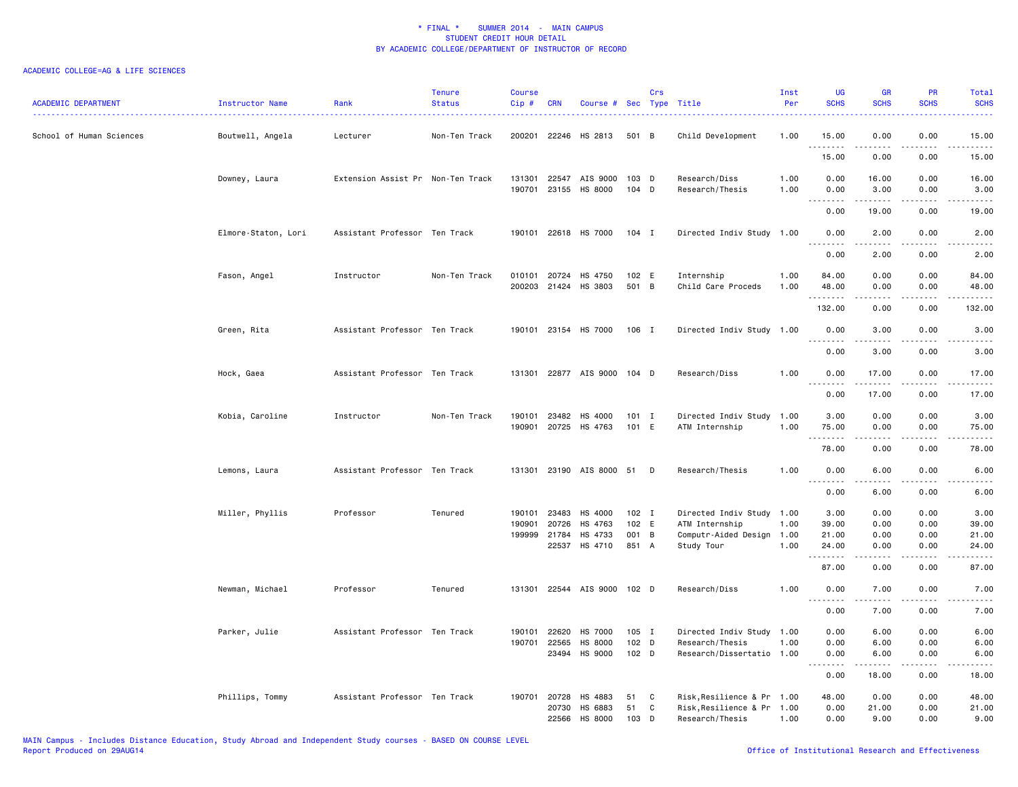| 0.00<br>0.00<br>15.00<br>School of Human Sciences<br>Boutwell, Angela<br>200201<br>22246<br>HS 2813<br>501 B<br>Child Development<br>1.00<br>15.00<br>Lecturer<br>Non-Ten Track<br>.<br>15.00<br>0.00<br>0.00<br>15.00<br>22547<br>AIS 9000<br>103 D<br>1.00<br>0.00<br>16.00<br>Downey, Laura<br>Extension Assist Pr Non-Ten Track<br>131301<br>Research/Diss<br>16.00<br>0.00<br>190701 23155<br>HS 8000<br>104 D<br>Research/Thesis<br>0.00<br>1.00<br>0.00<br>3.00<br>3.00<br>د د د د<br>.<br>$\sim$ $\sim$ $\sim$<br><u>.</u><br>$\frac{1}{2}$<br>19.00<br>0.00<br>19.00<br>0.00<br>Elmore-Staton, Lori<br>Assistant Professor Ten Track<br>190101 22618 HS 7000<br>104 I<br>Directed Indiv Study 1.00<br>0.00<br>2.00<br>0.00<br>2.00<br>$\sim$<br>.<br>0.00<br>2.00<br>0.00<br>2.00<br>Fason, Angel<br>Instructor<br>Non-Ten Track<br>20724<br>HS 4750<br>102 E<br>Internship<br>1.00<br>84.00<br>0.00<br>0.00<br>84.00<br>010101<br>200203<br>21424 HS 3803<br>501 B<br>Child Care Proceds<br>1.00<br>48.00<br>0.00<br>0.00<br>48.00<br>.<br>د د د د<br>.<br>$\omega$ and $\omega$<br>132.00<br>0.00<br>0.00<br>132.00<br>Assistant Professor Ten Track<br>23154 HS 7000<br>106 I<br>Directed Indiv Study 1.00<br>0.00<br>3.00<br>0.00<br>3.00<br>Green, Rita<br>190101<br>.<br>.<br>.<br>والمناصبات<br>0.00<br>3.00<br>0.00<br>3.00<br>Assistant Professor Ten Track<br>131301 22877 AIS 9000 104 D<br>Research/Diss<br>1.00<br>17.00<br>0.00<br>Hock, Gaea<br>0.00<br>17.00<br><u>.</u><br>.<br>.<br>.<br>0.00<br>17.00<br>0.00<br>17.00<br>0.00<br>Kobia, Caroline<br>Non-Ten Track<br>190101<br>23482<br>HS 4000<br>$101$ I<br>Directed Indiv Study 1.00<br>3.00<br>0.00<br>3.00<br>Instructor<br>20725<br>HS 4763<br>101 E<br>ATM Internship<br>1.00<br>75.00<br>0.00<br>0.00<br>190901<br>75.00<br>$- - -$<br>0.00<br>0.00<br>78.00<br>78.00<br>1.00<br>6.00<br>Lemons, Laura<br>Assistant Professor Ten Track<br>131301 23190 AIS 8000 51<br>D<br>Research/Thesis<br>0.00<br>6.00<br>0.00<br>0.00<br>6.00<br>0.00<br>6.00<br>Miller, Phyllis<br>$102$ I<br>3.00<br>Professor<br>Tenured<br>190101<br>23483<br>HS 4000<br>Directed Indiv Study 1.00<br>3.00<br>0.00<br>0.00<br>190901<br>20726<br>HS 4763<br>102 E<br>ATM Internship<br>1.00<br>39.00<br>0.00<br>0.00<br>39.00<br>199999<br>21784<br>HS 4733<br>001 B<br>Computr-Aided Design 1.00<br>21.00<br>0.00<br>0.00<br>21.00<br>22537<br>HS 4710<br>1.00<br>0.00<br>851 A<br>Study Tour<br>24.00<br>0.00<br>24.00<br>.<br>87.00<br>0.00<br>0.00<br>87.00<br>131301 22544 AIS 9000 102 D<br>1.00<br>7.00<br>0.00<br>Newman, Michael<br>Professor<br>Tenured<br>Research/Diss<br>0.00<br>7.00<br>.<br>. <u>.</u> .<br>$\frac{1}{2} \left( \frac{1}{2} \right) \left( \frac{1}{2} \right) \left( \frac{1}{2} \right) \left( \frac{1}{2} \right)$<br>.<br>0.00<br>7.00<br>0.00<br>7.00<br>Assistant Professor Ten Track<br>HS 7000<br>105 I<br>0.00<br>6.00<br>Parker, Julie<br>190101<br>22620<br>Directed Indiv Study 1.00<br>0.00<br>6.00<br>190701<br>HS 8000<br>102 D<br>Research/Thesis<br>0.00<br>0.00<br>6.00<br>22565<br>1.00<br>6.00<br>HS 9000<br>102 <sub>D</sub><br>Research/Dissertatio 1.00<br>0.00<br>6.00<br>0.00<br>6.00<br>23494<br>.<br>.<br>.<br>الدامات بال<br>$  -$<br>18.00<br>18.00<br>0.00<br>0.00<br>Phillips, Tommy<br>Assistant Professor Ten Track<br>Risk, Resilience & Pr 1.00<br>0.00<br>0.00<br>48.00<br>190701 20728<br>HS 4883<br>51<br>C.<br>48.00<br>HS 6883<br>51<br>Risk, Resilience & Pr 1.00<br>0.00<br>21.00<br>0.00<br>21.00<br>20730<br>C<br>103 | <b>ACADEMIC DEPARTMENT</b> | Instructor Name | Rank<br>. | <b>Tenure</b><br><b>Status</b> | <b>Course</b><br>Cip# | <b>CRN</b> | Course # Sec Type Title | Crs |                 | Inst<br>Per | <b>UG</b><br><b>SCHS</b> | <b>GR</b><br><b>SCHS</b> | <b>PR</b><br><b>SCHS</b> | Total<br><b>SCHS</b><br>$\sim$ $\sim$ $\sim$ $\sim$ |
|-----------------------------------------------------------------------------------------------------------------------------------------------------------------------------------------------------------------------------------------------------------------------------------------------------------------------------------------------------------------------------------------------------------------------------------------------------------------------------------------------------------------------------------------------------------------------------------------------------------------------------------------------------------------------------------------------------------------------------------------------------------------------------------------------------------------------------------------------------------------------------------------------------------------------------------------------------------------------------------------------------------------------------------------------------------------------------------------------------------------------------------------------------------------------------------------------------------------------------------------------------------------------------------------------------------------------------------------------------------------------------------------------------------------------------------------------------------------------------------------------------------------------------------------------------------------------------------------------------------------------------------------------------------------------------------------------------------------------------------------------------------------------------------------------------------------------------------------------------------------------------------------------------------------------------------------------------------------------------------------------------------------------------------------------------------------------------------------------------------------------------------------------------------------------------------------------------------------------------------------------------------------------------------------------------------------------------------------------------------------------------------------------------------------------------------------------------------------------------------------------------------------------------------------------------------------------------------------------------------------------------------------------------------------------------------------------------------------------------------------------------------------------------------------------------------------------------------------------------------------------------------------------------------------------------------------------------------------------------------------------------------------------------------------------------------------------------------------------------------------------------------------------------------------------------------------------------------------------------------------------------------------------------------------------------------------------------------------------------------------------------------------------------------------------------------------------------------------------------------------------------------------------------------------------------------------|----------------------------|-----------------|-----------|--------------------------------|-----------------------|------------|-------------------------|-----|-----------------|-------------|--------------------------|--------------------------|--------------------------|-----------------------------------------------------|
|                                                                                                                                                                                                                                                                                                                                                                                                                                                                                                                                                                                                                                                                                                                                                                                                                                                                                                                                                                                                                                                                                                                                                                                                                                                                                                                                                                                                                                                                                                                                                                                                                                                                                                                                                                                                                                                                                                                                                                                                                                                                                                                                                                                                                                                                                                                                                                                                                                                                                                                                                                                                                                                                                                                                                                                                                                                                                                                                                                                                                                                                                                                                                                                                                                                                                                                                                                                                                                                                                                                                                                 |                            |                 |           |                                |                       |            |                         |     |                 |             |                          |                          |                          |                                                     |
|                                                                                                                                                                                                                                                                                                                                                                                                                                                                                                                                                                                                                                                                                                                                                                                                                                                                                                                                                                                                                                                                                                                                                                                                                                                                                                                                                                                                                                                                                                                                                                                                                                                                                                                                                                                                                                                                                                                                                                                                                                                                                                                                                                                                                                                                                                                                                                                                                                                                                                                                                                                                                                                                                                                                                                                                                                                                                                                                                                                                                                                                                                                                                                                                                                                                                                                                                                                                                                                                                                                                                                 |                            |                 |           |                                |                       |            |                         |     |                 |             |                          |                          |                          |                                                     |
|                                                                                                                                                                                                                                                                                                                                                                                                                                                                                                                                                                                                                                                                                                                                                                                                                                                                                                                                                                                                                                                                                                                                                                                                                                                                                                                                                                                                                                                                                                                                                                                                                                                                                                                                                                                                                                                                                                                                                                                                                                                                                                                                                                                                                                                                                                                                                                                                                                                                                                                                                                                                                                                                                                                                                                                                                                                                                                                                                                                                                                                                                                                                                                                                                                                                                                                                                                                                                                                                                                                                                                 |                            |                 |           |                                |                       |            |                         |     |                 |             |                          |                          |                          |                                                     |
|                                                                                                                                                                                                                                                                                                                                                                                                                                                                                                                                                                                                                                                                                                                                                                                                                                                                                                                                                                                                                                                                                                                                                                                                                                                                                                                                                                                                                                                                                                                                                                                                                                                                                                                                                                                                                                                                                                                                                                                                                                                                                                                                                                                                                                                                                                                                                                                                                                                                                                                                                                                                                                                                                                                                                                                                                                                                                                                                                                                                                                                                                                                                                                                                                                                                                                                                                                                                                                                                                                                                                                 |                            |                 |           |                                |                       |            |                         |     |                 |             |                          |                          |                          |                                                     |
|                                                                                                                                                                                                                                                                                                                                                                                                                                                                                                                                                                                                                                                                                                                                                                                                                                                                                                                                                                                                                                                                                                                                                                                                                                                                                                                                                                                                                                                                                                                                                                                                                                                                                                                                                                                                                                                                                                                                                                                                                                                                                                                                                                                                                                                                                                                                                                                                                                                                                                                                                                                                                                                                                                                                                                                                                                                                                                                                                                                                                                                                                                                                                                                                                                                                                                                                                                                                                                                                                                                                                                 |                            |                 |           |                                |                       |            |                         |     |                 |             |                          |                          |                          |                                                     |
|                                                                                                                                                                                                                                                                                                                                                                                                                                                                                                                                                                                                                                                                                                                                                                                                                                                                                                                                                                                                                                                                                                                                                                                                                                                                                                                                                                                                                                                                                                                                                                                                                                                                                                                                                                                                                                                                                                                                                                                                                                                                                                                                                                                                                                                                                                                                                                                                                                                                                                                                                                                                                                                                                                                                                                                                                                                                                                                                                                                                                                                                                                                                                                                                                                                                                                                                                                                                                                                                                                                                                                 |                            |                 |           |                                |                       |            |                         |     |                 |             |                          |                          |                          |                                                     |
|                                                                                                                                                                                                                                                                                                                                                                                                                                                                                                                                                                                                                                                                                                                                                                                                                                                                                                                                                                                                                                                                                                                                                                                                                                                                                                                                                                                                                                                                                                                                                                                                                                                                                                                                                                                                                                                                                                                                                                                                                                                                                                                                                                                                                                                                                                                                                                                                                                                                                                                                                                                                                                                                                                                                                                                                                                                                                                                                                                                                                                                                                                                                                                                                                                                                                                                                                                                                                                                                                                                                                                 |                            |                 |           |                                |                       |            |                         |     |                 |             |                          |                          |                          |                                                     |
|                                                                                                                                                                                                                                                                                                                                                                                                                                                                                                                                                                                                                                                                                                                                                                                                                                                                                                                                                                                                                                                                                                                                                                                                                                                                                                                                                                                                                                                                                                                                                                                                                                                                                                                                                                                                                                                                                                                                                                                                                                                                                                                                                                                                                                                                                                                                                                                                                                                                                                                                                                                                                                                                                                                                                                                                                                                                                                                                                                                                                                                                                                                                                                                                                                                                                                                                                                                                                                                                                                                                                                 |                            |                 |           |                                |                       |            |                         |     |                 |             |                          |                          |                          |                                                     |
|                                                                                                                                                                                                                                                                                                                                                                                                                                                                                                                                                                                                                                                                                                                                                                                                                                                                                                                                                                                                                                                                                                                                                                                                                                                                                                                                                                                                                                                                                                                                                                                                                                                                                                                                                                                                                                                                                                                                                                                                                                                                                                                                                                                                                                                                                                                                                                                                                                                                                                                                                                                                                                                                                                                                                                                                                                                                                                                                                                                                                                                                                                                                                                                                                                                                                                                                                                                                                                                                                                                                                                 |                            |                 |           |                                |                       |            |                         |     |                 |             |                          |                          |                          |                                                     |
|                                                                                                                                                                                                                                                                                                                                                                                                                                                                                                                                                                                                                                                                                                                                                                                                                                                                                                                                                                                                                                                                                                                                                                                                                                                                                                                                                                                                                                                                                                                                                                                                                                                                                                                                                                                                                                                                                                                                                                                                                                                                                                                                                                                                                                                                                                                                                                                                                                                                                                                                                                                                                                                                                                                                                                                                                                                                                                                                                                                                                                                                                                                                                                                                                                                                                                                                                                                                                                                                                                                                                                 |                            |                 |           |                                |                       |            |                         |     |                 |             |                          |                          |                          |                                                     |
|                                                                                                                                                                                                                                                                                                                                                                                                                                                                                                                                                                                                                                                                                                                                                                                                                                                                                                                                                                                                                                                                                                                                                                                                                                                                                                                                                                                                                                                                                                                                                                                                                                                                                                                                                                                                                                                                                                                                                                                                                                                                                                                                                                                                                                                                                                                                                                                                                                                                                                                                                                                                                                                                                                                                                                                                                                                                                                                                                                                                                                                                                                                                                                                                                                                                                                                                                                                                                                                                                                                                                                 |                            |                 |           |                                |                       |            |                         |     |                 |             |                          |                          |                          |                                                     |
|                                                                                                                                                                                                                                                                                                                                                                                                                                                                                                                                                                                                                                                                                                                                                                                                                                                                                                                                                                                                                                                                                                                                                                                                                                                                                                                                                                                                                                                                                                                                                                                                                                                                                                                                                                                                                                                                                                                                                                                                                                                                                                                                                                                                                                                                                                                                                                                                                                                                                                                                                                                                                                                                                                                                                                                                                                                                                                                                                                                                                                                                                                                                                                                                                                                                                                                                                                                                                                                                                                                                                                 |                            |                 |           |                                |                       |            |                         |     |                 |             |                          |                          |                          |                                                     |
|                                                                                                                                                                                                                                                                                                                                                                                                                                                                                                                                                                                                                                                                                                                                                                                                                                                                                                                                                                                                                                                                                                                                                                                                                                                                                                                                                                                                                                                                                                                                                                                                                                                                                                                                                                                                                                                                                                                                                                                                                                                                                                                                                                                                                                                                                                                                                                                                                                                                                                                                                                                                                                                                                                                                                                                                                                                                                                                                                                                                                                                                                                                                                                                                                                                                                                                                                                                                                                                                                                                                                                 |                            |                 |           |                                |                       |            |                         |     |                 |             |                          |                          |                          |                                                     |
|                                                                                                                                                                                                                                                                                                                                                                                                                                                                                                                                                                                                                                                                                                                                                                                                                                                                                                                                                                                                                                                                                                                                                                                                                                                                                                                                                                                                                                                                                                                                                                                                                                                                                                                                                                                                                                                                                                                                                                                                                                                                                                                                                                                                                                                                                                                                                                                                                                                                                                                                                                                                                                                                                                                                                                                                                                                                                                                                                                                                                                                                                                                                                                                                                                                                                                                                                                                                                                                                                                                                                                 |                            |                 |           |                                |                       |            |                         |     |                 |             |                          |                          |                          |                                                     |
|                                                                                                                                                                                                                                                                                                                                                                                                                                                                                                                                                                                                                                                                                                                                                                                                                                                                                                                                                                                                                                                                                                                                                                                                                                                                                                                                                                                                                                                                                                                                                                                                                                                                                                                                                                                                                                                                                                                                                                                                                                                                                                                                                                                                                                                                                                                                                                                                                                                                                                                                                                                                                                                                                                                                                                                                                                                                                                                                                                                                                                                                                                                                                                                                                                                                                                                                                                                                                                                                                                                                                                 |                            |                 |           |                                |                       |            |                         |     |                 |             |                          |                          |                          |                                                     |
|                                                                                                                                                                                                                                                                                                                                                                                                                                                                                                                                                                                                                                                                                                                                                                                                                                                                                                                                                                                                                                                                                                                                                                                                                                                                                                                                                                                                                                                                                                                                                                                                                                                                                                                                                                                                                                                                                                                                                                                                                                                                                                                                                                                                                                                                                                                                                                                                                                                                                                                                                                                                                                                                                                                                                                                                                                                                                                                                                                                                                                                                                                                                                                                                                                                                                                                                                                                                                                                                                                                                                                 |                            |                 |           |                                |                       |            |                         |     |                 |             |                          |                          |                          |                                                     |
|                                                                                                                                                                                                                                                                                                                                                                                                                                                                                                                                                                                                                                                                                                                                                                                                                                                                                                                                                                                                                                                                                                                                                                                                                                                                                                                                                                                                                                                                                                                                                                                                                                                                                                                                                                                                                                                                                                                                                                                                                                                                                                                                                                                                                                                                                                                                                                                                                                                                                                                                                                                                                                                                                                                                                                                                                                                                                                                                                                                                                                                                                                                                                                                                                                                                                                                                                                                                                                                                                                                                                                 |                            |                 |           |                                |                       |            |                         |     |                 |             |                          |                          |                          |                                                     |
|                                                                                                                                                                                                                                                                                                                                                                                                                                                                                                                                                                                                                                                                                                                                                                                                                                                                                                                                                                                                                                                                                                                                                                                                                                                                                                                                                                                                                                                                                                                                                                                                                                                                                                                                                                                                                                                                                                                                                                                                                                                                                                                                                                                                                                                                                                                                                                                                                                                                                                                                                                                                                                                                                                                                                                                                                                                                                                                                                                                                                                                                                                                                                                                                                                                                                                                                                                                                                                                                                                                                                                 |                            |                 |           |                                |                       |            |                         |     |                 |             |                          |                          |                          |                                                     |
|                                                                                                                                                                                                                                                                                                                                                                                                                                                                                                                                                                                                                                                                                                                                                                                                                                                                                                                                                                                                                                                                                                                                                                                                                                                                                                                                                                                                                                                                                                                                                                                                                                                                                                                                                                                                                                                                                                                                                                                                                                                                                                                                                                                                                                                                                                                                                                                                                                                                                                                                                                                                                                                                                                                                                                                                                                                                                                                                                                                                                                                                                                                                                                                                                                                                                                                                                                                                                                                                                                                                                                 |                            |                 |           |                                |                       |            |                         |     |                 |             |                          |                          |                          |                                                     |
|                                                                                                                                                                                                                                                                                                                                                                                                                                                                                                                                                                                                                                                                                                                                                                                                                                                                                                                                                                                                                                                                                                                                                                                                                                                                                                                                                                                                                                                                                                                                                                                                                                                                                                                                                                                                                                                                                                                                                                                                                                                                                                                                                                                                                                                                                                                                                                                                                                                                                                                                                                                                                                                                                                                                                                                                                                                                                                                                                                                                                                                                                                                                                                                                                                                                                                                                                                                                                                                                                                                                                                 |                            |                 |           |                                |                       |            |                         |     |                 |             |                          |                          |                          |                                                     |
|                                                                                                                                                                                                                                                                                                                                                                                                                                                                                                                                                                                                                                                                                                                                                                                                                                                                                                                                                                                                                                                                                                                                                                                                                                                                                                                                                                                                                                                                                                                                                                                                                                                                                                                                                                                                                                                                                                                                                                                                                                                                                                                                                                                                                                                                                                                                                                                                                                                                                                                                                                                                                                                                                                                                                                                                                                                                                                                                                                                                                                                                                                                                                                                                                                                                                                                                                                                                                                                                                                                                                                 |                            |                 |           |                                |                       |            |                         |     |                 |             |                          |                          |                          |                                                     |
|                                                                                                                                                                                                                                                                                                                                                                                                                                                                                                                                                                                                                                                                                                                                                                                                                                                                                                                                                                                                                                                                                                                                                                                                                                                                                                                                                                                                                                                                                                                                                                                                                                                                                                                                                                                                                                                                                                                                                                                                                                                                                                                                                                                                                                                                                                                                                                                                                                                                                                                                                                                                                                                                                                                                                                                                                                                                                                                                                                                                                                                                                                                                                                                                                                                                                                                                                                                                                                                                                                                                                                 |                            |                 |           |                                |                       |            |                         |     |                 |             |                          |                          |                          |                                                     |
|                                                                                                                                                                                                                                                                                                                                                                                                                                                                                                                                                                                                                                                                                                                                                                                                                                                                                                                                                                                                                                                                                                                                                                                                                                                                                                                                                                                                                                                                                                                                                                                                                                                                                                                                                                                                                                                                                                                                                                                                                                                                                                                                                                                                                                                                                                                                                                                                                                                                                                                                                                                                                                                                                                                                                                                                                                                                                                                                                                                                                                                                                                                                                                                                                                                                                                                                                                                                                                                                                                                                                                 |                            |                 |           |                                |                       |            |                         |     |                 |             |                          |                          |                          |                                                     |
|                                                                                                                                                                                                                                                                                                                                                                                                                                                                                                                                                                                                                                                                                                                                                                                                                                                                                                                                                                                                                                                                                                                                                                                                                                                                                                                                                                                                                                                                                                                                                                                                                                                                                                                                                                                                                                                                                                                                                                                                                                                                                                                                                                                                                                                                                                                                                                                                                                                                                                                                                                                                                                                                                                                                                                                                                                                                                                                                                                                                                                                                                                                                                                                                                                                                                                                                                                                                                                                                                                                                                                 |                            |                 |           |                                |                       |            |                         |     |                 |             |                          |                          |                          |                                                     |
|                                                                                                                                                                                                                                                                                                                                                                                                                                                                                                                                                                                                                                                                                                                                                                                                                                                                                                                                                                                                                                                                                                                                                                                                                                                                                                                                                                                                                                                                                                                                                                                                                                                                                                                                                                                                                                                                                                                                                                                                                                                                                                                                                                                                                                                                                                                                                                                                                                                                                                                                                                                                                                                                                                                                                                                                                                                                                                                                                                                                                                                                                                                                                                                                                                                                                                                                                                                                                                                                                                                                                                 |                            |                 |           |                                |                       |            |                         |     |                 |             |                          |                          |                          |                                                     |
|                                                                                                                                                                                                                                                                                                                                                                                                                                                                                                                                                                                                                                                                                                                                                                                                                                                                                                                                                                                                                                                                                                                                                                                                                                                                                                                                                                                                                                                                                                                                                                                                                                                                                                                                                                                                                                                                                                                                                                                                                                                                                                                                                                                                                                                                                                                                                                                                                                                                                                                                                                                                                                                                                                                                                                                                                                                                                                                                                                                                                                                                                                                                                                                                                                                                                                                                                                                                                                                                                                                                                                 |                            |                 |           |                                |                       |            |                         |     |                 |             |                          |                          |                          |                                                     |
|                                                                                                                                                                                                                                                                                                                                                                                                                                                                                                                                                                                                                                                                                                                                                                                                                                                                                                                                                                                                                                                                                                                                                                                                                                                                                                                                                                                                                                                                                                                                                                                                                                                                                                                                                                                                                                                                                                                                                                                                                                                                                                                                                                                                                                                                                                                                                                                                                                                                                                                                                                                                                                                                                                                                                                                                                                                                                                                                                                                                                                                                                                                                                                                                                                                                                                                                                                                                                                                                                                                                                                 |                            |                 |           |                                |                       |            |                         |     |                 |             |                          |                          |                          |                                                     |
|                                                                                                                                                                                                                                                                                                                                                                                                                                                                                                                                                                                                                                                                                                                                                                                                                                                                                                                                                                                                                                                                                                                                                                                                                                                                                                                                                                                                                                                                                                                                                                                                                                                                                                                                                                                                                                                                                                                                                                                                                                                                                                                                                                                                                                                                                                                                                                                                                                                                                                                                                                                                                                                                                                                                                                                                                                                                                                                                                                                                                                                                                                                                                                                                                                                                                                                                                                                                                                                                                                                                                                 |                            |                 |           |                                |                       |            |                         |     |                 |             |                          |                          |                          |                                                     |
|                                                                                                                                                                                                                                                                                                                                                                                                                                                                                                                                                                                                                                                                                                                                                                                                                                                                                                                                                                                                                                                                                                                                                                                                                                                                                                                                                                                                                                                                                                                                                                                                                                                                                                                                                                                                                                                                                                                                                                                                                                                                                                                                                                                                                                                                                                                                                                                                                                                                                                                                                                                                                                                                                                                                                                                                                                                                                                                                                                                                                                                                                                                                                                                                                                                                                                                                                                                                                                                                                                                                                                 |                            |                 |           |                                |                       |            |                         |     |                 |             |                          |                          |                          |                                                     |
|                                                                                                                                                                                                                                                                                                                                                                                                                                                                                                                                                                                                                                                                                                                                                                                                                                                                                                                                                                                                                                                                                                                                                                                                                                                                                                                                                                                                                                                                                                                                                                                                                                                                                                                                                                                                                                                                                                                                                                                                                                                                                                                                                                                                                                                                                                                                                                                                                                                                                                                                                                                                                                                                                                                                                                                                                                                                                                                                                                                                                                                                                                                                                                                                                                                                                                                                                                                                                                                                                                                                                                 |                            |                 |           |                                |                       |            |                         |     |                 |             |                          |                          |                          |                                                     |
|                                                                                                                                                                                                                                                                                                                                                                                                                                                                                                                                                                                                                                                                                                                                                                                                                                                                                                                                                                                                                                                                                                                                                                                                                                                                                                                                                                                                                                                                                                                                                                                                                                                                                                                                                                                                                                                                                                                                                                                                                                                                                                                                                                                                                                                                                                                                                                                                                                                                                                                                                                                                                                                                                                                                                                                                                                                                                                                                                                                                                                                                                                                                                                                                                                                                                                                                                                                                                                                                                                                                                                 |                            |                 |           |                                |                       | 22566      | HS 8000                 | D   | Research/Thesis | 1.00        | 0.00                     | 9.00                     | 0.00                     | 9.00                                                |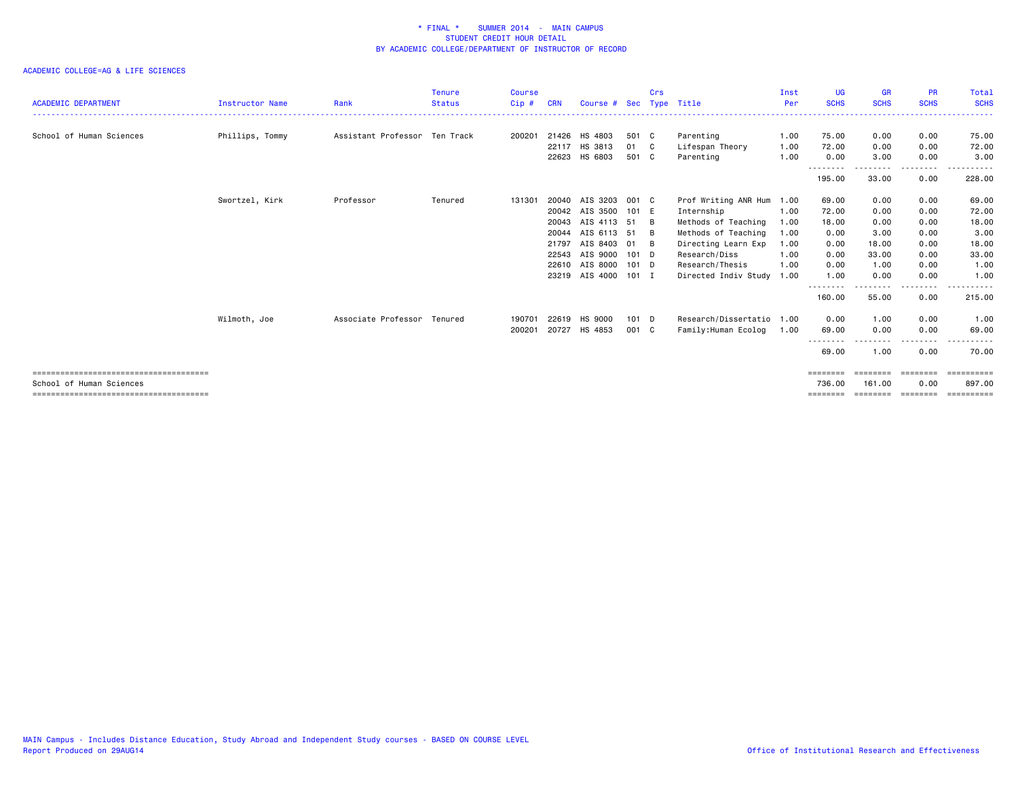| <b>ACADEMIC DEPARTMENT</b> | <b>Instructor Name</b> | Rank                          | <b>Tenure</b><br><b>Status</b> | <b>Course</b><br>Cip# | <b>CRN</b> | Course #       | Sec     | Crs | Type Title                | Inst<br>Per | UG<br><b>SCHS</b> | <b>GR</b><br><b>SCHS</b> | <b>PR</b><br><b>SCHS</b> | <b>Total</b><br><b>SCHS</b> |
|----------------------------|------------------------|-------------------------------|--------------------------------|-----------------------|------------|----------------|---------|-----|---------------------------|-------------|-------------------|--------------------------|--------------------------|-----------------------------|
|                            |                        |                               |                                |                       |            |                |         |     |                           |             |                   |                          |                          |                             |
| School of Human Sciences   | Phillips, Tommy        | Assistant Professor Ten Track |                                | 200201                | 21426      | HS 4803        | 501 C   |     | Parenting                 | 1.00        | 75.00             | 0.00                     | 0.00                     | 75.00                       |
|                            |                        |                               |                                |                       | 22117      | HS 3813        | 01 C    |     | Lifespan Theory           | 1.00        | 72.00             | 0.00                     | 0.00                     | 72.00                       |
|                            |                        |                               |                                |                       | 22623      | HS 6803        | 501 C   |     | Parenting                 | 1.00        | 0.00<br>--------  | 3.00                     | 0.00                     | 3.00                        |
|                            |                        |                               |                                |                       |            |                |         |     |                           |             | 195.00            | 33.00                    | 0.00                     | 228.00                      |
|                            | Swortzel, Kirk         | Professor                     | Tenured                        | 131301                | 20040      | AIS 3203 001 C |         |     | Prof Writing ANR Hum 1.00 |             | 69.00             | 0.00                     | 0.00                     | 69.00                       |
|                            |                        |                               |                                |                       | 20042      | AIS 3500 101 E |         |     | Internship                | 1.00        | 72.00             | 0.00                     | 0.00                     | 72.00                       |
|                            |                        |                               |                                |                       | 20043      | AIS 4113 51    |         | - B | Methods of Teaching       | 1.00        | 18.00             | 0.00                     | 0.00                     | 18.00                       |
|                            |                        |                               |                                |                       | 20044      | AIS 6113 51    |         | - B | Methods of Teaching       | 1.00        | 0.00              | 3.00                     | 0.00                     | 3.00                        |
|                            |                        |                               |                                |                       | 21797      | AIS 8403 01 B  |         |     | Directing Learn Exp       | 1.00        | 0.00              | 18.00                    | 0.00                     | 18.00                       |
|                            |                        |                               |                                |                       | 22543      | AIS 9000 101 D |         |     | Research/Diss             | 1.00        | 0.00              | 33.00                    | 0.00                     | 33.00                       |
|                            |                        |                               |                                |                       | 22610      | AIS 8000 101 D |         |     | Research/Thesis           | 1.00        | 0.00              | 1.00                     | 0.00                     | 1.00                        |
|                            |                        |                               |                                |                       | 23219      | AIS 4000 101 I |         |     | Directed Indiv Study 1.00 |             | 1.00<br>--------  | 0.00                     | 0.00                     | 1.00                        |
|                            |                        |                               |                                |                       |            |                |         |     |                           |             | 160.00            | 55.00                    | 0.00                     | 215.00                      |
|                            | Wilmoth, Joe           | Associate Professor Tenured   |                                | 190701                | 22619      | HS 9000        | $101$ D |     | Research/Dissertatio 1.00 |             | 0.00              | 1.00                     | 0.00                     | 1.00                        |
|                            |                        |                               |                                | 200201                |            | 20727 HS 4853  | 001 C   |     | Family:Human Ecolog       | 1.00        | 69.00             | 0.00                     | 0.00                     | 69.00                       |
|                            |                        |                               |                                |                       |            |                |         |     |                           |             | --------<br>69.00 | - - - -<br>1.00          | .<br>0.00                | 70.00                       |
|                            |                        |                               |                                |                       |            |                |         |     |                           |             | ========          | ========                 | ========                 | ==========                  |
| School of Human Sciences   |                        |                               |                                |                       |            |                |         |     |                           |             | 736.00            | 161.00                   | 0.00                     | 897.00                      |
|                            |                        |                               |                                |                       |            |                |         |     |                           |             | ========          | ---------                | ---------                |                             |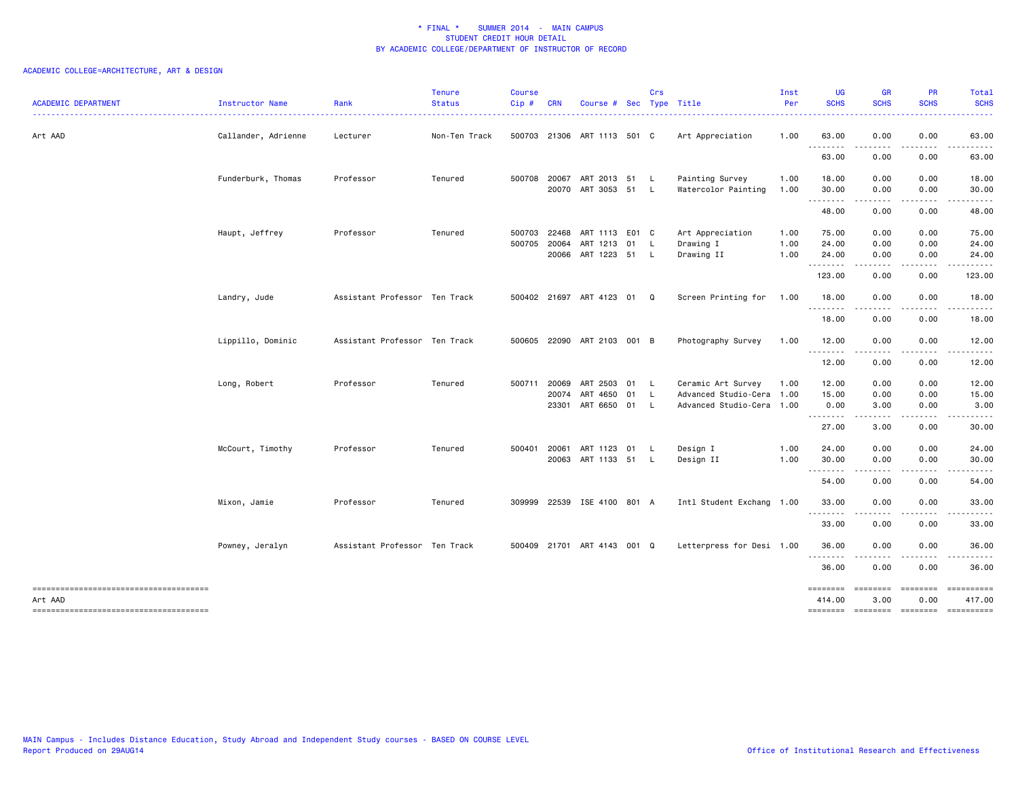| <b>ACADEMIC DEPARTMENT</b>                                                                | Instructor Name     | Rank                          | <b>Tenure</b><br><b>Status</b> | <b>Course</b><br>Cip#  | <b>CRN</b>     | Course # Sec Type Title                         | Crs                            |                                                                              | Inst<br>Per  | UG<br><b>SCHS</b>                       | <b>GR</b><br><b>SCHS</b>                                                                                                          | <b>PR</b><br><b>SCHS</b>                | <b>Total</b><br><b>SCHS</b>                                                                                                                                   |
|-------------------------------------------------------------------------------------------|---------------------|-------------------------------|--------------------------------|------------------------|----------------|-------------------------------------------------|--------------------------------|------------------------------------------------------------------------------|--------------|-----------------------------------------|-----------------------------------------------------------------------------------------------------------------------------------|-----------------------------------------|---------------------------------------------------------------------------------------------------------------------------------------------------------------|
| Art AAD                                                                                   | Callander, Adrienne | Lecturer                      | Non-Ten Track                  |                        |                | 500703 21306 ART 1113 501 C                     |                                | Art Appreciation                                                             | 1.00         | 63.00                                   | 0.00                                                                                                                              | 0.00                                    | 63.00                                                                                                                                                         |
|                                                                                           |                     |                               |                                |                        |                |                                                 |                                |                                                                              |              | .<br>63.00                              | $\sim$ $\sim$ $\sim$ $\sim$<br>0.00                                                                                               | .<br>0.00                               | 63.00                                                                                                                                                         |
|                                                                                           | Funderburk, Thomas  | Professor                     | Tenured                        |                        |                | 500708 20067 ART 2013 51 L<br>20070 ART 3053 51 | $\mathsf{L}$                   | Painting Survey<br>Watercolor Painting                                       | 1.00<br>1.00 | 18.00<br>30.00                          | 0.00<br>0.00                                                                                                                      | 0.00<br>0.00                            | 18.00<br>30.00                                                                                                                                                |
|                                                                                           |                     |                               |                                |                        |                |                                                 |                                |                                                                              |              | .<br>48.00                              | .<br>0.00                                                                                                                         | .<br>0.00                               | .<br>48.00                                                                                                                                                    |
|                                                                                           | Haupt, Jeffrey      | Professor                     | Tenured                        | 500703 22468<br>500705 | 20064          | ART 1113 E01 C<br>ART 1213 01                   | L.                             | Art Appreciation<br>Drawing I                                                | 1.00<br>1.00 | 75.00<br>24.00                          | 0.00<br>0.00                                                                                                                      | 0.00<br>0.00                            | 75.00<br>24.00                                                                                                                                                |
|                                                                                           |                     |                               |                                |                        |                | 20066 ART 1223 51                               | L.                             | Drawing II                                                                   | 1.00         | 24.00<br>.<br>123.00                    | 0.00<br>.<br>0.00                                                                                                                 | 0.00<br>0.00                            | 24.00<br>123.00                                                                                                                                               |
|                                                                                           | Landry, Jude        | Assistant Professor Ten Track |                                |                        |                | 500402 21697 ART 4123 01                        | Q                              | Screen Printing for 1.00                                                     |              | 18.00                                   | 0.00                                                                                                                              | 0.00                                    | 18.00                                                                                                                                                         |
|                                                                                           |                     |                               |                                |                        |                |                                                 |                                |                                                                              |              | .<br>18.00                              | $\frac{1}{2} \left( \frac{1}{2} \right) \left( \frac{1}{2} \right) \left( \frac{1}{2} \right) \left( \frac{1}{2} \right)$<br>0.00 | .<br>0.00                               | 18.00                                                                                                                                                         |
|                                                                                           | Lippillo, Dominic   | Assistant Professor Ten Track |                                |                        |                | 500605 22090 ART 2103 001 B                     |                                | Photography Survey                                                           | 1.00         | 12.00<br>.                              | 0.00<br>$\frac{1}{2}$                                                                                                             | 0.00<br>-----                           | 12.00<br>.                                                                                                                                                    |
|                                                                                           |                     |                               |                                |                        |                |                                                 |                                |                                                                              |              | 12.00                                   | 0.00                                                                                                                              | 0.00                                    | 12.00                                                                                                                                                         |
|                                                                                           | Long, Robert        | Professor                     | Tenured                        | 500711                 | 20069<br>20074 | ART 2503 01<br>ART 4650 01<br>23301 ART 6650 01 | $\mathsf{L}$<br>L.<br><b>L</b> | Ceramic Art Survey<br>Advanced Studio-Cera 1.00<br>Advanced Studio-Cera 1.00 | 1.00         | 12.00<br>15.00<br>0.00                  | 0.00<br>0.00<br>3.00                                                                                                              | 0.00<br>0.00<br>0.00                    | 12.00<br>15.00<br>3.00                                                                                                                                        |
|                                                                                           |                     |                               |                                |                        |                |                                                 |                                |                                                                              |              | .<br>27.00                              | $\sim$ $\sim$ $\sim$ $\sim$<br>3.00                                                                                               | .<br>0.00                               | $\frac{1}{2} \left( \frac{1}{2} \right) \left( \frac{1}{2} \right) \left( \frac{1}{2} \right) \left( \frac{1}{2} \right) \left( \frac{1}{2} \right)$<br>30.00 |
|                                                                                           | McCourt, Timothy    | Professor                     | Tenured                        | 500401 20061           |                | ART 1123 01<br>20063 ART 1133 51                | L.<br>L.                       | Design I<br>Design II                                                        | 1.00<br>1.00 | 24.00<br>30.00                          | 0.00<br>0.00                                                                                                                      | 0.00<br>0.00                            | 24.00<br>30.00                                                                                                                                                |
|                                                                                           |                     |                               |                                |                        |                |                                                 |                                |                                                                              |              | ---------<br>54.00                      | $\frac{1}{2} \left( \frac{1}{2} \right) \left( \frac{1}{2} \right) \left( \frac{1}{2} \right) \left( \frac{1}{2} \right)$<br>0.00 | -----<br>0.00                           | . <b>.</b> .<br>54.00                                                                                                                                         |
|                                                                                           | Mixon, Jamie        | Professor                     | Tenured                        | 309999                 |                | 22539 ISE 4100 801 A                            |                                | Intl Student Exchang 1.00                                                    |              | 33.00<br>.                              | 0.00<br>$\cdots$                                                                                                                  | 0.00                                    | 33.00                                                                                                                                                         |
|                                                                                           |                     |                               |                                |                        |                |                                                 |                                |                                                                              |              | 33.00                                   | 0.00                                                                                                                              | 0.00                                    | 33.00                                                                                                                                                         |
|                                                                                           | Powney, Jeralyn     | Assistant Professor Ten Track |                                |                        |                | 500409 21701 ART 4143 001 Q                     |                                | Letterpress for Desi 1.00                                                    |              | 36.00<br>.                              | 0.00<br>$\frac{1}{2} \left( \frac{1}{2} \right) \left( \frac{1}{2} \right) \left( \frac{1}{2} \right)$                            | 0.00                                    | 36.00                                                                                                                                                         |
|                                                                                           |                     |                               |                                |                        |                |                                                 |                                |                                                                              |              | 36.00                                   | 0.00                                                                                                                              | 0.00                                    | 36.00                                                                                                                                                         |
| -------------------------------------<br>Art AAD<br>------------------------------------- |                     |                               |                                |                        |                |                                                 |                                |                                                                              |              | ========<br>414.00<br>======== ======== | ========<br>3.00                                                                                                                  | <b>EBBBBBBB</b><br>0.00<br>$=$ ======== | ==========<br>417.00<br>==========                                                                                                                            |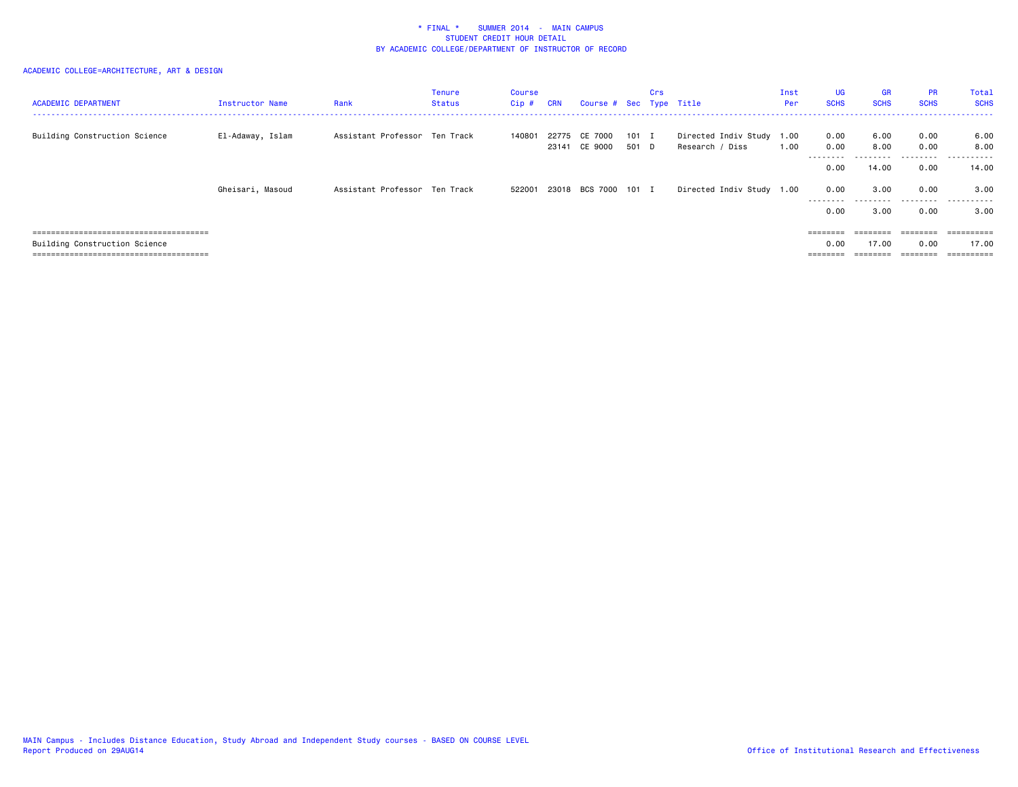| <b>ACADEMIC DEPARTMENT</b>    | Instructor Name  | Rank                          | Tenure<br><b>Status</b> | Course<br>$Cip$ # | CRN            | Course # Sec Type Title     |                | Crs |                                              | Inst<br>Per | UG<br><b>SCHS</b> | <b>GR</b><br><b>SCHS</b> | <b>PR</b><br><b>SCHS</b> | Total<br><b>SCHS</b><br>. |
|-------------------------------|------------------|-------------------------------|-------------------------|-------------------|----------------|-----------------------------|----------------|-----|----------------------------------------------|-------------|-------------------|--------------------------|--------------------------|---------------------------|
| Building Construction Science | El-Adaway, Islam | Assistant Professor Ten Track |                         | 140801            | 22775<br>23141 | CE 7000<br>CE 9000          | 101 I<br>501 D |     | Directed Indiv Study 1.00<br>Research / Diss | 1.00        | 0.00<br>0.00      | 6.00<br>8.00             | 0.00<br>0.00             | 6.00<br>8.00              |
|                               |                  |                               |                         |                   |                |                             |                |     |                                              |             | --------<br>0.00  | .<br>14.00               | .<br>0.00                | .<br>14.00                |
|                               | Gheisari, Masoud | Assistant Professor Ten Track |                         |                   |                | 522001 23018 BCS 7000 101 I |                |     | Directed Indiv Study 1.00                    |             | 0.00<br>--------- | 3.00<br>.                | 0.00<br>.                | 3.00<br>.                 |
|                               |                  |                               |                         |                   |                |                             |                |     |                                              |             | 0.00              | 3,00                     | 0.00                     | 3.00                      |
|                               |                  |                               |                         |                   |                |                             |                |     |                                              |             | $=$ = = = = = = = |                          | $=$ = = = = = = =        | ==========                |
| Building Construction Science |                  |                               |                         |                   |                |                             |                |     |                                              |             | 0.00              | 17.00                    | 0.00                     | 17.00                     |
|                               |                  |                               |                         |                   |                |                             |                |     |                                              |             |                   |                          | ________                 | ==========<br>-------     |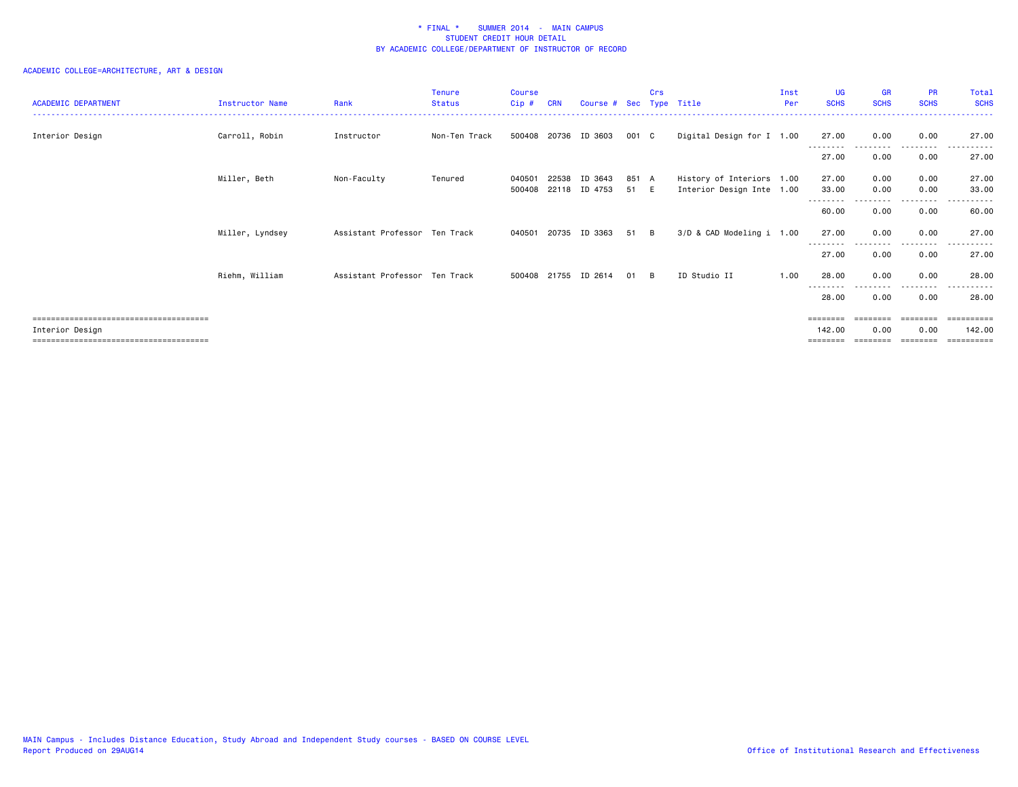| <b>ACADEMIC DEPARTMENT</b>                           | Instructor Name | Rank                          | <b>Tenure</b><br><b>Status</b> | <b>Course</b><br>Cip# | <b>CRN</b> | Course # Sec Type Title  |               | Crs |                                                        | Inst<br>Per | UG<br><b>SCHS</b>           | <b>GR</b><br><b>SCHS</b> | <b>PR</b><br><b>SCHS</b> | Total<br><b>SCHS</b> |
|------------------------------------------------------|-----------------|-------------------------------|--------------------------------|-----------------------|------------|--------------------------|---------------|-----|--------------------------------------------------------|-------------|-----------------------------|--------------------------|--------------------------|----------------------|
| Interior Design                                      | Carroll, Robin  | Instructor                    | Non-Ten Track                  |                       |            | 500408 20736 ID 3603     | 001 C         |     | Digital Design for I 1.00                              |             | 27.00                       | 0.00                     | 0.00                     | 27.00                |
|                                                      |                 |                               |                                |                       |            |                          |               |     |                                                        |             | 27.00                       | 0.00                     | 0.00                     | 27.00                |
|                                                      | Miller, Beth    | Non-Faculty                   | Tenured                        | 040501<br>500408      | 22538      | ID 3643<br>22118 ID 4753 | 851 A<br>51 E |     | History of Interiors 1.00<br>Interior Design Inte 1.00 |             | 27.00<br>33.00              | 0.00<br>0.00             | 0.00<br>0.00             | 27.00<br>33.00       |
|                                                      |                 |                               |                                |                       |            |                          |               |     |                                                        |             | --------<br>60.00           | 0.00                     | $\cdots$<br>0.00         | 60.00                |
|                                                      | Miller, Lyndsey | Assistant Professor Ten Track |                                |                       |            | 040501 20735 ID 3363     | 51 B          |     | 3/D & CAD Modeling i 1.00                              |             | 27.00                       | 0.00                     | 0.00                     | 27.00                |
|                                                      |                 |                               |                                |                       |            |                          |               |     |                                                        |             | 27.00                       | 0.00                     | 0.00                     | 27.00                |
|                                                      | Riehm, William  | Assistant Professor Ten Track |                                | 500408 21755          |            | ID 2614                  | 01            | B   | ID Studio II                                           | 1.00        | 28.00                       | 0.00                     | 0.00                     | 28.00                |
|                                                      |                 |                               |                                |                       |            |                          |               |     |                                                        |             | 28.00                       | 0.00                     | .<br>0.00                | 28.00                |
| =================================<br>Interior Design |                 |                               |                                |                       |            |                          |               |     |                                                        |             | $=$ = = = = = = =<br>142.00 | 0.00                     | ========<br>0.00         | 142.00<br>========== |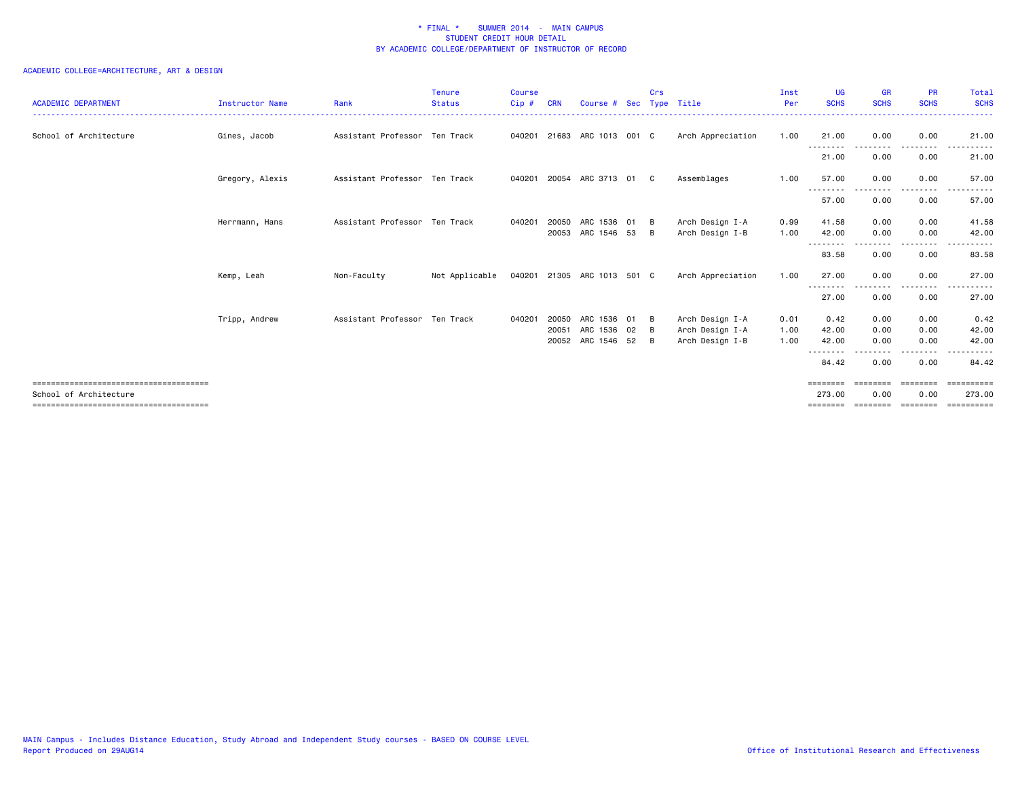| <b>ACADEMIC DEPARTMENT</b> | <b>Instructor Name</b> | Rank                          | <b>Tenure</b><br><b>Status</b> | <b>Course</b><br>Cip# | <b>CRN</b>     | Course # Sec Type Title     |          | Crs     |                                    | Inst<br>Per  | UG<br><b>SCHS</b>              | <b>GR</b><br><b>SCHS</b> | <b>PR</b><br><b>SCHS</b>                                                                                                          | Total<br><b>SCHS</b>                     |
|----------------------------|------------------------|-------------------------------|--------------------------------|-----------------------|----------------|-----------------------------|----------|---------|------------------------------------|--------------|--------------------------------|--------------------------|-----------------------------------------------------------------------------------------------------------------------------------|------------------------------------------|
| School of Architecture     | Gines, Jacob           | Assistant Professor Ten Track |                                |                       |                | 040201 21683 ARC 1013 001 C |          |         | Arch Appreciation                  | 1.00         | 21.00                          | 0.00                     | 0.00                                                                                                                              | 21.00                                    |
|                            |                        |                               |                                |                       |                |                             |          |         |                                    |              | --------<br>21.00              | 0.00                     | ----<br>0.00                                                                                                                      | 21.00                                    |
|                            | Gregory, Alexis        | Assistant Professor Ten Track |                                | 040201                |                | 20054 ARC 3713 01           |          | C       | Assemblages                        | 1.00         | 57.00                          | 0.00                     | 0.00                                                                                                                              | 57.00                                    |
|                            |                        |                               |                                |                       |                |                             |          |         |                                    |              | --------<br>57.00              | . <u>.</u> .<br>0.00     | -----<br>0.00                                                                                                                     | .<br>57.00                               |
|                            | Herrmann, Hans         | Assistant Professor Ten Track |                                | 040201                | 20050<br>20053 | ARC 1536<br>ARC 1546 53     | 01       | B<br>B. | Arch Design I-A<br>Arch Design I-B | 0.99<br>1.00 | 41.58<br>42.00                 | 0.00<br>0.00             | 0.00<br>0.00                                                                                                                      | 41.58<br>42.00                           |
|                            |                        |                               |                                |                       |                |                             |          |         |                                    |              | --------<br>83.58              | 0.00                     | .<br>0.00                                                                                                                         | 83.58                                    |
|                            | Kemp, Leah             | Non-Faculty                   | Not Applicable                 |                       |                | 040201 21305 ARC 1013 501 C |          |         | Arch Appreciation                  | 1.00         | 27.00                          | 0.00                     | 0.00                                                                                                                              | 27.00                                    |
|                            |                        |                               |                                |                       |                |                             |          |         |                                    |              | --------<br>27.00              | 0.00                     | $\frac{1}{2} \left( \frac{1}{2} \right) \left( \frac{1}{2} \right) \left( \frac{1}{2} \right) \left( \frac{1}{2} \right)$<br>0.00 | 27.00                                    |
|                            | Tripp, Andrew          | Assistant Professor Ten Track |                                | 040201                | 20050<br>20051 | ARC 1536<br>ARC 1536        | 01<br>02 | B<br>B  | Arch Design I-A<br>Arch Design I-A | 0.01<br>1.00 | 0.42<br>42.00                  | 0.00<br>0.00             | 0.00<br>0.00                                                                                                                      | 0.42<br>42.00                            |
|                            |                        |                               |                                |                       | 20052          | ARC 1546                    | 52       | B       | Arch Design I-B                    | 1.00         | 42.00<br>--------              | 0.00                     | 0.00<br>- - - -                                                                                                                   | 42.00                                    |
|                            |                        |                               |                                |                       |                |                             |          |         |                                    |              | 84.42                          | 0.00                     | 0.00                                                                                                                              | 84.42                                    |
| School of Architecture     |                        |                               |                                |                       |                |                             |          |         |                                    |              | ========<br>273.00<br>======== | 0.00<br>========         | 0.00<br>========                                                                                                                  | ==========<br>273.00<br><b>ESSESSESS</b> |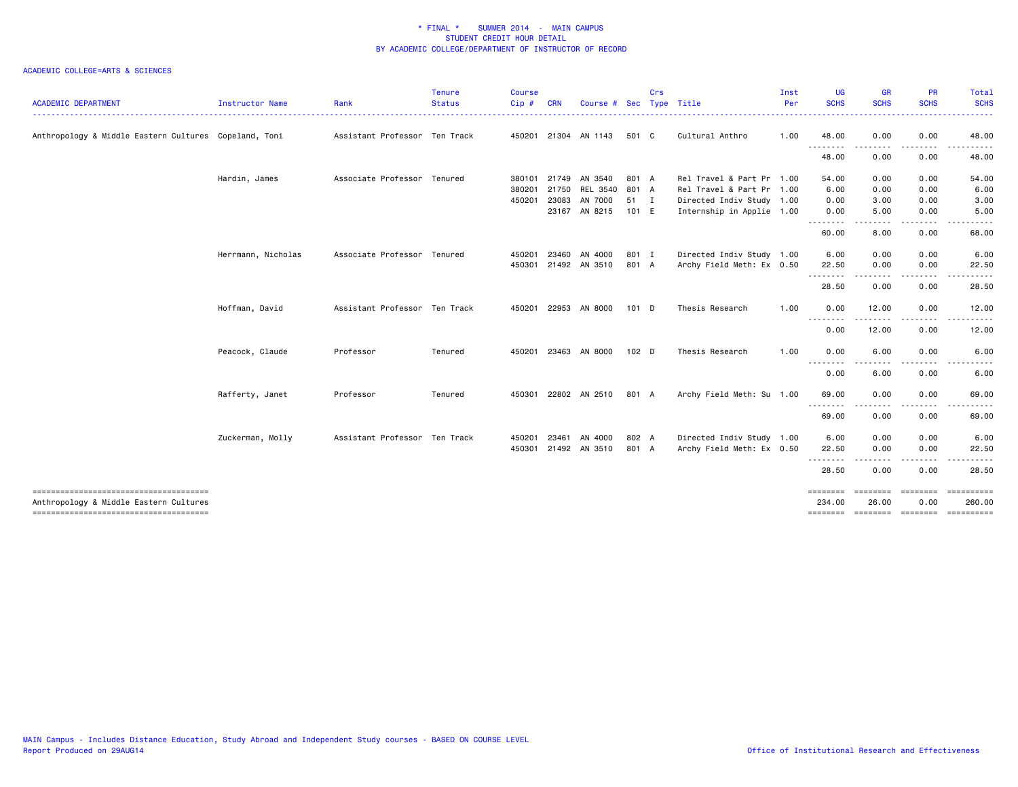| <b>ACADEMIC DEPARTMENT</b>                            |                    | Rank                          | <b>Tenure</b><br><b>Status</b> | <b>Course</b><br>Cip# | <b>CRN</b> | Course #             | <b>Sec</b>       | <b>Crs</b> | Type Title                | Inst<br>Per | <b>UG</b><br><b>SCHS</b> | <b>GR</b><br><b>SCHS</b> | <b>PR</b><br><b>SCHS</b> | Total<br><b>SCHS</b>                          |
|-------------------------------------------------------|--------------------|-------------------------------|--------------------------------|-----------------------|------------|----------------------|------------------|------------|---------------------------|-------------|--------------------------|--------------------------|--------------------------|-----------------------------------------------|
| ----------------------                                | Instructor Name    |                               |                                |                       |            |                      |                  |            |                           |             | .                        |                          |                          | .                                             |
| Anthropology & Middle Eastern Cultures Copeland, Toni |                    | Assistant Professor Ten Track |                                |                       |            | 450201 21304 AN 1143 | 501 C            |            | Cultural Anthro           | 1.00        | 48.00                    | 0.00                     | 0.00                     | 48.00                                         |
|                                                       |                    |                               |                                |                       |            |                      |                  |            |                           |             | <u>.</u><br>48.00        | .<br>0.00                | .<br>0.00                | .<br>48.00                                    |
|                                                       | Hardin, James      | Associate Professor Tenured   |                                | 380101 21749          |            | AN 3540              | 801 A            |            | Rel Travel & Part Pr 1.00 |             | 54.00                    | 0.00                     | 0.00                     | 54.00                                         |
|                                                       |                    |                               |                                | 380201                | 21750      | REL 3540             | 801 A            |            | Rel Travel & Part Pr 1.00 |             | 6.00                     | 0.00                     | 0.00                     | 6.00                                          |
|                                                       |                    |                               |                                | 450201                | 23083      | AN 7000              | 51 I             |            | Directed Indiv Study 1.00 |             | 0.00                     | 3.00                     | 0.00                     | 3.00                                          |
|                                                       |                    |                               |                                |                       | 23167      | AN 8215              | 101 E            |            | Internship in Applie 1.00 |             | 0.00                     | 5.00                     | 0.00                     | 5.00                                          |
|                                                       |                    |                               |                                |                       |            |                      |                  |            |                           |             | <u>--------</u><br>60.00 | .<br>8.00                | 0.00                     | 68.00                                         |
|                                                       | Herrmann, Nicholas | Associate Professor Tenured   |                                | 450201                | 23460      | AN 4000              | 801 I            |            | Directed Indiv Study 1.00 |             | 6.00                     | 0.00                     | 0.00                     | 6.00                                          |
|                                                       |                    |                               |                                |                       |            | 450301 21492 AN 3510 | 801 A            |            | Archy Field Meth: Ex 0.50 |             | 22.50                    | 0.00                     | 0.00                     | 22.50                                         |
|                                                       |                    |                               |                                |                       |            |                      |                  |            |                           |             | --------                 | -----                    | -----                    | .                                             |
|                                                       |                    |                               |                                |                       |            |                      |                  |            |                           |             | 28.50                    | 0.00                     | 0.00                     | 28.50                                         |
|                                                       | Hoffman, David     | Assistant Professor Ten Track |                                |                       |            | 450201 22953 AN 8000 | 101 D            |            | Thesis Research           | 1.00        | 0.00                     | 12.00                    | 0.00                     | 12.00<br>.                                    |
|                                                       |                    |                               |                                |                       |            |                      |                  |            |                           |             | .<br>0.00                | 12.00                    | .<br>0.00                | 12.00                                         |
|                                                       | Peacock, Claude    | Professor                     | Tenured                        | 450201                |            | 23463 AN 8000        | 102 <sub>D</sub> |            | Thesis Research           | 1.00        | 0.00                     | 6.00                     | 0.00                     | 6.00                                          |
|                                                       |                    |                               |                                |                       |            |                      |                  |            |                           |             | $\sim$ $\sim$<br>0.00    | 6.00                     | 0.00                     | 6.00                                          |
|                                                       | Rafferty, Janet    | Professor                     | Tenured                        | 450301                |            | 22802 AN 2510        | 801 A            |            | Archy Field Meth: Su 1.00 |             | 69.00                    | 0.00                     | 0.00                     | 69.00                                         |
|                                                       |                    |                               |                                |                       |            |                      |                  |            |                           |             | 69.00                    | 0.00                     | 0.00                     | 69.00                                         |
|                                                       | Zuckerman, Molly   | Assistant Professor Ten Track |                                | 450201                | 23461      | AN 4000              | 802 A            |            | Directed Indiv Study 1.00 |             | 6.00                     | 0.00                     | 0.00                     | 6.00                                          |
|                                                       |                    |                               |                                |                       |            | 450301 21492 AN 3510 | 801 A            |            | Archy Field Meth: Ex 0.50 |             | 22.50                    | 0.00                     | 0.00                     | 22.50                                         |
|                                                       |                    |                               |                                |                       |            |                      |                  |            |                           |             | --------                 |                          | .                        |                                               |
|                                                       |                    |                               |                                |                       |            |                      |                  |            |                           |             | 28.50                    | 0.00                     | 0.00                     | 28.50                                         |
|                                                       |                    |                               |                                |                       |            |                      |                  |            |                           |             | ========                 | ========                 |                          | ==========                                    |
| Anthropology & Middle Eastern Cultures                |                    |                               |                                |                       |            |                      |                  |            |                           |             | 234.00                   | 26.00                    | 0.00                     | 260.00<br>-------- ------- -------- --------- |
|                                                       |                    |                               |                                |                       |            |                      |                  |            |                           |             |                          |                          |                          |                                               |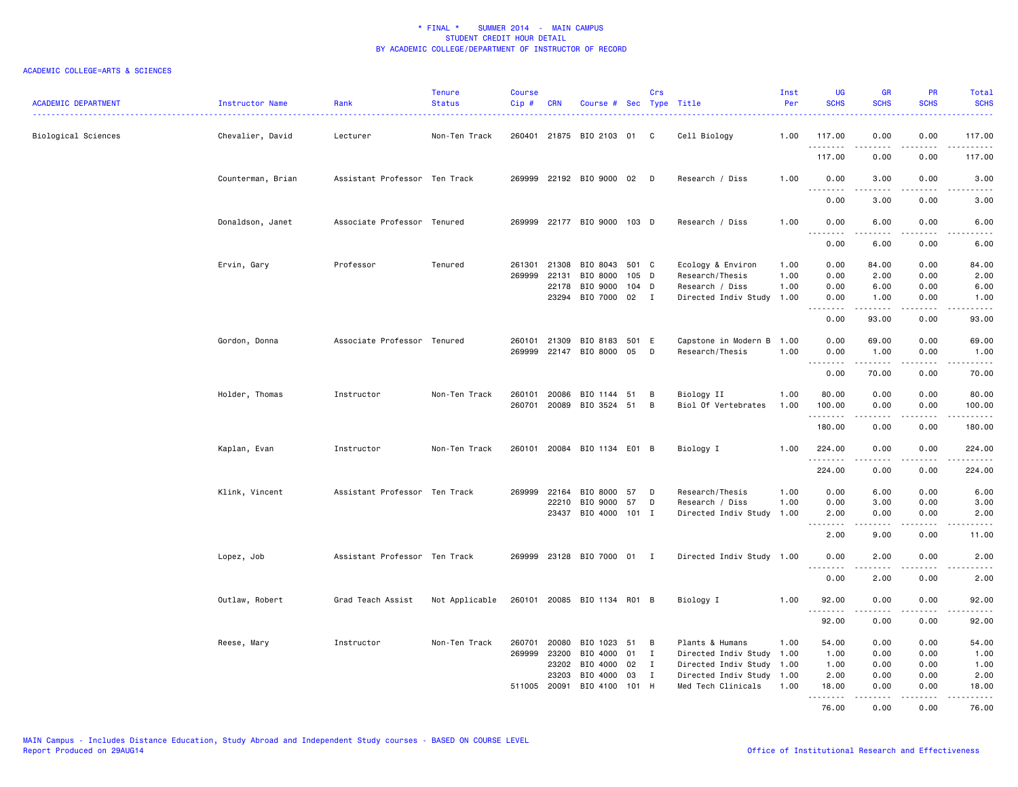| <b>ACADEMIC DEPARTMENT</b> | Instructor Name   | Rank                          | <b>Tenure</b><br><b>Status</b> | Course<br>Cip#   | <b>CRN</b>                       | Course # Sec Type Title                                 |              | Crs          |                                                                                      | Inst<br>Per          | UG<br><b>SCHS</b>                                    | <b>GR</b><br><b>SCHS</b>                      | <b>PR</b><br><b>SCHS</b>            | Total<br><b>SCHS</b>                                                                                                              |
|----------------------------|-------------------|-------------------------------|--------------------------------|------------------|----------------------------------|---------------------------------------------------------|--------------|--------------|--------------------------------------------------------------------------------------|----------------------|------------------------------------------------------|-----------------------------------------------|-------------------------------------|-----------------------------------------------------------------------------------------------------------------------------------|
| Biological Sciences        | Chevalier, David  | Lecturer                      | Non-Ten Track                  | 260401           |                                  | 21875 BIO 2103 01                                       |              | C            | Cell Biology                                                                         | 1.00                 | 117.00<br>.                                          | 0.00                                          | 0.00                                | 117.00<br>.                                                                                                                       |
|                            |                   |                               |                                |                  |                                  |                                                         |              |              |                                                                                      |                      | 117.00                                               | .<br>0.00                                     | $\sim$ $\sim$ $\sim$ $\sim$<br>0.00 | 117.00                                                                                                                            |
|                            | Counterman, Brian | Assistant Professor Ten Track |                                |                  |                                  | 269999 22192 BIO 9000 02 D                              |              |              | Research / Diss                                                                      | 1.00                 | 0.00<br>$\sim$ $\sim$ $\sim$<br>$- - - - -$          | 3.00<br>.                                     | 0.00<br>$\frac{1}{2}$               | 3.00<br>$- - - -$                                                                                                                 |
|                            |                   |                               |                                |                  |                                  |                                                         |              |              |                                                                                      |                      | 0.00                                                 | 3.00                                          | 0.00                                | 3.00                                                                                                                              |
|                            | Donaldson, Janet  | Associate Professor Tenured   |                                |                  |                                  | 269999 22177 BIO 9000 103 D                             |              |              | Research / Diss                                                                      | 1.00                 | 0.00<br>$\sim$ $\sim$<br>$\sim$ $\sim$ $\sim$ $\sim$ | 6.00<br>.                                     | 0.00<br>$\sim$ $\sim$ $\sim$        | 6.00<br>$\frac{1}{2} \left( \frac{1}{2} \right) \left( \frac{1}{2} \right) \left( \frac{1}{2} \right) \left( \frac{1}{2} \right)$ |
|                            |                   |                               |                                |                  |                                  |                                                         |              |              |                                                                                      |                      | 0.00                                                 | 6.00                                          | 0.00                                | 6.00                                                                                                                              |
|                            | Ervin, Gary       | Professor                     | Tenured                        | 261301<br>269999 | 21308<br>22131<br>22178<br>23294 | BIO 8043 501 C<br>BIO 8000<br>BIO 9000<br>BIO 7000 02 I | 105<br>104 D | D            | Ecology & Environ<br>Research/Thesis<br>Research / Diss<br>Directed Indiv Study 1.00 | 1.00<br>1.00<br>1.00 | 0.00<br>0.00<br>0.00<br>0.00<br>د د د د              | 84.00<br>2.00<br>6.00<br>1.00<br>. <b>.</b> . | 0.00<br>0.00<br>0.00<br>0.00<br>.   | 84.00<br>2.00<br>6.00<br>1.00<br>.                                                                                                |
|                            |                   |                               |                                |                  |                                  |                                                         |              |              |                                                                                      |                      | 0.00                                                 | 93.00                                         | 0.00                                | 93.00                                                                                                                             |
|                            | Gordon, Donna     | Associate Professor Tenured   |                                | 260101<br>269999 | 21309<br>22147                   | BIO 8183 501 E<br>BIO 8000                              | 05           | D            | Capstone in Modern B 1.00<br>Research/Thesis                                         | 1.00                 | 0.00<br>0.00<br>$\sim$ $\sim$ $\sim$<br><b>.</b>     | 69.00<br>1.00                                 | 0.00<br>0.00                        | 69.00<br>1.00<br>المتمامين                                                                                                        |
|                            |                   |                               |                                |                  |                                  |                                                         |              |              |                                                                                      |                      | 0.00                                                 | 70.00                                         | 0.00                                | 70.00                                                                                                                             |
|                            | Holder, Thomas    | Instructor                    | Non-Ten Track                  | 260101<br>260701 | 20086<br>20089                   | BIO 1144<br>BIO 3524                                    | 51<br>51     | B<br>В       | Biology II<br>Biol Of Vertebrates                                                    | 1.00<br>1.00         | 80.00<br>100.00<br>.                                 | 0.00<br>0.00<br>د د د د                       | 0.00<br>0.00<br>$\frac{1}{2}$       | 80.00<br>100.00<br>.                                                                                                              |
|                            |                   |                               |                                |                  |                                  |                                                         |              |              |                                                                                      |                      | 180.00                                               | 0.00                                          | 0.00                                | 180.00                                                                                                                            |
|                            | Kaplan, Evan      | Instructor                    | Non-Ten Track                  |                  |                                  | 260101 20084 BIO 1134 E01 B                             |              |              | Biology I                                                                            | 1.00                 | 224.00<br>.                                          | 0.00<br>-----                                 | 0.00<br>.                           | 224.00<br>$- - - - - -$                                                                                                           |
|                            |                   |                               |                                |                  |                                  |                                                         |              |              |                                                                                      |                      | 224.00                                               | 0.00                                          | 0.00                                | 224.00                                                                                                                            |
|                            | Klink, Vincent    | Assistant Professor Ten Track |                                | 269999           | 22164                            | BIO 8000                                                | 57           | D            | Research/Thesis                                                                      | 1.00                 | 0.00                                                 | 6.00                                          | 0.00                                | 6.00                                                                                                                              |
|                            |                   |                               |                                |                  | 22210                            | BIO 9000                                                | 57           | D            | Research / Diss                                                                      | 1.00                 | 0.00                                                 | 3.00                                          | 0.00                                | 3.00                                                                                                                              |
|                            |                   |                               |                                |                  |                                  | 23437 BIO 4000 101 I                                    |              |              | Directed Indiv Study 1.00                                                            |                      | 2.00<br>.                                            | 0.00<br>.                                     | 0.00<br>.                           | 2.00<br>د د د د د                                                                                                                 |
|                            |                   |                               |                                |                  |                                  |                                                         |              |              |                                                                                      |                      | 2.00                                                 | 9.00                                          | 0.00                                | 11.00                                                                                                                             |
|                            | Lopez, Job        | Assistant Professor Ten Track |                                | 269999           |                                  | 23128 BIO 7000 01 I                                     |              |              | Directed Indiv Study 1.00                                                            |                      | 0.00<br><u> - - - - - - - -</u>                      | 2.00<br>.                                     | 0.00<br>$   -$                      | 2.00<br>.                                                                                                                         |
|                            |                   |                               |                                |                  |                                  |                                                         |              |              |                                                                                      |                      | 0.00                                                 | 2.00                                          | 0.00                                | 2.00                                                                                                                              |
|                            | Outlaw, Robert    | Grad Teach Assist             | Not Applicable                 |                  |                                  | 260101 20085 BIO 1134 R01 B                             |              |              | Biology I                                                                            | 1.00                 | 92.00<br>.                                           | 0.00<br>-----                                 | 0.00<br>.                           | 92.00<br>.                                                                                                                        |
|                            |                   |                               |                                |                  |                                  |                                                         |              |              |                                                                                      |                      | 92.00                                                | 0.00                                          | 0.00                                | 92.00                                                                                                                             |
|                            | Reese, Mary       | Instructor                    | Non-Ten Track                  | 260701           | 20080                            | BIO 1023                                                | 51           | B            | Plants & Humans                                                                      | 1.00                 | 54.00                                                | 0.00                                          | 0.00                                | 54.00                                                                                                                             |
|                            |                   |                               |                                | 269999           | 23200                            | BIO 4000                                                | 01           | $\mathbf I$  | Directed Indiv Study 1.00                                                            |                      | 1.00                                                 | 0.00                                          | 0.00                                | 1.00                                                                                                                              |
|                            |                   |                               |                                |                  | 23202                            | BIO 4000                                                | 02           | $\mathbf{I}$ | Directed Indiv Study 1.00                                                            |                      | 1.00                                                 | 0.00                                          | 0.00                                | 1.00                                                                                                                              |
|                            |                   |                               |                                |                  | 23203                            | BIO 4000                                                | 03           | $\mathbf{I}$ | Directed Indiv Study 1.00                                                            |                      | 2.00                                                 | 0.00                                          | 0.00                                | 2.00                                                                                                                              |
|                            |                   |                               |                                | 511005           | 20091                            | BIO 4100                                                | 101 H        |              | Med Tech Clinicals                                                                   | 1.00                 | 18.00                                                | 0.00                                          | 0.00                                | 18.00                                                                                                                             |
|                            |                   |                               |                                |                  |                                  |                                                         |              |              |                                                                                      |                      | . <b>.</b><br>76.00                                  | .<br>0.00                                     | $- - - -$<br>0.00                   | .<br>76.00                                                                                                                        |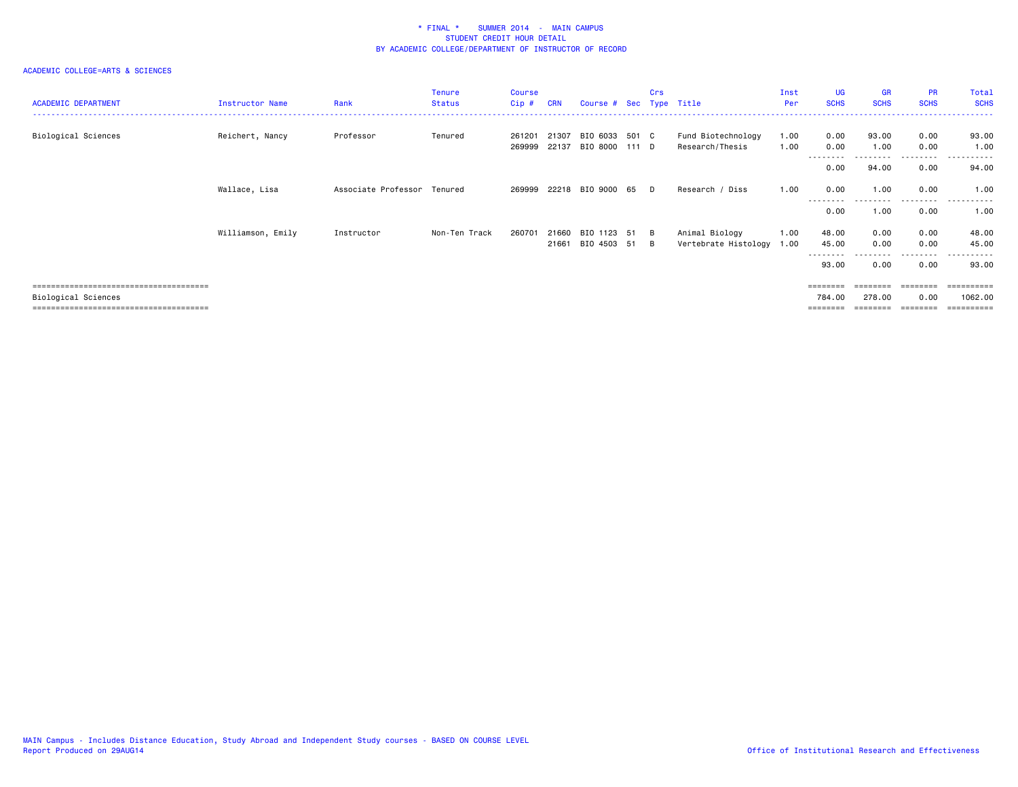| <b>ACADEMIC DEPARTMENT</b> | <b>Instructor Name</b> | Rank                        | <b>Tenure</b><br><b>Status</b> | Course<br>$Cip$ # | <b>CRN</b>     | Course # Sec Type Title          | Crs           |                                             | Inst<br>Per  | UG<br><b>SCHS</b>                   | <b>GR</b><br><b>SCHS</b> | <b>PR</b><br><b>SCHS</b>     | Total<br><b>SCHS</b>                      |
|----------------------------|------------------------|-----------------------------|--------------------------------|-------------------|----------------|----------------------------------|---------------|---------------------------------------------|--------------|-------------------------------------|--------------------------|------------------------------|-------------------------------------------|
| Biological Sciences        | Reichert, Nancy        | Professor                   | Tenured                        | 261201<br>269999  | 21307<br>22137 | BIO 6033 501 C<br>BIO 8000 111 D |               | Fund Biotechnology<br>Research/Thesis       | 1.00<br>1.00 | 0.00<br>0.00                        | 93.00<br>1.00            | 0.00<br>0.00                 | 93.00<br>1.00                             |
|                            |                        |                             |                                |                   |                |                                  |               |                                             |              | -----<br>0.00                       | 94.00                    | .<br>0.00                    | ------<br>94.00                           |
|                            | Wallace, Lisa          | Associate Professor Tenured |                                | 269999            |                | 22218 BIO 9000 65 D              |               | Research / Diss                             | 1.00         | 0.00                                | 1.00                     | 0.00                         | 1.00                                      |
|                            |                        |                             |                                |                   |                |                                  |               |                                             |              | --------<br>0.00                    | 1.00                     | .<br>0.00                    | ------<br>.<br>1.00                       |
|                            | Williamson, Emily      | Instructor                  | Non-Ten Track                  | 260701            | 21660<br>21661 | BIO 1123 51<br>BIO 4503 51       | B<br><b>B</b> | Animal Biology<br>Vertebrate Histology 1.00 | 1.00         | 48.00<br>45.00<br>--------<br>93.00 | 0.00<br>0.00<br>0.00     | 0.00<br>0.00<br>.<br>0.00    | 48.00<br>45.00<br>------<br>$ -$<br>93.00 |
| Biological Sciences        |                        |                             |                                |                   |                |                                  |               |                                             |              | ========<br>784.00<br>========      | ========<br>278.00       | ========<br>0.00<br>======== | ==========<br>1062.00<br>==========       |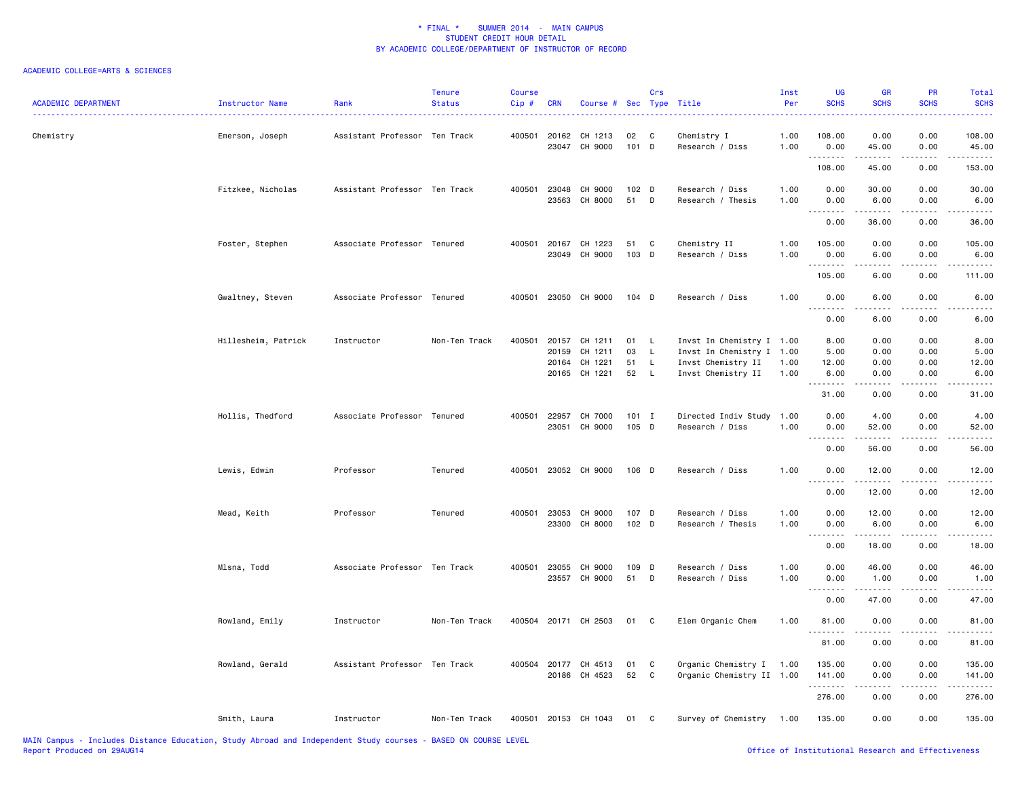| <b>ACADEMIC DEPARTMENT</b> | Instructor Name     | Rank                          | <b>Tenure</b><br><b>Status</b> | <b>Course</b><br>Cip# | <b>CRN</b> | Course # Sec Type Title                                    |                          | Crs                                      |                                                                                                    | Inst<br>Per  | UG<br><b>SCHS</b>             | <b>GR</b><br><b>SCHS</b>                                                                                                                                      | PR<br><b>SCHS</b>                                                                                                                                            | <b>Total</b><br><b>SCHS</b>   |
|----------------------------|---------------------|-------------------------------|--------------------------------|-----------------------|------------|------------------------------------------------------------|--------------------------|------------------------------------------|----------------------------------------------------------------------------------------------------|--------------|-------------------------------|---------------------------------------------------------------------------------------------------------------------------------------------------------------|--------------------------------------------------------------------------------------------------------------------------------------------------------------|-------------------------------|
| Chemistry                  | Emerson, Joseph     | Assistant Professor Ten Track |                                |                       |            | 400501 20162 CH 1213<br>23047 CH 9000                      | 02<br>101 D              | $\mathbf{C}$                             | Chemistry I<br>Research / Diss                                                                     | 1.00<br>1.00 | 108.00<br>0.00                | 0.00<br>45.00                                                                                                                                                 | 0.00<br>0.00                                                                                                                                                 | 108.00<br>45.00               |
|                            |                     |                               |                                |                       |            |                                                            |                          |                                          |                                                                                                    |              | .<br>108.00                   | .<br>45.00                                                                                                                                                    | -----<br>0.00                                                                                                                                                | 153.00                        |
|                            | Fitzkee, Nicholas   | Assistant Professor Ten Track |                                | 400501                |            | 23048 CH 9000<br>23563 CH 8000                             | 102 <sub>D</sub><br>51 D |                                          | Research / Diss<br>Research / Thesis                                                               | 1.00<br>1.00 | 0.00<br>0.00                  | 30.00<br>6.00                                                                                                                                                 | 0.00<br>0.00                                                                                                                                                 | 30.00<br>6.00                 |
|                            |                     |                               |                                |                       |            |                                                            |                          |                                          |                                                                                                    |              | .<br>0.00                     | .<br>36.00                                                                                                                                                    | -----<br>0.00                                                                                                                                                | 36.00                         |
|                            | Foster, Stephen     | Associate Professor Tenured   |                                | 400501                |            | 20167 CH 1223<br>23049 CH 9000                             | 51<br>103 D              | C                                        | Chemistry II<br>Research / Diss                                                                    | 1.00<br>1.00 | 105.00<br>0.00                | 0.00<br>6.00                                                                                                                                                  | 0.00<br>0.00                                                                                                                                                 | 105.00<br>6.00                |
|                            |                     |                               |                                |                       |            |                                                            |                          |                                          |                                                                                                    |              | .<br>105.00                   | د د د د<br>6.00                                                                                                                                               | .<br>0.00                                                                                                                                                    | 111.00                        |
|                            | Gwaltney, Steven    | Associate Professor Tenured   |                                | 400501                |            | 23050 CH 9000                                              | $104$ D                  |                                          | Research / Diss                                                                                    | 1.00         | 0.00<br>.                     | 6.00<br>$\omega$ is a $\omega$                                                                                                                                | 0.00                                                                                                                                                         | 6.00                          |
|                            |                     |                               |                                |                       |            |                                                            |                          |                                          |                                                                                                    |              | 0.00                          | 6.00                                                                                                                                                          | 0.00                                                                                                                                                         | 6.00                          |
|                            | Hillesheim, Patrick | Instructor                    | Non-Ten Track                  | 400501                | 20159      | 20157 CH 1211<br>CH 1211<br>20164 CH 1221<br>20165 CH 1221 | 01<br>03<br>51<br>52     | $\mathsf{L}$<br>L.<br>L.<br>$\mathsf{L}$ | Invst In Chemistry I 1.00<br>Invst In Chemistry I 1.00<br>Invst Chemistry II<br>Invst Chemistry II | 1.00<br>1.00 | 8.00<br>5.00<br>12.00<br>6.00 | 0.00<br>0.00<br>0.00<br>0.00                                                                                                                                  | 0.00<br>0.00<br>0.00<br>0.00                                                                                                                                 | 8.00<br>5.00<br>12.00<br>6.00 |
|                            |                     |                               |                                |                       |            |                                                            |                          |                                          |                                                                                                    |              | .<br>31.00                    | $\sim$ $\sim$ $\sim$ $\sim$<br>0.00                                                                                                                           | .<br>0.00                                                                                                                                                    | 31.00                         |
|                            | Hollis, Thedford    | Associate Professor Tenured   |                                | 400501                | 22957      | CH 7000<br>23051 CH 9000                                   | 101 I<br>105 D           |                                          | Directed Indiv Study<br>Research / Diss                                                            | 1.00<br>1.00 | 0.00<br>0.00                  | 4.00<br>52.00                                                                                                                                                 | 0.00<br>0.00                                                                                                                                                 | 4.00<br>52.00                 |
|                            |                     |                               |                                |                       |            |                                                            |                          |                                          |                                                                                                    |              | .<br>0.00                     | .<br>56.00                                                                                                                                                    | -----<br>0.00                                                                                                                                                | 56.00                         |
|                            | Lewis, Edwin        | Professor                     | Tenured                        | 400501                |            | 23052 CH 9000                                              | 106 D                    |                                          | Research / Diss                                                                                    | 1.00         | 0.00                          | 12.00                                                                                                                                                         | 0.00                                                                                                                                                         | 12.00                         |
|                            |                     |                               |                                |                       |            |                                                            |                          |                                          |                                                                                                    |              | .<br>0.00                     | ------<br>12.00                                                                                                                                               | $\frac{1}{2} \left( \frac{1}{2} \right) \left( \frac{1}{2} \right) \left( \frac{1}{2} \right) \left( \frac{1}{2} \right) \left( \frac{1}{2} \right)$<br>0.00 | <u>.</u><br>12.00             |
|                            | Mead, Keith         | Professor                     | Tenured                        |                       | 23300      | 400501 23053 CH 9000<br>CH 8000                            | 107 D<br>102 D           |                                          | Research / Diss<br>Research / Thesis                                                               | 1.00<br>1.00 | 0.00<br>0.00                  | 12.00<br>6.00                                                                                                                                                 | 0.00<br>0.00                                                                                                                                                 | 12.00<br>6.00                 |
|                            |                     |                               |                                |                       |            |                                                            |                          |                                          |                                                                                                    |              | .<br>0.00                     | $\frac{1}{2} \left( \frac{1}{2} \right) \left( \frac{1}{2} \right) \left( \frac{1}{2} \right) \left( \frac{1}{2} \right) \left( \frac{1}{2} \right)$<br>18.00 | .<br>0.00                                                                                                                                                    | 18.00                         |
|                            | Mlsna, Todd         | Associate Professor Ten Track |                                | 400501                | 23055      | CH 9000<br>23557 CH 9000                                   | 109 D<br>51              | D                                        | Research / Diss<br>Research / Diss                                                                 | 1.00<br>1.00 | 0.00<br>0.00                  | 46.00<br>1.00                                                                                                                                                 | 0.00<br>0.00                                                                                                                                                 | 46.00<br>1.00                 |
|                            |                     |                               |                                |                       |            |                                                            |                          |                                          |                                                                                                    |              | 0.00                          | 47.00                                                                                                                                                         | 0.00                                                                                                                                                         | 47.00                         |
|                            | Rowland, Emily      | Instructor                    | Non-Ten Track                  |                       |            | 400504 20171 CH 2503                                       | 01                       | $\mathbf{C}$                             | Elem Organic Chem                                                                                  | 1.00         | 81.00                         | 0.00                                                                                                                                                          | 0.00                                                                                                                                                         | 81.00                         |
|                            |                     |                               |                                |                       |            |                                                            |                          |                                          |                                                                                                    |              | 81.00                         | 0.00                                                                                                                                                          | 0.00                                                                                                                                                         | 81.00                         |
|                            | Rowland, Gerald     | Assistant Professor Ten Track |                                |                       |            | 400504 20177 CH 4513<br>20186 CH 4523                      | 01<br>52                 | C<br>C                                   | Organic Chemistry I 1.00<br>Organic Chemistry II 1.00                                              |              | 135.00<br>141.00              | 0.00<br>0.00                                                                                                                                                  | 0.00<br>0.00                                                                                                                                                 | 135.00<br>141.00              |
|                            |                     |                               |                                |                       |            |                                                            |                          |                                          |                                                                                                    |              | .<br>276.00                   | المستمد<br>0.00                                                                                                                                               | .<br>0.00                                                                                                                                                    | .<br>276.00                   |
|                            | Smith, Laura        | Instructor                    | Non-Ten Track                  |                       |            | 400501 20153 CH 1043                                       | 01 C                     |                                          | Survey of Chemistry 1.00                                                                           |              | 135.00                        | 0.00                                                                                                                                                          | 0.00                                                                                                                                                         | 135.00                        |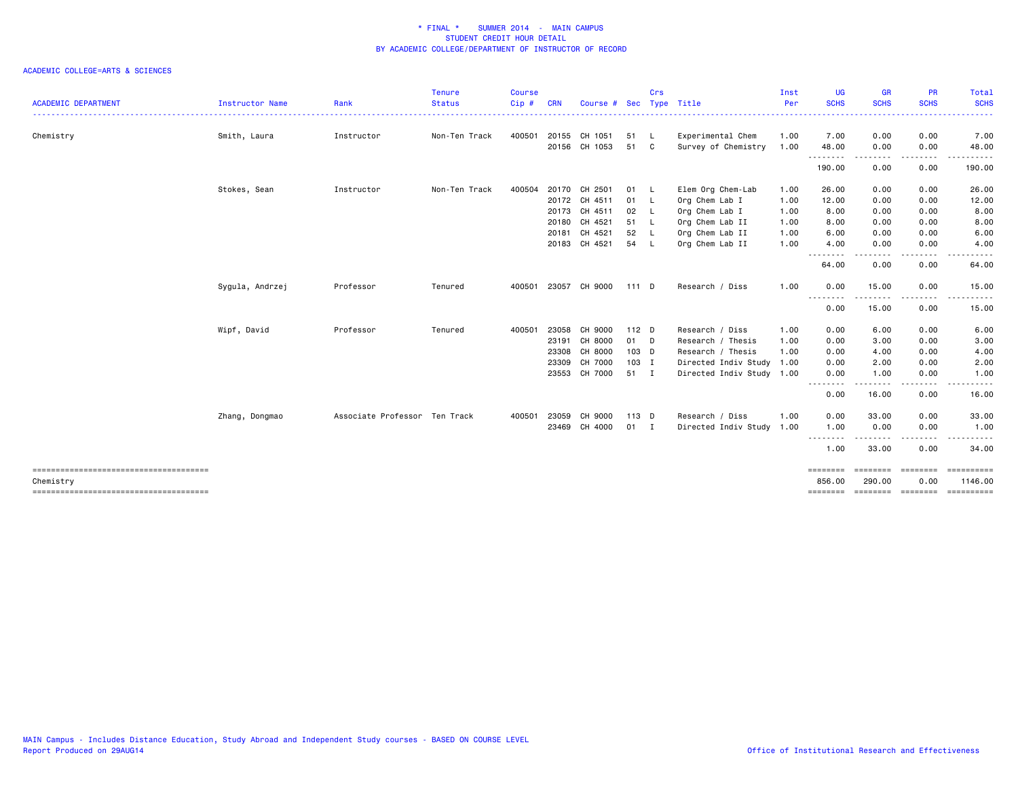| <b>ACADEMIC DEPARTMENT</b> | Instructor Name | Rank                          | <b>Tenure</b><br><b>Status</b> | <b>Course</b><br>Cip# | <b>CRN</b> | Course #      | <b>Sec</b> | Crs          | Type Title                | Inst<br>Per | UG<br><b>SCHS</b>                | <b>GR</b><br><b>SCHS</b>                                                                                                          | <b>PR</b><br><b>SCHS</b> | <b>Total</b><br><b>SCHS</b> |
|----------------------------|-----------------|-------------------------------|--------------------------------|-----------------------|------------|---------------|------------|--------------|---------------------------|-------------|----------------------------------|-----------------------------------------------------------------------------------------------------------------------------------|--------------------------|-----------------------------|
| Chemistry                  | Smith, Laura    | Instructor                    | Non-Ten Track                  | 400501                | 20155      | CH 1051       | 51         | - L          | Experimental Chem         | 1.00        | 7.00                             | 0.00                                                                                                                              | 0.00                     | 7.00                        |
|                            |                 |                               |                                |                       | 20156      | CH 1053       | 51         | C            | Survey of Chemistry       | 1.00        | 48.00<br>--------                | 0.00<br>$\frac{1}{2} \left( \frac{1}{2} \right) \left( \frac{1}{2} \right) \left( \frac{1}{2} \right) \left( \frac{1}{2} \right)$ | 0.00<br>. <b>.</b>       | 48.00<br>.                  |
|                            |                 |                               |                                |                       |            |               |            |              |                           |             | 190.00                           | 0.00                                                                                                                              | 0.00                     | 190.00                      |
|                            | Stokes, Sean    | Instructor                    | Non-Ten Track                  | 400504                | 20170      | CH 2501       | 01         | $\mathsf{L}$ | Elem Org Chem-Lab         | 1.00        | 26.00                            | 0.00                                                                                                                              | 0.00                     | 26.00                       |
|                            |                 |                               |                                |                       | 20172      | CH 4511       | 01         | $\mathsf{L}$ | Org Chem Lab I            | 1.00        | 12.00                            | 0.00                                                                                                                              | 0.00                     | 12.00                       |
|                            |                 |                               |                                |                       | 20173      | CH 4511       | 02         | $\mathsf{L}$ | Org Chem Lab I            | 1.00        | 8.00                             | 0.00                                                                                                                              | 0.00                     | 8.00                        |
|                            |                 |                               |                                |                       | 20180      | CH 4521       | 51         | <b>L</b>     | Org Chem Lab II           | 1.00        | 8.00                             | 0.00                                                                                                                              | 0.00                     | 8.00                        |
|                            |                 |                               |                                |                       | 20181      | CH 4521       | 52         | $\mathsf{L}$ | Org Chem Lab II           | 1.00        | 6.00                             | 0.00                                                                                                                              | 0.00                     | 6.00                        |
|                            |                 |                               |                                |                       |            | 20183 CH 4521 | 54 L       |              | Org Chem Lab II           | 1.00        | 4.00<br><u>.</u>                 | 0.00<br>.                                                                                                                         | 0.00<br>.                | 4.00<br>. <b>.</b> .        |
|                            |                 |                               |                                |                       |            |               |            |              |                           |             | 64.00                            | 0.00                                                                                                                              | 0.00                     | 64.00                       |
|                            | Sygula, Andrzej | Professor                     | Tenured                        | 400501                |            | 23057 CH 9000 | 111 D      |              | Research / Diss           | 1.00        | 0.00                             | 15.00                                                                                                                             | 0.00                     | 15.00                       |
|                            |                 |                               |                                |                       |            |               |            |              |                           |             | $\cdots$<br>. <b>.</b> .<br>0.00 | 15.00                                                                                                                             | 0.00                     | 15.00                       |
|                            | Wipf, David     | Professor                     | Tenured                        | 400501                | 23058      | CH 9000       | $112$ D    |              | Research / Diss           | 1.00        | 0.00                             | 6.00                                                                                                                              | 0.00                     | 6.00                        |
|                            |                 |                               |                                |                       | 23191      | CH 8000       | 01 D       |              | Research / Thesis         | 1.00        | 0.00                             | 3.00                                                                                                                              | 0.00                     | 3.00                        |
|                            |                 |                               |                                |                       | 23308      | CH 8000       | 103 D      |              | Research / Thesis         | 1.00        | 0.00                             | 4.00                                                                                                                              | 0.00                     | 4.00                        |
|                            |                 |                               |                                |                       | 23309      | CH 7000       | 103 I      |              | Directed Indiv Study 1.00 |             | 0.00                             | 2.00                                                                                                                              | 0.00                     | 2.00                        |
|                            |                 |                               |                                |                       | 23553      | CH 7000       | 51 I       |              | Directed Indiv Study 1.00 |             | 0.00                             | 1.00                                                                                                                              | 0.00                     | 1.00                        |
|                            |                 |                               |                                |                       |            |               |            |              |                           |             | .<br>0.00                        | -----<br>16.00                                                                                                                    | .<br>0.00                | .<br>16.00                  |
|                            | Zhang, Dongmao  | Associate Professor Ten Track |                                | 400501                | 23059      | CH 9000       | 113 D      |              | Research / Diss           | 1.00        | 0.00                             | 33.00                                                                                                                             | 0.00                     | 33.00                       |
|                            |                 |                               |                                |                       | 23469      | CH 4000       | 01         | $\mathbf{I}$ | Directed Indiv Study 1.00 |             | 1.00                             | 0.00                                                                                                                              | 0.00                     | 1.00                        |
|                            |                 |                               |                                |                       |            |               |            |              |                           |             | -------<br>1.00                  | 33.00                                                                                                                             | 0.00                     | 34.00                       |
| Chemistry                  |                 |                               |                                |                       |            |               |            |              |                           |             | ========<br>856.00               | ---------<br>290.00                                                                                                               | ========<br>0.00         | ==========<br>1146.00       |
|                            |                 |                               |                                |                       |            |               |            |              |                           |             | ========                         | =================                                                                                                                 |                          | ==========                  |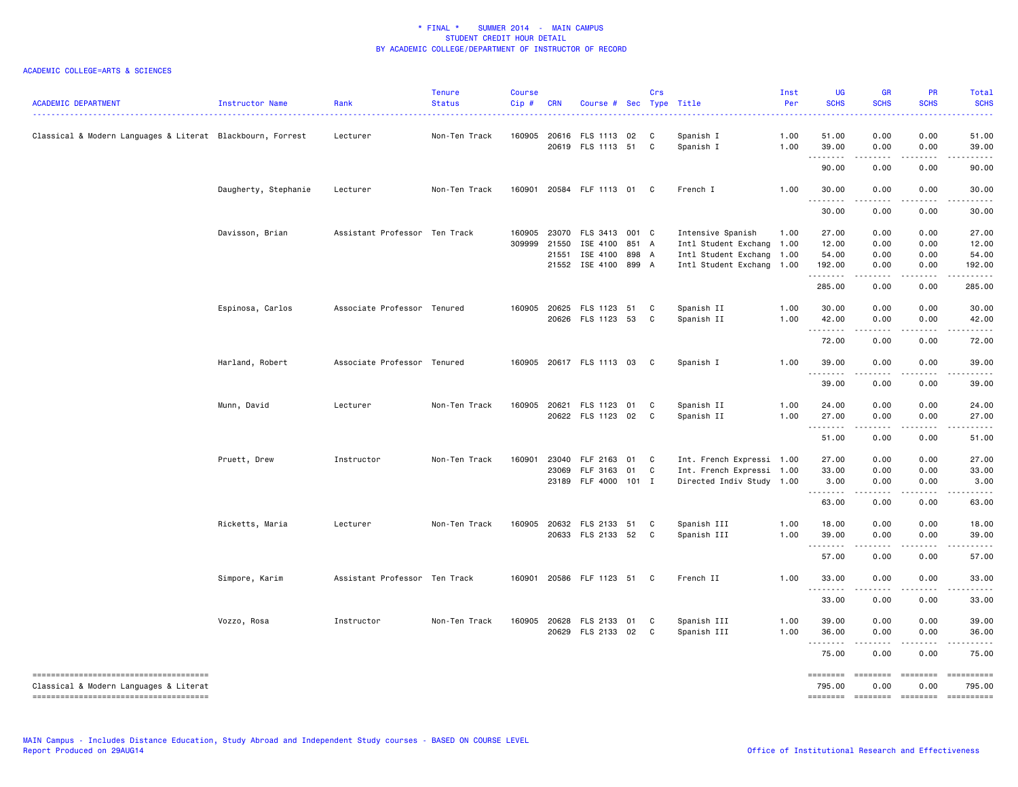| <b>ACADEMIC DEPARTMENT</b>                                                       | Instructor Name      | Rank                          | Tenure<br><b>Status</b> | <b>Course</b><br>Cip# | <b>CRN</b> | Course # Sec Type Title    |       | Crs |                           | Inst<br>Per | UG<br><b>SCHS</b>                                                                                                                                 | GR<br><b>SCHS</b>                                                                                                                                            | <b>PR</b><br><b>SCHS</b>                                                                                                                                     | Total<br><b>SCHS</b> |
|----------------------------------------------------------------------------------|----------------------|-------------------------------|-------------------------|-----------------------|------------|----------------------------|-------|-----|---------------------------|-------------|---------------------------------------------------------------------------------------------------------------------------------------------------|--------------------------------------------------------------------------------------------------------------------------------------------------------------|--------------------------------------------------------------------------------------------------------------------------------------------------------------|----------------------|
| Classical & Modern Languages & Literat Blackbourn, Forrest                       |                      | Lecturer                      | Non-Ten Track           | 160905                |            | 20616 FLS 1113 02          |       | C   | Spanish I                 | 1.00        | 51.00                                                                                                                                             | 0.00                                                                                                                                                         | 0.00                                                                                                                                                         | 51.00                |
|                                                                                  |                      |                               |                         |                       |            | 20619 FLS 1113 51          |       | C   | Spanish I                 | 1.00        | 39.00<br>$\sim$ $\sim$ $\sim$                                                                                                                     | 0.00<br>.                                                                                                                                                    | 0.00                                                                                                                                                         | 39.00                |
|                                                                                  |                      |                               |                         |                       |            |                            |       |     |                           |             | 90.00                                                                                                                                             | 0.00                                                                                                                                                         | 0.00                                                                                                                                                         | 90.00                |
|                                                                                  | Daugherty, Stephanie | Lecturer                      | Non-Ten Track           | 160901                |            | 20584 FLF 1113 01 C        |       |     | French I                  | 1.00        | 30.00<br>.                                                                                                                                        | 0.00<br>.                                                                                                                                                    | 0.00<br>$\frac{1}{2} \left( \frac{1}{2} \right) \left( \frac{1}{2} \right) \left( \frac{1}{2} \right) \left( \frac{1}{2} \right) \left( \frac{1}{2} \right)$ | 30.00<br>.           |
|                                                                                  |                      |                               |                         |                       |            |                            |       |     |                           |             | 30.00                                                                                                                                             | 0.00                                                                                                                                                         | 0.00                                                                                                                                                         | 30.00                |
|                                                                                  | Davisson, Brian      | Assistant Professor Ten Track |                         | 160905                |            | 23070 FLS 3413 001 C       |       |     | Intensive Spanish         | 1.00        | 27.00                                                                                                                                             | 0.00                                                                                                                                                         | 0.00                                                                                                                                                         | 27.00                |
|                                                                                  |                      |                               |                         | 309999                | 21550      | ISE 4100                   | 851 A |     | Intl Student Exchang 1.00 |             | 12.00                                                                                                                                             | 0.00                                                                                                                                                         | 0.00                                                                                                                                                         | 12.00                |
|                                                                                  |                      |                               |                         |                       | 21551      | ISE 4100                   | 898 A |     | Intl Student Exchang 1.00 |             | 54.00                                                                                                                                             | 0.00                                                                                                                                                         | 0.00                                                                                                                                                         | 54.00                |
|                                                                                  |                      |                               |                         |                       |            | 21552 ISE 4100 899 A       |       |     | Intl Student Exchang 1.00 |             | 192.00<br>.                                                                                                                                       | 0.00<br>$\sim$ $\sim$ $\sim$ $\sim$                                                                                                                          | 0.00<br>.                                                                                                                                                    | 192.00<br>.          |
|                                                                                  |                      |                               |                         |                       |            |                            |       |     |                           |             | 285.00                                                                                                                                            | 0.00                                                                                                                                                         | 0.00                                                                                                                                                         | 285.00               |
|                                                                                  | Espinosa, Carlos     | Associate Professor Tenured   |                         | 160905                |            | 20625 FLS 1123 51          |       | C   | Spanish II                | 1.00        | 30.00                                                                                                                                             | 0.00                                                                                                                                                         | 0.00                                                                                                                                                         | 30.00                |
|                                                                                  |                      |                               |                         |                       |            | 20626 FLS 1123 53          |       | C   | Spanish II                | 1.00        | 42.00                                                                                                                                             | 0.00                                                                                                                                                         | 0.00                                                                                                                                                         | 42.00                |
|                                                                                  |                      |                               |                         |                       |            |                            |       |     |                           |             | <b></b>                                                                                                                                           | .                                                                                                                                                            |                                                                                                                                                              | . <u>.</u>           |
|                                                                                  |                      |                               |                         |                       |            |                            |       |     |                           |             | 72.00                                                                                                                                             | 0.00                                                                                                                                                         | 0.00                                                                                                                                                         | 72.00                |
|                                                                                  | Harland, Robert      | Associate Professor Tenured   |                         |                       |            | 160905 20617 FLS 1113 03 C |       |     | Spanish I                 | 1.00        | 39.00<br>.                                                                                                                                        | 0.00<br>.                                                                                                                                                    | 0.00                                                                                                                                                         | 39.00                |
|                                                                                  |                      |                               |                         |                       |            |                            |       |     |                           |             | 39.00                                                                                                                                             | 0.00                                                                                                                                                         | 0.00                                                                                                                                                         | 39.00                |
|                                                                                  | Munn, David          | Lecturer                      | Non-Ten Track           | 160905                | 20621      | FLS 1123 01                |       | C   | Spanish II                | 1.00        | 24.00                                                                                                                                             | 0.00                                                                                                                                                         | 0.00                                                                                                                                                         | 24.00                |
|                                                                                  |                      |                               |                         |                       |            | 20622 FLS 1123 02          |       | C   | Spanish II                | 1.00        | 27.00                                                                                                                                             | 0.00                                                                                                                                                         | 0.00                                                                                                                                                         | 27.00                |
|                                                                                  |                      |                               |                         |                       |            |                            |       |     |                           |             | $\sim$ $\sim$ $\sim$<br>$\frac{1}{2} \left( \frac{1}{2} \right) \left( \frac{1}{2} \right) \left( \frac{1}{2} \right) \left( \frac{1}{2} \right)$ |                                                                                                                                                              |                                                                                                                                                              |                      |
|                                                                                  |                      |                               |                         |                       |            |                            |       |     |                           |             | 51.00                                                                                                                                             | 0.00                                                                                                                                                         | 0.00                                                                                                                                                         | 51.00                |
|                                                                                  | Pruett, Drew         | Instructor                    | Non-Ten Track           | 160901                |            | 23040 FLF 2163             | 01    | C   | Int. French Expressi 1.00 |             | 27.00                                                                                                                                             | 0.00                                                                                                                                                         | 0.00                                                                                                                                                         | 27.00                |
|                                                                                  |                      |                               |                         |                       | 23069      | FLF 3163                   | 01    | C   | Int. French Expressi 1.00 |             | 33.00                                                                                                                                             | 0.00                                                                                                                                                         | 0.00                                                                                                                                                         | 33.00                |
|                                                                                  |                      |                               |                         |                       |            | 23189 FLF 4000 101 I       |       |     | Directed Indiv Study 1.00 |             | 3.00                                                                                                                                              | 0.00                                                                                                                                                         | 0.00                                                                                                                                                         | 3.00                 |
|                                                                                  |                      |                               |                         |                       |            |                            |       |     |                           |             | .<br>63.00                                                                                                                                        | .<br>0.00                                                                                                                                                    | .<br>0.00                                                                                                                                                    | 63.00                |
|                                                                                  | Ricketts, Maria      | Lecturer                      | Non-Ten Track           | 160905                |            | 20632 FLS 2133 51          |       | C   | Spanish III               | 1.00        | 18.00                                                                                                                                             | 0.00                                                                                                                                                         | 0.00                                                                                                                                                         | 18.00                |
|                                                                                  |                      |                               |                         |                       |            | 20633 FLS 2133 52          |       | C   | Spanish III               | 1.00        | 39.00                                                                                                                                             | 0.00                                                                                                                                                         | 0.00                                                                                                                                                         | 39.00                |
|                                                                                  |                      |                               |                         |                       |            |                            |       |     |                           |             | .<br>57.00                                                                                                                                        | .<br>0.00                                                                                                                                                    | 0.00                                                                                                                                                         | 57.00                |
|                                                                                  |                      |                               |                         |                       |            |                            |       |     |                           |             |                                                                                                                                                   |                                                                                                                                                              |                                                                                                                                                              |                      |
|                                                                                  | Simpore, Karim       | Assistant Professor Ten Track |                         | 160901                |            | 20586 FLF 1123 51 C        |       |     | French II                 | 1.00        | 33.00<br>.                                                                                                                                        | 0.00<br>$\frac{1}{2} \left( \frac{1}{2} \right) \left( \frac{1}{2} \right) \left( \frac{1}{2} \right) \left( \frac{1}{2} \right) \left( \frac{1}{2} \right)$ | 0.00<br>.                                                                                                                                                    | 33.00                |
|                                                                                  |                      |                               |                         |                       |            |                            |       |     |                           |             | 33.00                                                                                                                                             | 0.00                                                                                                                                                         | 0.00                                                                                                                                                         | 33.00                |
|                                                                                  | Vozzo, Rosa          | Instructor                    | Non-Ten Track           | 160905                | 20628      | FLS 2133 01                |       | C   | Spanish III               | 1.00        | 39.00                                                                                                                                             | 0.00                                                                                                                                                         | 0.00                                                                                                                                                         | 39.00                |
|                                                                                  |                      |                               |                         |                       |            | 20629 FLS 2133 02          |       | C   | Spanish III               | 1.00        | 36.00<br>$\frac{1}{2} \frac{1}{2} \frac{1}{2} \frac{1}{2} \frac{1}{2} \frac{1}{2}$                                                                | 0.00                                                                                                                                                         | 0.00                                                                                                                                                         | 36.00                |
|                                                                                  |                      |                               |                         |                       |            |                            |       |     |                           |             | 75.00                                                                                                                                             | 0.00                                                                                                                                                         | 0.00                                                                                                                                                         | 75.00                |
|                                                                                  |                      |                               |                         |                       |            |                            |       |     |                           |             | ========                                                                                                                                          | <b>ESSESSES</b>                                                                                                                                              | ========                                                                                                                                                     |                      |
| Classical & Modern Languages & Literat<br>-------------------------------------- |                      |                               |                         |                       |            |                            |       |     |                           |             | 795.00                                                                                                                                            | 0.00                                                                                                                                                         | 0.00<br>$=$ ========                                                                                                                                         | 795.00<br>========== |
|                                                                                  |                      |                               |                         |                       |            |                            |       |     |                           |             |                                                                                                                                                   |                                                                                                                                                              |                                                                                                                                                              |                      |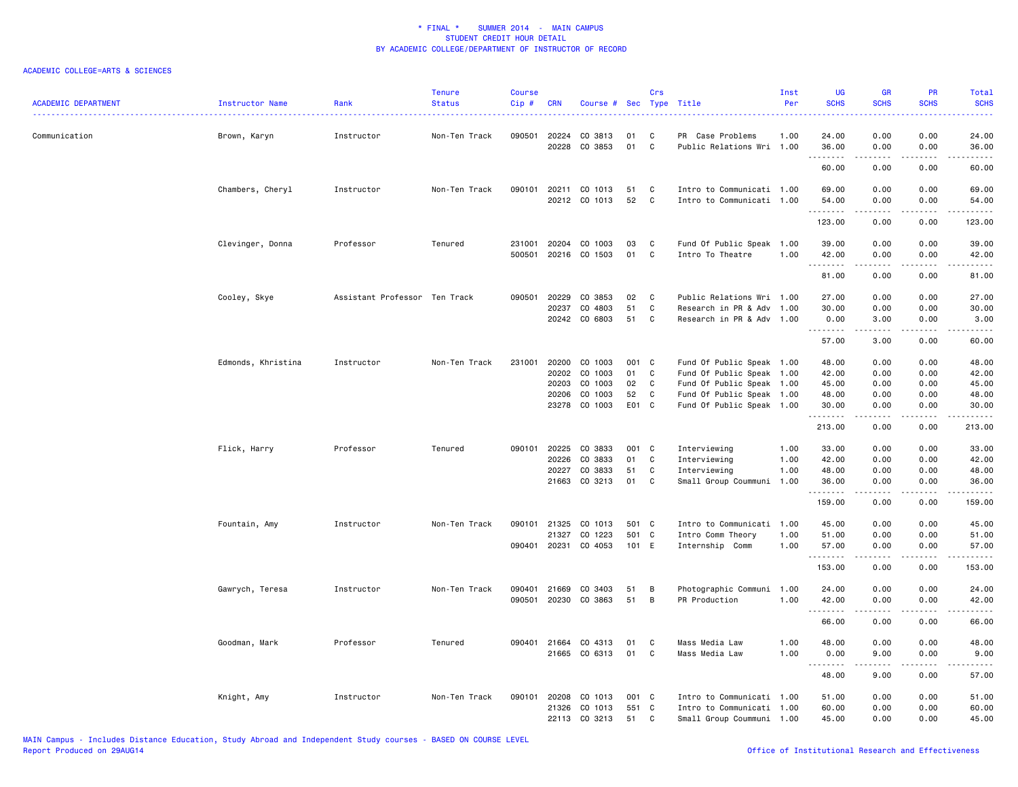| <b>ACADEMIC DEPARTMENT</b> | Instructor Name    | Rank                          | <b>Tenure</b><br><b>Status</b> | Course<br>$Cip$ # | <b>CRN</b>   | Course #      | Sec   | Crs<br>Type | Title                     | Inst<br>Per | <b>UG</b><br><b>SCHS</b>            | <b>GR</b><br><b>SCHS</b>                                                                                                          | PR<br><b>SCHS</b>                   | <b>Total</b><br><b>SCHS</b> |
|----------------------------|--------------------|-------------------------------|--------------------------------|-------------------|--------------|---------------|-------|-------------|---------------------------|-------------|-------------------------------------|-----------------------------------------------------------------------------------------------------------------------------------|-------------------------------------|-----------------------------|
| Communication              | Brown, Karyn       | Instructor                    | Non-Ten Track                  | 090501            | 20224        | CO 3813       | 01    | C           | PR Case Problems          | 1.00        | 24.00                               | 0.00                                                                                                                              | 0.00                                | 24.00                       |
|                            |                    |                               |                                |                   | 20228        | CO 3853       | 01    | C           | Public Relations Wri 1.00 |             | 36.00                               | 0.00                                                                                                                              | 0.00                                | 36.00                       |
|                            |                    |                               |                                |                   |              |               |       |             |                           |             | 60.00                               | 0.00                                                                                                                              | 0.00                                | 60.00                       |
|                            | Chambers, Cheryl   | Instructor                    | Non-Ten Track                  | 090101            | 20211        | CO 1013       | 51    | C           | Intro to Communicati 1.00 |             | 69.00                               | 0.00                                                                                                                              | 0.00                                | 69.00                       |
|                            |                    |                               |                                |                   |              | 20212 CO 1013 | 52    | C           | Intro to Communicati 1.00 |             | 54.00                               | 0.00                                                                                                                              | 0.00<br>.                           | 54.00<br>.                  |
|                            |                    |                               |                                |                   |              |               |       |             |                           |             | .<br>123.00                         | $\frac{1}{2} \left( \frac{1}{2} \right) \left( \frac{1}{2} \right) \left( \frac{1}{2} \right) \left( \frac{1}{2} \right)$<br>0.00 | 0.00                                | 123.00                      |
|                            | Clevinger, Donna   | Professor                     | Tenured                        | 231001            | 20204        | CO 1003       | 03    | C           | Fund Of Public Speak 1.00 |             | 39.00                               | 0.00                                                                                                                              | 0.00                                | 39.00                       |
|                            |                    |                               |                                | 500501            | 20216        | CO 1503       | 01    | C           | Intro To Theatre          | 1.00        | 42.00                               | 0.00                                                                                                                              | 0.00                                | 42.00                       |
|                            |                    |                               |                                |                   |              |               |       |             |                           |             | .<br>81.00                          | .<br>0.00                                                                                                                         | .<br>0.00                           | .<br>81.00                  |
|                            | Cooley, Skye       | Assistant Professor Ten Track |                                | 090501            | 20229        | CO 3853       | 02    | C           | Public Relations Wri 1.00 |             | 27.00                               | 0.00                                                                                                                              | 0.00                                | 27.00                       |
|                            |                    |                               |                                |                   | 20237        | CO 4803       | 51    | C           | Research in PR & Adv 1.00 |             | 30.00                               | 0.00                                                                                                                              | 0.00                                | 30.00                       |
|                            |                    |                               |                                |                   | 20242        | CO 6803       | 51    | C           | Research in PR & Adv 1.00 |             | 0.00<br>.                           | 3.00                                                                                                                              | 0.00                                | 3.00                        |
|                            |                    |                               |                                |                   |              |               |       |             |                           |             | 57.00                               | 3.00                                                                                                                              | 0.00                                | 60.00                       |
|                            | Edmonds, Khristina | Instructor                    | Non-Ten Track                  | 231001            | 20200        | CO 1003       | 001 C |             | Fund Of Public Speak 1.00 |             | 48.00                               | 0.00                                                                                                                              | 0.00                                | 48.00                       |
|                            |                    |                               |                                |                   | 20202        | CO 1003       | 01    | C           | Fund Of Public Speak 1.00 |             | 42.00                               | 0.00                                                                                                                              | 0.00                                | 42.00                       |
|                            |                    |                               |                                |                   | 20203        | CO 1003       | 02    | C           | Fund Of Public Speak 1.00 |             | 45.00                               | 0.00                                                                                                                              | 0.00                                | 45.00                       |
|                            |                    |                               |                                |                   | 20206        | CO 1003       | 52    | C           | Fund Of Public Speak 1.00 |             | 48.00                               | 0.00                                                                                                                              | 0.00                                | 48.00                       |
|                            |                    |                               |                                |                   | 23278        | CO 1003       | E01 C |             | Fund Of Public Speak 1.00 |             | 30.00<br>.                          | 0.00<br>-----                                                                                                                     | 0.00<br>.                           | 30.00<br>.                  |
|                            |                    |                               |                                |                   |              |               |       |             |                           |             | 213.00                              | 0.00                                                                                                                              | 0.00                                | 213.00                      |
|                            | Flick, Harry       | Professor                     | Tenured                        |                   | 090101 20225 | CO 3833       | 001 C |             | Interviewing              | 1.00        | 33.00                               | 0.00                                                                                                                              | 0.00                                | 33.00                       |
|                            |                    |                               |                                |                   | 20226        | CO 3833       | 01    | C           | Interviewing              | 1.00        | 42.00                               | 0.00                                                                                                                              | 0.00                                | 42.00                       |
|                            |                    |                               |                                |                   | 20227        | CO 3833       | 51    | C           | Interviewing              | 1.00        | 48.00                               | 0.00                                                                                                                              | 0.00                                | 48.00                       |
|                            |                    |                               |                                |                   | 21663        | CO 3213       | 01    | C           | Small Group Coummuni 1.00 |             | 36.00<br>.                          | 0.00                                                                                                                              | 0.00<br>$\sim$ $\sim$ $\sim$ $\sim$ | 36.00                       |
|                            |                    |                               |                                |                   |              |               |       |             |                           |             | 159.00                              | 0.00                                                                                                                              | 0.00                                | 159.00                      |
|                            | Fountain, Amy      | Instructor                    | Non-Ten Track                  |                   | 090101 21325 | CO 1013       | 501 C |             | Intro to Communicati 1.00 |             | 45.00                               | 0.00                                                                                                                              | 0.00                                | 45.00                       |
|                            |                    |                               |                                |                   | 21327        | CO 1223       | 501   | C           | Intro Comm Theory         | 1.00        | 51.00                               | 0.00                                                                                                                              | 0.00                                | 51.00                       |
|                            |                    |                               |                                | 090401            | 20231        | CO 4053       | 101 E |             | Internship Comm           | 1.00        | 57.00<br><u>.</u>                   | 0.00                                                                                                                              | 0.00                                | 57.00                       |
|                            |                    |                               |                                |                   |              |               |       |             |                           |             | 153.00                              | 0.00                                                                                                                              | 0.00                                | 153.00                      |
|                            | Gawrych, Teresa    | Instructor                    | Non-Ten Track                  | 090401            | 21669        | CO 3403       | 51    | B           | Photographic Communi 1.00 |             | 24.00                               | 0.00                                                                                                                              | 0.00                                | 24.00                       |
|                            |                    |                               |                                | 090501            | 20230        | CO 3863       | 51    | B           | PR Production             | 1.00        | 42.00                               | 0.00                                                                                                                              | 0.00                                | 42.00                       |
|                            |                    |                               |                                |                   |              |               |       |             |                           |             | .<br>66.00                          | - - - -<br>0.00                                                                                                                   | . <b>.</b> .<br>0.00                | $\frac{1}{2}$<br>66.00      |
|                            | Goodman, Mark      | Professor                     | Tenured                        |                   | 090401 21664 | CO 4313       | 01    | C           | Mass Media Law            | 1.00        | 48.00                               | 0.00                                                                                                                              | 0.00                                | 48.00                       |
|                            |                    |                               |                                |                   | 21665        | CO 6313       | 01    | C           | Mass Media Law            | 1.00        | 0.00                                | 9.00                                                                                                                              | 0.00                                | 9.00                        |
|                            |                    |                               |                                |                   |              |               |       |             |                           |             | $\sim$ $\sim$ .<br>د د د د<br>48.00 | .<br>9.00                                                                                                                         | .<br>0.00                           | .<br>57.00                  |
|                            | Knight, Amy        | Instructor                    | Non-Ten Track                  | 090101            | 20208        | CO 1013       | 001 C |             | Intro to Communicati 1.00 |             | 51.00                               | 0.00                                                                                                                              | 0.00                                | 51.00                       |
|                            |                    |                               |                                |                   | 21326        | CO 1013       | 551   | C           | Intro to Communicati 1.00 |             | 60.00                               | 0.00                                                                                                                              | 0.00                                | 60.00                       |
|                            |                    |                               |                                |                   | 22113        | CO 3213       | 51    | C           | Small Group Coummuni 1.00 |             | 45.00                               | 0.00                                                                                                                              | 0.00                                | 45.00                       |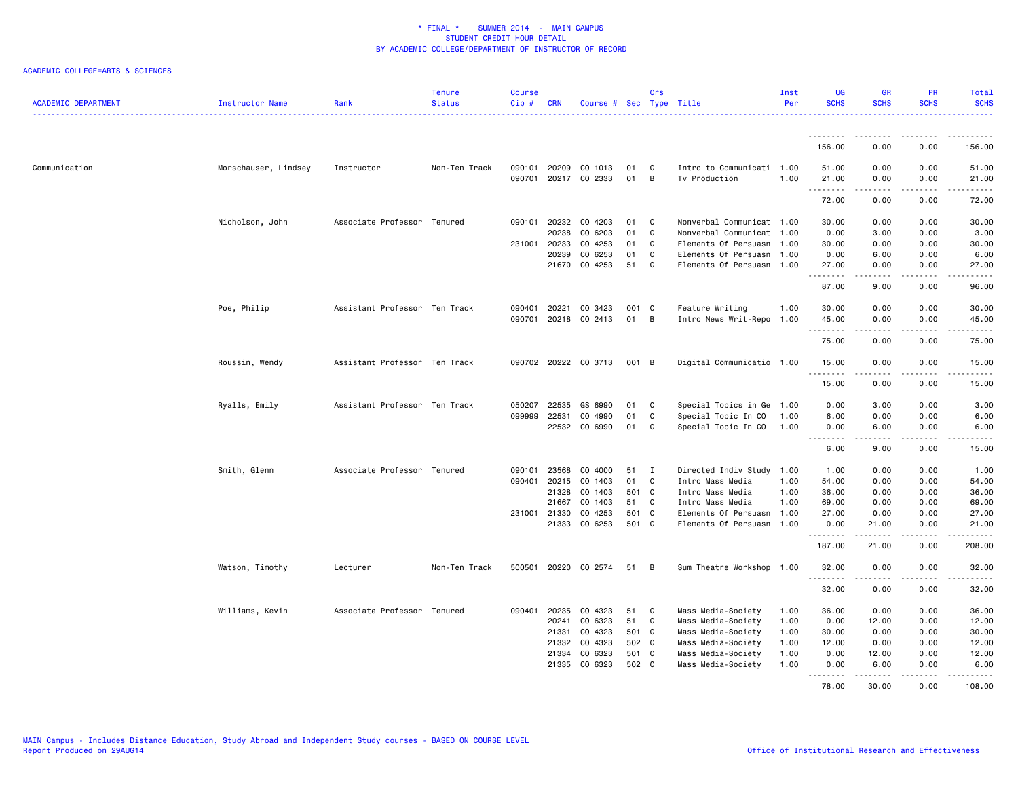| <b>ACADEMIC DEPARTMENT</b> | Instructor Name      | Rank                          | <b>Tenure</b><br><b>Status</b> | <b>Course</b><br>Cip# | <b>CRN</b> | Course # Sec Type Title |       | Crs          |                           | Inst<br>Per | UG<br><b>SCHS</b>                 | <b>GR</b><br><b>SCHS</b> | PR<br><b>SCHS</b> | Total<br><b>SCHS</b>  |
|----------------------------|----------------------|-------------------------------|--------------------------------|-----------------------|------------|-------------------------|-------|--------------|---------------------------|-------------|-----------------------------------|--------------------------|-------------------|-----------------------|
|                            |                      |                               |                                |                       |            |                         |       |              |                           |             |                                   |                          |                   | . <b>.</b>            |
|                            |                      |                               |                                |                       |            |                         |       |              |                           |             | 156.00                            | 0.00                     | 0.00              | 156.00                |
| Communication              | Morschauser, Lindsey | Instructor                    | Non-Ten Track                  | 090101                | 20209      | CO 1013                 | 01    | C            | Intro to Communicati 1.00 |             | 51.00                             | 0.00                     | 0.00              | 51.00                 |
|                            |                      |                               |                                | 090701                | 20217      | CO 2333                 | 01    | В            | Tv Production             | 1.00        | 21.00                             | 0.00                     | 0.00              | 21.00                 |
|                            |                      |                               |                                |                       |            |                         |       |              |                           |             | .<br>72.00                        | .<br>0.00                | .<br>0.00         | .<br>72.00            |
|                            | Nicholson, John      | Associate Professor Tenured   |                                | 090101                | 20232      | CO 4203                 | 01    | C            | Nonverbal Communicat 1.00 |             | 30.00                             | 0.00                     | 0.00              | 30.00                 |
|                            |                      |                               |                                |                       | 20238      | CO 6203                 | 01    | C            | Nonverbal Communicat 1.00 |             | 0.00                              | 3.00                     | 0.00              | 3.00                  |
|                            |                      |                               |                                | 231001                | 20233      | CO 4253                 | 01    | C            | Elements Of Persuasn      | 1.00        | 30.00                             | 0.00                     | 0.00              | 30.00                 |
|                            |                      |                               |                                |                       | 20239      | CO 6253                 | 01    | C            | Elements Of Persuasn 1.00 |             | 0.00                              | 6.00                     | 0.00              | 6.00                  |
|                            |                      |                               |                                |                       |            | 21670 CO 4253           | 51    | C            | Elements Of Persuasn 1.00 |             | 27.00                             | 0.00<br>المستمات         | 0.00<br>.         | 27.00<br>. <b>.</b> . |
|                            |                      |                               |                                |                       |            |                         |       |              |                           |             | 87.00                             | 9.00                     | 0.00              | 96.00                 |
|                            | Poe, Philip          | Assistant Professor Ten Track |                                | 090401                | 20221      | CO 3423                 | 001   | $\mathbf{C}$ | Feature Writing           | 1.00        | 30.00                             | 0.00                     | 0.00              | 30.00                 |
|                            |                      |                               |                                | 090701                |            | 20218 CO 2413           | 01    | B            | Intro News Writ-Repo      | 1.00        | 45.00                             | 0.00                     | 0.00              | 45.00                 |
|                            |                      |                               |                                |                       |            |                         |       |              |                           |             | 75.00                             | 0.00                     | 0.00              | 75.00                 |
|                            | Roussin, Wendy       | Assistant Professor Ten Track |                                |                       |            | 090702 20222 CO 3713    | 001 B |              | Digital Communicatio 1.00 |             | 15.00<br><u>.</u>                 | 0.00                     | 0.00              | 15.00                 |
|                            |                      |                               |                                |                       |            |                         |       |              |                           |             | 15.00                             | 0.00                     | 0.00              | 15.00                 |
|                            | Ryalls, Emily        | Assistant Professor Ten Track |                                | 050207                | 22535      | GS 6990                 | 01    | C            | Special Topics in Ge 1.00 |             | 0.00                              | 3.00                     | 0.00              | 3.00                  |
|                            |                      |                               |                                | 099999                | 22531      | CO 4990                 | 01    | C            | Special Topic In CO       | 1.00        | 6.00                              | 0.00                     | 0.00              | 6.00                  |
|                            |                      |                               |                                |                       | 22532      | CO 6990                 | 01    | C            | Special Topic In CO       | 1.00        | 0.00<br>$\sim$ $\sim$ $\sim$<br>. | 6.00<br>.                | 0.00<br>.         | 6.00                  |
|                            |                      |                               |                                |                       |            |                         |       |              |                           |             | 6.00                              | 9.00                     | 0.00              | 15.00                 |
|                            | Smith, Glenn         | Associate Professor Tenured   |                                | 090101                | 23568      | CO 4000                 | 51    | I            | Directed Indiv Study 1.00 |             | 1.00                              | 0.00                     | 0.00              | 1.00                  |
|                            |                      |                               |                                | 090401                | 20215      | CO 1403                 | 01    | C            | Intro Mass Media          | 1.00        | 54.00                             | 0.00                     | 0.00              | 54.00                 |
|                            |                      |                               |                                |                       | 21328      | CO 1403                 | 501 C |              | Intro Mass Media          | 1.00        | 36.00                             | 0.00                     | 0.00              | 36.00                 |
|                            |                      |                               |                                |                       | 21667      | CO 1403                 | 51    | C            | Intro Mass Media          | 1.00        | 69.00                             | 0.00                     | 0.00              | 69.00                 |
|                            |                      |                               |                                | 231001                | 21330      | CO 4253                 | 501   | $\mathbf{C}$ | Elements Of Persuasn      | 1.00        | 27.00                             | 0.00                     | 0.00              | 27.00                 |
|                            |                      |                               |                                |                       | 21333      | CO 6253                 | 501 C |              | Elements Of Persuasn 1.00 |             | 0.00                              | 21.00<br>.               | 0.00              | 21.00                 |
|                            |                      |                               |                                |                       |            |                         |       |              |                           |             | 187.00                            | 21.00                    | 0.00              | 208.00                |
|                            | Watson, Timothy      | Lecturer                      | Non-Ten Track                  | 500501                |            | 20220 CO 2574           | 51    | B            | Sum Theatre Workshop 1.00 |             | 32.00<br>.                        | 0.00<br>.                | 0.00<br>-----     | 32.00<br>.            |
|                            |                      |                               |                                |                       |            |                         |       |              |                           |             | 32.00                             | 0.00                     | 0.00              | 32.00                 |
|                            | Williams, Kevin      | Associate Professor Tenured   |                                | 090401                | 20235      | CO 4323                 | 51    | C            | Mass Media-Society        | 1.00        | 36.00                             | 0.00                     | 0.00              | 36.00                 |
|                            |                      |                               |                                |                       | 20241      | CO 6323                 | 51    | C            | Mass Media-Society        | 1.00        | 0.00                              | 12.00                    | 0.00              | 12.00                 |
|                            |                      |                               |                                |                       | 21331      | CO 4323                 | 501 C |              | Mass Media-Society        | 1.00        | 30.00                             | 0.00                     | 0.00              | 30.00                 |
|                            |                      |                               |                                |                       | 21332      | CO 4323                 | 502 C |              | Mass Media-Society        | 1.00        | 12.00                             | 0.00                     | 0.00              | 12.00                 |
|                            |                      |                               |                                |                       | 21334      | CO 6323                 | 501 C |              | Mass Media-Society        | 1.00        | 0.00                              | 12.00                    | 0.00              | 12.00                 |
|                            |                      |                               |                                |                       | 21335      | CO 6323                 | 502 C |              | Mass Media-Society        | 1.00        | 0.00                              | 6.00                     | 0.00              | 6.00                  |
|                            |                      |                               |                                |                       |            |                         |       |              |                           |             | .<br>78.00                        | .<br>30.00               | .<br>0.00         | 108.00                |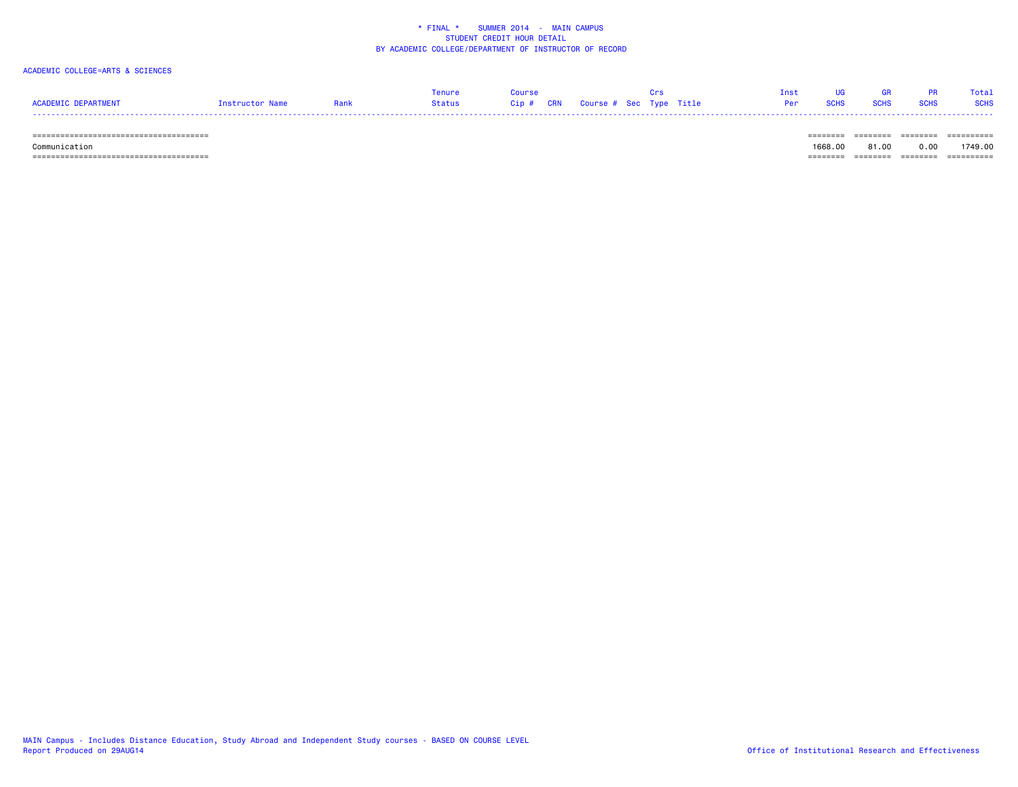## ACADEMIC COLLEGE=ARTS & SCIENCES

|                     |                 |      | enure  |                                   | Tnst |             | <b>GR</b>   | <b>PR</b>   | Total       |
|---------------------|-----------------|------|--------|-----------------------------------|------|-------------|-------------|-------------|-------------|
| ACADEMIC DEPARTMENT | Instructor Name | Rank | Status | Cip # CRN Course # Sec Type Title |      | <b>SCHS</b> | <b>SCHS</b> | <b>SCHS</b> | <b>SCHS</b> |
|                     |                 |      |        |                                   |      |             |             |             |             |

====================================== ======== ======== ======== ==========

====================================== ======== ======== ======== ==========

Communication 1668.00 81.00 0.00 1749.00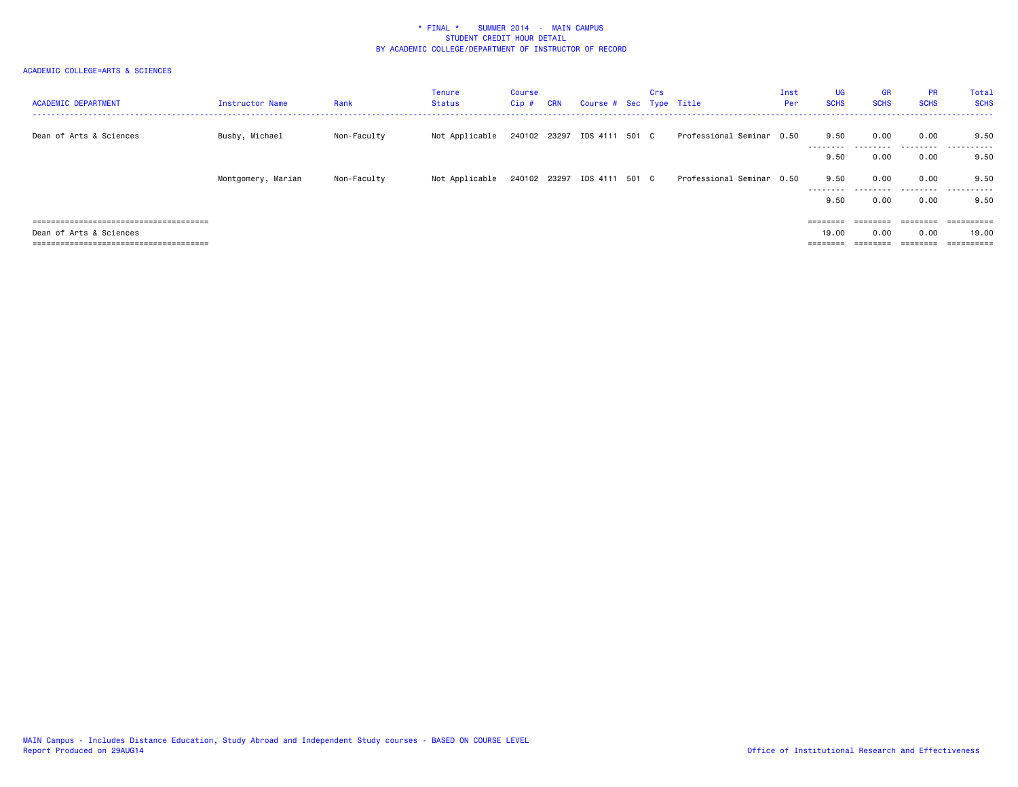| <b>ACADEMIC DEPARTMENT</b> | Instructor Name    | Rank        | Tenure<br>Status | Course<br>$Cip$ # | <b>CRN</b> | Course # Sec Type Title     | Crs |                           | Inst<br>Per | <b>UG</b><br><b>SCHS</b> | <b>GR</b><br><b>SCHS</b>                                                | <b>PR</b><br><b>SCHS</b> | <b>Total</b><br><b>SCHS</b> |
|----------------------------|--------------------|-------------|------------------|-------------------|------------|-----------------------------|-----|---------------------------|-------------|--------------------------|-------------------------------------------------------------------------|--------------------------|-----------------------------|
| Dean of Arts & Sciences    | Busby, Michael     | Non-Faculty | Not Applicable   |                   |            | 240102 23297 IDS 4111 501 C |     | Professional Seminar 0.50 |             | 9.50<br>--------         | 0.00                                                                    | 0.00                     | 9.50<br>.                   |
|                            |                    |             |                  |                   |            |                             |     |                           |             | 9.50                     | 0.00                                                                    | .<br>0.00                | 9.50                        |
|                            | Montgomery, Marian | Non-Faculty | Not Applicable   | 240102 23297      |            | IDS 4111 501 C              |     | Professional Seminar 0.50 |             | 9.50<br>---------        | 0.00<br>.                                                               | 0.00<br>.                | 9.50<br>.                   |
|                            |                    |             |                  |                   |            |                             |     |                           |             | 9.50                     | 0.00                                                                    | 0.00                     | 9.50                        |
|                            |                    |             |                  |                   |            |                             |     |                           |             | ========                 | $\qquad \qquad \equiv \equiv \equiv \equiv \equiv \equiv \equiv \equiv$ | ========                 | ==========                  |
| Dean of Arts & Sciences    |                    |             |                  |                   |            |                             |     |                           |             | 19,00                    | 0.00                                                                    | 0.00                     | 19.00                       |
|                            |                    |             |                  |                   |            |                             |     |                           |             | _______<br>--------      | ________                                                                | ---------<br>--------    | $=$ = = = = = = = = =       |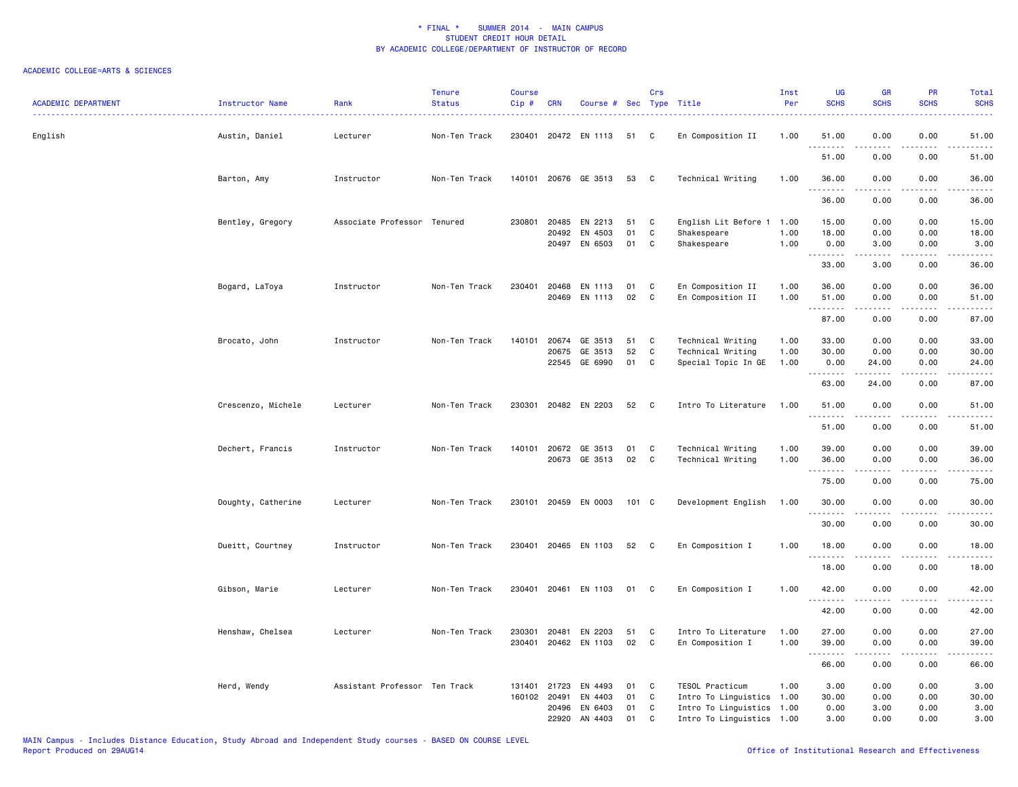| <b>ACADEMIC DEPARTMENT</b> | Instructor Name    | Rank                          | <b>Tenure</b><br><b>Status</b> | <b>Course</b><br>Cip# | <b>CRN</b> | Course # Sec Type Title |          | Crs          |                                                        | Inst<br>Per | UG<br><b>SCHS</b>                                                                                                                                                                                                                                                                                                                                                                                                                                                                               | <b>GR</b><br><b>SCHS</b> | <b>PR</b><br><b>SCHS</b> | Total<br><b>SCHS</b> |
|----------------------------|--------------------|-------------------------------|--------------------------------|-----------------------|------------|-------------------------|----------|--------------|--------------------------------------------------------|-------------|-------------------------------------------------------------------------------------------------------------------------------------------------------------------------------------------------------------------------------------------------------------------------------------------------------------------------------------------------------------------------------------------------------------------------------------------------------------------------------------------------|--------------------------|--------------------------|----------------------|
| English                    | Austin, Daniel     | Lecturer                      | Non-Ten Track                  | 230401                |            | 20472 EN 1113           | 51       | C            | En Composition II                                      | 1.00        | 51.00<br><u>.</u>                                                                                                                                                                                                                                                                                                                                                                                                                                                                               | 0.00                     | 0.00                     | 51.00                |
|                            |                    |                               |                                |                       |            |                         |          |              |                                                        |             | 51.00                                                                                                                                                                                                                                                                                                                                                                                                                                                                                           | 0.00                     | 0.00                     | 51.00                |
|                            | Barton, Amy        | Instructor                    | Non-Ten Track                  |                       |            | 140101 20676 GE 3513    | 53       | $\mathbf{C}$ | Technical Writing                                      | 1.00        | 36.00<br><u>.</u>                                                                                                                                                                                                                                                                                                                                                                                                                                                                               | 0.00                     | 0.00                     | 36.00                |
|                            |                    |                               |                                |                       |            |                         |          |              |                                                        |             | 36.00                                                                                                                                                                                                                                                                                                                                                                                                                                                                                           | 0.00                     | 0.00                     | 36.00                |
|                            | Bentley, Gregory   | Associate Professor Tenured   |                                | 230801                | 20485      | EN 2213                 | 51       | C            | English Lit Before 1                                   | 1.00        | 15.00                                                                                                                                                                                                                                                                                                                                                                                                                                                                                           | 0.00                     | 0.00                     | 15.00                |
|                            |                    |                               |                                |                       | 20492      | EN 4503                 | 01       | C            | Shakespeare                                            | 1.00        | 18.00                                                                                                                                                                                                                                                                                                                                                                                                                                                                                           | 0.00                     | 0.00                     | 18.00                |
|                            |                    |                               |                                |                       | 20497      | EN 6503                 | 01       | C            | Shakespeare                                            | 1.00        | 0.00                                                                                                                                                                                                                                                                                                                                                                                                                                                                                            | 3.00<br>.                | 0.00<br>.                | 3.00<br>.            |
|                            |                    |                               |                                |                       |            |                         |          |              |                                                        |             | 33.00                                                                                                                                                                                                                                                                                                                                                                                                                                                                                           | 3.00                     | 0.00                     | 36.00                |
|                            | Bogard, LaToya     | Instructor                    | Non-Ten Track                  | 230401                | 20468      | EN 1113                 | 01       | C            | En Composition II                                      | 1.00        | 36.00                                                                                                                                                                                                                                                                                                                                                                                                                                                                                           | 0.00                     | 0.00                     | 36.00                |
|                            |                    |                               |                                |                       | 20469      | EN 1113                 | 02       | C            | En Composition II                                      | 1.00        | 51.00                                                                                                                                                                                                                                                                                                                                                                                                                                                                                           | 0.00                     | 0.00                     | 51.00                |
|                            |                    |                               |                                |                       |            |                         |          |              |                                                        |             | .<br>87.00                                                                                                                                                                                                                                                                                                                                                                                                                                                                                      | 0.00                     | 0.00                     | 87.00                |
|                            | Brocato, John      | Instructor                    | Non-Ten Track                  | 140101                | 20674      | GE 3513                 | 51       | C            | Technical Writing                                      | 1.00        | 33.00                                                                                                                                                                                                                                                                                                                                                                                                                                                                                           | 0.00                     | 0.00                     | 33.00                |
|                            |                    |                               |                                |                       | 20675      | GE 3513                 | 52       | C            | Technical Writing                                      | 1.00        | 30.00                                                                                                                                                                                                                                                                                                                                                                                                                                                                                           | 0.00                     | 0.00                     | 30.00                |
|                            |                    |                               |                                |                       |            | 22545 GE 6990           | 01       | C            | Special Topic In GE                                    | 1.00        | 0.00                                                                                                                                                                                                                                                                                                                                                                                                                                                                                            | 24.00                    | 0.00                     | 24.00                |
|                            |                    |                               |                                |                       |            |                         |          |              |                                                        |             | .<br>63.00                                                                                                                                                                                                                                                                                                                                                                                                                                                                                      | .<br>24.00               | -----<br>0.00            | .<br>87.00           |
|                            | Crescenzo, Michele | Lecturer                      | Non-Ten Track                  | 230301                |            | 20482 EN 2203           | 52       | $\mathbf{C}$ | Intro To Literature                                    | 1.00        | 51.00                                                                                                                                                                                                                                                                                                                                                                                                                                                                                           | 0.00                     | 0.00                     | 51.00                |
|                            |                    |                               |                                |                       |            |                         |          |              |                                                        |             | <u>.</u><br>51.00                                                                                                                                                                                                                                                                                                                                                                                                                                                                               | .<br>0.00                | .<br>0.00                | .<br>51.00           |
|                            | Dechert, Francis   | Instructor                    | Non-Ten Track                  | 140101                | 20672      | GE 3513                 | 01       | C            | Technical Writing                                      | 1.00        | 39.00                                                                                                                                                                                                                                                                                                                                                                                                                                                                                           | 0.00                     | 0.00                     | 39.00                |
|                            |                    |                               |                                |                       | 20673      | GE 3513                 | 02       | C            | Technical Writing                                      | 1.00        | 36.00                                                                                                                                                                                                                                                                                                                                                                                                                                                                                           | 0.00                     | 0.00                     | 36.00                |
|                            |                    |                               |                                |                       |            |                         |          |              |                                                        |             |                                                                                                                                                                                                                                                                                                                                                                                                                                                                                                 |                          |                          |                      |
|                            |                    |                               |                                |                       |            |                         |          |              |                                                        |             | 75.00                                                                                                                                                                                                                                                                                                                                                                                                                                                                                           | 0.00                     | 0.00                     | 75.00                |
|                            | Doughty, Catherine | Lecturer                      | Non-Ten Track                  |                       |            | 230101 20459 EN 0003    | 101 C    |              | Development English                                    | 1.00        | 30.00                                                                                                                                                                                                                                                                                                                                                                                                                                                                                           | 0.00                     | 0.00                     | 30.00                |
|                            |                    |                               |                                |                       |            |                         |          |              |                                                        |             | 30.00                                                                                                                                                                                                                                                                                                                                                                                                                                                                                           | 0.00                     | 0.00                     | 30.00                |
|                            | Dueitt, Courtney   | Instructor                    | Non-Ten Track                  | 230401                |            | 20465 EN 1103           | 52       | C            | En Composition I                                       | 1.00        | 18.00<br><u>.</u>                                                                                                                                                                                                                                                                                                                                                                                                                                                                               | 0.00                     | 0.00                     | 18.00                |
|                            |                    |                               |                                |                       |            |                         |          |              |                                                        |             | 18.00                                                                                                                                                                                                                                                                                                                                                                                                                                                                                           | 0.00                     | 0.00                     | 18.00                |
|                            | Gibson, Marie      | Lecturer                      | Non-Ten Track                  | 230401                |            | 20461 EN 1103           | 01       | C            | En Composition I                                       | 1.00        | 42.00                                                                                                                                                                                                                                                                                                                                                                                                                                                                                           | 0.00                     | 0.00                     | 42.00                |
|                            |                    |                               |                                |                       |            |                         |          |              |                                                        |             | 42.00                                                                                                                                                                                                                                                                                                                                                                                                                                                                                           | 0.00                     | 0.00                     | 42.00                |
|                            | Henshaw, Chelsea   | Lecturer                      | Non-Ten Track                  | 230301                | 20481      | EN 2203                 | 51       | C            | Intro To Literature                                    | 1.00        | 27.00                                                                                                                                                                                                                                                                                                                                                                                                                                                                                           | 0.00                     | 0.00                     | 27.00                |
|                            |                    |                               |                                | 230401                |            | 20462 EN 1103           | 02       | C            | En Composition I                                       | 1.00        | 39.00                                                                                                                                                                                                                                                                                                                                                                                                                                                                                           | 0.00                     | 0.00                     | 39.00                |
|                            |                    |                               |                                |                       |            |                         |          |              |                                                        |             | $\begin{array}{cccccccccccccc} \multicolumn{2}{c}{} & \multicolumn{2}{c}{} & \multicolumn{2}{c}{} & \multicolumn{2}{c}{} & \multicolumn{2}{c}{} & \multicolumn{2}{c}{} & \multicolumn{2}{c}{} & \multicolumn{2}{c}{} & \multicolumn{2}{c}{} & \multicolumn{2}{c}{} & \multicolumn{2}{c}{} & \multicolumn{2}{c}{} & \multicolumn{2}{c}{} & \multicolumn{2}{c}{} & \multicolumn{2}{c}{} & \multicolumn{2}{c}{} & \multicolumn{2}{c}{} & \multicolumn{2}{c}{} & \multicolumn{2}{c}{} & \$<br>66.00 | .<br>0.00                | .<br>0.00                | 66.00                |
|                            |                    |                               |                                |                       |            |                         |          |              |                                                        |             |                                                                                                                                                                                                                                                                                                                                                                                                                                                                                                 |                          |                          |                      |
|                            | Herd, Wendy        | Assistant Professor Ten Track |                                | 131401 21723          |            | EN 4493                 | 01       | C            | TESOL Practicum                                        | 1.00        | 3.00                                                                                                                                                                                                                                                                                                                                                                                                                                                                                            | 0.00                     | 0.00                     | 3.00                 |
|                            |                    |                               |                                | 160102 20491          | 20496      | EN 4403<br>EN 6403      | 01<br>01 | C<br>C       | Intro To Linguistics 1.00<br>Intro To Linguistics 1.00 |             | 30.00<br>0.00                                                                                                                                                                                                                                                                                                                                                                                                                                                                                   | 0.00<br>3.00             | 0.00<br>0.00             | 30.00<br>3.00        |
|                            |                    |                               |                                |                       | 22920      | AN 4403                 | 01       | C            | Intro To Linguistics 1.00                              |             | 3.00                                                                                                                                                                                                                                                                                                                                                                                                                                                                                            | 0.00                     | 0.00                     | 3.00                 |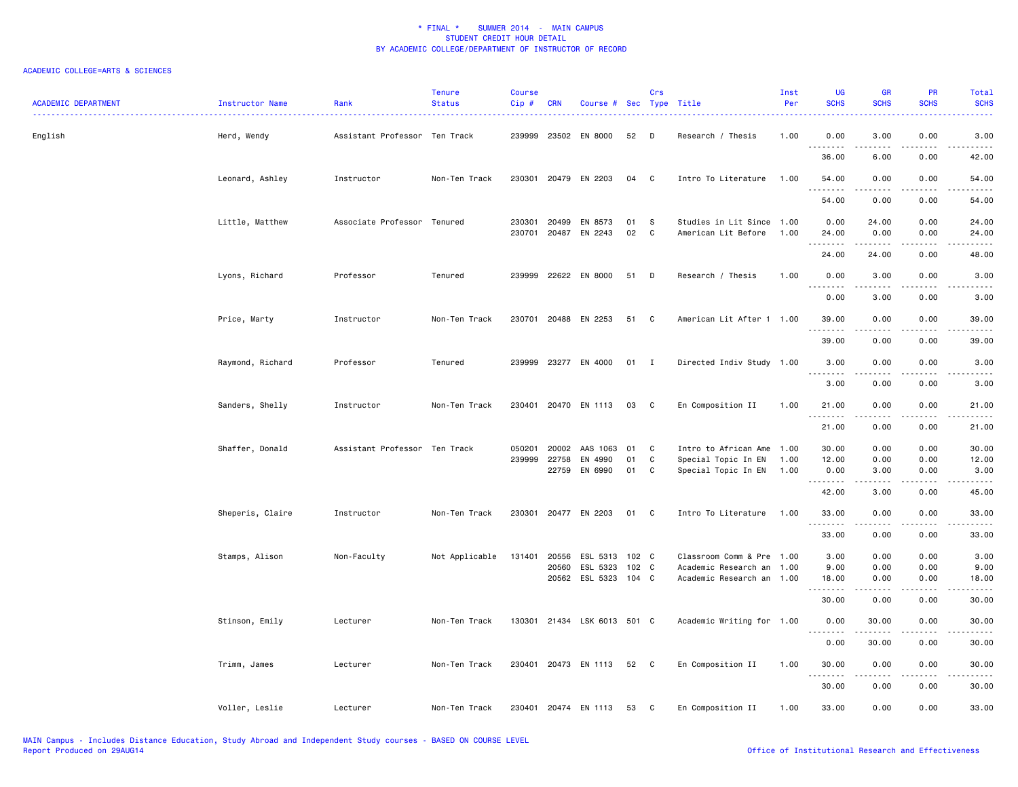| <b>ACADEMIC DEPARTMENT</b> | Instructor Name  | Rank<br>.                     | <b>Tenure</b><br><b>Status</b> | <b>Course</b><br>Cip# | <b>CRN</b>     | Course # Sec Type Title  |                  | Crs    |                                                  | Inst<br>Per | UG<br><b>SCHS</b>                                                                                                                                             | <b>GR</b><br><b>SCHS</b> | <b>PR</b><br><b>SCHS</b> | Total<br><b>SCHS</b> |
|----------------------------|------------------|-------------------------------|--------------------------------|-----------------------|----------------|--------------------------|------------------|--------|--------------------------------------------------|-------------|---------------------------------------------------------------------------------------------------------------------------------------------------------------|--------------------------|--------------------------|----------------------|
| English                    | Herd, Wendy      | Assistant Professor Ten Track |                                | 239999                |                | 23502 EN 8000            | 52               | D      | Research / Thesis                                | 1.00        | 0.00                                                                                                                                                          | 3.00                     | 0.00                     | 3.00                 |
|                            |                  |                               |                                |                       |                |                          |                  |        |                                                  |             | 36.00                                                                                                                                                         | 6.00                     | 0.00                     | 42.00                |
|                            | Leonard, Ashley  | Instructor                    | Non-Ten Track                  | 230301                |                | 20479 EN 2203            | 04               | C      | Intro To Literature                              | 1.00        | 54.00                                                                                                                                                         | 0.00                     | 0.00                     | 54.00                |
|                            |                  |                               |                                |                       |                |                          |                  |        |                                                  |             | 54.00                                                                                                                                                         | 0.00                     | 0.00                     | 54.00                |
|                            | Little, Matthew  | Associate Professor Tenured   |                                | 230301<br>230701      | 20499          | EN 8573<br>20487 EN 2243 | 01<br>02         | s<br>C | Studies in Lit Since 1.00<br>American Lit Before | 1.00        | 0.00<br>24.00                                                                                                                                                 | 24.00<br>0.00            | 0.00<br>0.00             | 24.00<br>24.00       |
|                            |                  |                               |                                |                       |                |                          |                  |        |                                                  |             | .<br>24.00                                                                                                                                                    | .<br>24.00               | .<br>0.00                | 48.00                |
|                            | Lyons, Richard   | Professor                     | Tenured                        | 239999                |                | 22622 EN 8000            | 51               | D      | Research / Thesis                                | 1.00        | 0.00                                                                                                                                                          | 3.00<br>-----            | 0.00<br>.                | 3.00                 |
|                            |                  |                               |                                |                       |                |                          |                  |        |                                                  |             | 0.00                                                                                                                                                          | 3.00                     | 0.00                     | 3.00                 |
|                            | Price, Marty     | Instructor                    | Non-Ten Track                  | 230701                |                | 20488 EN 2253            | 51               | C      | American Lit After 1 1.00                        |             | 39.00<br>$\frac{1}{2} \left( \frac{1}{2} \right) \left( \frac{1}{2} \right) \left( \frac{1}{2} \right) \left( \frac{1}{2} \right) \left( \frac{1}{2} \right)$ | 0.00<br>$\frac{1}{2}$    | 0.00                     | 39.00                |
|                            |                  |                               |                                |                       |                |                          |                  |        |                                                  |             | 39.00                                                                                                                                                         | 0.00                     | 0.00                     | 39.00                |
|                            | Raymond, Richard | Professor                     | Tenured                        | 239999                |                | 23277 EN 4000            | 01 I             |        | Directed Indiv Study 1.00                        |             | 3.00                                                                                                                                                          | 0.00                     | 0.00                     | 3.00                 |
|                            |                  |                               |                                |                       |                |                          |                  |        |                                                  |             | 3.00                                                                                                                                                          | 0.00                     | 0.00                     | 3.00                 |
|                            | Sanders, Shelly  | Instructor                    | Non-Ten Track                  | 230401                |                | 20470 EN 1113            | 03               | C.     | En Composition II                                | 1.00        | 21.00<br>.                                                                                                                                                    | 0.00                     | 0.00                     | 21.00                |
|                            |                  |                               |                                |                       |                |                          |                  |        |                                                  |             | 21.00                                                                                                                                                         | 0.00                     | 0.00                     | 21.00                |
|                            | Shaffer, Donald  | Assistant Professor Ten Track |                                | 050201                | 20002          | AAS 1063                 | 01               | C      | Intro to African Ame                             | 1.00        | 30.00                                                                                                                                                         | 0.00                     | 0.00                     | 30.00                |
|                            |                  |                               |                                | 239999                | 22758<br>22759 | EN 4990<br>EN 6990       | 01<br>01         | C<br>C | Special Topic In EN<br>Special Topic In EN 1.00  | 1.00        | 12.00<br>0.00                                                                                                                                                 | 0.00<br>3.00             | 0.00<br>0.00             | 12.00<br>3.00        |
|                            |                  |                               |                                |                       |                |                          |                  |        |                                                  |             | .                                                                                                                                                             | .                        | .                        | .                    |
|                            |                  |                               |                                |                       |                |                          |                  |        |                                                  |             | 42.00                                                                                                                                                         | 3.00                     | 0.00                     | 45.00                |
|                            | Sheperis, Claire | Instructor                    | Non-Ten Track                  | 230301                |                | 20477 EN 2203            | 01 C             |        | Intro To Literature                              | 1.00        | 33.00<br><u>.</u>                                                                                                                                             | 0.00<br>$\frac{1}{2}$    | 0.00<br>.                | 33.00                |
|                            |                  |                               |                                |                       |                |                          |                  |        |                                                  |             | 33.00                                                                                                                                                         | 0.00                     | 0.00                     | 33.00                |
|                            | Stamps, Alison   | Non-Faculty                   | Not Applicable                 | 131401                | 20556          | ESL 5313                 | 102 <sub>c</sub> |        | Classroom Comm & Pre                             | 1.00        | 3.00                                                                                                                                                          | 0.00                     | 0.00                     | 3.00                 |
|                            |                  |                               |                                |                       | 20560          | ESL 5323                 | 102 <sub>c</sub> |        | Academic Research an                             | 1.00        | 9.00                                                                                                                                                          | 0.00                     | 0.00                     | 9.00                 |
|                            |                  |                               |                                |                       |                | 20562 ESL 5323 104 C     |                  |        | Academic Research an 1.00                        |             | 18.00<br>. <b>.</b>                                                                                                                                           | 0.00<br>.                | 0.00<br>.                | 18.00                |
|                            |                  |                               |                                |                       |                |                          |                  |        |                                                  |             | 30.00                                                                                                                                                         | 0.00                     | 0.00                     | 30.00                |
|                            | Stinson, Emily   | Lecturer                      | Non-Ten Track                  | 130301                |                | 21434 LSK 6013 501 C     |                  |        | Academic Writing for 1.00                        |             | 0.00<br>.                                                                                                                                                     | 30.00<br>. <u>.</u>      | 0.00<br>.                | 30.00                |
|                            |                  |                               |                                |                       |                |                          |                  |        |                                                  |             | 0.00                                                                                                                                                          | 30.00                    | 0.00                     | 30.00                |
|                            | Trimm, James     | Lecturer                      | Non-Ten Track                  | 230401                |                | 20473 EN 1113            | 52 C             |        | En Composition II                                | 1.00        | 30.00                                                                                                                                                         | 0.00                     | 0.00                     | 30.00                |
|                            |                  |                               |                                |                       |                |                          |                  |        |                                                  |             | 30.00                                                                                                                                                         | د د د د<br>0.00          | 0.00                     | 30.00                |
|                            | Voller, Leslie   | Lecturer                      | Non-Ten Track                  | 230401                |                | 20474 EN 1113            | 53               | C      | En Composition II                                | 1.00        | 33.00                                                                                                                                                         | 0.00                     | 0.00                     | 33.00                |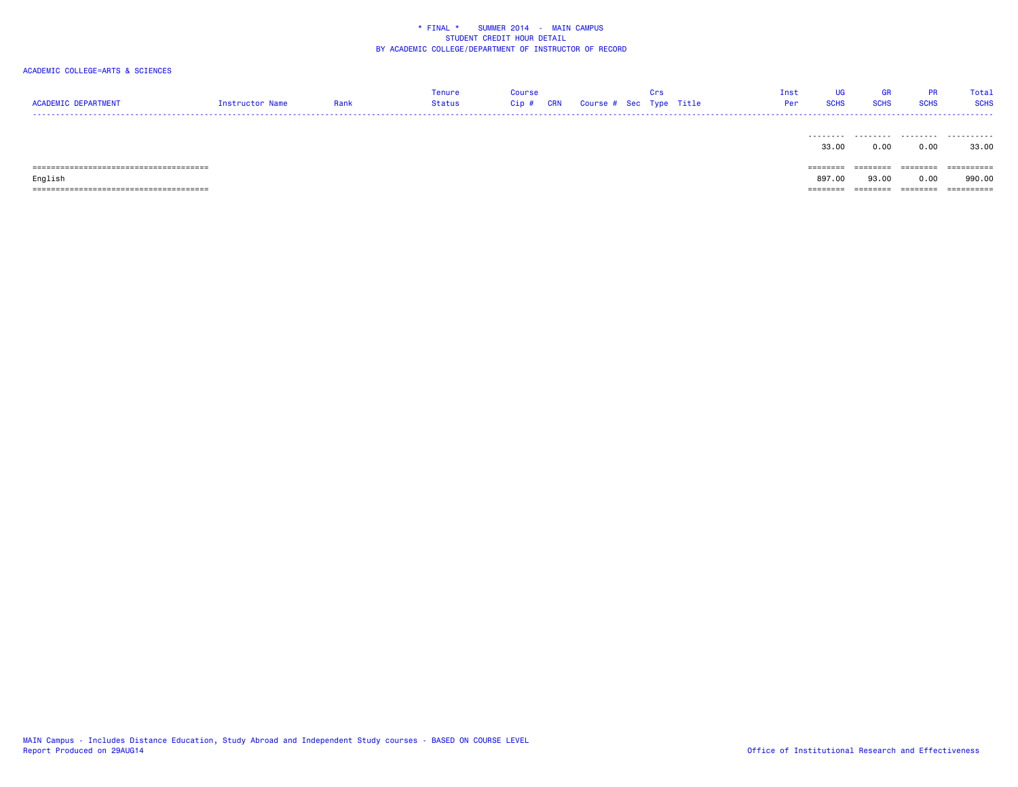| <b>ACADEMIC DEPARTMENT</b> | Instructor Name | Rank | Tenure<br>Status | Course | Crs<br>Cip # CRN Course # Sec Type Title | Inst<br>Per: | UG<br><b>SCHS</b> | <b>GR</b><br><b>SCHS</b> | PR<br><b>SCHS</b> | Total<br><b>SCHS</b> |
|----------------------------|-----------------|------|------------------|--------|------------------------------------------|--------------|-------------------|--------------------------|-------------------|----------------------|
|                            |                 |      |                  |        |                                          |              | 33.00             | 0.00                     | ს.00              | 33.00                |

|         | ---------<br>------- | ________              | ======== | -----------<br>---------- |
|---------|----------------------|-----------------------|----------|---------------------------|
| English | 897.00               | 93.00                 | 0.00     | 990.00                    |
|         | --------             | _________<br>-------- | ======== | ==========                |
|         | 33.00                | v.vo                  | 0.01     | 33.00                     |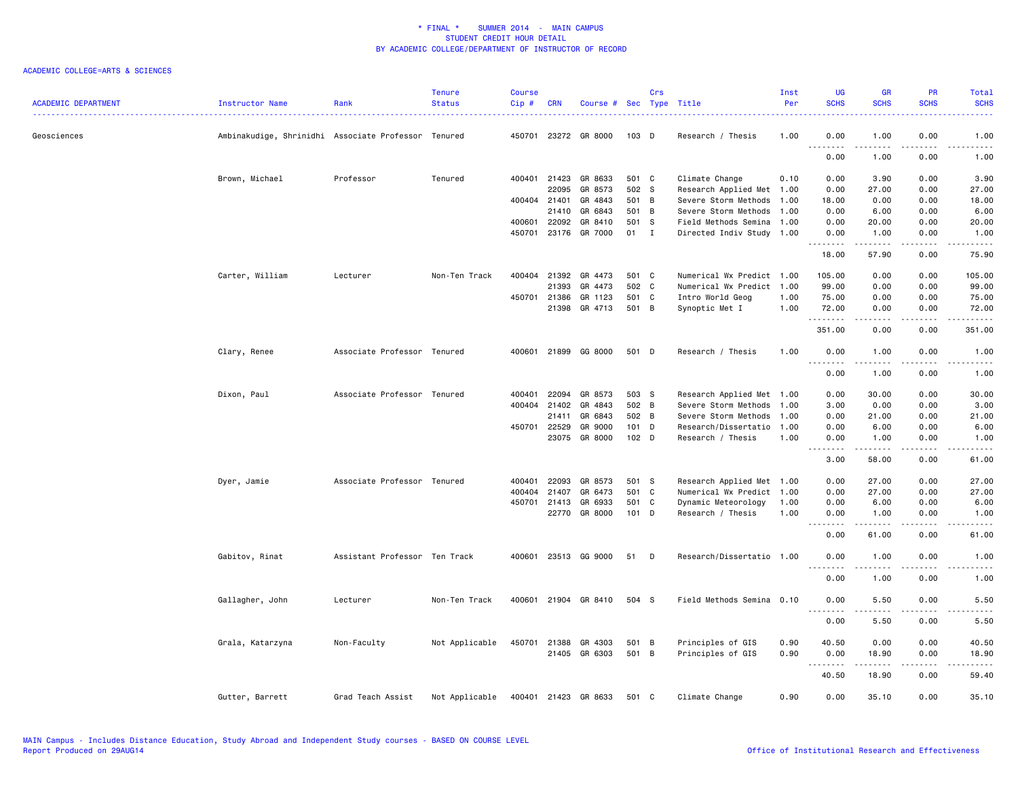| <b>ACADEMIC DEPARTMENT</b> | Instructor Name                                     | Rank                          | <b>Tenure</b><br><b>Status</b> | <b>Course</b><br>$Cip$ # | <b>CRN</b>   | Course # Sec Type Title |                  | Crs          |                           | Inst<br>Per | <b>UG</b><br><b>SCHS</b> | <b>GR</b><br><b>SCHS</b> | PR<br><b>SCHS</b> | Total<br><b>SCHS</b> |
|----------------------------|-----------------------------------------------------|-------------------------------|--------------------------------|--------------------------|--------------|-------------------------|------------------|--------------|---------------------------|-------------|--------------------------|--------------------------|-------------------|----------------------|
| Geosciences                | Ambinakudige, Shrinidhi Associate Professor Tenured |                               |                                |                          |              | 450701 23272 GR 8000    | 103 D            |              | Research / Thesis         | 1.00        | 0.00                     | 1.00                     | 0.00              | 1.00                 |
|                            |                                                     |                               |                                |                          |              |                         |                  |              |                           |             | 0.00                     | 1.00                     | 0.00              | 1.00                 |
|                            | Brown, Michael                                      | Professor                     | Tenured                        |                          | 400401 21423 | GR 8633                 | 501 C            |              | Climate Change            | 0.10        | 0.00                     | 3.90                     | 0.00              | 3.90                 |
|                            |                                                     |                               |                                |                          | 22095        | GR 8573                 | 502 S            |              | Research Applied Met 1.00 |             | 0.00                     | 27.00                    | 0.00              | 27.00                |
|                            |                                                     |                               |                                | 400404                   | 21401        | GR 4843                 | 501 B            |              | Severe Storm Methods      | 1.00        | 18.00                    | 0.00                     | 0.00              | 18.00                |
|                            |                                                     |                               |                                |                          | 21410        | GR 6843                 | 501 B            |              | Severe Storm Methods      | 1.00        | 0.00                     | 6.00                     | 0.00              | 6.00                 |
|                            |                                                     |                               |                                | 400601                   | 22092        | GR 8410                 | 501 S            |              | Field Methods Semina      | 1.00        | 0.00                     | 20.00                    | 0.00              | 20.00                |
|                            |                                                     |                               |                                | 450701                   | 23176        | GR 7000                 | 01               | $\mathbf{I}$ | Directed Indiv Study 1.00 |             | 0.00<br>.                | 1.00<br>المستحدث         | 0.00<br>.         | 1.00<br>.            |
|                            |                                                     |                               |                                |                          |              |                         |                  |              |                           |             | 18.00                    | 57.90                    | 0.00              | 75.90                |
|                            | Carter, William                                     | Lecturer                      | Non-Ten Track                  | 400404                   | 21392        | GR 4473                 | 501 C            |              | Numerical Wx Predict 1.00 |             | 105.00                   | 0.00                     | 0.00              | 105.00               |
|                            |                                                     |                               |                                |                          | 21393        | GR 4473                 | 502 C            |              | Numerical Wx Predict 1.00 |             | 99.00                    | 0.00                     | 0.00              | 99.00                |
|                            |                                                     |                               |                                | 450701                   | 21386        | GR 1123                 | 501 C            |              | Intro World Geog          | 1.00        | 75.00                    | 0.00                     | 0.00              | 75.00                |
|                            |                                                     |                               |                                |                          | 21398        | GR 4713                 | 501 B            |              | Synoptic Met I            | 1.00        | 72.00<br>.               | 0.00                     | 0.00              | 72.00                |
|                            |                                                     |                               |                                |                          |              |                         |                  |              |                           |             | 351.00                   | 0.00                     | 0.00              | 351.00               |
|                            | Clary, Renee                                        | Associate Professor Tenured   |                                |                          |              | 400601 21899 GG 8000    | 501 D            |              | Research / Thesis         | 1.00        | 0.00<br>. <b>.</b>       | 1.00<br>$- - - - -$      | 0.00<br>.         | 1.00<br>.            |
|                            |                                                     |                               |                                |                          |              |                         |                  |              |                           |             | 0.00                     | 1.00                     | 0.00              | 1.00                 |
|                            | Dixon, Paul                                         | Associate Professor Tenured   |                                | 400401                   | 22094        | GR 8573                 | 503 S            |              | Research Applied Met 1.00 |             | 0.00                     | 30.00                    | 0.00              | 30.00                |
|                            |                                                     |                               |                                | 400404                   | 21402        | GR 4843                 | 502 B            |              | Severe Storm Methods      | 1.00        | 3.00                     | 0.00                     | 0.00              | 3.00                 |
|                            |                                                     |                               |                                |                          | 21411        | GR 6843                 | 502 B            |              | Severe Storm Methods      | 1.00        | 0.00                     | 21.00                    | 0.00              | 21.00                |
|                            |                                                     |                               |                                | 450701                   | 22529        | GR 9000                 | 101 D            |              | Research/Dissertatio      | 1.00        | 0.00                     | 6.00                     | 0.00              | 6.00                 |
|                            |                                                     |                               |                                |                          | 23075        | GR 8000                 | 102 <sub>D</sub> |              | Research / Thesis         | 1.00        | 0.00<br>.                | 1.00<br>.                | 0.00<br>.         | 1.00<br>. <u>.</u> . |
|                            |                                                     |                               |                                |                          |              |                         |                  |              |                           |             | $\sim$ $\sim$<br>3.00    | 58.00                    | 0.00              | 61.00                |
|                            | Dyer, Jamie                                         | Associate Professor Tenured   |                                | 400401                   | 22093        | GR 8573                 | 501 S            |              | Research Applied Met 1.00 |             | 0.00                     | 27.00                    | 0.00              | 27.00                |
|                            |                                                     |                               |                                | 400404                   | 21407        | GR 6473                 | 501 C            |              | Numerical Wx Predict 1.00 |             | 0.00                     | 27.00                    | 0.00              | 27.00                |
|                            |                                                     |                               |                                |                          | 450701 21413 | GR 6933                 | 501 C            |              | Dynamic Meteorology       | 1.00        | 0.00                     | 6.00                     | 0.00              | 6.00                 |
|                            |                                                     |                               |                                |                          | 22770        | GR 8000                 | $101$ D          |              | Research / Thesis         | 1.00        | 0.00<br>.                | 1.00                     | 0.00              | 1.00                 |
|                            |                                                     |                               |                                |                          |              |                         |                  |              |                           |             | 0.00                     | 61.00                    | 0.00              | 61.00                |
|                            | Gabitov, Rinat                                      | Assistant Professor Ten Track |                                | 400601                   |              | 23513 GG 9000           | 51               | D            | Research/Dissertatio 1.00 |             | 0.00                     | 1.00                     | 0.00              | 1.00                 |
|                            |                                                     |                               |                                |                          |              |                         |                  |              |                           |             | $\sim$ $\sim$<br>0.00    | 1.00                     | 0.00              | 1.00                 |
|                            | Gallagher, John                                     | Lecturer                      | Non-Ten Track                  | 400601                   |              | 21904 GR 8410           | 504 S            |              | Field Methods Semina 0.10 |             | 0.00                     | 5.50                     | 0.00              | 5.50                 |
|                            |                                                     |                               |                                |                          |              |                         |                  |              |                           |             | $\sim$ $\sim$<br>0.00    | 5.50                     | 0.00              | 5.50                 |
|                            | Grala, Katarzyna                                    | Non-Faculty                   | Not Applicable                 |                          | 450701 21388 | GR 4303                 | 501 B            |              | Principles of GIS         | 0.90        | 40.50                    | 0.00                     | 0.00              | 40.50                |
|                            |                                                     |                               |                                |                          |              | 21405 GR 6303           | 501 B            |              | Principles of GIS         | 0.90        | 0.00                     | 18.90                    | 0.00              | 18.90                |
|                            |                                                     |                               |                                |                          |              |                         |                  |              |                           |             | .                        |                          |                   |                      |
|                            |                                                     |                               |                                |                          |              |                         |                  |              |                           |             | 40.50                    | 18.90                    | 0.00              | 59.40                |
|                            | Gutter, Barrett                                     | Grad Teach Assist             | Not Applicable                 |                          |              | 400401 21423 GR 8633    | 501 C            |              | Climate Change            | 0.90        | 0.00                     | 35.10                    | 0.00              | 35.10                |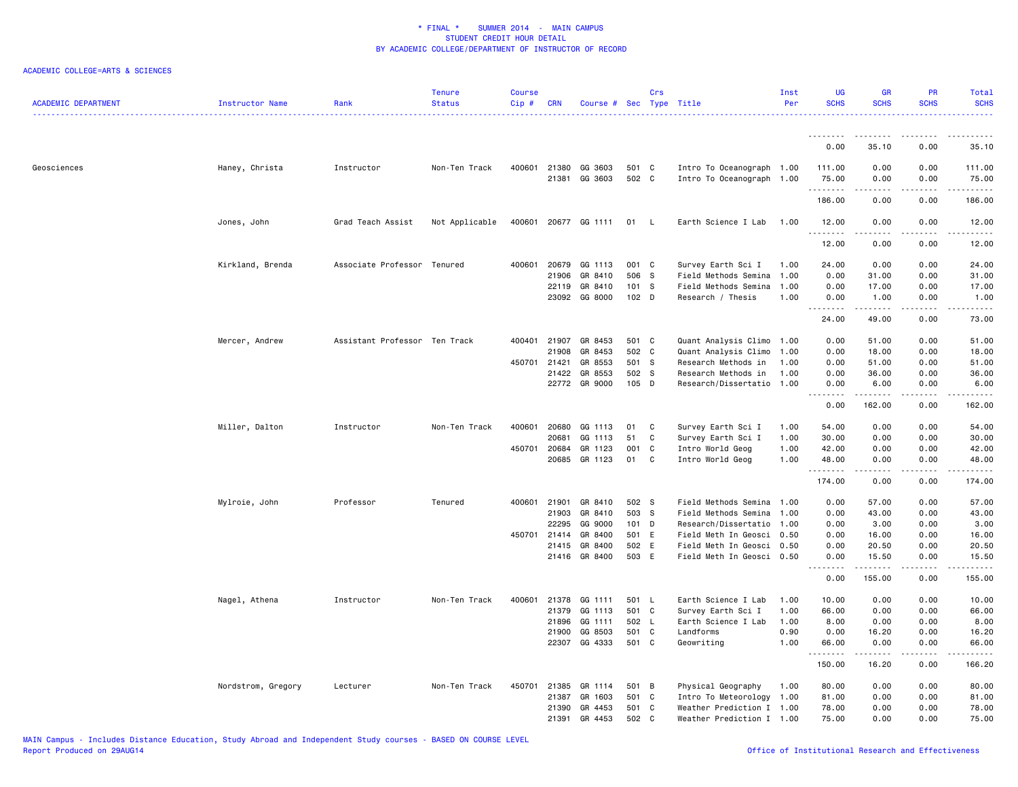| <b>ACADEMIC DEPARTMENT</b> | Instructor Name    | Rank                          | <b>Tenure</b><br><b>Status</b> | Course<br>Cip# | <b>CRN</b> | Course #             |                | Crs          | Sec Type Title                                         | Inst<br>Per | <b>UG</b><br><b>SCHS</b>   | <b>GR</b><br><b>SCHS</b>  | <b>PR</b><br><b>SCHS</b>     | <b>Total</b><br><b>SCHS</b>         |
|----------------------------|--------------------|-------------------------------|--------------------------------|----------------|------------|----------------------|----------------|--------------|--------------------------------------------------------|-------------|----------------------------|---------------------------|------------------------------|-------------------------------------|
|                            |                    |                               |                                |                |            |                      |                |              |                                                        |             |                            |                           |                              |                                     |
|                            |                    |                               |                                |                |            |                      |                |              |                                                        |             | 0.00                       | 35.10                     | 0.00                         | 35.10                               |
| Geosciences                | Haney, Christa     | Instructor                    | Non-Ten Track                  | 400601         | 21380      | GG 3603              | 501 C          |              | Intro To Oceanograph 1.00                              |             | 111.00                     | 0.00                      | 0.00                         | 111.00                              |
|                            |                    |                               |                                |                | 21381      | GG 3603              | 502 C          |              | Intro To Oceanograph 1.00                              |             | 75.00<br>.                 | 0.00                      | 0.00<br>.                    | 75.00<br>.                          |
|                            |                    |                               |                                |                |            |                      |                |              |                                                        |             | 186.00                     | 0.00                      | 0.00                         | 186.00                              |
|                            | Jones, John        | Grad Teach Assist             | Not Applicable                 |                |            | 400601 20677 GG 1111 | 01             | <b>L</b>     | Earth Science I Lab                                    | 1.00        | 12.00<br>--------          | 0.00                      | 0.00                         | 12.00<br>المالم عامل                |
|                            |                    |                               |                                |                |            |                      |                |              |                                                        |             | 12.00                      | 0.00                      | 0.00                         | 12.00                               |
|                            | Kirkland, Brenda   | Associate Professor Tenured   |                                | 400601         | 20679      | GG 1113              | 001 C          |              | Survey Earth Sci I                                     | 1.00        | 24.00                      | 0.00                      | 0.00                         | 24.00                               |
|                            |                    |                               |                                |                | 21906      | GR 8410              | 506            | S.           | Field Methods Semina                                   | 1.00        | 0.00                       | 31.00                     | 0.00                         | 31.00                               |
|                            |                    |                               |                                |                | 22119      | GR 8410              | 101 S          |              | Field Methods Semina                                   | 1.00        | 0.00                       | 17.00                     | 0.00                         | 17.00                               |
|                            |                    |                               |                                |                | 23092      | GG 8000              | 102 D          |              | Research / Thesis                                      | 1.00        | 0.00<br>$\sim$ $\sim$<br>. | 1.00                      | 0.00<br>$\sim$ $\sim$ $\sim$ | 1.00<br>$\sim$ $\sim$ $\sim$ $\sim$ |
|                            |                    |                               |                                |                |            |                      |                |              |                                                        |             | 24.00                      | 49.00                     | 0.00                         | 73.00                               |
|                            | Mercer, Andrew     | Assistant Professor Ten Track |                                | 400401         | 21907      | GR 8453              | 501 C          |              | Quant Analysis Climo 1.00                              |             | 0.00                       | 51.00                     | 0.00                         | 51.00                               |
|                            |                    |                               |                                |                | 21908      | GR 8453              | 502 C          |              | Quant Analysis Climo                                   | 1.00        | 0.00                       | 18.00                     | 0.00                         | 18.00                               |
|                            |                    |                               |                                | 450701 21421   |            | GR 8553              | 501 S          |              | Research Methods in                                    | 1.00        | 0.00                       | 51.00                     | 0.00                         | 51.00                               |
|                            |                    |                               |                                |                | 21422      | GR 8553<br>GR 9000   | 502 S<br>105 D |              | Research Methods in<br>Research/Dissertatio 1.00       | 1.00        | 0.00<br>0.00               | 36.00<br>6.00             | 0.00<br>0.00                 | 36.00<br>6.00                       |
|                            |                    |                               |                                |                | 22772      |                      |                |              |                                                        |             | .                          |                           | .                            | .                                   |
|                            |                    |                               |                                |                |            |                      |                |              |                                                        |             | 0.00                       | 162.00                    | 0.00                         | 162.00                              |
|                            | Miller, Dalton     | Instructor                    | Non-Ten Track                  | 400601         | 20680      | GG 1113              | 01             | C            | Survey Earth Sci I                                     | 1.00        | 54.00                      | 0.00                      | 0.00                         | 54.00                               |
|                            |                    |                               |                                |                | 20681      | GG 1113              | 51             | C            | Survey Earth Sci I                                     | 1.00        | 30.00                      | 0.00                      | 0.00                         | 30.00                               |
|                            |                    |                               |                                | 450701 20684   |            | GR 1123              | 001            | C.           | Intro World Geog                                       | 1.00        | 42.00                      | 0.00                      | 0.00                         | 42.00                               |
|                            |                    |                               |                                |                | 20685      | GR 1123              | 01             | C            | Intro World Geog                                       | 1.00        | 48.00<br>.                 | 0.00<br>.                 | 0.00<br>$\frac{1}{2}$        | 48.00                               |
|                            |                    |                               |                                |                |            |                      |                |              |                                                        |             | 174.00                     | 0.00                      | 0.00                         | 174.00                              |
|                            | Mylroie, John      | Professor                     | Tenured                        | 400601         | 21901      | GR 8410              | 502 S          |              | Field Methods Semina                                   | 1.00        | 0.00                       | 57.00                     | 0.00                         | 57.00                               |
|                            |                    |                               |                                |                | 21903      | GR 8410              | 503 S          |              | Field Methods Semina                                   | 1.00        | 0.00                       | 43.00                     | 0.00                         | 43.00                               |
|                            |                    |                               |                                | 450701 21414   | 22295      | GG 9000<br>GR 8400   | 101 D<br>501 E |              | Research/Dissertatio 1.00                              |             | 0.00                       | 3.00<br>16.00             | 0.00<br>0.00                 | 3.00                                |
|                            |                    |                               |                                |                | 21415      | GR 8400              | 502 E          |              | Field Meth In Geosci 0.50<br>Field Meth In Geosci 0.50 |             | 0.00<br>0.00               | 20.50                     | 0.00                         | 16.00<br>20.50                      |
|                            |                    |                               |                                |                |            | 21416 GR 8400        | 503 E          |              | Field Meth In Geosci 0.50                              |             | 0.00                       | 15.50                     | 0.00                         | 15.50                               |
|                            |                    |                               |                                |                |            |                      |                |              |                                                        |             | <u>.</u><br>0.00           | $- - - - - - -$<br>155.00 | .<br>0.00                    | .<br>155.00                         |
|                            | Nagel, Athena      | Instructor                    | Non-Ten Track                  | 400601         | 21378      | GG 1111              | 501 L          |              | Earth Science I Lab                                    | 1.00        | 10.00                      | 0.00                      | 0.00                         | 10.00                               |
|                            |                    |                               |                                |                | 21379      | GG 1113              | 501 C          |              | Survey Earth Sci I                                     | 1.00        | 66.00                      | 0.00                      | 0.00                         | 66.00                               |
|                            |                    |                               |                                |                | 21896      | GG 1111              | 502            | $\mathsf{L}$ | Earth Science I Lab                                    | 1.00        | 8.00                       | 0.00                      | 0.00                         | 8.00                                |
|                            |                    |                               |                                |                | 21900      | GG 8503              | 501 C          |              | Landforms                                              | 0.90        | 0.00                       | 16.20                     | 0.00                         | 16.20                               |
|                            |                    |                               |                                |                | 22307      | GG 4333              | 501 C          |              | Geowriting                                             | 1.00        | 66.00                      | 0.00                      | 0.00                         | 66.00                               |
|                            |                    |                               |                                |                |            |                      |                |              |                                                        |             | 150.00                     | 16.20                     | 0.00                         | 166.20                              |
|                            | Nordstrom, Gregory | Lecturer                      | Non-Ten Track                  | 450701 21385   |            | GR 1114              | 501 B          |              | Physical Geography                                     | 1.00        | 80.00                      | 0.00                      | 0.00                         | 80.00                               |
|                            |                    |                               |                                |                | 21387      | GR 1603              | 501 C          |              | Intro To Meteorology 1.00                              |             | 81.00                      | 0.00                      | 0.00                         | 81.00                               |
|                            |                    |                               |                                |                | 21390      | GR 4453              | 501 C          |              | Weather Prediction I 1.00                              |             | 78.00                      | 0.00                      | 0.00                         | 78.00                               |
|                            |                    |                               |                                |                | 21391      | GR 4453              | 502 C          |              | Weather Prediction I 1.00                              |             | 75.00                      | 0.00                      | 0.00                         | 75.00                               |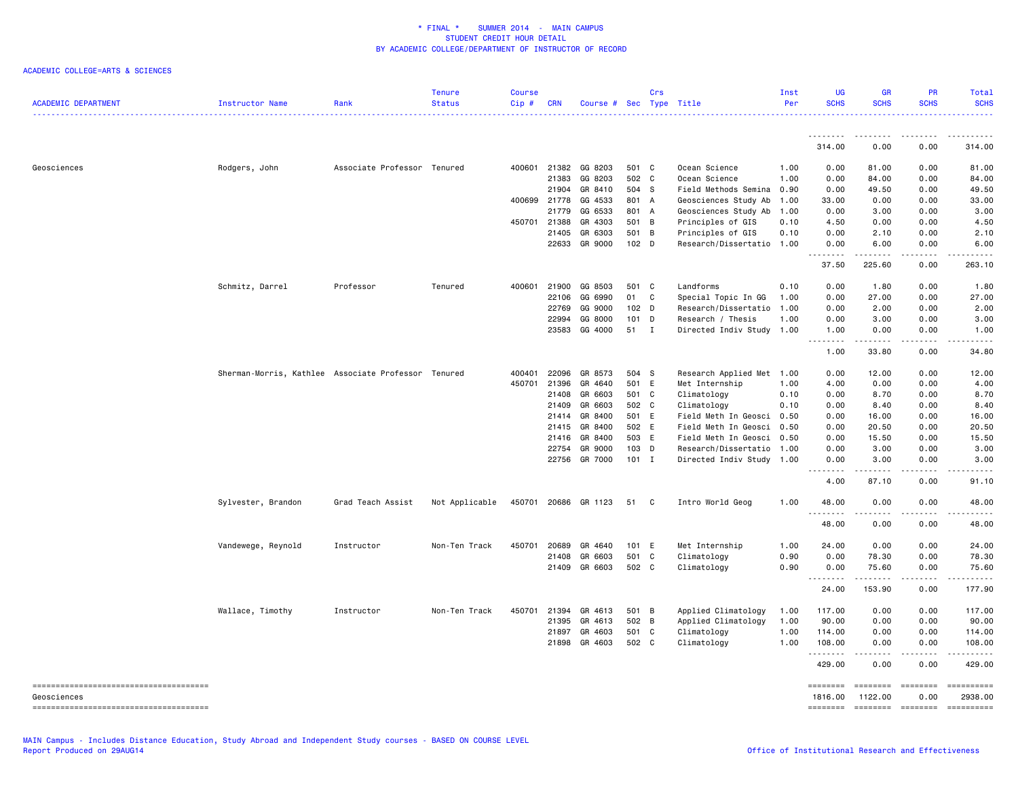| <b>ACADEMIC DEPARTMENT</b>            | Instructor Name                                     | Rank                        | <b>Tenure</b><br><b>Status</b> | <b>Course</b><br>$Cip \#$ | <b>CRN</b>     | Course # Sec Type Title |                  | Crs            |                                                   | Inst<br>Per  | UG<br><b>SCHS</b>                                                                                                                                                                    | <b>GR</b><br><b>SCHS</b>                                                | <b>PR</b><br><b>SCHS</b>                                                                                                          | Total<br><b>SCHS</b>    |
|---------------------------------------|-----------------------------------------------------|-----------------------------|--------------------------------|---------------------------|----------------|-------------------------|------------------|----------------|---------------------------------------------------|--------------|--------------------------------------------------------------------------------------------------------------------------------------------------------------------------------------|-------------------------------------------------------------------------|-----------------------------------------------------------------------------------------------------------------------------------|-------------------------|
|                                       |                                                     |                             |                                |                           |                |                         |                  |                |                                                   |              | .<br>314.00                                                                                                                                                                          | 0.00                                                                    | 0.00                                                                                                                              | 314.00                  |
|                                       |                                                     |                             |                                |                           |                |                         |                  |                |                                                   |              |                                                                                                                                                                                      |                                                                         |                                                                                                                                   |                         |
| Geosciences                           | Rodgers, John                                       | Associate Professor Tenured |                                | 400601                    | 21382          | GG 8203                 | 501 C            |                | Ocean Science                                     | 1.00         | 0.00                                                                                                                                                                                 | 81.00                                                                   | 0.00                                                                                                                              | 81.00                   |
|                                       |                                                     |                             |                                |                           | 21383          | GG 8203                 | 502 C            |                | Ocean Science                                     | 1.00         | 0.00                                                                                                                                                                                 | 84.00                                                                   | 0.00                                                                                                                              | 84.00                   |
|                                       |                                                     |                             |                                |                           | 21904          | GR 8410                 | 504 S            |                | Field Methods Semina 0.90                         |              | 0.00                                                                                                                                                                                 | 49.50                                                                   | 0.00                                                                                                                              | 49.50                   |
|                                       |                                                     |                             |                                | 400699                    | 21778<br>21779 | GG 4533<br>GG 6533      | 801 A<br>801 A   |                | Geosciences Study Ab<br>Geosciences Study Ab      | 1.00<br>1.00 | 33.00<br>0.00                                                                                                                                                                        | 0.00<br>3.00                                                            | 0.00<br>0.00                                                                                                                      | 33.00<br>3.00           |
|                                       |                                                     |                             |                                |                           | 450701 21388   | GR 4303                 | 501 B            |                | Principles of GIS                                 | 0.10         | 4.50                                                                                                                                                                                 | 0.00                                                                    | 0.00                                                                                                                              | 4.50                    |
|                                       |                                                     |                             |                                |                           | 21405          | GR 6303                 | 501              | $\overline{B}$ | Principles of GIS                                 | 0.10         | 0.00                                                                                                                                                                                 | 2.10                                                                    | 0.00                                                                                                                              | 2.10                    |
|                                       |                                                     |                             |                                |                           | 22633          | GR 9000                 | 102 <sub>D</sub> |                | Research/Dissertatio 1.00                         |              | 0.00                                                                                                                                                                                 | 6.00                                                                    | 0.00                                                                                                                              | 6.00                    |
|                                       |                                                     |                             |                                |                           |                |                         |                  |                |                                                   |              | .<br>37.50                                                                                                                                                                           | 225.60                                                                  | $\frac{1}{2} \left( \frac{1}{2} \right) \left( \frac{1}{2} \right) \left( \frac{1}{2} \right) \left( \frac{1}{2} \right)$<br>0.00 | $\frac{1}{2}$<br>263.10 |
|                                       | Schmitz, Darrel                                     | Professor                   | Tenured                        | 400601                    | 21900          | GG 8503                 | 501 C            |                | Landforms                                         | 0.10         | 0.00                                                                                                                                                                                 | 1.80                                                                    | 0.00                                                                                                                              | 1.80                    |
|                                       |                                                     |                             |                                |                           | 22106          | GG 6990                 | 01               | C              | Special Topic In GG                               | 1.00         | 0.00                                                                                                                                                                                 | 27.00                                                                   | 0.00                                                                                                                              | 27.00                   |
|                                       |                                                     |                             |                                |                           | 22769          | GG 9000                 | 102 <sub>D</sub> |                | Research/Dissertatio 1.00                         |              | 0.00                                                                                                                                                                                 | 2.00                                                                    | 0.00                                                                                                                              | 2.00                    |
|                                       |                                                     |                             |                                |                           | 22994          | GG 8000                 | 101              | D              | Research / Thesis                                 | 1.00         | 0.00                                                                                                                                                                                 | 3.00                                                                    | 0.00                                                                                                                              | 3.00                    |
|                                       |                                                     |                             |                                |                           | 23583          | GG 4000                 | 51               | I              | Directed Indiv Study 1.00                         |              | 1.00<br>$\sim$ $\sim$ $\sim$<br>$\frac{1}{2} \left( \frac{1}{2} \right) \left( \frac{1}{2} \right) \left( \frac{1}{2} \right) \left( \frac{1}{2} \right) \left( \frac{1}{2} \right)$ | 0.00<br>.                                                               | 0.00<br>.                                                                                                                         | 1.00<br>.               |
|                                       |                                                     |                             |                                |                           |                |                         |                  |                |                                                   |              | 1.00                                                                                                                                                                                 | 33.80                                                                   | 0.00                                                                                                                              | 34.80                   |
|                                       | Sherman-Morris, Kathlee Associate Professor Tenured |                             |                                | 400401                    | 22096          | GR 8573                 | 504 S            |                | Research Applied Met 1.00                         |              | 0.00                                                                                                                                                                                 | 12.00                                                                   | 0.00                                                                                                                              | 12.00                   |
|                                       |                                                     |                             |                                |                           | 450701 21396   | GR 4640                 | 501 E            |                | Met Internship                                    | 1.00         | 4.00                                                                                                                                                                                 | 0.00                                                                    | 0.00                                                                                                                              | 4.00                    |
|                                       |                                                     |                             |                                |                           | 21408          | GR 6603                 | 501 C            |                | Climatology                                       | 0.10         | 0.00                                                                                                                                                                                 | 8.70                                                                    | 0.00                                                                                                                              | 8.70                    |
|                                       |                                                     |                             |                                |                           | 21409          | GR 6603                 | 502 C            |                | Climatology                                       | 0.10         | 0.00                                                                                                                                                                                 | 8.40                                                                    | 0.00                                                                                                                              | 8.40                    |
|                                       |                                                     |                             |                                |                           | 21414          | GR 8400                 | 501 E            |                | Field Meth In Geosci                              | 0.50         | 0.00                                                                                                                                                                                 | 16.00                                                                   | 0.00                                                                                                                              | 16.00                   |
|                                       |                                                     |                             |                                |                           | 21415          | GR 8400                 | 502 E            |                | Field Meth In Geosci 0.50                         |              | 0.00                                                                                                                                                                                 | 20.50                                                                   | 0.00                                                                                                                              | 20.50                   |
|                                       |                                                     |                             |                                |                           | 21416<br>22754 | GR 8400<br>GR 9000      | 503 E<br>103 D   |                | Field Meth In Geosci<br>Research/Dissertatio 1.00 | 0.50         | 0.00<br>0.00                                                                                                                                                                         | 15.50<br>3.00                                                           | 0.00<br>0.00                                                                                                                      | 15.50<br>3.00           |
|                                       |                                                     |                             |                                |                           | 22756          | GR 7000                 | $101$ I          |                | Directed Indiv Study 1.00                         |              | 0.00                                                                                                                                                                                 | 3.00                                                                    | 0.00                                                                                                                              | 3.00                    |
|                                       |                                                     |                             |                                |                           |                |                         |                  |                |                                                   |              | .<br>4.00                                                                                                                                                                            | 87.10                                                                   | 0.00                                                                                                                              | 91.10                   |
|                                       | Sylvester, Brandon                                  | Grad Teach Assist           | Not Applicable                 |                           |                | 450701 20686 GR 1123    | 51 C             |                | Intro World Geog                                  | 1.00         | 48.00                                                                                                                                                                                | 0.00                                                                    | 0.00                                                                                                                              | 48.00                   |
|                                       |                                                     |                             |                                |                           |                |                         |                  |                |                                                   |              | 48.00                                                                                                                                                                                | $\frac{1}{2}$<br>0.00                                                   | . <b>.</b> .<br>0.00                                                                                                              | .<br>48.00              |
|                                       | Vandewege, Reynold                                  | Instructor                  | Non-Ten Track                  | 450701                    | 20689          | GR 4640                 | 101 E            |                | Met Internship                                    | 1.00         | 24.00                                                                                                                                                                                | 0.00                                                                    | 0.00                                                                                                                              | 24.00                   |
|                                       |                                                     |                             |                                |                           | 21408          | GR 6603                 | 501              | C              | Climatology                                       | 0.90         | 0.00                                                                                                                                                                                 | 78.30                                                                   | 0.00                                                                                                                              | 78.30                   |
|                                       |                                                     |                             |                                |                           | 21409          | GR 6603                 | 502 C            |                | Climatology                                       | 0.90         | 0.00                                                                                                                                                                                 | 75.60                                                                   | 0.00                                                                                                                              | 75.60                   |
|                                       |                                                     |                             |                                |                           |                |                         |                  |                |                                                   |              | .<br>24.00                                                                                                                                                                           | .<br>153.90                                                             | .<br>0.00                                                                                                                         | .<br>177.90             |
|                                       | Wallace, Timothy                                    | Instructor                  | Non-Ten Track                  | 450701                    | 21394          | GR 4613                 | 501 B            |                | Applied Climatology                               | 1.00         | 117.00                                                                                                                                                                               | 0.00                                                                    | 0.00                                                                                                                              | 117.00                  |
|                                       |                                                     |                             |                                |                           | 21395          | GR 4613                 | 502 B            |                | Applied Climatology                               | 1.00         | 90.00                                                                                                                                                                                | 0.00                                                                    | 0.00                                                                                                                              | 90.00                   |
|                                       |                                                     |                             |                                |                           | 21897          | GR 4603                 | 501              | C              | Climatology                                       | 1.00         | 114.00                                                                                                                                                                               | 0.00                                                                    | 0.00                                                                                                                              | 114.00                  |
|                                       |                                                     |                             |                                |                           | 21898          | GR 4603                 | 502 C            |                | Climatology                                       | 1.00         | 108.00<br>.                                                                                                                                                                          | 0.00                                                                    | 0.00                                                                                                                              | 108.00<br>.             |
|                                       |                                                     |                             |                                |                           |                |                         |                  |                |                                                   |              | 429.00                                                                                                                                                                               | 0.00                                                                    | 0.00                                                                                                                              | 429.00                  |
| ------------------------------------- |                                                     |                             |                                |                           |                |                         |                  |                |                                                   |              | ========                                                                                                                                                                             | $= 222222222$                                                           | $= 222222222$                                                                                                                     | ==========              |
| Geosciences                           |                                                     |                             |                                |                           |                |                         |                  |                |                                                   |              | 1816.00                                                                                                                                                                              | 1122.00                                                                 | 0.00                                                                                                                              | 2938.00                 |
| ------------------------------------- |                                                     |                             |                                |                           |                |                         |                  |                |                                                   |              | ========                                                                                                                                                                             | $\qquad \qquad \equiv \equiv \equiv \equiv \equiv \equiv \equiv \equiv$ | $=$ ========                                                                                                                      | ==========              |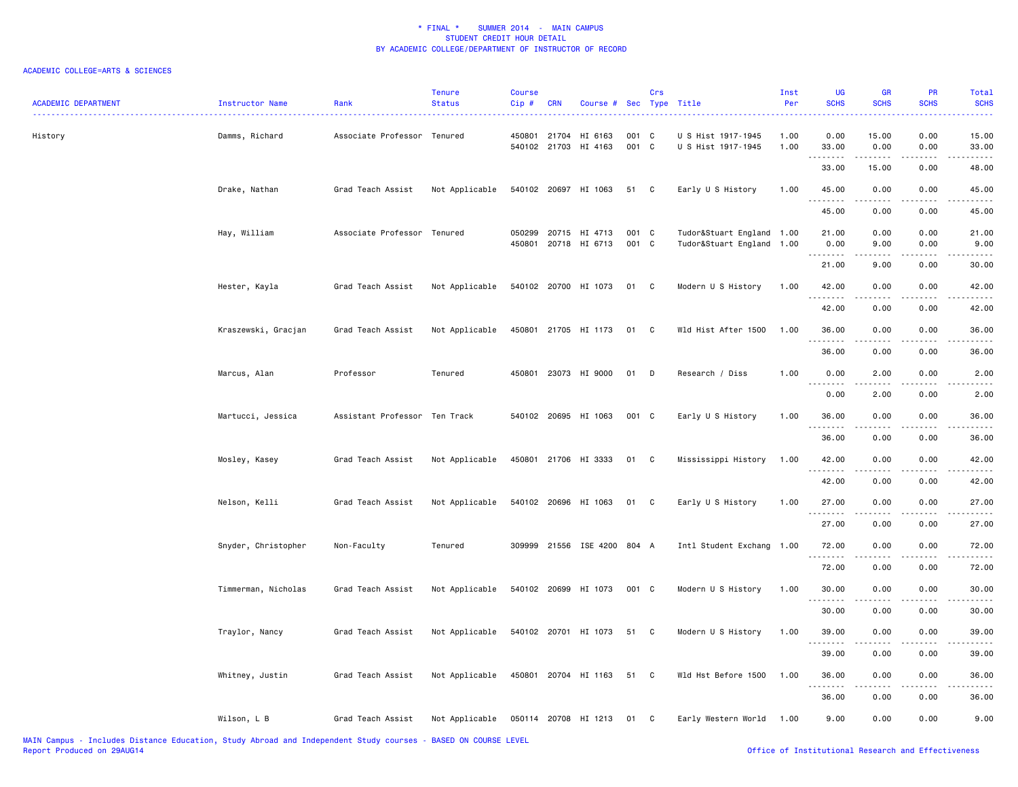| <b>ACADEMIC DEPARTMENT</b> | Instructor Name     | Rank                          | <b>Tenure</b><br><b>Status</b> | <b>Course</b><br>Cip# | <b>CRN</b> | Course # Sec Type Title                      |                | Crs          |                                                        | Inst<br>Per  | UG<br><b>SCHS</b>                                                                                                                                             | <b>GR</b><br><b>SCHS</b>             | PR<br><b>SCHS</b> | <b>Total</b><br><b>SCHS</b> |
|----------------------------|---------------------|-------------------------------|--------------------------------|-----------------------|------------|----------------------------------------------|----------------|--------------|--------------------------------------------------------|--------------|---------------------------------------------------------------------------------------------------------------------------------------------------------------|--------------------------------------|-------------------|-----------------------------|
| History                    | Damms, Richard      | Associate Professor Tenured   |                                |                       |            | 450801 21704 HI 6163<br>540102 21703 HI 4163 | 001<br>001 C   | $\mathbf{C}$ | U S Hist 1917-1945<br>U S Hist 1917-1945               | 1.00<br>1.00 | 0.00<br>33.00                                                                                                                                                 | 15.00<br>0.00                        | 0.00<br>0.00      | 15.00<br>33.00              |
|                            |                     |                               |                                |                       |            |                                              |                |              |                                                        |              | .<br>33.00                                                                                                                                                    | .<br>15.00                           | .<br>0.00         | 48.00                       |
|                            | Drake, Nathan       | Grad Teach Assist             | Not Applicable                 |                       |            | 540102 20697 HI 1063                         | 51 C           |              | Early U S History                                      | 1.00         | 45.00                                                                                                                                                         | 0.00                                 | 0.00              | 45.00                       |
|                            |                     |                               |                                |                       |            |                                              |                |              |                                                        |              | <u>.</u><br>45.00                                                                                                                                             | .<br>0.00                            | .<br>0.00         | 45.00                       |
|                            | Hay, William        | Associate Professor Tenured   |                                | 050299                |            | 20715 HI 4713<br>450801 20718 HI 6713        | 001 C<br>001 C |              | Tudor&Stuart England 1.00<br>Tudor&Stuart England 1.00 |              | 21.00<br>0.00<br>.                                                                                                                                            | 0.00<br>9.00<br>$\sim$ $\sim$ $\sim$ | 0.00<br>0.00      | 21.00<br>9.00               |
|                            |                     |                               |                                |                       |            |                                              |                |              |                                                        |              | 21.00                                                                                                                                                         | 9.00                                 | .<br>0.00         | 30.00                       |
|                            | Hester, Kayla       | Grad Teach Assist             | Not Applicable                 |                       |            | 540102 20700 HI 1073                         | 01 C           |              | Modern U S History                                     | 1.00         | 42.00<br>.                                                                                                                                                    | 0.00<br>$- - - -$                    | 0.00              | 42.00                       |
|                            |                     |                               |                                |                       |            |                                              |                |              |                                                        |              | 42.00                                                                                                                                                         | 0.00                                 | 0.00              | 42.00                       |
|                            | Kraszewski, Gracjan | Grad Teach Assist             | Not Applicable                 |                       |            | 450801 21705 HI 1173                         | 01 C           |              | Wld Hist After 1500                                    | 1.00         | 36.00<br>$- - - - -$                                                                                                                                          | 0.00<br>$\frac{1}{2}$                | 0.00<br>.         | 36.00                       |
|                            |                     |                               |                                |                       |            |                                              |                |              |                                                        |              | 36.00                                                                                                                                                         | 0.00                                 | 0.00              | 36.00                       |
|                            | Marcus, Alan        | Professor                     | Tenured                        |                       |            | 450801 23073 HI 9000                         | 01             | D            | Research / Diss                                        | 1.00         | 0.00<br>-----                                                                                                                                                 | 2.00<br>$- - - -$                    | 0.00              | 2.00                        |
|                            |                     |                               |                                |                       |            |                                              |                |              |                                                        |              | 0.00                                                                                                                                                          | 2.00                                 | 0.00              | 2.00                        |
|                            | Martucci, Jessica   | Assistant Professor Ten Track |                                |                       |            | 540102 20695 HI 1063                         | 001 C          |              | Early U S History                                      | 1.00         | 36.00<br>.                                                                                                                                                    | 0.00<br>$- - - -$                    | 0.00<br>.         | 36.00                       |
|                            |                     |                               |                                |                       |            |                                              |                |              |                                                        |              | 36.00                                                                                                                                                         | 0.00                                 | 0.00              | 36.00                       |
|                            | Mosley, Kasey       | Grad Teach Assist             | Not Applicable                 |                       |            | 450801 21706 HI 3333                         | 01 C           |              | Mississippi History                                    | 1.00         | 42.00<br>.                                                                                                                                                    | 0.00<br>$\sim$ $\sim$ $\sim$ $\sim$  | 0.00<br>.         | 42.00<br>.                  |
|                            |                     |                               |                                |                       |            |                                              |                |              |                                                        |              | 42.00                                                                                                                                                         | 0.00                                 | 0.00              | 42.00                       |
|                            | Nelson, Kelli       | Grad Teach Assist             | Not Applicable                 |                       |            | 540102 20696 HI 1063                         | 01 C           |              | Early U S History                                      | 1.00         | 27.00<br>.                                                                                                                                                    | 0.00<br>$\sim$ $\sim$ $\sim$         | 0.00<br><u>.</u>  | 27.00<br>.                  |
|                            |                     |                               |                                |                       |            |                                              |                |              |                                                        |              | 27.00                                                                                                                                                         | 0.00                                 | 0.00              | 27.00                       |
|                            | Snyder, Christopher | Non-Faculty                   | Tenured                        |                       |            | 309999 21556 ISE 4200 804 A                  |                |              | Intl Student Exchang 1.00                              |              | 72.00<br>.                                                                                                                                                    | 0.00<br>.                            | 0.00<br>.         | 72.00<br>.                  |
|                            |                     |                               |                                |                       |            |                                              |                |              |                                                        |              | 72.00                                                                                                                                                         | 0.00                                 | 0.00              | 72.00                       |
|                            | Timmerman, Nicholas | Grad Teach Assist             | Not Applicable                 |                       |            | 540102 20699 HI 1073                         | 001 C          |              | Modern U S History                                     | 1.00         | 30.00                                                                                                                                                         | 0.00<br>----                         | 0.00              | 30.00                       |
|                            |                     |                               |                                |                       |            |                                              |                |              |                                                        |              | 30.00                                                                                                                                                         | 0.00                                 | 0.00              | 30.00                       |
|                            | Traylor, Nancy      | Grad Teach Assist             | Not Applicable                 |                       |            | 540102 20701 HI 1073                         | 51 C           |              | Modern U S History                                     | 1.00         | 39.00<br>$\frac{1}{2} \left( \frac{1}{2} \right) \left( \frac{1}{2} \right) \left( \frac{1}{2} \right) \left( \frac{1}{2} \right) \left( \frac{1}{2} \right)$ | 0.00<br>.                            | 0.00<br>.         | 39.00                       |
|                            |                     |                               |                                |                       |            |                                              |                |              |                                                        |              | 39.00                                                                                                                                                         | 0.00                                 | 0.00              | 39.00                       |
|                            | Whitney, Justin     | Grad Teach Assist             | Not Applicable                 |                       |            | 450801 20704 HI 1163                         | 51 C           |              | Wld Hst Before 1500                                    | 1.00         | 36.00<br>- - - -                                                                                                                                              | 0.00<br>$   -$                       | 0.00              | 36.00                       |
|                            |                     |                               |                                |                       |            |                                              |                |              |                                                        |              | 36.00                                                                                                                                                         | 0.00                                 | 0.00              | 36.00                       |
|                            | Wilson, L B         | Grad Teach Assist             | Not Applicable                 |                       |            | 050114 20708 HI 1213                         | 01 C           |              | Early Western World 1.00                               |              | 9.00                                                                                                                                                          | 0.00                                 | 0.00              | 9.00                        |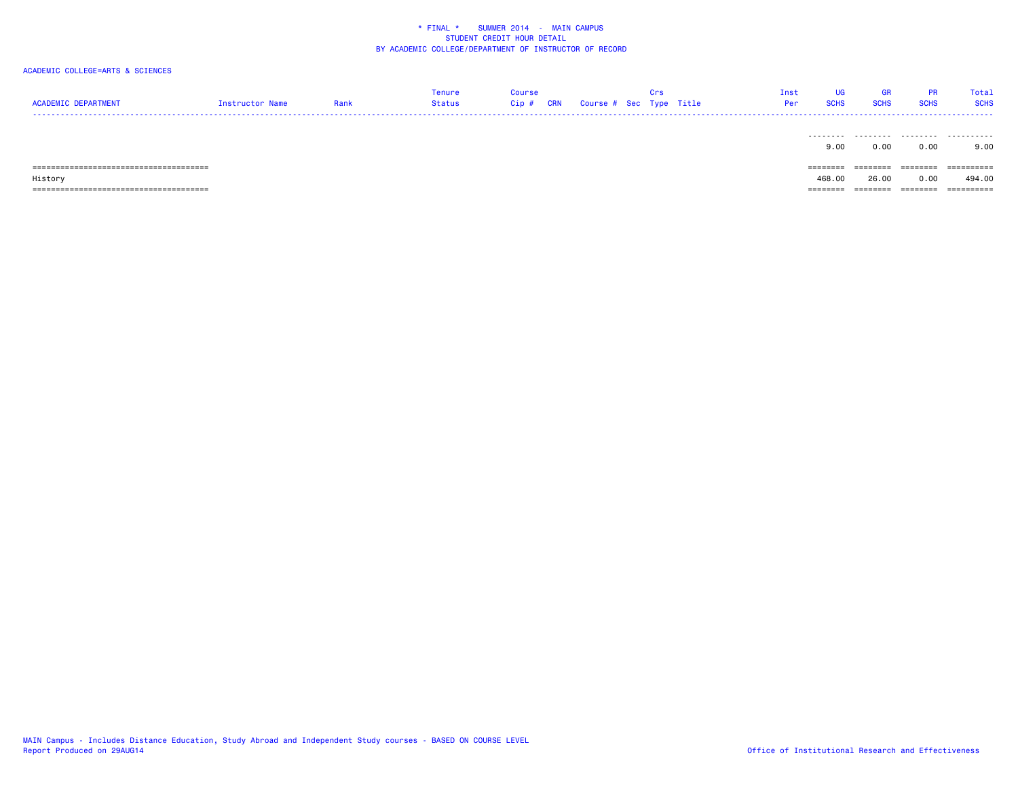## ACADEMIC COLLEGE=ARTS & SCIENCES

|  | Tenure<br>Status | our:<br>Cip# | <b>CRN</b> | Course # Sec Type Title |  | Inst |  | otal |
|--|------------------|--------------|------------|-------------------------|--|------|--|------|
|  |                  |              |            |                         |  |      |  |      |

|                                   | 9.00    | 0.00  | 0.00    | 9.00        |
|-----------------------------------|---------|-------|---------|-------------|
|                                   |         |       |         |             |
| ================================  | ======= |       | ======= | ----------- |
| History                           | 468.00  | 26.00 | 0.00    | ـە . 494    |
| ================================= |         |       |         | ----------- |

MAIN Campus - Includes Distance Education, Study Abroad and Independent Study courses - BASED ON COURSE LEVEL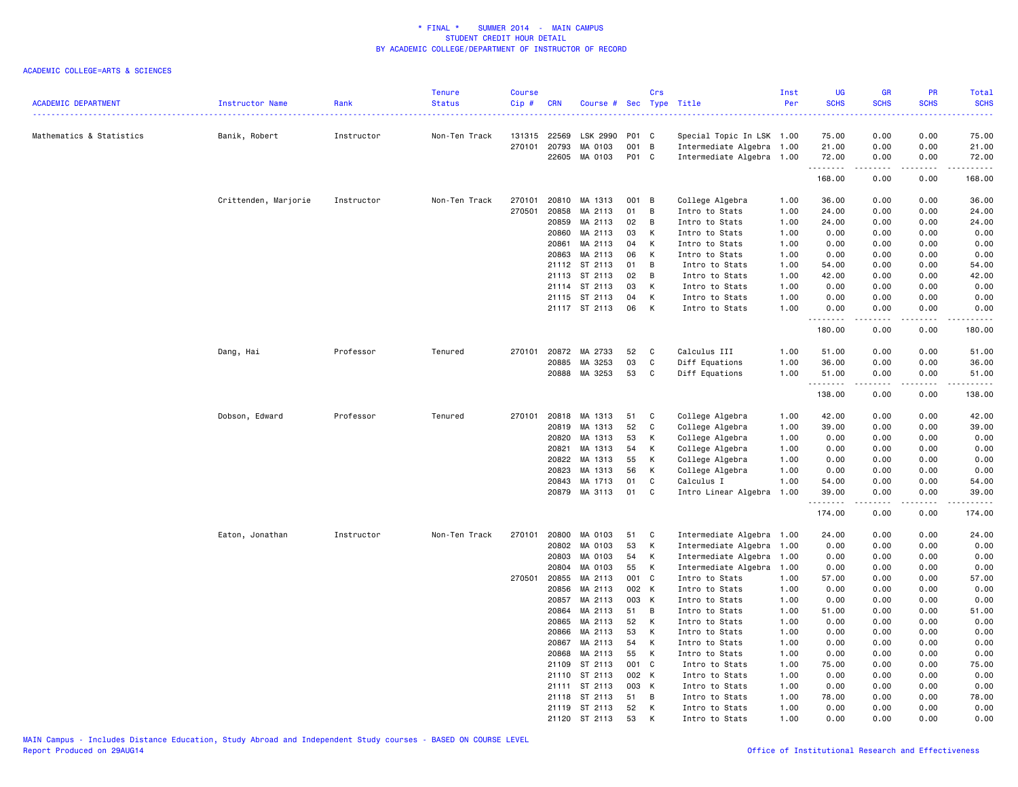| <b>ACADEMIC DEPARTMENT</b> | Instructor Name      | Rank       | <b>Tenure</b><br><b>Status</b> | <b>Course</b><br>Cip# | <b>CRN</b>     | Course # Sec Type Title |          | Crs            |                                  | Inst<br>Per  | UG<br><b>SCHS</b>  | <b>GR</b><br><b>SCHS</b>                                                                                                                                     | PR<br><b>SCHS</b> | <b>Total</b><br><b>SCHS</b> |
|----------------------------|----------------------|------------|--------------------------------|-----------------------|----------------|-------------------------|----------|----------------|----------------------------------|--------------|--------------------|--------------------------------------------------------------------------------------------------------------------------------------------------------------|-------------------|-----------------------------|
| Mathematics & Statistics   | Banik, Robert        | Instructor | Non-Ten Track                  | 131315                | 22569          | LSK 2990                | P01 C    |                | Special Topic In LSK 1.00        |              | 75.00              | 0.00                                                                                                                                                         | 0.00              | 75.00                       |
|                            |                      |            |                                | 270101                | 20793          | MA 0103                 | 001      | B              | Intermediate Algebra 1.00        |              | 21.00              | 0.00                                                                                                                                                         | 0.00              | 21.00                       |
|                            |                      |            |                                |                       | 22605          | MA 0103                 | P01 C    |                | Intermediate Algebra 1.00        |              | 72.00              | 0.00                                                                                                                                                         | 0.00              | 72.00                       |
|                            |                      |            |                                |                       |                |                         |          |                |                                  |              | .<br>168.00        | $\frac{1}{2} \left( \frac{1}{2} \right) \left( \frac{1}{2} \right) \left( \frac{1}{2} \right) \left( \frac{1}{2} \right) \left( \frac{1}{2} \right)$<br>0.00 | .<br>0.00         | -----<br>168.00             |
|                            | Crittenden, Marjorie | Instructor | Non-Ten Track                  | 270101                | 20810          | MA 1313                 | 001      | $\overline{B}$ | College Algebra                  | 1.00         | 36.00              | 0.00                                                                                                                                                         | 0.00              | 36.00                       |
|                            |                      |            |                                | 270501                | 20858          | MA 2113                 | 01       | В              | Intro to Stats                   | 1.00         | 24.00              | 0.00                                                                                                                                                         | 0.00              | 24.00                       |
|                            |                      |            |                                |                       | 20859          | MA 2113                 | 02       | В              | Intro to Stats                   | 1.00         | 24.00              | 0.00                                                                                                                                                         | 0.00              | 24.00                       |
|                            |                      |            |                                |                       | 20860          | MA 2113                 | 03       | К              | Intro to Stats                   | 1.00         | 0.00               | 0.00                                                                                                                                                         | 0.00              | 0.00                        |
|                            |                      |            |                                |                       | 20861          | MA 2113                 | 04       | К              | Intro to Stats                   | 1.00         | 0.00               | 0.00                                                                                                                                                         | 0.00              | 0.00                        |
|                            |                      |            |                                |                       | 20863          | MA 2113                 | 06       | К              | Intro to Stats                   | 1.00         | 0.00               | 0.00                                                                                                                                                         | 0.00              | 0.00                        |
|                            |                      |            |                                |                       | 21112          | ST 2113                 | 01       | В              | Intro to Stats                   | 1.00         | 54.00              | 0.00                                                                                                                                                         | 0.00              | 54.00                       |
|                            |                      |            |                                |                       | 21113          | ST 2113                 | 02       | B              | Intro to Stats                   | 1.00         | 42.00              | 0.00                                                                                                                                                         | 0.00              | 42.00                       |
|                            |                      |            |                                |                       | 21114          | ST 2113                 | 03       | K              | Intro to Stats                   | 1.00         | 0.00               | 0.00                                                                                                                                                         | 0.00              | 0.00                        |
|                            |                      |            |                                |                       |                | 21115 ST 2113           | 04       | К              | Intro to Stats                   | 1.00         | 0.00               | 0.00                                                                                                                                                         | 0.00              | 0.00                        |
|                            |                      |            |                                |                       |                | 21117 ST 2113           | 06       | К              | Intro to Stats                   | 1.00         | 0.00<br>. <b>.</b> | 0.00<br>.                                                                                                                                                    | 0.00<br>$- - - -$ | 0.00<br>.                   |
|                            |                      |            |                                |                       |                |                         |          |                |                                  |              | 180.00             | 0.00                                                                                                                                                         | 0.00              | 180.00                      |
|                            | Dang, Hai            | Professor  | Tenured                        | 270101                | 20872          | MA 2733                 | 52       | C              | Calculus III                     | 1.00         | 51.00              | 0.00                                                                                                                                                         | 0.00              | 51.00                       |
|                            |                      |            |                                |                       | 20885          | MA 3253                 | 03       | C              | Diff Equations                   | 1.00         | 36.00              | 0.00                                                                                                                                                         | 0.00              | 36.00                       |
|                            |                      |            |                                |                       | 20888          | MA 3253                 | 53       | C              | Diff Equations                   | 1.00         | 51.00              | 0.00                                                                                                                                                         | 0.00              | 51.00                       |
|                            |                      |            |                                |                       |                |                         |          |                |                                  |              | .<br>138.00        | 0.00                                                                                                                                                         | $- - - -$<br>0.00 | الداعات ب<br>138.00         |
|                            | Dobson, Edward       | Professor  | Tenured                        | 270101                | 20818          | MA 1313                 | 51       | C              | College Algebra                  | 1.00         | 42.00              | 0.00                                                                                                                                                         | 0.00              | 42.00                       |
|                            |                      |            |                                |                       | 20819          | MA 1313                 | 52       | С              | College Algebra                  | 1.00         | 39.00              | 0.00                                                                                                                                                         | 0.00              | 39.00                       |
|                            |                      |            |                                |                       | 20820          | MA 1313                 | 53       | Κ              | College Algebra                  | 1.00         | 0.00               | 0.00                                                                                                                                                         | 0.00              | 0.00                        |
|                            |                      |            |                                |                       | 20821          | MA 1313                 | 54       | К              | College Algebra                  | 1.00         | 0.00               | 0.00                                                                                                                                                         | 0.00              | 0.00                        |
|                            |                      |            |                                |                       | 20822          | MA 1313                 | 55       | Κ              | College Algebra                  | 1.00         | 0.00               | 0.00                                                                                                                                                         | 0.00              | 0.00                        |
|                            |                      |            |                                |                       | 20823          | MA 1313                 | 56       | К              | College Algebra                  | 1.00         | 0.00               | 0.00                                                                                                                                                         | 0.00              | 0.00                        |
|                            |                      |            |                                |                       | 20843          | MA 1713                 | 01       | C              | Calculus I                       | 1.00         | 54.00              | 0.00                                                                                                                                                         | 0.00              | 54.00                       |
|                            |                      |            |                                |                       | 20879          | MA 3113                 | 01       | C              | Intro Linear Algebra 1.00        |              | 39.00<br>.         | 0.00<br>----                                                                                                                                                 | 0.00<br>$- - - -$ | 39.00<br>المتمامين          |
|                            |                      |            |                                |                       |                |                         |          |                |                                  |              | 174.00             | 0.00                                                                                                                                                         | 0.00              | 174.00                      |
|                            | Eaton, Jonathan      | Instructor | Non-Ten Track                  | 270101                | 20800          | MA 0103                 | 51       | C              | Intermediate Algebra 1.00        |              | 24.00              | 0.00                                                                                                                                                         | 0.00              | 24.00                       |
|                            |                      |            |                                |                       | 20802          | MA 0103                 | 53       | Κ              | Intermediate Algebra 1.00        |              | 0.00               | 0.00                                                                                                                                                         | 0.00              | 0.00                        |
|                            |                      |            |                                |                       | 20803          | MA 0103                 | 54       | Κ              | Intermediate Algebra 1.00        |              | 0.00               | 0.00                                                                                                                                                         | 0.00              | 0.00                        |
|                            |                      |            |                                |                       | 20804          | MA 0103                 | 55       | K              | Intermediate Algebra 1.00        |              | 0.00               | 0.00                                                                                                                                                         | 0.00              | 0.00                        |
|                            |                      |            |                                | 270501                | 20855          | MA 2113                 | 001      | C              | Intro to Stats                   | 1.00         | 57.00              | 0.00                                                                                                                                                         | 0.00              | 57.00                       |
|                            |                      |            |                                |                       | 20856          | MA 2113                 | 002      | K              | Intro to Stats                   | 1.00         | 0.00               | 0.00                                                                                                                                                         | 0.00              | 0.00                        |
|                            |                      |            |                                |                       | 20857          | MA 2113<br>MA 2113      | 003      | K              | Intro to Stats                   | 1.00         | 0.00               | 0.00                                                                                                                                                         | 0.00              | 0.00                        |
|                            |                      |            |                                |                       | 20864<br>20865 | MA 2113                 | 51<br>52 | B<br>K         | Intro to Stats<br>Intro to Stats | 1.00<br>1.00 | 51.00<br>0.00      | 0.00<br>0.00                                                                                                                                                 | 0.00<br>0.00      | 51.00                       |
|                            |                      |            |                                |                       | 20866          | MA 2113                 | 53       | К              | Intro to Stats                   | 1.00         | 0.00               | 0.00                                                                                                                                                         | 0.00              | 0.00<br>0.00                |
|                            |                      |            |                                |                       | 20867          | MA 2113                 | 54       | К              | Intro to Stats                   | 1.00         | 0.00               | 0.00                                                                                                                                                         | 0.00              | 0.00                        |
|                            |                      |            |                                |                       | 20868          | MA 2113                 | 55       | К              | Intro to Stats                   | 1.00         | 0.00               | 0.00                                                                                                                                                         | 0.00              | 0.00                        |
|                            |                      |            |                                |                       | 21109          | ST 2113                 | 001      | C              | Intro to Stats                   | 1.00         | 75.00              | 0.00                                                                                                                                                         | 0.00              | 75.00                       |
|                            |                      |            |                                |                       | 21110          | ST 2113                 | 002 K    |                | Intro to Stats                   | 1.00         | 0.00               | 0.00                                                                                                                                                         | 0.00              | 0.00                        |
|                            |                      |            |                                |                       | 21111          | ST 2113                 | 003      | K              | Intro to Stats                   | 1.00         | 0.00               | 0.00                                                                                                                                                         | 0.00              | 0.00                        |
|                            |                      |            |                                |                       | 21118          | ST 2113                 | 51       | В              | Intro to Stats                   | 1.00         | 78.00              | 0.00                                                                                                                                                         | 0.00              | 78.00                       |
|                            |                      |            |                                |                       |                | 21119 ST 2113           | 52       | K              | Intro to Stats                   | 1.00         | 0.00               | 0.00                                                                                                                                                         | 0.00              | 0.00                        |
|                            |                      |            |                                |                       | 21120          | ST 2113                 | 53       | K              | Intro to Stats                   | 1.00         | 0.00               | 0.00                                                                                                                                                         | 0.00              | 0.00                        |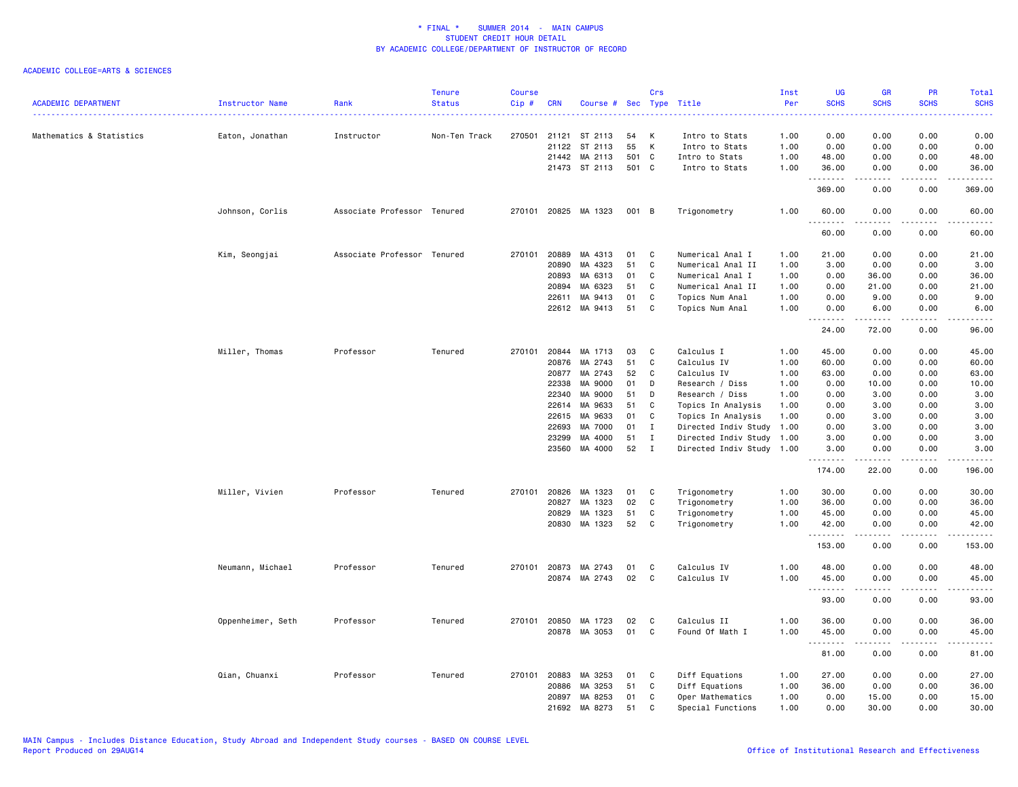| <b>ACADEMIC DEPARTMENT</b> | Instructor Name   | Rank                        | <b>Tenure</b><br><b>Status</b> | Course<br>Cip# | <b>CRN</b>     | Course # Sec Type Title  |          | Crs          |                                    | Inst<br>Per<br>. | UG<br><b>SCHS</b><br>$\sim$ $\sim$ $\sim$ | <b>GR</b><br><b>SCHS</b> | PR<br><b>SCHS</b>  | <b>Total</b><br><b>SCHS</b><br>2222 |
|----------------------------|-------------------|-----------------------------|--------------------------------|----------------|----------------|--------------------------|----------|--------------|------------------------------------|------------------|-------------------------------------------|--------------------------|--------------------|-------------------------------------|
| Mathematics & Statistics   | Eaton, Jonathan   | Instructor                  | Non-Ten Track                  | 270501         | 21121          | ST 2113                  | 54       | Κ            | Intro to Stats                     | 1.00             | 0.00                                      | 0.00                     | 0.00               | 0.00                                |
|                            |                   |                             |                                |                | 21122          | ST 2113                  | 55       | К            | Intro to Stats                     | 1.00             | 0.00                                      | 0.00                     | 0.00               | 0.00                                |
|                            |                   |                             |                                |                | 21442          | MA 2113                  | 501      | $\mathbf{C}$ | Intro to Stats                     | 1.00             | 48.00                                     | 0.00                     | 0.00               | 48.00                               |
|                            |                   |                             |                                |                |                | 21473 ST 2113            | 501 C    |              | Intro to Stats                     | 1.00             | 36.00<br>.                                | 0.00                     | 0.00               | 36.00                               |
|                            |                   |                             |                                |                |                |                          |          |              |                                    |                  | 369.00                                    | 0.00                     | 0.00               | 369.00                              |
|                            | Johnson, Corlis   | Associate Professor Tenured |                                | 270101         |                | 20825 MA 1323            | 001 B    |              | Trigonometry                       | 1.00             | 60.00<br><u>.</u>                         | 0.00                     | 0.00               | 60.00                               |
|                            |                   |                             |                                |                |                |                          |          |              |                                    |                  | 60.00                                     | 0.00                     | 0.00               | 60.00                               |
|                            | Kim, Seongjai     | Associate Professor Tenured |                                | 270101         | 20889          | MA 4313                  | 01       | C            | Numerical Anal I                   | 1.00             | 21.00                                     | 0.00                     | 0.00               | 21.00                               |
|                            |                   |                             |                                |                | 20890          | MA 4323                  | 51       | C            | Numerical Anal II                  | 1.00             | 3.00                                      | 0.00                     | 0.00               | 3.00                                |
|                            |                   |                             |                                |                | 20893          | MA 6313                  | 01       | C            | Numerical Anal I                   | 1.00             | 0.00                                      | 36.00                    | 0.00               | 36.00                               |
|                            |                   |                             |                                |                | 20894          | MA 6323                  | 51       | C            | Numerical Anal II                  | 1.00             | 0.00                                      | 21.00                    | 0.00               | 21.00                               |
|                            |                   |                             |                                |                | 22611          | MA 9413<br>22612 MA 9413 | 01<br>51 | C<br>C       | Topics Num Anal<br>Topics Num Anal | 1.00<br>1.00     | 0.00<br>0.00                              | 9.00<br>6.00             | 0.00<br>0.00       | 9.00<br>6.00                        |
|                            |                   |                             |                                |                |                |                          |          |              |                                    |                  | .<br>24.00                                | .<br>72.00               | .<br>0.00          | الداعات ب<br>96.00                  |
|                            | Miller, Thomas    | Professor                   | Tenured                        | 270101         | 20844          | MA 1713                  | 03       | C            | Calculus I                         | 1.00             | 45.00                                     | 0.00                     | 0.00               | 45.00                               |
|                            |                   |                             |                                |                | 20876          | MA 2743                  | 51       | C            | Calculus IV                        | 1.00             | 60.00                                     | 0.00                     | 0.00               | 60.00                               |
|                            |                   |                             |                                |                | 20877          | MA 2743                  | 52       | C            | Calculus IV                        | 1.00             | 63.00                                     | 0.00                     | 0.00               | 63.00                               |
|                            |                   |                             |                                |                | 22338          | MA 9000                  | 01       | D            | Research / Diss                    | 1.00             | 0.00                                      | 10.00                    | 0.00               | 10.00                               |
|                            |                   |                             |                                |                | 22340          | MA 9000                  | 51       | D            | Research / Diss                    | 1.00             | 0.00                                      | 3.00                     | 0.00               | 3.00                                |
|                            |                   |                             |                                |                | 22614          | MA 9633                  | 51       | С            | Topics In Analysis                 | 1.00             | 0.00                                      | 3.00                     | 0.00               | 3.00                                |
|                            |                   |                             |                                |                | 22615          | MA 9633                  | 01       | C            | Topics In Analysis                 | 1.00             | 0.00                                      | 3.00                     | 0.00               | 3.00                                |
|                            |                   |                             |                                |                | 22693          | MA 7000                  | 01       | $\mathbf I$  | Directed Indiv Study 1.00          |                  | 0.00                                      | 3.00                     | 0.00               | 3.00                                |
|                            |                   |                             |                                |                | 23299          | MA 4000                  | 51       | $\mathbf I$  | Directed Indiv Study 1.00          |                  | 3.00                                      | 0.00                     | 0.00               | 3.00                                |
|                            |                   |                             |                                |                |                | 23560 MA 4000            | 52       | $\mathbf{I}$ | Directed Indiv Study 1.00          |                  | 3.00<br><u>.</u>                          | 0.00<br>.                | 0.00<br>.          | 3.00<br>.                           |
|                            |                   |                             |                                |                |                |                          |          |              |                                    |                  | 174.00                                    | 22.00                    | 0.00               | 196.00                              |
|                            | Miller, Vivien    | Professor                   | Tenured                        | 270101         | 20826          | MA 1323                  | 01       | C            | Trigonometry                       | 1.00             | 30.00                                     | 0.00                     | 0.00               | 30.00                               |
|                            |                   |                             |                                |                | 20827          | MA 1323                  | 02       | C            | Trigonometry                       | 1.00             | 36.00                                     | 0.00                     | 0.00               | 36.00                               |
|                            |                   |                             |                                |                | 20829          | MA 1323                  | 51       | C            | Trigonometry                       | 1.00             | 45.00                                     | 0.00                     | 0.00               | 45.00                               |
|                            |                   |                             |                                |                |                | 20830 MA 1323            | 52       | C            | Trigonometry                       | 1.00             | 42.00<br><u>.</u>                         | 0.00<br>$   -$           | 0.00<br>.          | 42.00<br>.                          |
|                            |                   |                             |                                |                |                |                          |          |              |                                    |                  | 153.00                                    | 0.00                     | 0.00               | 153.00                              |
|                            | Neumann, Michael  | Professor                   | Tenured                        |                |                | 270101 20873 MA 2743     | 01       | C            | Calculus IV                        | 1.00             | 48.00                                     | 0.00                     | 0.00               | 48.00                               |
|                            |                   |                             |                                |                |                | 20874 MA 2743            | 02       | C            | Calculus IV                        | 1.00             | 45.00                                     | 0.00                     | 0.00               | 45.00                               |
|                            |                   |                             |                                |                |                |                          |          |              |                                    |                  | .<br>93.00                                | -----<br>0.00            | . <b>.</b><br>0.00 | .<br>93.00                          |
|                            | Oppenheimer, Seth | Professor                   | Tenured                        | 270101         | 20850          | MA 1723                  | 02       | C            | Calculus II                        | 1.00             | 36.00                                     | 0.00                     | 0.00               | 36.00                               |
|                            |                   |                             |                                |                |                | 20878 MA 3053            | 01       | C            | Found Of Math I                    | 1.00             | 45.00                                     | 0.00                     | 0.00               | 45.00                               |
|                            |                   |                             |                                |                |                |                          |          |              |                                    |                  | .<br>81.00                                | 0.00                     | 0.00               | .<br>81.00                          |
|                            |                   |                             |                                |                |                |                          |          |              |                                    |                  |                                           |                          |                    |                                     |
|                            | Qian, Chuanxi     | Professor                   | Tenured                        | 270101         | 20883          | MA 3253                  | 01       | C            | Diff Equations                     | 1.00             | 27.00                                     | 0.00                     | 0.00               | 27.00                               |
|                            |                   |                             |                                |                | 20886<br>20897 | MA 3253<br>MA 8253       | 51<br>01 | С<br>С       | Diff Equations<br>Oper Mathematics | 1.00<br>1.00     | 36.00<br>0.00                             | 0.00<br>15.00            | 0.00<br>0.00       | 36.00<br>15.00                      |
|                            |                   |                             |                                |                | 21692          | MA 8273                  | 51       | C            | Special Functions                  | 1.00             | 0.00                                      | 30.00                    | 0.00               | 30.00                               |
|                            |                   |                             |                                |                |                |                          |          |              |                                    |                  |                                           |                          |                    |                                     |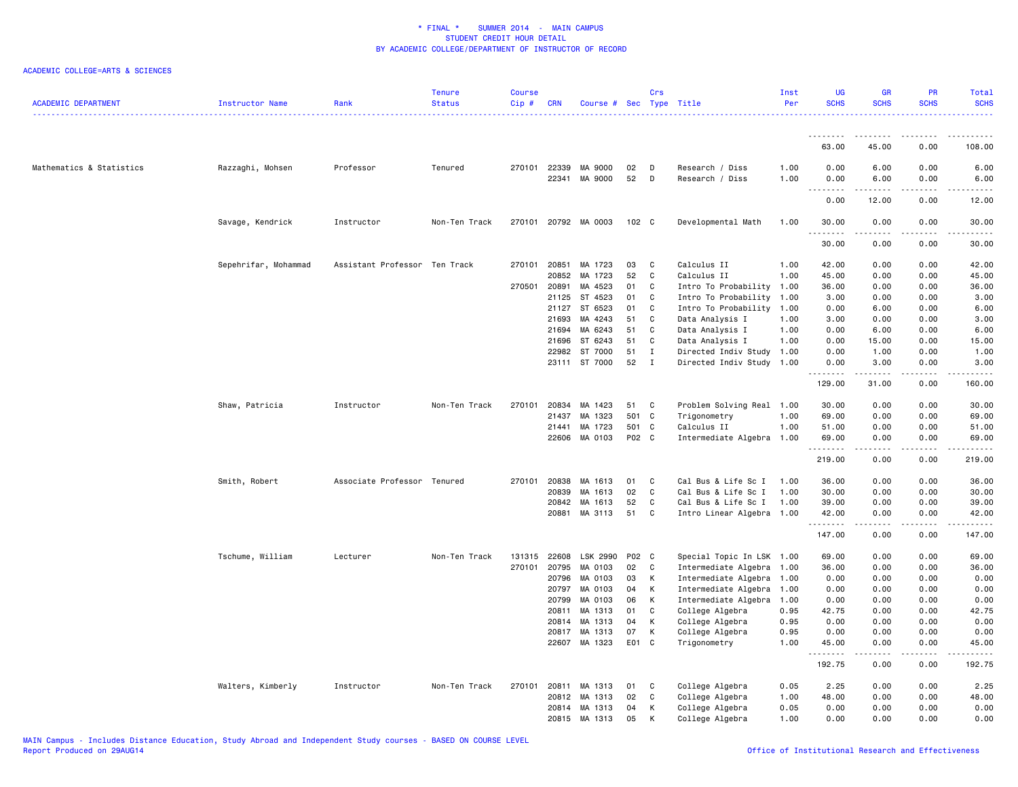| 63.00<br>45.00<br>0.00<br>108.00<br>Mathematics & Statistics<br>Razzaghi, Mohsen<br>Professor<br>Tenured<br>270101 22339<br>0.00<br>6.00<br>0.00<br>6.00<br>MA 9000<br>02<br>D<br>Research / Diss<br>1.00<br>22341<br>MA 9000<br>52<br>D<br>Research / Diss<br>1.00<br>0.00<br>6.00<br>0.00<br>6.00<br>$\sim$ $\sim$<br>0.00<br>12.00<br>0.00<br>12.00<br>270101 20792 MA 0003<br>0.00<br>0.00<br>30.00<br>Savage, Kendrick<br>Instructor<br>Non-Ten Track<br>102 C<br>Developmental Math<br>1.00<br>30.00<br>.<br>.<br>30.00<br>0.00<br>0.00<br>30.00<br>MA 1723<br>Calculus II<br>Sepehrifar, Mohammad<br>Assistant Professor<br>Ten Track<br>270101<br>20851<br>03<br>C<br>1.00<br>42.00<br>0.00<br>0.00<br>42.00<br>MA 1723<br>52<br>C<br>Calculus II<br>1.00<br>45.00<br>0.00<br>0.00<br>45.00<br>20852<br>270501 20891<br>MA 4523<br>01<br>C<br>Intro To Probability 1.00<br>36.00<br>0.00<br>0.00<br>36.00<br>ST 4523<br>C<br>Intro To Probability 1.00<br>0.00<br>0.00<br>3.00<br>21125<br>01<br>3.00<br>21127<br>ST 6523<br>01<br>C<br>Intro To Probability 1.00<br>0.00<br>6.00<br>0.00<br>6.00<br>21693<br>MA 4243<br>51<br>C<br>Data Analysis I<br>1.00<br>3.00<br>0.00<br>0.00<br>3.00<br>21694<br>MA 6243<br>51<br>C<br>Data Analysis I<br>1.00<br>0.00<br>6.00<br>0.00<br>6.00<br>21696<br>ST 6243<br>51<br>C<br>Data Analysis I<br>1.00<br>0.00<br>15.00<br>0.00<br>15.00<br>ST 7000<br>22982<br>51<br>Ι.<br>Directed Indiv Study 1.00<br>0.00<br>1.00<br>0.00<br>1.00<br>23111 ST 7000<br>52<br>$\mathbf{I}$<br>Directed Indiv Study 1.00<br>0.00<br>3,00<br>0.00<br>3.00<br>د د د د<br>129.00<br>31.00<br>0.00<br>160.00<br>Shaw, Patricia<br>Instructor<br>Non-Ten Track<br>270101<br>20834<br>MA 1423<br>C<br>Problem Solving Real 1.00<br>30.00<br>0.00<br>0.00<br>30.00<br>51<br>21437<br>MA 1323<br>501<br>C<br>Trigonometry<br>1.00<br>69.00<br>0.00<br>0.00<br>69.00<br>21441<br>MA 1723<br>501<br>C<br>Calculus II<br>1.00<br>51.00<br>0.00<br>0.00<br>51.00<br>MA 0103<br>P02 C<br>69.00<br>22606<br>Intermediate Algebra 1.00<br>69.00<br>0.00<br>0.00<br>.<br>-----<br>.<br>.<br>0.00<br>219.00<br>0.00<br>219.00<br>36.00<br>Smith, Robert<br>Associate Professor Tenured<br>270101<br>20838<br>MA 1613<br>01<br>C<br>Cal Bus & Life Sc I<br>36.00<br>0.00<br>0.00<br>1.00<br>MA 1613<br>02<br>$\mathsf{C}$<br>Cal Bus & Life Sc I<br>30.00<br>0.00<br>20839<br>1.00<br>0.00<br>30.00<br>Cal Bus & Life Sc I<br>0.00<br>20842<br>MA 1613<br>52<br>C<br>1.00<br>39.00<br>0.00<br>39.00<br>20881<br>MA 3113<br>51<br>C<br>42.00<br>0.00<br>0.00<br>Intro Linear Algebra 1.00<br>42.00<br>.<br>.<br><u>.</u><br>$\frac{1}{2} \left( \frac{1}{2} \right) \left( \frac{1}{2} \right) \left( \frac{1}{2} \right) \left( \frac{1}{2} \right) \left( \frac{1}{2} \right)$<br>0.00<br>147.00<br>0.00<br>147.00<br>Tschume, William<br>Lecturer<br>Non-Ten Track<br>131315<br>22608<br>LSK 2990<br>P02<br>C)<br>Special Topic In LSK 1.00<br>69.00<br>0.00<br>0.00<br>69.00<br>Intermediate Algebra 1.00<br>270101<br>20795<br>MA 0103<br>02<br>C<br>36.00<br>0.00<br>0.00<br>36.00<br>20796<br>MA 0103<br>03<br>K<br>Intermediate Algebra 1.00<br>0.00<br>0.00<br>0.00<br>0.00<br>20797<br>MA 0103<br>04<br>K<br>Intermediate Algebra 1.00<br>0.00<br>0.00<br>0.00<br>0.00<br>К<br>20799<br>MA 0103<br>06<br>Intermediate Algebra 1.00<br>0.00<br>0.00<br>0.00<br>0.00<br>42.75<br>20811<br>MA 1313<br>01<br>C<br>College Algebra<br>0.95<br>42.75<br>0.00<br>0.00<br>К<br>0.00<br>20814<br>MA 1313<br>04<br>College Algebra<br>0.95<br>0.00<br>0.00<br>0.00<br>20817<br>MA 1313<br>07<br>К<br>College Algebra<br>0.95<br>0.00<br>0.00<br>0.00<br>0.00<br>22607<br>MA 1323<br>E01 C<br>Trigonometry<br>1.00<br>45.00<br>0.00<br>0.00<br>45.00<br>.<br>.<br>$- - - -$<br>.<br>192.75<br>0.00<br>0.00<br>192.75<br>270101<br>20811<br>MA 1313<br>College Algebra<br>0.05<br>2.25<br>0.00<br>0.00<br>2.25<br>Walters, Kimberly<br>Instructor<br>Non-Ten Track<br>01<br>C<br>20812<br>MA 1313<br>02<br>C<br>College Algebra<br>1.00<br>48.00<br>0.00<br>0.00<br>48.00<br>20814<br>MA 1313<br>К<br>College Algebra<br>0.00<br>0.00<br>0.00<br>0.00<br>04<br>0.05<br>MA 1313<br>05<br>K<br>0.00<br>0.00<br>20815<br>College Algebra<br>1.00<br>0.00<br>0.00 | <b>ACADEMIC DEPARTMENT</b> | Instructor Name | Rank | <b>Tenure</b><br><b>Status</b> | Course<br>Cip# | <b>CRN</b> | Course # Sec Type Title | Crs | Inst<br>Per | UG<br><b>SCHS</b> | <b>GR</b><br><b>SCHS</b> | <b>PR</b><br><b>SCHS</b> | Total<br><b>SCHS</b> |
|----------------------------------------------------------------------------------------------------------------------------------------------------------------------------------------------------------------------------------------------------------------------------------------------------------------------------------------------------------------------------------------------------------------------------------------------------------------------------------------------------------------------------------------------------------------------------------------------------------------------------------------------------------------------------------------------------------------------------------------------------------------------------------------------------------------------------------------------------------------------------------------------------------------------------------------------------------------------------------------------------------------------------------------------------------------------------------------------------------------------------------------------------------------------------------------------------------------------------------------------------------------------------------------------------------------------------------------------------------------------------------------------------------------------------------------------------------------------------------------------------------------------------------------------------------------------------------------------------------------------------------------------------------------------------------------------------------------------------------------------------------------------------------------------------------------------------------------------------------------------------------------------------------------------------------------------------------------------------------------------------------------------------------------------------------------------------------------------------------------------------------------------------------------------------------------------------------------------------------------------------------------------------------------------------------------------------------------------------------------------------------------------------------------------------------------------------------------------------------------------------------------------------------------------------------------------------------------------------------------------------------------------------------------------------------------------------------------------------------------------------------------------------------------------------------------------------------------------------------------------------------------------------------------------------------------------------------------------------------------------------------------------------------------------------------------------------------------------------------------------------------------------------------------------------------------------------------------------------------------------------------------------------------------------------------------------------------------------------------------------------------------------------------------------------------------------------------------------------------------------------------------------------------------------------------------------------------------------------------------------------------------------------------------------------------------------------------------------------------------------------------------------------------------------------------------------------------------------------------------------------------------------------------------------------------------------------------------------------------------------------------------------------------------------------------------------------------------------------------------------------------------------------------------------------------------------------------------------------------------------------------------------------|----------------------------|-----------------|------|--------------------------------|----------------|------------|-------------------------|-----|-------------|-------------------|--------------------------|--------------------------|----------------------|
|                                                                                                                                                                                                                                                                                                                                                                                                                                                                                                                                                                                                                                                                                                                                                                                                                                                                                                                                                                                                                                                                                                                                                                                                                                                                                                                                                                                                                                                                                                                                                                                                                                                                                                                                                                                                                                                                                                                                                                                                                                                                                                                                                                                                                                                                                                                                                                                                                                                                                                                                                                                                                                                                                                                                                                                                                                                                                                                                                                                                                                                                                                                                                                                                                                                                                                                                                                                                                                                                                                                                                                                                                                                                                                                                                                                                                                                                                                                                                                                                                                                                                                                                                                                                                                                                            |                            |                 |      |                                |                |            |                         |     |             |                   |                          |                          |                      |
|                                                                                                                                                                                                                                                                                                                                                                                                                                                                                                                                                                                                                                                                                                                                                                                                                                                                                                                                                                                                                                                                                                                                                                                                                                                                                                                                                                                                                                                                                                                                                                                                                                                                                                                                                                                                                                                                                                                                                                                                                                                                                                                                                                                                                                                                                                                                                                                                                                                                                                                                                                                                                                                                                                                                                                                                                                                                                                                                                                                                                                                                                                                                                                                                                                                                                                                                                                                                                                                                                                                                                                                                                                                                                                                                                                                                                                                                                                                                                                                                                                                                                                                                                                                                                                                                            |                            |                 |      |                                |                |            |                         |     |             |                   |                          |                          |                      |
|                                                                                                                                                                                                                                                                                                                                                                                                                                                                                                                                                                                                                                                                                                                                                                                                                                                                                                                                                                                                                                                                                                                                                                                                                                                                                                                                                                                                                                                                                                                                                                                                                                                                                                                                                                                                                                                                                                                                                                                                                                                                                                                                                                                                                                                                                                                                                                                                                                                                                                                                                                                                                                                                                                                                                                                                                                                                                                                                                                                                                                                                                                                                                                                                                                                                                                                                                                                                                                                                                                                                                                                                                                                                                                                                                                                                                                                                                                                                                                                                                                                                                                                                                                                                                                                                            |                            |                 |      |                                |                |            |                         |     |             |                   |                          |                          |                      |
|                                                                                                                                                                                                                                                                                                                                                                                                                                                                                                                                                                                                                                                                                                                                                                                                                                                                                                                                                                                                                                                                                                                                                                                                                                                                                                                                                                                                                                                                                                                                                                                                                                                                                                                                                                                                                                                                                                                                                                                                                                                                                                                                                                                                                                                                                                                                                                                                                                                                                                                                                                                                                                                                                                                                                                                                                                                                                                                                                                                                                                                                                                                                                                                                                                                                                                                                                                                                                                                                                                                                                                                                                                                                                                                                                                                                                                                                                                                                                                                                                                                                                                                                                                                                                                                                            |                            |                 |      |                                |                |            |                         |     |             |                   |                          |                          |                      |
|                                                                                                                                                                                                                                                                                                                                                                                                                                                                                                                                                                                                                                                                                                                                                                                                                                                                                                                                                                                                                                                                                                                                                                                                                                                                                                                                                                                                                                                                                                                                                                                                                                                                                                                                                                                                                                                                                                                                                                                                                                                                                                                                                                                                                                                                                                                                                                                                                                                                                                                                                                                                                                                                                                                                                                                                                                                                                                                                                                                                                                                                                                                                                                                                                                                                                                                                                                                                                                                                                                                                                                                                                                                                                                                                                                                                                                                                                                                                                                                                                                                                                                                                                                                                                                                                            |                            |                 |      |                                |                |            |                         |     |             |                   |                          |                          |                      |
|                                                                                                                                                                                                                                                                                                                                                                                                                                                                                                                                                                                                                                                                                                                                                                                                                                                                                                                                                                                                                                                                                                                                                                                                                                                                                                                                                                                                                                                                                                                                                                                                                                                                                                                                                                                                                                                                                                                                                                                                                                                                                                                                                                                                                                                                                                                                                                                                                                                                                                                                                                                                                                                                                                                                                                                                                                                                                                                                                                                                                                                                                                                                                                                                                                                                                                                                                                                                                                                                                                                                                                                                                                                                                                                                                                                                                                                                                                                                                                                                                                                                                                                                                                                                                                                                            |                            |                 |      |                                |                |            |                         |     |             |                   |                          |                          |                      |
|                                                                                                                                                                                                                                                                                                                                                                                                                                                                                                                                                                                                                                                                                                                                                                                                                                                                                                                                                                                                                                                                                                                                                                                                                                                                                                                                                                                                                                                                                                                                                                                                                                                                                                                                                                                                                                                                                                                                                                                                                                                                                                                                                                                                                                                                                                                                                                                                                                                                                                                                                                                                                                                                                                                                                                                                                                                                                                                                                                                                                                                                                                                                                                                                                                                                                                                                                                                                                                                                                                                                                                                                                                                                                                                                                                                                                                                                                                                                                                                                                                                                                                                                                                                                                                                                            |                            |                 |      |                                |                |            |                         |     |             |                   |                          |                          |                      |
|                                                                                                                                                                                                                                                                                                                                                                                                                                                                                                                                                                                                                                                                                                                                                                                                                                                                                                                                                                                                                                                                                                                                                                                                                                                                                                                                                                                                                                                                                                                                                                                                                                                                                                                                                                                                                                                                                                                                                                                                                                                                                                                                                                                                                                                                                                                                                                                                                                                                                                                                                                                                                                                                                                                                                                                                                                                                                                                                                                                                                                                                                                                                                                                                                                                                                                                                                                                                                                                                                                                                                                                                                                                                                                                                                                                                                                                                                                                                                                                                                                                                                                                                                                                                                                                                            |                            |                 |      |                                |                |            |                         |     |             |                   |                          |                          |                      |
|                                                                                                                                                                                                                                                                                                                                                                                                                                                                                                                                                                                                                                                                                                                                                                                                                                                                                                                                                                                                                                                                                                                                                                                                                                                                                                                                                                                                                                                                                                                                                                                                                                                                                                                                                                                                                                                                                                                                                                                                                                                                                                                                                                                                                                                                                                                                                                                                                                                                                                                                                                                                                                                                                                                                                                                                                                                                                                                                                                                                                                                                                                                                                                                                                                                                                                                                                                                                                                                                                                                                                                                                                                                                                                                                                                                                                                                                                                                                                                                                                                                                                                                                                                                                                                                                            |                            |                 |      |                                |                |            |                         |     |             |                   |                          |                          |                      |
|                                                                                                                                                                                                                                                                                                                                                                                                                                                                                                                                                                                                                                                                                                                                                                                                                                                                                                                                                                                                                                                                                                                                                                                                                                                                                                                                                                                                                                                                                                                                                                                                                                                                                                                                                                                                                                                                                                                                                                                                                                                                                                                                                                                                                                                                                                                                                                                                                                                                                                                                                                                                                                                                                                                                                                                                                                                                                                                                                                                                                                                                                                                                                                                                                                                                                                                                                                                                                                                                                                                                                                                                                                                                                                                                                                                                                                                                                                                                                                                                                                                                                                                                                                                                                                                                            |                            |                 |      |                                |                |            |                         |     |             |                   |                          |                          |                      |
|                                                                                                                                                                                                                                                                                                                                                                                                                                                                                                                                                                                                                                                                                                                                                                                                                                                                                                                                                                                                                                                                                                                                                                                                                                                                                                                                                                                                                                                                                                                                                                                                                                                                                                                                                                                                                                                                                                                                                                                                                                                                                                                                                                                                                                                                                                                                                                                                                                                                                                                                                                                                                                                                                                                                                                                                                                                                                                                                                                                                                                                                                                                                                                                                                                                                                                                                                                                                                                                                                                                                                                                                                                                                                                                                                                                                                                                                                                                                                                                                                                                                                                                                                                                                                                                                            |                            |                 |      |                                |                |            |                         |     |             |                   |                          |                          |                      |
|                                                                                                                                                                                                                                                                                                                                                                                                                                                                                                                                                                                                                                                                                                                                                                                                                                                                                                                                                                                                                                                                                                                                                                                                                                                                                                                                                                                                                                                                                                                                                                                                                                                                                                                                                                                                                                                                                                                                                                                                                                                                                                                                                                                                                                                                                                                                                                                                                                                                                                                                                                                                                                                                                                                                                                                                                                                                                                                                                                                                                                                                                                                                                                                                                                                                                                                                                                                                                                                                                                                                                                                                                                                                                                                                                                                                                                                                                                                                                                                                                                                                                                                                                                                                                                                                            |                            |                 |      |                                |                |            |                         |     |             |                   |                          |                          |                      |
|                                                                                                                                                                                                                                                                                                                                                                                                                                                                                                                                                                                                                                                                                                                                                                                                                                                                                                                                                                                                                                                                                                                                                                                                                                                                                                                                                                                                                                                                                                                                                                                                                                                                                                                                                                                                                                                                                                                                                                                                                                                                                                                                                                                                                                                                                                                                                                                                                                                                                                                                                                                                                                                                                                                                                                                                                                                                                                                                                                                                                                                                                                                                                                                                                                                                                                                                                                                                                                                                                                                                                                                                                                                                                                                                                                                                                                                                                                                                                                                                                                                                                                                                                                                                                                                                            |                            |                 |      |                                |                |            |                         |     |             |                   |                          |                          |                      |
|                                                                                                                                                                                                                                                                                                                                                                                                                                                                                                                                                                                                                                                                                                                                                                                                                                                                                                                                                                                                                                                                                                                                                                                                                                                                                                                                                                                                                                                                                                                                                                                                                                                                                                                                                                                                                                                                                                                                                                                                                                                                                                                                                                                                                                                                                                                                                                                                                                                                                                                                                                                                                                                                                                                                                                                                                                                                                                                                                                                                                                                                                                                                                                                                                                                                                                                                                                                                                                                                                                                                                                                                                                                                                                                                                                                                                                                                                                                                                                                                                                                                                                                                                                                                                                                                            |                            |                 |      |                                |                |            |                         |     |             |                   |                          |                          |                      |
|                                                                                                                                                                                                                                                                                                                                                                                                                                                                                                                                                                                                                                                                                                                                                                                                                                                                                                                                                                                                                                                                                                                                                                                                                                                                                                                                                                                                                                                                                                                                                                                                                                                                                                                                                                                                                                                                                                                                                                                                                                                                                                                                                                                                                                                                                                                                                                                                                                                                                                                                                                                                                                                                                                                                                                                                                                                                                                                                                                                                                                                                                                                                                                                                                                                                                                                                                                                                                                                                                                                                                                                                                                                                                                                                                                                                                                                                                                                                                                                                                                                                                                                                                                                                                                                                            |                            |                 |      |                                |                |            |                         |     |             |                   |                          |                          |                      |
|                                                                                                                                                                                                                                                                                                                                                                                                                                                                                                                                                                                                                                                                                                                                                                                                                                                                                                                                                                                                                                                                                                                                                                                                                                                                                                                                                                                                                                                                                                                                                                                                                                                                                                                                                                                                                                                                                                                                                                                                                                                                                                                                                                                                                                                                                                                                                                                                                                                                                                                                                                                                                                                                                                                                                                                                                                                                                                                                                                                                                                                                                                                                                                                                                                                                                                                                                                                                                                                                                                                                                                                                                                                                                                                                                                                                                                                                                                                                                                                                                                                                                                                                                                                                                                                                            |                            |                 |      |                                |                |            |                         |     |             |                   |                          |                          |                      |
|                                                                                                                                                                                                                                                                                                                                                                                                                                                                                                                                                                                                                                                                                                                                                                                                                                                                                                                                                                                                                                                                                                                                                                                                                                                                                                                                                                                                                                                                                                                                                                                                                                                                                                                                                                                                                                                                                                                                                                                                                                                                                                                                                                                                                                                                                                                                                                                                                                                                                                                                                                                                                                                                                                                                                                                                                                                                                                                                                                                                                                                                                                                                                                                                                                                                                                                                                                                                                                                                                                                                                                                                                                                                                                                                                                                                                                                                                                                                                                                                                                                                                                                                                                                                                                                                            |                            |                 |      |                                |                |            |                         |     |             |                   |                          |                          |                      |
|                                                                                                                                                                                                                                                                                                                                                                                                                                                                                                                                                                                                                                                                                                                                                                                                                                                                                                                                                                                                                                                                                                                                                                                                                                                                                                                                                                                                                                                                                                                                                                                                                                                                                                                                                                                                                                                                                                                                                                                                                                                                                                                                                                                                                                                                                                                                                                                                                                                                                                                                                                                                                                                                                                                                                                                                                                                                                                                                                                                                                                                                                                                                                                                                                                                                                                                                                                                                                                                                                                                                                                                                                                                                                                                                                                                                                                                                                                                                                                                                                                                                                                                                                                                                                                                                            |                            |                 |      |                                |                |            |                         |     |             |                   |                          |                          |                      |
|                                                                                                                                                                                                                                                                                                                                                                                                                                                                                                                                                                                                                                                                                                                                                                                                                                                                                                                                                                                                                                                                                                                                                                                                                                                                                                                                                                                                                                                                                                                                                                                                                                                                                                                                                                                                                                                                                                                                                                                                                                                                                                                                                                                                                                                                                                                                                                                                                                                                                                                                                                                                                                                                                                                                                                                                                                                                                                                                                                                                                                                                                                                                                                                                                                                                                                                                                                                                                                                                                                                                                                                                                                                                                                                                                                                                                                                                                                                                                                                                                                                                                                                                                                                                                                                                            |                            |                 |      |                                |                |            |                         |     |             |                   |                          |                          |                      |
|                                                                                                                                                                                                                                                                                                                                                                                                                                                                                                                                                                                                                                                                                                                                                                                                                                                                                                                                                                                                                                                                                                                                                                                                                                                                                                                                                                                                                                                                                                                                                                                                                                                                                                                                                                                                                                                                                                                                                                                                                                                                                                                                                                                                                                                                                                                                                                                                                                                                                                                                                                                                                                                                                                                                                                                                                                                                                                                                                                                                                                                                                                                                                                                                                                                                                                                                                                                                                                                                                                                                                                                                                                                                                                                                                                                                                                                                                                                                                                                                                                                                                                                                                                                                                                                                            |                            |                 |      |                                |                |            |                         |     |             |                   |                          |                          |                      |
|                                                                                                                                                                                                                                                                                                                                                                                                                                                                                                                                                                                                                                                                                                                                                                                                                                                                                                                                                                                                                                                                                                                                                                                                                                                                                                                                                                                                                                                                                                                                                                                                                                                                                                                                                                                                                                                                                                                                                                                                                                                                                                                                                                                                                                                                                                                                                                                                                                                                                                                                                                                                                                                                                                                                                                                                                                                                                                                                                                                                                                                                                                                                                                                                                                                                                                                                                                                                                                                                                                                                                                                                                                                                                                                                                                                                                                                                                                                                                                                                                                                                                                                                                                                                                                                                            |                            |                 |      |                                |                |            |                         |     |             |                   |                          |                          |                      |
|                                                                                                                                                                                                                                                                                                                                                                                                                                                                                                                                                                                                                                                                                                                                                                                                                                                                                                                                                                                                                                                                                                                                                                                                                                                                                                                                                                                                                                                                                                                                                                                                                                                                                                                                                                                                                                                                                                                                                                                                                                                                                                                                                                                                                                                                                                                                                                                                                                                                                                                                                                                                                                                                                                                                                                                                                                                                                                                                                                                                                                                                                                                                                                                                                                                                                                                                                                                                                                                                                                                                                                                                                                                                                                                                                                                                                                                                                                                                                                                                                                                                                                                                                                                                                                                                            |                            |                 |      |                                |                |            |                         |     |             |                   |                          |                          |                      |
|                                                                                                                                                                                                                                                                                                                                                                                                                                                                                                                                                                                                                                                                                                                                                                                                                                                                                                                                                                                                                                                                                                                                                                                                                                                                                                                                                                                                                                                                                                                                                                                                                                                                                                                                                                                                                                                                                                                                                                                                                                                                                                                                                                                                                                                                                                                                                                                                                                                                                                                                                                                                                                                                                                                                                                                                                                                                                                                                                                                                                                                                                                                                                                                                                                                                                                                                                                                                                                                                                                                                                                                                                                                                                                                                                                                                                                                                                                                                                                                                                                                                                                                                                                                                                                                                            |                            |                 |      |                                |                |            |                         |     |             |                   |                          |                          |                      |
|                                                                                                                                                                                                                                                                                                                                                                                                                                                                                                                                                                                                                                                                                                                                                                                                                                                                                                                                                                                                                                                                                                                                                                                                                                                                                                                                                                                                                                                                                                                                                                                                                                                                                                                                                                                                                                                                                                                                                                                                                                                                                                                                                                                                                                                                                                                                                                                                                                                                                                                                                                                                                                                                                                                                                                                                                                                                                                                                                                                                                                                                                                                                                                                                                                                                                                                                                                                                                                                                                                                                                                                                                                                                                                                                                                                                                                                                                                                                                                                                                                                                                                                                                                                                                                                                            |                            |                 |      |                                |                |            |                         |     |             |                   |                          |                          |                      |
|                                                                                                                                                                                                                                                                                                                                                                                                                                                                                                                                                                                                                                                                                                                                                                                                                                                                                                                                                                                                                                                                                                                                                                                                                                                                                                                                                                                                                                                                                                                                                                                                                                                                                                                                                                                                                                                                                                                                                                                                                                                                                                                                                                                                                                                                                                                                                                                                                                                                                                                                                                                                                                                                                                                                                                                                                                                                                                                                                                                                                                                                                                                                                                                                                                                                                                                                                                                                                                                                                                                                                                                                                                                                                                                                                                                                                                                                                                                                                                                                                                                                                                                                                                                                                                                                            |                            |                 |      |                                |                |            |                         |     |             |                   |                          |                          |                      |
|                                                                                                                                                                                                                                                                                                                                                                                                                                                                                                                                                                                                                                                                                                                                                                                                                                                                                                                                                                                                                                                                                                                                                                                                                                                                                                                                                                                                                                                                                                                                                                                                                                                                                                                                                                                                                                                                                                                                                                                                                                                                                                                                                                                                                                                                                                                                                                                                                                                                                                                                                                                                                                                                                                                                                                                                                                                                                                                                                                                                                                                                                                                                                                                                                                                                                                                                                                                                                                                                                                                                                                                                                                                                                                                                                                                                                                                                                                                                                                                                                                                                                                                                                                                                                                                                            |                            |                 |      |                                |                |            |                         |     |             |                   |                          |                          |                      |
|                                                                                                                                                                                                                                                                                                                                                                                                                                                                                                                                                                                                                                                                                                                                                                                                                                                                                                                                                                                                                                                                                                                                                                                                                                                                                                                                                                                                                                                                                                                                                                                                                                                                                                                                                                                                                                                                                                                                                                                                                                                                                                                                                                                                                                                                                                                                                                                                                                                                                                                                                                                                                                                                                                                                                                                                                                                                                                                                                                                                                                                                                                                                                                                                                                                                                                                                                                                                                                                                                                                                                                                                                                                                                                                                                                                                                                                                                                                                                                                                                                                                                                                                                                                                                                                                            |                            |                 |      |                                |                |            |                         |     |             |                   |                          |                          |                      |
|                                                                                                                                                                                                                                                                                                                                                                                                                                                                                                                                                                                                                                                                                                                                                                                                                                                                                                                                                                                                                                                                                                                                                                                                                                                                                                                                                                                                                                                                                                                                                                                                                                                                                                                                                                                                                                                                                                                                                                                                                                                                                                                                                                                                                                                                                                                                                                                                                                                                                                                                                                                                                                                                                                                                                                                                                                                                                                                                                                                                                                                                                                                                                                                                                                                                                                                                                                                                                                                                                                                                                                                                                                                                                                                                                                                                                                                                                                                                                                                                                                                                                                                                                                                                                                                                            |                            |                 |      |                                |                |            |                         |     |             |                   |                          |                          |                      |
|                                                                                                                                                                                                                                                                                                                                                                                                                                                                                                                                                                                                                                                                                                                                                                                                                                                                                                                                                                                                                                                                                                                                                                                                                                                                                                                                                                                                                                                                                                                                                                                                                                                                                                                                                                                                                                                                                                                                                                                                                                                                                                                                                                                                                                                                                                                                                                                                                                                                                                                                                                                                                                                                                                                                                                                                                                                                                                                                                                                                                                                                                                                                                                                                                                                                                                                                                                                                                                                                                                                                                                                                                                                                                                                                                                                                                                                                                                                                                                                                                                                                                                                                                                                                                                                                            |                            |                 |      |                                |                |            |                         |     |             |                   |                          |                          |                      |
|                                                                                                                                                                                                                                                                                                                                                                                                                                                                                                                                                                                                                                                                                                                                                                                                                                                                                                                                                                                                                                                                                                                                                                                                                                                                                                                                                                                                                                                                                                                                                                                                                                                                                                                                                                                                                                                                                                                                                                                                                                                                                                                                                                                                                                                                                                                                                                                                                                                                                                                                                                                                                                                                                                                                                                                                                                                                                                                                                                                                                                                                                                                                                                                                                                                                                                                                                                                                                                                                                                                                                                                                                                                                                                                                                                                                                                                                                                                                                                                                                                                                                                                                                                                                                                                                            |                            |                 |      |                                |                |            |                         |     |             |                   |                          |                          |                      |
|                                                                                                                                                                                                                                                                                                                                                                                                                                                                                                                                                                                                                                                                                                                                                                                                                                                                                                                                                                                                                                                                                                                                                                                                                                                                                                                                                                                                                                                                                                                                                                                                                                                                                                                                                                                                                                                                                                                                                                                                                                                                                                                                                                                                                                                                                                                                                                                                                                                                                                                                                                                                                                                                                                                                                                                                                                                                                                                                                                                                                                                                                                                                                                                                                                                                                                                                                                                                                                                                                                                                                                                                                                                                                                                                                                                                                                                                                                                                                                                                                                                                                                                                                                                                                                                                            |                            |                 |      |                                |                |            |                         |     |             |                   |                          |                          |                      |
|                                                                                                                                                                                                                                                                                                                                                                                                                                                                                                                                                                                                                                                                                                                                                                                                                                                                                                                                                                                                                                                                                                                                                                                                                                                                                                                                                                                                                                                                                                                                                                                                                                                                                                                                                                                                                                                                                                                                                                                                                                                                                                                                                                                                                                                                                                                                                                                                                                                                                                                                                                                                                                                                                                                                                                                                                                                                                                                                                                                                                                                                                                                                                                                                                                                                                                                                                                                                                                                                                                                                                                                                                                                                                                                                                                                                                                                                                                                                                                                                                                                                                                                                                                                                                                                                            |                            |                 |      |                                |                |            |                         |     |             |                   |                          |                          |                      |
|                                                                                                                                                                                                                                                                                                                                                                                                                                                                                                                                                                                                                                                                                                                                                                                                                                                                                                                                                                                                                                                                                                                                                                                                                                                                                                                                                                                                                                                                                                                                                                                                                                                                                                                                                                                                                                                                                                                                                                                                                                                                                                                                                                                                                                                                                                                                                                                                                                                                                                                                                                                                                                                                                                                                                                                                                                                                                                                                                                                                                                                                                                                                                                                                                                                                                                                                                                                                                                                                                                                                                                                                                                                                                                                                                                                                                                                                                                                                                                                                                                                                                                                                                                                                                                                                            |                            |                 |      |                                |                |            |                         |     |             |                   |                          |                          |                      |
|                                                                                                                                                                                                                                                                                                                                                                                                                                                                                                                                                                                                                                                                                                                                                                                                                                                                                                                                                                                                                                                                                                                                                                                                                                                                                                                                                                                                                                                                                                                                                                                                                                                                                                                                                                                                                                                                                                                                                                                                                                                                                                                                                                                                                                                                                                                                                                                                                                                                                                                                                                                                                                                                                                                                                                                                                                                                                                                                                                                                                                                                                                                                                                                                                                                                                                                                                                                                                                                                                                                                                                                                                                                                                                                                                                                                                                                                                                                                                                                                                                                                                                                                                                                                                                                                            |                            |                 |      |                                |                |            |                         |     |             |                   |                          |                          |                      |
|                                                                                                                                                                                                                                                                                                                                                                                                                                                                                                                                                                                                                                                                                                                                                                                                                                                                                                                                                                                                                                                                                                                                                                                                                                                                                                                                                                                                                                                                                                                                                                                                                                                                                                                                                                                                                                                                                                                                                                                                                                                                                                                                                                                                                                                                                                                                                                                                                                                                                                                                                                                                                                                                                                                                                                                                                                                                                                                                                                                                                                                                                                                                                                                                                                                                                                                                                                                                                                                                                                                                                                                                                                                                                                                                                                                                                                                                                                                                                                                                                                                                                                                                                                                                                                                                            |                            |                 |      |                                |                |            |                         |     |             |                   |                          |                          |                      |
|                                                                                                                                                                                                                                                                                                                                                                                                                                                                                                                                                                                                                                                                                                                                                                                                                                                                                                                                                                                                                                                                                                                                                                                                                                                                                                                                                                                                                                                                                                                                                                                                                                                                                                                                                                                                                                                                                                                                                                                                                                                                                                                                                                                                                                                                                                                                                                                                                                                                                                                                                                                                                                                                                                                                                                                                                                                                                                                                                                                                                                                                                                                                                                                                                                                                                                                                                                                                                                                                                                                                                                                                                                                                                                                                                                                                                                                                                                                                                                                                                                                                                                                                                                                                                                                                            |                            |                 |      |                                |                |            |                         |     |             |                   |                          |                          |                      |
|                                                                                                                                                                                                                                                                                                                                                                                                                                                                                                                                                                                                                                                                                                                                                                                                                                                                                                                                                                                                                                                                                                                                                                                                                                                                                                                                                                                                                                                                                                                                                                                                                                                                                                                                                                                                                                                                                                                                                                                                                                                                                                                                                                                                                                                                                                                                                                                                                                                                                                                                                                                                                                                                                                                                                                                                                                                                                                                                                                                                                                                                                                                                                                                                                                                                                                                                                                                                                                                                                                                                                                                                                                                                                                                                                                                                                                                                                                                                                                                                                                                                                                                                                                                                                                                                            |                            |                 |      |                                |                |            |                         |     |             |                   |                          |                          |                      |
|                                                                                                                                                                                                                                                                                                                                                                                                                                                                                                                                                                                                                                                                                                                                                                                                                                                                                                                                                                                                                                                                                                                                                                                                                                                                                                                                                                                                                                                                                                                                                                                                                                                                                                                                                                                                                                                                                                                                                                                                                                                                                                                                                                                                                                                                                                                                                                                                                                                                                                                                                                                                                                                                                                                                                                                                                                                                                                                                                                                                                                                                                                                                                                                                                                                                                                                                                                                                                                                                                                                                                                                                                                                                                                                                                                                                                                                                                                                                                                                                                                                                                                                                                                                                                                                                            |                            |                 |      |                                |                |            |                         |     |             |                   |                          |                          |                      |
|                                                                                                                                                                                                                                                                                                                                                                                                                                                                                                                                                                                                                                                                                                                                                                                                                                                                                                                                                                                                                                                                                                                                                                                                                                                                                                                                                                                                                                                                                                                                                                                                                                                                                                                                                                                                                                                                                                                                                                                                                                                                                                                                                                                                                                                                                                                                                                                                                                                                                                                                                                                                                                                                                                                                                                                                                                                                                                                                                                                                                                                                                                                                                                                                                                                                                                                                                                                                                                                                                                                                                                                                                                                                                                                                                                                                                                                                                                                                                                                                                                                                                                                                                                                                                                                                            |                            |                 |      |                                |                |            |                         |     |             |                   |                          |                          |                      |
|                                                                                                                                                                                                                                                                                                                                                                                                                                                                                                                                                                                                                                                                                                                                                                                                                                                                                                                                                                                                                                                                                                                                                                                                                                                                                                                                                                                                                                                                                                                                                                                                                                                                                                                                                                                                                                                                                                                                                                                                                                                                                                                                                                                                                                                                                                                                                                                                                                                                                                                                                                                                                                                                                                                                                                                                                                                                                                                                                                                                                                                                                                                                                                                                                                                                                                                                                                                                                                                                                                                                                                                                                                                                                                                                                                                                                                                                                                                                                                                                                                                                                                                                                                                                                                                                            |                            |                 |      |                                |                |            |                         |     |             |                   |                          |                          |                      |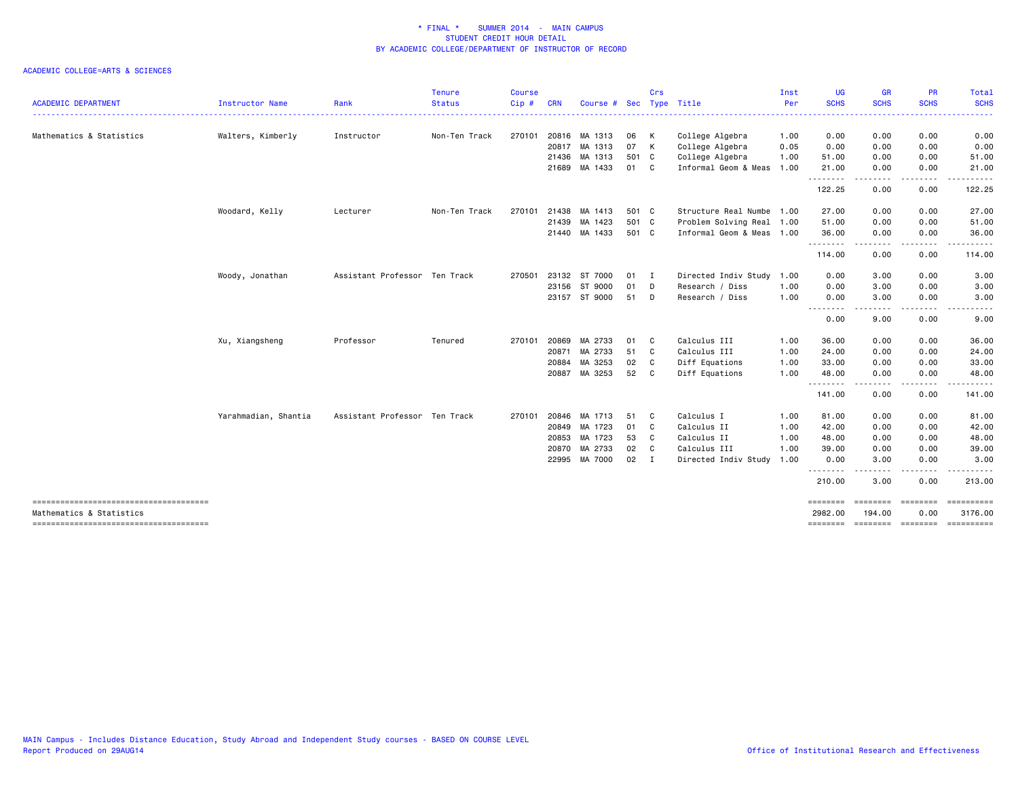| <b>ACADEMIC DEPARTMENT</b> | Instructor Name      | Rank                          | <b>Tenure</b><br><b>Status</b> | <b>Course</b><br>Cip# | <b>CRN</b> | Course #      | Sec   | Crs          | Type Title                               | Inst<br>Per | UG<br><b>SCHS</b>   | <b>GR</b><br><b>SCHS</b>  | <b>PR</b><br><b>SCHS</b> | Total<br><b>SCHS</b>                                                                                                                |
|----------------------------|----------------------|-------------------------------|--------------------------------|-----------------------|------------|---------------|-------|--------------|------------------------------------------|-------------|---------------------|---------------------------|--------------------------|-------------------------------------------------------------------------------------------------------------------------------------|
| Mathematics & Statistics   | Walters, Kimberly    | Instructor                    | Non-Ten Track                  | 270101                |            | 20816 MA 1313 | 06    | K            | _____________________<br>College Algebra | 1.00        | 0.00                | 0.00                      | 0.00                     | 0.00                                                                                                                                |
|                            |                      |                               |                                |                       |            | 20817 MA 1313 | 07    | K            | College Algebra                          | 0.05        | 0.00                | 0.00                      | 0.00                     | 0.00                                                                                                                                |
|                            |                      |                               |                                |                       | 21436      | MA 1313       | 501 C |              | College Algebra                          | 1.00        | 51.00               | 0.00                      | 0.00                     | 51.00                                                                                                                               |
|                            |                      |                               |                                |                       | 21689      | MA 1433       | 01 C  |              | Informal Geom & Meas                     | 1.00        | 21.00               | 0.00                      | 0.00                     | 21.00                                                                                                                               |
|                            |                      |                               |                                |                       |            |               |       |              |                                          |             | .<br>122.25         | - - - -<br>0.00           | 0.00                     | 122.25                                                                                                                              |
|                            | Woodard, Kelly       | Lecturer                      | Non-Ten Track                  | 270101                | 21438      | MA 1413       | 501 C |              | Structure Real Numbe 1.00                |             | 27.00               | 0.00                      | 0.00                     | 27.00                                                                                                                               |
|                            |                      |                               |                                |                       | 21439      | MA 1423       | 501 C |              | Problem Solving Real 1.00                |             | 51.00               | 0.00                      | 0.00                     | 51.00                                                                                                                               |
|                            |                      |                               |                                |                       |            | 21440 MA 1433 | 501 C |              | Informal Geom & Meas 1.00                |             | 36.00               | 0.00<br>$  -$             | 0.00                     | 36.00                                                                                                                               |
|                            |                      |                               |                                |                       |            |               |       |              |                                          |             | 114.00              | 0.00                      | 0.00                     | 114.00                                                                                                                              |
|                            | Woody, Jonathan      | Assistant Professor Ten Track |                                | 270501                |            | 23132 ST 7000 | 01    | $\mathbf{I}$ | Directed Indiv Study                     | 1.00        | 0.00                | 3.00                      | 0.00                     | 3.00                                                                                                                                |
|                            |                      |                               |                                |                       |            | 23156 ST 9000 | 01    | D            | Research / Diss                          | 1.00        | 0.00                | 3.00                      | 0.00                     | 3.00                                                                                                                                |
|                            |                      |                               |                                |                       |            | 23157 ST 9000 | 51    | D            | Research / Diss                          | 1.00        | 0.00<br>.           | 3.00                      | 0.00                     | 3.00                                                                                                                                |
|                            |                      |                               |                                |                       |            |               |       |              |                                          |             | 0.00                | 9.00                      | 0.00                     | 9.00                                                                                                                                |
|                            | Xu, Xiangsheng       | Professor                     | Tenured                        | 270101                | 20869      | MA 2733       | 01    | C            | Calculus III                             | 1.00        | 36.00               | 0.00                      | 0.00                     | 36.00                                                                                                                               |
|                            |                      |                               |                                |                       | 20871      | MA 2733       | 51    | C            | Calculus III                             | 1.00        | 24.00               | 0.00                      | 0.00                     | 24.00                                                                                                                               |
|                            |                      |                               |                                |                       | 20884      | MA 3253       | 02    | C            | Diff Equations                           | 1.00        | 33.00               | 0.00                      | 0.00                     | 33.00                                                                                                                               |
|                            |                      |                               |                                |                       |            | 20887 MA 3253 | 52    | C            | Diff Equations                           | 1.00        | 48.00<br>.          | 0.00<br>.                 | 0.00                     | 48.00                                                                                                                               |
|                            |                      |                               |                                |                       |            |               |       |              |                                          |             | 141.00              | 0.00                      | 0.00                     | 141.00                                                                                                                              |
|                            | Yarahmadian, Shantia | Assistant Professor Ten Track |                                | 270101                | 20846      | MA 1713       | 51    | C            | Calculus I                               | 1.00        | 81.00               | 0.00                      | 0.00                     | 81.00                                                                                                                               |
|                            |                      |                               |                                |                       | 20849      | MA 1723       | 01    | C            | Calculus II                              | 1.00        | 42.00               | 0.00                      | 0.00                     | 42.00                                                                                                                               |
|                            |                      |                               |                                |                       | 20853      | MA 1723       | 53    | C            | Calculus II                              | 1.00        | 48.00               | 0.00                      | 0.00                     | 48.00                                                                                                                               |
|                            |                      |                               |                                |                       | 20870      | MA 2733       | 02    | C            | Calculus III                             | 1.00        | 39.00               | 0.00                      | 0.00                     | 39.00                                                                                                                               |
|                            |                      |                               |                                |                       |            | 22995 MA 7000 | 02    | $\mathbf{I}$ | Directed Indiv Study                     | 1.00        | 0.00                | 3.00                      | 0.00                     | 3.00                                                                                                                                |
|                            |                      |                               |                                |                       |            |               |       |              |                                          |             | --------<br>210.00  | $\cdots$<br>3.00          | -----<br>0.00            | $\begin{array}{cccccccccccccc} \bullet & \bullet & \bullet & \bullet & \bullet & \bullet & \bullet & \bullet \end{array}$<br>213.00 |
| Mathematics & Statistics   |                      |                               |                                |                       |            |               |       |              |                                          |             | ========<br>2982.00 | <b>ESSESSEE</b><br>194.00 | <b>EBBEBBBB</b><br>0.00  | 3176.00                                                                                                                             |
|                            |                      |                               |                                |                       |            |               |       |              |                                          |             | ========            | ========                  | ========                 | ==========                                                                                                                          |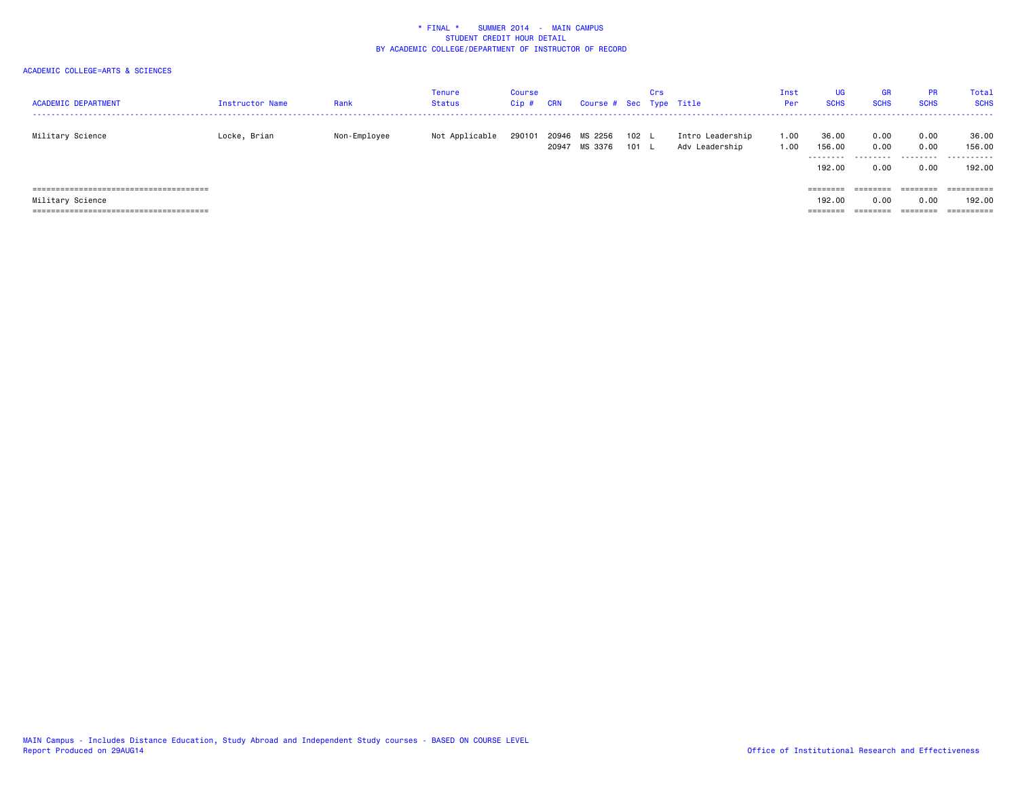| <b>ACADEMIC DEPARTMENT</b> | Instructor Name | Rank         | <b>Tenure</b><br>Status | Course<br>Cip# | <b>CRN</b> | Course # Sec Type Title  |              | Crs |                                    | Inst<br>Per  | <b>UG</b><br><b>SCHS</b>                | <b>GR</b><br><b>SCHS</b>  | <b>PR</b><br><b>SCHS</b>     | Total<br><b>SCHS</b>               |
|----------------------------|-----------------|--------------|-------------------------|----------------|------------|--------------------------|--------------|-----|------------------------------------|--------------|-----------------------------------------|---------------------------|------------------------------|------------------------------------|
| Military Science           | Locke, Brian    | Non-Employee | Not Applicable          | 290101         | 20946      | MS 2256<br>20947 MS 3376 | 102 L<br>101 |     | Intro Leadership<br>Adv Leadership | 1.00<br>1.00 | 36.00<br>156.00<br>.<br>192.00          | 0.00<br>0.00<br>.<br>0.00 | 0.00<br>0.00<br>.<br>0.00    | 36.00<br>156.00<br>.<br>192.00     |
| Military Science           |                 |              |                         |                |            |                          |              |     |                                    |              | $=$ = = = = = = =<br>192.00<br>======== | ========<br>0.00          | ========<br>0.00<br>======== | ==========<br>192.00<br>========== |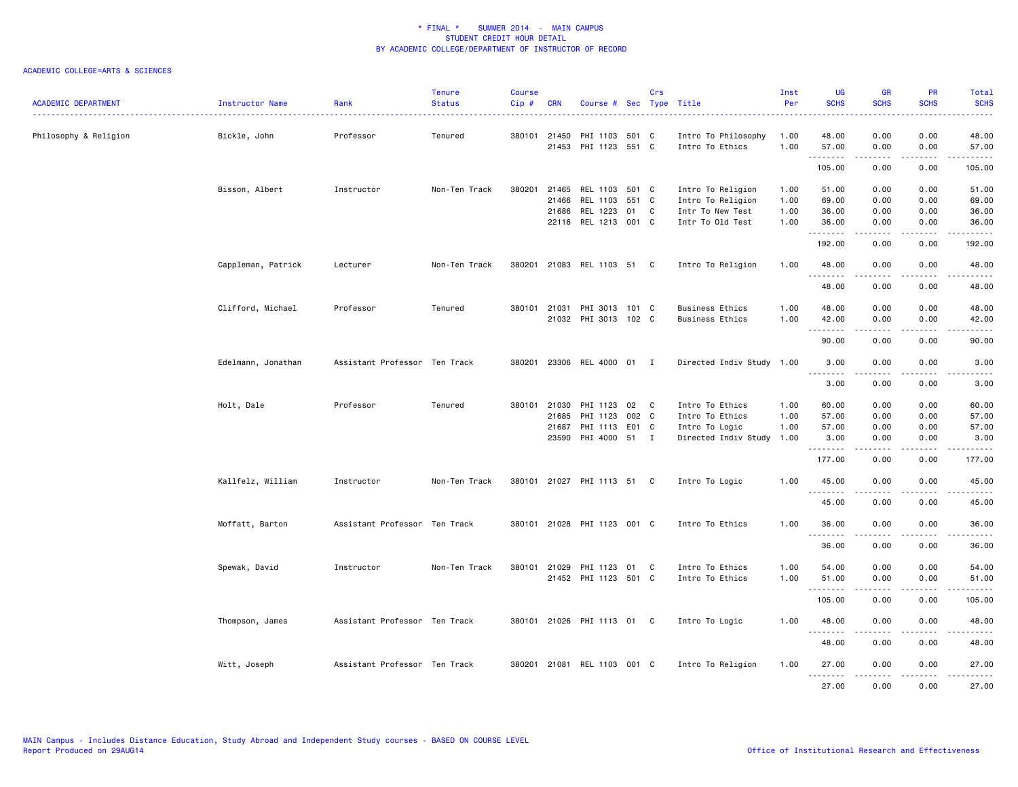| <b>ACADEMIC DEPARTMENT</b> | Instructor Name    | Rank                          | <b>Tenure</b><br><b>Status</b> | <b>Course</b><br>Cip# | <b>CRN</b>            | Course # Sec Type Title     |       | Crs |                                        | Inst<br>Per  | <b>UG</b><br><b>SCHS</b>                               | <b>GR</b><br><b>SCHS</b> | <b>PR</b><br><b>SCHS</b> | Total<br><b>SCHS</b><br>.                                                                                                          |
|----------------------------|--------------------|-------------------------------|--------------------------------|-----------------------|-----------------------|-----------------------------|-------|-----|----------------------------------------|--------------|--------------------------------------------------------|--------------------------|--------------------------|------------------------------------------------------------------------------------------------------------------------------------|
| Philosophy & Religion      | Bickle, John       | Professor                     | Tenured                        |                       | 380101 21450<br>21453 | PHI 1103<br>PHI 1123 551 C  | 501 C |     | Intro To Philosophy<br>Intro To Ethics | 1.00<br>1.00 | 48.00<br>57.00                                         | 0.00<br>0.00             | 0.00<br>0.00             | 48.00<br>57.00                                                                                                                     |
|                            |                    |                               |                                |                       |                       |                             |       |     |                                        |              | <u>.</u><br>105.00                                     | .<br>0.00                | .<br>0.00                | .<br>105.00                                                                                                                        |
|                            | Bisson, Albert     | Instructor                    | Non-Ten Track                  | 380201                | 21465                 | REL 1103                    | 501 C |     | Intro To Religion                      | 1.00         | 51.00                                                  | 0.00                     | 0.00                     | 51.00                                                                                                                              |
|                            |                    |                               |                                |                       | 21466                 | REL 1103                    | 551 C |     | Intro To Religion                      | 1.00         | 69.00                                                  | 0.00                     | 0.00                     | 69.00                                                                                                                              |
|                            |                    |                               |                                |                       | 21686                 | REL 1223                    | 01    | C   | Intr To New Test                       | 1.00         | 36.00                                                  | 0.00                     | 0.00                     | 36.00                                                                                                                              |
|                            |                    |                               |                                |                       | 22116                 | REL 1213                    | 001 C |     | Intr To Old Test                       | 1.00         | 36.00                                                  | 0.00                     | 0.00                     | 36.00<br>$\frac{1}{2} \left( \frac{1}{2} \right) \left( \frac{1}{2} \right) \left( \frac{1}{2} \right) \left( \frac{1}{2} \right)$ |
|                            |                    |                               |                                |                       |                       |                             |       |     |                                        |              | .<br>192.00                                            | 0.00                     | 0.00                     | 192.00                                                                                                                             |
|                            | Cappleman, Patrick | Lecturer                      | Non-Ten Track                  |                       |                       | 380201 21083 REL 1103 51 C  |       |     | Intro To Religion                      | 1.00         | 48.00<br>.                                             | 0.00<br>-----            | 0.00<br>$\frac{1}{2}$    | 48.00<br>.                                                                                                                         |
|                            |                    |                               |                                |                       |                       |                             |       |     |                                        |              | 48.00                                                  | 0.00                     | 0.00                     | 48.00                                                                                                                              |
|                            | Clifford, Michael  | Professor                     | Tenured                        |                       | 380101 21031          | PHI 3013 101 C              |       |     | <b>Business Ethics</b>                 | 1.00         | 48.00                                                  | 0.00                     | 0.00                     | 48.00                                                                                                                              |
|                            |                    |                               |                                |                       |                       | 21032 PHI 3013 102 C        |       |     | <b>Business Ethics</b>                 | 1.00         | 42.00                                                  | 0.00                     | 0.00                     | 42.00                                                                                                                              |
|                            |                    |                               |                                |                       |                       |                             |       |     |                                        |              | .<br>.<br>90.00                                        | 0.00                     | 0.00                     | $\omega$ is a set<br>90.00                                                                                                         |
|                            | Edelmann, Jonathan | Assistant Professor Ten Track |                                | 380201                |                       | 23306 REL 4000 01 I         |       |     | Directed Indiv Study 1.00              |              | 3.00<br>.                                              | 0.00<br>د د د د د        | 0.00                     | 3.00<br>$\omega$ is $\omega$ in .                                                                                                  |
|                            |                    |                               |                                |                       |                       |                             |       |     |                                        |              | 3.00                                                   | 0.00                     | 0.00                     | 3.00                                                                                                                               |
|                            | Holt, Dale         | Professor                     | Tenured                        |                       | 380101 21030          | PHI 1123                    | 02 C  |     | Intro To Ethics                        | 1.00         | 60.00                                                  | 0.00                     | 0.00                     | 60.00                                                                                                                              |
|                            |                    |                               |                                |                       | 21685                 | PHI 1123                    | 002 C |     | Intro To Ethics                        | 1.00         | 57.00                                                  | 0.00                     | 0.00                     | 57.00                                                                                                                              |
|                            |                    |                               |                                |                       | 21687                 | PHI 1113 E01 C              |       |     | Intro To Logic                         | 1.00         | 57.00                                                  | 0.00                     | 0.00                     | 57.00                                                                                                                              |
|                            |                    |                               |                                |                       | 23590                 | PHI 4000 51 I               |       |     | Directed Indiv Study 1.00              |              | 3.00<br>.                                              | 0.00<br><u>.</u>         | 0.00<br>.                | 3.00<br>.                                                                                                                          |
|                            |                    |                               |                                |                       |                       |                             |       |     |                                        |              | 177.00                                                 | 0.00                     | 0.00                     | 177.00                                                                                                                             |
|                            | Kallfelz, William  | Instructor                    | Non-Ten Track                  |                       |                       | 380101 21027 PHI 1113 51 C  |       |     | Intro To Logic                         | 1.00         | 45.00<br>$\overline{a}$<br>$\sim$ $\sim$ $\sim$ $\sim$ | 0.00                     | 0.00                     | 45.00                                                                                                                              |
|                            |                    |                               |                                |                       |                       |                             |       |     |                                        |              | 45.00                                                  | 0.00                     | 0.00                     | 45.00                                                                                                                              |
|                            | Moffatt, Barton    | Assistant Professor Ten Track |                                |                       |                       | 380101 21028 PHI 1123 001 C |       |     | Intro To Ethics                        | 1.00         | 36.00<br>.                                             | 0.00                     | 0.00                     | 36.00                                                                                                                              |
|                            |                    |                               |                                |                       |                       |                             |       |     |                                        |              | 36.00                                                  | 0.00                     | 0.00                     | 36.00                                                                                                                              |
|                            | Spewak, David      | Instructor                    | Non-Ten Track                  |                       | 380101 21029          | PHI 1123                    | 01 C  |     | Intro To Ethics                        | 1.00         | 54.00                                                  | 0.00                     | 0.00                     | 54.00                                                                                                                              |
|                            |                    |                               |                                |                       |                       | 21452 PHI 1123              | 501 C |     | Intro To Ethics                        | 1.00         | 51.00                                                  | 0.00                     | 0.00<br>$- - - -$        | 51.00<br>.                                                                                                                         |
|                            |                    |                               |                                |                       |                       |                             |       |     |                                        |              | .<br>105.00                                            | 0.00                     | 0.00                     | 105.00                                                                                                                             |
|                            | Thompson, James    | Assistant Professor Ten Track |                                |                       |                       | 380101 21026 PHI 1113 01 C  |       |     | Intro To Logic                         | 1.00         | 48.00                                                  | 0.00                     | 0.00                     | 48.00                                                                                                                              |
|                            |                    |                               |                                |                       |                       |                             |       |     |                                        |              | .<br>48.00                                             | 0.00                     | 0.00                     | .<br>48.00                                                                                                                         |
|                            | Witt, Joseph       | Assistant Professor Ten Track |                                |                       |                       | 380201 21081 REL 1103 001 C |       |     | Intro To Religion                      | 1.00         | 27.00<br>.                                             | 0.00<br>$\frac{1}{2}$    | 0.00<br>.                | 27.00<br>.                                                                                                                         |
|                            |                    |                               |                                |                       |                       |                             |       |     |                                        |              | 27.00                                                  | 0.00                     | 0.00                     | 27.00                                                                                                                              |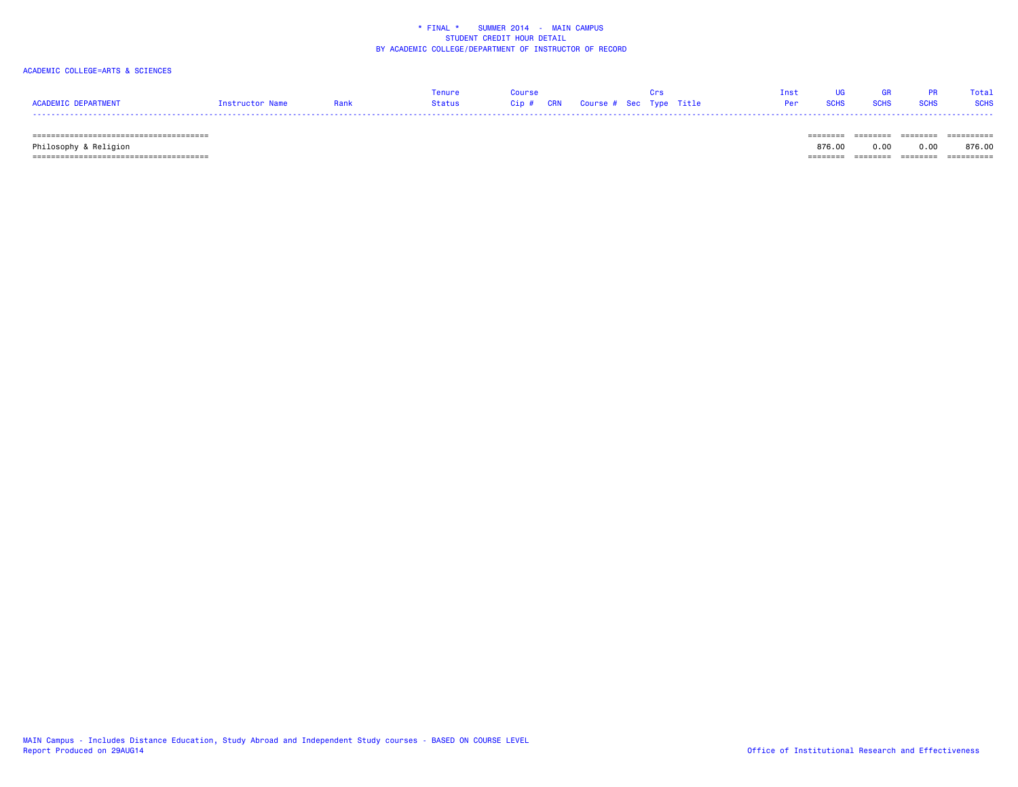## ACADEMIC COLLEGE=ARTS & SCIENCES

|                     |                 |      | enure  |                                   | Tnst |             | <b>GR</b>   | <b>PR</b>   | Total       |
|---------------------|-----------------|------|--------|-----------------------------------|------|-------------|-------------|-------------|-------------|
| ACADEMIC DEPARTMENT | Instructor Name | Rank | Status | Cip # CRN Course # Sec Type Title |      | <b>SCHS</b> | <b>SCHS</b> | <b>SCHS</b> | <b>SCHS</b> |
|                     |                 |      |        |                                   |      |             |             |             |             |

====================================== ======== ======== ======== ==========

====================================== ======== ======== ======== ==========

Philosophy & Religion 876.00 0.00 0.00 876.00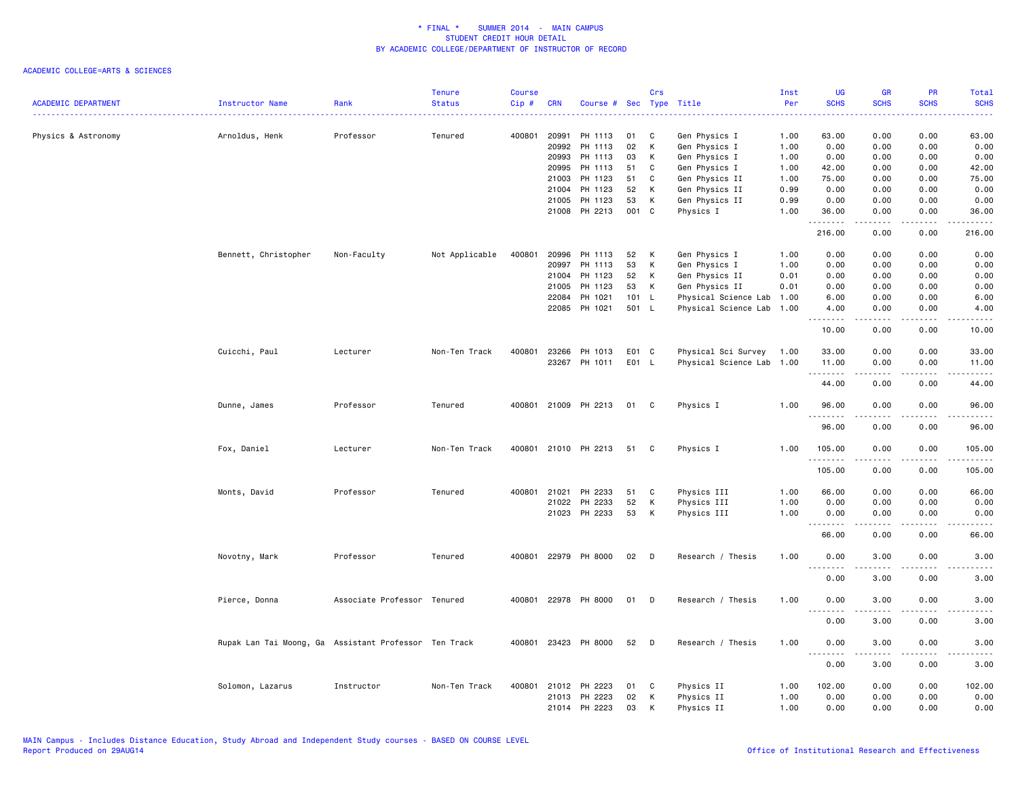| <b>ACADEMIC DEPARTMENT</b> | Instructor Name                                       | Rank                        | <b>Tenure</b><br><b>Status</b> | <b>Course</b><br>Cip# | <b>CRN</b> | Course # Sec Type Title |       | Crs |                           | Inst<br>Per | UG<br><b>SCHS</b>                     | <b>GR</b><br><b>SCHS</b> | <b>PR</b><br><b>SCHS</b> | Total<br><b>SCHS</b> |
|----------------------------|-------------------------------------------------------|-----------------------------|--------------------------------|-----------------------|------------|-------------------------|-------|-----|---------------------------|-------------|---------------------------------------|--------------------------|--------------------------|----------------------|
| Physics & Astronomy        | Arnoldus, Henk                                        | Professor                   | Tenured                        | 400801                | 20991      | PH 1113                 | 01    | C   | Gen Physics I             | 1.00        | 63.00                                 | 0.00                     | 0.00                     | 63.00                |
|                            |                                                       |                             |                                |                       | 20992      | PH 1113                 | 02    | К   | Gen Physics I             | 1.00        | 0.00                                  | 0.00                     | 0.00                     | 0.00                 |
|                            |                                                       |                             |                                |                       | 20993      | PH 1113                 | 03    | К   | Gen Physics I             | 1.00        | 0.00                                  | 0.00                     | 0.00                     | 0.00                 |
|                            |                                                       |                             |                                |                       | 20995      | PH 1113                 | 51    | C   | Gen Physics I             | 1.00        | 42.00                                 | 0.00                     | 0.00                     | 42.00                |
|                            |                                                       |                             |                                |                       | 21003      | PH 1123                 | 51    | C   | Gen Physics II            | 1.00        | 75.00                                 | 0.00                     | 0.00                     | 75.00                |
|                            |                                                       |                             |                                |                       | 21004      | PH 1123                 | 52    | к   | Gen Physics II            | 0.99        | 0.00                                  | 0.00                     | 0.00                     | 0.00                 |
|                            |                                                       |                             |                                |                       | 21005      | PH 1123                 | 53    | К   | Gen Physics II            | 0.99        | 0.00                                  | 0.00                     | 0.00                     | 0.00                 |
|                            |                                                       |                             |                                |                       |            | 21008 PH 2213           | 001 C |     | Physics I                 | 1.00        | 36.00                                 | 0.00                     | 0.00                     | 36.00                |
|                            |                                                       |                             |                                |                       |            |                         |       |     |                           |             | 216.00                                | 0.00                     | 0.00                     | 216.00               |
|                            | Bennett, Christopher                                  | Non-Faculty                 | Not Applicable                 | 400801                | 20996      | PH 1113                 | 52    | К   | Gen Physics I             | 1.00        | 0.00                                  | 0.00                     | 0.00                     | 0.00                 |
|                            |                                                       |                             |                                |                       | 20997      | PH 1113                 | 53    | к   | Gen Physics I             | 1.00        | 0.00                                  | 0.00                     | 0.00                     | 0.00                 |
|                            |                                                       |                             |                                |                       | 21004      | PH 1123                 | 52    | К   | Gen Physics II            | 0.01        | 0.00                                  | 0.00                     | 0.00                     | 0.00                 |
|                            |                                                       |                             |                                |                       | 21005      | PH 1123                 | 53    | К   | Gen Physics II            | 0.01        | 0.00                                  | 0.00                     | 0.00                     | 0.00                 |
|                            |                                                       |                             |                                |                       | 22084      | PH 1021                 | 101 L |     | Physical Science Lab 1.00 |             | 6.00                                  | 0.00                     | 0.00                     | 6.00                 |
|                            |                                                       |                             |                                |                       | 22085      | PH 1021                 | 501 L |     | Physical Science Lab      | 1.00        | 4.00<br>.                             | 0.00<br>-----            | 0.00<br>.                | 4.00<br>الداعات بال  |
|                            |                                                       |                             |                                |                       |            |                         |       |     |                           |             | 10.00                                 | 0.00                     | 0.00                     | 10.00                |
|                            | Cuicchi, Paul                                         | Lecturer                    | Non-Ten Track                  | 400801                | 23266      | PH 1013                 | E01 C |     | Physical Sci Survey       | 1.00        | 33.00                                 | 0.00                     | 0.00                     | 33.00                |
|                            |                                                       |                             |                                |                       | 23267      | PH 1011                 | E01 L |     | Physical Science Lab 1.00 |             | 11.00<br><u>.</u>                     | 0.00                     | 0.00                     | 11.00                |
|                            |                                                       |                             |                                |                       |            |                         |       |     |                           |             | 44.00                                 | 0.00                     | 0.00                     | 44.00                |
|                            | Dunne, James                                          | Professor                   | Tenured                        |                       |            | 400801 21009 PH 2213    | 01    | C   | Physics I                 | 1.00        | 96.00<br>.                            | 0.00<br>.                | 0.00                     | 96.00                |
|                            |                                                       |                             |                                |                       |            |                         |       |     |                           |             | 96.00                                 | 0.00                     | 0.00                     | 96.00                |
|                            | Fox, Daniel                                           | Lecturer                    | Non-Ten Track                  |                       |            | 400801 21010 PH 2213    | 51    | C   | Physics I                 | 1.00        | 105.00<br><b></b>                     | 0.00<br>.                | 0.00<br>.                | 105.00<br>.          |
|                            |                                                       |                             |                                |                       |            |                         |       |     |                           |             | 105.00                                | 0.00                     | 0.00                     | 105.00               |
|                            | Monts, David                                          | Professor                   | Tenured                        | 400801 21021          |            | PH 2233                 | 51    | C   | Physics III               | 1.00        | 66.00                                 | 0.00                     | 0.00                     | 66.00                |
|                            |                                                       |                             |                                |                       | 21022      | PH 2233                 | 52    | К   | Physics III               | 1.00        | 0.00                                  | 0.00                     | 0.00                     | 0.00                 |
|                            |                                                       |                             |                                |                       |            | 21023 PH 2233           | 53    | к   | Physics III               | 1.00        | 0.00                                  | 0.00                     | 0.00<br>.                | 0.00                 |
|                            |                                                       |                             |                                |                       |            |                         |       |     |                           |             | <u>.</u><br>66.00                     | $\frac{1}{2}$<br>0.00    | 0.00                     | 66.00                |
|                            | Novotny, Mark                                         | Professor                   | Tenured                        | 400801                |            | 22979 PH 8000           | 02    | D   | Research / Thesis         | 1.00        | 0.00<br>.                             | 3.00                     | 0.00                     | 3.00                 |
|                            |                                                       |                             |                                |                       |            |                         |       |     |                           |             | 0.00                                  | 3.00                     | 0.00                     | 3.00                 |
|                            | Pierce, Donna                                         | Associate Professor Tenured |                                | 400801                |            | 22978 PH 8000           | 01    | D   | Research / Thesis         | 1.00        | 0.00                                  | 3.00                     | 0.00                     | 3.00                 |
|                            |                                                       |                             |                                |                       |            |                         |       |     |                           |             | د د د<br>0.00                         | ----<br>3.00             | 0.00                     | 3.00                 |
|                            | Rupak Lan Tai Moong, Ga Assistant Professor Ten Track |                             |                                |                       |            | 400801 23423 PH 8000    | 52 D  |     | Research / Thesis         | 1.00        | 0.00                                  | 3.00                     | 0.00                     | 3.00                 |
|                            |                                                       |                             |                                |                       |            |                         |       |     |                           |             | $\sim$ $\sim$ $\sim$<br>-----<br>0.00 | .<br>3.00                | .<br>0.00                | 3.00                 |
|                            | Solomon, Lazarus                                      | Instructor                  | Non-Ten Track                  | 400801                | 21012      | PH 2223                 | 01    | C   | Physics II                | 1.00        | 102.00                                | 0.00                     | 0.00                     | 102.00               |
|                            |                                                       |                             |                                |                       | 21013      | PH 2223                 | 02    | к   | Physics II                | 1.00        | 0.00                                  | 0.00                     | 0.00                     | 0.00                 |
|                            |                                                       |                             |                                |                       |            | 21014 PH 2223           | 03    | К   | Physics II                | 1.00        | 0.00                                  | 0.00                     | 0.00                     | 0.00                 |
|                            |                                                       |                             |                                |                       |            |                         |       |     |                           |             |                                       |                          |                          |                      |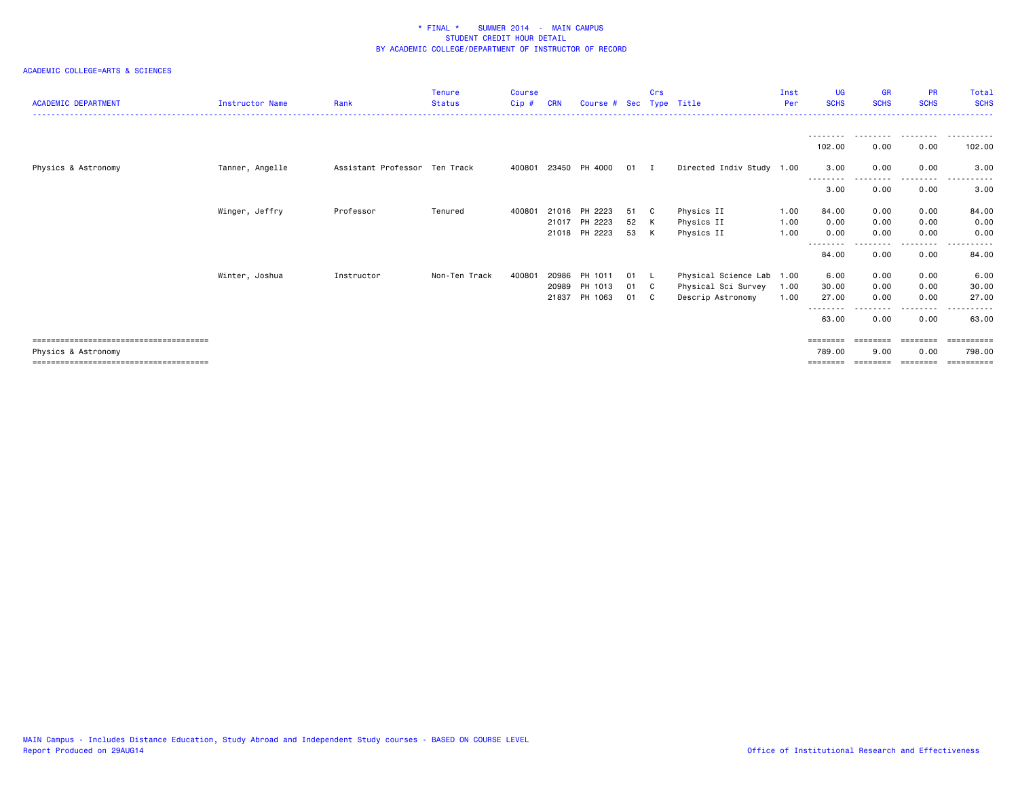| <b>ACADEMIC DEPARTMENT</b> | <b>Instructor Name</b> | Rank                          | <b>Tenure</b><br><b>Status</b> | <b>Course</b><br>Cip# | <b>CRN</b> | Course # Sec Type Title |      | Crs |                           | Inst<br>Per | <b>UG</b><br><b>SCHS</b> | <b>GR</b><br><b>SCHS</b>  | <b>PR</b><br><b>SCHS</b> | Total<br><b>SCHS</b> |
|----------------------------|------------------------|-------------------------------|--------------------------------|-----------------------|------------|-------------------------|------|-----|---------------------------|-------------|--------------------------|---------------------------|--------------------------|----------------------|
|                            |                        |                               |                                |                       |            |                         |      |     |                           |             | 102.00                   | 0.00                      | 0.00                     | 102.00               |
| Physics & Astronomy        | Tanner, Angelle        | Assistant Professor Ten Track |                                |                       |            | 400801 23450 PH 4000    | 01 I |     | Directed Indiv Study 1.00 |             | 3.00<br>--------         | 0.00<br>--------          | 0.00<br>---------        | 3.00<br>.<br>.       |
|                            |                        |                               |                                |                       |            |                         |      |     |                           |             | 3.00                     | 0.00                      | 0.00                     | 3.00                 |
|                            | Winger, Jeffry         | Professor                     | Tenured                        | 400801                |            | 21016 PH 2223           | 51   | C   | Physics II                | 1.00        | 84.00                    | 0.00                      | 0.00                     | 84.00                |
|                            |                        |                               |                                |                       |            | 21017 PH 2223           | 52   | K   | Physics II                | 1.00        | 0.00                     | 0.00                      | 0.00                     | 0.00                 |
|                            |                        |                               |                                |                       |            | 21018 PH 2223           | 53   | К   | Physics II                | 1.00        | 0.00                     | 0.00                      | 0.00                     | 0.00                 |
|                            |                        |                               |                                |                       |            |                         |      |     |                           |             | --------<br>84.00        | .<br>0.00                 | . <b>.</b><br>0.00       | .<br>84.00           |
|                            | Winter, Joshua         | Instructor                    | Non-Ten Track                  | 400801                | 20986      | PH 1011                 | 01   | L.  | Physical Science Lab 1.00 |             | 6.00                     | 0.00                      | 0.00                     | 6.00                 |
|                            |                        |                               |                                |                       | 20989      | PH 1013                 | 01   | C   | Physical Sci Survey       | 1.00        | 30.00                    | 0.00                      | 0.00                     | 30.00                |
|                            |                        |                               |                                |                       | 21837      | PH 1063                 | 01   | C.  | Descrip Astronomy         | 1.00        | 27,00                    | 0.00<br>- - - - - - - - - | 0.00<br>.                | 27.00<br>.           |
|                            |                        |                               |                                |                       |            |                         |      |     |                           |             | --------<br>63.00        | 0.00                      | 0.00                     | 63.00                |
|                            |                        |                               |                                |                       |            |                         |      |     |                           |             | ========                 | ========                  | ========                 | ==========           |
| Physics & Astronomy        |                        |                               |                                |                       |            |                         |      |     |                           |             | 789.00                   | 9.00                      | 0.00                     | 798.00               |
|                            |                        |                               |                                |                       |            |                         |      |     |                           |             | ========                 |                           | ========                 | ==========           |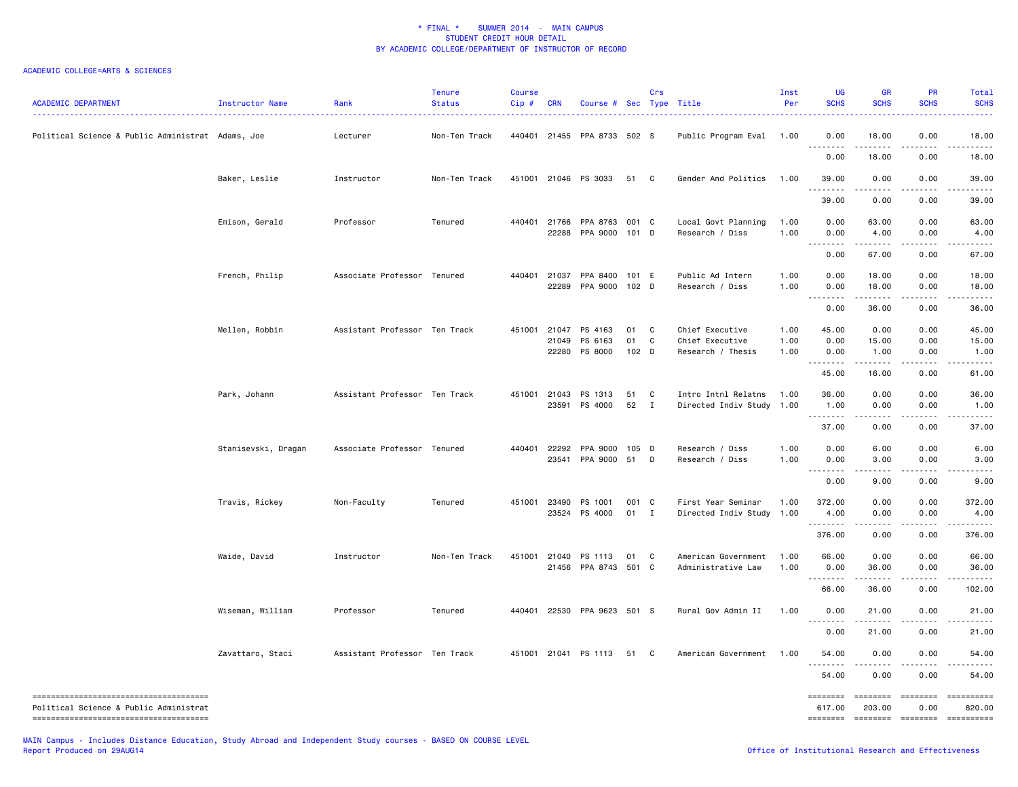| <b>ACADEMIC DEPARTMENT</b>                        | Instructor Name     | Rank                          | Tenure<br><b>Status</b> | <b>Course</b><br>Cip# | <b>CRN</b>     | Course # Sec Type Title                             |                   | Crs               |                                                         | Inst<br>Per          | UG<br><b>SCHS</b>                                                                                                                                             | GR<br><b>SCHS</b>                                                                                                                                                                                                   | <b>PR</b><br><b>SCHS</b> | Total<br><b>SCHS</b>   |
|---------------------------------------------------|---------------------|-------------------------------|-------------------------|-----------------------|----------------|-----------------------------------------------------|-------------------|-------------------|---------------------------------------------------------|----------------------|---------------------------------------------------------------------------------------------------------------------------------------------------------------|---------------------------------------------------------------------------------------------------------------------------------------------------------------------------------------------------------------------|--------------------------|------------------------|
| Political Science & Public Administrat Adams, Joe |                     | Lecturer                      | Non-Ten Track           |                       |                | 440401 21455 PPA 8733 502 S                         |                   |                   | Public Program Eval 1.00                                |                      | 0.00<br><u>.</u>                                                                                                                                              | 18.00<br>.                                                                                                                                                                                                          | 0.00                     | 18.00                  |
|                                                   |                     |                               |                         |                       |                |                                                     |                   |                   |                                                         |                      | 0.00                                                                                                                                                          | 18.00                                                                                                                                                                                                               | 0.00                     | 18.00                  |
|                                                   | Baker, Leslie       | Instructor                    | Non-Ten Track           |                       |                | 451001 21046 PS 3033                                | 51 C              |                   | Gender And Politics                                     | 1.00                 | 39.00                                                                                                                                                         | 0.00                                                                                                                                                                                                                | 0.00                     | 39.00                  |
|                                                   |                     |                               |                         |                       |                |                                                     |                   |                   |                                                         |                      | .<br>39.00                                                                                                                                                    | 0.00                                                                                                                                                                                                                | 0.00                     | 39.00                  |
|                                                   | Emison, Gerald      | Professor                     | Tenured                 |                       |                | 440401 21766 PPA 8763 001 C<br>22288 PPA 9000 101 D |                   |                   | Local Govt Planning<br>Research / Diss                  | 1.00<br>1.00         | 0.00<br>0.00<br><b></b>                                                                                                                                       | 63.00<br>4.00<br>.                                                                                                                                                                                                  | 0.00<br>0.00<br>.        | 63.00<br>4.00          |
|                                                   |                     |                               |                         |                       |                |                                                     |                   |                   |                                                         |                      | 0.00                                                                                                                                                          | 67.00                                                                                                                                                                                                               | 0.00                     | 67.00                  |
|                                                   | French, Philip      | Associate Professor Tenured   |                         | 440401 21037          |                | PPA 8400<br>22289 PPA 9000 102 D                    | 101 E             |                   | Public Ad Intern<br>Research / Diss                     | 1.00<br>1.00         | 0.00<br>0.00                                                                                                                                                  | 18.00<br>18.00                                                                                                                                                                                                      | 0.00<br>0.00             | 18.00<br>18.00         |
|                                                   |                     |                               |                         |                       |                |                                                     |                   |                   |                                                         |                      | .<br>0.00                                                                                                                                                     | $\frac{1}{2} \left( \frac{1}{2} \right) \left( \frac{1}{2} \right) \left( \frac{1}{2} \right) \left( \frac{1}{2} \right) \left( \frac{1}{2} \right) \left( \frac{1}{2} \right) \left( \frac{1}{2} \right)$<br>36.00 | 0.00                     | 36.00                  |
|                                                   | Mellen, Robbin      | Assistant Professor Ten Track |                         | 451001                | 21047<br>21049 | PS 4163<br>PS 6163<br>22280 PS 8000                 | 01<br>01<br>102 D | C<br>C            | Chief Executive<br>Chief Executive<br>Research / Thesis | 1.00<br>1.00<br>1.00 | 45.00<br>0.00<br>0.00<br>.                                                                                                                                    | 0.00<br>15.00<br>1.00<br>.                                                                                                                                                                                          | 0.00<br>0.00<br>0.00     | 45.00<br>15.00<br>1.00 |
|                                                   |                     |                               |                         |                       |                |                                                     |                   |                   |                                                         |                      | 45.00                                                                                                                                                         | 16.00                                                                                                                                                                                                               | 0.00                     | 61.00                  |
|                                                   | Park, Johann        | Assistant Professor Ten Track |                         | 451001                | 21043          | PS 1313<br>23591 PS 4000                            | 51<br>52          | C<br>$\mathbf{I}$ | Intro Intnl Relatns<br>Directed Indiv Study 1.00        | 1.00                 | 36.00<br>1.00<br>.                                                                                                                                            | 0.00<br>0.00<br>.                                                                                                                                                                                                   | 0.00<br>0.00<br>.        | 36.00<br>1.00          |
|                                                   |                     |                               |                         |                       |                |                                                     |                   |                   |                                                         |                      | 37.00                                                                                                                                                         | 0.00                                                                                                                                                                                                                | 0.00                     | 37.00                  |
|                                                   | Stanisevski, Dragan | Associate Professor Tenured   |                         | 440401                | 22292<br>23541 | PPA 9000<br>PPA 9000 51                             | 105 D             | D                 | Research / Diss<br>Research / Diss                      | 1.00<br>1.00         | 0.00<br>0.00                                                                                                                                                  | 6.00<br>3.00                                                                                                                                                                                                        | 0.00<br>0.00             | 6.00<br>3.00           |
|                                                   |                     |                               |                         |                       |                |                                                     |                   |                   |                                                         |                      | 0.00                                                                                                                                                          | .<br>9.00                                                                                                                                                                                                           | 0.00                     | 9.00                   |
|                                                   | Travis, Rickey      | Non-Faculty                   | Tenured                 | 451001                | 23490          | PS 1001<br>23524 PS 4000                            | 001<br>01         | C<br>I            | First Year Seminar<br>Directed Indiv Study              | 1.00<br>1.00         | 372.00<br>4.00                                                                                                                                                | 0.00<br>0.00                                                                                                                                                                                                        | 0.00<br>0.00             | 372.00<br>4.00         |
|                                                   |                     |                               |                         |                       |                |                                                     |                   |                   |                                                         |                      | .<br>376.00                                                                                                                                                   | $\omega = \omega/\omega$<br>0.00                                                                                                                                                                                    | .<br>0.00                | .<br>376.00            |
|                                                   | Waide, David        | Instructor                    | Non-Ten Track           | 451001                | 21040<br>21456 | PS 1113<br>PPA 8743                                 | 01<br>501 C       | <b>C</b>          | American Government<br>Administrative Law               | 1.00<br>1.00         | 66.00<br>0.00                                                                                                                                                 | 0.00<br>36.00                                                                                                                                                                                                       | 0.00<br>0.00             | 66.00<br>36.00         |
|                                                   |                     |                               |                         |                       |                |                                                     |                   |                   |                                                         |                      | $\frac{1}{2} \left( \frac{1}{2} \right) \left( \frac{1}{2} \right) \left( \frac{1}{2} \right) \left( \frac{1}{2} \right) \left( \frac{1}{2} \right)$<br>66.00 | $\frac{1}{2} \left( \frac{1}{2} \right) \left( \frac{1}{2} \right) \left( \frac{1}{2} \right) \left( \frac{1}{2} \right) \left( \frac{1}{2} \right)$<br>36.00                                                       | 0.00                     | 102.00                 |
|                                                   | Wiseman, William    | Professor                     | Tenured                 | 440401                |                | 22530 PPA 9623 501 S                                |                   |                   | Rural Gov Admin II                                      | 1.00                 | 0.00                                                                                                                                                          | 21.00                                                                                                                                                                                                               | 0.00                     | 21.00                  |
|                                                   |                     |                               |                         |                       |                |                                                     |                   |                   |                                                         |                      | $- - - - -$<br>0.00                                                                                                                                           | -----<br>21.00                                                                                                                                                                                                      | 0.00                     | 21.00                  |
|                                                   | Zavattaro, Staci    | Assistant Professor Ten Track |                         | 451001                |                | 21041 PS 1113                                       | 51                | C                 | American Government                                     | 1.00                 | 54.00                                                                                                                                                         | 0.00                                                                                                                                                                                                                | 0.00                     | 54.00                  |
|                                                   |                     |                               |                         |                       |                |                                                     |                   |                   |                                                         |                      | .<br>54.00                                                                                                                                                    | .<br>0.00                                                                                                                                                                                                           | 0.00                     | 54.00                  |
| Political Science & Public Administrat            |                     |                               |                         |                       |                |                                                     |                   |                   |                                                         |                      | ========<br>617.00                                                                                                                                            | ========<br>203.00<br>-------- ------- -------                                                                                                                                                                      | <b>EEEEEEE</b><br>0.00   | 820.00<br>==========   |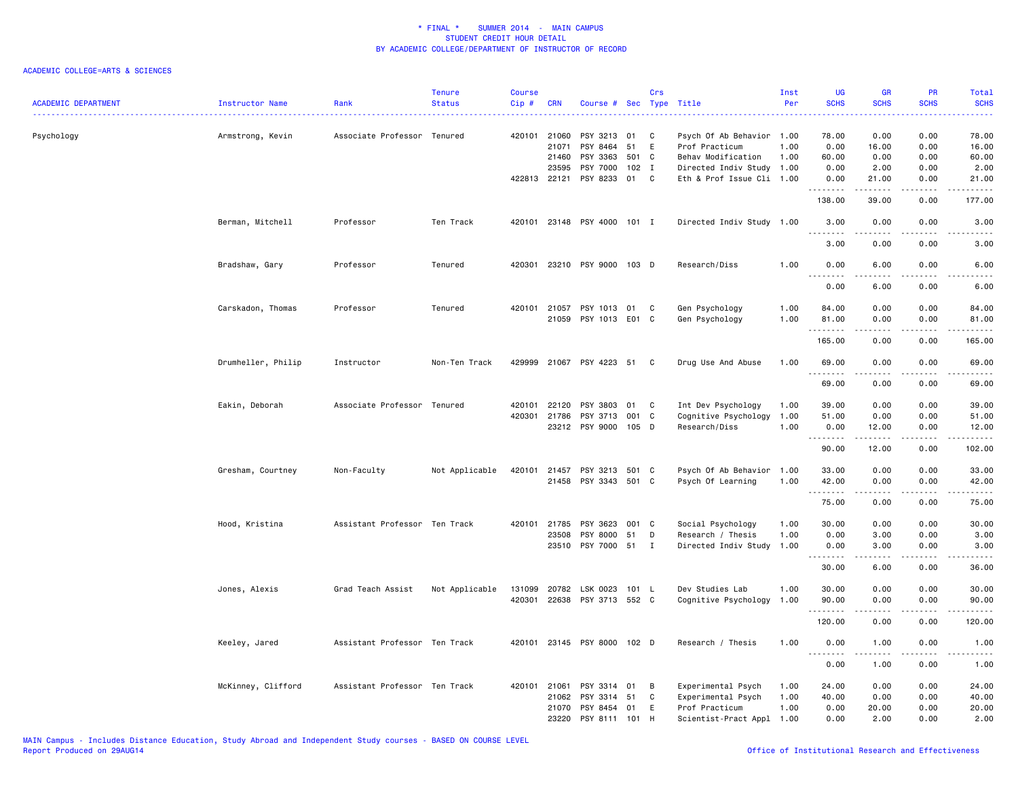| <b>ACADEMIC DEPARTMENT</b> | Instructor Name    | Rank                          | <b>Tenure</b><br><b>Status</b> | <b>Course</b><br>Cip# | <b>CRN</b>                       | Course #                                            |                          | Crs<br>Sec Type  | Title                                                                                          | Inst<br>Per          | UG<br><b>SCHS</b>                           | <b>GR</b><br><b>SCHS</b>      | PR<br><b>SCHS</b>            | <b>Total</b><br><b>SCHS</b>                  |
|----------------------------|--------------------|-------------------------------|--------------------------------|-----------------------|----------------------------------|-----------------------------------------------------|--------------------------|------------------|------------------------------------------------------------------------------------------------|----------------------|---------------------------------------------|-------------------------------|------------------------------|----------------------------------------------|
| Psychology                 | Armstrong, Kevin   | Associate Professor Tenured   |                                | 420101                | 21060<br>21071<br>21460<br>23595 | PSY 3213<br>PSY 8464<br>PSY 3363<br><b>PSY 7000</b> | 01<br>51<br>501<br>102 I | C<br>E<br>C      | Psych Of Ab Behavior 1.00<br>Prof Practicum<br>Behav Modification<br>Directed Indiv Study 1.00 | 1.00<br>1.00         | 78.00<br>0.00<br>60.00<br>0.00              | 0.00<br>16.00<br>0.00<br>2.00 | 0.00<br>0.00<br>0.00<br>0.00 | 78.00<br>16.00<br>60.00<br>2.00              |
|                            |                    |                               |                                | 422813                | 22121                            | PSY 8233                                            | 01                       | C                | Eth & Prof Issue Cli 1.00                                                                      |                      | 0.00<br>.                                   | 21.00                         | 0.00<br>$\sim$ $\sim$ $\sim$ | 21.00<br>والمناصبات                          |
|                            |                    |                               |                                |                       |                                  |                                                     |                          |                  |                                                                                                |                      | 138.00                                      | 39.00                         | 0.00                         | 177.00                                       |
|                            | Berman, Mitchell   | Professor                     | Ten Track                      |                       |                                  | 420101 23148 PSY 4000 101 I                         |                          |                  | Directed Indiv Study 1.00                                                                      |                      | 3.00                                        | 0.00                          | 0.00                         | 3.00                                         |
|                            |                    |                               |                                |                       |                                  |                                                     |                          |                  |                                                                                                |                      | 3.00                                        | 0.00                          | 0.00                         | 3.00                                         |
|                            | Bradshaw, Gary     | Professor                     | Tenured                        | 420301                |                                  | 23210 PSY 9000 103 D                                |                          |                  | Research/Diss                                                                                  | 1.00                 | 0.00<br>$\sim$ $\sim$                       | 6.00                          | 0.00                         | 6.00                                         |
|                            |                    |                               |                                |                       |                                  |                                                     |                          |                  |                                                                                                |                      | 0.00                                        | 6.00                          | 0.00                         | 6.00                                         |
|                            | Carskadon, Thomas  | Professor                     | Tenured                        |                       | 420101 21057<br>21059            | PSY 1013 01<br>PSY 1013 E01 C                       |                          | C                | Gen Psychology<br>Gen Psychology                                                               | 1.00<br>1.00         | 84.00<br>81.00                              | 0.00<br>0.00                  | 0.00<br>0.00<br>$- - -$      | 84.00<br>81.00                               |
|                            |                    |                               |                                |                       |                                  |                                                     |                          |                  |                                                                                                |                      | .<br>165.00                                 | 0.00                          | 0.00                         | $\sim$ $\sim$ $\sim$ $\sim$ $\sim$<br>165.00 |
|                            | Drumheller, Philip | Instructor                    | Non-Ten Track                  | 429999                |                                  | 21067 PSY 4223 51 C                                 |                          |                  | Drug Use And Abuse                                                                             | 1.00                 | 69.00<br>.                                  | 0.00                          | 0.00                         | 69.00                                        |
|                            |                    |                               |                                |                       |                                  |                                                     |                          |                  |                                                                                                |                      | 69.00                                       | 0.00                          | 0.00                         | 69.00                                        |
|                            | Eakin, Deborah     | Associate Professor Tenured   |                                | 420101<br>420301      | 22120<br>21786<br>23212          | PSY 3803<br>PSY 3713<br>PSY 9000                    | 01<br>001 C<br>105 D     | C                | Int Dev Psychology<br>Cognitive Psychology<br>Research/Diss                                    | 1.00<br>1.00<br>1.00 | 39.00<br>51.00<br>0.00                      | 0.00<br>0.00<br>12.00         | 0.00<br>0.00<br>0.00         | 39.00<br>51.00<br>12.00                      |
|                            |                    |                               |                                |                       |                                  |                                                     |                          |                  |                                                                                                |                      | .<br>90.00                                  | 12.00                         | $\frac{1}{2}$<br>0.00        | .<br>102.00                                  |
|                            | Gresham, Courtney  | Non-Faculty                   | Not Applicable                 | 420101                | 21457                            | PSY 3213 501 C<br>21458 PSY 3343 501 C              |                          |                  | Psych Of Ab Behavior 1.00<br>Psych Of Learning                                                 | 1.00                 | 33.00<br>42.00<br>.                         | 0.00<br>0.00                  | 0.00<br>0.00                 | 33.00<br>42.00<br>.                          |
|                            |                    |                               |                                |                       |                                  |                                                     |                          |                  |                                                                                                |                      | 75.00                                       | 0.00                          | 0.00                         | 75.00                                        |
|                            | Hood, Kristina     | Assistant Professor Ten Track |                                | 420101                | 21785<br>23508<br>23510          | PSY 3623<br>PSY 8000<br>PSY 7000 51                 | 001 C<br>51              | D<br>I           | Social Psychology<br>Research / Thesis<br>Directed Indiv Study                                 | 1.00<br>1.00<br>1.00 | 30.00<br>0.00<br>0.00<br>$\sim$ $\sim$<br>. | 0.00<br>3.00<br>3.00          | 0.00<br>0.00<br>0.00         | 30.00<br>3.00<br>3.00                        |
|                            |                    |                               |                                |                       |                                  |                                                     |                          |                  |                                                                                                |                      | 30.00                                       | 6.00                          | 0.00                         | 36.00                                        |
|                            | Jones, Alexis      | Grad Teach Assist             | Not Applicable                 | 131099<br>420301      | 20782<br>22638                   | LSK 0023<br>PSY 3713 552 C                          | 101 L                    |                  | Dev Studies Lab<br>Cognitive Psychology                                                        | 1.00<br>1.00         | 30.00<br>90.00<br>.                         | 0.00<br>0.00                  | 0.00<br>0.00                 | 30.00<br>90.00<br>.                          |
|                            |                    |                               |                                |                       |                                  |                                                     |                          |                  |                                                                                                |                      | 120.00                                      | 0.00                          | 0.00                         | 120.00                                       |
|                            | Keeley, Jared      | Assistant Professor Ten Track |                                |                       |                                  | 420101 23145 PSY 8000 102 D                         |                          |                  | Research / Thesis                                                                              | 1.00                 | 0.00<br>.                                   | 1.00<br><u>.</u>              | 0.00<br>$   -$               | 1.00<br>$\frac{1}{2}$                        |
|                            |                    |                               |                                |                       |                                  |                                                     |                          |                  |                                                                                                |                      | 0.00                                        | 1.00                          | 0.00                         | 1.00                                         |
|                            | McKinney, Clifford | Assistant Professor Ten Track |                                | 420101                | 21061<br>21062<br>21070<br>23220 | PSY 3314<br>PSY 3314<br>PSY 8454<br>PSY 8111        | 01<br>51<br>01<br>101    | B<br>C<br>E<br>H | Experimental Psych<br>Experimental Psych<br>Prof Practicum<br>Scientist-Pract Appl 1.00        | 1.00<br>1.00<br>1.00 | 24.00<br>40.00<br>0.00<br>0.00              | 0.00<br>0.00<br>20.00<br>2.00 | 0.00<br>0.00<br>0.00<br>0.00 | 24.00<br>40.00<br>20.00<br>2.00              |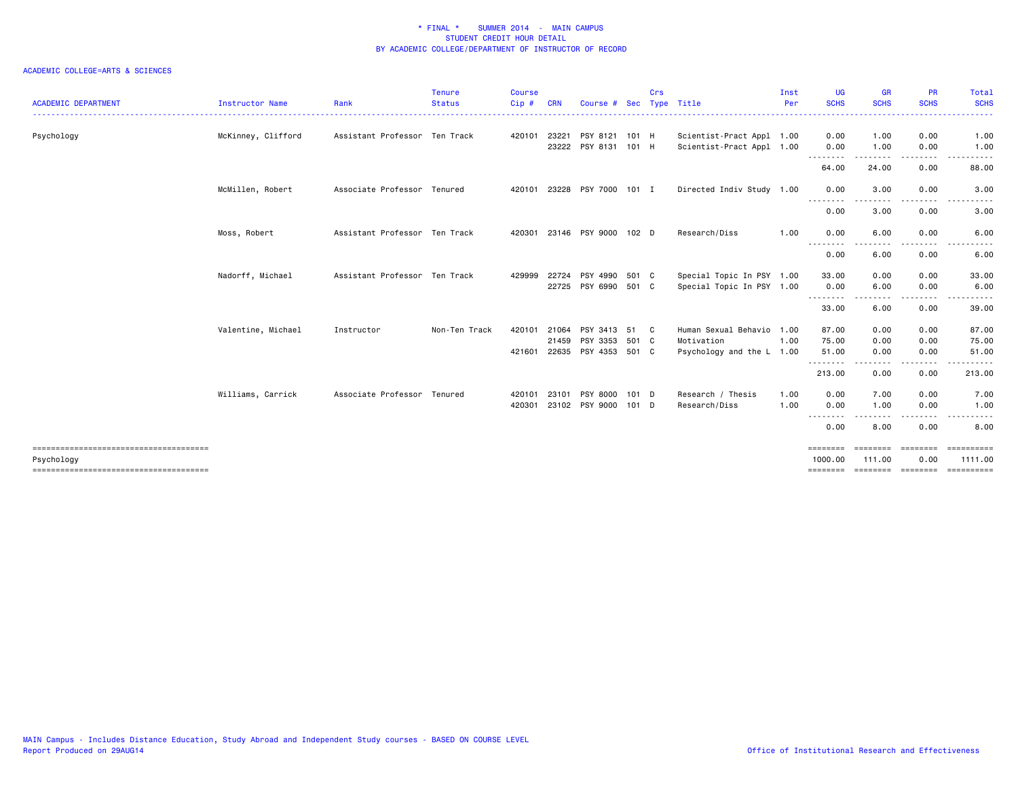| <b>ACADEMIC DEPARTMENT</b> | Instructor Name    | Rank                          | <b>Tenure</b><br><b>Status</b> | <b>Course</b><br>Cip# | <b>CRN</b>     | Course #                         | Sec     | Crs | Type Title                                             | Inst<br>Per | UG<br><b>SCHS</b>                                                                                                                                                                                                                                                                                                                                                                                                                                                                      | <b>GR</b><br><b>SCHS</b> | <b>PR</b><br><b>SCHS</b> | Total<br><b>SCHS</b> |
|----------------------------|--------------------|-------------------------------|--------------------------------|-----------------------|----------------|----------------------------------|---------|-----|--------------------------------------------------------|-------------|----------------------------------------------------------------------------------------------------------------------------------------------------------------------------------------------------------------------------------------------------------------------------------------------------------------------------------------------------------------------------------------------------------------------------------------------------------------------------------------|--------------------------|--------------------------|----------------------|
|                            |                    |                               |                                |                       |                |                                  |         |     |                                                        |             | --------                                                                                                                                                                                                                                                                                                                                                                                                                                                                               | .                        | ----------               | ------               |
| Psychology                 | McKinney, Clifford | Assistant Professor Ten Track |                                | 420101                | 23221<br>23222 | PSY 8121 101 H<br>PSY 8131 101 H |         |     | Scientist-Pract Appl 1.00<br>Scientist-Pract Appl 1.00 |             | 0.00<br>0.00                                                                                                                                                                                                                                                                                                                                                                                                                                                                           | 1.00<br>1.00             | 0.00<br>0.00             | 1.00<br>1.00         |
|                            |                    |                               |                                |                       |                |                                  |         |     |                                                        |             | $\begin{array}{cccccccccccccc} \multicolumn{2}{c}{} & \multicolumn{2}{c}{} & \multicolumn{2}{c}{} & \multicolumn{2}{c}{} & \multicolumn{2}{c}{} & \multicolumn{2}{c}{} & \multicolumn{2}{c}{} & \multicolumn{2}{c}{} & \multicolumn{2}{c}{} & \multicolumn{2}{c}{} & \multicolumn{2}{c}{} & \multicolumn{2}{c}{} & \multicolumn{2}{c}{} & \multicolumn{2}{c}{} & \multicolumn{2}{c}{} & \multicolumn{2}{c}{} & \multicolumn{2}{c}{} & \multicolumn{2}{c}{} & \multicolumn{2}{c}{} & \$ | -----                    | . <b>.</b> .             | .                    |
|                            |                    |                               |                                |                       |                |                                  |         |     |                                                        |             | 64.00                                                                                                                                                                                                                                                                                                                                                                                                                                                                                  | 24.00                    | 0.00                     | 88.00                |
|                            | McMillen, Robert   | Associate Professor Tenured   |                                |                       |                | 420101 23228 PSY 7000 101 I      |         |     | Directed Indiv Study 1.00                              |             | 0.00<br>. <b>.</b>                                                                                                                                                                                                                                                                                                                                                                                                                                                                     | 3.00                     | 0.00                     | 3.00                 |
|                            |                    |                               |                                |                       |                |                                  |         |     |                                                        |             | 0.00                                                                                                                                                                                                                                                                                                                                                                                                                                                                                   | - - - -<br>3.00          | . <u>.</u> .<br>0.00     | $\cdots$<br>3.00     |
|                            | Moss, Robert       | Assistant Professor Ten Track |                                |                       |                | 420301 23146 PSY 9000 102 D      |         |     | Research/Diss                                          | 1.00        | 0.00                                                                                                                                                                                                                                                                                                                                                                                                                                                                                   | 6.00                     | 0.00                     | 6.00                 |
|                            |                    |                               |                                |                       |                |                                  |         |     |                                                        |             | --------<br>0.00                                                                                                                                                                                                                                                                                                                                                                                                                                                                       | .<br>6.00                | -----<br>0.00            | 6.00                 |
|                            | Nadorff, Michael   | Assistant Professor Ten Track |                                | 429999 22724          |                | PSY 4990 501 C                   |         |     | Special Topic In PSY 1.00                              |             | 33.00                                                                                                                                                                                                                                                                                                                                                                                                                                                                                  | 0.00                     | 0.00                     | 33.00                |
|                            |                    |                               |                                |                       |                | 22725 PSY 6990 501 C             |         |     | Special Topic In PSY 1.00                              |             | 0.00<br>.                                                                                                                                                                                                                                                                                                                                                                                                                                                                              | 6.00                     | 0.00                     | 6.00                 |
|                            |                    |                               |                                |                       |                |                                  |         |     |                                                        |             | 33.00                                                                                                                                                                                                                                                                                                                                                                                                                                                                                  | 6.00                     | 0.00                     | 39.00                |
|                            | Valentine, Michael | Instructor                    | Non-Ten Track                  | 420101                | 21064          | PSY 3413 51 C                    |         |     | Human Sexual Behavio 1.00                              |             | 87.00                                                                                                                                                                                                                                                                                                                                                                                                                                                                                  | 0.00                     | 0.00                     | 87.00                |
|                            |                    |                               |                                |                       | 21459          | PSY 3353 501 C                   |         |     | Motivation                                             | 1.00        | 75.00                                                                                                                                                                                                                                                                                                                                                                                                                                                                                  | 0.00                     | 0.00                     | 75.00                |
|                            |                    |                               |                                | 421601                | 22635          | PSY 4353 501 C                   |         |     | Psychology and the L 1.00                              |             | 51.00                                                                                                                                                                                                                                                                                                                                                                                                                                                                                  | 0.00                     | 0.00                     | 51.00                |
|                            |                    |                               |                                |                       |                |                                  |         |     |                                                        |             | .<br>213.00                                                                                                                                                                                                                                                                                                                                                                                                                                                                            | 0.00                     | 0.00                     | 213.00               |
|                            | Williams, Carrick  | Associate Professor Tenured   |                                | 420101 23101          |                | PSY 8000                         | $101$ D |     | Research / Thesis                                      | 1.00        | 0.00                                                                                                                                                                                                                                                                                                                                                                                                                                                                                   | 7.00                     | 0.00                     | 7.00                 |
|                            |                    |                               |                                |                       |                | 420301 23102 PSY 9000 101 D      |         |     | Research/Diss                                          | 1.00        | 0.00                                                                                                                                                                                                                                                                                                                                                                                                                                                                                   | 1.00                     | 0.00                     | 1.00                 |
|                            |                    |                               |                                |                       |                |                                  |         |     |                                                        |             | .<br>0.00                                                                                                                                                                                                                                                                                                                                                                                                                                                                              | ----<br>8.00             | 0.00                     | 8.00                 |
|                            |                    |                               |                                |                       |                |                                  |         |     |                                                        |             | ========                                                                                                                                                                                                                                                                                                                                                                                                                                                                               | ========                 | <b>EEEEEEE</b>           | <b>EEEEEEEEE</b>     |
| Psychology                 |                    |                               |                                |                       |                |                                  |         |     |                                                        |             | 1000.00                                                                                                                                                                                                                                                                                                                                                                                                                                                                                | 111.00                   | 0.00                     | 1111.00              |
|                            |                    |                               |                                |                       |                |                                  |         |     |                                                        |             | ========                                                                                                                                                                                                                                                                                                                                                                                                                                                                               |                          | --------- --------       | <b>CONSESSED</b>     |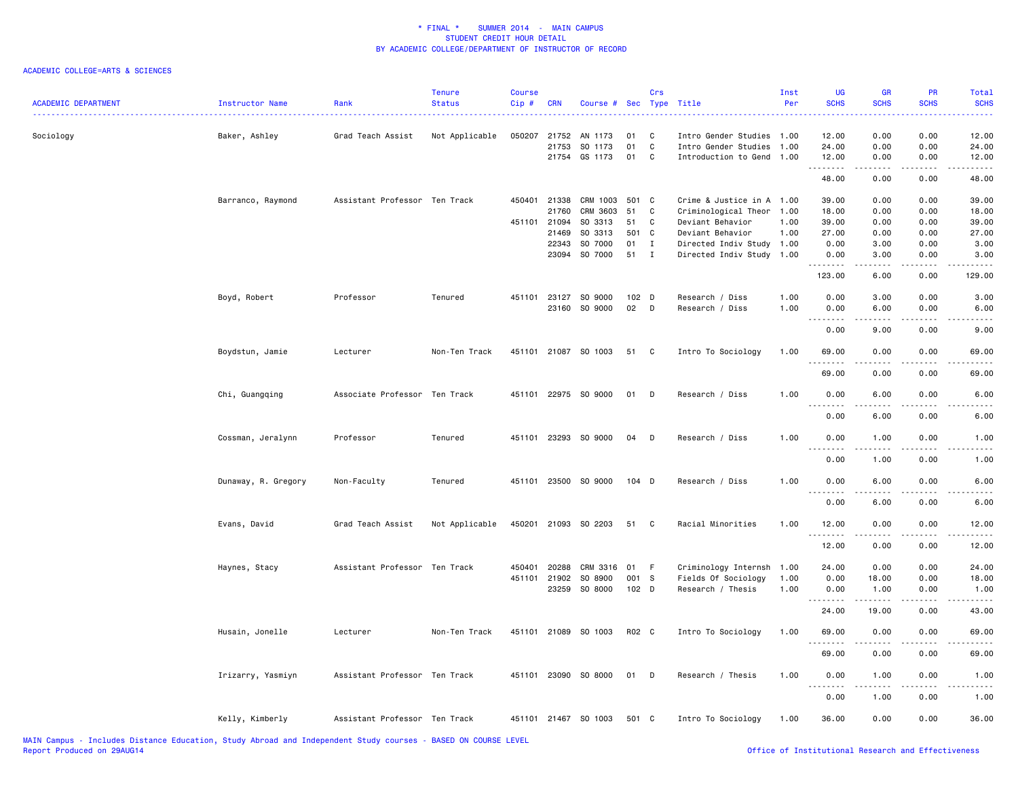| <b>ACADEMIC DEPARTMENT</b> | Instructor Name     | Rank                          | <b>Tenure</b><br><b>Status</b> | <b>Course</b><br>Cip# | <b>CRN</b>     | Course #             | Sec              | Crs          | Type Title                                             | Inst<br>Per | UG<br><b>SCHS</b>                    | GR<br><b>SCHS</b> | PR<br><b>SCHS</b> | Total<br><b>SCHS</b>                                                                                                              |
|----------------------------|---------------------|-------------------------------|--------------------------------|-----------------------|----------------|----------------------|------------------|--------------|--------------------------------------------------------|-------------|--------------------------------------|-------------------|-------------------|-----------------------------------------------------------------------------------------------------------------------------------|
| Sociology                  | Baker, Ashley       | Grad Teach Assist             | Not Applicable                 | 050207                | 21752<br>21753 | AN 1173<br>SO 1173   | 01<br>01         | C<br>C       | Intro Gender Studies 1.00<br>Intro Gender Studies 1.00 |             | 12.00<br>24.00                       | 0.00<br>0.00      | 0.00<br>0.00      | 12.00<br>24.00                                                                                                                    |
|                            |                     |                               |                                |                       |                | 21754 GS 1173        | 01               | C            | Introduction to Gend 1.00                              |             | 12.00                                | 0.00              | 0.00              | 12.00                                                                                                                             |
|                            |                     |                               |                                |                       |                |                      |                  |              |                                                        |             | <u> - - - - - - - -</u><br>48.00     | 0.00              | 0.00              | 48.00                                                                                                                             |
|                            | Barranco, Raymond   | Assistant Professor Ten Track |                                | 450401 21338          |                | CRM 1003             | 501 C            |              | Crime & Justice in A 1.00                              |             | 39.00                                | 0.00              | 0.00              | 39.00                                                                                                                             |
|                            |                     |                               |                                |                       | 21760          | CRM 3603             | 51               | C            | Criminological Theor                                   | 1.00        | 18.00                                | 0.00              | 0.00              | 18.00                                                                                                                             |
|                            |                     |                               |                                | 451101                | 21094          | SO 3313              | 51               | C            | Deviant Behavior                                       | 1.00        | 39.00                                | 0.00              | 0.00              | 39.00                                                                                                                             |
|                            |                     |                               |                                |                       | 21469          | SO 3313              | 501              | $\mathbf{C}$ | Deviant Behavior                                       | 1.00        | 27.00                                | 0.00              | 0.00              | 27.00                                                                                                                             |
|                            |                     |                               |                                |                       | 22343          | SO 7000              | 01               | $\mathbf{I}$ | Directed Indiv Study 1.00                              |             | 0.00                                 | 3.00              | 0.00              | 3.00                                                                                                                              |
|                            |                     |                               |                                |                       | 23094          | SO 7000              | 51               | $\mathbf{I}$ | Directed Indiv Study 1.00                              |             | 0.00<br>.                            | 3.00<br>.         | 0.00<br>.         | 3.00<br>.                                                                                                                         |
|                            |                     |                               |                                |                       |                |                      |                  |              |                                                        |             | 123.00                               | 6.00              | 0.00              | 129.00                                                                                                                            |
|                            | Boyd, Robert        | Professor                     | Tenured                        | 451101 23127          |                | SO 9000              | 102 <sub>D</sub> |              | Research / Diss                                        | 1.00        | 0.00                                 | 3.00              | 0.00              | 3.00                                                                                                                              |
|                            |                     |                               |                                |                       | 23160          | SO 9000              | 02               | D            | Research / Diss                                        | 1.00        | 0.00<br>$\sim$ $\sim$                | 6.00              | 0.00              | 6.00                                                                                                                              |
|                            |                     |                               |                                |                       |                |                      |                  |              |                                                        |             | 0.00                                 | 9.00              | 0.00              | 9.00                                                                                                                              |
|                            | Boydstun, Jamie     | Lecturer                      | Non-Ten Track                  |                       |                | 451101 21087 SO 1003 | 51 C             |              | Intro To Sociology                                     | 1.00        | 69.00                                | 0.00              | 0.00              | 69.00                                                                                                                             |
|                            |                     |                               |                                |                       |                |                      |                  |              |                                                        |             | 69.00                                | 0.00              | 0.00              | 69.00                                                                                                                             |
|                            | Chi, Guangqing      | Associate Professor Ten Track |                                |                       |                | 451101 22975 SO 9000 | 01               | D            | Research / Diss                                        | 1.00        | 0.00<br>$\sim$ $\sim$                | 6.00              | 0.00              | 6.00                                                                                                                              |
|                            |                     |                               |                                |                       |                |                      |                  |              |                                                        |             | 0.00                                 | 6.00              | 0.00              | 6.00                                                                                                                              |
|                            | Cossman, Jeralynn   | Professor                     | Tenured                        |                       |                | 451101 23293 SO 9000 | 04               | D            | Research / Diss                                        | 1.00        | 0.00                                 | 1.00              | 0.00              | 1.00                                                                                                                              |
|                            |                     |                               |                                |                       |                |                      |                  |              |                                                        |             | 0.00                                 | 1.00              | 0.00              | 1.00                                                                                                                              |
|                            | Dunaway, R. Gregory | Non-Faculty                   | Tenured                        |                       |                | 451101 23500 SO 9000 | 104 D            |              | Research / Diss                                        | 1.00        | 0.00<br>$\sim$ $\sim$ $\sim$<br>.    | 6.00              | 0.00              | 6.00                                                                                                                              |
|                            |                     |                               |                                |                       |                |                      |                  |              |                                                        |             | 0.00                                 | 6.00              | 0.00              | 6.00                                                                                                                              |
|                            | Evans, David        | Grad Teach Assist             | Not Applicable                 |                       |                | 450201 21093 SO 2203 | 51               | C            | Racial Minorities                                      | 1.00        | 12.00<br><u> - - - - - - - -</u>     | 0.00              | 0.00              | 12.00                                                                                                                             |
|                            |                     |                               |                                |                       |                |                      |                  |              |                                                        |             | 12.00                                | 0.00              | 0.00              | 12.00                                                                                                                             |
|                            | Haynes, Stacy       | Assistant Professor Ten Track |                                | 450401                | 20288          | CRM 3316             | 01               | F            | Criminology Internsh 1.00                              |             | 24.00                                | 0.00              | 0.00              | 24.00                                                                                                                             |
|                            |                     |                               |                                | 451101 21902          |                | SO 8900              | 001 S            |              | Fields Of Sociology                                    | 1.00        | 0.00                                 | 18.00             | 0.00              | 18.00                                                                                                                             |
|                            |                     |                               |                                |                       | 23259          | SO 8000              | 102 <sub>D</sub> |              | Research / Thesis                                      | 1.00        | 0.00                                 | 1.00              | 0.00              | 1.00                                                                                                                              |
|                            |                     |                               |                                |                       |                |                      |                  |              |                                                        |             | .                                    | .<br>19.00        | .<br>0.00         | المتمامين<br>43.00                                                                                                                |
|                            |                     |                               |                                |                       |                |                      |                  |              |                                                        |             | 24.00                                |                   |                   |                                                                                                                                   |
|                            | Husain, Jonelle     | Lecturer                      | Non-Ten Track                  |                       |                | 451101 21089 SO 1003 | R02 C            |              | Intro To Sociology                                     | 1.00        | 69.00<br>.                           | 0.00<br>.         | 0.00              | 69.00<br>.                                                                                                                        |
|                            |                     |                               |                                |                       |                |                      |                  |              |                                                        |             | 69.00                                | 0.00              | 0.00              | 69.00                                                                                                                             |
|                            | Irizarry, Yasmiyn   | Assistant Professor Ten Track |                                |                       |                | 451101 23090 SO 8000 | 01 D             |              | Research / Thesis                                      | 1.00        | 0.00<br>$\sim$ $\sim$ .<br>$- - - -$ | 1.00<br>.         | 0.00<br>.         | 1.00<br>$\frac{1}{2} \left( \frac{1}{2} \right) \left( \frac{1}{2} \right) \left( \frac{1}{2} \right) \left( \frac{1}{2} \right)$ |
|                            |                     |                               |                                |                       |                |                      |                  |              |                                                        |             | 0.00                                 | 1.00              | 0.00              | 1.00                                                                                                                              |
|                            | Kelly, Kimberly     | Assistant Professor Ten Track |                                |                       |                | 451101 21467 SO 1003 | 501 C            |              | Intro To Sociology                                     | 1.00        | 36.00                                | 0.00              | 0.00              | 36.00                                                                                                                             |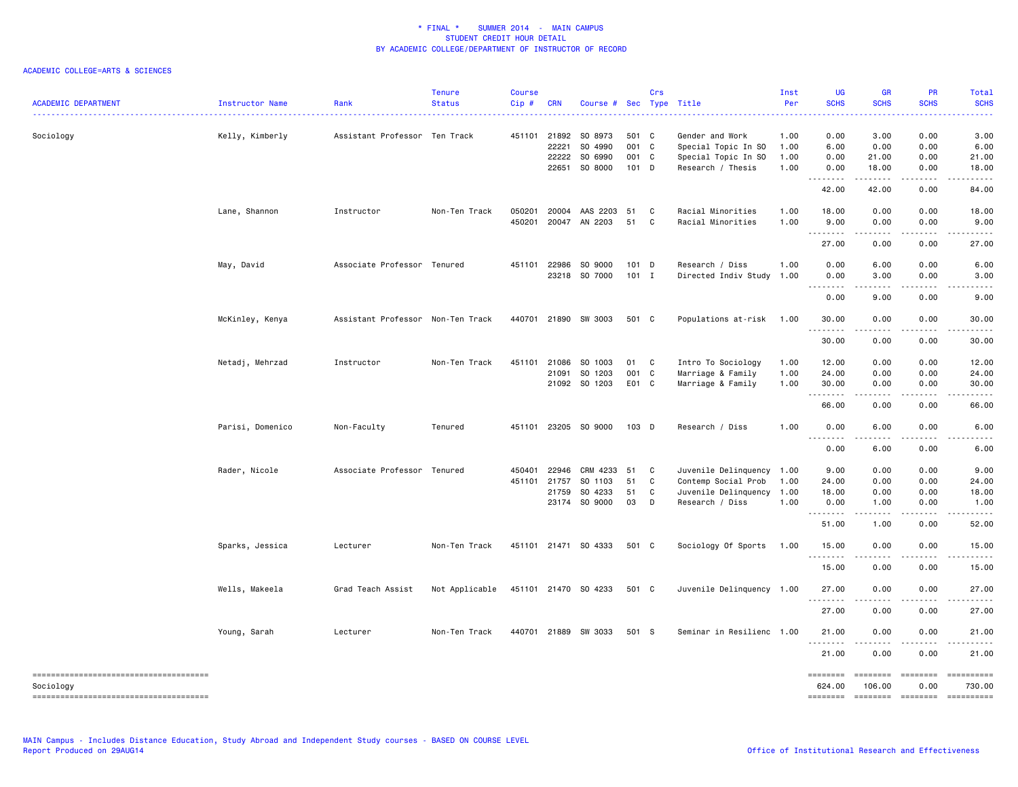| <b>ACADEMIC DEPARTMENT</b> | Instructor Name  | Rank                              | <b>Tenure</b><br><b>Status</b> | Course<br>$Cip$ # | <b>CRN</b> | Course # Sec Type Title |         | Crs      |                           | Inst<br>Per | <b>UG</b><br><b>SCHS</b>   | <b>GR</b><br><b>SCHS</b> | PR<br><b>SCHS</b>      | Total<br><b>SCHS</b>                                                                                                              |
|----------------------------|------------------|-----------------------------------|--------------------------------|-------------------|------------|-------------------------|---------|----------|---------------------------|-------------|----------------------------|--------------------------|------------------------|-----------------------------------------------------------------------------------------------------------------------------------|
| Sociology                  | Kelly, Kimberly  | Assistant Professor Ten Track     |                                | 451101            | 21892      | SO 8973                 | 501 C   |          | Gender and Work           | 1.00        | 0.00                       | 3.00                     | 0.00                   | 3.00                                                                                                                              |
|                            |                  |                                   |                                |                   | 22221      | SO 4990                 | 001 C   |          | Special Topic In SO       | 1.00        | 6.00                       | 0.00                     | 0.00                   | 6.00                                                                                                                              |
|                            |                  |                                   |                                |                   | 22222      | SO 6990                 | 001     | C        | Special Topic In SO       | 1.00        | 0.00                       | 21.00                    | 0.00                   | 21.00                                                                                                                             |
|                            |                  |                                   |                                |                   | 22651      | SO 8000                 | 101 D   |          | Research / Thesis         | 1.00        | 0.00<br>.                  | 18.00<br>بالالالالا      | 0.00                   | 18.00                                                                                                                             |
|                            |                  |                                   |                                |                   |            |                         |         |          |                           |             | 42.00                      | 42.00                    | 0.00                   | 84.00                                                                                                                             |
|                            | Lane, Shannon    | Instructor                        | Non-Ten Track                  | 050201            |            | 20004 AAS 2203          | 51      | C        | Racial Minorities         | 1.00        | 18.00                      | 0.00                     | 0.00                   | 18.00                                                                                                                             |
|                            |                  |                                   |                                | 450201            |            | 20047 AN 2203           | 51      | C        | Racial Minorities         | 1.00        | 9.00<br>.<br>$\sim$ $\sim$ | 0.00<br>.                | 0.00<br>.              | 9.00<br>.                                                                                                                         |
|                            |                  |                                   |                                |                   |            |                         |         |          |                           |             | 27.00                      | 0.00                     | 0.00                   | 27.00                                                                                                                             |
|                            | May, David       | Associate Professor Tenured       |                                | 451101            | 22986      | SO 9000                 | $101$ D |          | Research / Diss           | 1.00        | 0.00                       | 6.00                     | 0.00                   | 6.00                                                                                                                              |
|                            |                  |                                   |                                |                   |            | 23218 SO 7000           | $101$ I |          | Directed Indiv Study 1.00 |             | 0.00                       | 3.00                     | 0.00                   | 3.00                                                                                                                              |
|                            |                  |                                   |                                |                   |            |                         |         |          |                           |             | 0.00                       | 9.00                     | 0.00                   | 9.00                                                                                                                              |
|                            | McKinley, Kenya  | Assistant Professor Non-Ten Track |                                | 440701            |            | 21890 SW 3003           | 501 C   |          | Populations at-risk 1.00  |             | 30.00                      | 0.00                     | 0.00                   | 30.00                                                                                                                             |
|                            |                  |                                   |                                |                   |            |                         |         |          |                           |             | 30.00                      | .<br>0.00                | .<br>0.00              | .<br>30.00                                                                                                                        |
|                            | Netadj, Mehrzad  | Instructor                        | Non-Ten Track                  | 451101            | 21086      | SO 1003                 | 01      | C        | Intro To Sociology        | 1.00        | 12.00                      | 0.00                     | 0.00                   | 12.00                                                                                                                             |
|                            |                  |                                   |                                |                   | 21091      | SO 1203                 | 001     | C        | Marriage & Family         | 1.00        | 24.00                      | 0.00                     | 0.00                   | 24.00                                                                                                                             |
|                            |                  |                                   |                                |                   |            | 21092 SO 1203           | E01 C   |          | Marriage & Family         | 1.00        | 30.00                      | 0.00                     | 0.00                   | 30.00                                                                                                                             |
|                            |                  |                                   |                                |                   |            |                         |         |          |                           |             | 66.00                      | 0.00                     | 0.00                   | 66.00                                                                                                                             |
|                            | Parisi, Domenico | Non-Faculty                       | Tenured                        | 451101            |            | 23205 SO 9000           | 103 D   |          | Research / Diss           | 1.00        | 0.00                       | 6.00<br>.                | 0.00                   | 6.00                                                                                                                              |
|                            |                  |                                   |                                |                   |            |                         |         |          |                           |             | 0.00                       | 6.00                     | 0.00                   | 6.00                                                                                                                              |
|                            | Rader, Nicole    | Associate Professor Tenured       |                                | 450401            | 22946      | CRM 4233                | 51      | C        | Juvenile Delinquency 1.00 |             | 9.00                       | 0.00                     | 0.00                   | 9.00                                                                                                                              |
|                            |                  |                                   |                                | 451101            | 21757      | SO 1103                 | 51      | C        | Contemp Social Prob       | 1.00        | 24.00                      | 0.00                     | 0.00                   | 24.00                                                                                                                             |
|                            |                  |                                   |                                |                   | 21759      | SO 4233                 | 51      | C        | Juvenile Delinquency 1.00 |             | 18.00                      | 0.00                     | 0.00                   | 18.00                                                                                                                             |
|                            |                  |                                   |                                |                   |            | 23174 SO 9000           | 03      | D        | Research / Diss           | 1.00        | 0.00<br>.                  | 1.00<br>.                | 0.00                   | 1.00<br>$\frac{1}{2} \left( \frac{1}{2} \right) \left( \frac{1}{2} \right) \left( \frac{1}{2} \right) \left( \frac{1}{2} \right)$ |
|                            |                  |                                   |                                |                   |            |                         |         |          |                           |             | 51.00                      | 1.00                     | 0.00                   | 52.00                                                                                                                             |
|                            | Sparks, Jessica  | Lecturer                          | Non-Ten Track                  |                   |            | 451101 21471 SO 4333    | 501 C   |          | Sociology Of Sports       | 1.00        | 15.00<br><u>.</u>          | 0.00<br>$\frac{1}{2}$    | 0.00<br>.              | 15.00                                                                                                                             |
|                            |                  |                                   |                                |                   |            |                         |         |          |                           |             | 15.00                      | 0.00                     | 0.00                   | 15.00                                                                                                                             |
|                            | Wells, Makeela   | Grad Teach Assist                 | Not Applicable                 |                   |            | 451101 21470 SO 4233    | 501 C   |          | Juvenile Delinquency 1.00 |             | 27.00<br>.                 | 0.00<br>----             | 0.00<br>.              | 27.00<br>.                                                                                                                        |
|                            |                  |                                   |                                |                   |            |                         |         |          |                           |             | 27.00                      | 0.00                     | 0.00                   | 27.00                                                                                                                             |
|                            | Young, Sarah     | Lecturer                          | Non-Ten Track                  | 440701            |            | 21889 SW 3033           | 501     | <b>S</b> | Seminar in Resilienc      | 1.00        | 21.00<br>.                 | 0.00                     | 0.00                   | 21.00                                                                                                                             |
|                            |                  |                                   |                                |                   |            |                         |         |          |                           |             | 21.00                      | 0.00                     | 0.00                   | 21.00                                                                                                                             |
| Sociology                  |                  |                                   |                                |                   |            |                         |         |          |                           |             | ========<br>624.00         | ========<br>106.00       | <b>EEEEEEE</b><br>0.00 | ==========<br>730.00                                                                                                              |
|                            |                  |                                   |                                |                   |            |                         |         |          |                           |             | ========                   | <b>EDECEDED</b>          | $=$ ========           | ==========                                                                                                                        |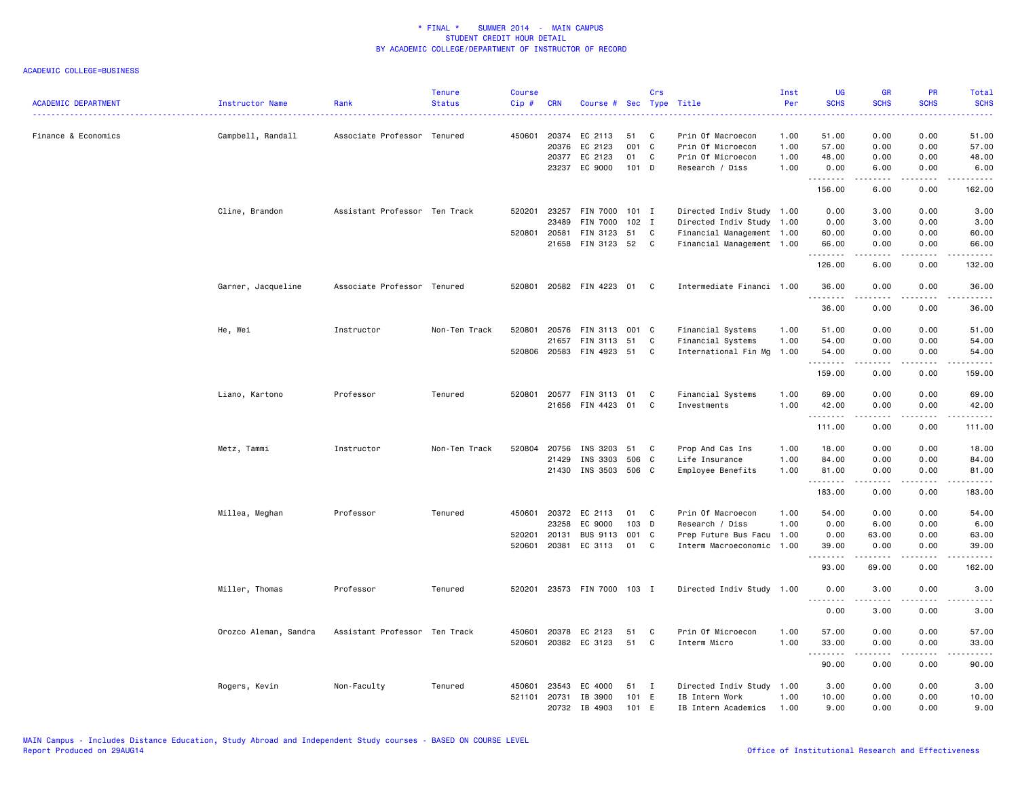| <b>ACADEMIC DEPARTMENT</b> | Instructor Name       | Rank                          | <b>Tenure</b><br><b>Status</b> | <b>Course</b><br>Cip# | <b>CRN</b> | Course # Sec Type Title |         | Crs          |                           | Inst<br>Per | UG<br><b>SCHS</b>                 | <b>GR</b><br><b>SCHS</b> | PR<br><b>SCHS</b> | Total<br><b>SCHS</b><br>$\omega = \omega / \omega$ |
|----------------------------|-----------------------|-------------------------------|--------------------------------|-----------------------|------------|-------------------------|---------|--------------|---------------------------|-------------|-----------------------------------|--------------------------|-------------------|----------------------------------------------------|
| Finance & Economics        | Campbell, Randall     | Associate Professor Tenured   |                                | 450601                | 20374      | EC 2113                 | 51      | C            | Prin Of Macroecon         | 1.00        | 51.00                             | 0.00                     | 0.00              | 51.00                                              |
|                            |                       |                               |                                |                       | 20376      | EC 2123                 | 001     | $\mathbf{C}$ | Prin Of Microecon         | 1.00        | 57.00                             | 0.00                     | 0.00              | 57.00                                              |
|                            |                       |                               |                                |                       | 20377      | EC 2123                 | 01      | $\mathsf C$  | Prin Of Microecon         | 1.00        | 48.00                             | 0.00                     | 0.00              | 48.00                                              |
|                            |                       |                               |                                |                       | 23237      | EC 9000                 | 101 D   |              | Research / Diss           | 1.00        | 0.00<br><u> - - - - - - - -</u>   | 6.00                     | 0.00              | 6.00                                               |
|                            |                       |                               |                                |                       |            |                         |         |              |                           |             | 156.00                            | 6.00                     | 0.00              | 162.00                                             |
|                            | Cline, Brandon        | Assistant Professor Ten Track |                                | 520201                | 23257      | FIN 7000                | 101 I   |              | Directed Indiv Study 1.00 |             | 0.00                              | 3.00                     | 0.00              | 3.00                                               |
|                            |                       |                               |                                |                       | 23489      | FIN 7000                | $102$ I |              | Directed Indiv Study 1.00 |             | 0.00                              | 3.00                     | 0.00              | 3.00                                               |
|                            |                       |                               |                                | 520801 20581          |            | FIN 3123                | 51      | C            | Financial Management 1.00 |             | 60.00                             | 0.00                     | 0.00              | 60.00                                              |
|                            |                       |                               |                                |                       | 21658      | FIN 3123                | 52      | C            | Financial Management 1.00 |             | 66.00                             | 0.00<br>.                | 0.00<br>.         | 66.00<br>.                                         |
|                            |                       |                               |                                |                       |            |                         |         |              |                           |             | 126.00                            | 6.00                     | 0.00              | 132.00                                             |
|                            | Garner, Jacqueline    | Associate Professor Tenured   |                                | 520801                |            | 20582 FIN 4223 01       |         | $\mathbf{C}$ | Intermediate Financi 1.00 |             | 36.00<br>.                        | 0.00                     | 0.00              | 36.00                                              |
|                            |                       |                               |                                |                       |            |                         |         |              |                           |             | 36.00                             | 0.00                     | 0.00              | 36.00                                              |
|                            | He, Wei               | Instructor                    | Non-Ten Track                  | 520801                | 20576      | FIN 3113 001 C          |         |              | Financial Systems         | 1.00        | 51.00                             | 0.00                     | 0.00              | 51.00                                              |
|                            |                       |                               |                                |                       | 21657      | FIN 3113                | 51      | C            | Financial Systems         | 1.00        | 54.00                             | 0.00                     | 0.00              | 54.00                                              |
|                            |                       |                               |                                | 520806 20583          |            | FIN 4923 51             |         | C            | International Fin Mg      | 1.00        | 54.00                             | 0.00<br>.                | 0.00<br>.         | 54.00<br>.                                         |
|                            |                       |                               |                                |                       |            |                         |         |              |                           |             | 159.00                            | 0.00                     | 0.00              | 159.00                                             |
|                            | Liano, Kartono        | Professor                     | Tenured                        | 520801                | 20577      | FIN 3113                | 01      | C            | Financial Systems         | 1.00        | 69.00                             | 0.00                     | 0.00              | 69.00                                              |
|                            |                       |                               |                                |                       |            | 21656 FIN 4423          | 01      | C            | Investments               | 1.00        | 42.00<br>.                        | 0.00                     | 0.00              | 42.00                                              |
|                            |                       |                               |                                |                       |            |                         |         |              |                           |             | 111.00                            | 0.00                     | 0.00              | 111.00                                             |
|                            | Metz, Tammi           | Instructor                    | Non-Ten Track                  | 520804                | 20756      | INS 3203                | 51      | $\mathbf{C}$ | Prop And Cas Ins          | 1.00        | 18.00                             | 0.00                     | 0.00              | 18.00                                              |
|                            |                       |                               |                                |                       | 21429      | INS 3303                | 506 C   |              | Life Insurance            | 1.00        | 84.00                             | 0.00                     | 0.00              | 84.00                                              |
|                            |                       |                               |                                |                       | 21430      | INS 3503                | 506 C   |              | Employee Benefits         | 1.00        | 81.00<br>.                        | 0.00<br>$- - - -$        | 0.00<br>.         | 81.00<br>.                                         |
|                            |                       |                               |                                |                       |            |                         |         |              |                           |             | 183.00                            | 0.00                     | 0.00              | 183.00                                             |
|                            | Millea, Meghan        | Professor                     | Tenured                        | 450601                | 20372      | EC 2113                 | 01      | C            | Prin Of Macroecon         | 1.00        | 54.00                             | 0.00                     | 0.00              | 54.00                                              |
|                            |                       |                               |                                |                       | 23258      | EC 9000                 | 103 D   |              | Research / Diss           | 1.00        | 0.00                              | 6.00                     | 0.00              | 6.00                                               |
|                            |                       |                               |                                | 520201                | 20131      | <b>BUS 9113</b>         | 001 C   |              | Prep Future Bus Facu 1.00 |             | 0.00                              | 63.00                    | 0.00              | 63.00                                              |
|                            |                       |                               |                                | 520601                | 20381      | EC 3113                 | 01      | C            | Interm Macroeconomic 1.00 |             | 39.00<br>.                        | 0.00                     | 0.00<br>.         | 39.00<br>.                                         |
|                            |                       |                               |                                |                       |            |                         |         |              |                           |             | 93.00                             | 69.00                    | 0.00              | 162.00                                             |
|                            | Miller, Thomas        | Professor                     | Tenured                        | 520201                |            | 23573 FIN 7000 103 I    |         |              | Directed Indiv Study 1.00 |             | 0.00<br>$\sim$ $\sim$ $\sim$<br>. | 3.00                     | 0.00              | 3.00                                               |
|                            |                       |                               |                                |                       |            |                         |         |              |                           |             | 0.00                              | 3.00                     | 0.00              | 3.00                                               |
|                            | Orozco Aleman, Sandra | Assistant Professor Ten Track |                                | 450601                | 20378      | EC 2123                 | 51      | C            | Prin Of Microecon         | 1.00        | 57.00                             | 0.00                     | 0.00              | 57.00                                              |
|                            |                       |                               |                                |                       |            | 520601 20382 EC 3123    | 51      | C            | Interm Micro              | 1.00        | 33.00                             | 0.00                     | 0.00              | 33.00                                              |
|                            |                       |                               |                                |                       |            |                         |         |              |                           |             | 90.00                             | 0.00                     | 0.00              | 90.00                                              |
|                            | Rogers, Kevin         | Non-Faculty                   | Tenured                        | 450601                | 23543      | EC 4000                 | 51 I    |              | Directed Indiv Study 1.00 |             | 3.00                              | 0.00                     | 0.00              | 3.00                                               |
|                            |                       |                               |                                | 521101 20731          |            | IB 3900                 | 101 E   |              | IB Intern Work            | 1.00        | 10.00                             | 0.00                     | 0.00              | 10.00                                              |
|                            |                       |                               |                                |                       | 20732      | IB 4903                 | 101 E   |              | IB Intern Academics       | 1.00        | 9.00                              | 0.00                     | 0.00              | 9.00                                               |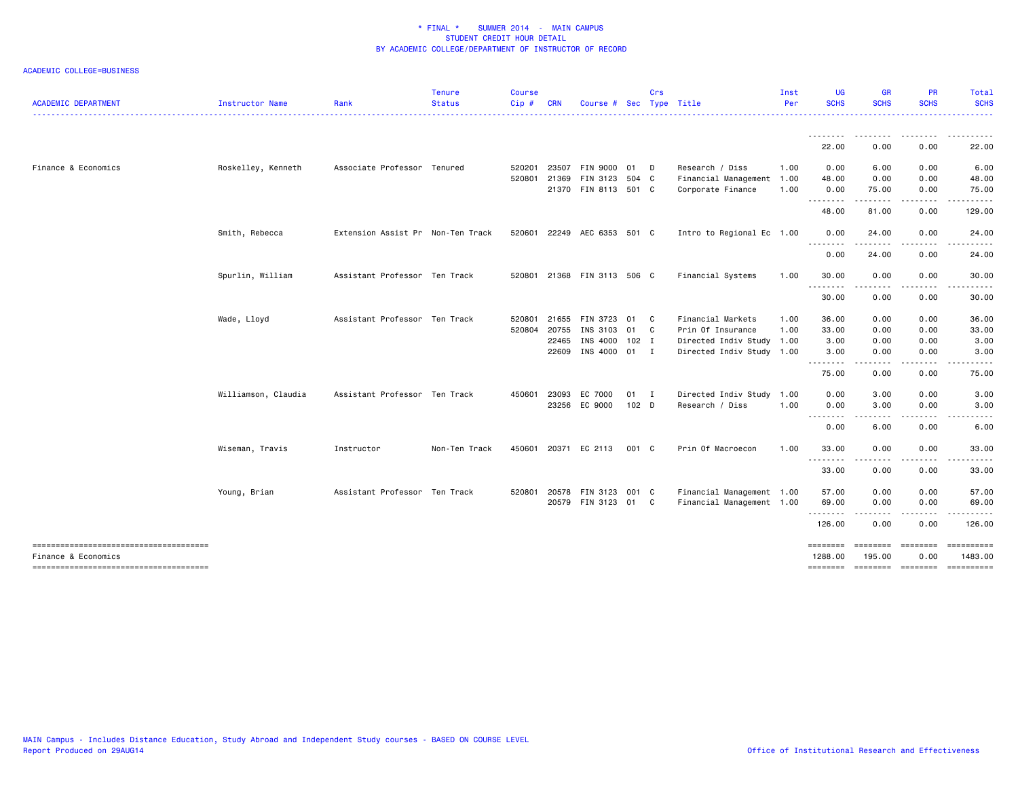| <b>ACADEMIC DEPARTMENT</b>                                   | Instructor Name     | Rank                              | <b>Tenure</b><br><b>Status</b> | Course<br>$Cip \#$ | <b>CRN</b>   | Course # Sec Type Title                |                  | Crs          |                                                | Inst<br>Per | <b>UG</b><br><b>SCHS</b>                                                                                                          | <b>GR</b><br><b>SCHS</b>     | <b>PR</b><br><b>SCHS</b> | <b>Total</b><br><b>SCHS</b> |
|--------------------------------------------------------------|---------------------|-----------------------------------|--------------------------------|--------------------|--------------|----------------------------------------|------------------|--------------|------------------------------------------------|-------------|-----------------------------------------------------------------------------------------------------------------------------------|------------------------------|--------------------------|-----------------------------|
|                                                              |                     |                                   |                                |                    |              |                                        |                  |              |                                                |             | <u>.</u><br>22.00                                                                                                                 | 0.00                         | 0.00                     | 22.00                       |
| Finance & Economics                                          | Roskelley, Kenneth  | Associate Professor Tenured       |                                | 520201             | 23507        | FIN 9000                               | 01               | D            | Research / Diss                                | 1.00        | 0.00                                                                                                                              | 6.00                         | 0.00                     | 6.00                        |
|                                                              |                     |                                   |                                | 520801             | 21369        | FIN 3123 504 C<br>21370 FIN 8113 501 C |                  |              | Financial Management 1.00<br>Corporate Finance | 1.00        | 48.00<br>0.00                                                                                                                     | 0.00<br>75.00                | 0.00<br>0.00             | 48.00<br>75.00              |
|                                                              |                     |                                   |                                |                    |              |                                        |                  |              |                                                |             | .<br>48.00                                                                                                                        | -----<br>81.00               | .<br>0.00                | 129.00                      |
|                                                              | Smith, Rebecca      | Extension Assist Pr Non-Ten Track |                                |                    |              | 520601 22249 AEC 6353 501 C            |                  |              | Intro to Regional Ec 1.00                      |             | 0.00                                                                                                                              | 24.00                        | 0.00                     | 24.00                       |
|                                                              |                     |                                   |                                |                    |              |                                        |                  |              |                                                |             | .<br>0.00                                                                                                                         | .<br>24.00                   | 0.00                     | 24.00                       |
|                                                              | Spurlin, William    | Assistant Professor Ten Track     |                                |                    |              | 520801 21368 FIN 3113 506 C            |                  |              | Financial Systems                              | 1.00        | 30.00                                                                                                                             | 0.00                         | 0.00                     | 30.00                       |
|                                                              |                     |                                   |                                |                    |              |                                        |                  |              |                                                |             | --------<br>30.00                                                                                                                 | - - - -<br>0.00              | 0.00                     | 30.00                       |
|                                                              | Wade, Lloyd         | Assistant Professor Ten Track     |                                | 520801             | 21655        | FIN 3723 01                            |                  | C.           | Financial Markets                              | 1.00        | 36.00                                                                                                                             | 0.00                         | 0.00                     | 36.00                       |
|                                                              |                     |                                   |                                | 520804 20755       |              | INS 3103                               | 01               | $\mathbf{C}$ | Prin Of Insurance                              | 1.00        | 33.00                                                                                                                             | 0.00                         | 0.00                     | 33.00                       |
|                                                              |                     |                                   |                                |                    | 22465        | INS 4000 102 I                         |                  |              | Directed Indiv Study 1.00                      |             | 3.00                                                                                                                              | 0.00                         | 0.00                     | 3.00                        |
|                                                              |                     |                                   |                                |                    |              | 22609 INS 4000 01 I                    |                  |              | Directed Indiv Study 1.00                      |             | 3.00<br>$\frac{1}{2} \left( \frac{1}{2} \right) \left( \frac{1}{2} \right) \left( \frac{1}{2} \right) \left( \frac{1}{2} \right)$ | 0.00<br>$\sim$ $\sim$ $\sim$ | 0.00                     | 3.00                        |
|                                                              |                     |                                   |                                |                    |              |                                        |                  |              |                                                |             | 75.00                                                                                                                             | 0.00                         | 0.00                     | 75.00                       |
|                                                              | Williamson, Claudia | Assistant Professor Ten Track     |                                |                    | 450601 23093 | EC 7000                                | 01 I             |              | Directed Indiv Study 1.00                      |             | 0.00                                                                                                                              | 3.00                         | 0.00                     | 3.00                        |
|                                                              |                     |                                   |                                |                    |              | 23256 EC 9000                          | 102 <sub>D</sub> |              | Research / Diss                                | 1.00        | 0.00<br>.                                                                                                                         | 3.00<br>$- - - -$            | 0.00                     | 3.00                        |
|                                                              |                     |                                   |                                |                    |              |                                        |                  |              |                                                |             | 0.00                                                                                                                              | 6.00                         | 0.00                     | 6.00                        |
|                                                              | Wiseman, Travis     | Instructor                        | Non-Ten Track                  |                    |              | 450601 20371 EC 2113                   | 001 C            |              | Prin Of Macroecon                              | 1.00        | 33.00<br><u>.</u>                                                                                                                 | 0.00<br>.                    | 0.00                     | 33.00                       |
|                                                              |                     |                                   |                                |                    |              |                                        |                  |              |                                                |             | 33.00                                                                                                                             | 0.00                         | 0.00                     | 33.00                       |
|                                                              | Young, Brian        | Assistant Professor Ten Track     |                                | 520801             | 20578        | FIN 3123 001 C                         |                  |              | Financial Management 1.00                      |             | 57.00                                                                                                                             | 0.00                         | 0.00                     | 57.00                       |
|                                                              |                     |                                   |                                |                    |              | 20579 FIN 3123 01 C                    |                  |              | Financial Management 1.00                      |             | 69.00<br>.                                                                                                                        | 0.00<br>.                    | 0.00<br>-----            | 69.00<br><u>.</u>           |
|                                                              |                     |                                   |                                |                    |              |                                        |                  |              |                                                |             | 126.00                                                                                                                            | 0.00                         | 0.00                     | 126.00                      |
| -------------------------------------<br>Finance & Economics |                     |                                   |                                |                    |              |                                        |                  |              |                                                |             | ========<br>1288.00                                                                                                               | ========<br>195.00           | ========<br>0.00         | ==========<br>1483.00       |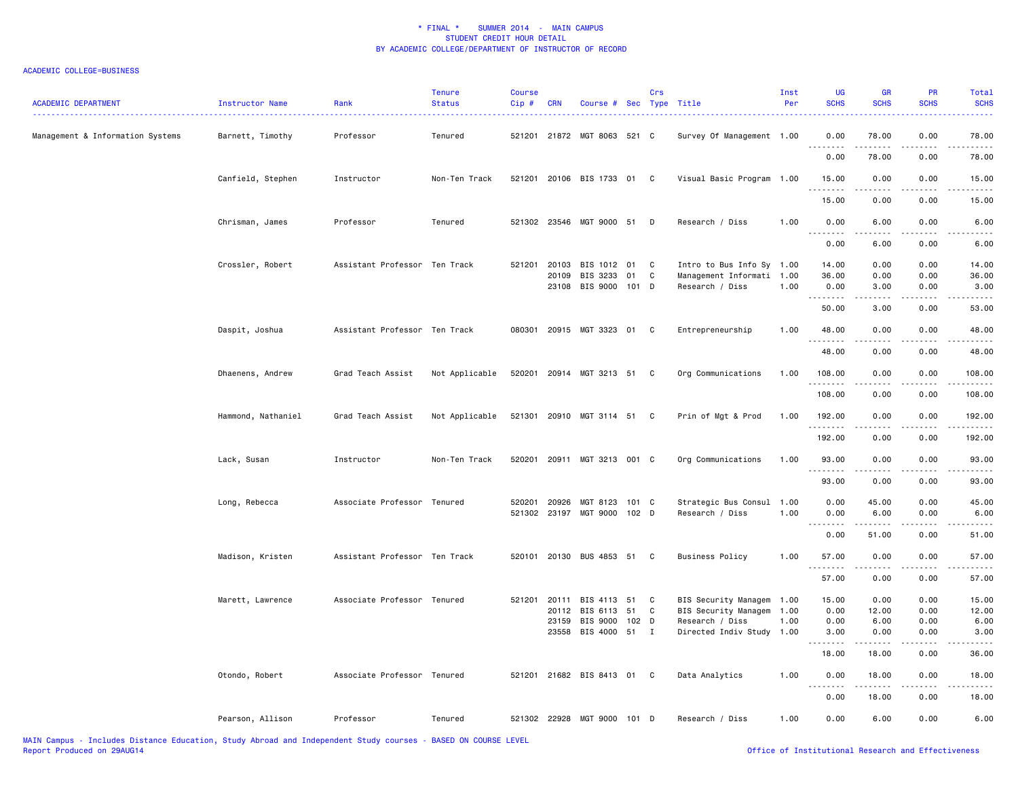| <b>ACADEMIC DEPARTMENT</b>       | Instructor Name    | Rank                          | <b>Tenure</b><br><b>Status</b> | <b>Course</b><br>Cip# | <b>CRN</b>     | Course # Sec Type Title     |       | Crs          |                                         | Inst<br>Per  | UG<br><b>SCHS</b>                                                                                                                                                                                                                                                                                                                                                                                                                                                                               | GR<br><b>SCHS</b>     | <b>PR</b><br><b>SCHS</b> | Total<br><b>SCHS</b> |
|----------------------------------|--------------------|-------------------------------|--------------------------------|-----------------------|----------------|-----------------------------|-------|--------------|-----------------------------------------|--------------|-------------------------------------------------------------------------------------------------------------------------------------------------------------------------------------------------------------------------------------------------------------------------------------------------------------------------------------------------------------------------------------------------------------------------------------------------------------------------------------------------|-----------------------|--------------------------|----------------------|
| Management & Information Systems | Barnett, Timothy   | Professor                     | Tenured                        | 521201                |                | 21872 MGT 8063 521 C        |       |              | Survey Of Management 1.00               |              | 0.00                                                                                                                                                                                                                                                                                                                                                                                                                                                                                            | 78.00                 | 0.00                     | 78.00                |
|                                  |                    |                               |                                |                       |                |                             |       |              |                                         |              | 0.00                                                                                                                                                                                                                                                                                                                                                                                                                                                                                            | 78.00                 | 0.00                     | 78.00                |
|                                  | Canfield, Stephen  | Instructor                    | Non-Ten Track                  |                       |                | 521201 20106 BIS 1733 01 C  |       |              | Visual Basic Program 1.00               |              | 15.00                                                                                                                                                                                                                                                                                                                                                                                                                                                                                           | 0.00                  | 0.00                     | 15.00                |
|                                  |                    |                               |                                |                       |                |                             |       |              |                                         |              | 15.00                                                                                                                                                                                                                                                                                                                                                                                                                                                                                           | 0.00                  | 0.00                     | 15.00                |
|                                  | Chrisman, James    | Professor                     | Tenured                        |                       |                | 521302 23546 MGT 9000 51    |       | D            | Research / Diss                         | 1.00         | 0.00                                                                                                                                                                                                                                                                                                                                                                                                                                                                                            | 6.00                  | 0.00                     | 6.00                 |
|                                  |                    |                               |                                |                       |                |                             |       |              |                                         |              | 0.00                                                                                                                                                                                                                                                                                                                                                                                                                                                                                            | 6.00                  | 0.00                     | 6.00                 |
|                                  | Crossler, Robert   | Assistant Professor Ten Track |                                | 521201                | 20103          | BIS 1012 01                 |       | C            | Intro to Bus Info Sy 1.00               |              | 14.00                                                                                                                                                                                                                                                                                                                                                                                                                                                                                           | 0.00                  | 0.00                     | 14.00                |
|                                  |                    |                               |                                |                       | 20109          | BIS 3233                    | 01    | C            | Management Informati 1.00               |              | 36.00                                                                                                                                                                                                                                                                                                                                                                                                                                                                                           | 0.00                  | 0.00                     | 36.00                |
|                                  |                    |                               |                                |                       |                | 23108 BIS 9000 101 D        |       |              | Research / Diss                         | 1.00         | 0.00<br>.                                                                                                                                                                                                                                                                                                                                                                                                                                                                                       | 3.00<br>.             | 0.00<br>.                | 3.00<br>.            |
|                                  |                    |                               |                                |                       |                |                             |       |              |                                         |              | 50.00                                                                                                                                                                                                                                                                                                                                                                                                                                                                                           | 3.00                  | 0.00                     | 53.00                |
|                                  | Daspit, Joshua     | Assistant Professor Ten Track |                                | 080301                |                | 20915 MGT 3323 01           |       | C            | Entrepreneurship                        | 1.00         | 48.00<br>. <b>.</b>                                                                                                                                                                                                                                                                                                                                                                                                                                                                             | 0.00<br>.             | 0.00<br>.                | 48.00<br>.           |
|                                  |                    |                               |                                |                       |                |                             |       |              |                                         |              | 48.00                                                                                                                                                                                                                                                                                                                                                                                                                                                                                           | 0.00                  | 0.00                     | 48.00                |
|                                  | Dhaenens, Andrew   | Grad Teach Assist             | Not Applicable                 |                       |                | 520201 20914 MGT 3213 51 C  |       |              | Org Communications                      | 1.00         | 108.00<br>.                                                                                                                                                                                                                                                                                                                                                                                                                                                                                     | 0.00<br>$\frac{1}{2}$ | 0.00<br>.                | 108.00               |
|                                  |                    |                               |                                |                       |                |                             |       |              |                                         |              | 108.00                                                                                                                                                                                                                                                                                                                                                                                                                                                                                          | 0.00                  | 0.00                     | 108.00               |
|                                  | Hammond, Nathaniel | Grad Teach Assist             | Not Applicable                 |                       |                | 521301 20910 MGT 3114 51 C  |       |              | Prin of Mgt & Prod                      | 1.00         | 192.00<br>.                                                                                                                                                                                                                                                                                                                                                                                                                                                                                     | 0.00<br>د د د د       | 0.00<br>.                | 192.00<br>.          |
|                                  |                    |                               |                                |                       |                |                             |       |              |                                         |              | 192.00                                                                                                                                                                                                                                                                                                                                                                                                                                                                                          | 0.00                  | 0.00                     | 192.00               |
|                                  | Lack, Susan        | Instructor                    | Non-Ten Track                  | 520201                |                | 20911 MGT 3213 001 C        |       |              | Org Communications                      | 1.00         | 93.00<br>.                                                                                                                                                                                                                                                                                                                                                                                                                                                                                      | 0.00<br>.             | 0.00<br>.                | 93.00<br>.           |
|                                  |                    |                               |                                |                       |                |                             |       |              |                                         |              | 93.00                                                                                                                                                                                                                                                                                                                                                                                                                                                                                           | 0.00                  | 0.00                     | 93.00                |
|                                  | Long, Rebecca      | Associate Professor Tenured   |                                | 520201                | 20926          | MGT 8123 101 C              |       |              | Strategic Bus Consul                    | 1.00         | 0.00                                                                                                                                                                                                                                                                                                                                                                                                                                                                                            | 45.00                 | 0.00                     | 45.00                |
|                                  |                    |                               |                                | 521302                | 23197          | MGT 9000                    | 102 D |              | Research / Diss                         | 1.00         | 0.00                                                                                                                                                                                                                                                                                                                                                                                                                                                                                            | 6.00                  | 0.00                     | 6.00                 |
|                                  |                    |                               |                                |                       |                |                             |       |              |                                         |              | 0.00                                                                                                                                                                                                                                                                                                                                                                                                                                                                                            | 51.00                 | 0.00                     | 51.00                |
|                                  | Madison, Kristen   | Assistant Professor Ten Track |                                | 520101                |                | 20130 BUS 4853 51 C         |       |              | <b>Business Policy</b>                  | 1.00         | 57.00                                                                                                                                                                                                                                                                                                                                                                                                                                                                                           | 0.00                  | 0.00                     | 57.00                |
|                                  |                    |                               |                                |                       |                |                             |       |              |                                         |              | 57.00                                                                                                                                                                                                                                                                                                                                                                                                                                                                                           | 0.00                  | 0.00                     | 57.00                |
|                                  |                    |                               |                                |                       |                |                             |       |              |                                         |              |                                                                                                                                                                                                                                                                                                                                                                                                                                                                                                 |                       |                          |                      |
|                                  | Marett, Lawrence   | Associate Professor Tenured   |                                | 521201                | 20111          | BIS 4113                    | 51    | C            | BIS Security Managem                    | 1.00         | 15.00                                                                                                                                                                                                                                                                                                                                                                                                                                                                                           | 0.00                  | 0.00                     | 15.00                |
|                                  |                    |                               |                                |                       | 20112<br>23159 | BIS 6113<br>BIS 9000 102 D  | 51    | C            | BIS Security Managem<br>Research / Diss | 1.00<br>1.00 | 0.00<br>0.00                                                                                                                                                                                                                                                                                                                                                                                                                                                                                    | 12.00<br>6.00         | 0.00<br>0.00             | 12.00<br>6.00        |
|                                  |                    |                               |                                |                       | 23558          | BIS 4000 51                 |       | $\mathbf{I}$ | Directed Indiv Study 1.00               |              | 3.00                                                                                                                                                                                                                                                                                                                                                                                                                                                                                            | 0.00                  | 0.00                     | 3.00                 |
|                                  |                    |                               |                                |                       |                |                             |       |              |                                         |              | $\begin{array}{cccccccccccccc} \multicolumn{2}{c}{} & \multicolumn{2}{c}{} & \multicolumn{2}{c}{} & \multicolumn{2}{c}{} & \multicolumn{2}{c}{} & \multicolumn{2}{c}{} & \multicolumn{2}{c}{} & \multicolumn{2}{c}{} & \multicolumn{2}{c}{} & \multicolumn{2}{c}{} & \multicolumn{2}{c}{} & \multicolumn{2}{c}{} & \multicolumn{2}{c}{} & \multicolumn{2}{c}{} & \multicolumn{2}{c}{} & \multicolumn{2}{c}{} & \multicolumn{2}{c}{} & \multicolumn{2}{c}{} & \multicolumn{2}{c}{} & \$<br>18.00 | ------<br>18.00       | .<br>0.00                | د د د د د<br>36.00   |
|                                  | Otondo, Robert     | Associate Professor Tenured   |                                |                       |                | 521201 21682 BIS 8413 01 C  |       |              | Data Analytics                          | 1.00         | 0.00                                                                                                                                                                                                                                                                                                                                                                                                                                                                                            | 18.00                 | 0.00                     | 18.00                |
|                                  |                    |                               |                                |                       |                |                             |       |              |                                         |              | $\sim$ $\sim$<br>.                                                                                                                                                                                                                                                                                                                                                                                                                                                                              | .                     | .                        |                      |
|                                  |                    |                               |                                |                       |                |                             |       |              |                                         |              | 0.00                                                                                                                                                                                                                                                                                                                                                                                                                                                                                            | 18.00                 | 0.00                     | 18.00                |
|                                  | Pearson, Allison   | Professor                     | Tenured                        |                       |                | 521302 22928 MGT 9000 101 D |       |              | Research / Diss                         | 1.00         | 0.00                                                                                                                                                                                                                                                                                                                                                                                                                                                                                            | 6.00                  | 0.00                     | 6.00                 |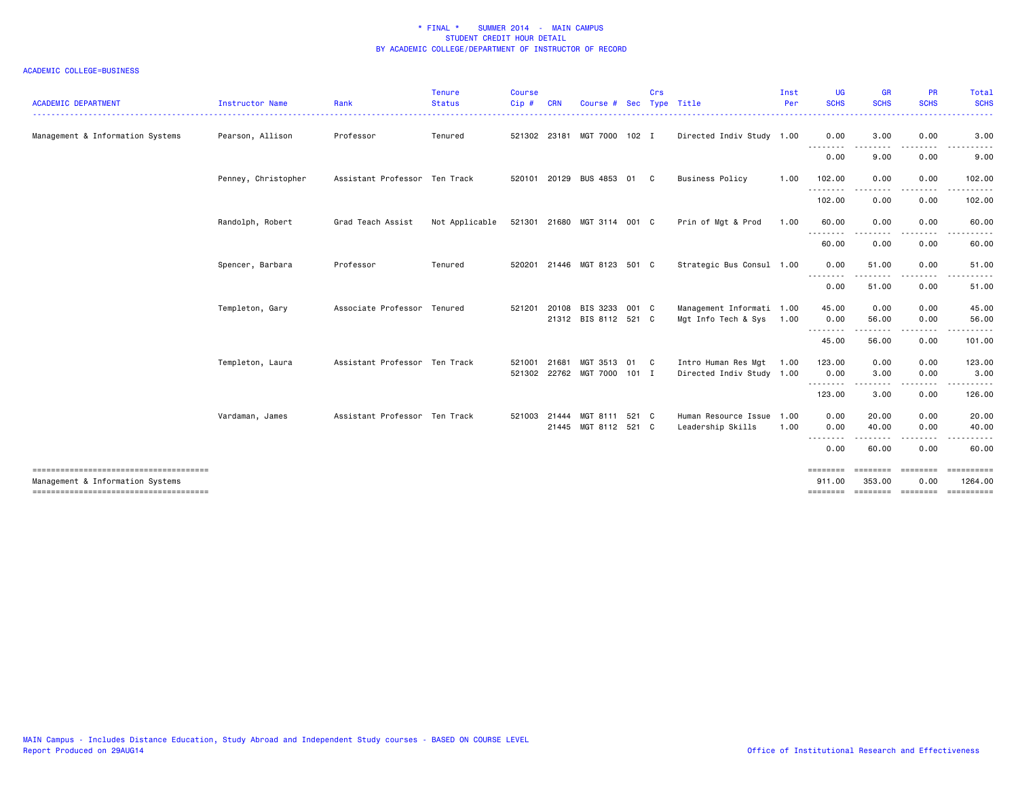| <b>ACADEMIC DEPARTMENT</b>                                                 | Instructor Name     | Rank                          | <b>Tenure</b><br><b>Status</b> | <b>Course</b><br>Cip# | <b>CRN</b> | Course #                               | Sec | Crs | Type Title                                            | Inst<br>Per | UG<br><b>SCHS</b>              | <b>GR</b><br><b>SCHS</b> | <b>PR</b><br><b>SCHS</b>             | Total<br><b>SCHS</b>                                                                                                                                                                                                                                                                                                                                                                                                                                                                              |
|----------------------------------------------------------------------------|---------------------|-------------------------------|--------------------------------|-----------------------|------------|----------------------------------------|-----|-----|-------------------------------------------------------|-------------|--------------------------------|--------------------------|--------------------------------------|---------------------------------------------------------------------------------------------------------------------------------------------------------------------------------------------------------------------------------------------------------------------------------------------------------------------------------------------------------------------------------------------------------------------------------------------------------------------------------------------------|
| Management & Information Systems                                           | Pearson, Allison    | Professor                     | Tenured                        | 521302 23181          |            | MGT 7000 102 I                         |     |     | Directed Indiv Study 1.00                             |             | 0.00<br>--------               | 3.00<br>$- - -$          | 0.00                                 | 3.00                                                                                                                                                                                                                                                                                                                                                                                                                                                                                              |
|                                                                            |                     |                               |                                |                       |            |                                        |     |     |                                                       |             | 0.00                           | 9.00                     | 0.00                                 | 9.00                                                                                                                                                                                                                                                                                                                                                                                                                                                                                              |
|                                                                            | Penney, Christopher | Assistant Professor Ten Track |                                | 520101                |            | 20129 BUS 4853 01 C                    |     |     | <b>Business Policy</b>                                | 1.00        | 102.00                         | 0.00<br>- - -            | 0.00<br>----                         | 102.00                                                                                                                                                                                                                                                                                                                                                                                                                                                                                            |
|                                                                            |                     |                               |                                |                       |            |                                        |     |     |                                                       |             | 102.00                         | 0.00                     | 0.00                                 | 102.00                                                                                                                                                                                                                                                                                                                                                                                                                                                                                            |
|                                                                            | Randolph, Robert    | Grad Teach Assist             | Not Applicable                 | 521301                |            | 21680 MGT 3114 001 C                   |     |     | Prin of Mgt & Prod                                    | 1.00        | 60.00<br>--------              | 0.00<br>. <b>. .</b> .   | 0.00<br>$- - - -$                    | 60.00                                                                                                                                                                                                                                                                                                                                                                                                                                                                                             |
|                                                                            |                     |                               |                                |                       |            |                                        |     |     |                                                       |             | 60.00                          | 0.00                     | 0.00                                 | 60.00                                                                                                                                                                                                                                                                                                                                                                                                                                                                                             |
|                                                                            | Spencer, Barbara    | Professor                     | Tenured                        | 520201                |            | 21446 MGT 8123 501 C                   |     |     | Strategic Bus Consul 1.00                             |             | 0.00<br>--------               | 51.00<br>$\frac{1}{2}$   | 0.00                                 | 51.00                                                                                                                                                                                                                                                                                                                                                                                                                                                                                             |
|                                                                            |                     |                               |                                |                       |            |                                        |     |     |                                                       |             | 0.00                           | 51.00                    | 0.00                                 | 51.00                                                                                                                                                                                                                                                                                                                                                                                                                                                                                             |
|                                                                            | Templeton, Gary     | Associate Professor Tenured   |                                | 521201                | 20108      | BIS 3233 001 C<br>21312 BIS 8112 521 C |     |     | Management Informati 1.00<br>Mgt Info Tech & Sys 1.00 |             | 45.00<br>0.00                  | 0.00<br>56.00            | 0.00<br>0.00                         | 45.00<br>56.00                                                                                                                                                                                                                                                                                                                                                                                                                                                                                    |
|                                                                            |                     |                               |                                |                       |            |                                        |     |     |                                                       |             | --------<br>45.00              | .<br>56.00               | . <b>.</b><br>0.00                   | -----<br>101.00                                                                                                                                                                                                                                                                                                                                                                                                                                                                                   |
|                                                                            | Templeton, Laura    | Assistant Professor Ten Track |                                | 521001                | 21681      | MGT 3513 01 C                          |     |     | Intro Human Res Mgt                                   | 1.00        | 123.00                         | 0.00                     | 0.00                                 | 123.00                                                                                                                                                                                                                                                                                                                                                                                                                                                                                            |
|                                                                            |                     |                               |                                | 521302 22762          |            | MGT 7000 101 I                         |     |     | Directed Indiv Study 1.00                             |             | 0.00<br>.                      | 3.00<br>.                | 0.00<br>.                            | 3.00<br>------                                                                                                                                                                                                                                                                                                                                                                                                                                                                                    |
|                                                                            |                     |                               |                                |                       |            |                                        |     |     |                                                       |             | 123.00                         | 3.00                     | 0.00                                 | 126.00                                                                                                                                                                                                                                                                                                                                                                                                                                                                                            |
|                                                                            | Vardaman, James     | Assistant Professor Ten Track |                                | 521003                | 21444      | MGT 8111 521 C<br>21445 MGT 8112 521 C |     |     | Human Resource Issue 1.00<br>Leadership Skills        | 1.00        | 0.00<br>0.00                   | 20.00<br>40.00           | 0.00<br>0.00                         | 20.00<br>40.00                                                                                                                                                                                                                                                                                                                                                                                                                                                                                    |
|                                                                            |                     |                               |                                |                       |            |                                        |     |     |                                                       |             | .<br>0.00                      | .<br>60.00               | . <u>.</u> .<br>0.00                 | 60.00                                                                                                                                                                                                                                                                                                                                                                                                                                                                                             |
| --------------------------------------<br>Management & Information Systems |                     |                               |                                |                       |            |                                        |     |     |                                                       |             | ========<br>911.00<br>======== | ========<br>353.00       | ========<br>0.00<br>eccesse essesse: | $\begin{array}{cccccccccc} \multicolumn{2}{c}{} & \multicolumn{2}{c}{} & \multicolumn{2}{c}{} & \multicolumn{2}{c}{} & \multicolumn{2}{c}{} & \multicolumn{2}{c}{} & \multicolumn{2}{c}{} & \multicolumn{2}{c}{} & \multicolumn{2}{c}{} & \multicolumn{2}{c}{} & \multicolumn{2}{c}{} & \multicolumn{2}{c}{} & \multicolumn{2}{c}{} & \multicolumn{2}{c}{} & \multicolumn{2}{c}{} & \multicolumn{2}{c}{} & \multicolumn{2}{c}{} & \multicolumn{2}{c}{} & \multicolumn{2}{c}{} & \mult$<br>1264.00 |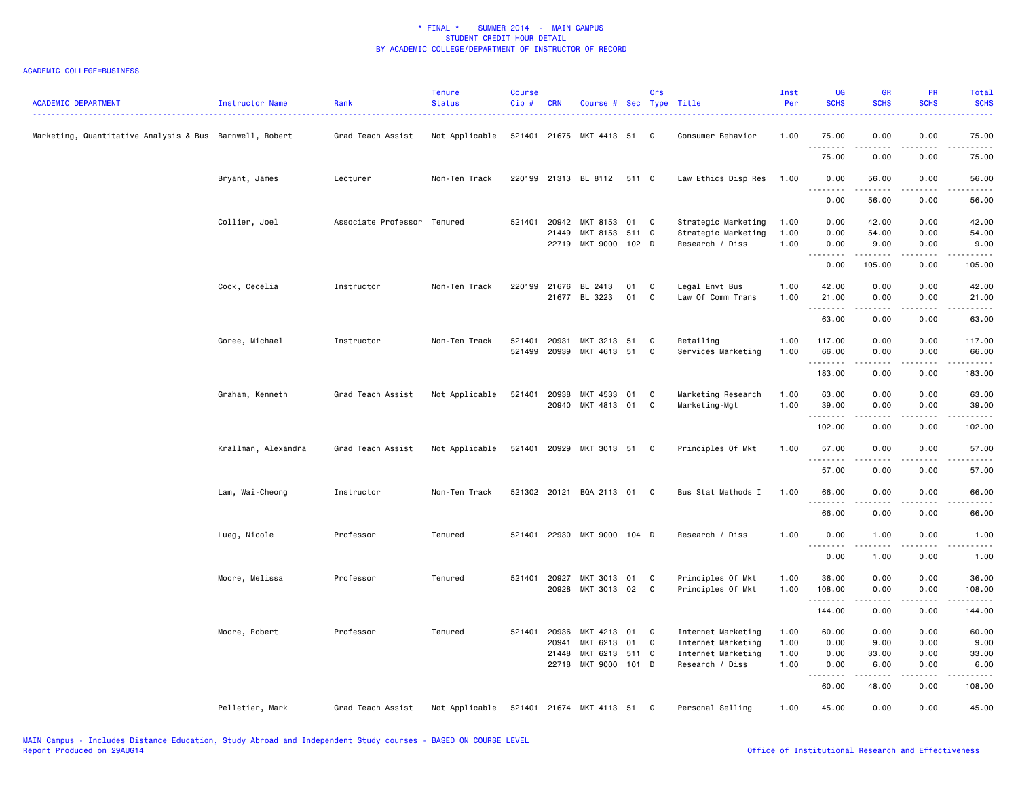| <b>ACADEMIC DEPARTMENT</b>                              | Instructor Name     | Rank                | <b>Tenure</b><br><b>Status</b> | <b>Course</b><br>Cip# | <b>CRN</b>                       | Course # Sec Type Title                            |                   | Crs    |                                                                                   | Inst<br>Per                  | <b>UG</b><br><b>SCHS</b>           | <b>GR</b><br><b>SCHS</b>      | <b>PR</b><br><b>SCHS</b>        | Total<br><b>SCHS</b>                                                                                                               |
|---------------------------------------------------------|---------------------|---------------------|--------------------------------|-----------------------|----------------------------------|----------------------------------------------------|-------------------|--------|-----------------------------------------------------------------------------------|------------------------------|------------------------------------|-------------------------------|---------------------------------|------------------------------------------------------------------------------------------------------------------------------------|
| Marketing, Quantitative Analysis & Bus Barnwell, Robert |                     | Grad Teach Assist   | Not Applicable                 | 521401 21675          |                                  | MKT 4413 51                                        |                   | C      | Consumer Behavior                                                                 | 1.00                         | 75.00<br>.                         | 0.00<br>-----                 | 0.00<br>$\frac{1}{2}$           | 75.00<br>.                                                                                                                         |
|                                                         |                     |                     |                                |                       |                                  |                                                    |                   |        |                                                                                   |                              | 75.00                              | 0.00                          | 0.00                            | 75.00                                                                                                                              |
|                                                         | Bryant, James       | Lecturer            | Non-Ten Track                  |                       |                                  | 220199 21313 BL 8112                               | 511 C             |        | Law Ethics Disp Res                                                               | 1.00                         | 0.00<br>.                          | 56.00<br>.                    | 0.00<br>$-$ - - - $-$           | 56.00<br>$\frac{1}{2} \left( \frac{1}{2} \right) \left( \frac{1}{2} \right) \left( \frac{1}{2} \right) \left( \frac{1}{2} \right)$ |
|                                                         |                     |                     |                                |                       |                                  |                                                    |                   |        |                                                                                   |                              | 0.00                               | 56.00                         | 0.00                            | 56.00                                                                                                                              |
|                                                         | Collier, Joel       | Associate Professor | Tenured                        | 521401 20942          | 21449<br>22719                   | MKT 8153<br>MKT 8153<br>MKT 9000 102 D             | 01<br>511 C       | C      | Strategic Marketing<br>Strategic Marketing<br>Research / Diss                     | 1.00<br>1.00<br>1.00         | 0.00<br>0.00<br>0.00<br><u>.</u>   | 42.00<br>54.00<br>9.00<br>.   | 0.00<br>0.00<br>0.00<br>د د د د | 42.00<br>54.00<br>9.00<br>.                                                                                                        |
|                                                         |                     |                     |                                |                       |                                  |                                                    |                   |        |                                                                                   |                              | 0.00                               | 105.00                        | 0.00                            | 105.00                                                                                                                             |
|                                                         | Cook, Cecelia       | Instructor          | Non-Ten Track                  | 220199                | 21676<br>21677                   | BL 2413<br>BL 3223                                 | 01<br>01          | C<br>C | Legal Envt Bus<br>Law Of Comm Trans                                               | 1.00<br>1.00                 | 42.00<br>21.00                     | 0.00<br>0.00                  | 0.00<br>0.00                    | 42.00<br>21.00                                                                                                                     |
|                                                         |                     |                     |                                |                       |                                  |                                                    |                   |        |                                                                                   |                              | .<br>63.00                         | 0.00                          | 0.00                            | $\omega$ is a set<br>63.00                                                                                                         |
|                                                         | Goree, Michael      | Instructor          | Non-Ten Track                  | 521401<br>521499      | 20931<br>20939                   | MKT 3213 51<br>MKT 4613 51                         |                   | C<br>C | Retailing<br>Services Marketing                                                   | 1.00<br>1.00                 | 117.00<br>66.00                    | 0.00<br>0.00                  | 0.00<br>0.00                    | 117.00<br>66.00                                                                                                                    |
|                                                         |                     |                     |                                |                       |                                  |                                                    |                   |        |                                                                                   |                              | .<br>183.00                        | .<br>0.00                     | د د د د<br>0.00                 | .<br>183.00                                                                                                                        |
|                                                         | Graham, Kenneth     | Grad Teach Assist   | Not Applicable                 | 521401                | 20938<br>20940                   | MKT 4533<br>MKT 4813 01                            | 01                | C<br>C | Marketing Research<br>Marketing-Mgt                                               | 1.00<br>1.00                 | 63.00<br>39.00                     | 0.00<br>0.00                  | 0.00<br>0.00                    | 63.00<br>39.00                                                                                                                     |
|                                                         |                     |                     |                                |                       |                                  |                                                    |                   |        |                                                                                   |                              | <u>.</u><br>102.00                 | 0.00                          | 0.00                            | .<br>102.00                                                                                                                        |
|                                                         | Krallman, Alexandra | Grad Teach Assist   | Not Applicable                 | 521401 20929          |                                  | MKT 3013 51 C                                      |                   |        | Principles Of Mkt                                                                 | 1.00                         | 57.00<br>.<br>$\frac{1}{2}$        | 0.00                          | 0.00                            | 57.00<br>$\frac{1}{2} \left( \frac{1}{2} \right) \left( \frac{1}{2} \right) \left( \frac{1}{2} \right) \left( \frac{1}{2} \right)$ |
|                                                         |                     |                     |                                |                       |                                  |                                                    |                   |        |                                                                                   |                              | 57.00                              | 0.00                          | 0.00                            | 57.00                                                                                                                              |
|                                                         | Lam, Wai-Cheong     | Instructor          | Non-Ten Track                  |                       |                                  | 521302 20121 BQA 2113 01 C                         |                   |        | Bus Stat Methods I                                                                | 1.00                         | 66.00<br>$\sim$ $\sim$ $\sim$<br>. | 0.00                          | 0.00                            | 66.00                                                                                                                              |
|                                                         |                     |                     |                                |                       |                                  |                                                    |                   |        |                                                                                   |                              | 66.00                              | 0.00                          | 0.00                            | 66.00                                                                                                                              |
|                                                         | Lueg, Nicole        | Professor           | Tenured                        |                       | 521401 22930                     | MKT 9000 104 D                                     |                   |        | Research / Diss                                                                   | 1.00                         | 0.00<br>.                          | 1.00<br>-----                 | 0.00<br>.                       | 1.00<br>.                                                                                                                          |
|                                                         |                     |                     |                                |                       |                                  |                                                    |                   |        |                                                                                   |                              | 0.00                               | 1.00                          | 0.00                            | 1.00                                                                                                                               |
|                                                         | Moore, Melissa      | Professor           | Tenured                        | 521401                | 20927<br>20928                   | MKT 3013 01<br>MKT 3013 02                         |                   | C<br>C | Principles Of Mkt<br>Principles Of Mkt                                            | 1.00<br>1.00                 | 36.00<br>108.00                    | 0.00<br>0.00                  | 0.00<br>0.00                    | 36.00<br>108.00                                                                                                                    |
|                                                         |                     |                     |                                |                       |                                  |                                                    |                   |        |                                                                                   |                              | .<br>144.00                        | 0.00                          | 0.00                            | 144.00                                                                                                                             |
|                                                         | Moore, Robert       | Professor           | Tenured                        | 521401                | 20936<br>20941<br>21448<br>22718 | MKT 4213<br>MKT 6213<br>MKT 6213<br>MKT 9000 101 D | 01<br>01<br>511 C | C<br>C | Internet Marketing<br>Internet Marketing<br>Internet Marketing<br>Research / Diss | 1.00<br>1.00<br>1.00<br>1.00 | 60.00<br>0.00<br>0.00<br>0.00      | 0.00<br>9.00<br>33.00<br>6.00 | 0.00<br>0.00<br>0.00<br>0.00    | 60.00<br>9.00<br>33.00<br>6.00                                                                                                     |
|                                                         |                     |                     |                                |                       |                                  |                                                    |                   |        |                                                                                   |                              | $\sim$ $\sim$ $\sim$<br>.<br>60.00 | 48.00                         | 0.00                            | $\sim$ $\sim$ $\sim$ $\sim$<br>108.00                                                                                              |
|                                                         | Pelletier, Mark     | Grad Teach Assist   | Not Applicable                 |                       |                                  | 521401 21674 MKT 4113 51 C                         |                   |        | Personal Selling                                                                  | 1.00                         | 45.00                              | 0.00                          | 0.00                            | 45.00                                                                                                                              |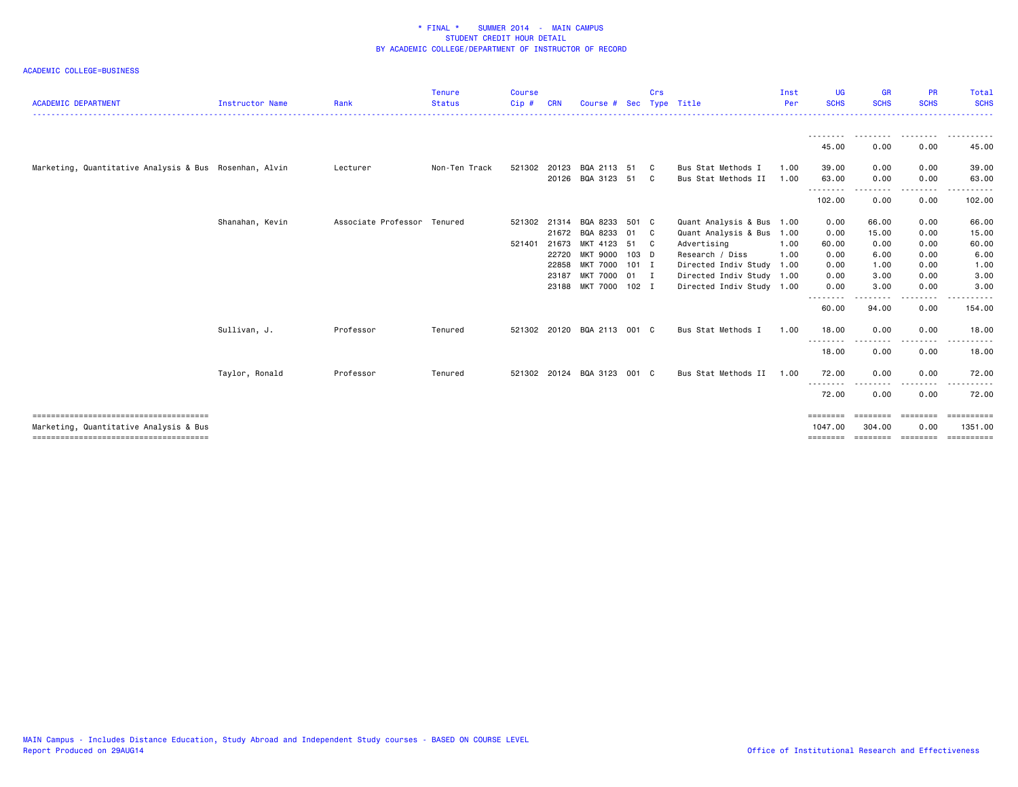| <b>ACADEMIC DEPARTMENT</b>                             | Instructor Name | Rank                        | <b>Tenure</b><br><b>Status</b> | <b>Course</b><br>Cip# | <b>CRN</b> | Course #                    |       | Crs          | Sec Type Title            | Inst<br>Per | <b>UG</b><br><b>SCHS</b> | <b>GR</b><br><b>SCHS</b> | <b>PR</b><br><b>SCHS</b> | Total<br><b>SCHS</b>  |
|--------------------------------------------------------|-----------------|-----------------------------|--------------------------------|-----------------------|------------|-----------------------------|-------|--------------|---------------------------|-------------|--------------------------|--------------------------|--------------------------|-----------------------|
|                                                        |                 |                             |                                |                       |            |                             |       |              |                           |             |                          |                          |                          |                       |
|                                                        |                 |                             |                                |                       |            |                             |       |              |                           |             | 45.00                    | 0.00                     | 0.00                     | 45.00                 |
| Marketing, Quantitative Analysis & Bus Rosenhan, Alvin |                 | Lecturer                    | Non-Ten Track                  | 521302                | 20123      | BQA 2113 51                 |       | - C          | Bus Stat Methods I        | 1.00        | 39.00                    | 0.00                     | 0.00                     | 39.00                 |
|                                                        |                 |                             |                                |                       |            | 20126 BQA 3123 51           |       | $\mathbf{C}$ | Bus Stat Methods II       | 1.00        | 63.00<br>--------        | 0.00                     | 0.00                     | 63.00                 |
|                                                        |                 |                             |                                |                       |            |                             |       |              |                           |             | 102.00                   | 0.00                     | 0.00                     | 102.00                |
|                                                        | Shanahan, Kevin | Associate Professor Tenured |                                | 521302                | 21314      | BQA 8233                    | 501 C |              | Quant Analysis & Bus 1.00 |             | 0.00                     | 66.00                    | 0.00                     | 66.00                 |
|                                                        |                 |                             |                                |                       |            | 21672 BQA 8233 01           |       | $\mathbf{C}$ | Quant Analysis & Bus      | 1.00        | 0.00                     | 15.00                    | 0.00                     | 15.00                 |
|                                                        |                 |                             |                                | 521401                | 21673      | MKT 4123 51                 |       | - C          | Advertising               | 1.00        | 60.00                    | 0.00                     | 0.00                     | 60.00                 |
|                                                        |                 |                             |                                |                       | 22720      | MKT 9000                    | 103 D |              | Research / Diss           | 1.00        | 0.00                     | 6.00                     | 0.00                     | 6.00                  |
|                                                        |                 |                             |                                |                       | 22858      | MKT 7000 101 I              |       |              | Directed Indiv Study      | 1.00        | 0.00                     | 1.00                     | 0.00                     | 1.00                  |
|                                                        |                 |                             |                                |                       | 23187      | MKT 7000 01 I               |       |              | Directed Indiv Study 1.00 |             | 0.00                     | 3.00                     | 0.00                     | 3.00                  |
|                                                        |                 |                             |                                |                       |            | 23188 MKT 7000 102 I        |       |              | Directed Indiv Study 1.00 |             | 0.00                     | 3.00                     | 0.00                     | 3.00                  |
|                                                        |                 |                             |                                |                       |            |                             |       |              |                           |             | 60.00                    | 94.00                    | 0.00                     | 154.00                |
|                                                        | Sullivan, J.    | Professor                   | Tenured                        |                       |            | 521302 20120 BQA 2113 001 C |       |              | Bus Stat Methods I        | 1.00        | 18.00<br>--------        | 0.00<br>.                | 0.00                     | 18.00                 |
|                                                        |                 |                             |                                |                       |            |                             |       |              |                           |             | 18.00                    | 0.00                     | 0.00                     | 18.00                 |
|                                                        | Taylor, Ronald  | Professor                   | Tenured                        | 521302                | 20124      | BQA 3123                    | 001 C |              | Bus Stat Methods II       | 1.00        | 72.00                    | 0.00                     | 0.00                     | 72.00                 |
|                                                        |                 |                             |                                |                       |            |                             |       |              |                           |             | 72.00                    | 0.00                     | 0.00                     | 72.00                 |
| Marketing, Quantitative Analysis & Bus                 |                 |                             |                                |                       |            |                             |       |              |                           |             | ========<br>1047.00      | ========<br>304.00       | ========<br>0.00         | ==========<br>1351.00 |
|                                                        |                 |                             |                                |                       |            |                             |       |              |                           |             | ========                 | ========                 | eeeeee                   | $=$ = = = = = = = = = |
|                                                        |                 |                             |                                |                       |            |                             |       |              |                           |             |                          |                          |                          |                       |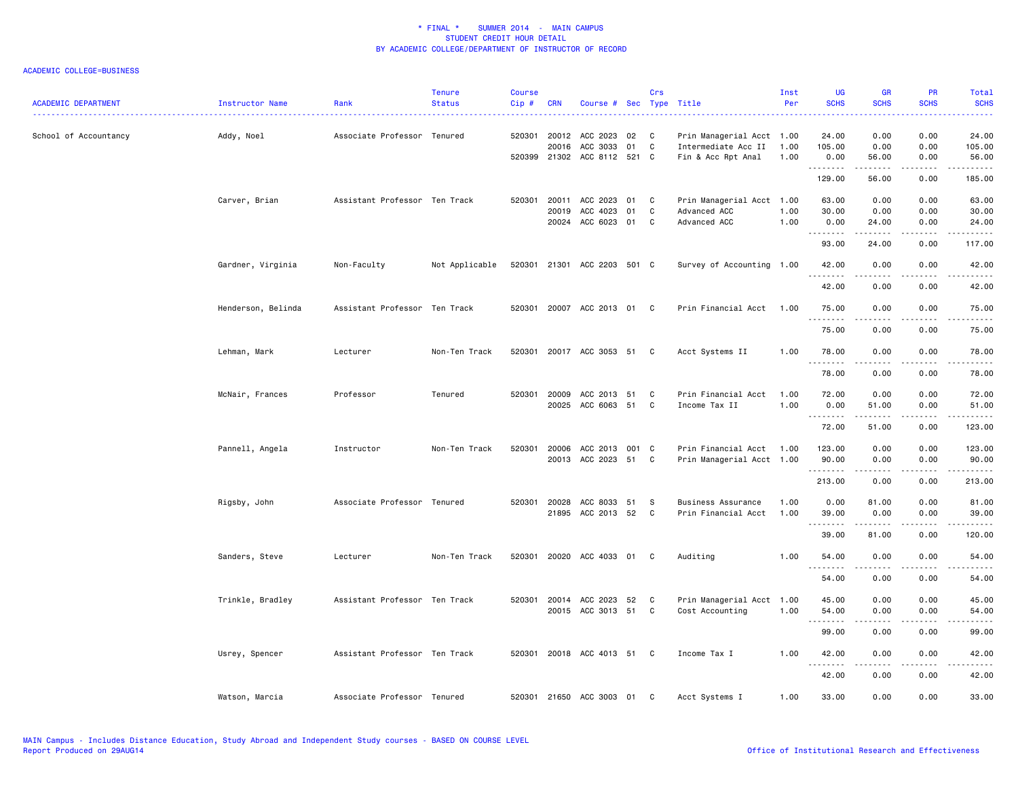| <b>ACADEMIC DEPARTMENT</b> | Instructor Name    | Rank                          | <b>Tenure</b><br><b>Status</b> | <b>Course</b><br>Cip# | <b>CRN</b>            | Course # Sec Type Title       |          | Crs               |                                                  | Inst<br>Per  | UG<br><b>SCHS</b>                                     | <b>GR</b><br><b>SCHS</b> | PR<br><b>SCHS</b>                                                                                                                                            | Total<br><b>SCHS</b>  |
|----------------------------|--------------------|-------------------------------|--------------------------------|-----------------------|-----------------------|-------------------------------|----------|-------------------|--------------------------------------------------|--------------|-------------------------------------------------------|--------------------------|--------------------------------------------------------------------------------------------------------------------------------------------------------------|-----------------------|
| School of Accountancy      | Addy, Noel         | Associate Professor Tenured   |                                |                       | 520301 20012<br>20016 | ACC 2023<br>ACC 3033          | 02<br>01 | $\mathbf{C}$<br>C | Prin Managerial Acct 1.00<br>Intermediate Acc II | 1.00         | 24.00<br>105.00                                       | 0.00<br>0.00             | 0.00<br>0.00                                                                                                                                                 | 24.00<br>105.00       |
|                            |                    |                               |                                |                       |                       | 520399 21302 ACC 8112 521 C   |          |                   | Fin & Acc Rpt Anal                               | 1.00         | 0.00                                                  | 56.00                    | 0.00                                                                                                                                                         | 56.00                 |
|                            |                    |                               |                                |                       |                       |                               |          |                   |                                                  |              | .<br>129.00                                           | .<br>56.00               | .<br>0.00                                                                                                                                                    | .<br>185.00           |
|                            | Carver, Brian      | Assistant Professor Ten Track |                                | 520301                | 20011                 | ACC 2023                      | 01       | C                 | Prin Managerial Acct 1.00                        |              | 63.00                                                 | 0.00                     | 0.00                                                                                                                                                         | 63.00                 |
|                            |                    |                               |                                |                       | 20019                 | ACC 4023<br>20024 ACC 6023 01 | 01       | C<br>C            | Advanced ACC<br>Advanced ACC                     | 1.00<br>1.00 | 30.00<br>0.00                                         | 0.00<br>24.00            | 0.00<br>0.00                                                                                                                                                 | 30.00<br>24.00        |
|                            |                    |                               |                                |                       |                       |                               |          |                   |                                                  |              | .<br>93.00                                            | .<br>24.00               | -----<br>0.00                                                                                                                                                | .<br>117.00           |
|                            | Gardner, Virginia  | Non-Faculty                   | Not Applicable                 |                       |                       | 520301 21301 ACC 2203 501 C   |          |                   | Survey of Accounting 1.00                        |              | 42.00                                                 | 0.00                     | 0.00                                                                                                                                                         | 42.00                 |
|                            |                    |                               |                                |                       |                       |                               |          |                   |                                                  |              | <b></b><br>42.00                                      | .<br>0.00                | .<br>0.00                                                                                                                                                    | . <u>.</u> .<br>42.00 |
|                            | Henderson, Belinda | Assistant Professor Ten Track |                                | 520301                |                       | 20007 ACC 2013 01 C           |          |                   | Prin Financial Acct                              | 1.00         | 75.00                                                 | 0.00                     | 0.00                                                                                                                                                         | 75.00                 |
|                            |                    |                               |                                |                       |                       |                               |          |                   |                                                  |              | .<br>75.00                                            | 0.00                     | 0.00                                                                                                                                                         | 75.00                 |
|                            | Lehman, Mark       | Lecturer                      | Non-Ten Track                  |                       |                       | 520301 20017 ACC 3053 51      |          | - C               | Acct Systems II                                  | 1.00         | 78.00                                                 | 0.00                     | 0.00                                                                                                                                                         | 78.00                 |
|                            |                    |                               |                                |                       |                       |                               |          |                   |                                                  |              | <u>.</u><br>78.00                                     | .<br>0.00                | 0.00                                                                                                                                                         | .<br>78.00            |
|                            | McNair, Frances    | Professor                     | Tenured                        |                       | 520301 20009          | ACC 2013 51                   |          | C                 | Prin Financial Acct                              | 1.00         | 72.00                                                 | 0.00                     | 0.00                                                                                                                                                         | 72.00                 |
|                            |                    |                               |                                |                       | 20025                 | ACC 6063                      | 51       | C                 | Income Tax II                                    | 1.00         | 0.00<br>.                                             | 51.00<br>.               | 0.00<br>$\frac{1}{2} \left( \frac{1}{2} \right) \left( \frac{1}{2} \right) \left( \frac{1}{2} \right) \left( \frac{1}{2} \right) \left( \frac{1}{2} \right)$ | 51.00                 |
|                            |                    |                               |                                |                       |                       |                               |          |                   |                                                  |              | 72.00                                                 | 51.00                    | 0.00                                                                                                                                                         | 123.00                |
|                            | Pannell, Angela    | Instructor                    | Non-Ten Track                  | 520301                | 20006                 | ACC 2013                      | 001 C    |                   | Prin Financial Acct 1.00                         |              | 123.00                                                | 0.00                     | 0.00                                                                                                                                                         | 123.00                |
|                            |                    |                               |                                |                       |                       | 20013 ACC 2023 51             |          | C                 | Prin Managerial Acct 1.00                        |              | 90.00<br>.                                            | 0.00<br>-----            | 0.00<br>.                                                                                                                                                    | 90.00                 |
|                            |                    |                               |                                |                       |                       |                               |          |                   |                                                  |              | 213.00                                                | 0.00                     | 0.00                                                                                                                                                         | 213.00                |
|                            | Rigsby, John       | Associate Professor Tenured   |                                | 520301                | 20028                 | ACC 8033                      | 51       | S.                | Business Assurance                               | 1.00         | 0.00                                                  | 81.00                    | 0.00                                                                                                                                                         | 81.00                 |
|                            |                    |                               |                                |                       | 21895                 | ACC 2013 52                   |          | $\mathbf{C}$      | Prin Financial Acct                              | 1.00         | 39.00                                                 | 0.00<br><u>.</u>         | 0.00<br>.                                                                                                                                                    | 39.00<br>.            |
|                            |                    |                               |                                |                       |                       |                               |          |                   |                                                  |              | 39.00                                                 | 81.00                    | 0.00                                                                                                                                                         | 120.00                |
|                            | Sanders, Steve     | Lecturer                      | Non-Ten Track                  | 520301                |                       | 20020 ACC 4033 01 C           |          |                   | Auditing                                         | 1.00         | 54.00<br>$\sim$ $\sim$ $\sim$<br>$\sim$ $\sim$ $\sim$ | 0.00                     | 0.00                                                                                                                                                         | 54.00                 |
|                            |                    |                               |                                |                       |                       |                               |          |                   |                                                  |              | 54.00                                                 | 0.00                     | 0.00                                                                                                                                                         | 54.00                 |
|                            | Trinkle, Bradley   | Assistant Professor Ten Track |                                |                       | 520301 20014          | ACC 2023                      | 52       | C                 | Prin Managerial Acct 1.00                        |              | 45.00                                                 | 0.00                     | 0.00                                                                                                                                                         | 45.00                 |
|                            |                    |                               |                                |                       |                       | 20015 ACC 3013 51 C           |          |                   | Cost Accounting                                  | 1.00         | 54.00<br><u>.</u>                                     | 0.00<br>.                | 0.00<br>.                                                                                                                                                    | 54.00<br>.            |
|                            |                    |                               |                                |                       |                       |                               |          |                   |                                                  |              | 99.00                                                 | 0.00                     | 0.00                                                                                                                                                         | 99.00                 |
|                            | Usrey, Spencer     | Assistant Professor Ten Track |                                |                       |                       | 520301 20018 ACC 4013 51 C    |          |                   | Income Tax I                                     | 1.00         | 42.00<br>--------                                     | 0.00<br>.                | 0.00<br>.                                                                                                                                                    | 42.00<br>.            |
|                            |                    |                               |                                |                       |                       |                               |          |                   |                                                  |              | 42.00                                                 | 0.00                     | 0.00                                                                                                                                                         | 42.00                 |
|                            | Watson, Marcia     | Associate Professor Tenured   |                                |                       |                       | 520301 21650 ACC 3003 01      |          | $\mathbf{C}$      | Acct Systems I                                   | 1.00         | 33.00                                                 | 0.00                     | 0.00                                                                                                                                                         | 33.00                 |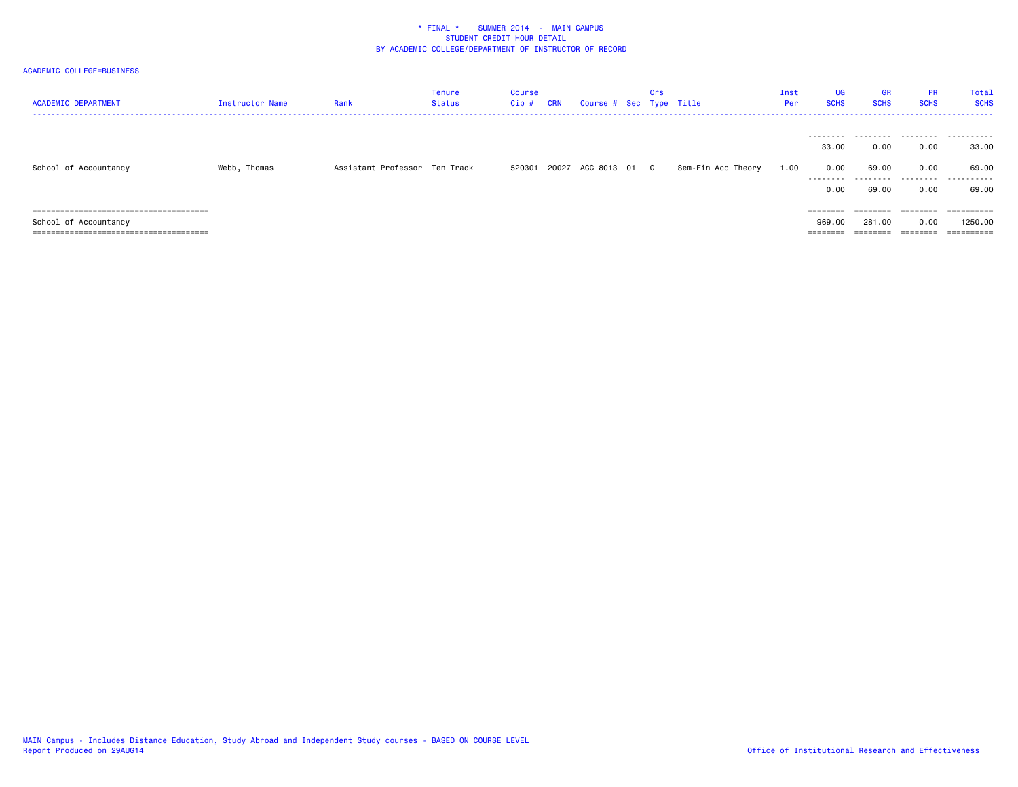# ACADEMIC COLLEGE=BUSINESS

| <b>ACADEMIC DEPARTMENT</b> | <b>Instructor Name</b> | Rank                          | Tenure<br>Status | Course<br>Cip # | CRN | Course # Sec Type Title | Crs |                    | Inst<br>Per | UG<br><b>SCHS</b>                  | <b>GR</b><br><b>SCHS</b>                                                | <b>PR</b><br><b>SCHS</b>  | <b>Total</b><br><b>SCHS</b>  |
|----------------------------|------------------------|-------------------------------|------------------|-----------------|-----|-------------------------|-----|--------------------|-------------|------------------------------------|-------------------------------------------------------------------------|---------------------------|------------------------------|
| School of Accountancy      | Webb, Thomas           | Assistant Professor Ten Track |                  | 520301          |     | 20027 ACC 8013 01 C     |     | Sem-Fin Acc Theory | 1.00        | 33.00<br>0.00<br>---------<br>0.00 | 0.00<br>69.00<br>.<br>69.00                                             | 0.00<br>0.00<br>.<br>0.00 | 33.00<br>69.00<br>.<br>69.00 |
|                            |                        |                               |                  |                 |     |                         |     |                    |             | $=$ = = = = = = =                  | $\qquad \qquad \equiv \equiv \equiv \equiv \equiv \equiv \equiv \equiv$ | ========                  | $=$ = = = = = = = = =        |
| School of Accountancy      |                        |                               |                  |                 |     |                         |     |                    |             | 969,00                             | 281.00                                                                  | 0.00                      | 1250.00                      |
|                            |                        |                               |                  |                 |     |                         |     |                    |             | ========                           | =======                                                                 |                           | $=$ = = = = = = = = =        |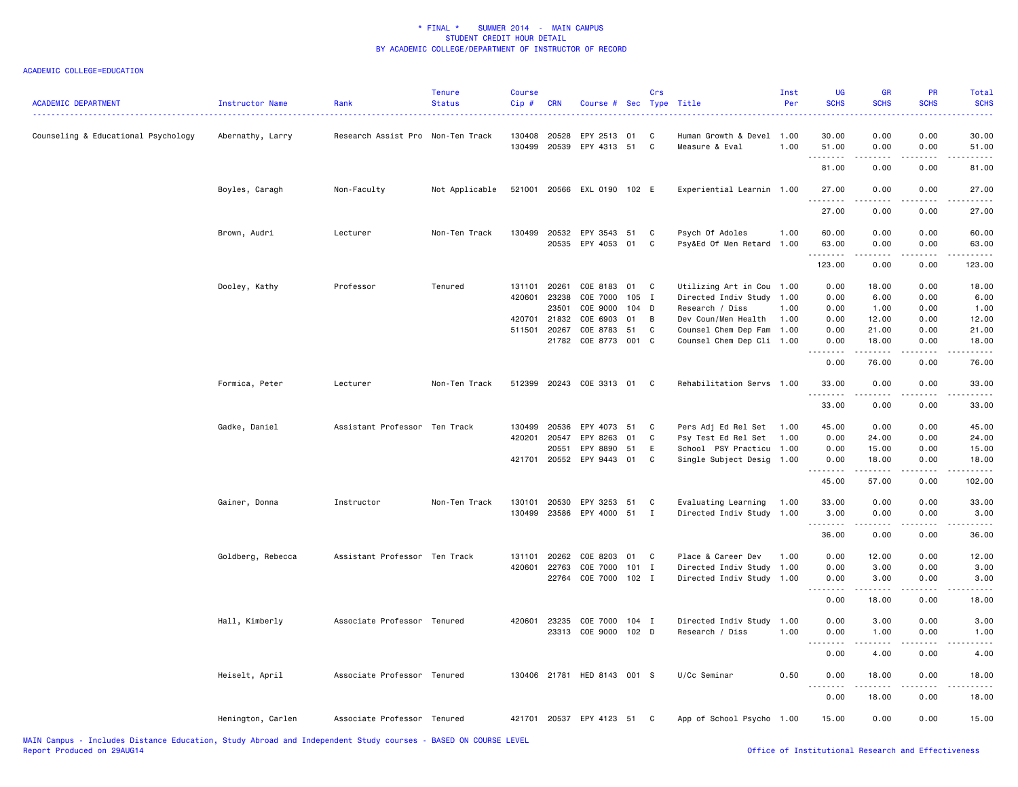| <b>ACADEMIC DEPARTMENT</b>          | Instructor Name   | Rank                              | <b>Tenure</b><br><b>Status</b> | <b>Course</b><br>Cip# | <b>CRN</b> | Course # Sec Type Title |         | Crs          |                           | Inst<br>Per | UG<br><b>SCHS</b>     | <b>GR</b><br><b>SCHS</b>                                                                                                                                      | <b>PR</b><br><b>SCHS</b> | Total<br><b>SCHS</b>                        |
|-------------------------------------|-------------------|-----------------------------------|--------------------------------|-----------------------|------------|-------------------------|---------|--------------|---------------------------|-------------|-----------------------|---------------------------------------------------------------------------------------------------------------------------------------------------------------|--------------------------|---------------------------------------------|
| Counseling & Educational Psychology | Abernathy, Larry  | Research Assist Pro Non-Ten Track |                                | 130408                | 20528      | EPY 2513                | 01      | C            | Human Growth & Devel 1.00 |             | 30.00                 | 0.00                                                                                                                                                          | 0.00                     | 30.00                                       |
|                                     |                   |                                   |                                | 130499                | 20539      | EPY 4313 51             |         | C            | Measure & Eval            | 1.00        | 51.00                 | 0.00                                                                                                                                                          | 0.00                     | 51.00                                       |
|                                     |                   |                                   |                                |                       |            |                         |         |              |                           |             | 81.00                 | 0.00                                                                                                                                                          | 0.00                     | 81.00                                       |
|                                     | Boyles, Caragh    | Non-Faculty                       | Not Applicable                 | 521001                |            | 20566 EXL 0190 102 E    |         |              | Experiential Learnin 1.00 |             | 27.00                 | 0.00                                                                                                                                                          | 0.00                     | 27.00                                       |
|                                     |                   |                                   |                                |                       |            |                         |         |              |                           |             | 27.00                 | 0.00                                                                                                                                                          | 0.00                     | 27.00                                       |
|                                     | Brown, Audri      | Lecturer                          | Non-Ten Track                  | 130499                |            | 20532 EPY 3543 51       |         | C            | Psych Of Adoles           | 1.00        | 60.00                 | 0.00                                                                                                                                                          | 0.00                     | 60.00                                       |
|                                     |                   |                                   |                                |                       |            | 20535 EPY 4053 01       |         | C            | Psy&Ed Of Men Retard      | 1.00        | 63.00                 | 0.00                                                                                                                                                          | 0.00                     | 63.00                                       |
|                                     |                   |                                   |                                |                       |            |                         |         |              |                           |             | 123.00                | 0.00                                                                                                                                                          | 0.00                     | 123.00                                      |
|                                     | Dooley, Kathy     | Professor                         | Tenured                        | 131101                | 20261      | COE 8183 01             |         | C            | Utilizing Art in Cou 1.00 |             | 0.00                  | 18.00                                                                                                                                                         | 0.00                     | 18.00                                       |
|                                     |                   |                                   |                                | 420601                | 23238      | COE 7000                | 105     | $\mathbf{I}$ | Directed Indiv Study      | 1.00        | 0.00                  | 6.00                                                                                                                                                          | 0.00                     | 6.00                                        |
|                                     |                   |                                   |                                |                       | 23501      | COE 9000                | 104     | D            | Research / Diss           | 1.00        | 0.00                  | 1.00                                                                                                                                                          | 0.00                     | 1.00                                        |
|                                     |                   |                                   |                                | 420701                | 21832      | COE 6903                | 01      | B            | Dev Coun/Men Health       | 1.00        | 0.00                  | 12.00                                                                                                                                                         | 0.00                     | 12.00                                       |
|                                     |                   |                                   |                                | 511501                | 20267      | COE 8783                | 51      | C            | Counsel Chem Dep Fam      | 1.00        | 0.00                  | 21.00                                                                                                                                                         | 0.00                     | 21.00                                       |
|                                     |                   |                                   |                                |                       | 21782      | COE 8773 001            |         | C            | Counsel Chem Dep Cli 1.00 |             | 0.00<br>.             | 18.00<br>.                                                                                                                                                    | 0.00<br>.                | 18.00<br>.                                  |
|                                     |                   |                                   |                                |                       |            |                         |         |              |                           |             | 0.00                  | 76.00                                                                                                                                                         | 0.00                     | 76.00                                       |
|                                     | Formica, Peter    | Lecturer                          | Non-Ten Track                  | 512399                |            | 20243 COE 3313 01       |         | C            | Rehabilitation Servs 1.00 |             | 33.00<br>.            | 0.00<br>-----                                                                                                                                                 | 0.00<br>.                | 33.00<br>.                                  |
|                                     |                   |                                   |                                |                       |            |                         |         |              |                           |             | 33.00                 | 0.00                                                                                                                                                          | 0.00                     | 33.00                                       |
|                                     | Gadke, Daniel     | Assistant Professor Ten Track     |                                | 130499                | 20536      | EPY 4073 51             |         | C            | Pers Adj Ed Rel Set       | 1.00        | 45.00                 | 0.00                                                                                                                                                          | 0.00                     | 45.00                                       |
|                                     |                   |                                   |                                | 420201                | 20547      | EPY 8263                | 01      | C            | Psy Test Ed Rel Set       | 1.00        | 0.00                  | 24.00                                                                                                                                                         | 0.00                     | 24.00                                       |
|                                     |                   |                                   |                                |                       | 20551      | EPY 8890 51             |         | E            | School PSY Practicu       | 1.00        | 0.00                  | 15.00                                                                                                                                                         | 0.00                     | 15.00                                       |
|                                     |                   |                                   |                                | 421701                |            | 20552 EPY 9443 01       |         | C            | Single Subject Desig 1.00 |             | 0.00                  | 18.00                                                                                                                                                         | 0.00                     | 18.00                                       |
|                                     |                   |                                   |                                |                       |            |                         |         |              |                           |             | 45.00                 | 57.00                                                                                                                                                         | 0.00                     | 102.00                                      |
|                                     | Gainer, Donna     | Instructor                        | Non-Ten Track                  | 130101                | 20530      | EPY 3253 51             |         | C            | Evaluating Learning       | 1.00        | 33.00                 | 0.00                                                                                                                                                          | 0.00                     | 33.00                                       |
|                                     |                   |                                   |                                | 130499                | 23586      | EPY 4000 51             |         | Ι.           | Directed Indiv Study 1.00 |             | 3.00                  | 0.00                                                                                                                                                          | 0.00                     | 3.00                                        |
|                                     |                   |                                   |                                |                       |            |                         |         |              |                           |             | .<br>36.00            | $\sim$ $\sim$ $\sim$ $\sim$<br>0.00                                                                                                                           | .<br>0.00                | $\sim$ $\sim$ $\sim$ $\sim$ $\sim$<br>36.00 |
|                                     | Goldberg, Rebecca | Assistant Professor Ten Track     |                                | 131101                | 20262      | COE 8203 01             |         | C            | Place & Career Dev        | 1.00        | 0.00                  | 12.00                                                                                                                                                         | 0.00                     | 12.00                                       |
|                                     |                   |                                   |                                | 420601                | 22763      | COE 7000                | 101     | $\mathbf{I}$ | Directed Indiv Study      | 1.00        | 0.00                  | 3.00                                                                                                                                                          | 0.00                     | 3.00                                        |
|                                     |                   |                                   |                                |                       | 22764      | COE 7000 102 I          |         |              | Directed Indiv Study 1.00 |             | 0.00                  | 3.00                                                                                                                                                          | 0.00                     | 3.00                                        |
|                                     |                   |                                   |                                |                       |            |                         |         |              |                           |             | $\sim$ $\sim$<br>0.00 | $\frac{1}{2} \left( \frac{1}{2} \right) \left( \frac{1}{2} \right) \left( \frac{1}{2} \right) \left( \frac{1}{2} \right) \left( \frac{1}{2} \right)$<br>18.00 | 0.00                     | 18.00                                       |
|                                     | Hall, Kimberly    | Associate Professor Tenured       |                                | 420601                | 23235      | COE 7000                | $104$ I |              | Directed Indiv Study      | 1.00        | 0.00                  | 3.00                                                                                                                                                          | 0.00                     | 3.00                                        |
|                                     |                   |                                   |                                |                       |            | 23313 COE 9000 102 D    |         |              | Research / Diss           | 1.00        | 0.00                  | 1.00                                                                                                                                                          | 0.00                     | 1.00                                        |
|                                     |                   |                                   |                                |                       |            |                         |         |              |                           |             | 0.00                  | 4.00                                                                                                                                                          | 0.00                     | 4.00                                        |
|                                     | Heiselt, April    | Associate Professor Tenured       |                                | 130406 21781          |            | HED 8143 001 S          |         |              | U/Cc Seminar              | 0.50        | 0.00                  | 18.00                                                                                                                                                         | 0.00                     | 18.00                                       |
|                                     |                   |                                   |                                |                       |            |                         |         |              |                           |             | 0.00                  | 18.00                                                                                                                                                         | 0.00                     | 18.00                                       |
|                                     | Henington, Carlen | Associate Professor Tenured       |                                | 421701                |            | 20537 EPY 4123 51       |         | C            | App of School Psycho 1.00 |             | 15.00                 | 0.00                                                                                                                                                          | 0.00                     | 15.00                                       |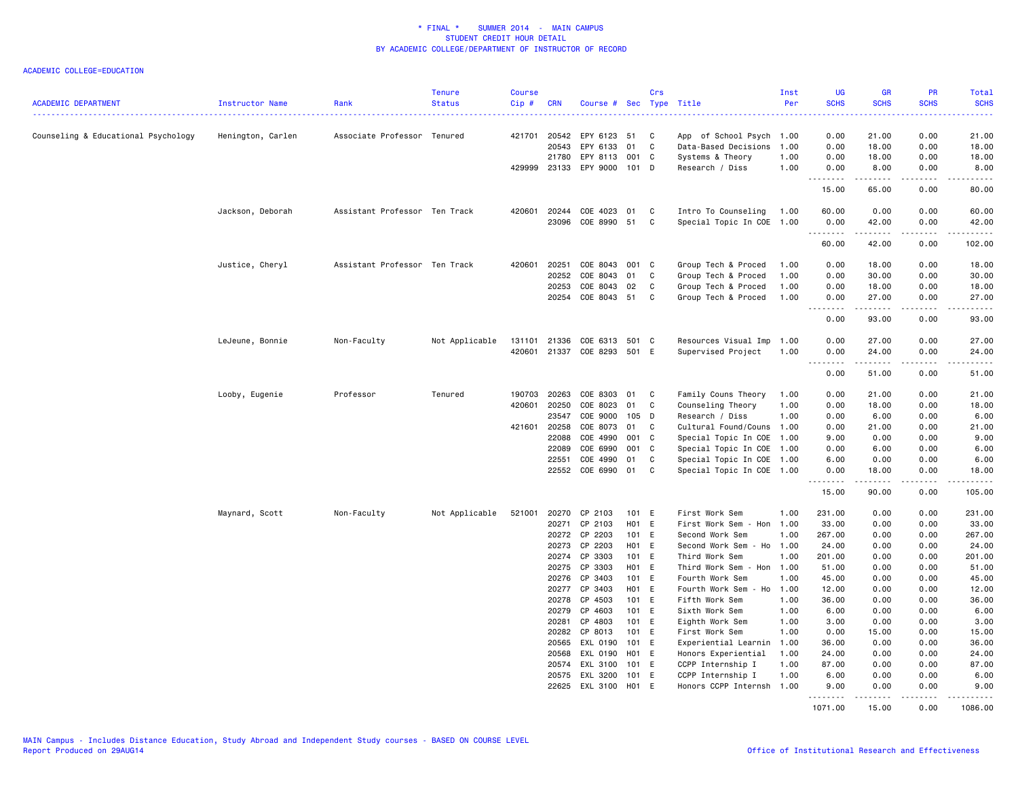| <b>ACADEMIC DEPARTMENT</b>          | Instructor Name   | Rank                          | <b>Tenure</b><br><b>Status</b> | <b>Course</b><br>Cip# | <b>CRN</b>     | Course # Sec Type Title |                  | Crs          |                                                        | Inst<br>Per         | <b>UG</b><br><b>SCHS</b><br>.                                                                                                                                | <b>GR</b><br><b>SCHS</b> | <b>PR</b><br><b>SCHS</b> | Total<br><b>SCHS</b><br>$\frac{1}{2} \left( \frac{1}{2} \right) \left( \frac{1}{2} \right) \left( \frac{1}{2} \right) \left( \frac{1}{2} \right)$ |
|-------------------------------------|-------------------|-------------------------------|--------------------------------|-----------------------|----------------|-------------------------|------------------|--------------|--------------------------------------------------------|---------------------|--------------------------------------------------------------------------------------------------------------------------------------------------------------|--------------------------|--------------------------|---------------------------------------------------------------------------------------------------------------------------------------------------|
| Counseling & Educational Psychology | Henington, Carlen | Associate Professor Tenured   |                                | 421701                | 20542          | EPY 6123                | 51               | C            | App of School Psych 1.00                               |                     | 0.00                                                                                                                                                         | 21.00                    | 0.00                     | 21.00                                                                                                                                             |
|                                     |                   |                               |                                |                       | 20543          | EPY 6133                | 01               | C            | Data-Based Decisions 1.00                              |                     | 0.00                                                                                                                                                         | 18.00                    | 0.00                     | 18.00                                                                                                                                             |
|                                     |                   |                               |                                |                       | 21780          | EPY 8113                | 001 C            |              | Systems & Theory                                       | 1.00                | 0.00                                                                                                                                                         | 18.00                    | 0.00                     | 18.00                                                                                                                                             |
|                                     |                   |                               |                                | 429999                | 23133          | EPY 9000                | 101 D            |              | Research / Diss                                        | 1.00                | 0.00<br>.                                                                                                                                                    | 8.00                     | 0.00                     | 8.00<br>$\frac{1}{2} \left( \frac{1}{2} \right) \left( \frac{1}{2} \right) \left( \frac{1}{2} \right) \left( \frac{1}{2} \right)$                 |
|                                     |                   |                               |                                |                       |                |                         |                  |              |                                                        |                     | 15.00                                                                                                                                                        | 65.00                    | 0.00                     | 80.00                                                                                                                                             |
|                                     | Jackson, Deborah  | Assistant Professor Ten Track |                                | 420601                | 20244          | COE 4023                | 01               | C            | Intro To Counseling                                    | 1.00                | 60.00                                                                                                                                                        | 0.00                     | 0.00                     | 60.00                                                                                                                                             |
|                                     |                   |                               |                                |                       | 23096          | COE 8990 51             |                  | C            | Special Topic In COE 1.00                              |                     | 0.00<br>$\frac{1}{2} \left( \frac{1}{2} \right) \left( \frac{1}{2} \right) \left( \frac{1}{2} \right) \left( \frac{1}{2} \right) \left( \frac{1}{2} \right)$ | 42.00                    | 0.00<br>$- - -$          | 42.00<br>المتمامين                                                                                                                                |
|                                     |                   |                               |                                |                       |                |                         |                  |              |                                                        |                     | 60.00                                                                                                                                                        | 42.00                    | 0.00                     | 102.00                                                                                                                                            |
|                                     | Justice, Cheryl   | Assistant Professor Ten Track |                                | 420601                | 20251          | COE 8043 001 C          |                  |              | Group Tech & Proced                                    | 1.00                | 0.00                                                                                                                                                         | 18.00                    | 0.00                     | 18.00                                                                                                                                             |
|                                     |                   |                               |                                |                       | 20252          | COE 8043                | 01               | C            | Group Tech & Proced                                    | 1.00                | 0.00                                                                                                                                                         | 30.00                    | 0.00                     | 30.00                                                                                                                                             |
|                                     |                   |                               |                                |                       | 20253          | COE 8043                | 02               | C            | Group Tech & Proced                                    | 1.00                | 0.00                                                                                                                                                         | 18.00                    | 0.00                     | 18.00                                                                                                                                             |
|                                     |                   |                               |                                |                       | 20254          | COE 8043 51             |                  | C            | Group Tech & Proced                                    | 1.00                | 0.00<br>.<br>$\sim$ $\sim$ $\sim$                                                                                                                            | 27.00<br>.               | 0.00<br>.                | 27.00<br>والمناصبات                                                                                                                               |
|                                     |                   |                               |                                |                       |                |                         |                  |              |                                                        |                     | 0.00                                                                                                                                                         | 93.00                    | 0.00                     | 93.00                                                                                                                                             |
|                                     | LeJeune, Bonnie   | Non-Faculty                   | Not Applicable                 | 131101                | 21336          | COE 6313 501 C          |                  |              | Resources Visual Imp 1.00                              |                     | 0.00                                                                                                                                                         | 27.00                    | 0.00                     | 27.00                                                                                                                                             |
|                                     |                   |                               |                                | 420601                | 21337          | COE 8293                | 501 E            |              | Supervised Project                                     | 1.00                | 0.00<br>$\sim$ $\sim$                                                                                                                                        | 24.00                    | 0.00                     | 24.00                                                                                                                                             |
|                                     |                   |                               |                                |                       |                |                         |                  |              |                                                        |                     | 0.00                                                                                                                                                         | 51.00                    | 0.00                     | 51.00                                                                                                                                             |
|                                     | Looby, Eugenie    | Professor                     | Tenured                        | 190703                | 20263          | COE 8303                | 01               | C            | Family Couns Theory                                    | 1.00                | 0.00                                                                                                                                                         | 21.00                    | 0.00                     | 21.00                                                                                                                                             |
|                                     |                   |                               |                                | 420601                | 20250          | COE 8023                | 01               | C            | Counseling Theory                                      | 1.00                | 0.00                                                                                                                                                         | 18.00                    | 0.00                     | 18.00                                                                                                                                             |
|                                     |                   |                               |                                |                       | 23547          | COE 9000                | 105 D            |              | Research / Diss                                        | 1.00                | 0.00                                                                                                                                                         | 6.00                     | 0.00                     | 6.00                                                                                                                                              |
|                                     |                   |                               |                                | 421601                | 20258          | COE 8073                | 01               | C            | Cultural Found/Couns 1.00                              |                     | 0.00                                                                                                                                                         | 21.00                    | 0.00                     | 21.00                                                                                                                                             |
|                                     |                   |                               |                                |                       | 22088          | COE 4990                | 001              | $\mathbf{C}$ | Special Topic In COE 1.00                              |                     | 9.00                                                                                                                                                         | 0.00                     | 0.00                     | 9.00                                                                                                                                              |
|                                     |                   |                               |                                |                       | 22089          | COE 6990                | 001 C            |              | Special Topic In COE 1.00                              |                     | 0.00                                                                                                                                                         | 6.00                     | 0.00                     | 6.00                                                                                                                                              |
|                                     |                   |                               |                                |                       | 22551<br>22552 | COE 4990<br>COE 6990    | 01<br>01         | C<br>C.      | Special Topic In COE 1.00<br>Special Topic In COE 1.00 |                     | 6.00<br>0.00                                                                                                                                                 | 0.00<br>18.00            | 0.00<br>0.00             | 6.00<br>18.00                                                                                                                                     |
|                                     |                   |                               |                                |                       |                |                         |                  |              |                                                        |                     | -------<br>15.00                                                                                                                                             | 90.00                    | 0.00                     | .<br>105.00                                                                                                                                       |
|                                     |                   |                               |                                |                       |                |                         |                  |              |                                                        |                     |                                                                                                                                                              |                          |                          |                                                                                                                                                   |
|                                     | Maynard, Scott    | Non-Faculty                   | Not Applicable                 | 521001                | 20270          | CP 2103                 | 101 E            |              | First Work Sem                                         | 1.00                | 231.00                                                                                                                                                       | 0.00                     | 0.00                     | 231.00                                                                                                                                            |
|                                     |                   |                               |                                |                       | 20271          | CP 2103                 | H01 E<br>101     |              | First Work Sem - Hon 1.00                              |                     | 33.00                                                                                                                                                        | 0.00                     | 0.00                     | 33.00                                                                                                                                             |
|                                     |                   |                               |                                |                       | 20272<br>20273 | CP 2203<br>CP 2203      | H <sub>0</sub> 1 | E<br>E       | Second Work Sem<br>Second Work Sem                     | 1.00<br>$- Ho 1.00$ | 267.00<br>24.00                                                                                                                                              | 0.00<br>0.00             | 0.00<br>0.00             | 267.00<br>24.00                                                                                                                                   |
|                                     |                   |                               |                                |                       | 20274          | CP 3303                 | 101 E            |              | Third Work Sem                                         | 1.00                | 201.00                                                                                                                                                       | 0.00                     | 0.00                     | 201.00                                                                                                                                            |
|                                     |                   |                               |                                |                       | 20275          | CP 3303                 | H01 E            |              | Third Work Sem - Hon 1.00                              |                     | 51.00                                                                                                                                                        | 0.00                     | 0.00                     | 51.00                                                                                                                                             |
|                                     |                   |                               |                                |                       | 20276          | CP 3403                 | 101              | E            | Fourth Work Sem                                        | 1.00                | 45.00                                                                                                                                                        | 0.00                     | 0.00                     | 45.00                                                                                                                                             |
|                                     |                   |                               |                                |                       | 20277          | CP 3403                 | H01 E            |              | Fourth Work Sem - Ho 1.00                              |                     | 12.00                                                                                                                                                        | 0.00                     | 0.00                     | 12.00                                                                                                                                             |
|                                     |                   |                               |                                |                       | 20278          | CP 4503                 | 101 E            |              | Fifth Work Sem                                         | 1.00                | 36.00                                                                                                                                                        | 0.00                     | 0.00                     | 36.00                                                                                                                                             |
|                                     |                   |                               |                                |                       | 20279          | CP 4603                 | 101              | E            | Sixth Work Sem                                         | 1.00                | 6.00                                                                                                                                                         | 0.00                     | 0.00                     | 6.00                                                                                                                                              |
|                                     |                   |                               |                                |                       | 20281          | CP 4803                 | 101              | E            | Eighth Work Sem                                        | 1.00                | 3.00                                                                                                                                                         | 0.00                     | 0.00                     | 3.00                                                                                                                                              |
|                                     |                   |                               |                                |                       | 20282          | CP 8013                 | 101              | E            | First Work Sem                                         | 1.00                | 0.00                                                                                                                                                         | 15.00                    | 0.00                     | 15.00                                                                                                                                             |
|                                     |                   |                               |                                |                       | 20565          | EXL 0190                | 101              | E            | Experiential Learnin                                   | 1.00                | 36.00                                                                                                                                                        | 0.00                     | 0.00                     | 36.00                                                                                                                                             |
|                                     |                   |                               |                                |                       | 20568          | EXL 0190                | H <sub>0</sub> 1 | E            | Honors Experiential                                    | 1.00                | 24.00                                                                                                                                                        | 0.00                     | 0.00                     | 24.00                                                                                                                                             |
|                                     |                   |                               |                                |                       | 20574          | EXL 3100                | 101              | E            | CCPP Internship I                                      | 1.00                | 87.00                                                                                                                                                        | 0.00                     | 0.00                     | 87.00                                                                                                                                             |
|                                     |                   |                               |                                |                       | 20575          | EXL 3200                | 101 E            |              | CCPP Internship I                                      | 1.00                | 6.00                                                                                                                                                         | 0.00                     | 0.00                     | 6.00                                                                                                                                              |
|                                     |                   |                               |                                |                       | 22625          | EXL 3100                | H01              | E            | Honors CCPP Internsh 1.00                              |                     | 9.00<br>. <b>.</b>                                                                                                                                           | 0.00<br>. <u>.</u>       | 0.00<br>$- - - -$        | 9.00<br>.                                                                                                                                         |
|                                     |                   |                               |                                |                       |                |                         |                  |              |                                                        |                     | 1071.00                                                                                                                                                      | 15.00                    | 0.00                     | 1086.00                                                                                                                                           |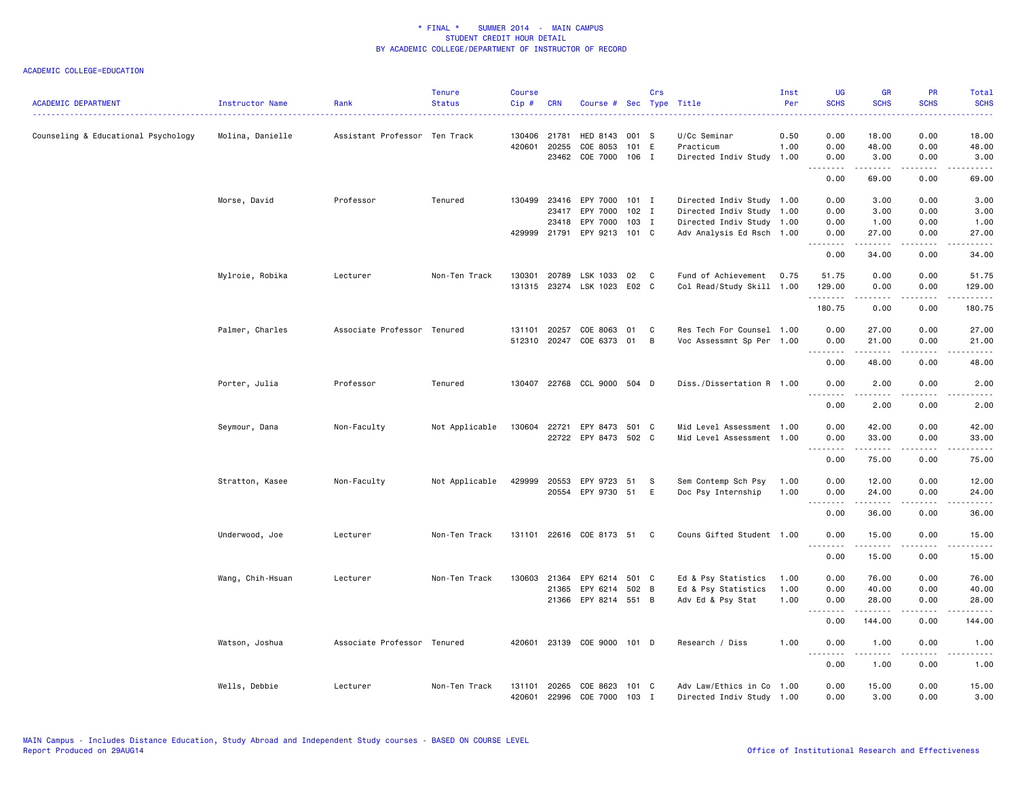|                                     |                  |                               | <b>Tenure</b>  | <b>Course</b> |              |                             |       | Crs         |                           | Inst | UG                                                                                                                                                                                               | <b>GR</b>                                                                                                                                                     | <b>PR</b>                           | Total                                                                                                                             |
|-------------------------------------|------------------|-------------------------------|----------------|---------------|--------------|-----------------------------|-------|-------------|---------------------------|------|--------------------------------------------------------------------------------------------------------------------------------------------------------------------------------------------------|---------------------------------------------------------------------------------------------------------------------------------------------------------------|-------------------------------------|-----------------------------------------------------------------------------------------------------------------------------------|
| <b>ACADEMIC DEPARTMENT</b>          | Instructor Name  | Rank                          | <b>Status</b>  | Cip#          | <b>CRN</b>   | Course # Sec Type Title     |       |             |                           | Per  | <b>SCHS</b><br>$\sim$ $\sim$ $\sim$ $\sim$                                                                                                                                                       | <b>SCHS</b>                                                                                                                                                   | <b>SCHS</b>                         | <b>SCHS</b><br>$\omega = \omega / \omega$                                                                                         |
| Counseling & Educational Psychology | Molina, Danielle | Assistant Professor Ten Track |                | 130406        | 21781        | HED 8143                    | 001 S |             | U/Cc Seminar              | 0.50 | 0.00                                                                                                                                                                                             | 18.00                                                                                                                                                         | 0.00                                | 18.00                                                                                                                             |
|                                     |                  |                               |                | 420601        | 20255        | COE 8053                    | 101 E |             | Practicum                 | 1.00 | 0.00                                                                                                                                                                                             | 48.00                                                                                                                                                         | 0.00                                | 48.00                                                                                                                             |
|                                     |                  |                               |                |               | 23462        | COE 7000                    | 106 I |             | Directed Indiv Study 1.00 |      | 0.00<br>.<br>$- - -$                                                                                                                                                                             | 3.00<br>.                                                                                                                                                     | 0.00<br>.                           | 3.00<br>والمناصبات                                                                                                                |
|                                     |                  |                               |                |               |              |                             |       |             |                           |      | 0.00                                                                                                                                                                                             | 69.00                                                                                                                                                         | 0.00                                | 69.00                                                                                                                             |
|                                     | Morse, David     | Professor                     | Tenured        | 130499        | 23416        | EPY 7000                    | 101 I |             | Directed Indiv Study 1.00 |      | 0.00                                                                                                                                                                                             | 3.00                                                                                                                                                          | 0.00                                | 3.00                                                                                                                              |
|                                     |                  |                               |                |               | 23417        | EPY 7000                    | 102 I |             | Directed Indiv Study 1.00 |      | 0.00                                                                                                                                                                                             | 3.00                                                                                                                                                          | 0.00                                | 3.00                                                                                                                              |
|                                     |                  |                               |                |               | 23418        | EPY 7000                    | 103 I |             | Directed Indiv Study 1.00 |      | 0.00                                                                                                                                                                                             | 1.00                                                                                                                                                          | 0.00                                | 1.00                                                                                                                              |
|                                     |                  |                               |                | 429999        | 21791        | EPY 9213                    | 101 C |             | Adv Analysis Ed Rsch 1.00 |      | 0.00                                                                                                                                                                                             | 27.00<br>.                                                                                                                                                    | 0.00<br>$\omega$ is a $\omega$      | 27.00<br>$\sim$ $\sim$ $\sim$ $\sim$                                                                                              |
|                                     |                  |                               |                |               |              |                             |       |             |                           |      | 0.00                                                                                                                                                                                             | 34.00                                                                                                                                                         | 0.00                                | 34.00                                                                                                                             |
|                                     | Mylroie, Robika  | Lecturer                      | Non-Ten Track  | 130301        | 20789        | LSK 1033 02 C               |       |             | Fund of Achievement       | 0.75 | 51.75                                                                                                                                                                                            | 0.00                                                                                                                                                          | 0.00                                | 51.75                                                                                                                             |
|                                     |                  |                               |                |               |              | 131315 23274 LSK 1023 E02 C |       |             | Col Read/Study Skill 1.00 |      | 129.00                                                                                                                                                                                           | 0.00                                                                                                                                                          | 0.00                                | 129.00                                                                                                                            |
|                                     |                  |                               |                |               |              |                             |       |             |                           |      | .<br>180.75                                                                                                                                                                                      | $- - -$<br>0.00                                                                                                                                               | د د د د<br>0.00                     | .<br>180.75                                                                                                                       |
|                                     | Palmer, Charles  | Associate Professor Tenured   |                | 131101        | 20257        | COE 8063 01                 |       | C           | Res Tech For Counsel 1.00 |      | 0.00                                                                                                                                                                                             | 27.00                                                                                                                                                         | 0.00                                | 27.00                                                                                                                             |
|                                     |                  |                               |                | 512310        |              | 20247 COE 6373 01           |       | B           | Voc Assessmnt Sp Per 1.00 |      | 0.00                                                                                                                                                                                             | 21.00                                                                                                                                                         | 0.00                                | 21.00                                                                                                                             |
|                                     |                  |                               |                |               |              |                             |       |             |                           |      | .                                                                                                                                                                                                | . <b>.</b> .                                                                                                                                                  | .                                   | .                                                                                                                                 |
|                                     |                  |                               |                |               |              |                             |       |             |                           |      | 0.00                                                                                                                                                                                             | 48.00                                                                                                                                                         | 0.00                                | 48.00                                                                                                                             |
|                                     | Porter, Julia    | Professor                     | Tenured        |               |              | 130407 22768 CCL 9000 504 D |       |             | Diss./Dissertation R 1.00 |      | 0.00<br>$\sim$ $\sim$ $\sim$<br>.                                                                                                                                                                | 2.00<br>.                                                                                                                                                     | 0.00<br>$\sim$ $\sim$ $\sim$ $\sim$ | 2.00<br>-----                                                                                                                     |
|                                     |                  |                               |                |               |              |                             |       |             |                           |      | 0.00                                                                                                                                                                                             | 2.00                                                                                                                                                          | 0.00                                | 2.00                                                                                                                              |
|                                     | Seymour, Dana    | Non-Faculty                   | Not Applicable |               | 130604 22721 | EPY 8473 501 C              |       |             | Mid Level Assessment 1.00 |      | 0.00                                                                                                                                                                                             | 42.00                                                                                                                                                         | 0.00                                | 42.00                                                                                                                             |
|                                     |                  |                               |                |               | 22722        | EPY 8473 502 C              |       |             | Mid Level Assessment 1.00 |      | 0.00                                                                                                                                                                                             | 33.00                                                                                                                                                         | 0.00                                | 33.00                                                                                                                             |
|                                     |                  |                               |                |               |              |                             |       |             |                           |      | $\frac{1}{2} \left( \frac{1}{2} \right) \left( \frac{1}{2} \right) \left( \frac{1}{2} \right) \left( \frac{1}{2} \right) \left( \frac{1}{2} \right) \left( \frac{1}{2} \right)$<br>$  -$<br>0.00 | . <u>.</u><br>75.00                                                                                                                                           | .<br>0.00                           | .<br>75.00                                                                                                                        |
|                                     |                  |                               |                |               |              |                             |       |             |                           |      |                                                                                                                                                                                                  |                                                                                                                                                               |                                     |                                                                                                                                   |
|                                     | Stratton, Kasee  | Non-Faculty                   | Not Applicable | 429999        | 20553        | EPY 9723 51                 |       | - S         | Sem Contemp Sch Psy       | 1.00 | 0.00                                                                                                                                                                                             | 12.00                                                                                                                                                         | 0.00                                | 12.00                                                                                                                             |
|                                     |                  |                               |                |               | 20554        | EPY 9730 51 E               |       |             | Doc Psy Internship        | 1.00 | 0.00<br>$\frac{1}{2} \left( \frac{1}{2} \right) \left( \frac{1}{2} \right) \left( \frac{1}{2} \right) \left( \frac{1}{2} \right)$                                                                | 24.00<br>$\frac{1}{2} \left( \frac{1}{2} \right) \left( \frac{1}{2} \right) \left( \frac{1}{2} \right) \left( \frac{1}{2} \right) \left( \frac{1}{2} \right)$ | 0.00<br>.                           | 24.00<br>المناسبات                                                                                                                |
|                                     |                  |                               |                |               |              |                             |       |             |                           |      | 0.00                                                                                                                                                                                             | 36.00                                                                                                                                                         | 0.00                                | 36.00                                                                                                                             |
|                                     | Underwood, Joe   | Lecturer                      | Non-Ten Track  |               |              | 131101 22616 COE 8173 51 C  |       |             | Couns Gifted Student 1.00 |      | 0.00                                                                                                                                                                                             | 15.00                                                                                                                                                         | 0.00                                | 15.00                                                                                                                             |
|                                     |                  |                               |                |               |              |                             |       |             |                           |      | .<br>0.00                                                                                                                                                                                        | <u>.</u><br>15.00                                                                                                                                             | .<br>0.00                           | .<br>15.00                                                                                                                        |
|                                     | Wang, Chih-Hsuan | Lecturer                      | Non-Ten Track  | 130603        | 21364        | EPY 6214                    | 501 C |             | Ed & Psy Statistics       | 1.00 | 0.00                                                                                                                                                                                             | 76.00                                                                                                                                                         | 0.00                                | 76.00                                                                                                                             |
|                                     |                  |                               |                |               | 21365        | EPY 6214 502 B              |       |             | Ed & Psy Statistics       | 1.00 | 0.00                                                                                                                                                                                             | 40.00                                                                                                                                                         | 0.00                                | 40.00                                                                                                                             |
|                                     |                  |                               |                |               |              | 21366 EPY 8214 551 B        |       |             | Adv Ed & Psy Stat         | 1.00 | 0.00                                                                                                                                                                                             | 28.00                                                                                                                                                         | 0.00                                | 28.00                                                                                                                             |
|                                     |                  |                               |                |               |              |                             |       |             |                           |      | $\sim$ $\sim$ $\sim$<br>.                                                                                                                                                                        | .                                                                                                                                                             | -----                               | .                                                                                                                                 |
|                                     |                  |                               |                |               |              |                             |       |             |                           |      | 0.00                                                                                                                                                                                             | 144.00                                                                                                                                                        | 0.00                                | 144.00                                                                                                                            |
|                                     | Watson, Joshua   | Associate Professor Tenured   |                | 420601        |              | 23139 COE 9000 101 D        |       |             | Research / Diss           | 1.00 | 0.00<br>.<br>$\sim$ $\sim$ $\sim$                                                                                                                                                                | 1.00<br>.                                                                                                                                                     | 0.00<br>$\frac{1}{2}$               | 1.00<br>$\frac{1}{2} \left( \frac{1}{2} \right) \left( \frac{1}{2} \right) \left( \frac{1}{2} \right) \left( \frac{1}{2} \right)$ |
|                                     |                  |                               |                |               |              |                             |       |             |                           |      | 0.00                                                                                                                                                                                             | 1.00                                                                                                                                                          | 0.00                                | 1.00                                                                                                                              |
|                                     | Wells, Debbie    | Lecturer                      | Non-Ten Track  |               | 131101 20265 | COE 8623                    | 101 C |             | Adv Law/Ethics in Co 1.00 |      | 0.00                                                                                                                                                                                             | 15.00                                                                                                                                                         | 0.00                                | 15.00                                                                                                                             |
|                                     |                  |                               |                | 420601        | 22996        | COE 7000                    | 103   | $\mathbf I$ | Directed Indiv Study 1.00 |      | 0.00                                                                                                                                                                                             | 3.00                                                                                                                                                          | 0.00                                | 3.00                                                                                                                              |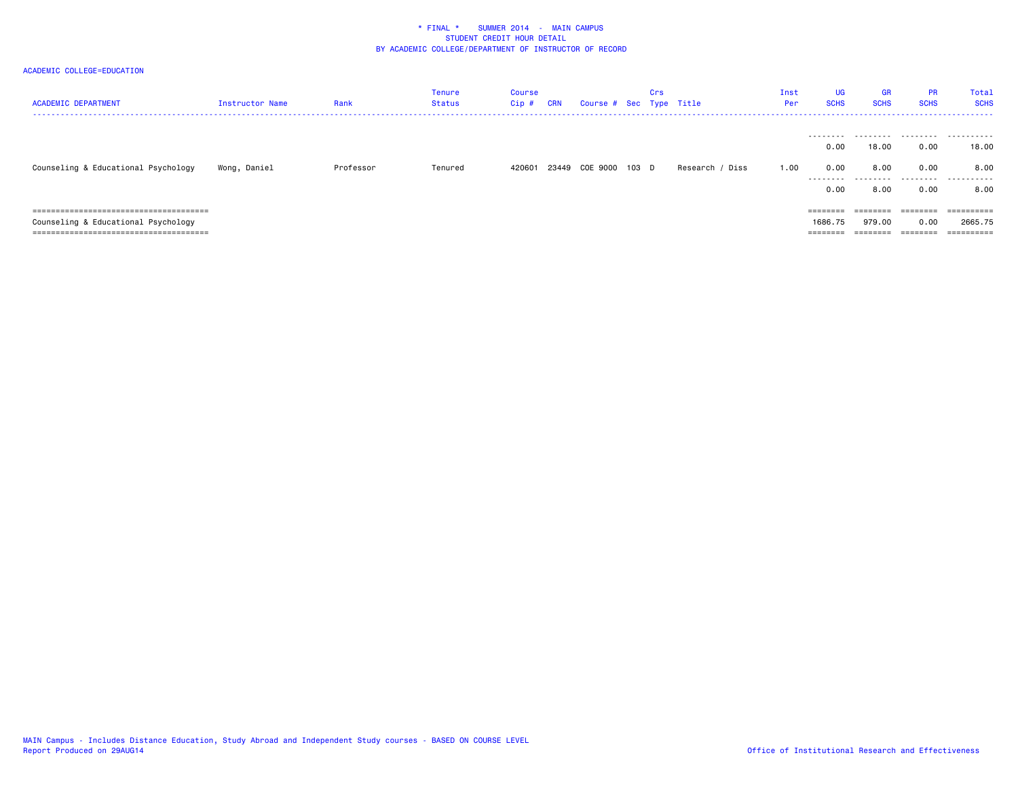| <b>ACADEMIC DEPARTMENT</b>          | Instructor Name | Rank      | Tenure<br>Status | <b>Course</b><br>$Cip$ # | <b>CRN</b> | Course # Sec Type Title | Crs |                 | Inst<br>Per | UG<br><b>SCHS</b> | <b>GR</b><br><b>SCHS</b> | <b>PR</b><br><b>SCHS</b> | <b>Total</b><br><b>SCHS</b><br>. |
|-------------------------------------|-----------------|-----------|------------------|--------------------------|------------|-------------------------|-----|-----------------|-------------|-------------------|--------------------------|--------------------------|----------------------------------|
|                                     |                 |           |                  |                          |            |                         |     |                 |             | ---------<br>0.00 | .<br>18.00               | 0.00                     | .<br>18.00                       |
| Counseling & Educational Psychology | Wong, Daniel    | Professor | Tenured          | 420601                   |            | 23449 COE 9000 103 D    |     | Research / Diss | 1.00        | 0.00<br>--------- | 8.00<br>.                | 0.00<br>.                | 8.00<br>.                        |
|                                     |                 |           |                  |                          |            |                         |     |                 |             | 0.00              | 8,00                     | 0.00                     | 8.00                             |
|                                     |                 |           |                  |                          |            |                         |     |                 |             | ========          | ========                 | ========                 | ==========                       |
| Counseling & Educational Psychology |                 |           |                  |                          |            |                         |     |                 |             | 1686.75           | 979.00                   | 0.00                     | 2665.75                          |
| ======================              |                 |           |                  |                          |            |                         |     |                 |             |                   |                          |                          | ==========                       |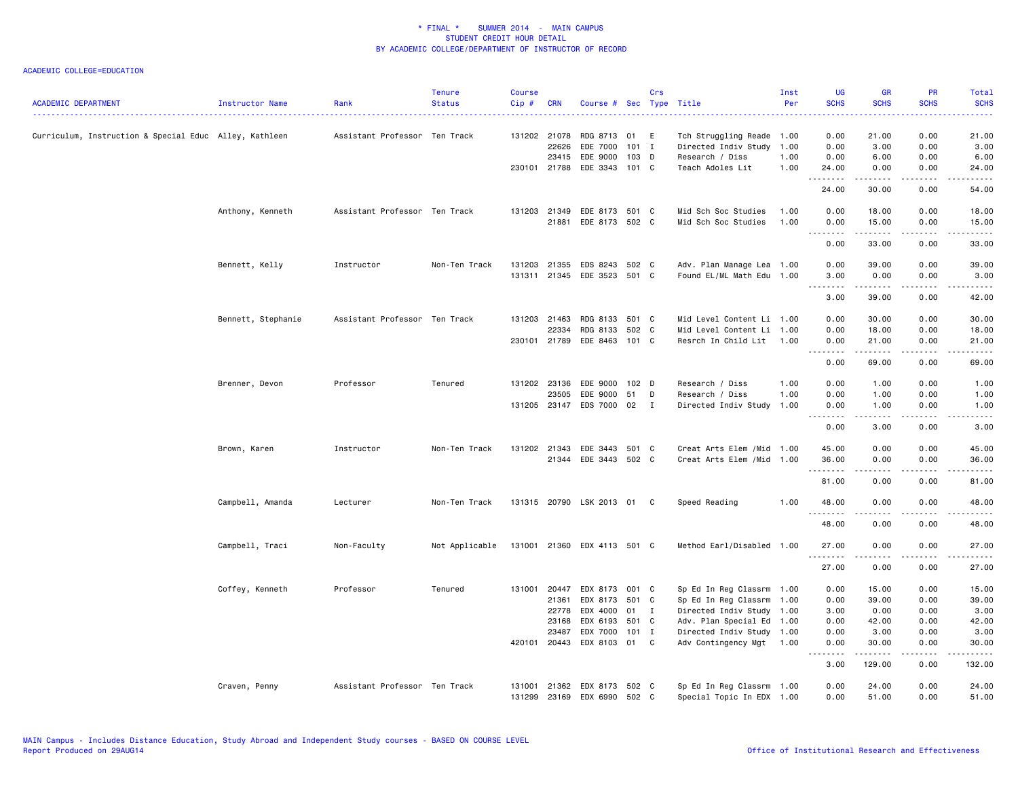| <b>ACADEMIC DEPARTMENT</b>                             | Instructor Name    | Rank                          | <b>Tenure</b><br><b>Status</b> | Course<br>Cip# | <b>CRN</b>     | Course # Sec Type Title     |                | Crs          |                                                        | Inst<br>Per | UG<br><b>SCHS</b><br>د د د د | <b>GR</b><br><b>SCHS</b> | <b>PR</b><br><b>SCHS</b> | Total<br><b>SCHS</b><br>$\frac{1}{2} \left( \frac{1}{2} \right) \left( \frac{1}{2} \right) \left( \frac{1}{2} \right) \left( \frac{1}{2} \right)$ |
|--------------------------------------------------------|--------------------|-------------------------------|--------------------------------|----------------|----------------|-----------------------------|----------------|--------------|--------------------------------------------------------|-------------|------------------------------|--------------------------|--------------------------|---------------------------------------------------------------------------------------------------------------------------------------------------|
| Curriculum, Instruction & Special Educ Alley, Kathleen |                    | Assistant Professor Ten Track |                                | 131202 21078   |                | RDG 8713 01                 |                | E            | Tch Struggling Reade 1.00                              |             | 0.00                         | 21.00                    | 0.00                     | 21.00                                                                                                                                             |
|                                                        |                    |                               |                                |                | 22626          | EDE 7000                    | $101$ I        |              | Directed Indiv Study 1.00                              |             | 0.00                         | 3.00                     | 0.00                     | 3.00                                                                                                                                              |
|                                                        |                    |                               |                                |                | 23415          | EDE 9000                    | 103 D          |              | Research / Diss                                        | 1.00        | 0.00                         | 6.00                     | 0.00                     | 6.00                                                                                                                                              |
|                                                        |                    |                               |                                |                | 230101 21788   | EDE 3343 101 C              |                |              | Teach Adoles Lit                                       | 1.00        | 24.00<br>.                   | 0.00                     | 0.00                     | 24.00                                                                                                                                             |
|                                                        |                    |                               |                                |                |                |                             |                |              |                                                        |             | 24.00                        | 30.00                    | 0.00                     | 54.00                                                                                                                                             |
|                                                        | Anthony, Kenneth   | Assistant Professor Ten Track |                                |                | 131203 21349   | EDE 8173 501 C              |                |              | Mid Sch Soc Studies                                    | 1.00        | 0.00                         | 18.00                    | 0.00                     | 18.00                                                                                                                                             |
|                                                        |                    |                               |                                |                | 21881          | EDE 8173 502 C              |                |              | Mid Sch Soc Studies                                    | 1.00        | 0.00<br>.<br>$\sim$ $\sim$   | 15.00<br>.               | 0.00<br>.                | 15.00<br>.                                                                                                                                        |
|                                                        |                    |                               |                                |                |                |                             |                |              |                                                        |             | 0.00                         | 33.00                    | 0.00                     | 33.00                                                                                                                                             |
|                                                        | Bennett, Kelly     | Instructor                    | Non-Ten Track                  | 131203         | 21355          | EDS 8243 502 C              |                |              | Adv. Plan Manage Lea 1.00                              |             | 0.00                         | 39.00                    | 0.00                     | 39.00                                                                                                                                             |
|                                                        |                    |                               |                                |                |                | 131311 21345 EDE 3523 501 C |                |              | Found EL/ML Math Edu 1.00                              |             | 3.00                         | 0.00                     | 0.00                     | 3.00                                                                                                                                              |
|                                                        |                    |                               |                                |                |                |                             |                |              |                                                        |             | .<br>3.00                    | 39.00                    | .<br>0.00                | .<br>42.00                                                                                                                                        |
|                                                        | Bennett, Stephanie | Assistant Professor Ten Track |                                | 131203 21463   |                | RDG 8133                    | 501 C          |              | Mid Level Content Li 1.00                              |             | 0.00                         | 30.00                    | 0.00                     | 30.00                                                                                                                                             |
|                                                        |                    |                               |                                |                | 22334          | RDG 8133 502 C              |                |              | Mid Level Content Li 1.00                              |             | 0.00                         | 18.00                    | 0.00                     | 18.00                                                                                                                                             |
|                                                        |                    |                               |                                |                | 230101 21789   | EDE 8463 101 C              |                |              | Resrch In Child Lit 1.00                               |             | 0.00                         | 21.00                    | 0.00                     | 21.00                                                                                                                                             |
|                                                        |                    |                               |                                |                |                |                             |                |              |                                                        |             | .<br>0.00                    | .<br>69.00               | 0.00                     | .<br>69.00                                                                                                                                        |
|                                                        | Brenner, Devon     | Professor                     | Tenured                        |                | 131202 23136   | EDE 9000                    | 102 D          |              | Research / Diss                                        | 1.00        | 0.00                         | 1.00                     | 0.00                     | 1.00                                                                                                                                              |
|                                                        |                    |                               |                                |                | 23505          | EDE 9000                    | 51             | D            | Research / Diss                                        | 1.00        | 0.00                         | 1.00                     | 0.00                     | 1.00                                                                                                                                              |
|                                                        |                    |                               |                                |                | 131205 23147   | EDS 7000 02                 |                | I            | Directed Indiv Study 1.00                              |             | 0.00                         | 1.00                     | 0.00                     | 1.00                                                                                                                                              |
|                                                        |                    |                               |                                |                |                |                             |                |              |                                                        |             | $\sim$ $\sim$ $\sim$<br>0.00 | 3.00                     | 0.00                     | 3.00                                                                                                                                              |
|                                                        | Brown, Karen       | Instructor                    | Non-Ten Track                  |                | 131202 21343   | EDE 3443                    | 501 C          |              | Creat Arts Elem / Mid 1.00                             |             | 45.00                        | 0.00                     | 0.00                     | 45.00                                                                                                                                             |
|                                                        |                    |                               |                                |                |                | 21344 EDE 3443 502 C        |                |              | Creat Arts Elem / Mid 1.00                             |             | 36.00                        | 0.00                     | 0.00                     | 36.00                                                                                                                                             |
|                                                        |                    |                               |                                |                |                |                             |                |              |                                                        |             | .<br>81.00                   | .<br>0.00                | .<br>0.00                | .<br>81.00                                                                                                                                        |
|                                                        | Campbell, Amanda   | Lecturer                      | Non-Ten Track                  |                |                | 131315 20790 LSK 2013 01    |                | C            | Speed Reading                                          | 1.00        | 48.00                        | 0.00                     | 0.00                     | 48.00                                                                                                                                             |
|                                                        |                    |                               |                                |                |                |                             |                |              |                                                        |             | .<br>48.00                   | .<br>0.00                | .<br>0.00                | .<br>48.00                                                                                                                                        |
|                                                        | Campbell, Traci    | Non-Faculty                   | Not Applicable                 |                |                | 131001 21360 EDX 4113 501 C |                |              | Method Earl/Disabled 1.00                              |             | 27.00                        | 0.00                     | 0.00                     | 27.00                                                                                                                                             |
|                                                        |                    |                               |                                |                |                |                             |                |              |                                                        |             | 27.00                        | 0.00                     | 0.00                     | 27.00                                                                                                                                             |
|                                                        |                    |                               |                                |                |                |                             |                |              |                                                        |             |                              |                          |                          |                                                                                                                                                   |
|                                                        | Coffey, Kenneth    | Professor                     | Tenured                        | 131001 20447   |                | EDX 8173 001 C              |                |              | Sp Ed In Reg Classrm 1.00                              |             | 0.00                         | 15.00                    | 0.00                     | 15.00                                                                                                                                             |
|                                                        |                    |                               |                                |                | 21361          | EDX 8173                    | 501 C          |              | Sp Ed In Reg Classrm 1.00                              |             | 0.00                         | 39.00                    | 0.00                     | 39.00                                                                                                                                             |
|                                                        |                    |                               |                                |                | 22778          | EDX 4000                    | 01             | $\mathbf{I}$ | Directed Indiv Study 1.00                              |             | 3.00                         | 0.00                     | 0.00                     | 3.00                                                                                                                                              |
|                                                        |                    |                               |                                |                | 23168<br>23487 | EDX 6193<br>EDX 7000        | 501 C<br>101 I |              | Adv. Plan Special Ed 1.00<br>Directed Indiv Study 1.00 |             | 0.00<br>0.00                 | 42.00<br>3.00            | 0.00<br>0.00             | 42.00<br>3.00                                                                                                                                     |
|                                                        |                    |                               |                                |                | 420101 20443   | EDX 8103 01                 |                | C            | Adv Contingency Mgt 1.00                               |             | 0.00                         | 30.00                    | 0.00                     | 30.00                                                                                                                                             |
|                                                        |                    |                               |                                |                |                |                             |                |              |                                                        |             | .<br>$- - -$<br>3.00         | <b>.</b> .<br>129.00     | .<br>0.00                | .<br>132.00                                                                                                                                       |
|                                                        | Craven, Penny      | Assistant Professor Ten Track |                                | 131001         | 21362          | EDX 8173 502 C              |                |              | Sp Ed In Reg Classrm 1.00                              |             | 0.00                         | 24.00                    | 0.00                     | 24.00                                                                                                                                             |
|                                                        |                    |                               |                                | 131299         | 23169          | EDX 6990 502 C              |                |              | Special Topic In EDX 1.00                              |             | 0.00                         | 51.00                    | 0.00                     | 51.00                                                                                                                                             |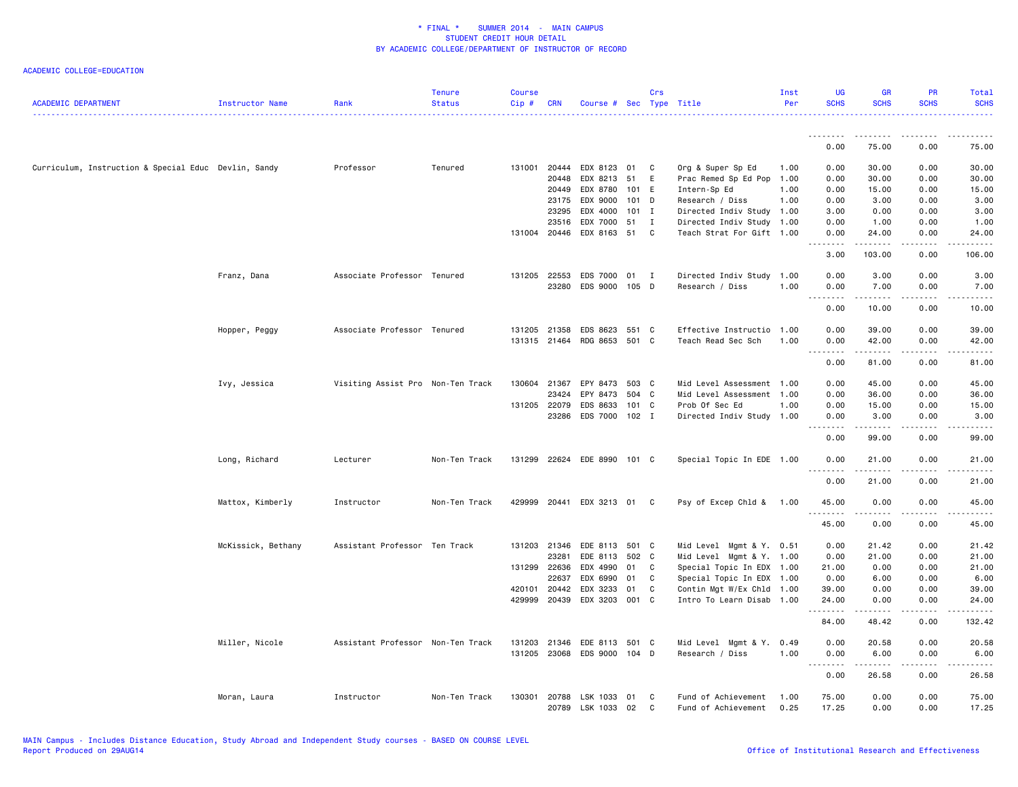| <b>ACADEMIC DEPARTMENT</b>                           | Instructor Name    | Rank                              | <b>Tenure</b><br><b>Status</b> | <b>Course</b><br>Cip# | <b>CRN</b>   | Course # Sec Type Title                 |       | Crs               |                           | Inst<br>Per | <b>UG</b><br><b>SCHS</b>                                                                                                                                      | <b>GR</b><br><b>SCHS</b> | <b>PR</b><br><b>SCHS</b> | Total<br><b>SCHS</b> |
|------------------------------------------------------|--------------------|-----------------------------------|--------------------------------|-----------------------|--------------|-----------------------------------------|-------|-------------------|---------------------------|-------------|---------------------------------------------------------------------------------------------------------------------------------------------------------------|--------------------------|--------------------------|----------------------|
|                                                      |                    |                                   |                                |                       |              |                                         |       |                   |                           |             | <u>.</u>                                                                                                                                                      | .                        |                          |                      |
|                                                      |                    |                                   |                                |                       |              |                                         |       |                   |                           |             | 0.00                                                                                                                                                          | 75.00                    | 0.00                     | 75.00                |
| Curriculum, Instruction & Special Educ Devlin, Sandy |                    | Professor                         | Tenured                        | 131001                | 20444        | EDX 8123                                | 01    | C                 | Org & Super Sp Ed         | 1.00        | 0.00                                                                                                                                                          | 30.00                    | 0.00                     | 30.00                |
|                                                      |                    |                                   |                                |                       | 20448        | EDX 8213                                | 51    | E                 | Prac Remed Sp Ed Pop      | 1.00        | 0.00                                                                                                                                                          | 30.00                    | 0.00                     | 30.00                |
|                                                      |                    |                                   |                                |                       | 20449        | EDX 8780                                | 101 E |                   | Intern-Sp Ed              | 1.00        | 0.00                                                                                                                                                          | 15.00                    | 0.00                     | 15.00                |
|                                                      |                    |                                   |                                |                       | 23175        | EDX 9000                                | 101 D |                   | Research / Diss           | 1.00        | 0.00                                                                                                                                                          | 3.00                     | 0.00                     | 3.00                 |
|                                                      |                    |                                   |                                |                       | 23295        | EDX 4000                                | 101 I |                   | Directed Indiv Study 1.00 |             | 3.00                                                                                                                                                          | 0.00                     | 0.00                     | 3.00                 |
|                                                      |                    |                                   |                                |                       | 23516        | EDX 7000                                | 51    | $\mathbf{I}$<br>C | Directed Indiv Study 1.00 |             | 0.00                                                                                                                                                          | 1.00                     | 0.00                     | 1.00                 |
|                                                      |                    |                                   |                                |                       | 131004 20446 | EDX 8163                                | 51    |                   | Teach Strat For Gift 1.00 |             | 0.00<br>.                                                                                                                                                     | 24.00<br>.               | 0.00<br>.                | 24.00<br>.           |
|                                                      |                    |                                   |                                |                       |              |                                         |       |                   |                           |             | 3.00                                                                                                                                                          | 103.00                   | 0.00                     | 106.00               |
|                                                      | Franz, Dana        | Associate Professor Tenured       |                                | 131205                | 22553        | EDS 7000 01 I                           |       |                   | Directed Indiv Study 1.00 |             | 0.00                                                                                                                                                          | 3.00                     | 0.00                     | 3.00                 |
|                                                      |                    |                                   |                                |                       | 23280        | EDS 9000 105 D                          |       |                   | Research / Diss           | 1.00        | 0.00                                                                                                                                                          | 7.00                     | 0.00                     | 7.00                 |
|                                                      |                    |                                   |                                |                       |              |                                         |       |                   |                           |             | $\sim$ $\sim$ .<br>.<br>0.00                                                                                                                                  | 10.00                    | 0.00                     | .<br>10.00           |
|                                                      | Hopper, Peggy      | Associate Professor Tenured       |                                | 131205 21358          |              | EDS 8623                                | 551 C |                   | Effective Instructio 1.00 |             | 0.00                                                                                                                                                          | 39.00                    | 0.00                     | 39.00                |
|                                                      |                    |                                   |                                |                       |              | 131315 21464 RDG 8653 501 C             |       |                   | Teach Read Sec Sch        | 1.00        | 0.00                                                                                                                                                          | 42.00                    | 0.00                     | 42.00                |
|                                                      |                    |                                   |                                |                       |              |                                         |       |                   |                           |             | $\omega$ is $\omega$ in<br>$\sim$ $\sim$                                                                                                                      | .                        |                          |                      |
|                                                      |                    |                                   |                                |                       |              |                                         |       |                   |                           |             | 0.00                                                                                                                                                          | 81.00                    | 0.00                     | 81.00                |
|                                                      | Ivy, Jessica       | Visiting Assist Pro Non-Ten Track |                                | 130604 21367          |              | EPY 8473                                | 503 C |                   | Mid Level Assessment 1.00 |             | 0.00                                                                                                                                                          | 45.00                    | 0.00                     | 45.00                |
|                                                      |                    |                                   |                                |                       | 23424        | EPY 8473                                | 504 C |                   | Mid Level Assessment 1.00 |             | 0.00                                                                                                                                                          | 36.00                    | 0.00                     | 36.00                |
|                                                      |                    |                                   |                                | 131205                | 22079        | EDS 8633                                | 101 C |                   | Prob Of Sec Ed            | 1.00        | 0.00                                                                                                                                                          | 15.00                    | 0.00                     | 15.00                |
|                                                      |                    |                                   |                                |                       | 23286        | EDS 7000 102 I                          |       |                   | Directed Indiv Study 1.00 |             | 0.00<br>.                                                                                                                                                     | 3.00<br>.                | 0.00<br>.                | 3.00<br>.            |
|                                                      |                    |                                   |                                |                       |              |                                         |       |                   |                           |             | 0.00                                                                                                                                                          | 99.00                    | 0.00                     | 99.00                |
|                                                      | Long, Richard      | Lecturer                          | Non-Ten Track                  |                       |              | 131299 22624 EDE 8990 101 C             |       |                   | Special Topic In EDE 1.00 |             | 0.00<br>.                                                                                                                                                     | 21.00<br>.               | 0.00<br>.                | 21.00<br>.           |
|                                                      |                    |                                   |                                |                       |              |                                         |       |                   |                           |             | 0.00                                                                                                                                                          | 21.00                    | 0.00                     | 21.00                |
|                                                      | Mattox, Kimberly   | Instructor                        | Non-Ten Track                  | 429999                |              | 20441 EDX 3213 01 C                     |       |                   | Psy of Excep Chld & 1.00  |             | 45.00                                                                                                                                                         | 0.00                     | 0.00                     | 45.00                |
|                                                      |                    |                                   |                                |                       |              |                                         |       |                   |                           |             | $\frac{1}{2} \left( \frac{1}{2} \right) \left( \frac{1}{2} \right) \left( \frac{1}{2} \right) \left( \frac{1}{2} \right) \left( \frac{1}{2} \right)$<br>45.00 | .<br>0.00                | .<br>0.00                | المتمام<br>45.00     |
|                                                      |                    |                                   |                                |                       |              |                                         |       |                   |                           |             |                                                                                                                                                               |                          |                          |                      |
|                                                      | McKissick, Bethany | Assistant Professor Ten Track     |                                | 131203                | 21346        | EDE 8113 501 C                          |       |                   | Mid Level Mgmt & Y. 0.51  |             | 0.00                                                                                                                                                          | 21.42                    | 0.00                     | 21.42                |
|                                                      |                    |                                   |                                |                       | 23281        | EDE 8113 502                            |       | C                 | Mid Level Mgmt & Y. 1.00  |             | 0.00                                                                                                                                                          | 21.00                    | 0.00                     | 21.00                |
|                                                      |                    |                                   |                                | 131299 22636          |              | EDX 4990                                | 01    | C                 | Special Topic In EDX 1.00 |             | 21.00                                                                                                                                                         | 0.00                     | 0.00                     | 21.00                |
|                                                      |                    |                                   |                                |                       | 22637        | EDX 6990                                | 01    | C                 | Special Topic In EDX 1.00 |             | 0.00                                                                                                                                                          | 6.00                     | 0.00                     | 6.00                 |
|                                                      |                    |                                   |                                | 420101                | 20442        | EDX 3233<br>429999 20439 EDX 3203 001 C | 01    | C                 | Contin Mgt W/Ex Chld 1.00 |             | 39.00                                                                                                                                                         | 0.00<br>0.00             | 0.00<br>0.00             | 39.00                |
|                                                      |                    |                                   |                                |                       |              |                                         |       |                   | Intro To Learn Disab 1.00 |             | 24.00<br><u>.</u>                                                                                                                                             | $\frac{1}{2}$            | .                        | 24.00<br>.           |
|                                                      |                    |                                   |                                |                       |              |                                         |       |                   |                           |             | 84.00                                                                                                                                                         | 48.42                    | 0.00                     | 132.42               |
|                                                      | Miller, Nicole     | Assistant Professor Non-Ten Track |                                | 131203                | 21346        | EDE 8113 501 C                          |       |                   | Mid Level Mgmt & Y. 0.49  |             | 0.00                                                                                                                                                          | 20.58                    | 0.00                     | 20.58                |
|                                                      |                    |                                   |                                | 131205                | 23068        | EDS 9000 104 D                          |       |                   | Research / Diss           | 1.00        | 0.00                                                                                                                                                          | 6.00                     | 0.00                     | 6.00                 |
|                                                      |                    |                                   |                                |                       |              |                                         |       |                   |                           |             | .<br>$\sim$ $\sim$ $\sim$<br>0.00                                                                                                                             | .<br>26.58               | .<br>0.00                | .<br>26.58           |
|                                                      | Moran, Laura       | Instructor                        | Non-Ten Track                  | 130301                | 20788        | LSK 1033                                | 01    | C                 | Fund of Achievement       | 1.00        | 75.00                                                                                                                                                         | 0.00                     | 0.00                     | 75.00                |
|                                                      |                    |                                   |                                |                       | 20789        | LSK 1033                                | 02    | C                 | Fund of Achievement       | 0.25        | 17.25                                                                                                                                                         | 0.00                     | 0.00                     | 17.25                |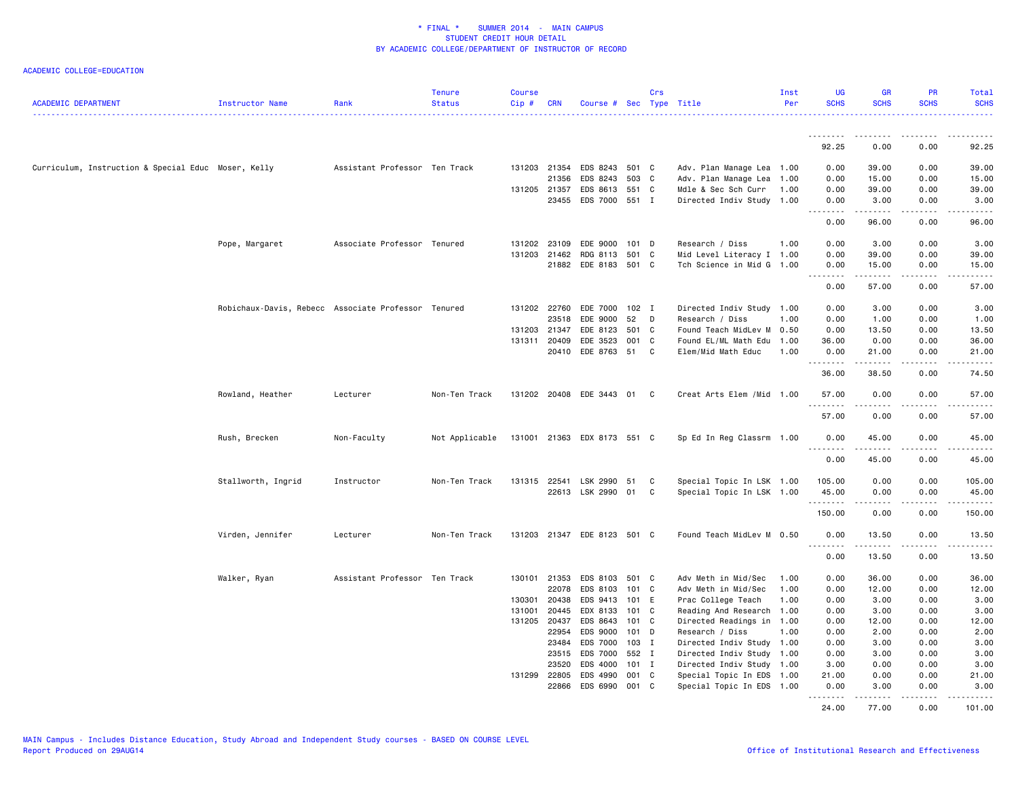| <b>ACADEMIC DEPARTMENT</b>                          | Instructor Name                                     | Rank                          | <b>Tenure</b><br><b>Status</b> | <b>Course</b><br>Cip# | <b>CRN</b> | Course # Sec Type Title     |       | Crs |                            | Inst<br>Per | <b>UG</b><br><b>SCHS</b> | <b>GR</b><br><b>SCHS</b>                                                                                                                                     | <b>PR</b><br><b>SCHS</b> | Total<br><b>SCHS</b> |
|-----------------------------------------------------|-----------------------------------------------------|-------------------------------|--------------------------------|-----------------------|------------|-----------------------------|-------|-----|----------------------------|-------------|--------------------------|--------------------------------------------------------------------------------------------------------------------------------------------------------------|--------------------------|----------------------|
|                                                     |                                                     |                               |                                |                       |            |                             |       |     |                            |             | . <b>.</b>               | <b></b>                                                                                                                                                      | .                        | . <u>.</u> .         |
|                                                     |                                                     |                               |                                |                       |            |                             |       |     |                            |             | 92.25                    | 0.00                                                                                                                                                         | 0.00                     | 92.25                |
| Curriculum, Instruction & Special Educ Moser, Kelly |                                                     | Assistant Professor Ten Track |                                | 131203 21354          |            | EDS 8243 501 C              |       |     | Adv. Plan Manage Lea 1.00  |             | 0.00                     | 39.00                                                                                                                                                        | 0.00                     | 39.00                |
|                                                     |                                                     |                               |                                |                       | 21356      | EDS 8243                    | 503 C |     | Adv. Plan Manage Lea 1.00  |             | 0.00                     | 15.00                                                                                                                                                        | 0.00                     | 15.00                |
|                                                     |                                                     |                               |                                | 131205 21357          |            | EDS 8613 551 C              |       |     | Mdle & Sec Sch Curr        | 1.00        | 0.00                     | 39.00                                                                                                                                                        | 0.00                     | 39.00                |
|                                                     |                                                     |                               |                                |                       | 23455      | EDS 7000 551 I              |       |     | Directed Indiv Study 1.00  |             | 0.00<br>.                | 3.00<br>.                                                                                                                                                    | 0.00<br>الأنابات         | 3.00<br>المتمامين    |
|                                                     |                                                     |                               |                                |                       |            |                             |       |     |                            |             | 0.00                     | 96.00                                                                                                                                                        | 0.00                     | 96.00                |
|                                                     | Pope, Margaret                                      | Associate Professor Tenured   |                                | 131202 23109          |            | EDE 9000                    | 101 D |     | Research / Diss            | 1.00        | 0.00                     | 3.00                                                                                                                                                         | 0.00                     | 3.00                 |
|                                                     |                                                     |                               |                                | 131203 21462          |            | RDG 8113                    | 501 C |     | Mid Level Literacy I 1.00  |             | 0.00                     | 39.00                                                                                                                                                        | 0.00                     | 39.00                |
|                                                     |                                                     |                               |                                |                       | 21882      | EDE 8183 501 C              |       |     | Tch Science in Mid G 1.00  |             | 0.00<br>.<br>н.          | 15.00<br>.                                                                                                                                                   | 0.00<br>.                | 15.00<br>.           |
|                                                     |                                                     |                               |                                |                       |            |                             |       |     |                            |             | 0.00                     | 57.00                                                                                                                                                        | 0.00                     | 57.00                |
|                                                     | Robichaux-Davis, Rebecc Associate Professor Tenured |                               |                                | 131202                | 22760      | EDE 7000                    | 102 I |     | Directed Indiv Study 1.00  |             | 0.00                     | 3.00                                                                                                                                                         | 0.00                     | 3.00                 |
|                                                     |                                                     |                               |                                |                       | 23518      | EDE 9000                    | 52    | D   | Research / Diss            | 1.00        | 0.00                     | 1.00                                                                                                                                                         | 0.00                     | 1.00                 |
|                                                     |                                                     |                               |                                | 131203                | 21347      | EDE 8123                    | 501 C |     | Found Teach MidLev M 0.50  |             | 0.00                     | 13.50                                                                                                                                                        | 0.00                     | 13.50                |
|                                                     |                                                     |                               |                                | 131311                | 20409      | EDE 3523                    | 001 C |     | Found EL/ML Math Edu 1.00  |             | 36.00                    | 0.00                                                                                                                                                         | 0.00                     | 36.00                |
|                                                     |                                                     |                               |                                |                       | 20410      | EDE 8763 51                 |       | C   | Elem/Mid Math Educ         | 1.00        | 0.00<br><u>.</u>         | 21.00                                                                                                                                                        | 0.00                     | 21.00                |
|                                                     |                                                     |                               |                                |                       |            |                             |       |     |                            |             | 36.00                    | 38.50                                                                                                                                                        | 0.00                     | 74.50                |
|                                                     | Rowland, Heather                                    | Lecturer                      | Non-Ten Track                  |                       |            | 131202 20408 EDE 3443 01    |       | C.  | Creat Arts Elem / Mid 1.00 |             | 57.00                    | 0.00                                                                                                                                                         | 0.00                     | 57.00                |
|                                                     |                                                     |                               |                                |                       |            |                             |       |     |                            |             | 57.00                    | 0.00                                                                                                                                                         | 0.00                     | 57.00                |
|                                                     | Rush, Brecken                                       | Non-Faculty                   | Not Applicable                 |                       |            | 131001 21363 EDX 8173 551 C |       |     | Sp Ed In Reg Classrm 1.00  |             | 0.00<br>.                | 45.00<br>.                                                                                                                                                   | 0.00<br>.                | 45.00<br>.           |
|                                                     |                                                     |                               |                                |                       |            |                             |       |     |                            |             | 0.00                     | 45.00                                                                                                                                                        | 0.00                     | 45.00                |
|                                                     | Stallworth, Ingrid                                  | Instructor                    | Non-Ten Track                  | 131315 22541          |            | LSK 2990                    | 51    | C   | Special Topic In LSK 1.00  |             | 105.00                   | 0.00                                                                                                                                                         | 0.00                     | 105.00               |
|                                                     |                                                     |                               |                                |                       |            | 22613 LSK 2990 01           |       | C   | Special Topic In LSK 1.00  |             | 45.00                    | 0.00                                                                                                                                                         | 0.00                     | 45.00                |
|                                                     |                                                     |                               |                                |                       |            |                             |       |     |                            |             | .<br>150.00              | $\frac{1}{2} \left( \frac{1}{2} \right) \left( \frac{1}{2} \right) \left( \frac{1}{2} \right) \left( \frac{1}{2} \right) \left( \frac{1}{2} \right)$<br>0.00 | <b>.</b><br>0.00         | .<br>150.00          |
|                                                     | Virden, Jennifer                                    | Lecturer                      | Non-Ten Track                  | 131203                |            | 21347 EDE 8123 501 C        |       |     | Found Teach MidLev M 0.50  |             | 0.00                     | 13.50                                                                                                                                                        | 0.00                     | 13.50                |
|                                                     |                                                     |                               |                                |                       |            |                             |       |     |                            |             | .<br>0.00                | 13.50                                                                                                                                                        | 0.00                     | 13.50                |
|                                                     | Walker, Ryan                                        | Assistant Professor Ten Track |                                | 130101 21353          |            | EDS 8103 501 C              |       |     | Adv Meth in Mid/Sec        | 1.00        | 0.00                     | 36.00                                                                                                                                                        | 0.00                     | 36.00                |
|                                                     |                                                     |                               |                                |                       | 22078      | EDS 8103                    | 101 C |     | Adv Meth in Mid/Sec        | 1.00        | 0.00                     | 12.00                                                                                                                                                        | 0.00                     | 12.00                |
|                                                     |                                                     |                               |                                | 130301 20438          |            | EDS 9413                    | 101 E |     | Prac College Teach         | 1.00        | 0.00                     | 3.00                                                                                                                                                         | 0.00                     | 3.00                 |
|                                                     |                                                     |                               |                                | 131001                | 20445      | EDX 8133                    | 101 C |     | Reading And Research 1.00  |             | 0.00                     | 3.00                                                                                                                                                         | 0.00                     | 3.00                 |
|                                                     |                                                     |                               |                                | 131205 20437          |            | EDS 8643                    | 101 C |     | Directed Readings in 1.00  |             | 0.00                     | 12.00                                                                                                                                                        | 0.00                     | 12.00                |
|                                                     |                                                     |                               |                                |                       | 22954      | EDS 9000                    | 101 D |     | Research / Diss            | 1.00        | 0.00                     | 2.00                                                                                                                                                         | 0.00                     | 2.00                 |
|                                                     |                                                     |                               |                                |                       | 23484      | EDS 7000                    | 103 I |     | Directed Indiv Study 1.00  |             | 0.00                     | 3.00                                                                                                                                                         | 0.00                     | 3.00                 |
|                                                     |                                                     |                               |                                |                       | 23515      | EDS 7000                    | 552 I |     | Directed Indiv Study 1.00  |             | 0.00                     | 3.00                                                                                                                                                         | 0.00                     | 3.00                 |
|                                                     |                                                     |                               |                                |                       | 23520      | EDS 4000                    | 101 I |     | Directed Indiv Study 1.00  |             | 3.00                     | 0.00                                                                                                                                                         | 0.00                     | 3.00                 |
|                                                     |                                                     |                               |                                | 131299 22805          |            | EDS 4990                    | 001 C |     | Special Topic In EDS 1.00  |             | 21.00                    | 0.00                                                                                                                                                         | 0.00                     | 21.00                |
|                                                     |                                                     |                               |                                |                       | 22866      | EDS 6990 001 C              |       |     | Special Topic In EDS 1.00  |             | 0.00<br>.                | 3.00                                                                                                                                                         | 0.00                     | 3.00<br>.            |
|                                                     |                                                     |                               |                                |                       |            |                             |       |     |                            |             | 24.00                    | 77.00                                                                                                                                                        | 0.00                     | 101.00               |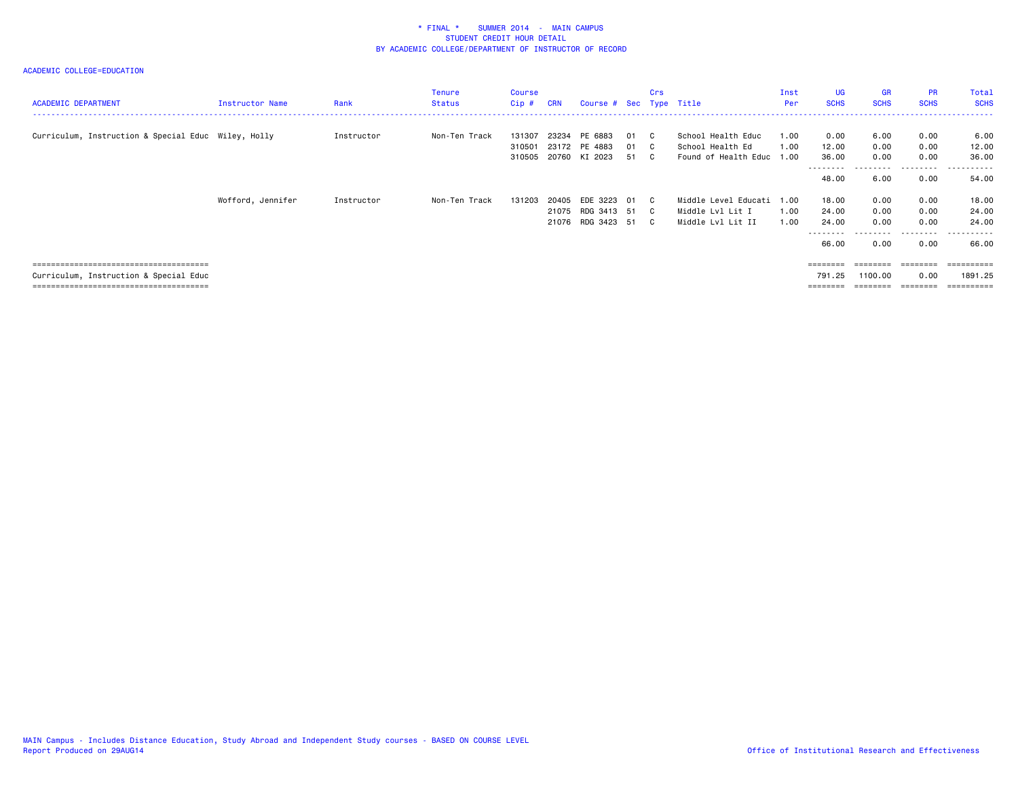| <b>ACADEMIC DEPARTMENT</b>                          | Instructor Name   | Rank       | <b>Tenure</b><br>Status | Course<br>$Cip$ #          | <b>CRN</b>              | Course # Sec                              |                | Crs            | Type Title                                                          | Inst<br>Per  | UG<br><b>SCHS</b>                             | GR<br><b>SCHS</b>                 | <b>PR</b><br><b>SCHS</b>          | <b>Total</b><br><b>SCHS</b>           |
|-----------------------------------------------------|-------------------|------------|-------------------------|----------------------------|-------------------------|-------------------------------------------|----------------|----------------|---------------------------------------------------------------------|--------------|-----------------------------------------------|-----------------------------------|-----------------------------------|---------------------------------------|
| Curriculum, Instruction & Special Educ Wiley, Holly |                   | Instructor | Non-Ten Track           | 131307<br>310501<br>310505 | 23234                   | PE 6883<br>23172 PE 4883<br>20760 KI 2023 | 01<br>01<br>51 | C.<br>C.<br>C. | School Health Educ<br>School Health Ed<br>Found of Health Educ 1.00 | 1.00<br>1.00 | 0.00<br>12.00<br>36.00                        | 6.00<br>0.00<br>0.00              | 0.00<br>0.00<br>0.00              | 6.00<br>12.00<br>36.00                |
|                                                     |                   |            |                         |                            |                         |                                           |                |                |                                                                     |              | --------<br>48.00                             | .<br>6.00                         | .<br>0.00                         | .<br>54.00                            |
|                                                     | Wofford, Jennifer | Instructor | Non-Ten Track           | 131203                     | 20405<br>21075<br>21076 | EDE 3223<br>RDG 3413 51<br>RDG 3423       | -01<br>-51     | C<br>- C<br>C. | Middle Level Educati 1.00<br>Middle Lvl Lit I<br>Middle Lvl Lit II  | 1.00<br>1.00 | 18.00<br>24.00<br>24.00<br>---------<br>66.00 | 0.00<br>0.00<br>0.00<br>.<br>0.00 | 0.00<br>0.00<br>0.00<br>.<br>0.00 | 18.00<br>24.00<br>24,00<br>.<br>66.00 |
| Curriculum, Instruction & Special Educ              |                   |            |                         |                            |                         |                                           |                |                |                                                                     |              | $=$ = = = = = = =<br>791.25                   | 1100.00                           | 0.00                              | 1891.25<br>=======                    |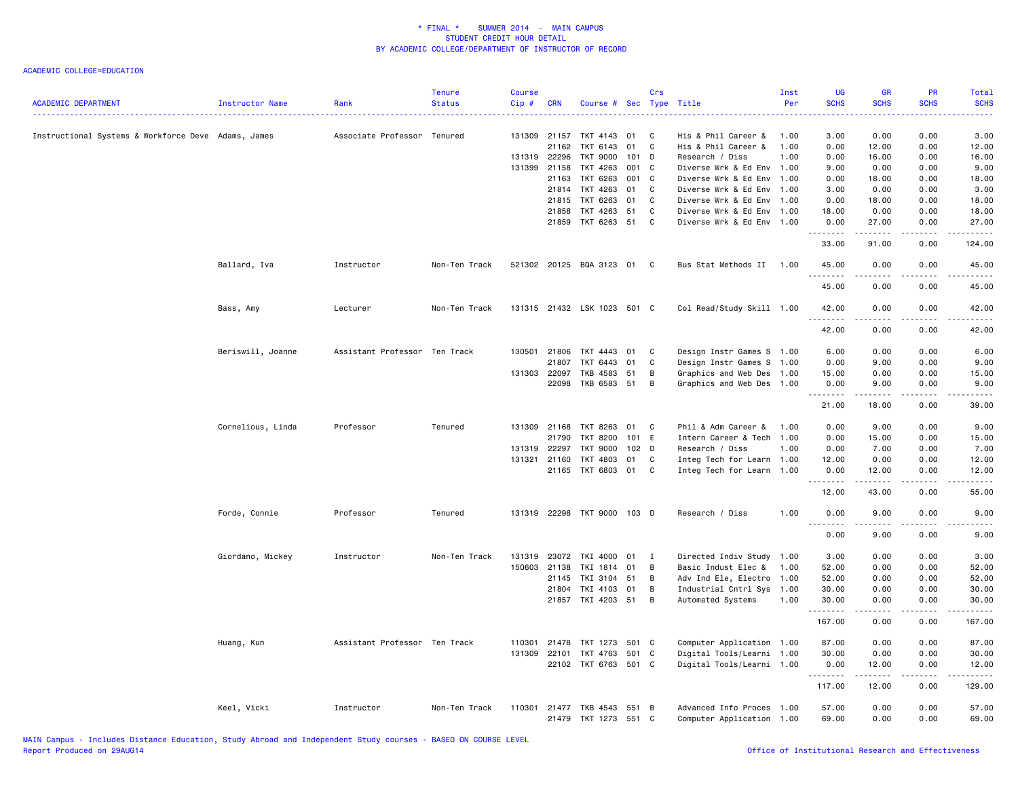| <b>ACADEMIC DEPARTMENT</b>                          | Instructor Name   | Rank                          | <b>Tenure</b><br><b>Status</b> | Course<br>$Cip$ # | <b>CRN</b>   | Course # Sec Type Title     |         | Crs |                           | Inst<br>Per | UG<br><b>SCHS</b> | <b>GR</b><br><b>SCHS</b> | PR<br><b>SCHS</b> | Total<br><b>SCHS</b> |
|-----------------------------------------------------|-------------------|-------------------------------|--------------------------------|-------------------|--------------|-----------------------------|---------|-----|---------------------------|-------------|-------------------|--------------------------|-------------------|----------------------|
| Instructional Systems & Workforce Deve Adams, James |                   | Associate Professor Tenured   |                                | 131309            | 21157        | TKT 4143                    | 01      | C   | His & Phil Career &       | 1.00        | 3.00              | 0.00                     | 0.00              | 3.00                 |
|                                                     |                   |                               |                                |                   | 21162        | TKT 6143                    | 01      | C   | His & Phil Career &       | 1.00        | 0.00              | 12.00                    | 0.00              | 12.00                |
|                                                     |                   |                               |                                |                   | 131319 22296 | TKT 9000                    | $101$ D |     | Research / Diss           | 1.00        | 0.00              | 16.00                    | 0.00              | 16.00                |
|                                                     |                   |                               |                                |                   | 131399 21158 | TKT 4263                    | 001 C   |     | Diverse Wrk & Ed Env 1.00 |             | 9.00              | 0.00                     | 0.00              | 9.00                 |
|                                                     |                   |                               |                                |                   | 21163        | TKT 6263                    | 001 C   |     | Diverse Wrk & Ed Env 1.00 |             | 0.00              | 18.00                    | 0.00              | 18.00                |
|                                                     |                   |                               |                                |                   | 21814        | TKT 4263                    | 01      | C   | Diverse Wrk & Ed Env 1.00 |             | 3.00              | 0.00                     | 0.00              | 3.00                 |
|                                                     |                   |                               |                                |                   | 21815        | TKT 6263                    | 01      | C   | Diverse Wrk & Ed Env 1.00 |             | 0.00              | 18.00                    | 0.00              | 18.00                |
|                                                     |                   |                               |                                |                   | 21858        | TKT 4263                    | 51      | C   | Diverse Wrk & Ed Env 1.00 |             | 18.00             | 0.00                     | 0.00              | 18.00                |
|                                                     |                   |                               |                                |                   | 21859        | TKT 6263 51                 |         | C   | Diverse Wrk & Ed Env 1.00 |             | 0.00              | 27.00                    | 0.00              | 27.00                |
|                                                     |                   |                               |                                |                   |              |                             |         |     |                           |             | 33.00             | 91.00                    | 0.00              | 124.00               |
|                                                     | Ballard, Iva      | Instructor                    | Non-Ten Track                  |                   |              | 521302 20125 BQA 3123 01 C  |         |     | Bus Stat Methods II 1.00  |             | 45.00<br>-----    | 0.00                     | 0.00              | 45.00                |
|                                                     |                   |                               |                                |                   |              |                             |         |     |                           |             | 45.00             | 0.00                     | 0.00              | 45.00                |
|                                                     | Bass, Amy         | Lecturer                      | Non-Ten Track                  |                   |              | 131315 21432 LSK 1023 501 C |         |     | Col Read/Study Skill 1.00 |             | 42.00             | 0.00                     | 0.00              | 42.00                |
|                                                     |                   |                               |                                |                   |              |                             |         |     |                           |             | 42.00             | 0.00                     | 0.00              | 42.00                |
|                                                     | Beriswill, Joanne | Assistant Professor Ten Track |                                |                   | 130501 21806 | TKT 4443 01                 |         | C   | Design Instr Games S 1.00 |             | 6.00              | 0.00                     | 0.00              | 6.00                 |
|                                                     |                   |                               |                                |                   | 21807        | TKT 6443                    | 01      | C   | Design Instr Games S 1.00 |             | 0.00              | 9.00                     | 0.00              | 9.00                 |
|                                                     |                   |                               |                                |                   | 131303 22097 | TKB 4583                    | 51      | В   | Graphics and Web Des 1.00 |             | 15.00             | 0.00                     | 0.00              | 15.00                |
|                                                     |                   |                               |                                |                   | 22098        | TKB 6583 51                 |         | B   | Graphics and Web Des 1.00 |             | 0.00              | 9.00                     | 0.00              | 9.00                 |
|                                                     |                   |                               |                                |                   |              |                             |         |     |                           |             |                   |                          |                   |                      |
|                                                     |                   |                               |                                |                   |              |                             |         |     |                           |             | 21.00             | 18.00                    | 0.00              | 39.00                |
|                                                     | Cornelious, Linda | Professor                     | Tenured                        | 131309            | 21168        | TKT 8263                    | 01      | C   | Phil & Adm Career & 1.00  |             | 0.00              | 9.00                     | 0.00              | 9.00                 |
|                                                     |                   |                               |                                |                   | 21790        | TKT 8200                    | 101 E   |     | Intern Career & Tech 1.00 |             | 0.00              | 15.00                    | 0.00              | 15.00                |
|                                                     |                   |                               |                                |                   | 131319 22297 | TKT 9000 102 D              |         |     | Research / Diss           | 1.00        | 0.00              | 7.00                     | 0.00              | 7.00                 |
|                                                     |                   |                               |                                |                   | 131321 21160 | TKT 4803                    | 01      | C   | Integ Tech for Learn 1.00 |             | 12.00             | 0.00                     | 0.00              | 12.00                |
|                                                     |                   |                               |                                |                   |              | 21165 TKT 6803 01 C         |         |     | Integ Tech for Learn 1.00 |             | 0.00<br>.         | 12.00<br>.               | 0.00              | 12.00<br>.           |
|                                                     |                   |                               |                                |                   |              |                             |         |     |                           |             | 12.00             | 43.00                    | 0.00              | 55.00                |
|                                                     | Forde, Connie     | Professor                     | Tenured                        |                   |              | 131319 22298 TKT 9000 103 D |         |     | Research / Diss           | 1.00        | 0.00              | 9.00                     | 0.00              | 9.00                 |
|                                                     |                   |                               |                                |                   |              |                             |         |     |                           |             | 0.00              | 9.00                     | 0.00              | 9.00                 |
|                                                     | Giordano, Mickey  | Instructor                    | Non-Ten Track                  | 131319            | 23072        | TKI 4000 01                 |         | I   | Directed Indiv Study 1.00 |             | 3.00              | 0.00                     | 0.00              | 3.00                 |
|                                                     |                   |                               |                                |                   | 150603 21138 | TKI 1814                    | 01      | B   | Basic Indust Elec & 1.00  |             | 52.00             | 0.00                     | 0.00              | 52.00                |
|                                                     |                   |                               |                                |                   | 21145        | TKI 3104 51                 |         | B   | Adv Ind Ele, Electro 1.00 |             | 52.00             | 0.00                     | 0.00              | 52.00                |
|                                                     |                   |                               |                                |                   | 21804        | TKI 4103 01                 |         | B   | Industrial Cntrl Sys 1.00 |             | 30.00             | 0.00                     | 0.00              | 30.00                |
|                                                     |                   |                               |                                |                   |              | 21857 TKI 4203 51           |         | B   | Automated Systems         | 1.00        | 30.00             | 0.00<br>.                | 0.00              | 30.00<br>.           |
|                                                     |                   |                               |                                |                   |              |                             |         |     |                           |             | 167.00            | 0.00                     | 0.00              | 167.00               |
|                                                     | Huang, Kun        | Assistant Professor Ten Track |                                |                   | 110301 21478 | TKT 1273                    | 501 C   |     | Computer Application 1.00 |             | 87.00             | 0.00                     | 0.00              | 87.00                |
|                                                     |                   |                               |                                |                   | 131309 22101 | TKT 4763                    | 501 C   |     | Digital Tools/Learni 1.00 |             | 30.00             | 0.00                     | 0.00              | 30.00                |
|                                                     |                   |                               |                                |                   |              | 22102 TKT 6763 501 C        |         |     | Digital Tools/Learni 1.00 |             | 0.00<br><b></b>   | 12.00<br>.               | 0.00<br>22222     | 12.00<br><u>.</u>    |
|                                                     |                   |                               |                                |                   |              |                             |         |     |                           |             | 117.00            | 12.00                    | 0.00              | 129.00               |
|                                                     | Keel, Vicki       | Instructor                    | Non-Ten Track                  | 110301            | 21477        | TKB 4543                    | 551 B   |     | Advanced Info Proces 1.00 |             | 57.00             | 0.00                     | 0.00              | 57.00                |
|                                                     |                   |                               |                                |                   | 21479        | TKT 1273 551 C              |         |     | Computer Application 1.00 |             | 69.00             | 0.00                     | 0.00              | 69.00                |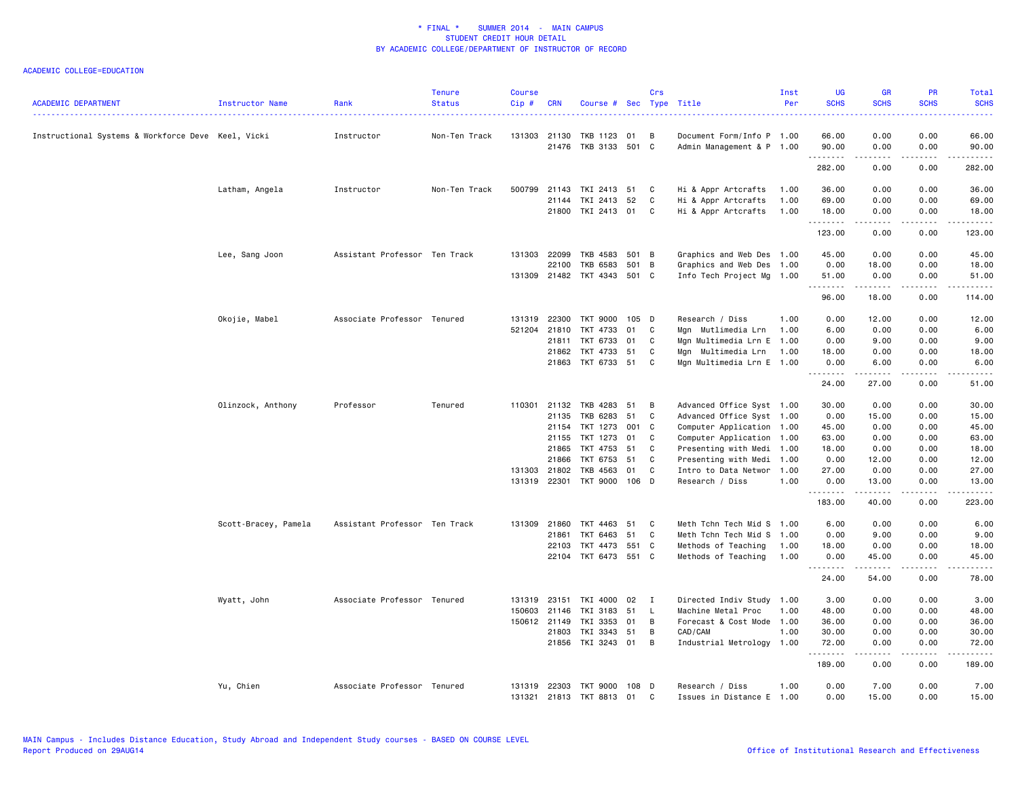| <b>ACADEMIC DEPARTMENT</b>                         | Instructor Name      | Rank                          | <b>Tenure</b><br><b>Status</b> | <b>Course</b><br>Cip# | <b>CRN</b>   | Course # Sec Type Title     |       | Crs            |                           | Inst<br>Per | <b>UG</b><br><b>SCHS</b><br>د د د د | <b>GR</b><br><b>SCHS</b> | <b>PR</b><br><b>SCHS</b>     | Total<br><b>SCHS</b><br>$\frac{1}{2} \left( \frac{1}{2} \right) \left( \frac{1}{2} \right) \left( \frac{1}{2} \right) \left( \frac{1}{2} \right)$              |
|----------------------------------------------------|----------------------|-------------------------------|--------------------------------|-----------------------|--------------|-----------------------------|-------|----------------|---------------------------|-------------|-------------------------------------|--------------------------|------------------------------|----------------------------------------------------------------------------------------------------------------------------------------------------------------|
| Instructional Systems & Workforce Deve Keel, Vicki |                      | Instructor                    | Non-Ten Track                  | 131303                | 21130        | TKB 1123                    | 01    | B              | Document Form/Info P 1.00 |             | 66.00                               | 0.00                     | 0.00                         | 66.00                                                                                                                                                          |
|                                                    |                      |                               |                                |                       | 21476        | TKB 3133 501 C              |       |                | Admin Management & P 1.00 |             | 90.00<br>.                          | 0.00<br>.                | 0.00<br>.                    | 90.00<br>. <b>.</b>                                                                                                                                            |
|                                                    |                      |                               |                                |                       |              |                             |       |                |                           |             | 282.00                              | 0.00                     | 0.00                         | 282.00                                                                                                                                                         |
|                                                    | Latham, Angela       | Instructor                    | Non-Ten Track                  | 500799                | 21143        | TKI 2413                    | 51    | C              | Hi & Appr Artcrafts       | 1.00        | 36.00                               | 0.00                     | 0.00                         | 36.00                                                                                                                                                          |
|                                                    |                      |                               |                                |                       | 21144        | TKI 2413 52                 |       | C              | Hi & Appr Artcrafts       | 1.00        | 69.00                               | 0.00                     | 0.00                         | 69.00                                                                                                                                                          |
|                                                    |                      |                               |                                |                       |              | 21800 TKI 2413 01           |       | C <sub>1</sub> | Hi & Appr Artcrafts       | 1.00        | 18.00                               | 0.00                     | 0.00                         | 18.00                                                                                                                                                          |
|                                                    |                      |                               |                                |                       |              |                             |       |                |                           |             | .<br>123.00                         | .<br>0.00                | $\sim$ $\sim$ $\sim$<br>0.00 | 123.00                                                                                                                                                         |
|                                                    | Lee, Sang Joon       | Assistant Professor Ten Track |                                | 131303                | 22099        | TKB 4583                    | 501 B |                | Graphics and Web Des 1.00 |             | 45.00                               | 0.00                     | 0.00                         | 45.00                                                                                                                                                          |
|                                                    |                      |                               |                                |                       | 22100        | TKB 6583                    | 501 B |                | Graphics and Web Des 1.00 |             | 0.00                                | 18.00                    | 0.00                         | 18.00                                                                                                                                                          |
|                                                    |                      |                               |                                |                       |              | 131309 21482 TKT 4343 501 C |       |                | Info Tech Project Mg 1.00 |             | 51.00                               | 0.00                     | 0.00                         | 51.00                                                                                                                                                          |
|                                                    |                      |                               |                                |                       |              |                             |       |                |                           |             | .<br>96.00                          | .<br>18.00               | .<br>0.00                    | $\frac{1}{2} \left( \frac{1}{2} \right) \left( \frac{1}{2} \right) \left( \frac{1}{2} \right) \left( \frac{1}{2} \right) \left( \frac{1}{2} \right)$<br>114.00 |
|                                                    | Okojie, Mabel        | Associate Professor Tenured   |                                | 131319                | 22300        | TKT 9000                    | 105 D |                | Research / Diss           | 1.00        | 0.00                                | 12.00                    | 0.00                         | 12.00                                                                                                                                                          |
|                                                    |                      |                               |                                | 521204                | 21810        | TKT 4733                    | 01    | C              | Mgn Mutlimedia Lrn        | 1.00        | 6.00                                | 0.00                     | 0.00                         | 6.00                                                                                                                                                           |
|                                                    |                      |                               |                                |                       | 21811        | TKT 6733                    | 01    | C              | Mgn Multimedia Lrn E 1.00 |             | 0.00                                | 9.00                     | 0.00                         | 9.00                                                                                                                                                           |
|                                                    |                      |                               |                                |                       | 21862        | TKT 4733                    | 51    | C              | Mgn Multimedia Lrn 1.00   |             | 18.00                               | 0.00                     | 0.00                         | 18.00                                                                                                                                                          |
|                                                    |                      |                               |                                |                       | 21863        | TKT 6733 51                 |       | C              | Mgn Multimedia Lrn E 1.00 |             | 0.00                                | 6.00                     | 0.00                         | 6.00                                                                                                                                                           |
|                                                    |                      |                               |                                |                       |              |                             |       |                |                           |             | .<br>24.00                          | .<br>27.00               | .<br>0.00                    | $\omega$ and $\omega$<br>51.00                                                                                                                                 |
|                                                    | Olinzock, Anthony    | Professor                     | Tenured                        | 110301                | 21132        | TKB 4283                    | 51    | B              | Advanced Office Syst 1.00 |             | 30.00                               | 0.00                     | 0.00                         | 30.00                                                                                                                                                          |
|                                                    |                      |                               |                                |                       | 21135        | TKB 6283                    | 51    | C              | Advanced Office Syst 1.00 |             | 0.00                                | 15.00                    | 0.00                         | 15.00                                                                                                                                                          |
|                                                    |                      |                               |                                |                       | 21154        | TKT 1273 001 C              |       |                | Computer Application 1.00 |             | 45.00                               | 0.00                     | 0.00                         | 45.00                                                                                                                                                          |
|                                                    |                      |                               |                                |                       | 21155        | TKT 1273                    | 01    | C              | Computer Application 1.00 |             | 63.00                               | 0.00                     | 0.00                         | 63.00                                                                                                                                                          |
|                                                    |                      |                               |                                |                       | 21865        | TKT 4753                    | 51    | C              | Presenting with Medi 1.00 |             | 18.00                               | 0.00                     | 0.00                         | 18.00                                                                                                                                                          |
|                                                    |                      |                               |                                |                       | 21866        | TKT 6753                    | 51    | C.             | Presenting with Medi 1.00 |             | 0.00                                | 12.00                    | 0.00                         | 12.00                                                                                                                                                          |
|                                                    |                      |                               |                                | 131303                | 21802        | TKB 4563                    | 01    | C              | Intro to Data Networ 1.00 |             | 27.00                               | 0.00                     | 0.00                         | 27.00                                                                                                                                                          |
|                                                    |                      |                               |                                | 131319                | 22301        | TKT 9000 106                |       | D              | Research / Diss           | 1.00        | 0.00<br>.                           | 13.00<br>.               | 0.00<br>.                    | 13.00<br>.                                                                                                                                                     |
|                                                    |                      |                               |                                |                       |              |                             |       |                |                           |             | 183.00                              | 40.00                    | 0.00                         | 223.00                                                                                                                                                         |
|                                                    | Scott-Bracey, Pamela | Assistant Professor Ten Track |                                | 131309                | 21860        | TKT 4463                    | 51    | C              | Meth Tchn Tech Mid S 1.00 |             | 6.00                                | 0.00                     | 0.00                         | 6.00                                                                                                                                                           |
|                                                    |                      |                               |                                |                       | 21861        | TKT 6463                    | 51    | C              | Meth Tchn Tech Mid S 1.00 |             | 0.00                                | 9.00                     | 0.00                         | 9.00                                                                                                                                                           |
|                                                    |                      |                               |                                |                       | 22103        | TKT 4473                    | 551 C |                | Methods of Teaching       | 1.00        | 18.00                               | 0.00                     | 0.00                         | 18.00                                                                                                                                                          |
|                                                    |                      |                               |                                |                       |              | 22104 TKT 6473 551 C        |       |                | Methods of Teaching       | 1.00        | 0.00<br>.                           | 45.00<br>.               | 0.00<br>.                    | 45.00<br>.                                                                                                                                                     |
|                                                    |                      |                               |                                |                       |              |                             |       |                |                           |             | 24.00                               | 54.00                    | 0.00                         | 78.00                                                                                                                                                          |
|                                                    | Wyatt, John          | Associate Professor Tenured   |                                | 131319                | 23151        | TKI 4000 02                 |       | $\mathbf{I}$   | Directed Indiv Study 1.00 |             | 3.00                                | 0.00                     | 0.00                         | 3.00                                                                                                                                                           |
|                                                    |                      |                               |                                | 150603                | 21146        | TKI 3183                    | 51    | <b>L</b>       | Machine Metal Proc        | 1.00        | 48.00                               | 0.00                     | 0.00                         | 48.00                                                                                                                                                          |
|                                                    |                      |                               |                                |                       | 150612 21149 | TKI 3353 01                 |       | B              | Forecast & Cost Mode 1.00 |             | 36.00                               | 0.00                     | 0.00                         | 36.00                                                                                                                                                          |
|                                                    |                      |                               |                                |                       | 21803        | TKI 3343 51                 |       | B              | CAD/CAM                   | 1.00        | 30.00                               | 0.00                     | 0.00                         | 30.00                                                                                                                                                          |
|                                                    |                      |                               |                                |                       | 21856        | TKI 3243 01                 |       | B              | Industrial Metrology 1.00 |             | 72.00<br>.                          | 0.00<br>$- - - -$        | 0.00<br>$- - - -$            | 72.00<br>.                                                                                                                                                     |
|                                                    |                      |                               |                                |                       |              |                             |       |                |                           |             | 189.00                              | 0.00                     | 0.00                         | 189.00                                                                                                                                                         |
|                                                    | Yu, Chien            | Associate Professor Tenured   |                                | 131319                | 22303        | TKT 9000                    | 108 D |                | Research / Diss           | 1.00        | 0.00                                | 7.00                     | 0.00                         | 7.00                                                                                                                                                           |
|                                                    |                      |                               |                                | 131321                | 21813        | TKT 8813                    | 01    | C              | Issues in Distance E 1.00 |             | 0.00                                | 15.00                    | 0.00                         | 15.00                                                                                                                                                          |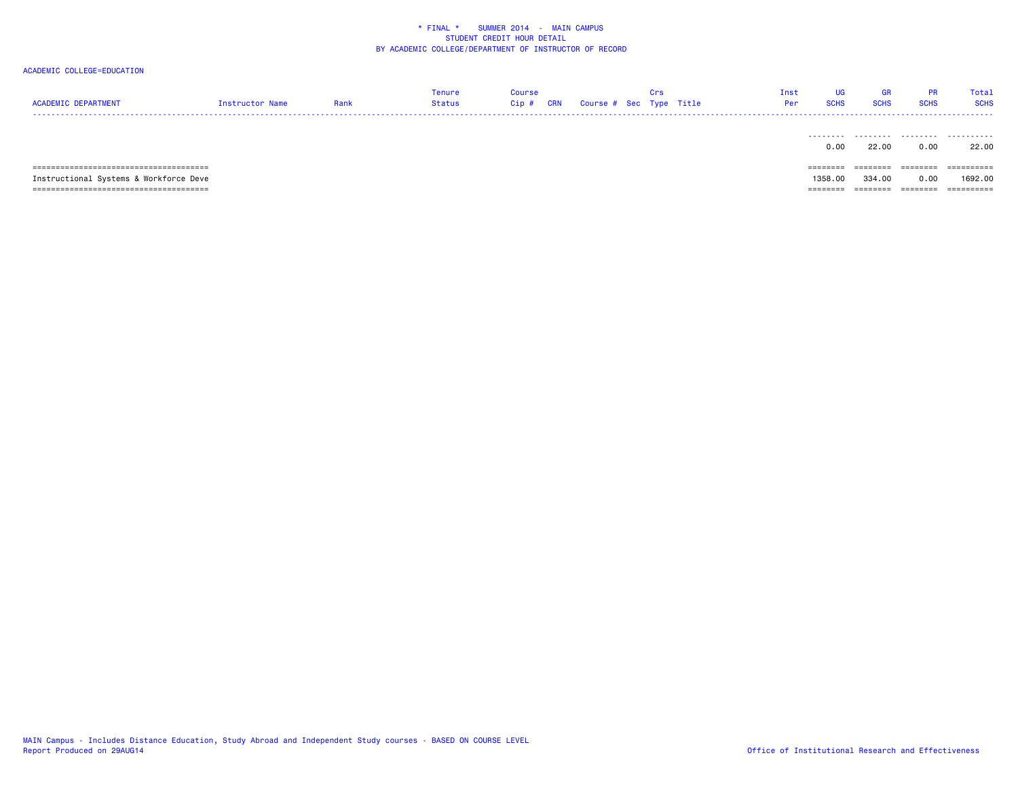|                            |                 |      | Tenure | Course |                                   |                                     | Tnst UG | <b>GR</b> | Total |
|----------------------------|-----------------|------|--------|--------|-----------------------------------|-------------------------------------|---------|-----------|-------|
| <b>ACADEMIC DEPARTMENT</b> | Instructor Name | Rank | Status |        | Cip # CRN Course # Sec Type Title | <b>Per SCHS SCHS SCHS SCHS SCHS</b> |         |           |       |
|                            |                 |      |        |        |                                   |                                     |         |           |       |

|                                        | 0.00     | 22.00                | 0.00                  | 22.00      |
|----------------------------------------|----------|----------------------|-----------------------|------------|
|                                        |          |                      |                       |            |
|                                        | ======== | ________<br>-------- | ---------<br>-------- | ========== |
| Instructional Systems & Workforce Deve | 1358,00  | 334,00               | 0.00                  | 1692.00    |
|                                        |          |                      |                       |            |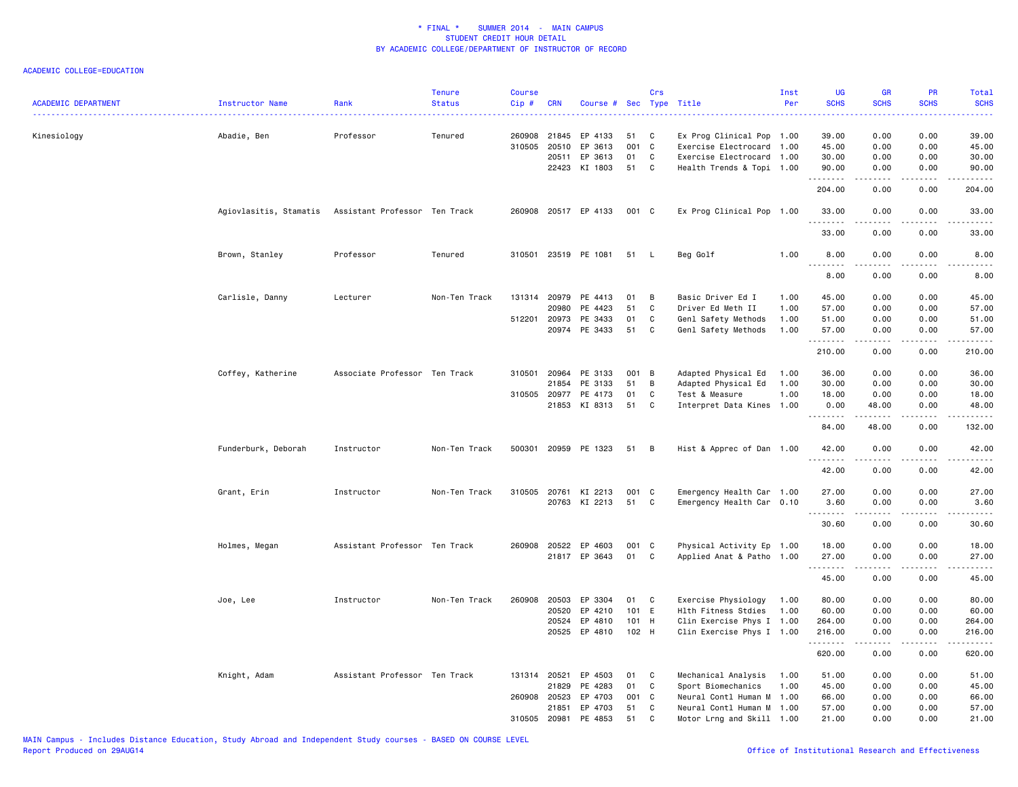| <b>ACADEMIC DEPARTMENT</b> | Instructor Name        | Rank                          | <b>Tenure</b><br><b>Status</b> | Course<br>$Cip$ # | <b>CRN</b>   | Course #             |       | Crs<br>Sec Type | Title                     | Inst<br>Per | UG<br><b>SCHS</b> | GR<br><b>SCHS</b>     | PR<br><b>SCHS</b> | Total<br><b>SCHS</b> |
|----------------------------|------------------------|-------------------------------|--------------------------------|-------------------|--------------|----------------------|-------|-----------------|---------------------------|-------------|-------------------|-----------------------|-------------------|----------------------|
|                            |                        |                               |                                |                   |              |                      |       |                 |                           |             |                   |                       |                   | المتمامين            |
| Kinesiology                | Abadie, Ben            | Professor                     | Tenured                        | 260908            | 21845        | EP 4133              | 51    | C               | Ex Prog Clinical Pop 1.00 |             | 39.00             | 0.00                  | 0.00              | 39.00                |
|                            |                        |                               |                                | 310505            | 20510        | EP 3613              | 001   | C               | Exercise Electrocard 1.00 |             | 45.00             | 0.00                  | 0.00              | 45.00                |
|                            |                        |                               |                                |                   | 20511        | EP 3613              | 01    | C               | Exercise Electrocard 1.00 |             | 30.00             | 0.00                  | 0.00              | 30.00                |
|                            |                        |                               |                                |                   | 22423        | KI 1803              | 51    | C               | Health Trends & Topi 1.00 |             | 90.00<br><u>.</u> | 0.00<br>.             | 0.00<br>د د د د   | 90.00<br>.           |
|                            |                        |                               |                                |                   |              |                      |       |                 |                           |             | 204.00            | 0.00                  | 0.00              | 204.00               |
|                            | Agiovlasitis, Stamatis | Assistant Professor Ten Track |                                | 260908            |              | 20517 EP 4133        | 001 C |                 | Ex Prog Clinical Pop 1.00 |             | 33.00<br>.        | 0.00<br>.             | 0.00<br>.         | 33.00<br>.           |
|                            |                        |                               |                                |                   |              |                      |       |                 |                           |             | 33.00             | 0.00                  | 0.00              | 33.00                |
|                            | Brown, Stanley         | Professor                     | Tenured                        | 310501            |              | 23519 PE 1081        | 51    | L.              | Beg Golf                  | 1.00        | 8.00<br>.         | 0.00<br>.             | 0.00<br>.         | 8.00<br>.            |
|                            |                        |                               |                                |                   |              |                      |       |                 |                           |             | 8.00              | 0.00                  | 0.00              | 8.00                 |
|                            | Carlisle, Danny        | Lecturer                      | Non-Ten Track                  | 131314            | 20979        | PE 4413              | 01    | В               | Basic Driver Ed I         | 1.00        | 45.00             | 0.00                  | 0.00              | 45.00                |
|                            |                        |                               |                                |                   | 20980        | PE 4423              | 51    | C               | Driver Ed Meth II         | 1.00        | 57.00             | 0.00                  | 0.00              | 57.00                |
|                            |                        |                               |                                |                   | 512201 20973 | PE 3433              | 01    | C               | Genl Safety Methods       | 1.00        | 51.00             | 0.00                  | 0.00              | 51.00                |
|                            |                        |                               |                                |                   | 20974        | PE 3433              | 51    | C               | Genl Safety Methods       | 1.00        | 57.00<br>.        | 0.00<br>.             | 0.00<br>.         | 57.00<br>.           |
|                            |                        |                               |                                |                   |              |                      |       |                 |                           |             | 210.00            | 0.00                  | 0.00              | 210.00               |
|                            | Coffey, Katherine      | Associate Professor Ten Track |                                | 310501            | 20964        | PE 3133              | 001 B |                 | Adapted Physical Ed       | 1.00        | 36.00             | 0.00                  | 0.00              | 36.00                |
|                            |                        |                               |                                |                   | 21854        | PE 3133              | 51    | В               | Adapted Physical Ed       | 1.00        | 30.00             | 0.00                  | 0.00              | 30.00                |
|                            |                        |                               |                                | 310505            | 20977        | PE 4173              | 01    | C               | Test & Measure            | 1.00        | 18.00             | 0.00                  | 0.00              | 18.00                |
|                            |                        |                               |                                |                   | 21853        | KI 8313              | 51    | C               | Interpret Data Kines 1.00 |             | 0.00              | 48.00                 | 0.00<br>.         | 48.00<br>.           |
|                            |                        |                               |                                |                   |              |                      |       |                 |                           |             | .<br>84.00        | .<br>48.00            | 0.00              | 132.00               |
|                            | Funderburk, Deborah    | Instructor                    | Non-Ten Track                  |                   |              | 500301 20959 PE 1323 | 51    | B               | Hist & Apprec of Dan 1.00 |             | 42.00<br>.        | 0.00<br>-----         | 0.00<br>.         | 42.00<br>.           |
|                            |                        |                               |                                |                   |              |                      |       |                 |                           |             | 42.00             | 0.00                  | 0.00              | 42.00                |
|                            | Grant, Erin            | Instructor                    | Non-Ten Track                  | 310505            | 20761        | KI 2213              | 001 C |                 | Emergency Health Car 1.00 |             | 27.00             | 0.00                  | 0.00              | 27.00                |
|                            |                        |                               |                                |                   | 20763        | KI 2213              | 51    | C               | Emergency Health Car 0.10 |             | 3.60<br>.         | 0.00<br>$\frac{1}{2}$ | 0.00<br>.         | 3.60<br>المتمامين    |
|                            |                        |                               |                                |                   |              |                      |       |                 |                           |             | 30.60             | 0.00                  | 0.00              | 30.60                |
|                            | Holmes, Megan          | Assistant Professor Ten Track |                                | 260908            | 20522        | EP 4603              | 001 C |                 | Physical Activity Ep 1.00 |             | 18.00             | 0.00                  | 0.00              | 18.00                |
|                            |                        |                               |                                |                   |              | 21817 EP 3643        | 01    | C               | Applied Anat & Patho 1.00 |             | 27.00             | 0.00                  | 0.00              | 27.00                |
|                            |                        |                               |                                |                   |              |                      |       |                 |                           |             | .<br>45.00        | -----<br>0.00         | د د د د<br>0.00   | .<br>45.00           |
|                            | Joe, Lee               | Instructor                    | Non-Ten Track                  | 260908            | 20503        | EP 3304              | 01    | C               | Exercise Physiology       | 1.00        | 80.00             | 0.00                  | 0.00              | 80.00                |
|                            |                        |                               |                                |                   | 20520        | EP 4210              | 101 E |                 | Hlth Fitness Stdies       | 1.00        | 60.00             | 0.00                  | 0.00              | 60.00                |
|                            |                        |                               |                                |                   | 20524        | EP 4810              | 101   | H               | Clin Exercise Phys I 1.00 |             | 264.00            | 0.00                  | 0.00              | 264.00               |
|                            |                        |                               |                                |                   | 20525        | EP 4810              | 102 H |                 | Clin Exercise Phys I 1.00 |             | 216.00<br>.       | 0.00                  | 0.00              | 216.00<br>.          |
|                            |                        |                               |                                |                   |              |                      |       |                 |                           |             | 620.00            | 0.00                  | 0.00              | 620.00               |
|                            | Knight, Adam           | Assistant Professor Ten Track |                                | 131314 20521      |              | EP 4503              | 01    | C               | Mechanical Analysis       | 1.00        | 51.00             | 0.00                  | 0.00              | 51.00                |
|                            |                        |                               |                                |                   | 21829        | PE 4283              | 01    | C               | Sport Biomechanics        | 1.00        | 45.00             | 0.00                  | 0.00              | 45.00                |
|                            |                        |                               |                                | 260908            | 20523        | EP 4703              | 001   | C               | Neural Contl Human M 1.00 |             | 66.00             | 0.00                  | 0.00              | 66.00                |
|                            |                        |                               |                                |                   | 21851        | EP 4703              | 51    | C               | Neural Contl Human M 1.00 |             | 57.00             | 0.00                  | 0.00              | 57.00                |
|                            |                        |                               |                                | 310505            | 20981        | PE 4853              | 51    | C               | Motor Lrng and Skill 1.00 |             | 21.00             | 0.00                  | 0.00              | 21.00                |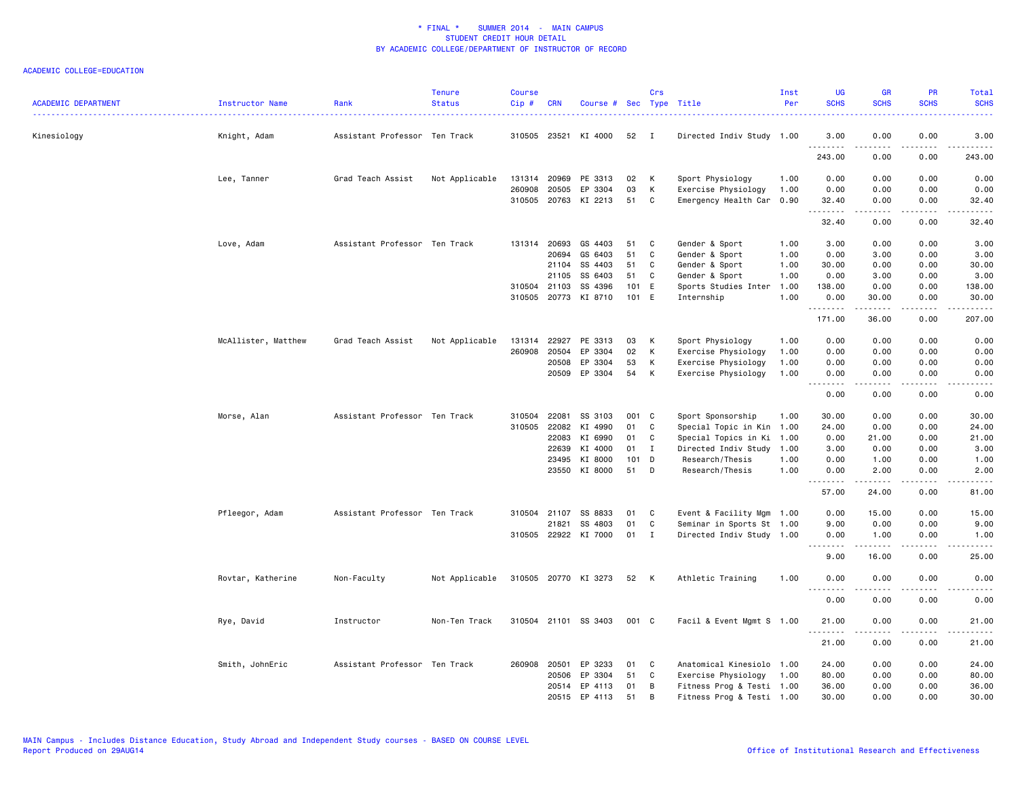| <b>ACADEMIC DEPARTMENT</b> | Instructor Name     | Rank                          | <b>Tenure</b><br><b>Status</b> | <b>Course</b><br>Cip# | <b>CRN</b>   | Course # Sec Type Title |           | Crs          |                                        | Inst<br>Per  | <b>UG</b><br><b>SCHS</b>                    | <b>GR</b><br><b>SCHS</b> | <b>PR</b><br><b>SCHS</b> | Total<br><b>SCHS</b><br>.                                                                                                                                      |
|----------------------------|---------------------|-------------------------------|--------------------------------|-----------------------|--------------|-------------------------|-----------|--------------|----------------------------------------|--------------|---------------------------------------------|--------------------------|--------------------------|----------------------------------------------------------------------------------------------------------------------------------------------------------------|
| Kinesiology                | Knight, Adam        | Assistant Professor Ten Track |                                | 310505                | 23521        | KI 4000                 | 52        | I            | Directed Indiv Study 1.00              |              | 3.00                                        | 0.00                     | 0.00                     | 3.00                                                                                                                                                           |
|                            |                     |                               |                                |                       |              |                         |           |              |                                        |              | .<br>243.00                                 | 2.2.2.2.2<br>0.00        | د د د د<br>0.00          | $\frac{1}{2} \left( \frac{1}{2} \right) \left( \frac{1}{2} \right) \left( \frac{1}{2} \right) \left( \frac{1}{2} \right) \left( \frac{1}{2} \right)$<br>243.00 |
|                            | Lee, Tanner         | Grad Teach Assist             | Not Applicable                 | 131314                | 20969        | PE 3313                 | 02        | к            | Sport Physiology                       | 1.00         | 0.00                                        | 0.00                     | 0.00                     | 0.00                                                                                                                                                           |
|                            |                     |                               |                                | 260908                | 20505        | EP 3304                 | 03        | К            | Exercise Physiology                    | 1.00         | 0.00                                        | 0.00                     | 0.00                     | 0.00                                                                                                                                                           |
|                            |                     |                               |                                | 310505                | 20763        | KI 2213                 | 51        | C            | Emergency Health Car 0.90              |              | 32.40<br>.                                  | 0.00                     | 0.00                     | 32.40                                                                                                                                                          |
|                            |                     |                               |                                |                       |              |                         |           |              |                                        |              | 32.40                                       | 0.00                     | 0.00                     | 32.40                                                                                                                                                          |
|                            | Love, Adam          | Assistant Professor Ten Track |                                |                       | 131314 20693 | GS 4403                 | 51        | C            | Gender & Sport                         | 1.00         | 3.00                                        | 0.00                     | 0.00                     | 3.00                                                                                                                                                           |
|                            |                     |                               |                                |                       | 20694        | GS 6403                 | 51        | C            | Gender & Sport                         | 1.00         | 0.00                                        | 3.00                     | 0.00                     | 3.00                                                                                                                                                           |
|                            |                     |                               |                                |                       | 21104        | SS 4403                 | 51        | C            | Gender & Sport                         | 1.00         | 30.00                                       | 0.00                     | 0.00                     | 30.00                                                                                                                                                          |
|                            |                     |                               |                                | 310504 21103          | 21105        | SS 6403<br>SS 4396      | 51<br>101 | C<br>E       | Gender & Sport<br>Sports Studies Inter | 1.00<br>1.00 | 0.00<br>138.00                              | 3.00<br>0.00             | 0.00<br>0.00             | 3.00<br>138.00                                                                                                                                                 |
|                            |                     |                               |                                | 310505                | 20773        | KI 8710                 | 101 E     |              | Internship                             | 1.00         | 0.00                                        | 30.00                    | 0.00                     | 30.00                                                                                                                                                          |
|                            |                     |                               |                                |                       |              |                         |           |              |                                        |              | .<br>171.00                                 | 36.00                    | $\frac{1}{2}$<br>0.00    | 207.00                                                                                                                                                         |
|                            | McAllister, Matthew | Grad Teach Assist             | Not Applicable                 | 131314                | 22927        | PE 3313                 | 03        | К            | Sport Physiology                       | 1.00         | 0.00                                        | 0.00                     | 0.00                     | 0.00                                                                                                                                                           |
|                            |                     |                               |                                | 260908                | 20504        | EP 3304                 | 02        | К            | Exercise Physiology                    | 1.00         | 0.00                                        | 0.00                     | 0.00                     | 0.00                                                                                                                                                           |
|                            |                     |                               |                                |                       | 20508        | EP 3304                 | 53        | K            | Exercise Physiology                    | 1.00         | 0.00                                        | 0.00                     | 0.00                     | 0.00                                                                                                                                                           |
|                            |                     |                               |                                |                       | 20509        | EP 3304                 | 54        | K            | Exercise Physiology                    | 1.00         | 0.00<br>$\sim$ $\sim$ $\sim$<br>$- - - - -$ | 0.00<br><u>.</u>         | 0.00<br>. <u>.</u> .     | 0.00<br>$\frac{1}{2}$                                                                                                                                          |
|                            |                     |                               |                                |                       |              |                         |           |              |                                        |              | 0.00                                        | 0.00                     | 0.00                     | 0.00                                                                                                                                                           |
|                            | Morse, Alan         | Assistant Professor Ten Track |                                | 310504                | 22081        | SS 3103                 | 001       | C.           | Sport Sponsorship                      | 1.00         | 30.00                                       | 0.00                     | 0.00                     | 30.00                                                                                                                                                          |
|                            |                     |                               |                                |                       | 310505 22082 | KI 4990                 | 01        | C            | Special Topic in Kin 1.00              |              | 24.00                                       | 0.00                     | 0.00                     | 24.00                                                                                                                                                          |
|                            |                     |                               |                                |                       | 22083        | KI 6990                 | 01        | C            | Special Topics in Ki 1.00              |              | 0.00                                        | 21.00                    | 0.00                     | 21.00                                                                                                                                                          |
|                            |                     |                               |                                |                       | 22639        | KI 4000                 | 01        | $\mathbf{I}$ | Directed Indiv Study 1.00              |              | 3.00                                        | 0.00                     | 0.00                     | 3.00                                                                                                                                                           |
|                            |                     |                               |                                |                       | 23495        | KI 8000                 | 101 D     |              | Research/Thesis                        | 1.00         | 0.00                                        | 1.00                     | 0.00                     | 1.00                                                                                                                                                           |
|                            |                     |                               |                                |                       | 23550        | KI 8000                 | 51        | D            | Research/Thesis                        | 1.00         | 0.00<br>.                                   | 2.00<br>.                | 0.00<br>.                | 2.00<br>.                                                                                                                                                      |
|                            |                     |                               |                                |                       |              |                         |           |              |                                        |              | 57.00                                       | 24.00                    | 0.00                     | 81.00                                                                                                                                                          |
|                            | Pfleegor, Adam      | Assistant Professor Ten Track |                                | 310504 21107          |              | SS 8833                 | 01        | C            | Event & Facility Mgm 1.00              |              | 0.00                                        | 15.00                    | 0.00                     | 15.00                                                                                                                                                          |
|                            |                     |                               |                                |                       | 21821        | SS 4803                 | 01        | C            | Seminar in Sports St 1.00              |              | 9.00                                        | 0.00                     | 0.00                     | 9.00                                                                                                                                                           |
|                            |                     |                               |                                |                       |              | 310505 22922 KI 7000    | 01        | Ι.           | Directed Indiv Study 1.00              |              | 0.00<br>.<br>$  -$                          | 1.00<br>.                | 0.00<br>.                | 1.00<br>.                                                                                                                                                      |
|                            |                     |                               |                                |                       |              |                         |           |              |                                        |              | 9.00                                        | 16.00                    | 0.00                     | 25.00                                                                                                                                                          |
|                            | Rovtar, Katherine   | Non-Faculty                   | Not Applicable                 |                       | 310505 20770 | KI 3273                 | 52        | K            | Athletic Training                      | 1.00         | 0.00                                        | 0.00                     | 0.00                     | 0.00                                                                                                                                                           |
|                            |                     |                               |                                |                       |              |                         |           |              |                                        |              | 0.00                                        | 0.00                     | 0.00                     | 0.00                                                                                                                                                           |
|                            | Rye, David          | Instructor                    | Non-Ten Track                  |                       |              | 310504 21101 SS 3403    | 001 C     |              | Facil & Event Mgmt S 1.00              |              | 21.00<br>.                                  | 0.00<br>-----            | 0.00                     | 21.00<br>والمناصبات                                                                                                                                            |
|                            |                     |                               |                                |                       |              |                         |           |              |                                        |              | 21.00                                       | 0.00                     | 0.00                     | 21.00                                                                                                                                                          |
|                            | Smith, JohnEric     | Assistant Professor Ten Track |                                | 260908                | 20501        | EP 3233                 | 01        | C            | Anatomical Kinesiolo 1.00              |              | 24.00                                       | 0.00                     | 0.00                     | 24.00                                                                                                                                                          |
|                            |                     |                               |                                |                       | 20506        | EP 3304                 | 51        | C            | Exercise Physiology                    | 1.00         | 80.00                                       | 0.00                     | 0.00                     | 80.00                                                                                                                                                          |
|                            |                     |                               |                                |                       | 20514        | EP 4113                 | 01        | B            | Fitness Prog & Testi 1.00              |              | 36.00                                       | 0.00                     | 0.00                     | 36.00                                                                                                                                                          |
|                            |                     |                               |                                |                       | 20515        | EP 4113                 | 51        | B            | Fitness Prog & Testi 1.00              |              | 30.00                                       | 0.00                     | 0.00                     | 30.00                                                                                                                                                          |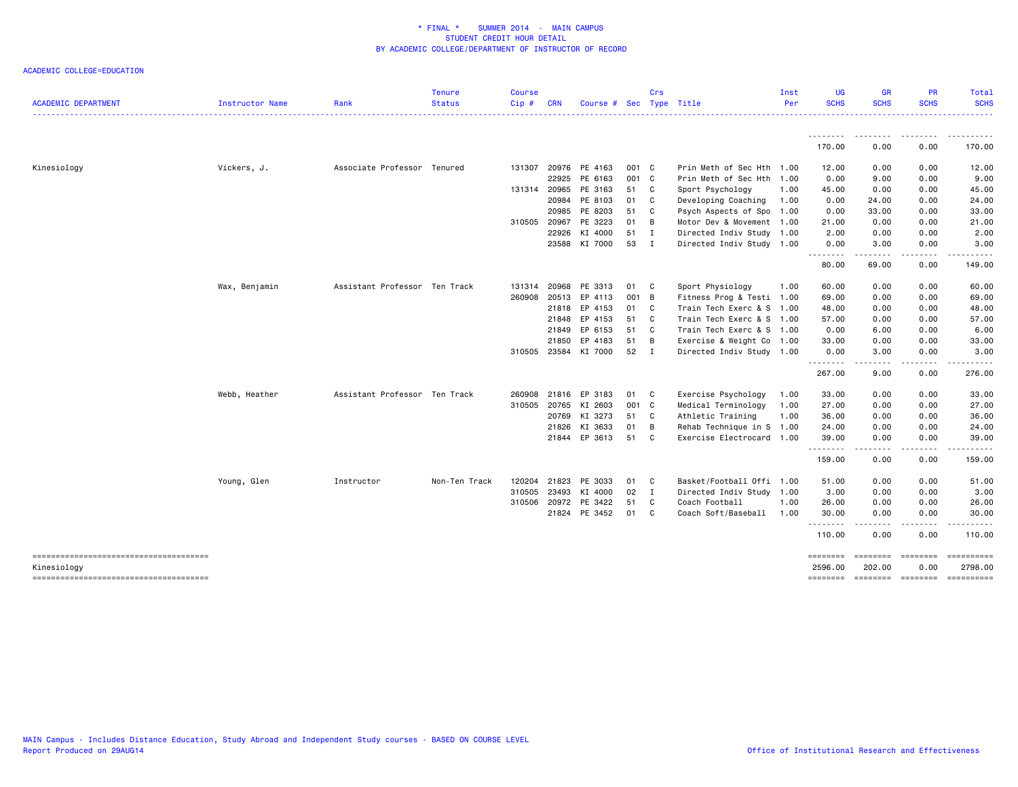| <b>ACADEMIC DEPARTMENT</b>                           | Instructor Name | Rank                          | <b>Tenure</b><br><b>Status</b> | <b>Course</b><br>$Cip \#$ | <b>CRN</b>   | Course #             |      | Crs            | Sec Type Title            | Inst<br>Per | <b>UG</b><br><b>SCHS</b> | <b>GR</b><br><b>SCHS</b>                                                                                                                                                                                                                                                                                                                                                                             | PR<br><b>SCHS</b>        | <b>Total</b><br><b>SCHS</b>                                                                                                                                                                                                                                                                                                                                                                                                                                                                       |
|------------------------------------------------------|-----------------|-------------------------------|--------------------------------|---------------------------|--------------|----------------------|------|----------------|---------------------------|-------------|--------------------------|------------------------------------------------------------------------------------------------------------------------------------------------------------------------------------------------------------------------------------------------------------------------------------------------------------------------------------------------------------------------------------------------------|--------------------------|---------------------------------------------------------------------------------------------------------------------------------------------------------------------------------------------------------------------------------------------------------------------------------------------------------------------------------------------------------------------------------------------------------------------------------------------------------------------------------------------------|
|                                                      |                 |                               |                                |                           |              |                      |      |                |                           |             | .                        | <u>.</u>                                                                                                                                                                                                                                                                                                                                                                                             |                          |                                                                                                                                                                                                                                                                                                                                                                                                                                                                                                   |
|                                                      |                 |                               |                                |                           |              |                      |      |                |                           |             | 170.00                   | 0.00                                                                                                                                                                                                                                                                                                                                                                                                 | 0.00                     | 170.00                                                                                                                                                                                                                                                                                                                                                                                                                                                                                            |
| Kinesiology                                          | Vickers, J.     | Associate Professor Tenured   |                                | 131307                    | 20976        | PE 4163              | 001  | $\mathbf{C}$   | Prin Meth of Sec Hth 1.00 |             | 12.00                    | 0.00                                                                                                                                                                                                                                                                                                                                                                                                 | 0.00                     | 12.00                                                                                                                                                                                                                                                                                                                                                                                                                                                                                             |
|                                                      |                 |                               |                                |                           | 22925        | PE 6163              | 001  | $\mathbf{C}$   | Prin Meth of Sec Hth 1.00 |             | 0.00                     | 9.00                                                                                                                                                                                                                                                                                                                                                                                                 | 0.00                     | 9.00                                                                                                                                                                                                                                                                                                                                                                                                                                                                                              |
|                                                      |                 |                               |                                |                           | 131314 20965 | PE 3163              | 51   | C              | Sport Psychology          | 1.00        | 45.00                    | 0.00                                                                                                                                                                                                                                                                                                                                                                                                 | 0.00                     | 45.00                                                                                                                                                                                                                                                                                                                                                                                                                                                                                             |
|                                                      |                 |                               |                                |                           | 20984        | PE 8103              | 01   | C              | Developing Coaching       | 1.00        | 0.00                     | 24.00                                                                                                                                                                                                                                                                                                                                                                                                | 0.00                     | 24.00                                                                                                                                                                                                                                                                                                                                                                                                                                                                                             |
|                                                      |                 |                               |                                |                           | 20985        | PE 8203              | 51   | C              | Psych Aspects of Spo      | 1.00        | 0.00                     | 33.00                                                                                                                                                                                                                                                                                                                                                                                                | 0.00                     | 33.00                                                                                                                                                                                                                                                                                                                                                                                                                                                                                             |
|                                                      |                 |                               |                                | 310505                    | 20967        | PE 3223              | 01   | B              | Motor Dev & Movement 1.00 |             | 21.00                    | 0.00                                                                                                                                                                                                                                                                                                                                                                                                 | 0.00                     | 21.00                                                                                                                                                                                                                                                                                                                                                                                                                                                                                             |
|                                                      |                 |                               |                                |                           | 22926        | KI 4000              | 51   | $\mathbf{I}$   | Directed Indiv Study 1.00 |             | 2.00                     | 0.00                                                                                                                                                                                                                                                                                                                                                                                                 | 0.00                     | 2.00                                                                                                                                                                                                                                                                                                                                                                                                                                                                                              |
|                                                      |                 |                               |                                |                           |              | 23588 KI 7000        | 53 I |                | Directed Indiv Study 1.00 |             | 0.00<br>.                | 3.00<br>$\frac{1}{2} \frac{1}{2} \frac{1}{2} \frac{1}{2} \frac{1}{2} \frac{1}{2} \frac{1}{2} \frac{1}{2} \frac{1}{2} \frac{1}{2} \frac{1}{2} \frac{1}{2} \frac{1}{2} \frac{1}{2} \frac{1}{2} \frac{1}{2} \frac{1}{2} \frac{1}{2} \frac{1}{2} \frac{1}{2} \frac{1}{2} \frac{1}{2} \frac{1}{2} \frac{1}{2} \frac{1}{2} \frac{1}{2} \frac{1}{2} \frac{1}{2} \frac{1}{2} \frac{1}{2} \frac{1}{2} \frac{$ | 0.00<br>- - - -          | 3.00                                                                                                                                                                                                                                                                                                                                                                                                                                                                                              |
|                                                      |                 |                               |                                |                           |              |                      |      |                |                           |             | 80.00                    | 69.00                                                                                                                                                                                                                                                                                                                                                                                                | 0.00                     | 149.00                                                                                                                                                                                                                                                                                                                                                                                                                                                                                            |
|                                                      | Wax, Benjamin   | Assistant Professor Ten Track |                                | 131314                    | 20968        | PE 3313              | 01   | C              | Sport Physiology          | 1.00        | 60.00                    | 0.00                                                                                                                                                                                                                                                                                                                                                                                                 | 0.00                     | 60.00                                                                                                                                                                                                                                                                                                                                                                                                                                                                                             |
|                                                      |                 |                               |                                | 260908                    | 20513        | EP 4113              | 001  | B              | Fitness Prog & Testi 1.00 |             | 69.00                    | 0.00                                                                                                                                                                                                                                                                                                                                                                                                 | 0.00                     | 69.00                                                                                                                                                                                                                                                                                                                                                                                                                                                                                             |
|                                                      |                 |                               |                                |                           | 21818        | EP 4153              | 01   | - C            | Train Tech Exerc & S 1.00 |             | 48.00                    | 0.00                                                                                                                                                                                                                                                                                                                                                                                                 | 0.00                     | 48.00                                                                                                                                                                                                                                                                                                                                                                                                                                                                                             |
|                                                      |                 |                               |                                |                           | 21848        | EP 4153              | 51   | C.             | Train Tech Exerc & S 1.00 |             | 57.00                    | 0.00                                                                                                                                                                                                                                                                                                                                                                                                 | 0.00                     | 57.00                                                                                                                                                                                                                                                                                                                                                                                                                                                                                             |
|                                                      |                 |                               |                                |                           | 21849        | EP 6153              | 51   | C.             | Train Tech Exerc & S 1.00 |             | 0.00                     | 6.00                                                                                                                                                                                                                                                                                                                                                                                                 | 0.00                     | 6.00                                                                                                                                                                                                                                                                                                                                                                                                                                                                                              |
|                                                      |                 |                               |                                |                           | 21850        | EP 4183              | 51   | B              | Exercise & Weight Co 1.00 |             | 33.00                    | 0.00                                                                                                                                                                                                                                                                                                                                                                                                 | 0.00                     | 33.00                                                                                                                                                                                                                                                                                                                                                                                                                                                                                             |
|                                                      |                 |                               |                                |                           |              | 310505 23584 KI 7000 | 52   | $\blacksquare$ | Directed Indiv Study 1.00 |             | 0.00<br><u>.</u>         | 3.00<br>$\frac{1}{2} \frac{1}{2} \frac{1}{2} \frac{1}{2} \frac{1}{2} \frac{1}{2} \frac{1}{2} \frac{1}{2} \frac{1}{2} \frac{1}{2} \frac{1}{2} \frac{1}{2} \frac{1}{2} \frac{1}{2} \frac{1}{2} \frac{1}{2} \frac{1}{2} \frac{1}{2} \frac{1}{2} \frac{1}{2} \frac{1}{2} \frac{1}{2} \frac{1}{2} \frac{1}{2} \frac{1}{2} \frac{1}{2} \frac{1}{2} \frac{1}{2} \frac{1}{2} \frac{1}{2} \frac{1}{2} \frac{$ | 0.00<br>.                | 3.00                                                                                                                                                                                                                                                                                                                                                                                                                                                                                              |
|                                                      |                 |                               |                                |                           |              |                      |      |                |                           |             | 267.00                   | 9.00                                                                                                                                                                                                                                                                                                                                                                                                 | 0.00                     | 276.00                                                                                                                                                                                                                                                                                                                                                                                                                                                                                            |
|                                                      | Webb, Heather   | Assistant Professor Ten Track |                                | 260908                    | 21816        | EP 3183              | 01   | C              | Exercise Psychology       | 1.00        | 33.00                    | 0.00                                                                                                                                                                                                                                                                                                                                                                                                 | 0.00                     | 33.00                                                                                                                                                                                                                                                                                                                                                                                                                                                                                             |
|                                                      |                 |                               |                                |                           | 310505 20765 | KI 2603              | 001  | $\mathbf{C}$   | Medical Terminology       | 1.00        | 27.00                    | 0.00                                                                                                                                                                                                                                                                                                                                                                                                 | 0.00                     | 27.00                                                                                                                                                                                                                                                                                                                                                                                                                                                                                             |
|                                                      |                 |                               |                                |                           | 20769        | KI 3273              | 51   | C              | Athletic Training         | 1.00        | 36.00                    | 0.00                                                                                                                                                                                                                                                                                                                                                                                                 | 0.00                     | 36.00                                                                                                                                                                                                                                                                                                                                                                                                                                                                                             |
|                                                      |                 |                               |                                |                           | 21826        | KI 3633              | 01   | B              | Rehab Technique in S 1.00 |             | 24.00                    | 0.00                                                                                                                                                                                                                                                                                                                                                                                                 | 0.00                     | 24.00                                                                                                                                                                                                                                                                                                                                                                                                                                                                                             |
|                                                      |                 |                               |                                |                           |              | 21844 EP 3613        | 51   | C              | Exercise Electrocard 1.00 |             | 39.00<br><u>.</u>        | 0.00<br>.                                                                                                                                                                                                                                                                                                                                                                                            | 0.00<br>- - - -          | 39.00                                                                                                                                                                                                                                                                                                                                                                                                                                                                                             |
|                                                      |                 |                               |                                |                           |              |                      |      |                |                           |             | 159.00                   | 0.00                                                                                                                                                                                                                                                                                                                                                                                                 | 0.00                     | 159.00                                                                                                                                                                                                                                                                                                                                                                                                                                                                                            |
|                                                      | Young, Glen     | Instructor                    | Non-Ten Track                  | 120204                    | 21823        | PE 3033              | 01   | C.             | Basket/Football Offi 1.00 |             | 51.00                    | 0.00                                                                                                                                                                                                                                                                                                                                                                                                 | 0.00                     | 51.00                                                                                                                                                                                                                                                                                                                                                                                                                                                                                             |
|                                                      |                 |                               |                                | 310505                    | 23493        | KI 4000              | 02   | I              | Directed Indiv Study 1.00 |             | 3.00                     | 0.00                                                                                                                                                                                                                                                                                                                                                                                                 | 0.00                     | 3.00                                                                                                                                                                                                                                                                                                                                                                                                                                                                                              |
|                                                      |                 |                               |                                | 310506                    | 20972        | PE 3422              | 51   | C              | Coach Football            | 1.00        | 26.00                    | 0.00                                                                                                                                                                                                                                                                                                                                                                                                 | 0.00                     | 26.00                                                                                                                                                                                                                                                                                                                                                                                                                                                                                             |
|                                                      |                 |                               |                                |                           |              | 21824 PE 3452        | 01   | C              | Coach Soft/Baseball       | 1.00        | 30.00<br>.               | 0.00<br>$\sim$ $\sim$ $\sim$ $\sim$                                                                                                                                                                                                                                                                                                                                                                  | 0.00<br>د د د د          | 30.00                                                                                                                                                                                                                                                                                                                                                                                                                                                                                             |
|                                                      |                 |                               |                                |                           |              |                      |      |                |                           |             | 110.00                   | 0.00                                                                                                                                                                                                                                                                                                                                                                                                 | 0.00                     | 110.00                                                                                                                                                                                                                                                                                                                                                                                                                                                                                            |
| -------------------------------------<br>Kinesiology |                 |                               |                                |                           |              |                      |      |                |                           |             | ========<br>2596.00      | ========<br>202.00                                                                                                                                                                                                                                                                                                                                                                                   | $= 100000000000$<br>0.00 | $\begin{array}{cccccccccc} \multicolumn{2}{c}{} & \multicolumn{2}{c}{} & \multicolumn{2}{c}{} & \multicolumn{2}{c}{} & \multicolumn{2}{c}{} & \multicolumn{2}{c}{} & \multicolumn{2}{c}{} & \multicolumn{2}{c}{} & \multicolumn{2}{c}{} & \multicolumn{2}{c}{} & \multicolumn{2}{c}{} & \multicolumn{2}{c}{} & \multicolumn{2}{c}{} & \multicolumn{2}{c}{} & \multicolumn{2}{c}{} & \multicolumn{2}{c}{} & \multicolumn{2}{c}{} & \multicolumn{2}{c}{} & \multicolumn{2}{c}{} & \mult$<br>2798.00 |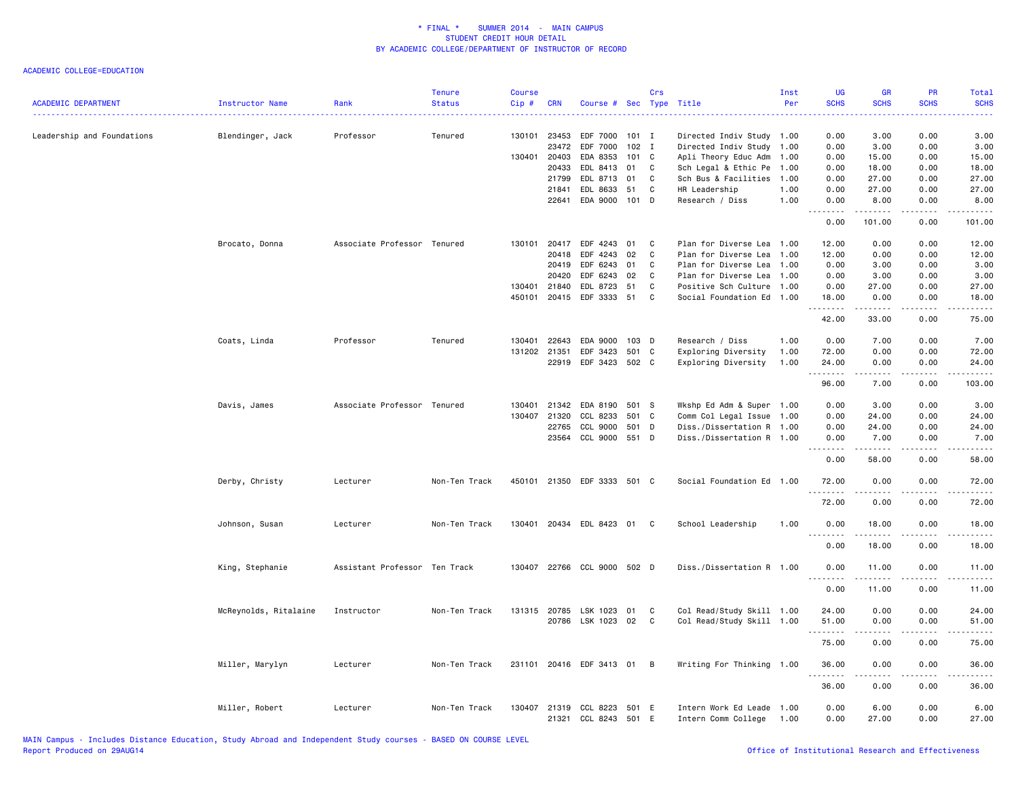| <b>ACADEMIC DEPARTMENT</b> | Instructor Name       | Rank                          | <b>Tenure</b><br><b>Status</b> | Course<br>Cip# | <b>CRN</b>   | Course # Sec Type Title     |         | Crs          |                           | Inst<br>Per | UG<br><b>SCHS</b>                                                                                                                 | <b>GR</b><br><b>SCHS</b> | PR<br><b>SCHS</b>     | <b>Total</b><br><b>SCHS</b> |
|----------------------------|-----------------------|-------------------------------|--------------------------------|----------------|--------------|-----------------------------|---------|--------------|---------------------------|-------------|-----------------------------------------------------------------------------------------------------------------------------------|--------------------------|-----------------------|-----------------------------|
| Leadership and Foundations | Blendinger, Jack      | Professor                     | Tenured                        | 130101         | 23453        | EDF 7000                    | $101$ I |              | Directed Indiv Study 1.00 |             | 0.00                                                                                                                              | 3.00                     | 0.00                  | 3.00                        |
|                            |                       |                               |                                |                | 23472        | EDF 7000                    | 102     | $\mathbf{I}$ | Directed Indiv Study 1.00 |             | 0.00                                                                                                                              | 3.00                     | 0.00                  | 3.00                        |
|                            |                       |                               |                                |                | 130401 20403 | EDA 8353                    | 101 C   |              | Apli Theory Educ Adm 1.00 |             | 0.00                                                                                                                              | 15.00                    | 0.00                  | 15.00                       |
|                            |                       |                               |                                |                | 20433        | EDL 8413                    | 01      | C            | Sch Legal & Ethic Pe 1.00 |             | 0.00                                                                                                                              | 18.00                    | 0.00                  | 18.00                       |
|                            |                       |                               |                                |                | 21799        | EDL 8713                    | 01      | C            | Sch Bus & Facilities      | 1.00        | 0.00                                                                                                                              | 27.00                    | 0.00                  | 27.00                       |
|                            |                       |                               |                                |                | 21841        | EDL 8633                    | 51      | C            | HR Leadership             | 1.00        | 0.00                                                                                                                              | 27.00                    | 0.00                  | 27.00                       |
|                            |                       |                               |                                |                | 22641        | EDA 9000 101 D              |         |              | Research / Diss           | 1.00        | 0.00<br>$\frac{1}{2}$                                                                                                             | 8.00<br>.                | 0.00<br>.             | 8.00<br><u>.</u>            |
|                            |                       |                               |                                |                |              |                             |         |              |                           |             | 0.00                                                                                                                              | 101.00                   | 0.00                  | 101.00                      |
|                            | Brocato, Donna        | Associate Professor Tenured   |                                |                | 130101 20417 | EDF 4243                    | 01      | C            | Plan for Diverse Lea 1.00 |             | 12.00                                                                                                                             | 0.00                     | 0.00                  | 12.00                       |
|                            |                       |                               |                                |                | 20418        | EDF 4243                    | 02      | C            | Plan for Diverse Lea 1.00 |             | 12.00                                                                                                                             | 0.00                     | 0.00                  | 12.00                       |
|                            |                       |                               |                                |                | 20419        | EDF 6243                    | 01      | C            | Plan for Diverse Lea 1.00 |             | 0.00                                                                                                                              | 3.00                     | 0.00                  | 3.00                        |
|                            |                       |                               |                                |                | 20420        | EDF 6243                    | 02      | C            | Plan for Diverse Lea 1.00 |             | 0.00                                                                                                                              | 3.00                     | 0.00                  | 3.00                        |
|                            |                       |                               |                                | 130401         | 21840        | EDL 8723                    | 51      | C            | Positive Sch Culture 1.00 |             | 0.00                                                                                                                              | 27.00                    | 0.00                  | 27.00                       |
|                            |                       |                               |                                | 450101         | 20415        | EDF 3333                    | 51      | C            | Social Foundation Ed 1.00 |             | 18.00<br>.                                                                                                                        | 0.00                     | 0.00                  | 18.00                       |
|                            |                       |                               |                                |                |              |                             |         |              |                           |             | 42.00                                                                                                                             | 33.00                    | 0.00                  | 75.00                       |
|                            | Coats, Linda          | Professor                     | Tenured                        | 130401         | 22643        | EDA 9000                    | 103     | D            | Research / Diss           | 1.00        | 0.00                                                                                                                              | 7.00                     | 0.00                  | 7.00                        |
|                            |                       |                               |                                | 131202 21351   |              | EDF 3423                    | 501     | $\mathbf{C}$ | Exploring Diversity       | 1.00        | 72.00                                                                                                                             | 0.00                     | 0.00                  | 72.00                       |
|                            |                       |                               |                                |                |              | 22919 EDF 3423 502 C        |         |              | Exploring Diversity       | 1.00        | 24.00<br>.                                                                                                                        | 0.00<br>-----            | 0.00<br>.             | 24.00<br>.                  |
|                            |                       |                               |                                |                |              |                             |         |              |                           |             | 96.00                                                                                                                             | 7.00                     | 0.00                  | 103.00                      |
|                            | Davis, James          | Associate Professor Tenured   |                                |                | 130401 21342 | EDA 8190                    | 501 S   |              | Wkshp Ed Adm & Super 1.00 |             | 0.00                                                                                                                              | 3.00                     | 0.00                  | 3.00                        |
|                            |                       |                               |                                | 130407         | 21320        | CCL 8233                    | 501     | C            | Comm Col Legal Issue 1.00 |             | 0.00                                                                                                                              | 24.00                    | 0.00                  | 24.00                       |
|                            |                       |                               |                                |                | 22765        | CCL 9000                    | 501     | D            | Diss./Dissertation R 1.00 |             | 0.00                                                                                                                              | 24.00                    | 0.00                  | 24.00                       |
|                            |                       |                               |                                |                | 23564        | CCL 9000 551 D              |         |              | Diss./Dissertation R 1.00 |             | 0.00<br>$\frac{1}{2} \left( \frac{1}{2} \right) \left( \frac{1}{2} \right) \left( \frac{1}{2} \right) \left( \frac{1}{2} \right)$ | 7.00                     | 0.00<br>$\frac{1}{2}$ | 7.00<br>$\frac{1}{2}$       |
|                            |                       |                               |                                |                |              |                             |         |              |                           |             | 0.00                                                                                                                              | 58.00                    | 0.00                  | 58.00                       |
|                            | Derby, Christy        | Lecturer                      | Non-Ten Track                  | 450101         |              | 21350 EDF 3333 501 C        |         |              | Social Foundation Ed 1.00 |             | 72.00<br>.                                                                                                                        | 0.00                     | 0.00                  | 72.00                       |
|                            |                       |                               |                                |                |              |                             |         |              |                           |             | 72.00                                                                                                                             | 0.00                     | 0.00                  | 72.00                       |
|                            | Johnson, Susan        | Lecturer                      | Non-Ten Track                  |                |              | 130401 20434 EDL 8423 01 C  |         |              | School Leadership         | 1.00        | 0.00                                                                                                                              | 18.00                    | 0.00                  | 18.00                       |
|                            |                       |                               |                                |                |              |                             |         |              |                           |             | د د د د<br>0.00                                                                                                                   | .<br>18.00               | د د د د<br>0.00       | .<br>18.00                  |
|                            | King, Stephanie       | Assistant Professor Ten Track |                                |                |              | 130407 22766 CCL 9000 502 D |         |              | Diss./Dissertation R 1.00 |             | 0.00                                                                                                                              | 11.00                    | 0.00                  | 11.00                       |
|                            |                       |                               |                                |                |              |                             |         |              |                           |             | $\frac{1}{2}$<br>.<br>0.00                                                                                                        | ------<br>11.00          | .<br>0.00             | .<br>11.00                  |
|                            |                       |                               |                                |                |              |                             |         |              |                           |             |                                                                                                                                   |                          |                       |                             |
|                            | McReynolds, Ritalaine | Instructor                    | Non-Ten Track                  |                |              | 131315 20785 LSK 1023       | 01      | C            | Col Read/Study Skill 1.00 |             | 24.00                                                                                                                             | 0.00                     | 0.00                  | 24.00                       |
|                            |                       |                               |                                |                |              | 20786 LSK 1023              | 02      | C            | Col Read/Study Skill 1.00 |             | 51.00<br>.                                                                                                                        | 0.00<br>----             | 0.00<br>.             | 51.00<br>.                  |
|                            |                       |                               |                                |                |              |                             |         |              |                           |             | 75.00                                                                                                                             | 0.00                     | 0.00                  | 75.00                       |
|                            | Miller, Marylyn       | Lecturer                      | Non-Ten Track                  | 231101         |              | 20416 EDF 3413              | 01      | В            | Writing For Thinking 1.00 |             | 36.00<br>.                                                                                                                        | 0.00                     | 0.00                  | 36.00                       |
|                            |                       |                               |                                |                |              |                             |         |              |                           |             | 36.00                                                                                                                             | 0.00                     | 0.00                  | 36.00                       |
|                            | Miller, Robert        | Lecturer                      | Non-Ten Track                  | 130407         | 21319        | CCL 8223                    | 501 E   |              | Intern Work Ed Leade 1.00 |             | 0.00                                                                                                                              | 6.00                     | 0.00                  | 6.00                        |
|                            |                       |                               |                                |                | 21321        | CCL 8243                    | 501     | E            | Intern Comm College       | 1.00        | 0.00                                                                                                                              | 27.00                    | 0.00                  | 27.00                       |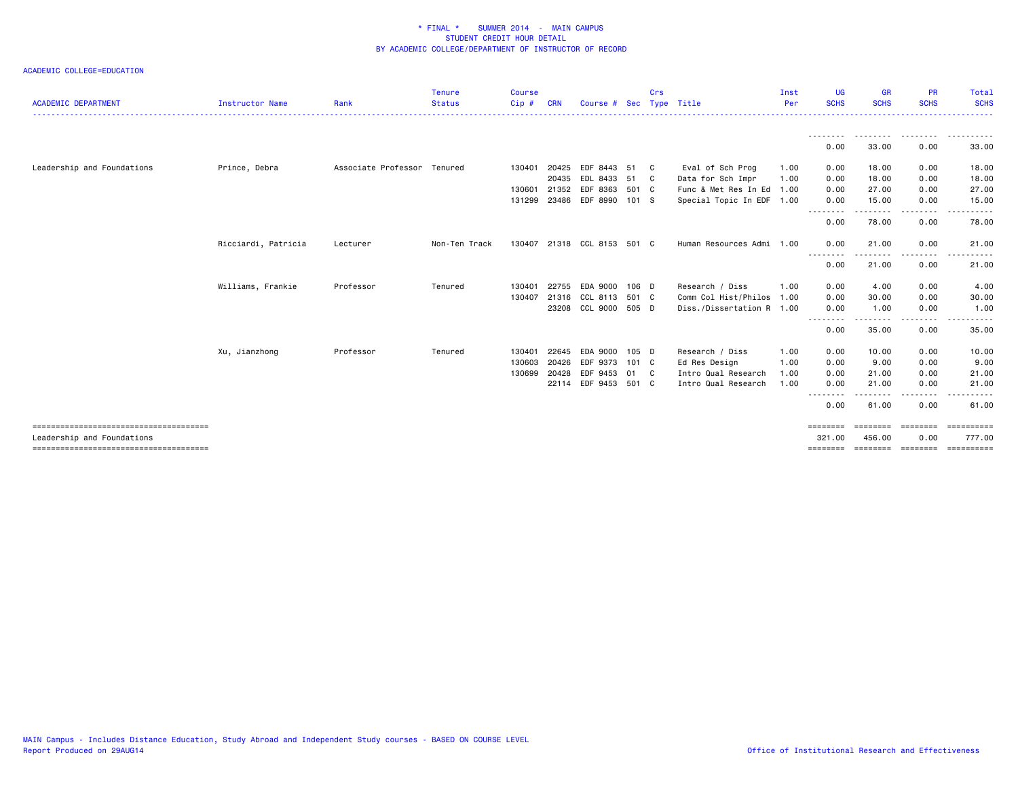| <b>ACADEMIC DEPARTMENT</b> | <b>Instructor Name</b> | Rank                        | <b>Tenure</b><br><b>Status</b> | <b>Course</b><br>Cip# | <b>CRN</b> | Course #             | <b>Sec</b> | Crs            | Type Title                | Inst<br>Per | <b>UG</b><br><b>SCHS</b> | <b>GR</b><br><b>SCHS</b>                                                                                                           | <b>PR</b><br><b>SCHS</b> | Total<br><b>SCHS</b><br><u>.</u> |
|----------------------------|------------------------|-----------------------------|--------------------------------|-----------------------|------------|----------------------|------------|----------------|---------------------------|-------------|--------------------------|------------------------------------------------------------------------------------------------------------------------------------|--------------------------|----------------------------------|
|                            |                        |                             |                                |                       |            |                      |            |                |                           |             |                          |                                                                                                                                    |                          |                                  |
|                            |                        |                             |                                |                       |            |                      |            |                |                           |             | 0.00                     | 33.00                                                                                                                              | 0.00                     | 33.00                            |
| Leadership and Foundations | Prince, Debra          | Associate Professor Tenured |                                | 130401                | 20425      | EDF 8443 51          |            | C.             | Eval of Sch Prog          | 1.00        | 0.00                     | 18.00                                                                                                                              | 0.00                     | 18.00                            |
|                            |                        |                             |                                |                       | 20435      | EDL 8433             | 51         | $\overline{c}$ | Data for Sch Impr         | 1.00        | 0.00                     | 18.00                                                                                                                              | 0.00                     | 18.00                            |
|                            |                        |                             |                                | 130601                | 21352      | EDF 8363 501 C       |            |                | Func & Met Res In Ed 1.00 |             | 0.00                     | 27.00                                                                                                                              | 0.00                     | 27.00                            |
|                            |                        |                             |                                | 131299                |            | 23486 EDF 8990 101 S |            |                | Special Topic In EDF 1.00 |             | 0.00<br>---------        | 15.00<br>$\frac{1}{2} \left( \frac{1}{2} \right) \left( \frac{1}{2} \right) \left( \frac{1}{2} \right) \left( \frac{1}{2} \right)$ | 0.00<br>- - - - -        | 15.00                            |
|                            |                        |                             |                                |                       |            |                      |            |                |                           |             | 0.00                     | 78.00                                                                                                                              | 0.00                     | 78.00                            |
|                            | Ricciardi, Patricia    | Lecturer                    | Non-Ten Track                  | 130407                |            | 21318 CCL 8153 501 C |            |                | Human Resources Admi      | 1.00        | 0.00                     | 21.00                                                                                                                              | 0.00                     | 21.00                            |
|                            |                        |                             |                                |                       |            |                      |            |                |                           |             | --------<br>0.00         | .<br>21.00                                                                                                                         | 0.00                     | 21.00                            |
|                            | Williams, Frankie      | Professor                   | Tenured                        | 130401                | 22755      | EDA 9000             | 106 D      |                | Research / Diss           | 1.00        | 0.00                     | 4.00                                                                                                                               | 0.00                     | 4.00                             |
|                            |                        |                             |                                | 130407                | 21316      | CCL 8113 501 C       |            |                | Comm Col Hist/Philos 1.00 |             | 0.00                     | 30.00                                                                                                                              | 0.00                     | 30.00                            |
|                            |                        |                             |                                |                       |            | 23208 CCL 9000 505 D |            |                | Diss./Dissertation R 1.00 |             | 0.00                     | 1.00                                                                                                                               | 0.00                     | 1.00                             |
|                            |                        |                             |                                |                       |            |                      |            |                |                           |             | 0.00                     | 35.00                                                                                                                              | 0.00                     | 35.00                            |
|                            | Xu, Jianzhong          | Professor                   | Tenured                        | 130401                | 22645      | EDA 9000             | 105 D      |                | Research / Diss           | 1.00        | 0.00                     | 10.00                                                                                                                              | 0.00                     | 10.00                            |
|                            |                        |                             |                                | 130603                | 20426      | EDF 9373             | 101 C      |                | Ed Res Design             | 1.00        | 0.00                     | 9.00                                                                                                                               | 0.00                     | 9.00                             |
|                            |                        |                             |                                | 130699                | 20428      | EDF 9453             | 01 C       |                | Intro Qual Research       | 1.00        | 0.00                     | 21.00                                                                                                                              | 0.00                     | 21.00                            |
|                            |                        |                             |                                |                       |            | 22114 EDF 9453 501 C |            |                | Intro Qual Research       | 1.00        | 0.00                     | 21.00                                                                                                                              | 0.00                     | 21.00                            |
|                            |                        |                             |                                |                       |            |                      |            |                |                           |             | <u>.</u><br>0.00         | 61.00                                                                                                                              | 0.00                     | 61.00                            |
| Leadership and Foundations |                        |                             |                                |                       |            |                      |            |                |                           |             | <b>EEEEEEE</b><br>321.00 | <b>EBBEERE</b><br>456.00                                                                                                           | ========<br>0.00         | EEEEEEEE<br>777.00               |
|                            |                        |                             |                                |                       |            |                      |            |                |                           |             | ========                 | ========                                                                                                                           | <b>EEEEEEE</b>           | EEEEEEEE                         |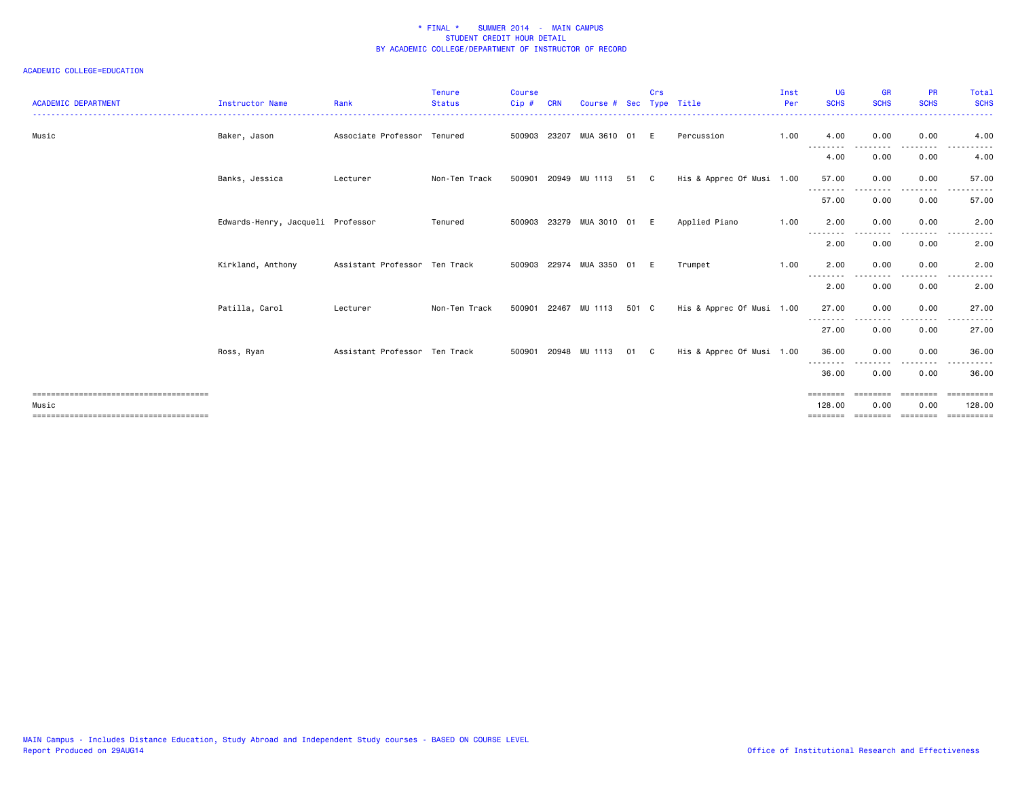| <b>ACADEMIC DEPARTMENT</b> | <b>Instructor Name</b>            | Rank                          | <b>Tenure</b><br><b>Status</b> | <b>Course</b><br>Cip# | <b>CRN</b> | Course #                 | Sec   | Crs | Type Title                | Inst<br>Per | UG<br><b>SCHS</b>  | <b>GR</b><br><b>SCHS</b> | <b>PR</b><br><b>SCHS</b> | Total<br><b>SCHS</b> |
|----------------------------|-----------------------------------|-------------------------------|--------------------------------|-----------------------|------------|--------------------------|-------|-----|---------------------------|-------------|--------------------|--------------------------|--------------------------|----------------------|
| Music                      | Baker, Jason                      | Associate Professor Tenured   |                                | 500903                | 23207      | MUA 3610                 | 01    | E   | Percussion                | 1.00        | 4.00               | 0.00                     | 0.00                     | 4.00                 |
|                            |                                   |                               |                                |                       |            |                          |       |     |                           |             | --------<br>4.00   | 0.00                     | 0.00                     | 4.00                 |
|                            | Banks, Jessica                    | Lecturer                      | Non-Ten Track                  | 500901                |            | 20949 MU 1113            | 51    | C   | His & Apprec Of Musi 1.00 |             | 57.00              | 0.00                     | 0.00                     | 57.00                |
|                            |                                   |                               |                                |                       |            |                          |       |     |                           |             | --------<br>57.00  | 0.00                     | 0.00                     | 57.00                |
|                            | Edwards-Henry, Jacqueli Professor |                               | Tenured                        |                       |            | 500903 23279 MUA 3010 01 |       | E   | Applied Piano             | 1.00        | 2.00               | 0.00                     | 0.00                     | 2.00                 |
|                            |                                   |                               |                                |                       |            |                          |       |     |                           |             | 2.00               | 0.00                     | 0.00                     | 2.00                 |
|                            | Kirkland, Anthony                 | Assistant Professor Ten Track |                                | 500903                |            | 22974 MUA 3350           | 01    |     | Trumpet                   | 1.00        | 2.00               | 0.00                     | 0.00                     | 2.00                 |
|                            |                                   |                               |                                |                       |            |                          |       |     |                           |             | --------<br>2.00   | .<br>0.00                | 0.00                     | 2.00                 |
|                            | Patilla, Carol                    | Lecturer                      | Non-Ten Track                  | 500901                | 22467      | MU 1113                  | 501 C |     | His & Apprec Of Musi 1.00 |             | 27.00              | 0.00                     | 0.00                     | 27.00                |
|                            |                                   |                               |                                |                       |            |                          |       |     |                           |             | 27.00              | 0.00                     | 0.00                     | 27.00                |
|                            | Ross, Ryan                        | Assistant Professor Ten Track |                                |                       |            | 500901 20948 MU 1113     | 01 C  |     | His & Apprec Of Musi 1.00 |             | 36.00              | 0.00                     | 0.00                     | 36.00                |
|                            |                                   |                               |                                |                       |            |                          |       |     |                           |             | --------<br>36.00  | . <b>.</b><br>0.00       | -----<br>0.00            | 36.00                |
|                            |                                   |                               |                                |                       |            |                          |       |     |                           |             | ========<br>128.00 | 0.00                     | 0.00                     | 128.00               |
| Music                      |                                   |                               |                                |                       |            |                          |       |     |                           |             | ========           | ========                 | ========                 | ==========           |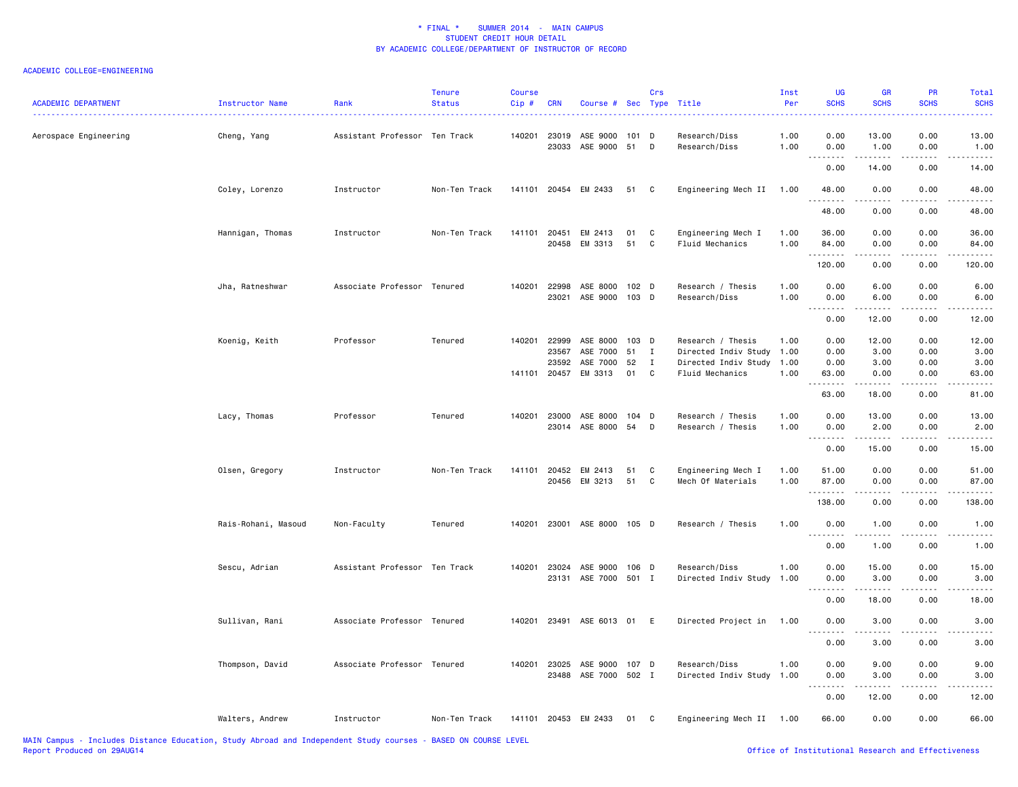| <b>ACADEMIC DEPARTMENT</b> | Instructor Name     | Rank                          | <b>Tenure</b><br><b>Status</b> | <b>Course</b><br>Cip# | <b>CRN</b>     | Course # Sec Type Title   |          | Crs    |                                         | Inst<br>Per  | UG<br><b>SCHS</b>                     | <b>GR</b><br><b>SCHS</b>                                                                                                                                     | <b>PR</b><br><b>SCHS</b> | Total<br><b>SCHS</b>                                                                                                               |
|----------------------------|---------------------|-------------------------------|--------------------------------|-----------------------|----------------|---------------------------|----------|--------|-----------------------------------------|--------------|---------------------------------------|--------------------------------------------------------------------------------------------------------------------------------------------------------------|--------------------------|------------------------------------------------------------------------------------------------------------------------------------|
| Aerospace Engineering      | Cheng, Yang         | Assistant Professor Ten Track |                                | 140201                | 23019<br>23033 | ASE 9000<br>ASE 9000 51   | 101      | D<br>D | Research/Diss<br>Research/Diss          | 1.00<br>1.00 | 0.00<br>0.00                          | 13.00<br>1.00                                                                                                                                                | 0.00<br>0.00             | 13.00<br>1.00                                                                                                                      |
|                            |                     |                               |                                |                       |                |                           |          |        |                                         |              | $\sim$ $\sim$ .                       |                                                                                                                                                              |                          |                                                                                                                                    |
|                            |                     |                               |                                |                       |                |                           |          |        |                                         |              | 0.00                                  | 14.00                                                                                                                                                        | 0.00                     | 14.00                                                                                                                              |
|                            | Coley, Lorenzo      | Instructor                    | Non-Ten Track                  | 141101                |                | 20454 EM 2433             | 51       | C      | Engineering Mech II                     | 1.00         | 48.00<br>.                            | 0.00                                                                                                                                                         | 0.00                     | 48.00                                                                                                                              |
|                            |                     |                               |                                |                       |                |                           |          |        |                                         |              | 48.00                                 | 0.00                                                                                                                                                         | 0.00                     | 48.00                                                                                                                              |
|                            | Hannigan, Thomas    | Instructor                    | Non-Ten Track                  | 141101                | 20451          | EM 2413                   | 01       | C      | Engineering Mech I                      | 1.00         | 36.00                                 | 0.00                                                                                                                                                         | 0.00                     | 36.00                                                                                                                              |
|                            |                     |                               |                                |                       |                | 20458 EM 3313             | 51       | C      | Fluid Mechanics                         | 1.00         | 84.00<br>.                            | 0.00                                                                                                                                                         | 0.00                     | 84.00                                                                                                                              |
|                            |                     |                               |                                |                       |                |                           |          |        |                                         |              | 120.00                                | 0.00                                                                                                                                                         | 0.00                     | 120.00                                                                                                                             |
|                            | Jha, Ratneshwar     | Associate Professor Tenured   |                                | 140201                | 22998          | ASE 8000                  | 102 D    |        | Research / Thesis                       | 1.00         | 0.00                                  | 6.00                                                                                                                                                         | 0.00                     | 6.00                                                                                                                               |
|                            |                     |                               |                                |                       | 23021          | ASE 9000                  | 103 D    |        | Research/Diss                           | 1.00         | 0.00                                  | 6.00                                                                                                                                                         | 0.00                     | 6.00                                                                                                                               |
|                            |                     |                               |                                |                       |                |                           |          |        |                                         |              | د د د د<br>$\sim$ $\sim$<br>0.00      | .<br>12.00                                                                                                                                                   | .<br>0.00                | $\frac{1}{2} \left( \frac{1}{2} \right) \left( \frac{1}{2} \right) \left( \frac{1}{2} \right) \left( \frac{1}{2} \right)$<br>12.00 |
|                            | Koenig, Keith       | Professor                     | Tenured                        | 140201                | 22999          | ASE 8000                  | 103 D    |        | Research / Thesis                       | 1.00         | 0.00                                  | 12.00                                                                                                                                                        | 0.00                     | 12.00                                                                                                                              |
|                            |                     |                               |                                |                       | 23567          | ASE 7000                  | 51       | Ι.     | Directed Indiv Study                    | 1.00         | 0.00                                  | 3.00                                                                                                                                                         | 0.00                     | 3.00                                                                                                                               |
|                            |                     |                               |                                | 141101                | 23592          | ASE 7000<br>20457 EM 3313 | 52<br>01 | I<br>C | Directed Indiv Study<br>Fluid Mechanics | 1.00<br>1.00 | 0.00<br>63.00                         | 3.00<br>0.00                                                                                                                                                 | 0.00<br>0.00             | 3.00<br>63.00                                                                                                                      |
|                            |                     |                               |                                |                       |                |                           |          |        |                                         |              | .<br>63.00                            | 18.00                                                                                                                                                        | 0.00                     | 81.00                                                                                                                              |
|                            | Lacy, Thomas        | Professor                     | Tenured                        | 140201                | 23000          | ASE 8000                  | 104 D    |        | Research / Thesis                       | 1.00         | 0.00                                  | 13.00                                                                                                                                                        | 0.00                     | 13.00                                                                                                                              |
|                            |                     |                               |                                |                       |                | 23014 ASE 8000            | 54       | D      | Research / Thesis                       | 1.00         | 0.00                                  | 2.00                                                                                                                                                         | 0.00                     | 2.00                                                                                                                               |
|                            |                     |                               |                                |                       |                |                           |          |        |                                         |              | -----<br>$\sim$ $\sim$ $\sim$<br>0.00 | .<br>15.00                                                                                                                                                   | .<br>0.00                | $\sim 100$ km s $^{-1}$<br>15.00                                                                                                   |
|                            | Olsen, Gregory      | Instructor                    | Non-Ten Track                  | 141101                | 20452          | EM 2413                   | 51       | C      | Engineering Mech I                      | 1.00         | 51.00                                 | 0.00                                                                                                                                                         | 0.00                     | 51.00                                                                                                                              |
|                            |                     |                               |                                |                       | 20456          | EM 3213                   | 51       | C      | Mech Of Materials                       | 1.00         | 87.00<br>.                            | 0.00                                                                                                                                                         | 0.00                     | 87.00                                                                                                                              |
|                            |                     |                               |                                |                       |                |                           |          |        |                                         |              | 138.00                                | 0.00                                                                                                                                                         | 0.00                     | 138.00                                                                                                                             |
|                            | Rais-Rohani, Masoud | Non-Faculty                   | Tenured                        | 140201                | 23001          | ASE 8000 105 D            |          |        | Research / Thesis                       | 1.00         | 0.00                                  | 1.00                                                                                                                                                         | 0.00                     | 1.00                                                                                                                               |
|                            |                     |                               |                                |                       |                |                           |          |        |                                         |              | 0.00                                  | 1.00                                                                                                                                                         | 0.00                     | 1.00                                                                                                                               |
|                            | Sescu, Adrian       | Assistant Professor Ten Track |                                | 140201                | 23024          | ASE 9000                  | 106 D    |        | Research/Diss                           | 1.00         | 0.00                                  | 15.00                                                                                                                                                        | 0.00                     | 15.00                                                                                                                              |
|                            |                     |                               |                                |                       | 23131          | ASE 7000 501 I            |          |        | Directed Indiv Study                    | 1.00         | 0.00<br>$\sim$ $\sim$                 | 3.00<br>$\frac{1}{2} \left( \frac{1}{2} \right) \left( \frac{1}{2} \right) \left( \frac{1}{2} \right) \left( \frac{1}{2} \right) \left( \frac{1}{2} \right)$ | 0.00<br>.                | 3.00                                                                                                                               |
|                            |                     |                               |                                |                       |                |                           |          |        |                                         |              | 0.00                                  | 18.00                                                                                                                                                        | 0.00                     | 18.00                                                                                                                              |
|                            | Sullivan, Rani      | Associate Professor Tenured   |                                | 140201                | 23491          | ASE 6013 01               |          | E      | Directed Project in                     | 1.00         | 0.00                                  | 3.00                                                                                                                                                         | 0.00                     | 3.00                                                                                                                               |
|                            |                     |                               |                                |                       |                |                           |          |        |                                         |              | 0.00                                  | 3.00                                                                                                                                                         | 0.00                     | 3.00                                                                                                                               |
|                            | Thompson, David     | Associate Professor Tenured   |                                | 140201                | 23025          | ASE 9000 107 D            |          |        | Research/Diss                           | 1.00         | 0.00                                  | 9.00                                                                                                                                                         | 0.00                     | 9.00                                                                                                                               |
|                            |                     |                               |                                |                       |                | 23488 ASE 7000 502 I      |          |        | Directed Indiv Study 1.00               |              | 0.00                                  | 3.00                                                                                                                                                         | 0.00                     | 3.00                                                                                                                               |
|                            |                     |                               |                                |                       |                |                           |          |        |                                         |              | 0.00                                  | 12.00                                                                                                                                                        | 0.00                     | 12.00                                                                                                                              |
|                            | Walters, Andrew     | Instructor                    | Non-Ten Track                  | 141101                |                | 20453 EM 2433             | 01       | C      | Engineering Mech II 1.00                |              | 66.00                                 | 0.00                                                                                                                                                         | 0.00                     | 66.00                                                                                                                              |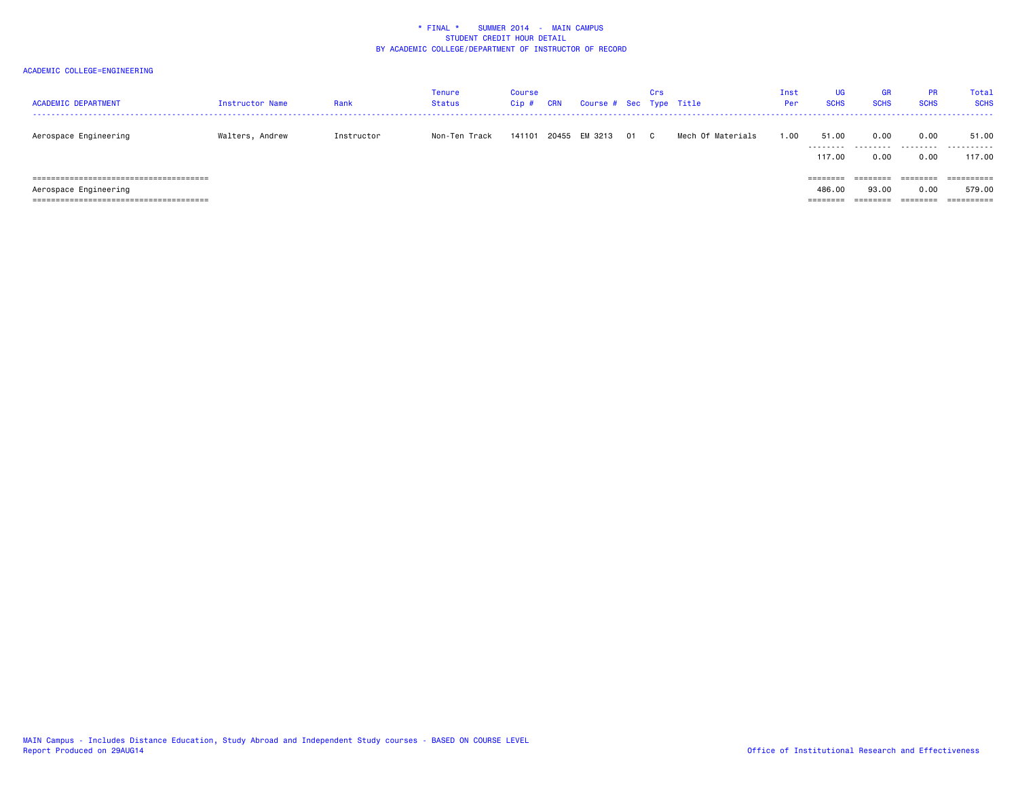| <b>ACADEMIC DEPARTMENT</b> | Instructor Name | Rank       | <b>Tenure</b><br><b>Status</b> | Course<br>Cip# | <b>CRN</b> | Course # Sec Type Title |      | Crs |                   | Inst<br>Per | UG<br><b>SCHS</b>                                                       | <b>GR</b><br><b>SCHS</b> | <b>PR</b><br><b>SCHS</b> | Total<br><b>SCHS</b> |
|----------------------------|-----------------|------------|--------------------------------|----------------|------------|-------------------------|------|-----|-------------------|-------------|-------------------------------------------------------------------------|--------------------------|--------------------------|----------------------|
| Aerospace Engineering      | Walters, Andrew | Instructor | Non-Ten Track                  | 141101         | 20455      | EM 3213                 | 01 C |     | Mech Of Materials | 1.00        | 51.00<br>--------                                                       | 0.00                     | 0.00<br>--------         | 51.00<br>.           |
|                            |                 |            |                                |                |            |                         |      |     |                   |             | 117,00                                                                  | 0.00                     | 0.00                     | 117.00               |
|                            |                 |            |                                |                |            |                         |      |     |                   |             |                                                                         | ========                 | ========                 | ==========           |
| Aerospace Engineering      |                 |            |                                |                |            |                         |      |     |                   |             | 486.00                                                                  | 93.00                    | 0.00                     | 579.00               |
|                            |                 |            |                                |                |            |                         |      |     |                   |             | $\qquad \qquad \equiv \equiv \equiv \equiv \equiv \equiv \equiv \equiv$ | ========                 | ========                 |                      |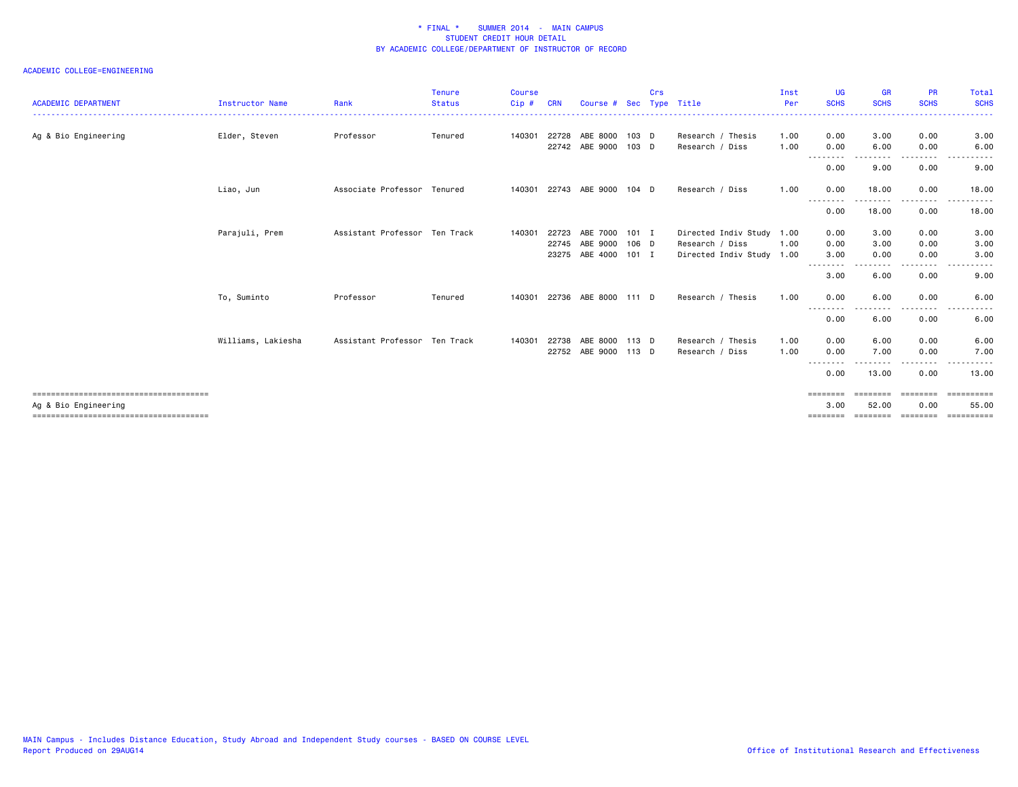| <b>ACADEMIC DEPARTMENT</b> | Instructor Name    | Rank                          | Tenure<br><b>Status</b> | <b>Course</b><br>Cip# | <b>CRN</b> | Course #             | Sec     | Crs | Type Title                | Inst<br>Per | UG<br><b>SCHS</b> | <b>GR</b><br><b>SCHS</b>  | <b>PR</b><br><b>SCHS</b> | Total<br><b>SCHS</b> |
|----------------------------|--------------------|-------------------------------|-------------------------|-----------------------|------------|----------------------|---------|-----|---------------------------|-------------|-------------------|---------------------------|--------------------------|----------------------|
| Ag & Bio Engineering       | Elder, Steven      | Professor                     | Tenured                 | 140301                | 22728      | ABE 8000             | 103 D   |     | Research / Thesis         | 1.00        | 0.00              | 3.00                      | 0.00                     | 3.00                 |
|                            |                    |                               |                         |                       |            | 22742 ABE 9000       | $103$ D |     | Research / Diss           | 1.00        | 0.00<br>--------  | 6.00<br>.                 | 0.00<br>$- - - -$        | 6.00                 |
|                            |                    |                               |                         |                       |            |                      |         |     |                           |             | 0.00              | 9.00                      | 0.00                     | 9.00                 |
|                            | Liao, Jun          | Associate Professor Tenured   |                         | 140301                | 22743      | ABE 9000             | $104$ D |     | Research / Diss           | 1.00        | 0.00<br>--------  | 18.00                     | 0.00<br>.                | 18.00<br>.           |
|                            |                    |                               |                         |                       |            |                      |         |     |                           |             | 0.00              | 18.00                     | 0.00                     | 18.00                |
|                            | Parajuli, Prem     | Assistant Professor Ten Track |                         | 140301                | 22723      | ABE 7000             | 101 I   |     | Directed Indiv Study 1.00 |             | 0.00              | 3.00                      | 0.00                     | 3.00                 |
|                            |                    |                               |                         |                       | 22745      | ABE 9000             | 106 D   |     | Research / Diss           | 1.00        | 0.00              | 3.00                      | 0.00                     | 3.00                 |
|                            |                    |                               |                         |                       | 23275      | ABE 4000 101 I       |         |     | Directed Indiv Study 1.00 |             | 3.00<br>--------  | 0.00                      | 0.00                     | 3.00                 |
|                            |                    |                               |                         |                       |            |                      |         |     |                           |             | 3.00              | 6.00                      | 0.00                     | 9.00                 |
|                            | To, Suminto        | Professor                     | Tenured                 | 140301                |            | 22736 ABE 8000 111 D |         |     | Research / Thesis         | 1.00        | 0.00              | 6.00                      | 0.00                     | 6.00                 |
|                            |                    |                               |                         |                       |            |                      |         |     |                           |             | --------<br>0.00  | 6.00                      | .<br>0.00                | 6.00                 |
|                            | Williams, Lakiesha | Assistant Professor Ten Track |                         | 140301                | 22738      | ABE 8000             | 113 D   |     | Research / Thesis         | 1.00        | 0.00              | 6.00                      | 0.00                     | 6.00                 |
|                            |                    |                               |                         |                       |            | 22752 ABE 9000 113 D |         |     | Research / Diss           | 1.00        | 0.00              | 7.00                      | 0.00                     | 7.00                 |
|                            |                    |                               |                         |                       |            |                      |         |     |                           |             | --------<br>0.00  | 13.00                     | 0.00                     | 13.00                |
|                            |                    |                               |                         |                       |            |                      |         |     |                           |             | $=$ = = = = = = = |                           | -----                    | <b>EEEEEEEE</b>      |
| Ag & Bio Engineering       |                    |                               |                         |                       |            |                      |         |     |                           |             | 3.00              | 52.00                     | 0.00                     | 55.00                |
|                            |                    |                               |                         |                       |            |                      |         |     |                           |             |                   | -------- -------- ------- |                          | <b>Experience</b>    |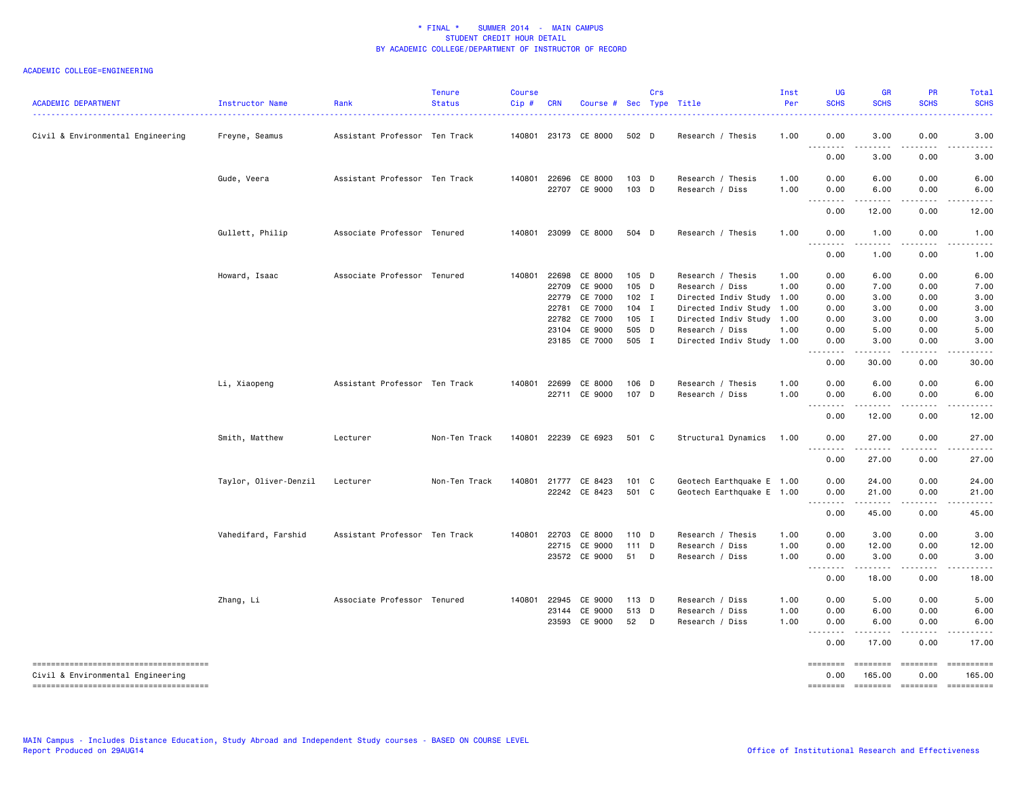| <b>ACADEMIC DEPARTMENT</b>                                                                                           | Instructor Name       | Rank                          | <b>Tenure</b><br><b>Status</b> | <b>Course</b><br>Cip# | <b>CRN</b>                                | Course # Sec Type Title                                                               |                                                                   | Crs |                                                                                                                                                                   | Inst<br>Per                          | UG<br><b>SCHS</b>                                         | <b>GR</b><br><b>SCHS</b>                                  | <b>PR</b><br><b>SCHS</b>                                  | Total<br><b>SCHS</b>                                                                                                                                                                                                                                                                                                                                                                                                                                     |
|----------------------------------------------------------------------------------------------------------------------|-----------------------|-------------------------------|--------------------------------|-----------------------|-------------------------------------------|---------------------------------------------------------------------------------------|-------------------------------------------------------------------|-----|-------------------------------------------------------------------------------------------------------------------------------------------------------------------|--------------------------------------|-----------------------------------------------------------|-----------------------------------------------------------|-----------------------------------------------------------|----------------------------------------------------------------------------------------------------------------------------------------------------------------------------------------------------------------------------------------------------------------------------------------------------------------------------------------------------------------------------------------------------------------------------------------------------------|
| Civil & Environmental Engineering                                                                                    | Freyne, Seamus        | Assistant Professor Ten Track |                                | 140801                |                                           | 23173 CE 8000                                                                         | 502 D                                                             |     | Research / Thesis                                                                                                                                                 | 1.00                                 | 0.00                                                      | 3.00                                                      | 0.00                                                      | 3.00                                                                                                                                                                                                                                                                                                                                                                                                                                                     |
|                                                                                                                      |                       |                               |                                |                       |                                           |                                                                                       |                                                                   |     |                                                                                                                                                                   |                                      | .<br>0.00                                                 | $\sim$ $\sim$ $\sim$ $\sim$<br>3.00                       | 0.00                                                      | 3.00                                                                                                                                                                                                                                                                                                                                                                                                                                                     |
|                                                                                                                      | Gude, Veera           | Assistant Professor Ten Track |                                | 140801                |                                           | 22696 CE 8000<br>22707 CE 9000                                                        | $103$ D<br>103 D                                                  |     | Research / Thesis<br>Research / Diss                                                                                                                              | 1.00<br>1.00                         | 0.00<br>0.00                                              | 6.00<br>6.00                                              | 0.00<br>0.00                                              | 6.00<br>6.00                                                                                                                                                                                                                                                                                                                                                                                                                                             |
|                                                                                                                      |                       |                               |                                |                       |                                           |                                                                                       |                                                                   |     |                                                                                                                                                                   |                                      | .<br>0.00                                                 | 12.00                                                     | 0.00                                                      | 12.00                                                                                                                                                                                                                                                                                                                                                                                                                                                    |
|                                                                                                                      | Gullett, Philip       | Associate Professor Tenured   |                                | 140801                |                                           | 23099 CE 8000                                                                         | 504 D                                                             |     | Research / Thesis                                                                                                                                                 | 1.00                                 | 0.00                                                      | 1.00                                                      | 0.00                                                      | 1.00                                                                                                                                                                                                                                                                                                                                                                                                                                                     |
|                                                                                                                      |                       |                               |                                |                       |                                           |                                                                                       |                                                                   |     |                                                                                                                                                                   |                                      | .<br>0.00                                                 | $\sim$ $\sim$ $\sim$ $\sim$<br>1.00                       | 0.00                                                      | 1.00                                                                                                                                                                                                                                                                                                                                                                                                                                                     |
|                                                                                                                      | Howard, Isaac         | Associate Professor Tenured   |                                | 140801                | 22698<br>22709<br>22779<br>22781<br>22782 | CE 8000<br>CE 9000<br>CE 7000<br>CE 7000<br>CE 7000<br>23104 CE 9000<br>23185 CE 7000 | 105 D<br>105 D<br>$102$ I<br>$104$ I<br>$105$ I<br>505 D<br>505 I |     | Research / Thesis<br>Research / Diss<br>Directed Indiv Study 1.00<br>Directed Indiv Study<br>Directed Indiv Study<br>Research / Diss<br>Directed Indiv Study 1.00 | 1.00<br>1.00<br>1.00<br>1.00<br>1.00 | 0.00<br>0.00<br>0.00<br>0.00<br>0.00<br>0.00<br>0.00<br>. | 6.00<br>7.00<br>3.00<br>3.00<br>3.00<br>5.00<br>3.00<br>. | 0.00<br>0.00<br>0.00<br>0.00<br>0.00<br>0.00<br>0.00<br>. | 6.00<br>7.00<br>3.00<br>3.00<br>3.00<br>5.00<br>3.00                                                                                                                                                                                                                                                                                                                                                                                                     |
|                                                                                                                      | Li, Xiaopeng          | Assistant Professor Ten Track |                                | 140801                | 22699                                     | CE 8000                                                                               | 106 D                                                             |     | Research / Thesis                                                                                                                                                 | 1.00                                 | 0.00<br>0.00                                              | 30.00<br>6.00                                             | 0.00<br>0.00                                              | 30.00<br>6.00                                                                                                                                                                                                                                                                                                                                                                                                                                            |
|                                                                                                                      |                       |                               |                                |                       |                                           | 22711 CE 9000                                                                         | 107 D                                                             |     | Research / Diss                                                                                                                                                   | 1.00                                 | 0.00<br>.                                                 | 6.00                                                      | 0.00                                                      | 6.00                                                                                                                                                                                                                                                                                                                                                                                                                                                     |
|                                                                                                                      |                       |                               |                                |                       |                                           |                                                                                       |                                                                   |     |                                                                                                                                                                   |                                      | 0.00                                                      | 12.00                                                     | 0.00                                                      | 12.00                                                                                                                                                                                                                                                                                                                                                                                                                                                    |
|                                                                                                                      | Smith, Matthew        | Lecturer                      | Non-Ten Track                  | 140801                |                                           | 22239 CE 6923                                                                         | 501 C                                                             |     | Structural Dynamics                                                                                                                                               | 1.00                                 | 0.00<br><u>.</u>                                          | 27.00<br>.                                                | 0.00<br>.                                                 | 27.00                                                                                                                                                                                                                                                                                                                                                                                                                                                    |
|                                                                                                                      |                       |                               |                                |                       |                                           |                                                                                       |                                                                   |     |                                                                                                                                                                   |                                      | 0.00                                                      | 27.00                                                     | 0.00                                                      | 27.00                                                                                                                                                                                                                                                                                                                                                                                                                                                    |
|                                                                                                                      | Taylor, Oliver-Denzil | Lecturer                      | Non-Ten Track                  | 140801                |                                           | 21777 CE 8423<br>22242 CE 8423                                                        | 101 C<br>501 C                                                    |     | Geotech Earthquake E 1.00<br>Geotech Earthquake E 1.00                                                                                                            |                                      | 0.00<br>0.00<br>.                                         | 24.00<br>21.00                                            | 0.00<br>0.00                                              | 24.00<br>21.00                                                                                                                                                                                                                                                                                                                                                                                                                                           |
|                                                                                                                      |                       |                               |                                |                       |                                           |                                                                                       |                                                                   |     |                                                                                                                                                                   |                                      | 0.00                                                      | 45.00                                                     | 0.00                                                      | 45.00                                                                                                                                                                                                                                                                                                                                                                                                                                                    |
|                                                                                                                      | Vahedifard, Farshid   | Assistant Professor Ten Track |                                | 140801                | 22703                                     | CE 8000<br>22715 CE 9000<br>23572 CE 9000                                             | 110 D<br>111 D<br>51                                              | D   | Research / Thesis<br>Research / Diss<br>Research / Diss                                                                                                           | 1.00<br>1.00<br>1.00                 | 0.00<br>0.00<br>0.00<br>0.00                              | 3.00<br>12.00<br>3.00<br>18.00                            | 0.00<br>0.00<br>0.00<br>0.00                              | 3.00<br>12.00<br>3.00<br>18.00                                                                                                                                                                                                                                                                                                                                                                                                                           |
|                                                                                                                      | Zhang, Li             | Associate Professor Tenured   |                                | 140801                | 22945<br>23144                            | CE 9000<br>CE 9000<br>23593 CE 9000                                                   | 113 D<br>513 D<br>52                                              | D   | Research / Diss<br>Research / Diss<br>Research / Diss                                                                                                             | 1.00<br>1.00<br>1.00                 | 0.00<br>0.00<br>0.00<br>.<br>0.00                         | 5.00<br>6.00<br>6.00<br>17.00                             | 0.00<br>0.00<br>0.00<br>0.00                              | 5.00<br>6.00<br>6.00<br>17.00                                                                                                                                                                                                                                                                                                                                                                                                                            |
| --------------------------------------<br>Civil & Environmental Engineering<br>------------------------------------- |                       |                               |                                |                       |                                           |                                                                                       |                                                                   |     |                                                                                                                                                                   |                                      | <b>EEEEEEE</b><br>0.00<br>========                        | ========<br>165.00<br>========                            | <b>EBBEBBBB</b><br>0.00                                   | ==========<br>165.00<br>$\begin{minipage}{0.9\linewidth} \hspace*{-0.2cm} \textbf{m} = \textbf{m} = \textbf{m} = \textbf{m} = \textbf{m} = \textbf{m} = \textbf{m} = \textbf{m} = \textbf{m} = \textbf{m} = \textbf{m} = \textbf{m} = \textbf{m} = \textbf{m} = \textbf{m} = \textbf{m} = \textbf{m} = \textbf{m} = \textbf{m} = \textbf{m} = \textbf{m} = \textbf{m} = \textbf{m} = \textbf{m} = \textbf{m} = \textbf{m} = \textbf{m} = \textbf{m} = \$ |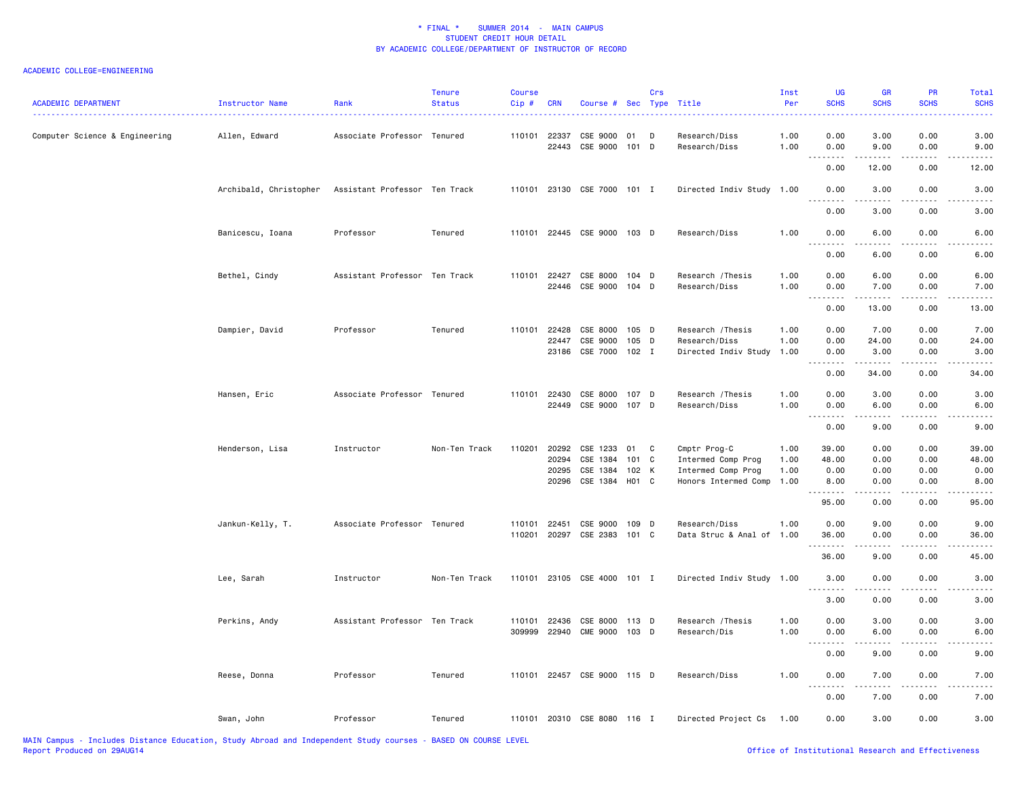| <b>ACADEMIC DEPARTMENT</b>     | Instructor Name        | Rank                          | <b>Tenure</b><br><b>Status</b> | <b>Course</b><br>Cip# | <b>CRN</b>              | Course # Sec Type Title                                  |                      | Crs |                                                                                  | Inst<br>Per                  | UG<br><b>SCHS</b>                                                                                                                                                                                                                                                                                                                                                                                                                                                                              | <b>GR</b><br><b>SCHS</b>       | <b>PR</b><br><b>SCHS</b>     | Total<br><b>SCHS</b>           |
|--------------------------------|------------------------|-------------------------------|--------------------------------|-----------------------|-------------------------|----------------------------------------------------------|----------------------|-----|----------------------------------------------------------------------------------|------------------------------|------------------------------------------------------------------------------------------------------------------------------------------------------------------------------------------------------------------------------------------------------------------------------------------------------------------------------------------------------------------------------------------------------------------------------------------------------------------------------------------------|--------------------------------|------------------------------|--------------------------------|
| Computer Science & Engineering | Allen, Edward          | Associate Professor Tenured   |                                | 110101                | 22337<br>22443          | CSE 9000<br>CSE 9000 101 D                               | 01                   | D   | Research/Diss<br>Research/Diss                                                   | 1.00<br>1.00                 | 0.00<br>0.00                                                                                                                                                                                                                                                                                                                                                                                                                                                                                   | 3.00<br>9.00                   | 0.00<br>0.00                 | 3.00<br>9.00                   |
|                                |                        |                               |                                |                       |                         |                                                          |                      |     |                                                                                  |                              | .<br>0.00                                                                                                                                                                                                                                                                                                                                                                                                                                                                                      | -----<br>12.00                 | 0.00                         | 12.00                          |
|                                | Archibald, Christopher | Assistant Professor Ten Track |                                |                       |                         | 110101 23130 CSE 7000 101 I                              |                      |     | Directed Indiv Study 1.00                                                        |                              | 0.00                                                                                                                                                                                                                                                                                                                                                                                                                                                                                           | 3.00                           | 0.00                         | 3.00                           |
|                                |                        |                               |                                |                       |                         |                                                          |                      |     |                                                                                  |                              | 0.00                                                                                                                                                                                                                                                                                                                                                                                                                                                                                           | 3.00                           | 0.00                         | 3.00                           |
|                                | Banicescu, Ioana       | Professor                     | Tenured                        |                       |                         | 110101 22445 CSE 9000 103 D                              |                      |     | Research/Diss                                                                    | 1.00                         | 0.00                                                                                                                                                                                                                                                                                                                                                                                                                                                                                           | 6.00                           | 0.00                         | 6.00                           |
|                                |                        |                               |                                |                       |                         |                                                          |                      |     |                                                                                  |                              | 0.00                                                                                                                                                                                                                                                                                                                                                                                                                                                                                           | 6.00                           | 0.00                         | 6.00                           |
|                                | Bethel, Cindy          | Assistant Professor Ten Track |                                | 110101                | 22427                   | CSE 8000 104 D<br>22446 CSE 9000 104 D                   |                      |     | Research / Thesis<br>Research/Diss                                               | 1.00<br>1.00                 | 0.00<br>0.00                                                                                                                                                                                                                                                                                                                                                                                                                                                                                   | 6.00<br>7.00                   | 0.00<br>0.00                 | 6.00<br>7.00                   |
|                                |                        |                               |                                |                       |                         |                                                          |                      |     |                                                                                  |                              | .<br>0.00                                                                                                                                                                                                                                                                                                                                                                                                                                                                                      | -----<br>13.00                 | .<br>0.00                    | 13.00                          |
|                                | Dampier, David         | Professor                     | Tenured                        |                       | 110101 22428<br>22447   | CSE 8000 105 D<br>CSE 9000<br>23186 CSE 7000 102 I       | 105 D                |     | Research / Thesis<br>Research/Diss<br>Directed Indiv Study                       | 1.00<br>1.00<br>1.00         | 0.00<br>0.00<br>0.00<br>$\sim$ $\sim$ $\sim$<br>.                                                                                                                                                                                                                                                                                                                                                                                                                                              | 7.00<br>24.00<br>3.00<br>.     | 0.00<br>0.00<br>0.00         | 7.00<br>24.00<br>3.00          |
|                                |                        |                               |                                |                       |                         |                                                          |                      |     |                                                                                  |                              | 0.00                                                                                                                                                                                                                                                                                                                                                                                                                                                                                           | 34.00                          | 0.00                         | 34.00                          |
|                                | Hansen, Eric           | Associate Professor Tenured   |                                | 110101                | 22430<br>22449          | CSE 8000 107 D<br>CSE 9000 107 D                         |                      |     | Research / Thesis<br>Research/Diss                                               | 1.00<br>1.00                 | 0.00<br>0.00<br>$\sim$ $\sim$ $\sim$<br>.                                                                                                                                                                                                                                                                                                                                                                                                                                                      | 3.00<br>6.00<br>$   -$         | 0.00<br>0.00                 | 3.00<br>6.00                   |
|                                |                        |                               |                                |                       |                         |                                                          |                      |     |                                                                                  |                              | 0.00                                                                                                                                                                                                                                                                                                                                                                                                                                                                                           | 9.00                           | 0.00                         | 9.00                           |
|                                | Henderson, Lisa        | Instructor                    | Non-Ten Track                  | 110201                | 20292<br>20294<br>20295 | CSE 1233<br>CSE 1384<br>CSE 1384<br>20296 CSE 1384 H01 C | 01<br>101 C<br>102 K | C   | Cmptr Prog-C<br>Intermed Comp Prog<br>Intermed Comp Prog<br>Honors Intermed Comp | 1.00<br>1.00<br>1.00<br>1.00 | 39.00<br>48.00<br>0.00<br>8.00                                                                                                                                                                                                                                                                                                                                                                                                                                                                 | 0.00<br>0.00<br>0.00<br>0.00   | 0.00<br>0.00<br>0.00<br>0.00 | 39.00<br>48.00<br>0.00<br>8.00 |
|                                |                        |                               |                                |                       |                         |                                                          |                      |     |                                                                                  |                              | 95.00                                                                                                                                                                                                                                                                                                                                                                                                                                                                                          | $\sim$ $\sim$ $\sim$<br>0.00   | 0.00                         | 95.00                          |
|                                | Jankun-Kelly, T.       | Associate Professor Tenured   |                                | 110101<br>110201      | 22451                   | CSE 9000<br>20297 CSE 2383 101 C                         | 109 D                |     | Research/Diss<br>Data Struc & Anal of 1.00                                       | 1.00                         | 0.00<br>36.00                                                                                                                                                                                                                                                                                                                                                                                                                                                                                  | 9.00<br>0.00                   | 0.00<br>0.00                 | 9.00<br>36.00                  |
|                                |                        |                               |                                |                       |                         |                                                          |                      |     |                                                                                  |                              | $\frac{1}{2} \left( \frac{1}{2} \right) \left( \frac{1}{2} \right) \left( \frac{1}{2} \right) \left( \frac{1}{2} \right) \left( \frac{1}{2} \right)$<br>36.00                                                                                                                                                                                                                                                                                                                                  | .<br>9.00                      | 0.00                         | 45.00                          |
|                                | Lee, Sarah             | Instructor                    | Non-Ten Track                  |                       |                         | 110101 23105 CSE 4000 101 I                              |                      |     | Directed Indiv Study 1.00                                                        |                              | 3.00                                                                                                                                                                                                                                                                                                                                                                                                                                                                                           | 0.00                           | 0.00                         | 3.00                           |
|                                |                        |                               |                                |                       |                         |                                                          |                      |     |                                                                                  |                              | .<br>3.00                                                                                                                                                                                                                                                                                                                                                                                                                                                                                      | $\sim$ $\sim$ $\sim$<br>0.00   | 0.00                         | 3.00                           |
|                                | Perkins, Andy          | Assistant Professor Ten Track |                                | 110101<br>309999      | 22436<br>22940          | CSE 8000 113 D<br><b>CME 9000</b>                        | $103$ D              |     | Research / Thesis<br>Research/Dis                                                | 1.00<br>1.00                 | 0.00<br>0.00                                                                                                                                                                                                                                                                                                                                                                                                                                                                                   | 3.00<br>6.00                   | 0.00<br>0.00                 | 3.00<br>6.00                   |
|                                |                        |                               |                                |                       |                         |                                                          |                      |     |                                                                                  |                              | $\begin{array}{cccccccccccccc} \multicolumn{2}{c}{} & \multicolumn{2}{c}{} & \multicolumn{2}{c}{} & \multicolumn{2}{c}{} & \multicolumn{2}{c}{} & \multicolumn{2}{c}{} & \multicolumn{2}{c}{} & \multicolumn{2}{c}{} & \multicolumn{2}{c}{} & \multicolumn{2}{c}{} & \multicolumn{2}{c}{} & \multicolumn{2}{c}{} & \multicolumn{2}{c}{} & \multicolumn{2}{c}{} & \multicolumn{2}{c}{} & \multicolumn{2}{c}{} & \multicolumn{2}{c}{} & \multicolumn{2}{c}{} & \multicolumn{2}{c}{} & \$<br>0.00 | .<br>9.00                      | .<br>0.00                    | 9.00                           |
|                                | Reese, Donna           | Professor                     | Tenured                        | 110101                |                         | 22457 CSE 9000 115 D                                     |                      |     | Research/Diss                                                                    | 1.00                         | 0.00                                                                                                                                                                                                                                                                                                                                                                                                                                                                                           | 7.00                           | 0.00                         | 7.00                           |
|                                |                        |                               |                                |                       |                         |                                                          |                      |     |                                                                                  |                              | $\sim$ $\sim$ $\sim$<br>.<br>0.00                                                                                                                                                                                                                                                                                                                                                                                                                                                              | $\omega$ is a $\omega$<br>7.00 | .<br>0.00                    | 7.00                           |
|                                | Swan, John             | Professor                     | Tenured                        |                       |                         | 110101 20310 CSE 8080 116 I                              |                      |     | Directed Project Cs 1.00                                                         |                              | 0.00                                                                                                                                                                                                                                                                                                                                                                                                                                                                                           | 3.00                           | 0.00                         | 3.00                           |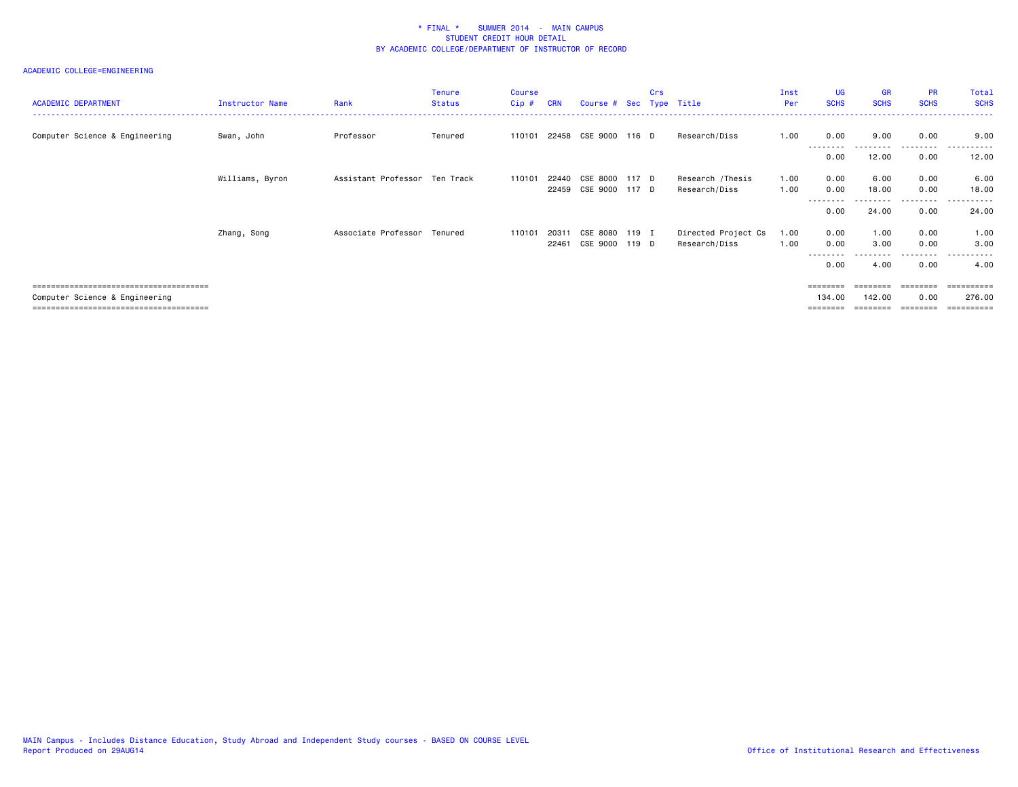| <b>ACADEMIC DEPARTMENT</b>     | Instructor Name | Rank                          | <b>Tenure</b><br><b>Status</b> | <b>Course</b><br>Cip# | <b>CRN</b> | Course # Sec Type Title |       | Crs |                     | Inst<br>Per | <b>UG</b><br><b>SCHS</b> | <b>GR</b><br><b>SCHS</b> | <b>PR</b><br><b>SCHS</b> | Total<br><b>SCHS</b>  |
|--------------------------------|-----------------|-------------------------------|--------------------------------|-----------------------|------------|-------------------------|-------|-----|---------------------|-------------|--------------------------|--------------------------|--------------------------|-----------------------|
| Computer Science & Engineering | Swan, John      | Professor                     | Tenured                        | 110101                |            | 22458 CSE 9000          | 116 D |     | Research/Diss       | 1.00        | 0.00                     | 9.00                     | 0.00                     | 9.00                  |
|                                |                 |                               |                                |                       |            |                         |       |     |                     |             | --------<br>0.00         | .<br>12.00               | .<br>0.00                | ------<br>12.00       |
|                                | Williams, Byron | Assistant Professor Ten Track |                                | 110101                | 22440      | CSE 8000 117 D          |       |     | Research /Thesis    | 1.00        | 0.00                     | 6.00                     | 0.00                     | 6.00                  |
|                                |                 |                               |                                |                       |            | 22459 CSE 9000 117 D    |       |     | Research/Diss       | 1.00        | 0.00<br>--------         | 18.00                    | 0.00<br>.                | 18.00<br>.<br>$- - -$ |
|                                |                 |                               |                                |                       |            |                         |       |     |                     |             | 0.00                     | 24.00                    | 0.00                     | 24.00                 |
|                                | Zhang, Song     | Associate Professor Tenured   |                                | 110101                | 20311      | CSE 8080                | 119 I |     | Directed Project Cs | 1.00        | 0.00                     | 1.00                     | 0.00                     | 1.00                  |
|                                |                 |                               |                                |                       | 22461      | CSE 9000                | 119 D |     | Research/Diss       | 1.00        | 0.00                     | 3.00                     | 0.00<br>.                | 3.00                  |
|                                |                 |                               |                                |                       |            |                         |       |     |                     |             | 0.00                     | 4.00                     | 0.00                     | 4.00                  |
|                                |                 |                               |                                |                       |            |                         |       |     |                     |             | $=$ = = = = = = =        | ========                 | ========                 | ==========            |
| Computer Science & Engineering |                 |                               |                                |                       |            |                         |       |     |                     |             | 134.00                   | 142.00                   | 0.00                     | 276.00                |
|                                |                 |                               |                                |                       |            |                         |       |     |                     |             | ========                 | ========                 | ========                 | ==========            |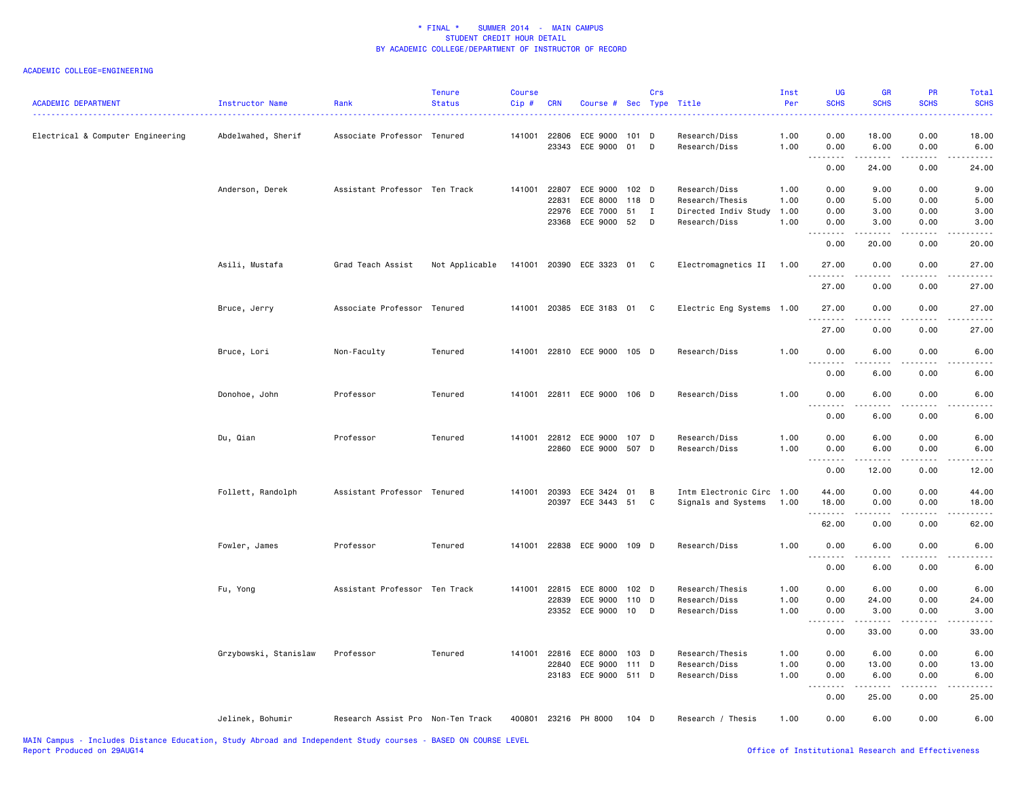| <b>ACADEMIC DEPARTMENT</b>        | Instructor Name       | Rank                              | <b>Tenure</b><br><b>Status</b> | Course<br>Cip# | <b>CRN</b>     | Course # Sec Type    |                  | Crs          | Title                          | Inst<br>Per  | UG<br><b>SCHS</b>            | GR<br><b>SCHS</b> | PR<br><b>SCHS</b> | Total<br><b>SCHS</b>  |
|-----------------------------------|-----------------------|-----------------------------------|--------------------------------|----------------|----------------|----------------------|------------------|--------------|--------------------------------|--------------|------------------------------|-------------------|-------------------|-----------------------|
| Electrical & Computer Engineering | Abdelwahed, Sherif    | Associate Professor Tenured       |                                | 141001         | 22806<br>23343 | ECE 9000<br>ECE 9000 | 101 D<br>01      | D            | Research/Diss<br>Research/Diss | 1.00<br>1.00 | 0.00<br>0.00                 | 18.00<br>6.00     | 0.00<br>0.00      | 18.00<br>6.00         |
|                                   |                       |                                   |                                |                |                |                      |                  |              |                                |              | $\sim$ $\sim$                |                   |                   |                       |
|                                   |                       |                                   |                                |                |                |                      |                  |              |                                |              | 0.00                         | 24.00             | 0.00              | 24.00                 |
|                                   | Anderson, Derek       | Assistant Professor Ten Track     |                                | 141001         | 22807          | ECE 9000             | 102 D            |              | Research/Diss                  | 1.00         | 0.00                         | 9.00              | 0.00              | 9.00                  |
|                                   |                       |                                   |                                |                | 22831          | ECE 8000             | 118 D            |              | Research/Thesis                | 1.00         | 0.00                         | 5.00              | 0.00              | 5.00                  |
|                                   |                       |                                   |                                |                | 22976          | ECE 7000             | 51               | $\mathbf{I}$ | Directed Indiv Study           | 1.00         | 0.00                         | 3.00              | 0.00              | 3.00                  |
|                                   |                       |                                   |                                |                | 23368          | ECE 9000             | 52               | D            | Research/Diss                  | 1.00         | 0.00<br>$\sim$ $\sim$ $\sim$ | 3.00              | 0.00              | 3.00                  |
|                                   |                       |                                   |                                |                |                |                      |                  |              |                                |              | 0.00                         | 20.00             | 0.00              | 20.00                 |
|                                   | Asili, Mustafa        | Grad Teach Assist                 | Not Applicable                 | 141001         |                | 20390 ECE 3323 01    |                  | $\mathbf{C}$ | Electromagnetics II            | 1.00         | 27.00                        | 0.00              | 0.00              | 27.00                 |
|                                   |                       |                                   |                                |                |                |                      |                  |              |                                |              | .<br>27.00                   | 0.00              | 0.00              | 27.00                 |
|                                   | Bruce, Jerry          | Associate Professor Tenured       |                                | 141001         |                | 20385 ECE 3183 01    |                  | C            | Electric Eng Systems 1.00      |              | 27.00<br>.                   | 0.00              | 0.00              | 27.00                 |
|                                   |                       |                                   |                                |                |                |                      |                  |              |                                |              | 27.00                        | 0.00              | 0.00              | 27.00                 |
|                                   | Bruce, Lori           | Non-Faculty                       | Tenured                        | 141001         |                | 22810 ECE 9000 105 D |                  |              | Research/Diss                  | 1.00         | 0.00                         | 6.00              | 0.00              | 6.00                  |
|                                   |                       |                                   |                                |                |                |                      |                  |              |                                |              | 0.00                         | 6.00              | 0.00              | 6.00                  |
|                                   | Donohoe, John         | Professor                         | Tenured                        | 141001         |                | 22811 ECE 9000 106 D |                  |              | Research/Diss                  | 1.00         | 0.00                         | 6.00              | 0.00              | 6.00                  |
|                                   |                       |                                   |                                |                |                |                      |                  |              |                                |              | 0.00                         | 6.00              | 0.00              | 6.00                  |
|                                   | Du, Qian              | Professor                         | Tenured                        | 141001         | 22812          | ECE 9000             | 107 D            |              | Research/Diss                  | 1.00         | 0.00                         | 6.00              | 0.00              | 6.00                  |
|                                   |                       |                                   |                                |                |                | 22860 ECE 9000 507 D |                  |              | Research/Diss                  | 1.00         | 0.00                         | 6.00              | 0.00              | 6.00                  |
|                                   |                       |                                   |                                |                |                |                      |                  |              |                                |              | .                            | -----             | $- - - -$         | .                     |
|                                   |                       |                                   |                                |                |                |                      |                  |              |                                |              | 0.00                         | 12.00             | 0.00              | 12.00                 |
|                                   | Follett, Randolph     | Assistant Professor Tenured       |                                |                | 141001 20393   | ECE 3424             | 01               | B            | Intm Electronic Circ 1.00      |              | 44.00                        | 0.00              | 0.00              | 44.00                 |
|                                   |                       |                                   |                                |                | 20397          | ECE 3443 51          |                  | C            | Signals and Systems            | 1.00         | 18.00                        | 0.00              | 0.00              | 18.00                 |
|                                   |                       |                                   |                                |                |                |                      |                  |              |                                |              | .                            | .                 | .                 | .                     |
|                                   |                       |                                   |                                |                |                |                      |                  |              |                                |              | 62.00                        | 0.00              | 0.00              | 62.00                 |
|                                   | Fowler, James         | Professor                         | Tenured                        | 141001         |                | 22838 ECE 9000 109 D |                  |              | Research/Diss                  | 1.00         | 0.00                         | 6.00              | 0.00              | 6.00                  |
|                                   |                       |                                   |                                |                |                |                      |                  |              |                                |              | .<br>$\sim$ $\sim$<br>0.00   | .<br>6.00         | .<br>0.00         | $\frac{1}{2}$<br>6.00 |
|                                   |                       |                                   |                                |                |                |                      |                  |              |                                |              |                              |                   |                   |                       |
|                                   | Fu, Yong              | Assistant Professor Ten Track     |                                | 141001         | 22815          | ECE 8000             | 102 <sub>D</sub> |              | Research/Thesis                | 1.00         | 0.00                         | 6.00              | 0.00              | 6.00                  |
|                                   |                       |                                   |                                |                | 22839          | ECE 9000             | 110              | D            | Research/Diss                  | 1.00         | 0.00                         | 24.00             | 0.00              | 24.00                 |
|                                   |                       |                                   |                                |                |                | 23352 ECE 9000       | 10               | D            | Research/Diss                  | 1.00         | 0.00<br>$\sim$ $\sim$        | 3.00              | 0.00              | 3.00                  |
|                                   |                       |                                   |                                |                |                |                      |                  |              |                                |              | 0.00                         | 33.00             | 0.00              | 33.00                 |
|                                   | Grzybowski, Stanislaw | Professor                         | Tenured                        | 141001         | 22816          | ECE 8000             | 103 D            |              | Research/Thesis                | 1.00         | 0.00                         | 6.00              | 0.00              | 6.00                  |
|                                   |                       |                                   |                                |                | 22840          | ECE 9000             | 111 D            |              | Research/Diss                  | 1.00         | 0.00                         | 13.00             | 0.00              | 13.00                 |
|                                   |                       |                                   |                                |                |                | 23183 ECE 9000 511 D |                  |              | Research/Diss                  | 1.00         | 0.00                         | 6.00              | 0.00              | 6.00                  |
|                                   |                       |                                   |                                |                |                |                      |                  |              |                                |              | د د د د                      | .                 | .                 | المتماما              |
|                                   |                       |                                   |                                |                |                |                      |                  |              |                                |              | 0.00                         | 25.00             | 0.00              | 25.00                 |
|                                   | Jelinek, Bohumir      | Research Assist Pro Non-Ten Track |                                | 400801         |                | 23216 PH 8000        | 104 D            |              | Research / Thesis              | 1.00         | 0.00                         | 6.00              | 0.00              | 6.00                  |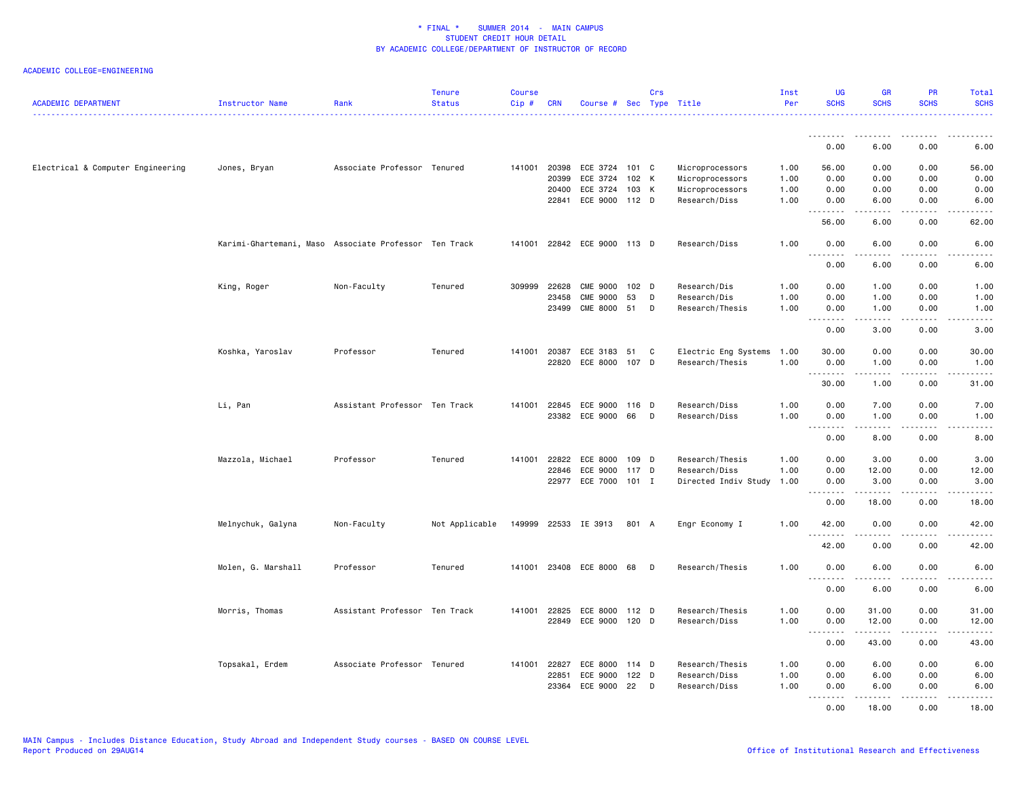| <b>ACADEMIC DEPARTMENT</b>        | <b>Instructor Name</b>                                | Rank                          | <b>Tenure</b><br><b>Status</b> | <b>Course</b><br>$Cip \#$ | <b>CRN</b> | Course # Sec Type Title |                  | Crs |                           | Inst<br>Per | UG<br><b>SCHS</b>                 | <b>GR</b><br><b>SCHS</b>                                                                                                                                     | PR<br><b>SCHS</b>                   | <b>Total</b><br><b>SCHS</b>                                                                                                        |
|-----------------------------------|-------------------------------------------------------|-------------------------------|--------------------------------|---------------------------|------------|-------------------------|------------------|-----|---------------------------|-------------|-----------------------------------|--------------------------------------------------------------------------------------------------------------------------------------------------------------|-------------------------------------|------------------------------------------------------------------------------------------------------------------------------------|
|                                   |                                                       |                               |                                |                           |            |                         |                  |     |                           |             | .                                 | 6.00                                                                                                                                                         | 0.00                                |                                                                                                                                    |
|                                   |                                                       |                               |                                |                           |            |                         |                  |     |                           |             | 0.00                              |                                                                                                                                                              |                                     | 6.00                                                                                                                               |
| Electrical & Computer Engineering | Jones, Bryan                                          | Associate Professor Tenured   |                                | 141001                    | 20398      | ECE 3724                | 101 C            |     | Microprocessors           | 1.00        | 56.00                             | 0.00                                                                                                                                                         | 0.00                                | 56.00                                                                                                                              |
|                                   |                                                       |                               |                                |                           | 20399      | ECE 3724                | 102 K            |     | Microprocessors           | 1.00        | 0.00                              | 0.00                                                                                                                                                         | 0.00                                | 0.00                                                                                                                               |
|                                   |                                                       |                               |                                |                           | 20400      | ECE 3724                | 103 K            |     | Microprocessors           | 1.00        | 0.00                              | 0.00                                                                                                                                                         | 0.00                                | 0.00                                                                                                                               |
|                                   |                                                       |                               |                                |                           | 22841      | ECE 9000 112 D          |                  |     | Research/Diss             | 1.00        | 0.00<br>$\sim$ $\sim$ $\sim$<br>. | 6.00                                                                                                                                                         | 0.00                                | 6.00                                                                                                                               |
|                                   |                                                       |                               |                                |                           |            |                         |                  |     |                           |             | 56.00                             | 6.00                                                                                                                                                         | 0.00                                | 62.00                                                                                                                              |
|                                   | Karimi-Ghartemani, Maso Associate Professor Ten Track |                               |                                | 141001                    |            | 22842 ECE 9000 113 D    |                  |     | Research/Diss             | 1.00        | 0.00<br>$\sim$ $\sim$             | 6.00                                                                                                                                                         | 0.00                                | 6.00                                                                                                                               |
|                                   |                                                       |                               |                                |                           |            |                         |                  |     |                           |             | 0.00                              | 6.00                                                                                                                                                         | 0.00                                | 6.00                                                                                                                               |
|                                   | King, Roger                                           | Non-Faculty                   | Tenured                        | 309999                    | 22628      | <b>CME 9000</b>         | 102 <sub>D</sub> |     | Research/Dis              | 1.00        | 0.00                              | 1.00                                                                                                                                                         | 0.00                                | 1.00                                                                                                                               |
|                                   |                                                       |                               |                                |                           | 23458      | <b>CME 9000</b>         | 53               | D   | Research/Dis              | 1.00        | 0.00                              | 1.00                                                                                                                                                         | 0.00                                | 1.00                                                                                                                               |
|                                   |                                                       |                               |                                |                           | 23499      | <b>CME 8000</b>         | 51               | D   | Research/Thesis           | 1.00        | 0.00                              | 1.00<br>$\sim$ $\sim$ $\sim$ $\sim$ $\sim$                                                                                                                   | 0.00<br>.                           | 1.00<br>د د د د د                                                                                                                  |
|                                   |                                                       |                               |                                |                           |            |                         |                  |     |                           |             | 0.00                              | 3.00                                                                                                                                                         | 0.00                                | 3.00                                                                                                                               |
|                                   | Koshka, Yaroslav                                      | Professor                     | Tenured                        | 141001                    | 20387      | ECE 3183                | 51               | C   | Electric Eng Systems      | 1.00        | 30.00                             | 0.00                                                                                                                                                         | 0.00                                | 30.00                                                                                                                              |
|                                   |                                                       |                               |                                |                           | 22820      | ECE 8000 107 D          |                  |     | Research/Thesis           | 1.00        | 0.00                              | 1.00                                                                                                                                                         | 0.00                                | 1.00                                                                                                                               |
|                                   |                                                       |                               |                                |                           |            |                         |                  |     |                           |             | .<br>30.00                        | -----<br>1.00                                                                                                                                                | $\sim$ $\sim$ $\sim$<br>0.00        | .<br>31.00                                                                                                                         |
|                                   | Li, Pan                                               | Assistant Professor Ten Track |                                | 141001                    | 22845      | ECE 9000                | 116 D            |     | Research/Diss             | 1.00        | 0.00                              | 7.00                                                                                                                                                         | 0.00                                | 7.00                                                                                                                               |
|                                   |                                                       |                               |                                |                           | 23382      | ECE 9000                | 66               | D   | Research/Diss             | 1.00        | 0.00                              | 1.00                                                                                                                                                         | 0.00                                | 1.00                                                                                                                               |
|                                   |                                                       |                               |                                |                           |            |                         |                  |     |                           |             | .<br>$\sim$ $\sim$ $\sim$<br>0.00 | .<br>8.00                                                                                                                                                    | .<br>0.00                           | $\omega$ $\omega$ $\omega$ $\omega$ .<br>8.00                                                                                      |
|                                   | Mazzola, Michael                                      | Professor                     | Tenured                        | 141001                    | 22822      | ECE 8000                | 109 D            |     | Research/Thesis           | 1.00        | 0.00                              | 3.00                                                                                                                                                         | 0.00                                | 3.00                                                                                                                               |
|                                   |                                                       |                               |                                |                           | 22846      | ECE 9000                | 117 D            |     | Research/Diss             | 1.00        | 0.00                              | 12.00                                                                                                                                                        | 0.00                                | 12.00                                                                                                                              |
|                                   |                                                       |                               |                                |                           | 22977      | ECE 7000 101 I          |                  |     | Directed Indiv Study 1.00 |             | 0.00                              | 3.00                                                                                                                                                         | 0.00                                | 3.00                                                                                                                               |
|                                   |                                                       |                               |                                |                           |            |                         |                  |     |                           |             | $\sim$ $\sim$<br>----<br>0.00     | 18.00                                                                                                                                                        | $\sim$ $\sim$ $\sim$<br>0.00        | $\frac{1}{2} \left( \frac{1}{2} \right) \left( \frac{1}{2} \right) \left( \frac{1}{2} \right) \left( \frac{1}{2} \right)$<br>18.00 |
|                                   | Melnychuk, Galyna                                     | Non-Faculty                   | Not Applicable                 |                           |            | 149999 22533 IE 3913    | 801 A            |     | Engr Economy I            | 1.00        | 42.00<br>.                        | 0.00<br>$\frac{1}{2} \left( \frac{1}{2} \right) \left( \frac{1}{2} \right) \left( \frac{1}{2} \right) \left( \frac{1}{2} \right) \left( \frac{1}{2} \right)$ | 0.00<br>.                           | 42.00<br>.                                                                                                                         |
|                                   |                                                       |                               |                                |                           |            |                         |                  |     |                           |             | 42.00                             | 0.00                                                                                                                                                         | 0.00                                | 42.00                                                                                                                              |
|                                   | Molen, G. Marshall                                    | Professor                     | Tenured                        | 141001                    |            | 23408 ECE 8000          | 68               | D   | Research/Thesis           | 1.00        | 0.00<br>$\omega$ is a $\omega$    | 6.00<br>.                                                                                                                                                    | 0.00<br>$\sim$ $\sim$ $\sim$ $\sim$ | 6.00<br>.                                                                                                                          |
|                                   |                                                       |                               |                                |                           |            |                         |                  |     |                           |             | 0.00                              | 6.00                                                                                                                                                         | 0.00                                | 6.00                                                                                                                               |
|                                   | Morris, Thomas                                        | Assistant Professor Ten Track |                                | 141001                    | 22825      | ECE 8000 112 D          |                  |     | Research/Thesis           | 1.00        | 0.00                              | 31.00                                                                                                                                                        | 0.00                                | 31.00                                                                                                                              |
|                                   |                                                       |                               |                                |                           | 22849      | ECE 9000                | 120 D            |     | Research/Diss             | 1.00        | 0.00                              | 12.00                                                                                                                                                        | 0.00                                | 12.00                                                                                                                              |
|                                   |                                                       |                               |                                |                           |            |                         |                  |     |                           |             | .<br>0.00                         | -----<br>43.00                                                                                                                                               | 0.00                                | .<br>43.00                                                                                                                         |
|                                   | Topsakal, Erdem                                       | Associate Professor Tenured   |                                | 141001                    | 22827      | ECE 8000                | 114 D            |     | Research/Thesis           | 1.00        | 0.00                              | 6.00                                                                                                                                                         | 0.00                                | 6.00                                                                                                                               |
|                                   |                                                       |                               |                                |                           | 22851      | ECE 9000                | 122 D            |     | Research/Diss             | 1.00        | 0.00                              | 6.00                                                                                                                                                         | 0.00                                | 6.00                                                                                                                               |
|                                   |                                                       |                               |                                |                           | 23364      | ECE 9000                | 22               | D   | Research/Diss             | 1.00        | 0.00                              | 6.00                                                                                                                                                         | 0.00                                | 6.00                                                                                                                               |
|                                   |                                                       |                               |                                |                           |            |                         |                  |     |                           |             | . <b>.</b>                        | $- - - - -$                                                                                                                                                  | الدامات ب                           | د د د د د                                                                                                                          |
|                                   |                                                       |                               |                                |                           |            |                         |                  |     |                           |             | 0.00                              | 18.00                                                                                                                                                        | 0.00                                | 18.00                                                                                                                              |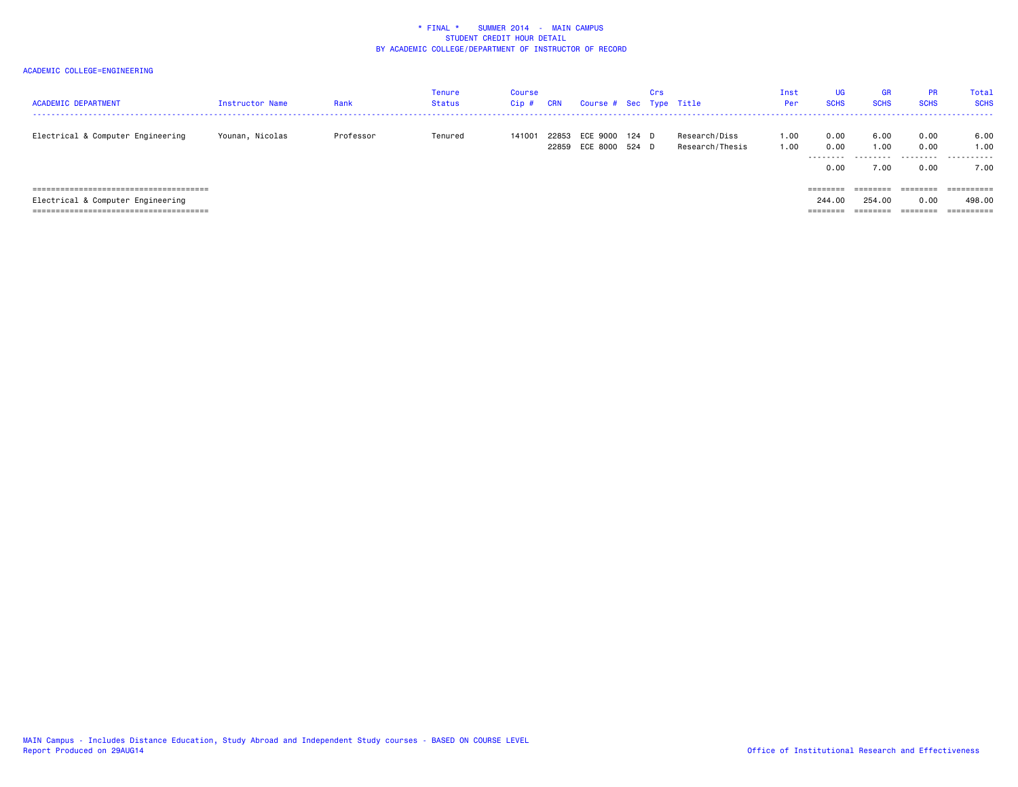| <b>ACADEMIC DEPARTMENT</b>        | Instructor Name | Rank      | Tenure<br>Status | Course<br>$Cip$ # | <b>CRN</b>     | Course # Sec Type Title          | Crs |                                  | Inst<br>Per  | UG<br><b>SCHS</b>         | <b>GR</b><br><b>SCHS</b>  | <b>PR</b><br><b>SCHS</b>  | Total<br><b>SCHS</b>      |
|-----------------------------------|-----------------|-----------|------------------|-------------------|----------------|----------------------------------|-----|----------------------------------|--------------|---------------------------|---------------------------|---------------------------|---------------------------|
| Electrical & Computer Engineering | Younan, Nicolas | Professor | Tenured          | 141001            | 22853<br>22859 | ECE 9000 124 D<br>ECE 8000 524 D |     | Research/Diss<br>Research/Thesis | 1.00<br>1.00 | 0.00<br>0.00<br>.<br>0.00 | 6.00<br>1.00<br>.<br>7.00 | 0.00<br>0.00<br>.<br>0.00 | 6.00<br>1.00<br>.<br>7.00 |
|                                   |                 |           |                  |                   |                |                                  |     |                                  |              | ========                  |                           | --------                  | =========                 |
| Electrical & Computer Engineering |                 |           |                  |                   |                |                                  |     |                                  |              | 244.00                    | 254.00                    | 0.00                      | 498.00                    |
|                                   |                 |           |                  |                   |                |                                  |     |                                  |              | =======                   | ========                  |                           | ==========                |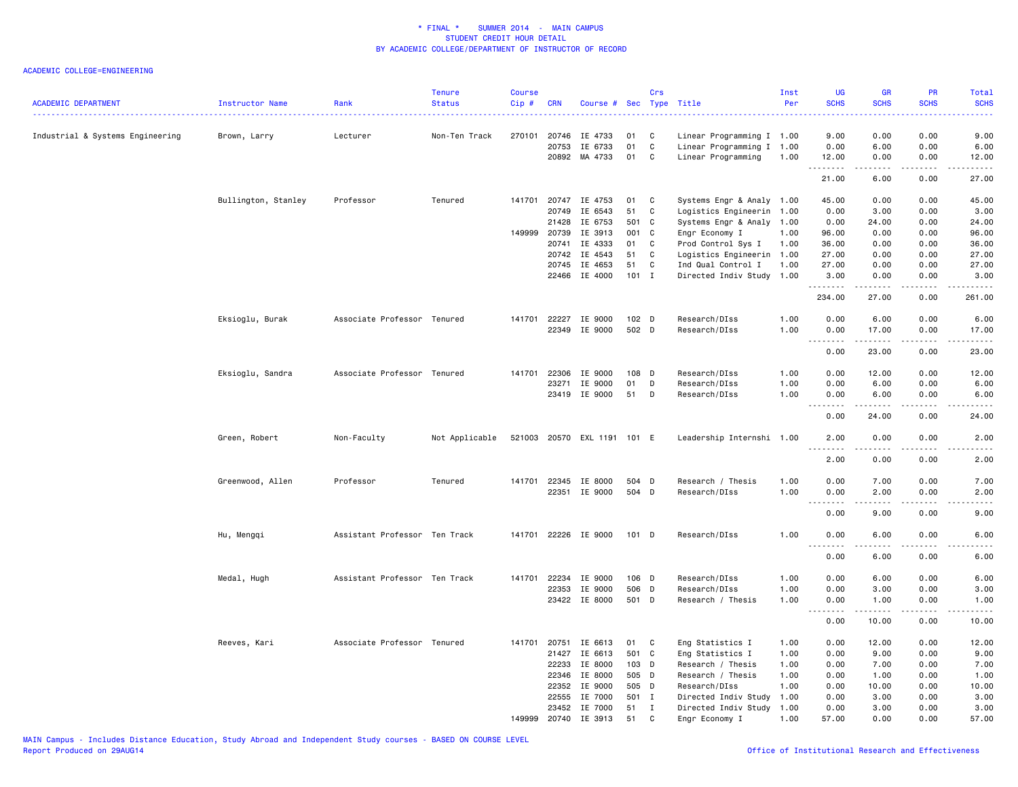| <b>ACADEMIC DEPARTMENT</b>       | Instructor Name     | Rank                          | <b>Tenure</b><br><b>Status</b> | <b>Course</b><br>$Cip$ # | <b>CRN</b>   | Course # Sec Type Title     |          | Crs    |                                                 | Inst<br>Per | UG<br><b>SCHS</b>                                                                                                                          | <b>GR</b><br><b>SCHS</b> | PR<br><b>SCHS</b>                           | <b>Total</b><br><b>SCHS</b>                 |
|----------------------------------|---------------------|-------------------------------|--------------------------------|--------------------------|--------------|-----------------------------|----------|--------|-------------------------------------------------|-------------|--------------------------------------------------------------------------------------------------------------------------------------------|--------------------------|---------------------------------------------|---------------------------------------------|
| Industrial & Systems Engineering | Brown, Larry        | Lecturer                      | Non-Ten Track                  | 270101                   | 20746        | IE 4733                     | 01       | C      | Linear Programming I 1.00                       |             | 9.00                                                                                                                                       | 0.00                     | 0.00                                        | 9.00                                        |
|                                  |                     |                               |                                |                          | 20753        | IE 6733<br>20892 MA 4733    | 01<br>01 | C<br>C | Linear Programming I 1.00<br>Linear Programming | 1.00        | 0.00<br>12.00                                                                                                                              | 6.00<br>0.00             | 0.00<br>0.00                                | 6.00<br>12.00                               |
|                                  |                     |                               |                                |                          |              |                             |          |        |                                                 |             | .<br>21.00                                                                                                                                 | .<br>6.00                | $\omega$ $\omega$ $\omega$ $\omega$<br>0.00 | والمناصبات<br>27.00                         |
|                                  | Bullington, Stanley | Professor                     | Tenured                        |                          |              | 141701 20747 IE 4753        | 01       | C      | Systems Engr & Analy 1.00                       |             | 45.00                                                                                                                                      | 0.00                     | 0.00                                        | 45.00                                       |
|                                  |                     |                               |                                |                          | 20749        | IE 6543                     | 51       | C      | Logistics Engineerin 1.00                       |             | 0.00                                                                                                                                       | 3.00                     | 0.00                                        | 3.00                                        |
|                                  |                     |                               |                                |                          | 21428        | IE 6753                     | 501      | C      | Systems Engr & Analy 1.00                       |             | 0.00                                                                                                                                       | 24.00                    | 0.00                                        | 24.00                                       |
|                                  |                     |                               |                                | 149999                   | 20739        | IE 3913                     | 001 C    |        | Engr Economy I                                  | 1.00        | 96.00                                                                                                                                      | 0.00                     | 0.00                                        | 96.00                                       |
|                                  |                     |                               |                                |                          | 20741        | IE 4333                     | 01       | C      | Prod Control Sys I                              | 1.00        | 36.00                                                                                                                                      | 0.00                     | 0.00                                        | 36.00                                       |
|                                  |                     |                               |                                |                          | 20742        | IE 4543                     | 51       | C      | Logistics Engineerin 1.00                       |             | 27.00                                                                                                                                      | 0.00                     | 0.00                                        | 27.00                                       |
|                                  |                     |                               |                                |                          | 20745        | IE 4653                     | 51       | C      | Ind Qual Control I                              | 1.00        | 27.00                                                                                                                                      | 0.00                     | 0.00                                        | 27.00                                       |
|                                  |                     |                               |                                |                          |              | 22466 IE 4000               | $101$ I  |        | Directed Indiv Study 1.00                       |             | 3.00<br>.                                                                                                                                  | 0.00                     | 0.00                                        | 3.00<br>والمناصبات                          |
|                                  |                     |                               |                                |                          |              |                             |          |        |                                                 |             | 234.00                                                                                                                                     | 27.00                    | 0.00                                        | 261.00                                      |
|                                  | Eksioglu, Burak     | Associate Professor Tenured   |                                |                          | 141701 22227 | IE 9000                     | 102 D    |        | Research/DIss                                   | 1.00        | 0.00                                                                                                                                       | 6.00                     | 0.00                                        | 6.00                                        |
|                                  |                     |                               |                                |                          | 22349        | IE 9000                     | 502 D    |        | Research/DIss                                   | 1.00        | 0.00                                                                                                                                       | 17.00                    | 0.00                                        | 17.00                                       |
|                                  |                     |                               |                                |                          |              |                             |          |        |                                                 |             | $\omega$ is $\omega$ in $\omega$<br>$\frac{1}{2} \left( \frac{1}{2} \right) \left( \frac{1}{2} \right) \left( \frac{1}{2} \right)$<br>0.00 | .<br>23.00               | .<br>0.00                                   | .<br>23.00                                  |
|                                  | Eksioglu, Sandra    | Associate Professor Tenured   |                                | 141701                   | 22306        | IE 9000                     | 108 D    |        | Research/DIss                                   | 1.00        | 0.00                                                                                                                                       | 12.00                    | 0.00                                        | 12.00                                       |
|                                  |                     |                               |                                |                          | 23271        | IE 9000                     | 01       | D      | Research/DIss                                   | 1.00        | 0.00                                                                                                                                       | 6.00                     | 0.00                                        | 6.00                                        |
|                                  |                     |                               |                                |                          |              | 23419 IE 9000               | 51       | D      | Research/DIss                                   | 1.00        | 0.00<br>$\sim$ $\sim$ .<br>.                                                                                                               | 6.00                     | 0.00<br>$- - -$                             | 6.00<br>$- - - -$                           |
|                                  |                     |                               |                                |                          |              |                             |          |        |                                                 |             | 0.00                                                                                                                                       | 24.00                    | 0.00                                        | 24.00                                       |
|                                  | Green, Robert       | Non-Faculty                   | Not Applicable                 |                          |              | 521003 20570 EXL 1191 101 E |          |        | Leadership Internshi 1.00                       |             | 2.00<br>$\sim$ $\sim$<br>.                                                                                                                 | 0.00                     | 0.00                                        | 2.00                                        |
|                                  |                     |                               |                                |                          |              |                             |          |        |                                                 |             | 2.00                                                                                                                                       | 0.00                     | 0.00                                        | 2.00                                        |
|                                  | Greenwood, Allen    | Professor                     | Tenured                        |                          | 141701 22345 | IE 8000                     | 504 D    |        | Research / Thesis                               | 1.00        | 0.00                                                                                                                                       | 7.00                     | 0.00                                        | 7.00                                        |
|                                  |                     |                               |                                |                          | 22351        | IE 9000                     | 504 D    |        | Research/DIss                                   | 1.00        | 0.00                                                                                                                                       | 2.00                     | 0.00                                        | 2.00                                        |
|                                  |                     |                               |                                |                          |              |                             |          |        |                                                 |             | الدامات با<br>$\sim$ $\sim$ $\sim$<br>0.00                                                                                                 | .<br>9.00                | $\frac{1}{2}$<br>0.00                       | .<br>9.00                                   |
|                                  | Hu, Mengqi          | Assistant Professor Ten Track |                                | 141701                   |              | 22226 IE 9000               | 101 D    |        | Research/DIss                                   | 1.00        | 0.00                                                                                                                                       | 6.00                     | 0.00                                        | 6.00                                        |
|                                  |                     |                               |                                |                          |              |                             |          |        |                                                 |             | $\sim$ $\sim$ $\sim$<br>$\overline{\phantom{a}}$<br>0.00                                                                                   | 6.00                     | $   -$<br>0.00                              | -----<br>6.00                               |
|                                  | Medal, Hugh         | Assistant Professor Ten Track |                                | 141701                   | 22234        | IE 9000                     | 106 D    |        | Research/DIss                                   | 1.00        | 0.00                                                                                                                                       | 6.00                     | 0.00                                        | 6.00                                        |
|                                  |                     |                               |                                |                          | 22353        | IE 9000                     | 506 D    |        | Research/DIss                                   | 1.00        | 0.00                                                                                                                                       | 3.00                     | 0.00                                        | 3.00                                        |
|                                  |                     |                               |                                |                          |              | 23422 IE 8000               | 501 D    |        | Research / Thesis                               | 1.00        | 0.00                                                                                                                                       | 1.00                     | 0.00                                        | 1.00                                        |
|                                  |                     |                               |                                |                          |              |                             |          |        |                                                 |             | $\sim$ $\sim$<br>.<br>0.00                                                                                                                 | 10.00                    | $\sim$ $\sim$ $\sim$ $\sim$<br>0.00         | $\sim$ $\sim$ $\sim$ $\sim$ $\sim$<br>10.00 |
|                                  | Reeves, Kari        | Associate Professor Tenured   |                                |                          |              | 141701 20751 IE 6613        | 01 C     |        | Eng Statistics I                                | 1.00        | 0.00                                                                                                                                       | 12.00                    | 0.00                                        | 12.00                                       |
|                                  |                     |                               |                                |                          | 21427        | IE 6613                     | 501 C    |        | Eng Statistics I                                | 1.00        | 0.00                                                                                                                                       | 9.00                     | 0.00                                        | 9.00                                        |
|                                  |                     |                               |                                |                          | 22233        | IE 8000                     | 103 D    |        | Research / Thesis                               | 1.00        | 0.00                                                                                                                                       | 7.00                     | 0.00                                        | 7.00                                        |
|                                  |                     |                               |                                |                          | 22346        | IE 8000                     | 505 D    |        | Research / Thesis                               | 1.00        | 0.00                                                                                                                                       | 1.00                     | 0.00                                        | 1.00                                        |
|                                  |                     |                               |                                |                          | 22352        | IE 9000                     | 505 D    |        | Research/DIss                                   | 1.00        | 0.00                                                                                                                                       | 10.00                    | 0.00                                        | 10.00                                       |
|                                  |                     |                               |                                |                          | 22555        | IE 7000                     | 501      | I      | Directed Indiv Study 1.00                       |             | 0.00                                                                                                                                       | 3.00                     | 0.00                                        | 3.00                                        |
|                                  |                     |                               |                                |                          | 23452        | IE 7000                     | 51       | I      | Directed Indiv Study 1.00                       |             | 0.00                                                                                                                                       | 3.00                     | 0.00                                        | 3.00                                        |
|                                  |                     |                               |                                | 149999                   | 20740        | IE 3913                     | 51       | C      | Engr Economy I                                  | 1.00        | 57.00                                                                                                                                      | 0.00                     | 0.00                                        | 57.00                                       |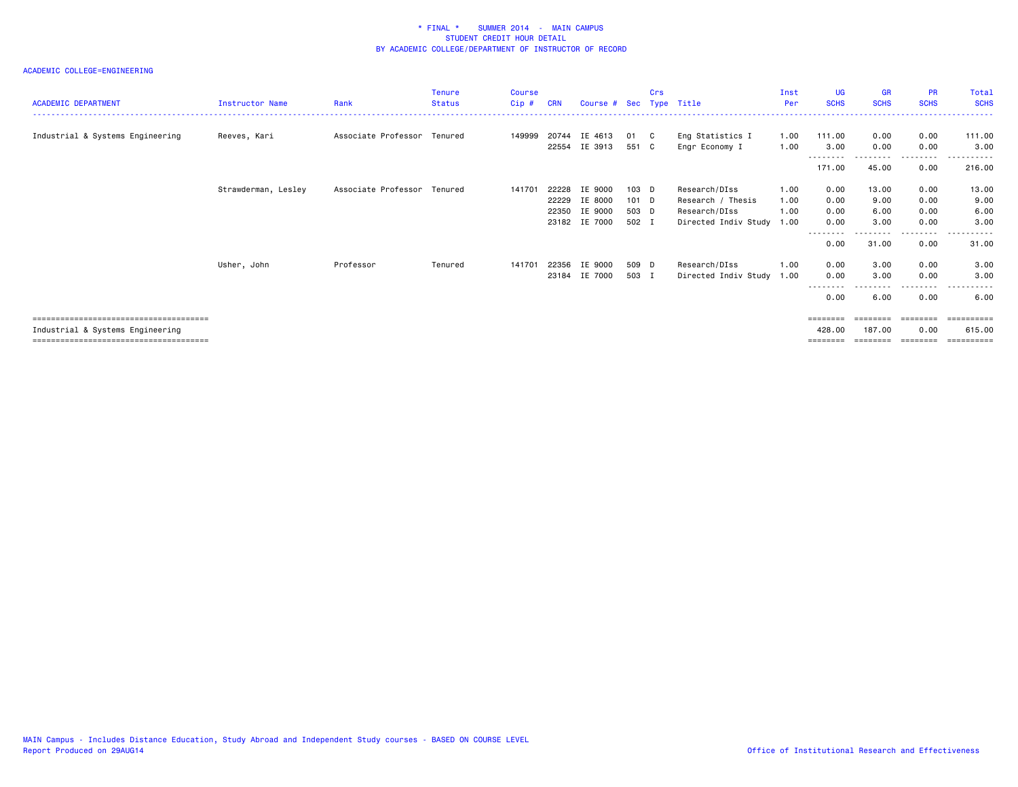| <b>ACADEMIC DEPARTMENT</b>       | <b>Instructor Name</b> | Rank                        | <b>Tenure</b><br><b>Status</b> | <b>Course</b><br>Cip# | <b>CRN</b>     | Course # Sec Type Title  |                | Crs |                                            | Inst<br>Per  | UG<br><b>SCHS</b> | <b>GR</b><br><b>SCHS</b> | <b>PR</b><br><b>SCHS</b> | Total<br><b>SCHS</b> |
|----------------------------------|------------------------|-----------------------------|--------------------------------|-----------------------|----------------|--------------------------|----------------|-----|--------------------------------------------|--------------|-------------------|--------------------------|--------------------------|----------------------|
| Industrial & Systems Engineering | Reeves, Kari           | Associate Professor Tenured |                                | 149999                | 22554          | 20744 IE 4613<br>IE 3913 | 01 C<br>551 C  |     | Eng Statistics I<br>Engr Economy I         | 1.00<br>1.00 | 111.00<br>3.00    | 0.00<br>0.00             | 0.00<br>0.00             | 111.00<br>3.00       |
|                                  |                        |                             |                                |                       |                |                          |                |     |                                            |              | 171.00            | 45.00                    | --------<br>0.00         | 216.00               |
|                                  | Strawderman, Lesley    | Associate Professor Tenured |                                | 141701                | 22228          | IE 9000                  | 103 D          |     | Research/DIss                              | 1.00         | 0.00              | 13.00                    | 0.00                     | 13.00                |
|                                  |                        |                             |                                |                       | 22229<br>22350 | IE 8000<br>IE 9000       | 101 D<br>503 D |     | Research / Thesis<br>Research/DIss         | 1.00<br>1.00 | 0.00<br>0.00      | 9.00<br>6.00             | 0.00<br>0.00             | 9.00<br>6.00         |
|                                  |                        |                             |                                |                       |                | 23182 IE 7000            | 502 I          |     | Directed Indiv Study 1.00                  |              | 0.00              | 3.00                     | 0.00<br>.                | 3,00<br>. <b>.</b>   |
|                                  |                        |                             |                                |                       |                |                          |                |     |                                            |              | 0.00              | 31.00                    | 0.00                     | 31.00                |
|                                  | Usher, John            | Professor                   | Tenured                        | 141701                | 22356<br>23184 | IE 9000<br>IE 7000       | 509 D<br>503 I |     | Research/DIss<br>Directed Indiv Study 1.00 | 1.00         | 0.00<br>0.00      | 3.00<br>3.00             | 0.00<br>0.00             | 3.00<br>3.00         |
|                                  |                        |                             |                                |                       |                |                          |                |     |                                            |              | 0.00              | 6.00                     | .<br>0.00                | 6.00                 |
|                                  |                        |                             |                                |                       |                |                          |                |     |                                            |              | ========          |                          | ========                 |                      |
| Industrial & Systems Engineering |                        |                             |                                |                       |                |                          |                |     |                                            |              | 428.00            | 187.00                   | 0.00                     | 615.00<br>========== |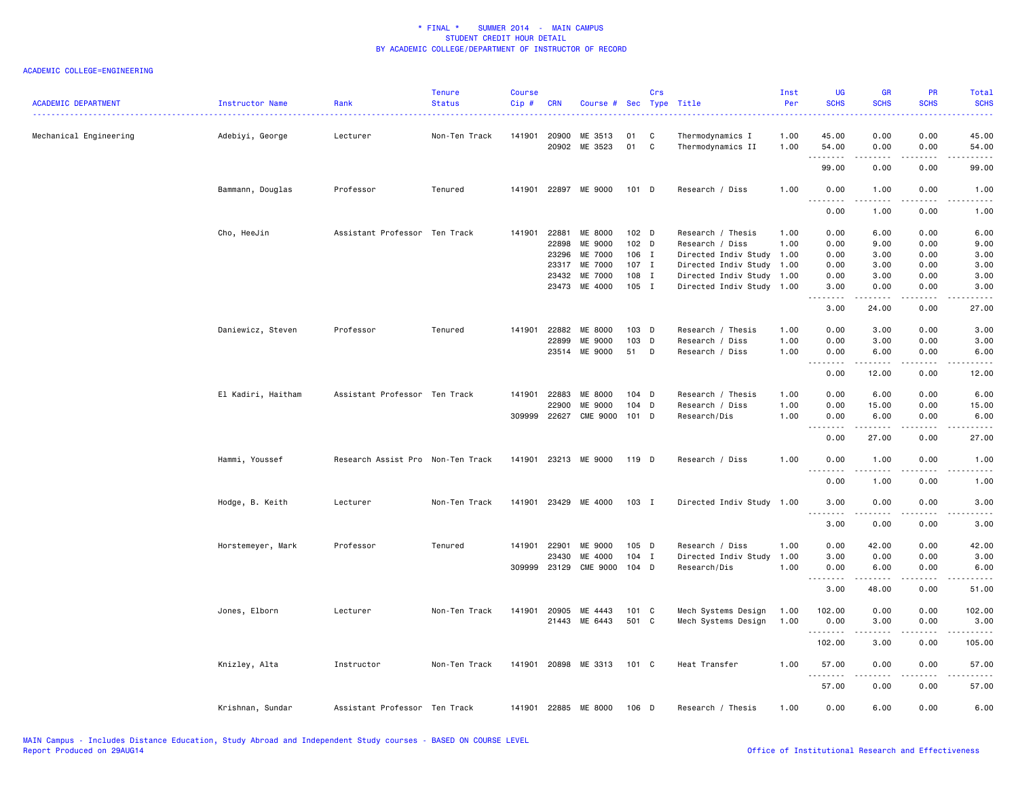| <b>ACADEMIC DEPARTMENT</b> | Instructor Name    | Rank                              | <b>Tenure</b><br><b>Status</b> | <b>Course</b><br>Cip# | <b>CRN</b>     | Course #             | Sec      | Crs<br><b>Type</b> | Title                                 | Inst<br>Per  | UG<br><b>SCHS</b>                                    | <b>GR</b><br><b>SCHS</b>                                                                                                                             | <b>PR</b><br><b>SCHS</b> | <b>Total</b><br><b>SCHS</b>                                                                                                                                    |
|----------------------------|--------------------|-----------------------------------|--------------------------------|-----------------------|----------------|----------------------|----------|--------------------|---------------------------------------|--------------|------------------------------------------------------|------------------------------------------------------------------------------------------------------------------------------------------------------|--------------------------|----------------------------------------------------------------------------------------------------------------------------------------------------------------|
| Mechanical Engineering     | Adebiyi, George    | Lecturer                          | Non-Ten Track                  | 141901                | 20900<br>20902 | ME 3513<br>ME 3523   | 01<br>01 | C<br>C             | Thermodynamics I<br>Thermodynamics II | 1.00<br>1.00 | 45.00<br>54.00                                       | 0.00<br>0.00                                                                                                                                         | 0.00<br>0.00             | 45.00<br>54.00                                                                                                                                                 |
|                            |                    |                                   |                                |                       |                |                      |          |                    |                                       |              | <u>.</u><br>99.00                                    | .<br>0.00                                                                                                                                            | 0.00                     | $\frac{1}{2} \left( \frac{1}{2} \right) \left( \frac{1}{2} \right) \left( \frac{1}{2} \right) \left( \frac{1}{2} \right)$<br>99.00                             |
|                            | Bammann, Douglas   | Professor                         | Tenured                        |                       |                | 141901 22897 ME 9000 | $101$ D  |                    | Research / Diss                       | 1.00         | 0.00                                                 | 1.00                                                                                                                                                 | 0.00                     | 1.00                                                                                                                                                           |
|                            |                    |                                   |                                |                       |                |                      |          |                    |                                       |              | .<br>.<br>0.00                                       | 1.00                                                                                                                                                 | 0.00                     | 1.00                                                                                                                                                           |
|                            | Cho, HeeJin        | Assistant Professor Ten Track     |                                | 141901 22881          |                | ME 8000              | 102 D    |                    | Research / Thesis                     | 1.00         | 0.00                                                 | 6.00                                                                                                                                                 | 0.00                     | 6.00                                                                                                                                                           |
|                            |                    |                                   |                                |                       | 22898          | ME 9000              | 102 D    |                    | Research / Diss                       | 1.00         | 0.00                                                 | 9.00                                                                                                                                                 | 0.00                     | 9.00                                                                                                                                                           |
|                            |                    |                                   |                                |                       | 23296          | ME 7000              | 106 I    |                    | Directed Indiv Study 1.00             |              | 0.00                                                 | 3.00                                                                                                                                                 | 0.00                     | 3.00                                                                                                                                                           |
|                            |                    |                                   |                                |                       | 23317          | ME 7000              | 107 I    |                    | Directed Indiv Study 1.00             |              | 0.00                                                 | 3.00                                                                                                                                                 | 0.00                     | 3.00                                                                                                                                                           |
|                            |                    |                                   |                                |                       | 23432          | ME 7000              | 108 I    |                    | Directed Indiv Study 1.00             |              | 0.00                                                 | 3.00                                                                                                                                                 | 0.00                     | 3.00                                                                                                                                                           |
|                            |                    |                                   |                                |                       | 23473          | ME 4000              | 105 I    |                    | Directed Indiv Study 1.00             |              | 3.00<br>$\sim$ $\sim$<br>$\sim$ $\sim$ $\sim$ $\sim$ | 0.00                                                                                                                                                 | 0.00                     | 3.00                                                                                                                                                           |
|                            |                    |                                   |                                |                       |                |                      |          |                    |                                       |              | 3.00                                                 | 24.00                                                                                                                                                | 0.00                     | 27.00                                                                                                                                                          |
|                            | Daniewicz, Steven  | Professor                         | Tenured                        | 141901                | 22882          | ME 8000              | 103 D    |                    | Research / Thesis                     | 1.00         | 0.00                                                 | 3.00                                                                                                                                                 | 0.00                     | 3.00                                                                                                                                                           |
|                            |                    |                                   |                                |                       | 22899          | ME 9000              | 103      | D                  | Research / Diss                       | 1.00         | 0.00                                                 | 3.00                                                                                                                                                 | 0.00                     | 3.00                                                                                                                                                           |
|                            |                    |                                   |                                |                       | 23514          | ME 9000              | 51       | D                  | Research / Diss                       | 1.00         | 0.00                                                 | 6.00                                                                                                                                                 | 0.00                     | 6.00                                                                                                                                                           |
|                            |                    |                                   |                                |                       |                |                      |          |                    |                                       |              | د د د د                                              | $\frac{1}{2} \left( \frac{1}{2} \right) \left( \frac{1}{2} \right) \left( \frac{1}{2} \right) \left( \frac{1}{2} \right) \left( \frac{1}{2} \right)$ | .                        | $- - - -$                                                                                                                                                      |
|                            |                    |                                   |                                |                       |                |                      |          |                    |                                       |              | 0.00                                                 | 12.00                                                                                                                                                | 0.00                     | 12.00                                                                                                                                                          |
|                            | El Kadiri, Haitham | Assistant Professor Ten Track     |                                | 141901                | 22883          | ME 8000              | 104 D    |                    | Research / Thesis                     | 1.00         | 0.00                                                 | 6.00                                                                                                                                                 | 0.00                     | 6.00                                                                                                                                                           |
|                            |                    |                                   |                                |                       | 22900          | ME 9000              | 104 D    |                    | Research / Diss                       | 1.00         | 0.00                                                 | 15.00                                                                                                                                                | 0.00                     | 15.00                                                                                                                                                          |
|                            |                    |                                   |                                | 309999                | 22627          | <b>CME 9000</b>      | 101 D    |                    | Research/Dis                          | 1.00         | 0.00<br>.                                            | 6.00<br>.                                                                                                                                            | 0.00<br>.                | 6.00<br>$\frac{1}{2}$                                                                                                                                          |
|                            |                    |                                   |                                |                       |                |                      |          |                    |                                       |              | 0.00                                                 | 27.00                                                                                                                                                | 0.00                     | 27.00                                                                                                                                                          |
|                            | Hammi, Youssef     | Research Assist Pro Non-Ten Track |                                | 141901                |                | 23213 ME 9000        | 119 D    |                    | Research / Diss                       | 1.00         | 0.00                                                 | 1.00                                                                                                                                                 | 0.00                     | 1.00                                                                                                                                                           |
|                            |                    |                                   |                                |                       |                |                      |          |                    |                                       |              | .<br>0.00                                            | 1.00                                                                                                                                                 | 0.00                     | 1.00                                                                                                                                                           |
|                            | Hodge, B. Keith    | Lecturer                          | Non-Ten Track                  |                       |                | 141901 23429 ME 4000 | 103 I    |                    | Directed Indiv Study 1.00             |              | 3.00                                                 | 0.00                                                                                                                                                 | 0.00                     | 3.00                                                                                                                                                           |
|                            |                    |                                   |                                |                       |                |                      |          |                    |                                       |              | . <u>.</u> .<br>3.00                                 | .<br>0.00                                                                                                                                            | .<br>0.00                | $- - - -$<br>3.00                                                                                                                                              |
|                            | Horstemeyer, Mark  | Professor                         | Tenured                        | 141901                | 22901          | ME 9000              | 105 D    |                    | Research / Diss                       | 1.00         | 0.00                                                 | 42.00                                                                                                                                                | 0.00                     | 42.00                                                                                                                                                          |
|                            |                    |                                   |                                |                       | 23430          | ME 4000              | $104$ I  |                    | Directed Indiv Study                  | 1.00         | 3.00                                                 | 0.00                                                                                                                                                 | 0.00                     | 3.00                                                                                                                                                           |
|                            |                    |                                   |                                | 309999                | 23129          | CME 9000 104 D       |          |                    | Research/Dis                          | 1.00         | 0.00                                                 | 6.00                                                                                                                                                 | 0.00                     | 6.00                                                                                                                                                           |
|                            |                    |                                   |                                |                       |                |                      |          |                    |                                       |              | .                                                    | .                                                                                                                                                    | .                        | $\frac{1}{2}$                                                                                                                                                  |
|                            |                    |                                   |                                |                       |                |                      |          |                    |                                       |              | 3.00                                                 | 48.00                                                                                                                                                | 0.00                     | 51.00                                                                                                                                                          |
|                            | Jones, Elborn      | Lecturer                          | Non-Ten Track                  | 141901                | 20905          | ME 4443              | 101 C    |                    | Mech Systems Design                   | 1.00         | 102.00                                               | 0.00                                                                                                                                                 | 0.00                     | 102.00                                                                                                                                                         |
|                            |                    |                                   |                                |                       | 21443          | ME 6443              | 501 C    |                    | Mech Systems Design                   | 1.00         | 0.00                                                 | 3.00                                                                                                                                                 | 0.00                     | 3.00                                                                                                                                                           |
|                            |                    |                                   |                                |                       |                |                      |          |                    |                                       |              | .<br>102.00                                          | 2.2.2.2.2<br>3.00                                                                                                                                    | .<br>0.00                | $\frac{1}{2} \left( \frac{1}{2} \right) \left( \frac{1}{2} \right) \left( \frac{1}{2} \right) \left( \frac{1}{2} \right) \left( \frac{1}{2} \right)$<br>105.00 |
|                            |                    |                                   |                                |                       |                |                      |          |                    |                                       |              |                                                      |                                                                                                                                                      |                          |                                                                                                                                                                |
|                            | Knizley, Alta      | Instructor                        | Non-Ten Track                  | 141901                |                | 20898 ME 3313        | 101 C    |                    | Heat Transfer                         | 1.00         | 57.00<br>.                                           | 0.00<br>$\frac{1}{2} \left( \frac{1}{2} \right) \left( \frac{1}{2} \right) \left( \frac{1}{2} \right) \left( \frac{1}{2} \right)$                    | 0.00<br>.                | 57.00<br>.                                                                                                                                                     |
|                            |                    |                                   |                                |                       |                |                      |          |                    |                                       |              | 57.00                                                | 0.00                                                                                                                                                 | 0.00                     | 57.00                                                                                                                                                          |
|                            | Krishnan, Sundar   | Assistant Professor Ten Track     |                                | 141901                | 22885          | ME 8000              | 106      | D                  | Research / Thesis                     | 1.00         | 0.00                                                 | 6.00                                                                                                                                                 | 0.00                     | 6.00                                                                                                                                                           |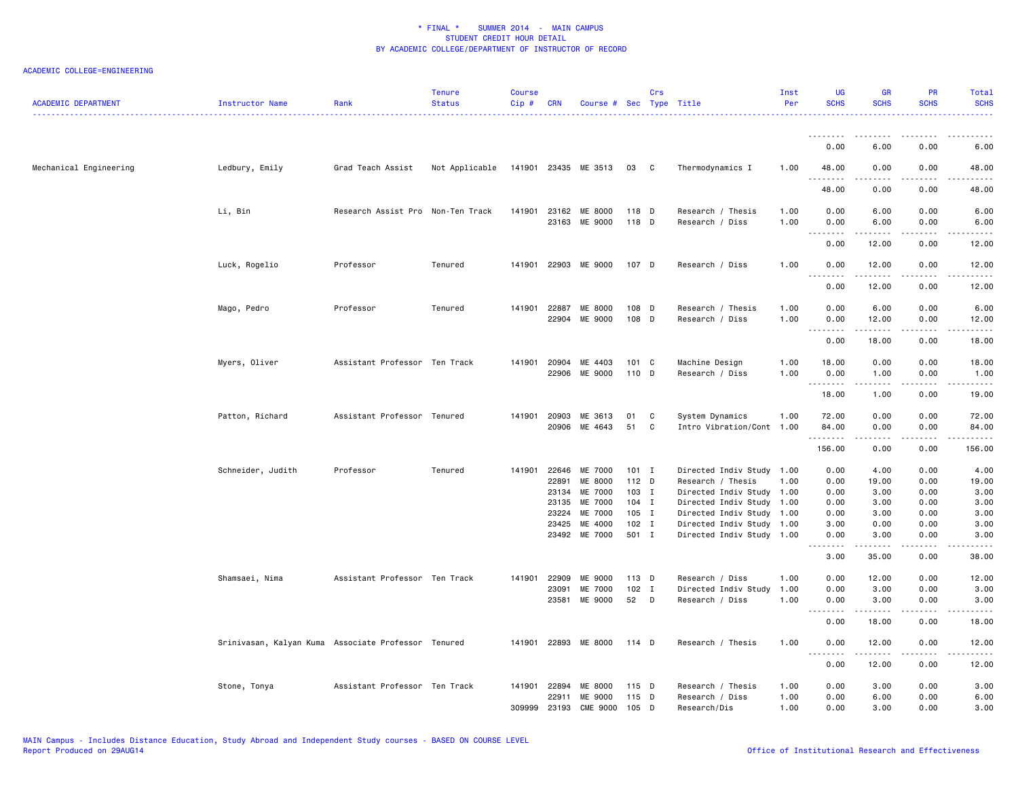| <b>ACADEMIC DEPARTMENT</b> | Instructor Name                                     | Rank                              | <b>Tenure</b><br><b>Status</b> | <b>Course</b><br>Cip # | <b>CRN</b> | Course # Sec Type Title  |                | Crs    |                                                        | Inst<br>Per  | UG<br><b>SCHS</b>                        | <b>GR</b><br><b>SCHS</b>                                                                                                                                      | <b>PR</b><br><b>SCHS</b> | Total<br><b>SCHS</b>  |
|----------------------------|-----------------------------------------------------|-----------------------------------|--------------------------------|------------------------|------------|--------------------------|----------------|--------|--------------------------------------------------------|--------------|------------------------------------------|---------------------------------------------------------------------------------------------------------------------------------------------------------------|--------------------------|-----------------------|
|                            |                                                     |                                   |                                |                        |            |                          |                |        |                                                        |              | <u>.</u>                                 |                                                                                                                                                               |                          |                       |
|                            |                                                     |                                   |                                |                        |            |                          |                |        |                                                        |              | 0.00                                     | 6.00                                                                                                                                                          | 0.00                     | 6.00                  |
| Mechanical Engineering     | Ledbury, Emily                                      | Grad Teach Assist                 | Not Applicable                 |                        |            | 141901 23435 ME 3513     | 03 C           |        | Thermodynamics I                                       | 1.00         | 48.00                                    | 0.00                                                                                                                                                          | 0.00                     | 48.00                 |
|                            |                                                     |                                   |                                |                        |            |                          |                |        |                                                        |              | 48.00                                    | 0.00                                                                                                                                                          | 0.00                     | 48.00                 |
|                            | Li, Bin                                             | Research Assist Pro Non-Ten Track |                                | 141901                 | 23162      | ME 8000<br>23163 ME 9000 | 118 D<br>118 D |        | Research / Thesis<br>Research / Diss                   | 1.00<br>1.00 | 0.00<br>0.00                             | 6.00<br>6.00                                                                                                                                                  | 0.00<br>0.00             | 6.00<br>6.00          |
|                            |                                                     |                                   |                                |                        |            |                          |                |        |                                                        |              |                                          |                                                                                                                                                               |                          |                       |
|                            |                                                     |                                   |                                |                        |            |                          |                |        |                                                        |              | 0.00                                     | 12.00                                                                                                                                                         | 0.00                     | 12.00                 |
|                            | Luck, Rogelio                                       | Professor                         | Tenured                        | 141901                 |            | 22903 ME 9000            | 107 D          |        | Research / Diss                                        | 1.00         | 0.00<br>.<br>$\sim$ $\sim$               | 12.00<br>------                                                                                                                                               | 0.00<br>.                | 12.00<br>.            |
|                            |                                                     |                                   |                                |                        |            |                          |                |        |                                                        |              | 0.00                                     | 12.00                                                                                                                                                         | 0.00                     | 12.00                 |
|                            | Mago, Pedro                                         | Professor                         | Tenured                        | 141901                 | 22887      | ME 8000                  | 108 D          |        | Research / Thesis                                      | 1.00         | 0.00                                     | 6.00                                                                                                                                                          | 0.00                     | 6.00                  |
|                            |                                                     |                                   |                                |                        | 22904      | ME 9000                  | 108 D          |        | Research / Diss                                        | 1.00         | 0.00<br>. <b>.</b> .                     | 12.00                                                                                                                                                         | 0.00                     | 12.00                 |
|                            |                                                     |                                   |                                |                        |            |                          |                |        |                                                        |              | 0.00                                     | 18.00                                                                                                                                                         | 0.00                     | 18.00                 |
|                            | Myers, Oliver                                       | Assistant Professor Ten Track     |                                | 141901                 | 20904      | ME 4403                  | 101 C          |        | Machine Design                                         | 1.00         | 18.00                                    | 0.00                                                                                                                                                          | 0.00                     | 18.00                 |
|                            |                                                     |                                   |                                |                        | 22906      | ME 9000                  | 110 D          |        | Research / Diss                                        | 1.00         | 0.00<br>.                                | 1.00                                                                                                                                                          | 0.00                     | 1.00                  |
|                            |                                                     |                                   |                                |                        |            |                          |                |        |                                                        |              | 18.00                                    | .<br>1.00                                                                                                                                                     | 0.00                     | 19.00                 |
|                            | Patton, Richard                                     | Assistant Professor Tenured       |                                | 141901                 | 20903      | ME 3613                  | 01             | C      | System Dynamics                                        | 1.00         | 72.00                                    | 0.00                                                                                                                                                          | 0.00                     | 72.00                 |
|                            |                                                     |                                   |                                |                        | 20906      | ME 4643                  | 51             | C      | Intro Vibration/Cont 1.00                              |              | 84.00<br>1.1.1.1.1.1.1                   | 0.00<br>.                                                                                                                                                     | 0.00<br><u>.</u>         | 84.00<br><u>.</u>     |
|                            |                                                     |                                   |                                |                        |            |                          |                |        |                                                        |              | 156.00                                   | 0.00                                                                                                                                                          | 0.00                     | 156.00                |
|                            | Schneider, Judith                                   | Professor                         | Tenured                        | 141901                 | 22646      | ME 7000                  | $101$ I        |        | Directed Indiv Study 1.00                              |              | 0.00                                     | 4.00                                                                                                                                                          | 0.00                     | 4.00                  |
|                            |                                                     |                                   |                                |                        | 22891      | ME 8000                  | 112 D          |        | Research / Thesis                                      | 1.00         | 0.00                                     | 19.00                                                                                                                                                         | 0.00                     | 19.00                 |
|                            |                                                     |                                   |                                |                        | 23134      | ME 7000                  | 103 I          |        | Directed Indiv Study 1.00                              |              | 0.00                                     | 3.00                                                                                                                                                          | 0.00                     | 3.00                  |
|                            |                                                     |                                   |                                |                        | 23135      | ME 7000                  | $104$ I        |        | Directed Indiv Study 1.00                              |              | 0.00                                     | 3.00                                                                                                                                                          | 0.00                     | 3.00                  |
|                            |                                                     |                                   |                                |                        | 23224      | ME 7000                  | 105 I          |        | Directed Indiv Study 1.00                              |              | 0.00                                     | 3.00                                                                                                                                                          | 0.00                     | 3.00                  |
|                            |                                                     |                                   |                                |                        | 23425      | ME 4000<br>23492 ME 7000 | 102 I<br>501 I |        | Directed Indiv Study 1.00<br>Directed Indiv Study 1.00 |              | 3.00<br>0.00                             | 0.00<br>3.00                                                                                                                                                  | 0.00<br>0.00             | 3.00<br>3.00          |
|                            |                                                     |                                   |                                |                        |            |                          |                |        |                                                        |              | $\omega$ is $\omega$ in $\omega$<br>3.00 | .<br>35.00                                                                                                                                                    | .<br>0.00                | .<br>38.00            |
|                            | Shamsaei, Nima                                      | Assistant Professor Ten Track     |                                | 141901                 | 22909      | ME 9000                  | 113 D          |        | Research / Diss                                        | 1.00         | 0.00                                     | 12.00                                                                                                                                                         | 0.00                     | 12.00                 |
|                            |                                                     |                                   |                                |                        | 23091      | ME 7000                  | $102$ I        |        | Directed Indiv Study                                   | 1.00         | 0.00                                     | 3.00                                                                                                                                                          | 0.00                     | 3.00                  |
|                            |                                                     |                                   |                                |                        | 23581      | ME 9000                  | 52             | $\Box$ | Research / Diss                                        | 1.00         | 0.00<br>.<br>$\sim$ $\sim$               | 3.00<br>$- - - - -$                                                                                                                                           | 0.00<br>.                | 3.00<br>$\frac{1}{2}$ |
|                            |                                                     |                                   |                                |                        |            |                          |                |        |                                                        |              | 0.00                                     | 18.00                                                                                                                                                         | 0.00                     | 18.00                 |
|                            | Srinivasan, Kalyan Kuma Associate Professor Tenured |                                   |                                | 141901                 |            | 22893 ME 8000            | 114 D          |        | Research / Thesis                                      | 1.00         | 0.00                                     | 12.00<br>$\frac{1}{2} \left( \frac{1}{2} \right) \left( \frac{1}{2} \right) \left( \frac{1}{2} \right) \left( \frac{1}{2} \right) \left( \frac{1}{2} \right)$ | 0.00                     | 12.00                 |
|                            |                                                     |                                   |                                |                        |            |                          |                |        |                                                        |              | 0.00                                     | 12.00                                                                                                                                                         | 0.00                     | 12.00                 |
|                            | Stone, Tonya                                        | Assistant Professor Ten Track     |                                | 141901                 | 22894      | ME 8000                  | 115 D          |        | Research / Thesis                                      | 1.00         | 0.00                                     | 3.00                                                                                                                                                          | 0.00                     | 3.00                  |
|                            |                                                     |                                   |                                |                        | 22911      | ME 9000                  | 115            | D      | Research / Diss                                        | 1.00         | 0.00                                     | 6.00                                                                                                                                                          | 0.00                     | 6.00                  |
|                            |                                                     |                                   |                                | 309999                 | 23193      | CME 9000                 | 105            | D      | Research/Dis                                           | 1.00         | 0.00                                     | 3.00                                                                                                                                                          | 0.00                     | 3.00                  |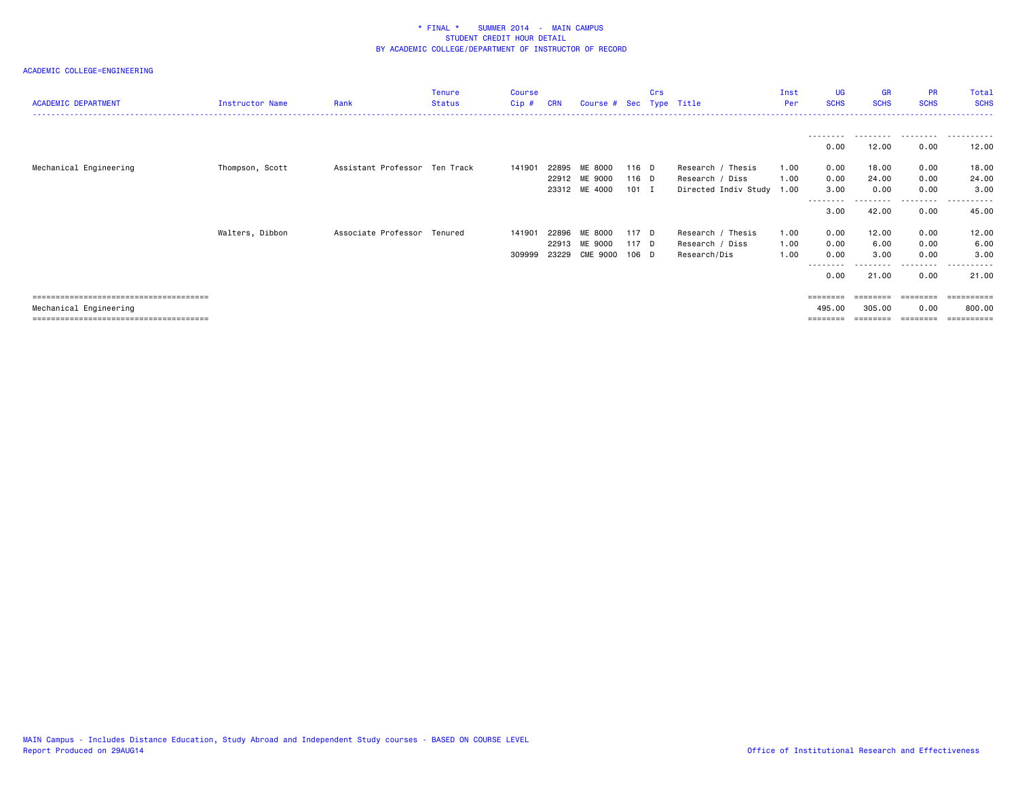| <b>ACADEMIC DEPARTMENT</b> | Instructor Name | Rank                          | Tenure<br><b>Status</b> | <b>Course</b><br>Cip# | <b>CRN</b> | Course # Sec Type Title |         | Crs |                           | Inst<br>Per | UG<br><b>SCHS</b> | <b>GR</b><br><b>SCHS</b> | <b>PR</b><br><b>SCHS</b> | Total<br><b>SCHS</b> |
|----------------------------|-----------------|-------------------------------|-------------------------|-----------------------|------------|-------------------------|---------|-----|---------------------------|-------------|-------------------|--------------------------|--------------------------|----------------------|
|                            |                 |                               |                         |                       |            |                         |         |     |                           |             |                   |                          |                          |                      |
|                            |                 |                               |                         |                       |            |                         |         |     |                           |             | 0.00              | 12.00                    | 0.00                     | 12.00                |
| Mechanical Engineering     | Thompson, Scott | Assistant Professor Ten Track |                         | 141901                | 22895      | ME 8000                 | 116 $D$ |     | Research / Thesis         | 1.00        | 0.00              | 18.00                    | 0.00                     | 18.00                |
|                            |                 |                               |                         |                       |            | 22912 ME 9000           | 116 D   |     | Research / Diss           | 1.00        | 0.00              | 24.00                    | 0.00                     | 24.00                |
|                            |                 |                               |                         |                       |            | 23312 ME 4000           | $101$ I |     | Directed Indiv Study 1.00 |             | 3.00              | 0.00                     | 0.00                     | 3,00                 |
|                            |                 |                               |                         |                       |            |                         |         |     |                           |             | --------<br>3.00  | 42.00                    | .<br>0.00                | .<br>45.00           |
|                            | Walters, Dibbon | Associate Professor Tenured   |                         | 141901                | 22896      | ME 8000                 | 117 D   |     | Research / Thesis         | 1.00        | 0.00              | 12.00                    | 0.00                     | 12.00                |
|                            |                 |                               |                         |                       |            | 22913 ME 9000           | 117 D   |     | Research / Diss           | 1.00        | 0.00              | 6.00                     | 0.00                     | 6.00                 |
|                            |                 |                               |                         | 309999                | 23229      | <b>CME 9000</b>         | 106 D   |     | Research/Dis              | 1.00        | 0.00              | 3.00                     | 0.00                     | 3,00                 |
|                            |                 |                               |                         |                       |            |                         |         |     |                           |             | --------<br>0.00  | 21.00                    | --------<br>0.00         | 21.00                |
|                            |                 |                               |                         |                       |            |                         |         |     |                           |             | ========          |                          | ========                 | =========            |
| Mechanical Engineering     |                 |                               |                         |                       |            |                         |         |     |                           |             | 495.00            | 305.00                   | 0.00                     | 800,00               |
|                            |                 |                               |                         |                       |            |                         |         |     |                           |             | ========          |                          | ========                 | ==========           |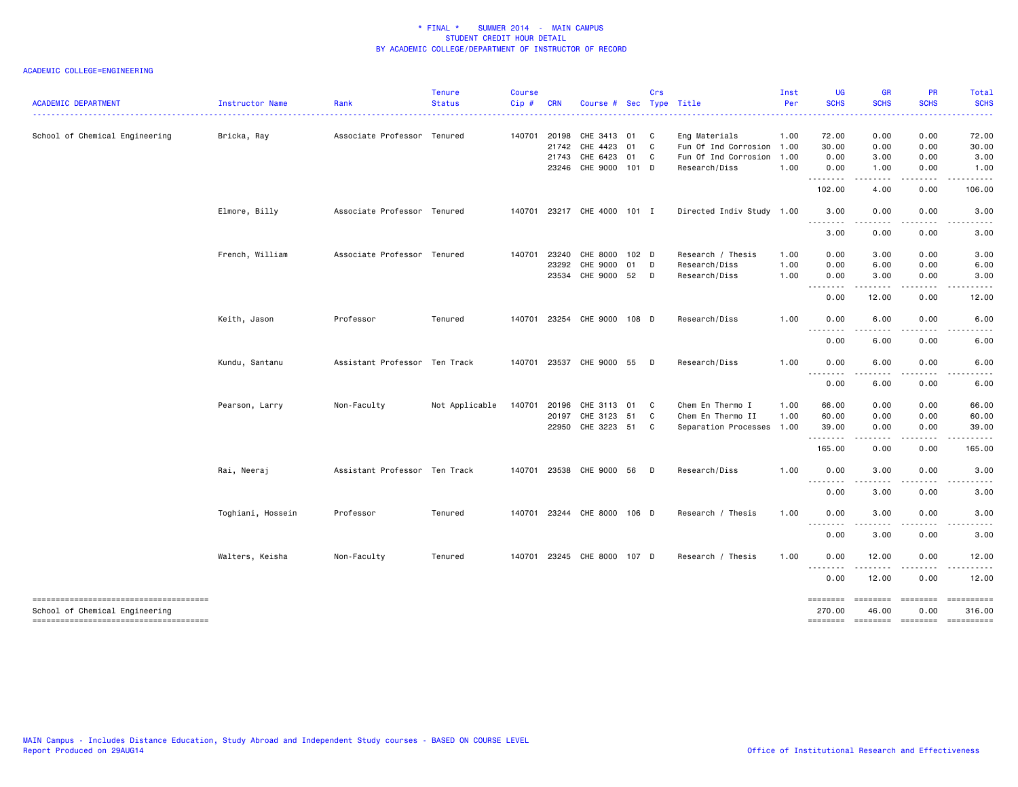| <b>ACADEMIC DEPARTMENT</b>                                              | Instructor Name   | Rank                          | <b>Tenure</b><br><b>Status</b> | <b>Course</b><br>Cip# | <b>CRN</b>   | Course # Sec Type Title     |    | Crs |                           | Inst<br>Per | UG<br><b>SCHS</b>  | GR<br><b>SCHS</b>                                                                                                                 | <b>PR</b><br><b>SCHS</b> | <b>Total</b><br><b>SCHS</b> |
|-------------------------------------------------------------------------|-------------------|-------------------------------|--------------------------------|-----------------------|--------------|-----------------------------|----|-----|---------------------------|-------------|--------------------|-----------------------------------------------------------------------------------------------------------------------------------|--------------------------|-----------------------------|
| School of Chemical Engineering                                          | Bricka, Ray       | Associate Professor Tenured   |                                |                       | 140701 20198 | CHE 3413 01                 |    | C   | Eng Materials             | 1.00        | 72.00              | 0.00                                                                                                                              | 0.00                     | 72.00                       |
|                                                                         |                   |                               |                                |                       | 21742        | CHE 4423 01                 |    | C.  | Fun Of Ind Corrosion      | 1.00        | 30.00              | 0.00                                                                                                                              | 0.00                     | 30.00                       |
|                                                                         |                   |                               |                                |                       | 21743        | CHE 6423 01                 |    | C   | Fun Of Ind Corrosion      | 1.00        | 0.00               | 3.00                                                                                                                              | 0.00                     | 3.00                        |
|                                                                         |                   |                               |                                |                       |              | 23246 CHE 9000 101 D        |    |     | Research/Diss             | 1.00        | 0.00<br>.          | 1.00<br>.                                                                                                                         | 0.00<br>.                | 1.00<br>.                   |
|                                                                         |                   |                               |                                |                       |              |                             |    |     |                           |             | 102.00             | 4.00                                                                                                                              | 0.00                     | 106.00                      |
|                                                                         | Elmore, Billy     | Associate Professor Tenured   |                                |                       |              | 140701 23217 CHE 4000 101 I |    |     | Directed Indiv Study 1.00 |             | 3.00<br>.          | 0.00<br>$\frac{1}{2} \left( \frac{1}{2} \right) \left( \frac{1}{2} \right) \left( \frac{1}{2} \right) \left( \frac{1}{2} \right)$ | 0.00<br>. <b>.</b>       | 3.00<br>.                   |
|                                                                         |                   |                               |                                |                       |              |                             |    |     |                           |             | 3.00               | 0.00                                                                                                                              | 0.00                     | 3.00                        |
|                                                                         | French, William   | Associate Professor Tenured   |                                |                       | 140701 23240 | CHE 8000 102 D              |    |     | Research / Thesis         | 1.00        | 0.00               | 3.00                                                                                                                              | 0.00                     | 3.00                        |
|                                                                         |                   |                               |                                |                       | 23292        | CHE 9000                    | 01 | D   | Research/Diss             | 1.00        | 0.00               | 6.00                                                                                                                              | 0.00                     | 6.00                        |
|                                                                         |                   |                               |                                |                       |              | 23534 CHE 9000 52 D         |    |     | Research/Diss             | 1.00        | 0.00<br>.          | 3.00<br>-----                                                                                                                     | 0.00<br>.                | 3.00                        |
|                                                                         |                   |                               |                                |                       |              |                             |    |     |                           |             | 0.00               | 12.00                                                                                                                             | 0.00                     | 12.00                       |
|                                                                         | Keith, Jason      | Professor                     | Tenured                        |                       |              | 140701 23254 CHE 9000 108 D |    |     | Research/Diss             | 1.00        | 0.00<br>.          | 6.00<br>$\sim$ $\sim$ $\sim$                                                                                                      | 0.00                     | 6.00                        |
|                                                                         |                   |                               |                                |                       |              |                             |    |     |                           |             | 0.00               | 6.00                                                                                                                              | 0.00                     | 6.00                        |
|                                                                         | Kundu, Santanu    | Assistant Professor Ten Track |                                |                       |              | 140701 23537 CHE 9000 55    |    | D.  | Research/Diss             | 1.00        | 0.00<br>.          | 6.00<br>.                                                                                                                         | 0.00                     | 6.00                        |
|                                                                         |                   |                               |                                |                       |              |                             |    |     |                           |             | 0.00               | 6.00                                                                                                                              | 0.00                     | 6.00                        |
|                                                                         | Pearson, Larry    | Non-Faculty                   | Not Applicable                 | 140701                | 20196        | CHE 3113 01                 |    | C.  | Chem En Thermo I          | 1.00        | 66.00              | 0.00                                                                                                                              | 0.00                     | 66.00                       |
|                                                                         |                   |                               |                                |                       | 20197        | CHE 3123 51                 |    | C   | Chem En Thermo II         | 1.00        | 60.00              | 0.00                                                                                                                              | 0.00                     | 60.00                       |
|                                                                         |                   |                               |                                |                       |              | 22950 CHE 3223 51           |    | C   | Separation Processes 1.00 |             | 39.00<br>.         | 0.00<br>المستبدة                                                                                                                  | 0.00<br>.                | 39.00<br>.                  |
|                                                                         |                   |                               |                                |                       |              |                             |    |     |                           |             | 165.00             | 0.00                                                                                                                              | 0.00                     | 165.00                      |
|                                                                         | Rai, Neeraj       | Assistant Professor Ten Track |                                | 140701                |              | 23538 CHE 9000 56           |    | D   | Research/Diss             | 1.00        | 0.00<br>.          | 3.00<br>----                                                                                                                      | 0.00<br>.                | 3.00<br>-----               |
|                                                                         |                   |                               |                                |                       |              |                             |    |     |                           |             | 0.00               | 3.00                                                                                                                              | 0.00                     | 3.00                        |
|                                                                         | Toghiani, Hossein | Professor                     | Tenured                        |                       |              | 140701 23244 CHE 8000 106 D |    |     | Research / Thesis         | 1.00        | 0.00               | 3.00<br>.                                                                                                                         | 0.00                     | 3.00                        |
|                                                                         |                   |                               |                                |                       |              |                             |    |     |                           |             | 0.00               | 3.00                                                                                                                              | 0.00                     | 3.00                        |
|                                                                         | Walters, Keisha   | Non-Faculty                   | Tenured                        |                       |              | 140701 23245 CHE 8000 107 D |    |     | Research / Thesis         | 1.00        | 0.00<br>.          | 12.00<br>.                                                                                                                        | 0.00                     | 12.00                       |
|                                                                         |                   |                               |                                |                       |              |                             |    |     |                           |             | 0.00               | 12.00                                                                                                                             | 0.00                     | 12.00                       |
| -------------------------------------<br>School of Chemical Engineering |                   |                               |                                |                       |              |                             |    |     |                           |             | ========<br>270.00 | ========<br>46.00                                                                                                                 | ========<br>0.00         | ==========<br>316.00        |
| -------------------------------------                                   |                   |                               |                                |                       |              |                             |    |     |                           |             | ========           | <b>ESSESSES</b>                                                                                                                   | ========                 | ==========                  |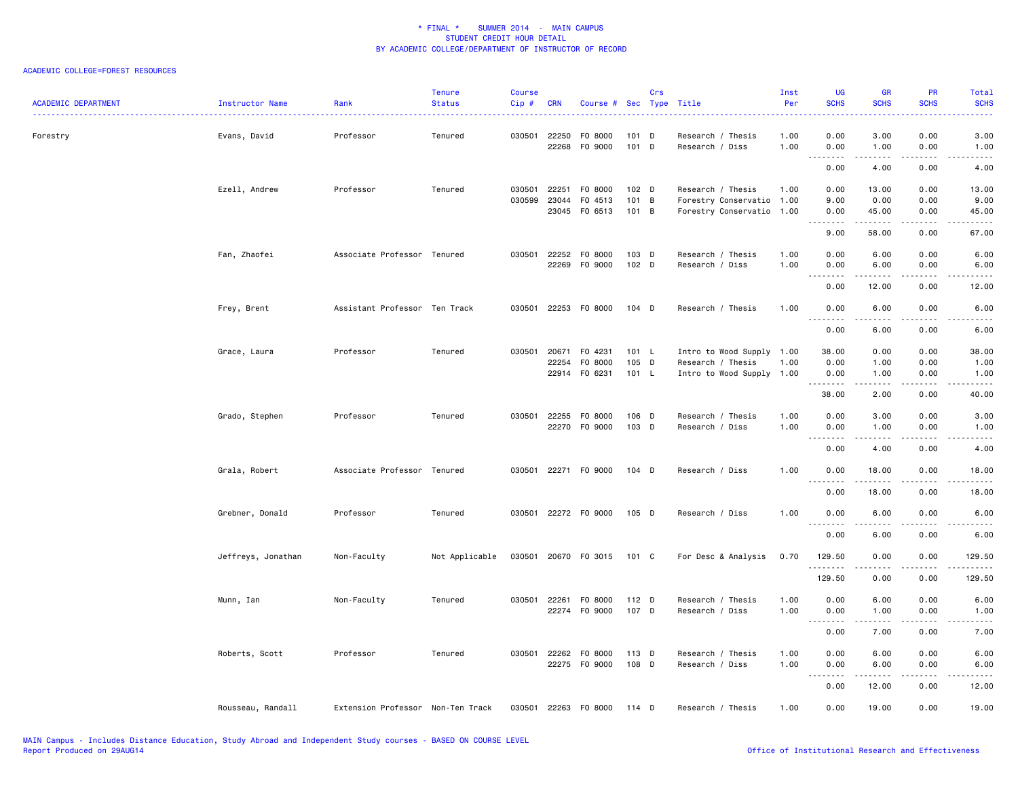### ACADEMIC COLLEGE=FOREST RESOURCES

| <b>ACADEMIC DEPARTMENT</b> | Instructor Name    | Rank                              | <b>Tenure</b><br><b>Status</b> | <b>Course</b><br>Cip # | <b>CRN</b>   | Course #             |                  | Crs | Sec Type Title                       | Inst<br>Per  | <b>UG</b><br><b>SCHS</b>                         | <b>GR</b><br><b>SCHS</b> | <b>PR</b><br><b>SCHS</b> | Total<br><b>SCHS</b>                                                                                                               |
|----------------------------|--------------------|-----------------------------------|--------------------------------|------------------------|--------------|----------------------|------------------|-----|--------------------------------------|--------------|--------------------------------------------------|--------------------------|--------------------------|------------------------------------------------------------------------------------------------------------------------------------|
| Forestry                   | Evans, David       | Professor                         | Tenured                        | 030501 22250           | 22268        | F0 8000<br>F0 9000   | 101 D<br>101 D   |     | Research / Thesis<br>Research / Diss | 1.00<br>1.00 | 0.00<br>0.00                                     | 3.00<br>1.00             | 0.00<br>0.00             | 3.00<br>1.00                                                                                                                       |
|                            |                    |                                   |                                |                        |              |                      |                  |     |                                      |              | $\omega$ is $\omega$ in<br>$\sim$ $\sim$<br>0.00 | .<br>4.00                | .<br>0.00                | $\frac{1}{2}$<br>4.00                                                                                                              |
|                            | Ezell, Andrew      | Professor                         | Tenured                        | 030501                 | 22251        | F0 8000              | 102 D            |     | Research / Thesis                    | 1.00         | 0.00                                             | 13.00                    | 0.00                     | 13.00                                                                                                                              |
|                            |                    |                                   |                                | 030599                 | 23044        | F0 4513              | 101 B            |     | Forestry Conservatio 1.00            |              | 9.00                                             | 0.00                     | 0.00                     | 9.00                                                                                                                               |
|                            |                    |                                   |                                |                        | 23045        | FO 6513              | $101 \quad B$    |     | Forestry Conservatio 1.00            |              | 0.00                                             | 45.00                    | 0.00                     | 45.00                                                                                                                              |
|                            |                    |                                   |                                |                        |              |                      |                  |     |                                      |              | <u>.</u><br>9.00                                 | 58.00                    | 0.00                     | 67.00                                                                                                                              |
|                            | Fan, Zhaofei       | Associate Professor Tenured       |                                | 030501                 | 22252        | F0 8000              | 103 D            |     | Research / Thesis                    | 1.00         | 0.00                                             | 6.00                     | 0.00                     | 6.00                                                                                                                               |
|                            |                    |                                   |                                |                        | 22269        | F0 9000              | 102 <sub>D</sub> |     | Research / Diss                      | 1.00         | 0.00                                             | 6.00                     | 0.00                     | 6.00                                                                                                                               |
|                            |                    |                                   |                                |                        |              |                      |                  |     |                                      |              | .<br>$\sim$ $\sim$<br>0.00                       | 12.00                    | .<br>0.00                | 12.00                                                                                                                              |
|                            | Frey, Brent        | Assistant Professor Ten Track     |                                |                        | 030501 22253 | F0 8000              | 104 D            |     | Research / Thesis                    | 1.00         | 0.00                                             | 6.00                     | 0.00                     | 6.00                                                                                                                               |
|                            |                    |                                   |                                |                        |              |                      |                  |     |                                      |              | $\sim$ $\sim$ $\sim$<br>-----                    | -----                    | .                        | $\frac{1}{2}$                                                                                                                      |
|                            |                    |                                   |                                |                        |              |                      |                  |     |                                      |              | 0.00                                             | 6.00                     | 0.00                     | 6.00                                                                                                                               |
|                            | Grace, Laura       | Professor                         | Tenured                        | 030501 20671           |              | F0 4231              | 101 L            |     | Intro to Wood Supply 1.00            |              | 38.00                                            | 0.00                     | 0.00                     | 38.00                                                                                                                              |
|                            |                    |                                   |                                |                        | 22254        | F0 8000              | 105              | D   | Research / Thesis                    | 1.00         | 0.00                                             | 1.00                     | 0.00                     | 1.00                                                                                                                               |
|                            |                    |                                   |                                |                        |              | 22914 F0 6231        | 101 L            |     | Intro to Wood Supply 1.00            |              | 0.00                                             | 1.00                     | 0.00                     | 1.00                                                                                                                               |
|                            |                    |                                   |                                |                        |              |                      |                  |     |                                      |              | .<br>38.00                                       | .<br>2.00                | 0.00                     | $\frac{1}{2} \left( \frac{1}{2} \right) \left( \frac{1}{2} \right) \left( \frac{1}{2} \right) \left( \frac{1}{2} \right)$<br>40.00 |
|                            | Grado, Stephen     | Professor                         | Tenured                        | 030501 22255           |              | F0 8000              | 106 D            |     | Research / Thesis                    | 1.00         | 0.00                                             | 3.00                     | 0.00                     | 3.00                                                                                                                               |
|                            |                    |                                   |                                |                        |              | 22270 FO 9000        | 103 D            |     | Research / Diss                      | 1.00         | 0.00                                             | 1.00                     | 0.00                     | 1.00                                                                                                                               |
|                            |                    |                                   |                                |                        |              |                      |                  |     |                                      |              | .                                                | .                        | -----                    | والمناصبات                                                                                                                         |
|                            |                    |                                   |                                |                        |              |                      |                  |     |                                      |              | 0.00                                             | 4.00                     | 0.00                     | 4.00                                                                                                                               |
|                            | Grala, Robert      | Associate Professor Tenured       |                                | 030501                 |              | 22271 F0 9000        | 104 D            |     | Research / Diss                      | 1.00         | 0.00<br><u>.</u>                                 | 18.00<br>.               | 0.00<br>.                | 18.00<br>.                                                                                                                         |
|                            |                    |                                   |                                |                        |              |                      |                  |     |                                      |              | 0.00                                             | 18.00                    | 0.00                     | 18.00                                                                                                                              |
|                            | Grebner, Donald    | Professor                         | Tenured                        |                        |              | 030501 22272 F0 9000 | 105 D            |     | Research / Diss                      | 1.00         | 0.00                                             | 6.00                     | 0.00                     | 6.00                                                                                                                               |
|                            |                    |                                   |                                |                        |              |                      |                  |     |                                      |              | $\sim$ $\sim$ $\sim$<br>.<br>0.00                | $- - - -$<br>6.00        | .<br>0.00                | $- - - -$<br>6.00                                                                                                                  |
|                            | Jeffreys, Jonathan | Non-Faculty                       | Not Applicable                 | 030501                 | 20670        | FO 3015              | 101 C            |     | For Desc & Analysis                  | 0.70         | 129.50                                           | 0.00                     | 0.00                     | 129.50                                                                                                                             |
|                            |                    |                                   |                                |                        |              |                      |                  |     |                                      |              | .<br>129.50                                      | 0.00                     | 0.00                     | .<br>129.50                                                                                                                        |
|                            | Munn, Ian          | Non-Faculty                       | Tenured                        | 030501 22261           |              | F0 8000              | $112$ D          |     | Research / Thesis                    | 1.00         | 0.00                                             | 6.00                     | 0.00                     | 6.00                                                                                                                               |
|                            |                    |                                   |                                |                        |              | 22274 FO 9000        | 107 D            |     | Research / Diss                      | 1.00         | 0.00                                             | 1.00                     | 0.00                     | 1.00                                                                                                                               |
|                            |                    |                                   |                                |                        |              |                      |                  |     |                                      |              | .                                                | .                        | . <b>.</b>               | $\frac{1}{2} \left( \frac{1}{2} \right) \left( \frac{1}{2} \right) \left( \frac{1}{2} \right) \left( \frac{1}{2} \right)$          |
|                            |                    |                                   |                                |                        |              |                      |                  |     |                                      |              | 0.00                                             | 7.00                     | 0.00                     | 7.00                                                                                                                               |
|                            | Roberts, Scott     | Professor                         | Tenured                        | 030501 22262           |              | F0 8000              | 113 D            |     | Research / Thesis                    | 1.00         | 0.00                                             | 6.00                     | 0.00                     | 6.00                                                                                                                               |
|                            |                    |                                   |                                |                        | 22275        | F0 9000              | 108 D            |     | Research / Diss                      | 1.00         | 0.00                                             | 6.00                     | 0.00                     | 6.00                                                                                                                               |
|                            |                    |                                   |                                |                        |              |                      |                  |     |                                      |              | المستمين<br>$\sim$ $\sim$ $\sim$                 | <b>.</b>                 | 22222<br>0.00            | .                                                                                                                                  |
|                            |                    |                                   |                                |                        |              |                      |                  |     |                                      |              | 0.00                                             | 12.00                    |                          | 12.00                                                                                                                              |
|                            | Rousseau, Randall  | Extension Professor Non-Ten Track |                                | 030501 22263           |              | F0 8000              | 114 D            |     | Research / Thesis                    | 1.00         | 0.00                                             | 19.00                    | 0.00                     | 19.00                                                                                                                              |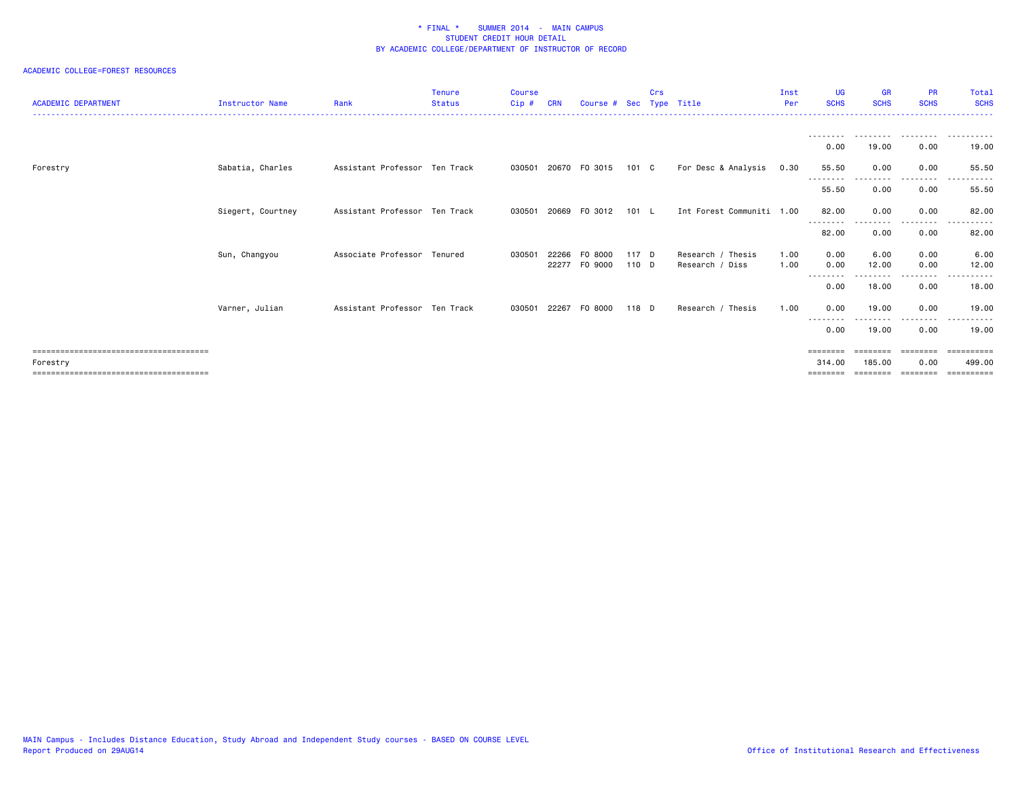## ACADEMIC COLLEGE=FOREST RESOURCES

| <b>ACADEMIC DEPARTMENT</b> | Instructor Name   | Rank                          | <b>Tenure</b><br><b>Status</b> | <b>Course</b><br>Cip# | <b>CRN</b> | Course # Sec         |       | Crs | Type Title                | Inst<br>Per | UG<br><b>SCHS</b>  | GR<br><b>SCHS</b>  | <b>PR</b><br><b>SCHS</b> | Total<br><b>SCHS</b> |
|----------------------------|-------------------|-------------------------------|--------------------------------|-----------------------|------------|----------------------|-------|-----|---------------------------|-------------|--------------------|--------------------|--------------------------|----------------------|
|                            |                   |                               |                                |                       |            |                      |       |     |                           |             | --------           |                    |                          |                      |
|                            |                   |                               |                                |                       |            |                      |       |     |                           |             | 0.00               | 19.00              | 0.00                     | 19.00                |
| Forestry                   | Sabatia, Charles  | Assistant Professor Ten Track |                                |                       |            | 030501 20670 F0 3015 | 101 C |     | For Desc & Analysis       | 0.30        | 55.50<br>--------  | 0.00               | 0.00<br>---------        | 55.50<br>. <b>.</b>  |
|                            |                   |                               |                                |                       |            |                      |       |     |                           |             | 55.50              | 0.00               | 0.00                     | 55.50                |
|                            | Siegert, Courtney | Assistant Professor Ten Track |                                |                       |            | 030501 20669 F0 3012 | 101 L |     | Int Forest Communiti 1.00 |             | 82.00              | 0.00               | 0.00                     | 82.00                |
|                            |                   |                               |                                |                       |            |                      |       |     |                           |             | ---------<br>82.00 | . <i>.</i><br>0.00 | ---------<br>0.00        | ------<br>82.00      |
|                            | Sun, Changyou     | Associate Professor Tenured   |                                | 030501                | 22266      | F0 8000              | 117 D |     | Research / Thesis         | 1.00        | 0.00               | 6.00               | 0.00                     | 6.00                 |
|                            |                   |                               |                                |                       | 22277      | F0 9000              | 110 D |     | Research / Diss           | 1.00        | 0.00               | 12.00              | 0.00<br>$\cdots$         | 12.00<br>.           |
|                            |                   |                               |                                |                       |            |                      |       |     |                           |             | --------<br>0.00   | 18.00              | 0.00                     | 18.00                |
|                            | Varner, Julian    | Assistant Professor Ten Track |                                |                       |            | 030501 22267 FO 8000 | 118 D |     | Research / Thesis         | 1.00        | 0.00<br>--------   | 19.00              | 0.00<br>----             | 19,00                |
|                            |                   |                               |                                |                       |            |                      |       |     |                           |             | 0.00               | 19.00              | 0.00                     | 19.00                |
|                            |                   |                               |                                |                       |            |                      |       |     |                           |             | $=$ = = = = = = =  | ========           | <b>EEEEEEE</b>           | eessesses            |
| Forestry                   |                   |                               |                                |                       |            |                      |       |     |                           |             | 314,00             | 185,00             | 0.00                     | 499,00               |
|                            |                   |                               |                                |                       |            |                      |       |     |                           |             | ========           | ========           | ========                 | ==========           |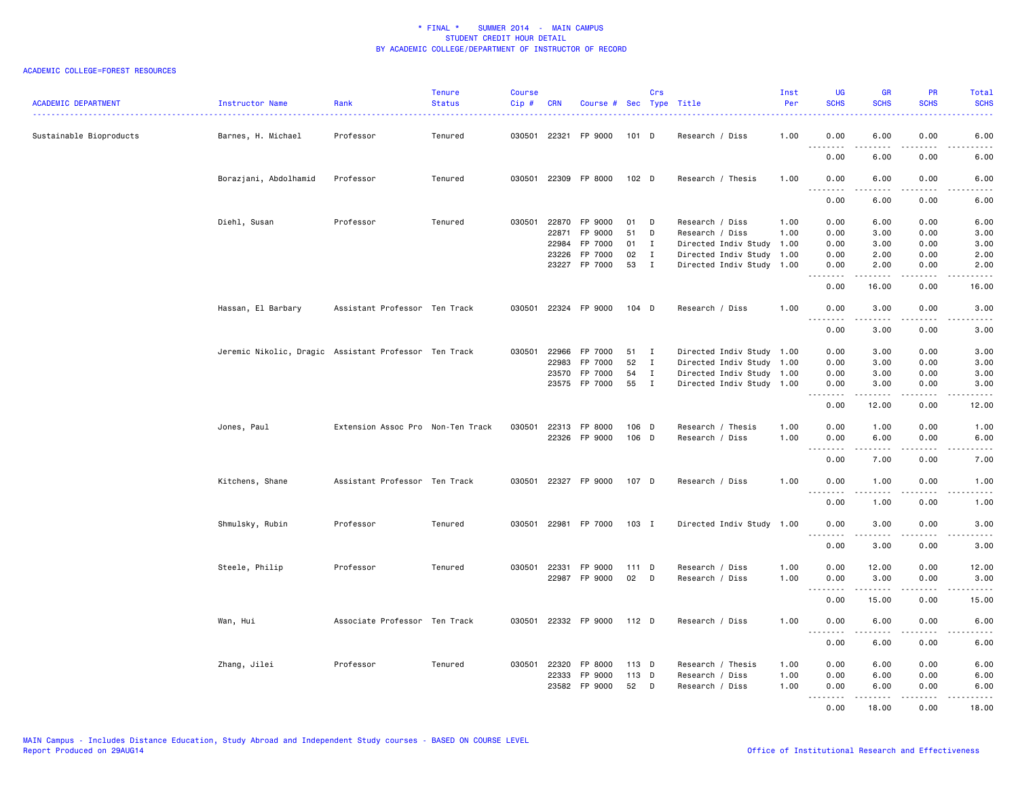### ACADEMIC COLLEGE=FOREST RESOURCES

| <b>ACADEMIC DEPARTMENT</b> | Instructor Name                                       | Rank                              | <b>Tenure</b><br><b>Status</b> | Course<br>Cip# | CRN   | Course # Sec Type Title |                  | Crs          |                           | Inst<br>Per | UG<br><b>SCHS</b>                                                                                                                                                                                                                                                                                                                                                                                                                                                                      | <b>GR</b><br><b>SCHS</b>                                                                                                                                      | PR<br><b>SCHS</b>              | <b>Total</b><br><b>SCHS</b>                                                                                                                                   |
|----------------------------|-------------------------------------------------------|-----------------------------------|--------------------------------|----------------|-------|-------------------------|------------------|--------------|---------------------------|-------------|----------------------------------------------------------------------------------------------------------------------------------------------------------------------------------------------------------------------------------------------------------------------------------------------------------------------------------------------------------------------------------------------------------------------------------------------------------------------------------------|---------------------------------------------------------------------------------------------------------------------------------------------------------------|--------------------------------|---------------------------------------------------------------------------------------------------------------------------------------------------------------|
| Sustainable Bioproducts    | Barnes, H. Michael                                    | Professor                         | Tenured                        |                |       | 030501 22321 FP 9000    | $101$ D          |              | Research / Diss           | 1.00        | 0.00                                                                                                                                                                                                                                                                                                                                                                                                                                                                                   | 6.00                                                                                                                                                          | 0.00                           | 6.00<br>$\frac{1}{2} \left( \frac{1}{2} \right) \left( \frac{1}{2} \right) \left( \frac{1}{2} \right) \left( \frac{1}{2} \right) \left( \frac{1}{2} \right)$  |
|                            |                                                       |                                   |                                |                |       |                         |                  |              |                           |             | 0.00                                                                                                                                                                                                                                                                                                                                                                                                                                                                                   | -----<br>6.00                                                                                                                                                 | 0.00                           | 6.00                                                                                                                                                          |
|                            | Borazjani, Abdolhamid                                 | Professor                         | Tenured                        |                |       | 030501 22309 FP 8000    | 102 <sub>D</sub> |              | Research / Thesis         | 1.00        | 0.00<br>$\sim$ $\sim$ $\sim$<br>.                                                                                                                                                                                                                                                                                                                                                                                                                                                      | 6.00<br>.                                                                                                                                                     | 0.00<br>$\sim$ $\sim$ $\sim$   | 6.00<br>.                                                                                                                                                     |
|                            |                                                       |                                   |                                |                |       |                         |                  |              |                           |             | 0.00                                                                                                                                                                                                                                                                                                                                                                                                                                                                                   | 6.00                                                                                                                                                          | 0.00                           | 6.00                                                                                                                                                          |
|                            | Diehl, Susan                                          | Professor                         | Tenured                        | 030501 22870   |       | FP 9000                 | 01               | D            | Research / Diss           | 1.00        | 0.00                                                                                                                                                                                                                                                                                                                                                                                                                                                                                   | 6.00                                                                                                                                                          | 0.00                           | 6.00                                                                                                                                                          |
|                            |                                                       |                                   |                                |                | 22871 | FP 9000                 | 51               | D            | Research / Diss           | 1.00        | 0.00                                                                                                                                                                                                                                                                                                                                                                                                                                                                                   | 3.00                                                                                                                                                          | 0.00                           | 3.00                                                                                                                                                          |
|                            |                                                       |                                   |                                |                | 22984 | FP 7000                 | 01               | I            | Directed Indiv Study 1.00 |             | 0.00                                                                                                                                                                                                                                                                                                                                                                                                                                                                                   | 3.00                                                                                                                                                          | 0.00                           | 3.00                                                                                                                                                          |
|                            |                                                       |                                   |                                |                | 23226 | FP 7000                 | 02               | $\mathbf{I}$ | Directed Indiv Study 1.00 |             | 0.00                                                                                                                                                                                                                                                                                                                                                                                                                                                                                   | 2.00                                                                                                                                                          | 0.00                           | 2.00                                                                                                                                                          |
|                            |                                                       |                                   |                                |                | 23227 | FP 7000                 | 53               | $\mathbf{I}$ | Directed Indiv Study 1.00 |             | 0.00<br>.                                                                                                                                                                                                                                                                                                                                                                                                                                                                              | 2.00<br>$- - - - -$                                                                                                                                           | 0.00<br>.                      | 2.00<br>.                                                                                                                                                     |
|                            |                                                       |                                   |                                |                |       |                         |                  |              |                           |             | 0.00                                                                                                                                                                                                                                                                                                                                                                                                                                                                                   | 16.00                                                                                                                                                         | 0.00                           | 16.00                                                                                                                                                         |
|                            | Hassan, El Barbary                                    | Assistant Professor Ten Track     |                                |                |       | 030501 22324 FP 9000    | $104$ D          |              | Research / Diss           | 1.00        | 0.00<br>.                                                                                                                                                                                                                                                                                                                                                                                                                                                                              | 3.00<br>.                                                                                                                                                     | 0.00<br>د د د د                | 3.00<br>$\frac{1}{2} \left( \frac{1}{2} \right) \left( \frac{1}{2} \right) \left( \frac{1}{2} \right) \left( \frac{1}{2} \right) \left( \frac{1}{2} \right)$  |
|                            |                                                       |                                   |                                |                |       |                         |                  |              |                           |             | 0.00                                                                                                                                                                                                                                                                                                                                                                                                                                                                                   | 3.00                                                                                                                                                          | 0.00                           | 3.00                                                                                                                                                          |
|                            | Jeremic Nikolic, Dragic Assistant Professor Ten Track |                                   |                                | 030501 22966   |       | FP 7000                 | 51               | $\mathbf{I}$ | Directed Indiv Study 1.00 |             | 0.00                                                                                                                                                                                                                                                                                                                                                                                                                                                                                   | 3.00                                                                                                                                                          | 0.00                           | 3.00                                                                                                                                                          |
|                            |                                                       |                                   |                                |                | 22983 | FP 7000                 | 52               | $\mathbf I$  | Directed Indiv Study 1.00 |             | 0.00                                                                                                                                                                                                                                                                                                                                                                                                                                                                                   | 3.00                                                                                                                                                          | 0.00                           | 3.00                                                                                                                                                          |
|                            |                                                       |                                   |                                |                | 23570 | FP 7000                 | 54               | $\mathbf{I}$ | Directed Indiv Study 1.00 |             | 0.00                                                                                                                                                                                                                                                                                                                                                                                                                                                                                   | 3.00                                                                                                                                                          | 0.00                           | 3.00                                                                                                                                                          |
|                            |                                                       |                                   |                                |                | 23575 | FP 7000                 | 55               | $\mathbf{I}$ | Directed Indiv Study 1.00 |             | 0.00                                                                                                                                                                                                                                                                                                                                                                                                                                                                                   | 3.00                                                                                                                                                          | 0.00                           | 3.00                                                                                                                                                          |
|                            |                                                       |                                   |                                |                |       |                         |                  |              |                           |             | .<br>$  -$<br>0.00                                                                                                                                                                                                                                                                                                                                                                                                                                                                     | $\frac{1}{2} \left( \frac{1}{2} \right) \left( \frac{1}{2} \right) \left( \frac{1}{2} \right) \left( \frac{1}{2} \right) \left( \frac{1}{2} \right)$<br>12.00 | $\omega$ is a $\omega$<br>0.00 | $\frac{1}{2} \left( \frac{1}{2} \right) \left( \frac{1}{2} \right) \left( \frac{1}{2} \right) \left( \frac{1}{2} \right) \left( \frac{1}{2} \right)$<br>12.00 |
|                            | Jones, Paul                                           | Extension Assoc Pro Non-Ten Track |                                | 030501         | 22313 | FP 8000                 | 106 D            |              | Research / Thesis         | 1.00        | 0.00                                                                                                                                                                                                                                                                                                                                                                                                                                                                                   | 1.00                                                                                                                                                          | 0.00                           | 1.00                                                                                                                                                          |
|                            |                                                       |                                   |                                |                |       | 22326 FP 9000           | 106 D            |              | Research / Diss           | 1.00        | 0.00                                                                                                                                                                                                                                                                                                                                                                                                                                                                                   | 6.00                                                                                                                                                          | 0.00                           | 6.00                                                                                                                                                          |
|                            |                                                       |                                   |                                |                |       |                         |                  |              |                           |             | .                                                                                                                                                                                                                                                                                                                                                                                                                                                                                      |                                                                                                                                                               |                                |                                                                                                                                                               |
|                            |                                                       |                                   |                                |                |       |                         |                  |              |                           |             | 0.00                                                                                                                                                                                                                                                                                                                                                                                                                                                                                   | 7.00                                                                                                                                                          | 0.00                           | 7.00                                                                                                                                                          |
|                            | Kitchens, Shane                                       | Assistant Professor Ten Track     |                                |                |       | 030501 22327 FP 9000    | 107 D            |              | Research / Diss           | 1.00        | 0.00<br>$\sim$ $\sim$ $\sim$<br>-----                                                                                                                                                                                                                                                                                                                                                                                                                                                  | 1.00<br>.                                                                                                                                                     | 0.00<br>$\frac{1}{2}$          | 1.00<br>$- - - - -$                                                                                                                                           |
|                            |                                                       |                                   |                                |                |       |                         |                  |              |                           |             | 0.00                                                                                                                                                                                                                                                                                                                                                                                                                                                                                   | 1.00                                                                                                                                                          | 0.00                           | 1.00                                                                                                                                                          |
|                            | Shmulsky, Rubin                                       | Professor                         | Tenured                        |                |       | 030501 22981 FP 7000    | 103 I            |              | Directed Indiv Study 1.00 |             | 0.00<br>$\sim$ $\sim$ $\sim$<br>.                                                                                                                                                                                                                                                                                                                                                                                                                                                      | 3.00<br>.                                                                                                                                                     | 0.00<br>والمحامر               | 3.00<br>.                                                                                                                                                     |
|                            |                                                       |                                   |                                |                |       |                         |                  |              |                           |             | 0.00                                                                                                                                                                                                                                                                                                                                                                                                                                                                                   | 3.00                                                                                                                                                          | 0.00                           | 3.00                                                                                                                                                          |
|                            | Steele, Philip                                        | Professor                         | Tenured                        |                |       | 030501 22331 FP 9000    | 111 D            |              | Research / Diss           | 1.00        | 0.00                                                                                                                                                                                                                                                                                                                                                                                                                                                                                   | 12.00                                                                                                                                                         | 0.00                           | 12.00                                                                                                                                                         |
|                            |                                                       |                                   |                                |                | 22987 | FP 9000                 | 02               | D            | Research / Diss           | 1.00        | 0.00                                                                                                                                                                                                                                                                                                                                                                                                                                                                                   | 3.00                                                                                                                                                          | 0.00                           | 3.00                                                                                                                                                          |
|                            |                                                       |                                   |                                |                |       |                         |                  |              |                           |             | .                                                                                                                                                                                                                                                                                                                                                                                                                                                                                      | $- - - - -$                                                                                                                                                   | د د د د                        | $\frac{1}{2}$                                                                                                                                                 |
|                            |                                                       |                                   |                                |                |       |                         |                  |              |                           |             | 0.00                                                                                                                                                                                                                                                                                                                                                                                                                                                                                   | 15.00                                                                                                                                                         | 0.00                           | 15.00                                                                                                                                                         |
|                            | Wan, Hui                                              | Associate Professor Ten Track     |                                |                |       | 030501 22332 FP 9000    | $112$ D          |              | Research / Diss           | 1.00        | 0.00<br>$\sim$ $\sim$ $\sim$                                                                                                                                                                                                                                                                                                                                                                                                                                                           | 6.00                                                                                                                                                          | 0.00                           | 6.00                                                                                                                                                          |
|                            |                                                       |                                   |                                |                |       |                         |                  |              |                           |             | 0.00                                                                                                                                                                                                                                                                                                                                                                                                                                                                                   | 6.00                                                                                                                                                          | 0.00                           | 6.00                                                                                                                                                          |
|                            | Zhang, Jilei                                          | Professor                         | Tenured                        | 030501 22320   |       | FP 8000                 | 113 D            |              | Research / Thesis         | 1.00        | 0.00                                                                                                                                                                                                                                                                                                                                                                                                                                                                                   | 6.00                                                                                                                                                          | 0.00                           | 6.00                                                                                                                                                          |
|                            |                                                       |                                   |                                |                | 22333 | FP 9000                 | 113              | D            | Research / Diss           | 1.00        | 0.00                                                                                                                                                                                                                                                                                                                                                                                                                                                                                   | 6.00                                                                                                                                                          | 0.00                           | 6.00                                                                                                                                                          |
|                            |                                                       |                                   |                                |                | 23582 | FP 9000                 | 52               | D            | Research / Diss           | 1.00        | 0.00                                                                                                                                                                                                                                                                                                                                                                                                                                                                                   | 6.00                                                                                                                                                          | 0.00                           | 6.00                                                                                                                                                          |
|                            |                                                       |                                   |                                |                |       |                         |                  |              |                           |             | $\begin{array}{cccccccccccccc} \multicolumn{2}{c}{} & \multicolumn{2}{c}{} & \multicolumn{2}{c}{} & \multicolumn{2}{c}{} & \multicolumn{2}{c}{} & \multicolumn{2}{c}{} & \multicolumn{2}{c}{} & \multicolumn{2}{c}{} & \multicolumn{2}{c}{} & \multicolumn{2}{c}{} & \multicolumn{2}{c}{} & \multicolumn{2}{c}{} & \multicolumn{2}{c}{} & \multicolumn{2}{c}{} & \multicolumn{2}{c}{} & \multicolumn{2}{c}{} & \multicolumn{2}{c}{} & \multicolumn{2}{c}{} & \multicolumn{2}{c}{} & \$ | .                                                                                                                                                             | .                              | $\frac{1}{2} \left( \frac{1}{2} \right) \left( \frac{1}{2} \right) \left( \frac{1}{2} \right) \left( \frac{1}{2} \right) \left( \frac{1}{2} \right)$          |
|                            |                                                       |                                   |                                |                |       |                         |                  |              |                           |             | 0.00                                                                                                                                                                                                                                                                                                                                                                                                                                                                                   | 18.00                                                                                                                                                         | 0.00                           | 18.00                                                                                                                                                         |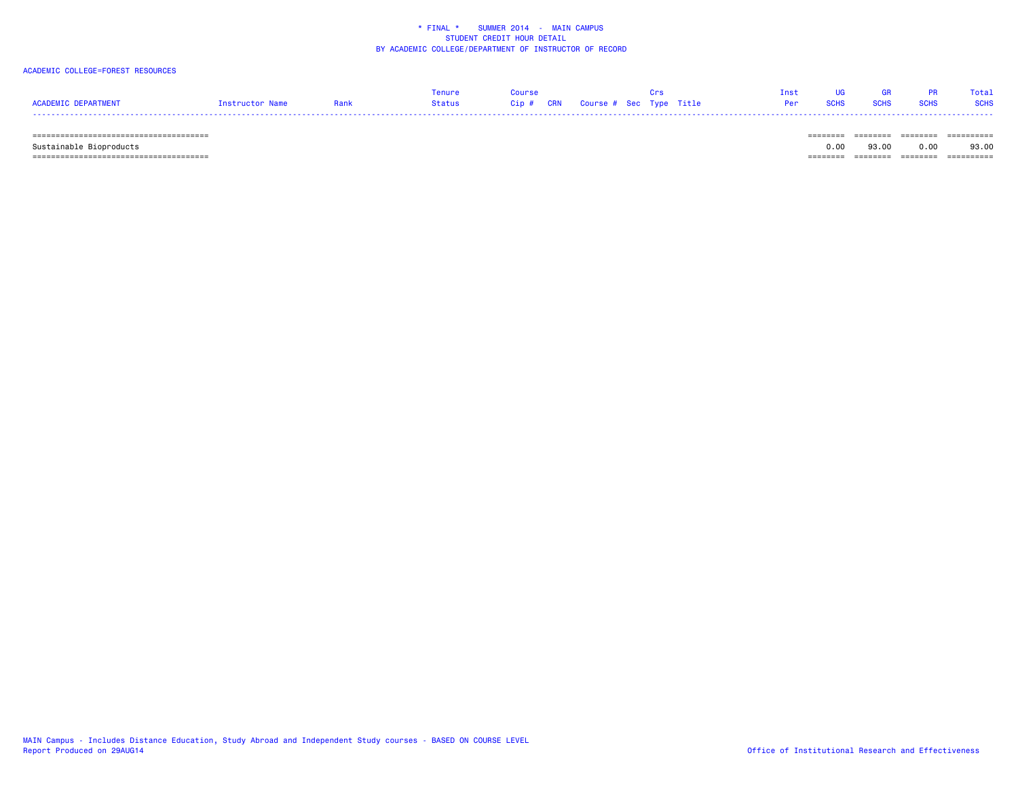# ACADEMIC COLLEGE=FOREST RESOURCES

|                     |                 |      | enure  |                                   | Tnst |             |             |             | Total       |
|---------------------|-----------------|------|--------|-----------------------------------|------|-------------|-------------|-------------|-------------|
| ACADEMIC DEPARTMENT | Instructor Name | Rank | Status | Cip # CRN Course # Sec Type Title | Per  | <b>SCHS</b> | <b>SCHS</b> | <b>SCHS</b> | <b>SCHS</b> |
|                     |                 |      |        |                                   |      |             |             |             |             |

====================================== ======== ======== ======== ==========

====================================== ======== ======== ======== ==========

Sustainable Bioproducts 0.00 93.00 0.00 93.00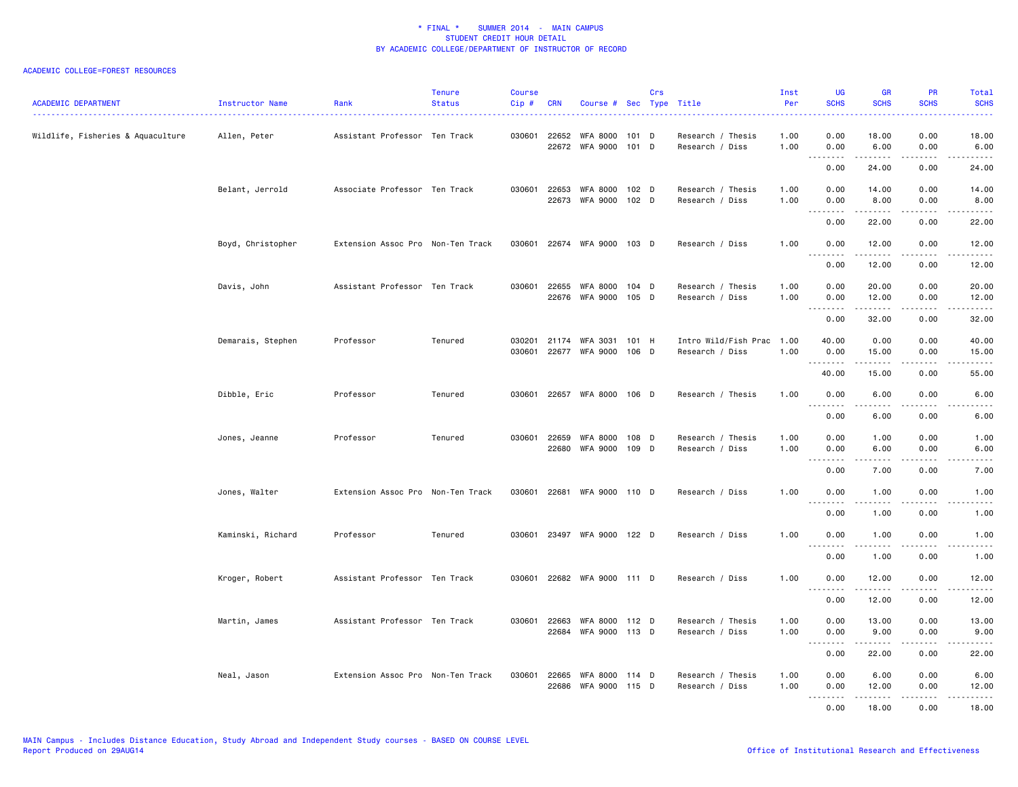## ACADEMIC COLLEGE=FOREST RESOURCES

| <b>ACADEMIC DEPARTMENT</b>        | Instructor Name   | Rank                              | <b>Tenure</b><br><b>Status</b> | Course<br>$Cip \#$ | <b>CRN</b>            | Course # Sec Type Title           |         | Crs |                                              | Inst<br>Per  | UG<br><b>SCHS</b>                 | <b>GR</b><br><b>SCHS</b> | <b>PR</b><br><b>SCHS</b>       | Total<br><b>SCHS</b>  |
|-----------------------------------|-------------------|-----------------------------------|--------------------------------|--------------------|-----------------------|-----------------------------------|---------|-----|----------------------------------------------|--------------|-----------------------------------|--------------------------|--------------------------------|-----------------------|
| Wildlife, Fisheries & Aquaculture | Allen, Peter      | Assistant Professor Ten Track     |                                |                    | 030601 22652<br>22672 | WFA 8000<br>WFA 9000 101 D        | 101 D   |     | Research / Thesis<br>Research / Diss         | 1.00<br>1.00 | 0.00<br>0.00                      | 18.00<br>6.00            | 0.00<br>0.00                   | 18.00<br>6.00         |
|                                   |                   |                                   |                                |                    |                       |                                   |         |     |                                              |              | $\sim$ $\sim$<br>د د د د<br>0.00  | 24.00                    | .<br>0.00                      | .<br>24.00            |
|                                   | Belant, Jerrold   | Associate Professor Ten Track     |                                |                    | 030601 22653<br>22673 | WFA 8000 102 D<br>WFA 9000        | 102 D   |     | Research / Thesis<br>Research / Diss         | 1.00<br>1.00 | 0.00<br>0.00                      | 14.00<br>8.00            | 0.00<br>0.00                   | 14.00<br>8.00         |
|                                   |                   |                                   |                                |                    |                       |                                   |         |     |                                              |              | .<br>$\sim$ $\sim$ $\sim$<br>0.00 | $- - - - -$<br>22.00     | $   -$<br>0.00                 | .<br>22.00            |
|                                   | Boyd, Christopher | Extension Assoc Pro Non-Ten Track |                                |                    |                       | 030601 22674 WFA 9000 103 D       |         |     | Research / Diss                              | 1.00         | 0.00<br>.                         | 12.00<br>.               | 0.00<br>.                      | 12.00<br>.            |
|                                   |                   |                                   |                                |                    |                       |                                   |         |     |                                              |              | 0.00                              | 12.00                    | 0.00                           | 12.00                 |
|                                   | Davis, John       | Assistant Professor Ten Track     |                                | 030601             | 22655<br>22676        | WFA 8000<br>WFA 9000 105 D        | 104 D   |     | Research / Thesis<br>Research / Diss         | 1.00<br>1.00 | 0.00<br>0.00                      | 20.00<br>12.00           | 0.00<br>0.00                   | 20.00<br>12.00        |
|                                   |                   |                                   |                                |                    |                       |                                   |         |     |                                              |              | $\sim$ $\sim$<br>.<br>0.00        | .<br>32.00               | .<br>0.00                      | المتماما<br>32.00     |
|                                   | Demarais, Stephen | Professor                         | Tenured                        | 030601             | 030201 21174          | WFA 3031<br>22677 WFA 9000 106 D  | 101 H   |     | Intro Wild/Fish Prac 1.00<br>Research / Diss | 1.00         | 40.00<br>0.00                     | 0.00<br>15.00            | 0.00<br>0.00                   | 40.00<br>15.00        |
|                                   |                   |                                   |                                |                    |                       |                                   |         |     |                                              |              | .<br>40.00                        | .<br>15.00               | $\omega$ is a $\omega$<br>0.00 | .<br>55.00            |
|                                   | Dibble, Eric      | Professor                         | Tenured                        |                    |                       | 030601 22657 WFA 8000 106 D       |         |     | Research / Thesis                            | 1.00         | 0.00                              | 6.00                     | 0.00                           | 6.00                  |
|                                   |                   |                                   |                                |                    |                       |                                   |         |     |                                              |              | $  -$<br>.<br>0.00                | 6.00                     | 0.00                           | 6.00                  |
|                                   | Jones, Jeanne     | Professor                         | Tenured                        | 030601             | 22659<br>22680        | <b>WFA 8000</b><br>WFA 9000 109 D | 108 D   |     | Research / Thesis<br>Research / Diss         | 1.00<br>1.00 | 0.00<br>0.00                      | 1.00<br>6.00             | 0.00<br>0.00                   | 1.00<br>6.00          |
|                                   |                   |                                   |                                |                    |                       |                                   |         |     |                                              |              | $\sim$ $\sim$<br>.<br>0.00        | 7.00                     | 0.00                           | 7.00                  |
|                                   | Jones, Walter     | Extension Assoc Pro Non-Ten Track |                                |                    |                       | 030601 22681 WFA 9000 110 D       |         |     | Research / Diss                              | 1.00         | 0.00<br><u> - - - - - - - -</u>   | 1.00<br>.                | 0.00<br><u>.</u>               | 1.00<br>.             |
|                                   |                   |                                   |                                |                    |                       |                                   |         |     |                                              |              | 0.00                              | 1.00                     | 0.00                           | 1.00                  |
|                                   | Kaminski, Richard | Professor                         | Tenured                        | 030601             |                       | 23497 WFA 9000 122 D              |         |     | Research / Diss                              | 1.00         | 0.00<br>.                         | 1.00<br>.                | 0.00<br>.                      | 1.00<br>$\frac{1}{2}$ |
|                                   |                   |                                   |                                |                    |                       |                                   |         |     |                                              |              | 0.00                              | 1.00                     | 0.00                           | 1.00                  |
|                                   | Kroger, Robert    | Assistant Professor Ten Track     |                                | 030601             |                       | 22682 WFA 9000 111 D              |         |     | Research / Diss                              | 1.00         | 0.00<br>.                         | 12.00<br>.               | 0.00<br>.                      | 12.00<br>.            |
|                                   |                   |                                   |                                |                    |                       |                                   |         |     |                                              |              | 0.00                              | 12.00                    | 0.00                           | 12.00                 |
|                                   | Martin, James     | Assistant Professor Ten Track     |                                | 030601             | 22663<br>22684        | WFA 8000<br>WFA 9000 113 D        | $112$ D |     | Research / Thesis<br>Research / Diss         | 1.00<br>1.00 | 0.00<br>0.00                      | 13.00<br>9.00            | 0.00<br>0.00                   | 13.00<br>9.00         |
|                                   |                   |                                   |                                |                    |                       |                                   |         |     |                                              |              | .<br>0.00                         | <b>.</b><br>22.00        | المتمامين<br>0.00              | .<br>22.00            |
|                                   | Neal, Jason       | Extension Assoc Pro Non-Ten Track |                                | 030601             | 22665<br>22686        | WFA 8000<br>WFA 9000 115 D        | 114 D   |     | Research / Thesis<br>Research / Diss         | 1.00<br>1.00 | 0.00<br>0.00                      | 6.00<br>12.00            | 0.00<br>0.00                   | 6.00<br>12.00         |
|                                   |                   |                                   |                                |                    |                       |                                   |         |     |                                              |              | .<br>0.00                         | .<br>18.00               | .<br>0.00                      | .<br>18.00            |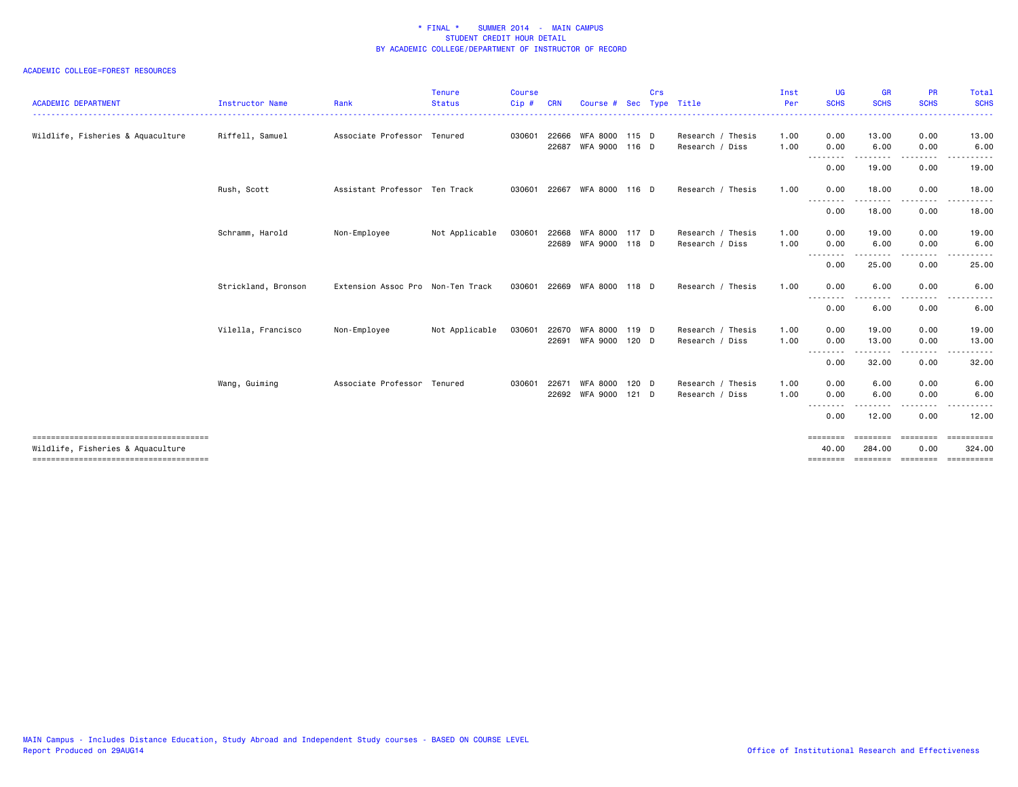# ACADEMIC COLLEGE=FOREST RESOURCES

| <b>ACADEMIC DEPARTMENT</b>                                                  | Instructor Name     | Rank                              | <b>Tenure</b><br><b>Status</b> | <b>Course</b><br>Cip# | CRN            | Course #                               | Sec   | Crs | Type Title                           | Inst<br>Per  | UG<br><b>SCHS</b>                                                                                                                                                                                                                                                                                                                                                                                    | <b>GR</b><br><b>SCHS</b>       | <b>PR</b><br><b>SCHS</b>           | Total<br><b>SCHS</b>                                         |
|-----------------------------------------------------------------------------|---------------------|-----------------------------------|--------------------------------|-----------------------|----------------|----------------------------------------|-------|-----|--------------------------------------|--------------|------------------------------------------------------------------------------------------------------------------------------------------------------------------------------------------------------------------------------------------------------------------------------------------------------------------------------------------------------------------------------------------------------|--------------------------------|------------------------------------|--------------------------------------------------------------|
| Wildlife, Fisheries & Aquaculture                                           | Riffell, Samuel     | Associate Professor Tenured       |                                | 030601                | 22666<br>22687 | WFA 8000 115 D<br>WFA 9000 116 D       |       |     | Research / Thesis<br>Research / Diss | 1.00<br>1.00 | 0.00<br>0.00                                                                                                                                                                                                                                                                                                                                                                                         | 13.00<br>6.00                  | 0.00<br>0.00                       | 13.00<br>6.00                                                |
|                                                                             |                     |                                   |                                |                       |                |                                        |       |     |                                      |              | --------<br>0.00                                                                                                                                                                                                                                                                                                                                                                                     | --------<br>19.00              | .<br>0.00                          | .<br>19.00                                                   |
|                                                                             | Rush, Scott         | Assistant Professor Ten Track     |                                |                       |                | 030601 22667 WFA 8000 116 D            |       |     | Research / Thesis                    | 1.00         | 0.00                                                                                                                                                                                                                                                                                                                                                                                                 | 18.00                          | 0.00                               | 18.00                                                        |
|                                                                             |                     |                                   |                                |                       |                |                                        |       |     |                                      |              | $- - -$<br>0.00                                                                                                                                                                                                                                                                                                                                                                                      | 18.00                          | 0.00                               | 18.00                                                        |
|                                                                             | Schramm, Harold     | Non-Employee                      | Not Applicable                 | 030601                | 22668          | WFA 8000 117 D<br>22689 WFA 9000 118 D |       |     | Research / Thesis<br>Research / Diss | 1.00<br>1.00 | 0.00<br>0.00                                                                                                                                                                                                                                                                                                                                                                                         | 19.00<br>6.00                  | 0.00<br>0.00                       | 19.00<br>6.00                                                |
|                                                                             |                     |                                   |                                |                       |                |                                        |       |     |                                      |              | --------<br>0.00                                                                                                                                                                                                                                                                                                                                                                                     | ------<br>25.00                | -----<br>0.00                      | .<br>25.00                                                   |
|                                                                             | Strickland, Bronson | Extension Assoc Pro Non-Ten Track |                                |                       |                | 030601 22669 WFA 8000 118 D            |       |     | Research / Thesis                    | 1.00         | 0.00<br>--------                                                                                                                                                                                                                                                                                                                                                                                     | 6.00<br>.                      | 0.00<br>.                          | 6.00<br>.                                                    |
|                                                                             |                     |                                   |                                |                       |                |                                        |       |     |                                      |              | 0.00                                                                                                                                                                                                                                                                                                                                                                                                 | 6.00                           | 0.00                               | 6.00                                                         |
|                                                                             | Vilella, Francisco  | Non-Employee                      | Not Applicable                 | 030601                | 22670<br>22691 | WFA 8000 119 D<br>WFA 9000 120 D       |       |     | Research / Thesis<br>Research / Diss | 1.00<br>1.00 | 0.00<br>0.00                                                                                                                                                                                                                                                                                                                                                                                         | 19.00<br>13.00                 | 0.00<br>0.00                       | 19.00<br>13.00                                               |
|                                                                             |                     |                                   |                                |                       |                |                                        |       |     |                                      |              | $\frac{1}{2} \frac{1}{2} \frac{1}{2} \frac{1}{2} \frac{1}{2} \frac{1}{2} \frac{1}{2} \frac{1}{2} \frac{1}{2} \frac{1}{2} \frac{1}{2} \frac{1}{2} \frac{1}{2} \frac{1}{2} \frac{1}{2} \frac{1}{2} \frac{1}{2} \frac{1}{2} \frac{1}{2} \frac{1}{2} \frac{1}{2} \frac{1}{2} \frac{1}{2} \frac{1}{2} \frac{1}{2} \frac{1}{2} \frac{1}{2} \frac{1}{2} \frac{1}{2} \frac{1}{2} \frac{1}{2} \frac{$<br>0.00 | 32.00                          | 0.00                               | 32.00                                                        |
|                                                                             | Wang, Guiming       | Associate Professor Tenured       |                                | 030601                | 22671          | WFA 8000<br>22692 WFA 9000 121 D       | 120 D |     | Research / Thesis<br>Research / Diss | 1.00<br>1.00 | 0.00<br>0.00                                                                                                                                                                                                                                                                                                                                                                                         | 6.00<br>6.00                   | 0.00<br>0.00                       | 6.00<br>6.00                                                 |
|                                                                             |                     |                                   |                                |                       |                |                                        |       |     |                                      |              | .<br>0.00                                                                                                                                                                                                                                                                                                                                                                                            | 12.00                          | .<br>0.00                          | 12.00                                                        |
| ======================================<br>Wildlife, Fisheries & Aquaculture |                     |                                   |                                |                       |                |                                        |       |     |                                      |              | ========<br>40.00<br>========                                                                                                                                                                                                                                                                                                                                                                        | ========<br>284.00<br>======== | --------<br>0.00<br><b>EEEEEEE</b> | $=$ = = = = = = = = = =<br>324.00<br>$=$ = = = = = = = = = = |
|                                                                             |                     |                                   |                                |                       |                |                                        |       |     |                                      |              |                                                                                                                                                                                                                                                                                                                                                                                                      |                                |                                    |                                                              |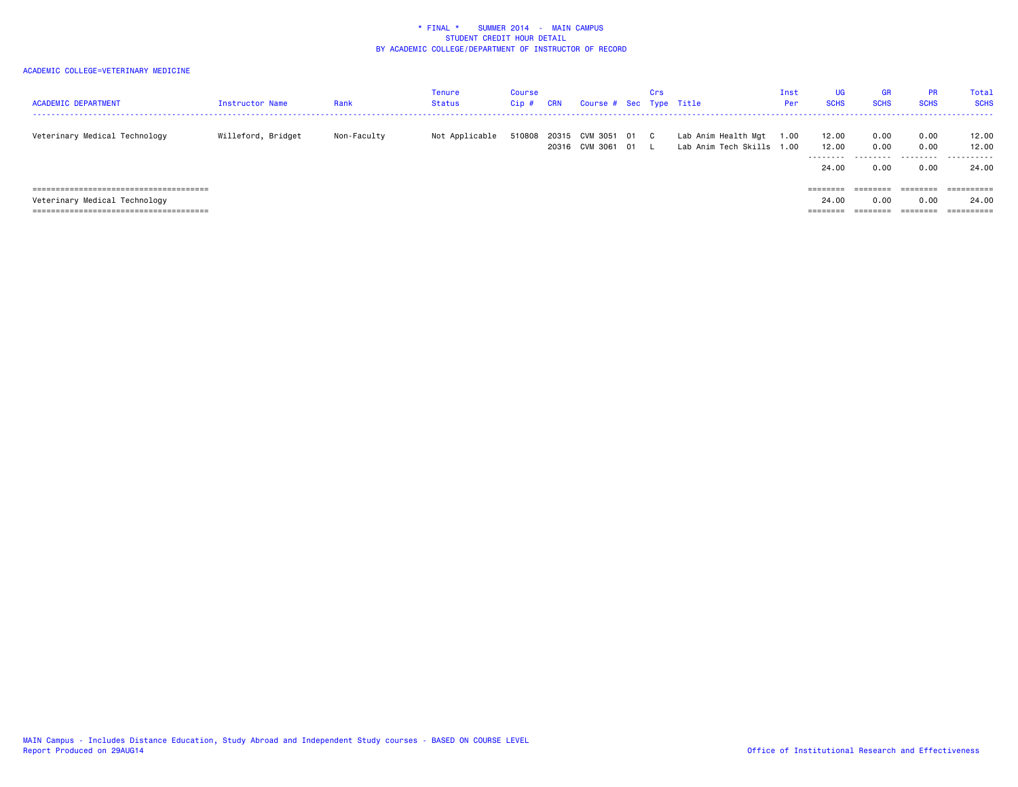| <b>ACADEMIC DEPARTMENT</b>    | Instructor Name    | Rank        | <b>Tenure</b><br><b>Status</b> | Course<br>Cip# | <b>CRN</b>     | Course # Sec Type Title      | Crs |                                                  | Inst<br>Per | <b>UG</b><br><b>SCHS</b>    | <b>GR</b><br><b>SCHS</b> | <b>PR</b><br><b>SCHS</b> | Total<br><b>SCHS</b>           |
|-------------------------------|--------------------|-------------|--------------------------------|----------------|----------------|------------------------------|-----|--------------------------------------------------|-------------|-----------------------------|--------------------------|--------------------------|--------------------------------|
| Veterinary Medical Technology | Willeford, Bridget | Non-Faculty | Not Applicable                 | 510808         | 20315<br>20316 | CVM 3051 01 C<br>CVM 3061 01 |     | Lab Anim Health Mgt<br>Lab Anim Tech Skills 1.00 | 1.00        | 12.00<br>12.00<br>--------- | 0.00<br>0.00             | 0.00<br>0.00             | 12.00<br>12.00<br>.            |
|                               |                    |             |                                |                |                |                              |     |                                                  |             | 24.00<br>$=$ = = = = = = =  | 0.00<br>========         | 0.00<br>========         | 24.00<br>$=$ = = = = = = = = = |
| Veterinary Medical Technology |                    |             |                                |                |                |                              |     |                                                  |             | 24.00                       | 0.00                     | 0.00                     | 24.00                          |
|                               |                    |             |                                |                |                |                              |     |                                                  |             | --------                    | --------                 | ========                 | $=$ = = = = = = = = =          |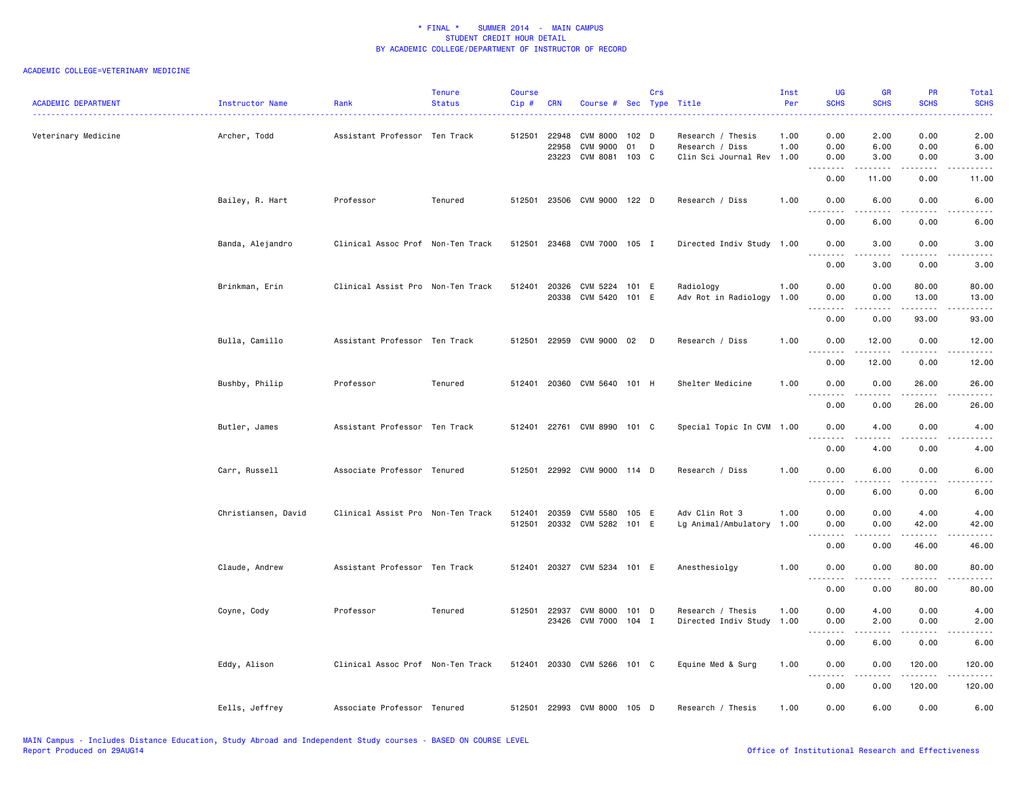| <b>ACADEMIC DEPARTMENT</b> | Instructor Name     | Rank                              | <b>Tenure</b><br><b>Status</b> | Course<br>Cip#   | <b>CRN</b>              | Course #                                             |                | Crs<br>Sec Type | Title                                                             | Inst<br>Per  | UG<br><b>SCHS</b>                        | <b>GR</b><br><b>SCHS</b> | PR<br><b>SCHS</b>                   | Total<br><b>SCHS</b>                                                                                                                                           |
|----------------------------|---------------------|-----------------------------------|--------------------------------|------------------|-------------------------|------------------------------------------------------|----------------|-----------------|-------------------------------------------------------------------|--------------|------------------------------------------|--------------------------|-------------------------------------|----------------------------------------------------------------------------------------------------------------------------------------------------------------|
| Veterinary Medicine        | Archer, Todd        | Assistant Professor Ten Track     |                                | 512501           | 22948<br>22958<br>23223 | <b>CVM 8000</b><br><b>CVM 9000</b><br>CVM 8081 103 C | 102 D<br>01    | D               | Research / Thesis<br>Research / Diss<br>Clin Sci Journal Rev 1.00 | 1.00<br>1.00 | 0.00<br>0.00<br>0.00                     | 2.00<br>6.00<br>3.00     | 0.00<br>0.00<br>0.00                | 2.00<br>6.00<br>3.00                                                                                                                                           |
|                            |                     |                                   |                                |                  |                         |                                                      |                |                 |                                                                   |              | $\sim$ $\sim$ $\sim$<br>-----<br>0.00    | .<br>11.00               | .<br>0.00                           | .<br>11.00                                                                                                                                                     |
|                            | Bailey, R. Hart     | Professor                         | Tenured                        | 512501           |                         | 23506 CVM 9000 122 D                                 |                |                 | Research / Diss                                                   | 1.00         | 0.00<br>$\sim$ $\sim$ $\sim$             | 6.00                     | 0.00<br>$\sim$ $\sim$ $\sim$ $\sim$ | 6.00<br>$- - - -$                                                                                                                                              |
|                            |                     |                                   |                                |                  |                         |                                                      |                |                 |                                                                   |              | 0.00                                     | 6.00                     | 0.00                                | 6.00                                                                                                                                                           |
|                            | Banda, Alejandro    | Clinical Assoc Prof Non-Ten Track |                                | 512501           | 23468                   | CVM 7000 105 I                                       |                |                 | Directed Indiv Study 1.00                                         |              | 0.00<br><b></b>                          | 3.00<br>.                | 0.00<br>.                           | 3.00<br>$\sim$ $\sim$ $\sim$ $\sim$ $\sim$                                                                                                                     |
|                            |                     |                                   |                                |                  |                         |                                                      |                |                 |                                                                   |              | 0.00                                     | 3.00                     | 0.00                                | 3.00                                                                                                                                                           |
|                            | Brinkman, Erin      | Clinical Assist Pro Non-Ten Track |                                | 512401           | 20326<br>20338          | CVM 5224<br>CVM 5420                                 | 101 E<br>101 E |                 | Radiology<br>Adv Rot in Radiology                                 | 1.00<br>1.00 | 0.00<br>0.00                             | 0.00<br>0.00             | 80.00<br>13.00                      | 80.00<br>13.00<br>ه د د د د                                                                                                                                    |
|                            |                     |                                   |                                |                  |                         |                                                      |                |                 |                                                                   |              | 0.00                                     | 0.00                     | 93.00                               | 93.00                                                                                                                                                          |
|                            | Bulla, Camillo      | Assistant Professor Ten Track     |                                | 512501           | 22959                   | CVM 9000 02                                          |                | $\Box$          | Research / Diss                                                   | 1.00         | 0.00<br>$\sim$ $\sim$ $\sim$<br>.        | 12.00                    | 0.00                                | 12.00<br>.                                                                                                                                                     |
|                            |                     |                                   |                                |                  |                         |                                                      |                |                 |                                                                   |              | 0.00                                     | 12.00                    | 0.00                                | 12.00                                                                                                                                                          |
|                            | Bushby, Philip      | Professor                         | Tenured                        | 512401           |                         | 20360 CVM 5640 101 H                                 |                |                 | Shelter Medicine                                                  | 1.00         | 0.00<br>$\sim$ $\sim$<br>$\sim$ $\sim$ . | 0.00                     | 26.00                               | 26.00                                                                                                                                                          |
|                            |                     |                                   |                                |                  |                         |                                                      |                |                 |                                                                   |              | 0.00                                     | 0.00                     | 26.00                               | 26.00                                                                                                                                                          |
|                            | Butler, James       | Assistant Professor Ten Track     |                                |                  |                         | 512401 22761 CVM 8990 101 C                          |                |                 | Special Topic In CVM 1.00                                         |              | 0.00<br>$\sim$ $\sim$ .<br>.             | 4.00<br>-----            | 0.00<br>.                           | 4.00<br>$\frac{1}{2} \left( \frac{1}{2} \right) \left( \frac{1}{2} \right) \left( \frac{1}{2} \right) \left( \frac{1}{2} \right)$                              |
|                            |                     |                                   |                                |                  |                         |                                                      |                |                 |                                                                   |              | 0.00                                     | 4.00                     | 0.00                                | 4.00                                                                                                                                                           |
|                            | Carr, Russell       | Associate Professor Tenured       |                                | 512501           |                         | 22992 CVM 9000 114 D                                 |                |                 | Research / Diss                                                   | 1.00         | 0.00<br>بالمحاد<br>н.                    | 6.00<br>-----            | 0.00<br>$\sim$ $\sim$ $\sim$        | 6.00<br>$\sim$ $\sim$ $\sim$ $\sim$ $\sim$                                                                                                                     |
|                            |                     |                                   |                                |                  |                         |                                                      |                |                 |                                                                   |              | 0.00                                     | 6.00                     | 0.00                                | 6.00                                                                                                                                                           |
|                            | Christiansen, David | Clinical Assist Pro Non-Ten Track |                                | 512401<br>512501 | 20359                   | CVM 5580<br>20332 CVM 5282 101 E                     | 105 E          |                 | Adv Clin Rot 3<br>Lg Animal/Ambulatory                            | 1.00<br>1.00 | 0.00<br>0.00                             | 0.00<br>0.00             | 4.00<br>42.00                       | 4.00<br>42.00                                                                                                                                                  |
|                            |                     |                                   |                                |                  |                         |                                                      |                |                 |                                                                   |              | 0.00                                     | 0.00                     | 46.00                               | 46.00                                                                                                                                                          |
|                            | Claude, Andrew      | Assistant Professor Ten Track     |                                | 512401           |                         | 20327 CVM 5234 101 E                                 |                |                 | Anesthesiolgy                                                     | 1.00         | 0.00<br>$\sim$ $\sim$                    | 0.00                     | 80.00                               | 80.00                                                                                                                                                          |
|                            |                     |                                   |                                |                  |                         |                                                      |                |                 |                                                                   |              | 0.00                                     | 0.00                     | 80.00                               | 80.00                                                                                                                                                          |
|                            | Coyne, Cody         | Professor                         | Tenured                        | 512501           | 22937<br>23426          | CVM 8000<br>CVM 7000 104 I                           | 101 D          |                 | Research / Thesis<br>Directed Indiv Study 1.00                    | 1.00         | 0.00<br>0.00                             | 4.00<br>2.00             | 0.00<br>0.00                        | 4.00<br>2.00                                                                                                                                                   |
|                            |                     |                                   |                                |                  |                         |                                                      |                |                 |                                                                   |              | د د د د<br>0.00                          | .<br>6.00                | د د د د<br>0.00                     | $\frac{1}{2} \left( \frac{1}{2} \right) \left( \frac{1}{2} \right) \left( \frac{1}{2} \right) \left( \frac{1}{2} \right)$<br>6.00                              |
|                            | Eddy, Alison        | Clinical Assoc Prof Non-Ten Track |                                | 512401           |                         | 20330 CVM 5266 101 C                                 |                |                 | Equine Med & Surg                                                 | 1.00         | 0.00<br>.<br>$\sim$ $\sim$ $\sim$        | 0.00<br>-----            | 120.00<br>.                         | 120.00<br>$\frac{1}{2} \left( \frac{1}{2} \right) \left( \frac{1}{2} \right) \left( \frac{1}{2} \right) \left( \frac{1}{2} \right) \left( \frac{1}{2} \right)$ |
|                            |                     |                                   |                                |                  |                         |                                                      |                |                 |                                                                   |              | 0.00                                     | 0.00                     | 120.00                              | 120.00                                                                                                                                                         |
|                            | Eells, Jeffrey      | Associate Professor Tenured       |                                |                  |                         | 512501 22993 CVM 8000 105 D                          |                |                 | Research / Thesis                                                 | 1.00         | 0.00                                     | 6.00                     | 0.00                                | 6.00                                                                                                                                                           |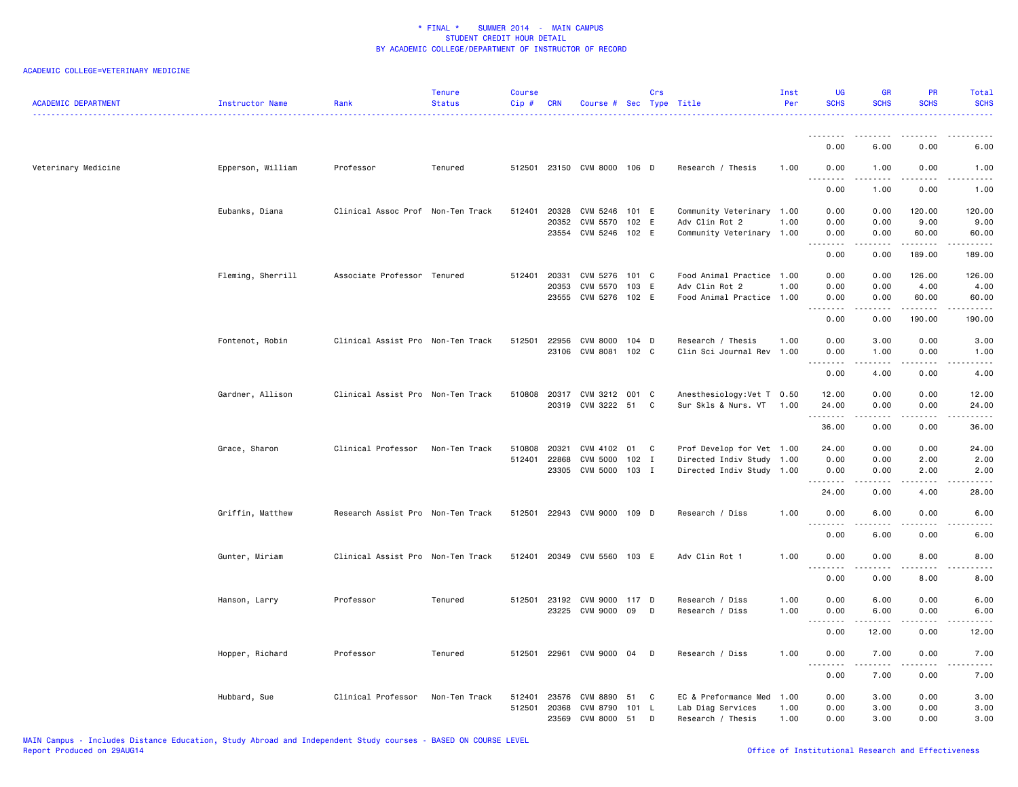| <b>ACADEMIC DEPARTMENT</b> | Instructor Name   | Rank                              | <b>Tenure</b><br><b>Status</b> | <b>Course</b><br>Cip# | <b>CRN</b>     | Course # Sec Type Title    |       | Crs      | .                                           | Inst<br>Per | <b>UG</b><br><b>SCHS</b>                                                                                                          | <b>GR</b><br><b>SCHS</b> | <b>PR</b><br><b>SCHS</b> | Total<br><b>SCHS</b><br>.                                                                                                         |
|----------------------------|-------------------|-----------------------------------|--------------------------------|-----------------------|----------------|----------------------------|-------|----------|---------------------------------------------|-------------|-----------------------------------------------------------------------------------------------------------------------------------|--------------------------|--------------------------|-----------------------------------------------------------------------------------------------------------------------------------|
|                            |                   |                                   |                                |                       |                |                            |       |          |                                             |             | <u>.</u>                                                                                                                          | $\frac{1}{2}$            | .                        | .                                                                                                                                 |
|                            |                   |                                   |                                |                       |                |                            |       |          |                                             |             | 0.00                                                                                                                              | 6.00                     | 0.00                     | 6.00                                                                                                                              |
| Veterinary Medicine        | Epperson, William | Professor                         | Tenured                        | 512501                |                | 23150 CVM 8000 106 D       |       |          | Research / Thesis                           | 1.00        | 0.00<br>.                                                                                                                         | 1.00                     | 0.00                     | 1.00                                                                                                                              |
|                            |                   |                                   |                                |                       |                |                            |       |          |                                             |             | 0.00                                                                                                                              | 1.00                     | 0.00                     | 1.00                                                                                                                              |
|                            | Eubanks, Diana    | Clinical Assoc Prof Non-Ten Track |                                | 512401                | 20328          | CVM 5246                   | 101 E |          | Community Veterinary 1.00                   |             | 0.00                                                                                                                              | 0.00                     | 120.00                   | 120.00                                                                                                                            |
|                            |                   |                                   |                                |                       | 20352<br>23554 | CVM 5570<br>CVM 5246 102 E | 102 E |          | Adv Clin Rot 2<br>Community Veterinary 1.00 | 1.00        | 0.00<br>0.00                                                                                                                      | 0.00<br>0.00             | 9.00<br>60.00            | 9.00<br>60.00                                                                                                                     |
|                            |                   |                                   |                                |                       |                |                            |       |          |                                             |             | $\frac{1}{2} \left( \frac{1}{2} \right) \left( \frac{1}{2} \right) \left( \frac{1}{2} \right) \left( \frac{1}{2} \right)$<br>0.00 | 0.00                     | .<br>189.00              | .<br>189.00                                                                                                                       |
|                            | Fleming, Sherrill | Associate Professor Tenured       |                                | 512401                | 20331          | CVM 5276                   | 101 C |          | Food Animal Practice 1.00                   |             | 0.00                                                                                                                              | 0.00                     | 126.00                   | 126.00                                                                                                                            |
|                            |                   |                                   |                                |                       | 20353          | CVM 5570                   | 103   | E.       | Adv Clin Rot 2                              | 1.00        | 0.00                                                                                                                              | 0.00                     | 4.00                     | 4.00                                                                                                                              |
|                            |                   |                                   |                                |                       | 23555          | CVM 5276 102 E             |       |          | Food Animal Practice 1.00                   |             | 0.00                                                                                                                              | 0.00                     | 60.00                    | 60.00                                                                                                                             |
|                            |                   |                                   |                                |                       |                |                            |       |          |                                             |             | 0.00                                                                                                                              | 0.00                     | 190.00                   | 190.00                                                                                                                            |
|                            | Fontenot, Robin   | Clinical Assist Pro Non-Ten Track |                                | 512501                | 22956          | CVM 8000                   | 104 D |          | Research / Thesis                           | 1.00        | 0.00                                                                                                                              | 3.00                     | 0.00                     | 3.00                                                                                                                              |
|                            |                   |                                   |                                |                       | 23106          | CVM 8081                   | 102 C |          | Clin Sci Journal Rev 1.00                   |             | 0.00<br>.                                                                                                                         | 1.00                     | 0.00                     | 1.00                                                                                                                              |
|                            |                   |                                   |                                |                       |                |                            |       |          |                                             |             | 0.00                                                                                                                              | 4.00                     | 0.00                     | 4.00                                                                                                                              |
|                            | Gardner, Allison  | Clinical Assist Pro Non-Ten Track |                                | 510808                | 20317          | CVM 3212 001 C             |       |          | Anesthesiology: Vet T 0.50                  |             | 12.00                                                                                                                             | 0.00                     | 0.00                     | 12.00                                                                                                                             |
|                            |                   |                                   |                                |                       | 20319          | CVM 3222 51                |       | C        | Sur Skls & Nurs. VT                         | 1.00        | 24.00<br>. <b>.</b>                                                                                                               | 0.00<br>$\frac{1}{2}$    | 0.00<br>$\frac{1}{2}$    | 24.00<br>$\frac{1}{2}$                                                                                                            |
|                            |                   |                                   |                                |                       |                |                            |       |          |                                             |             | 36.00                                                                                                                             | 0.00                     | 0.00                     | 36.00                                                                                                                             |
|                            | Grace, Sharon     | Clinical Professor                | Non-Ten Track                  | 510808                | 20321          | CVM 4102 01                |       | C        | Prof Develop for Vet 1.00                   |             | 24.00                                                                                                                             | 0.00                     | 0.00                     | 24.00                                                                                                                             |
|                            |                   |                                   |                                | 512401                | 22868          | <b>CVM 5000</b>            | 102 I |          | Directed Indiv Study 1.00                   |             | 0.00                                                                                                                              | 0.00                     | 2.00                     | 2.00                                                                                                                              |
|                            |                   |                                   |                                |                       | 23305          | CVM 5000 103 I             |       |          | Directed Indiv Study 1.00                   |             | 0.00<br><u>.</u>                                                                                                                  | 0.00<br>.                | 2.00<br>.                | 2.00<br>$\frac{1}{2}$                                                                                                             |
|                            |                   |                                   |                                |                       |                |                            |       |          |                                             |             | 24.00                                                                                                                             | 0.00                     | 4.00                     | 28.00                                                                                                                             |
|                            | Griffin, Matthew  | Research Assist Pro Non-Ten Track |                                | 512501                | 22943          | CVM 9000 109 D             |       |          | Research / Diss                             | 1.00        | 0.00<br>$\sim$ $\sim$                                                                                                             | 6.00                     | 0.00                     | 6.00                                                                                                                              |
|                            |                   |                                   |                                |                       |                |                            |       |          |                                             |             | 0.00                                                                                                                              | 6.00                     | 0.00                     | 6.00                                                                                                                              |
|                            | Gunter, Miriam    | Clinical Assist Pro Non-Ten Track |                                | 512401                |                | 20349 CVM 5560 103 E       |       |          | Adv Clin Rot 1                              | 1.00        | 0.00                                                                                                                              | 0.00                     | 8.00                     | 8.00                                                                                                                              |
|                            |                   |                                   |                                |                       |                |                            |       |          |                                             |             | 0.00                                                                                                                              | 0.00                     | 8.00                     | 8.00                                                                                                                              |
|                            | Hanson, Larry     | Professor                         | Tenured                        | 512501 23192          |                | CVM 9000 117 D             |       |          | Research / Diss                             | 1.00        | 0.00                                                                                                                              | 6.00                     | 0.00                     | 6.00                                                                                                                              |
|                            |                   |                                   |                                |                       | 23225          | CVM 9000                   | 09    | D        | Research / Diss                             | 1.00        | 0.00                                                                                                                              | 6.00                     | 0.00                     | 6.00<br>$\frac{1}{2} \left( \frac{1}{2} \right) \left( \frac{1}{2} \right) \left( \frac{1}{2} \right) \left( \frac{1}{2} \right)$ |
|                            |                   |                                   |                                |                       |                |                            |       |          |                                             |             | . <b>.</b><br>0.00                                                                                                                | .<br>12.00               | المتمالين<br>0.00        | 12.00                                                                                                                             |
|                            | Hopper, Richard   | Professor                         | Tenured                        | 512501                | 22961          | CVM 9000                   | 04    | D        | Research / Diss                             | 1.00        | 0.00                                                                                                                              | 7.00                     | 0.00                     | 7.00                                                                                                                              |
|                            |                   |                                   |                                |                       |                |                            |       |          |                                             |             | .<br>0.00                                                                                                                         | $  -$<br>7.00            | $\frac{1}{2}$<br>0.00    | $- - - -$<br>7.00                                                                                                                 |
|                            | Hubbard, Sue      | Clinical Professor                | Non-Ten Track                  | 512401                | 23576          | <b>CVM 8890</b>            | 51    | - C      | EC & Preformance Med                        | 1.00        | 0.00                                                                                                                              | 3.00                     | 0.00                     | 3.00                                                                                                                              |
|                            |                   |                                   |                                | 512501                | 20368          | CVM 8790                   | 101   | <b>L</b> | Lab Diag Services                           | 1.00        | 0.00                                                                                                                              | 3.00                     | 0.00                     | 3.00                                                                                                                              |
|                            |                   |                                   |                                |                       | 23569          | CVM 8000                   | 51    | D        | Research / Thesis                           | 1.00        | 0.00                                                                                                                              | 3.00                     | 0.00                     | 3.00                                                                                                                              |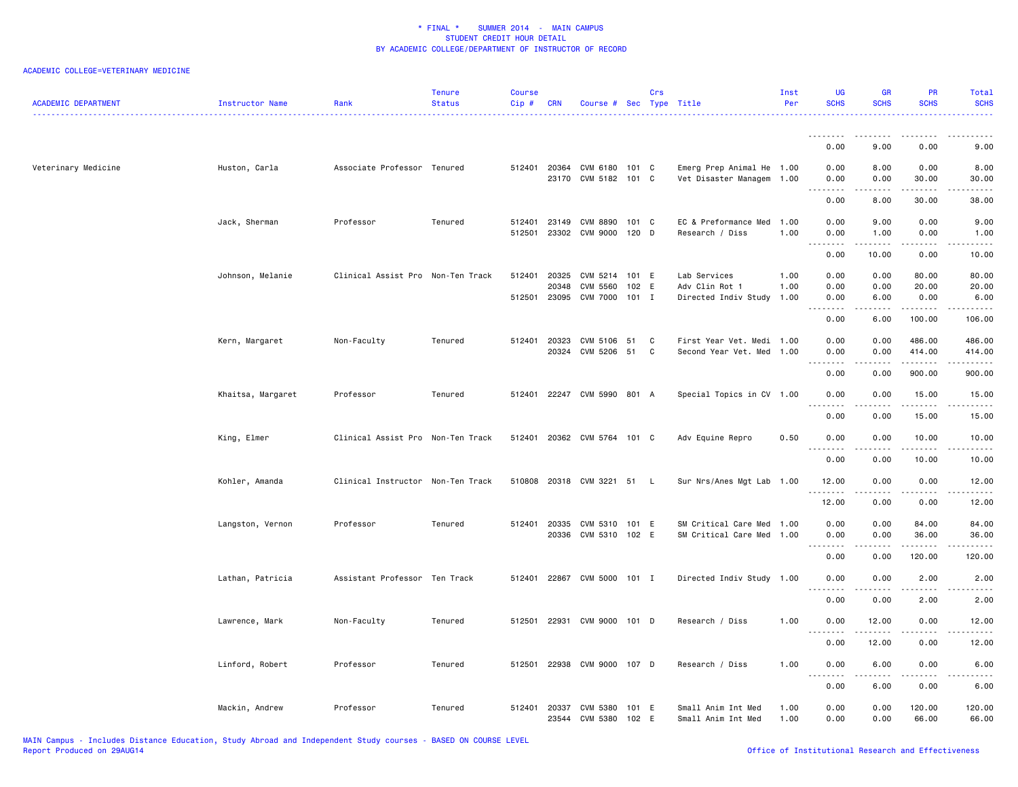| <b>ACADEMIC DEPARTMENT</b> | Instructor Name   | Rank                              | <b>Tenure</b><br><b>Status</b> | <b>Course</b><br>Cip# | <b>CRN</b>              | Course # Sec Type Title                |                | Crs    |                                                        | Inst<br>Per          | <b>UG</b><br><b>SCHS</b>              | <b>GR</b><br><b>SCHS</b>                                                                                                  | <b>PR</b><br><b>SCHS</b>  | Total<br><b>SCHS</b>   |
|----------------------------|-------------------|-----------------------------------|--------------------------------|-----------------------|-------------------------|----------------------------------------|----------------|--------|--------------------------------------------------------|----------------------|---------------------------------------|---------------------------------------------------------------------------------------------------------------------------|---------------------------|------------------------|
|                            |                   |                                   |                                |                       |                         |                                        |                |        |                                                        |                      | <u>.</u>                              | $\frac{1}{2} \left( \frac{1}{2} \right) \left( \frac{1}{2} \right) \left( \frac{1}{2} \right) \left( \frac{1}{2} \right)$ |                           |                        |
|                            |                   |                                   |                                |                       |                         |                                        |                |        |                                                        |                      | 0.00                                  | 9.00                                                                                                                      | 0.00                      | 9.00                   |
| Veterinary Medicine        | Huston, Carla     | Associate Professor Tenured       |                                | 512401                | 20364<br>23170          | CVM 6180<br>CVM 5182 101 C             | 101 C          |        | Emerg Prep Animal He 1.00<br>Vet Disaster Managem 1.00 |                      | 0.00<br>0.00<br>.<br>$\sim$ $\sim$    | 8.00<br>0.00                                                                                                              | 0.00<br>30.00             | 8.00<br>30.00<br>.     |
|                            |                   |                                   |                                |                       |                         |                                        |                |        |                                                        |                      | 0.00                                  | 8.00                                                                                                                      | 30.00                     | 38.00                  |
|                            | Jack, Sherman     | Professor                         | Tenured                        | 512401<br>512501      | 23149                   | CVM 8890<br>23302 CVM 9000             | 101 C<br>120 D |        | EC & Preformance Med 1.00<br>Research / Diss           | 1.00                 | 0.00<br>0.00                          | 9.00<br>1.00                                                                                                              | 0.00<br>0.00              | 9.00<br>1.00           |
|                            |                   |                                   |                                |                       |                         |                                        |                |        |                                                        |                      | .<br>0.00                             | 10.00                                                                                                                     | 0.00                      | 10.00                  |
|                            | Johnson, Melanie  | Clinical Assist Pro Non-Ten Track |                                | 512401<br>512501      | 20325<br>20348<br>23095 | CVM 5214<br>CVM 5560<br>CVM 7000 101 I | 101 E<br>102 E |        | Lab Services<br>Adv Clin Rot 1<br>Directed Indiv Study | 1.00<br>1.00<br>1.00 | 0.00<br>0.00<br>0.00                  | 0.00<br>0.00<br>6.00                                                                                                      | 80.00<br>20.00<br>0.00    | 80.00<br>20.00<br>6.00 |
|                            |                   |                                   |                                |                       |                         |                                        |                |        |                                                        |                      | $\sim$ $\sim$ $\sim$<br>.             | $- - - - -$                                                                                                               | $- - - - - - -$           | .                      |
|                            |                   |                                   |                                |                       |                         |                                        |                |        |                                                        |                      | 0.00                                  | 6.00                                                                                                                      | 100.00                    | 106.00                 |
|                            | Kern, Margaret    | Non-Faculty                       | Tenured                        | 512401                | 20323<br>20324          | CVM 5106<br>CVM 5206 51                | 51             | C<br>C | First Year Vet. Medi 1.00<br>Second Year Vet. Med 1.00 |                      | 0.00<br>0.00                          | 0.00<br>0.00                                                                                                              | 486.00<br>414.00          | 486.00<br>414.00       |
|                            |                   |                                   |                                |                       |                         |                                        |                |        |                                                        |                      | .<br>0.00                             | 0.00                                                                                                                      | .<br>900.00               | <u>.</u><br>900.00     |
|                            | Khaitsa, Margaret | Professor                         | Tenured                        |                       |                         | 512401 22247 CVM 5990                  | 801 A          |        | Special Topics in CV 1.00                              |                      | 0.00<br>$\sim$ $\sim$ $\sim$          | 0.00                                                                                                                      | 15.00<br>$- - - - -$      | 15.00<br>.             |
|                            |                   |                                   |                                |                       |                         |                                        |                |        |                                                        |                      | 0.00                                  | 0.00                                                                                                                      | 15.00                     | 15.00                  |
|                            | King, Elmer       | Clinical Assist Pro Non-Ten Track |                                | 512401                |                         | 20362 CVM 5764 101 C                   |                |        | Adv Equine Repro                                       | 0.50                 | 0.00<br>.                             | 0.00                                                                                                                      | 10.00<br>-----            | 10.00                  |
|                            |                   |                                   |                                |                       |                         |                                        |                |        |                                                        |                      | 0.00                                  | 0.00                                                                                                                      | 10.00                     | 10.00                  |
|                            | Kohler, Amanda    | Clinical Instructor Non-Ten Track |                                | 510808                |                         | 20318 CVM 3221 51 L                    |                |        | Sur Nrs/Anes Mgt Lab 1.00                              |                      | 12.00<br>.                            | 0.00<br>.                                                                                                                 | 0.00<br>.                 | 12.00<br>.             |
|                            |                   |                                   |                                |                       |                         |                                        |                |        |                                                        |                      | 12.00                                 | 0.00                                                                                                                      | 0.00                      | 12.00                  |
|                            | Langston, Vernon  | Professor                         | Tenured                        | 512401 20335          |                         | CVM 5310<br>20336 CVM 5310             | 101 E<br>102 E |        | SM Critical Care Med 1.00<br>SM Critical Care Med 1.00 |                      | 0.00<br>0.00                          | 0.00<br>0.00                                                                                                              | 84.00<br>36.00            | 84.00<br>36.00         |
|                            |                   |                                   |                                |                       |                         |                                        |                |        |                                                        |                      | -----<br>$\sim$ $\sim$ $\sim$<br>0.00 | .<br>0.00                                                                                                                 | $- - - - - - -$<br>120.00 | <u>.</u><br>120.00     |
|                            | Lathan, Patricia  | Assistant Professor Ten Track     |                                | 512401                | 22867                   | CVM 5000                               | 101 I          |        | Directed Indiv Study 1.00                              |                      | 0.00                                  | 0.00                                                                                                                      | 2.00<br>$\frac{1}{2}$     | 2.00<br>----           |
|                            |                   |                                   |                                |                       |                         |                                        |                |        |                                                        |                      | .<br>$\sim$ $\sim$ $\sim$<br>0.00     | 0.00                                                                                                                      | 2.00                      | 2.00                   |
|                            | Lawrence, Mark    | Non-Faculty                       | Tenured                        | 512501                | 22931                   | CVM 9000                               | 101 D          |        | Research / Diss                                        | 1.00                 | 0.00                                  | 12.00                                                                                                                     | 0.00                      | 12.00                  |
|                            |                   |                                   |                                |                       |                         |                                        |                |        |                                                        |                      | 0.00                                  | 12.00                                                                                                                     | 0.00                      | 12.00                  |
|                            | Linford, Robert   | Professor                         | Tenured                        | 512501                | 22938                   | CVM 9000                               | 107 D          |        | Research / Diss                                        | 1.00                 | 0.00                                  | 6.00                                                                                                                      | 0.00                      | 6.00                   |
|                            |                   |                                   |                                |                       |                         |                                        |                |        |                                                        |                      | 0.00                                  | 6.00                                                                                                                      | 0.00                      | 6.00                   |
|                            | Mackin, Andrew    | Professor                         | Tenured                        | 512401                | 20337<br>23544          | CVM 5380<br>CVM 5380                   | 101 E<br>102   | E      | Small Anim Int Med<br>Small Anim Int Med               | 1.00<br>1.00         | 0.00<br>0.00                          | 0.00<br>0.00                                                                                                              | 120.00<br>66.00           | 120.00<br>66.00        |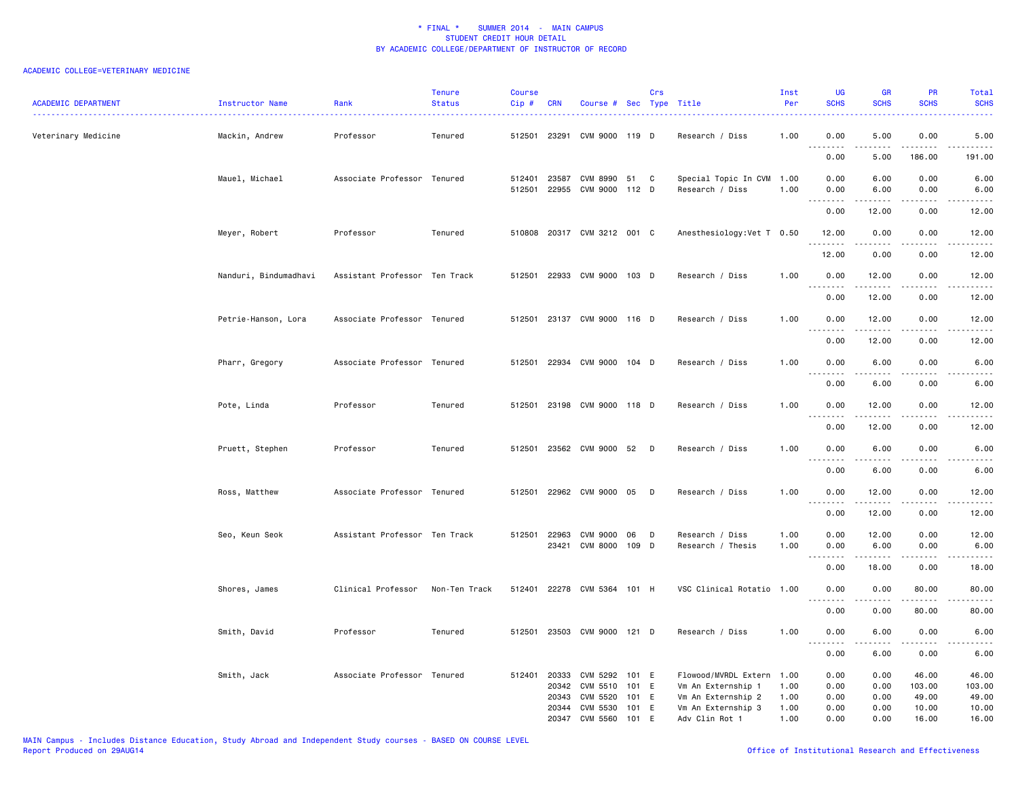| <b>ACADEMIC DEPARTMENT</b> | Instructor Name       | Rank                          | <b>Tenure</b><br><b>Status</b> | <b>Course</b><br>Cip# | <b>CRN</b>     | Course # Sec Type Title             |                | Crs |                                                 | Inst<br>Per  | <b>UG</b><br><b>SCHS</b>                                                                                                                                                             | <b>GR</b><br><b>SCHS</b> | <b>PR</b><br><b>SCHS</b> | Total<br><b>SCHS</b>                |
|----------------------------|-----------------------|-------------------------------|--------------------------------|-----------------------|----------------|-------------------------------------|----------------|-----|-------------------------------------------------|--------------|--------------------------------------------------------------------------------------------------------------------------------------------------------------------------------------|--------------------------|--------------------------|-------------------------------------|
| Veterinary Medicine        | Mackin, Andrew        | Professor                     | Tenured                        | 512501                | 23291          | CVM 9000 119 D                      |                |     | Research / Diss                                 | 1.00         | 0.00<br>$\sim$ $\sim$ $\sim$<br>$\frac{1}{2} \left( \frac{1}{2} \right) \left( \frac{1}{2} \right) \left( \frac{1}{2} \right) \left( \frac{1}{2} \right) \left( \frac{1}{2} \right)$ | 5.00                     | 0.00                     | 5.00<br>.                           |
|                            |                       |                               |                                |                       |                |                                     |                |     |                                                 |              | 0.00                                                                                                                                                                                 | 5.00                     | 186.00                   | 191.00                              |
|                            | Mauel, Michael        | Associate Professor Tenured   |                                | 512401<br>512501      | 23587          | CVM 8990 51<br>22955 CVM 9000 112 D |                | C   | Special Topic In CVM 1.00<br>Research / Diss    | 1.00         | 0.00<br>0.00                                                                                                                                                                         | 6.00<br>6.00             | 0.00<br>0.00             | 6.00<br>6.00                        |
|                            |                       |                               |                                |                       |                |                                     |                |     |                                                 |              | $\sim$ $\sim$ $\sim$<br>$\sim$ $\sim$ $\sim$ $\sim$<br>0.00                                                                                                                          | 12.00                    | 0.00                     | $\frac{1}{2}$<br>12.00              |
|                            | Meyer, Robert         | Professor                     | Tenured                        |                       |                | 510808 20317 CVM 3212 001 C         |                |     | Anesthesiology: Vet T 0.50                      |              | 12.00                                                                                                                                                                                | 0.00                     | 0.00                     | 12.00                               |
|                            |                       |                               |                                |                       |                |                                     |                |     |                                                 |              | 12.00                                                                                                                                                                                | 0.00                     | 0.00                     | 12.00                               |
|                            | Nanduri, Bindumadhavi | Assistant Professor Ten Track |                                |                       |                | 512501 22933 CVM 9000 103 D         |                |     | Research / Diss                                 | 1.00         | 0.00<br>$\sim$ $\sim$ $\sim$<br>.                                                                                                                                                    | 12.00                    | 0.00                     | 12.00                               |
|                            |                       |                               |                                |                       |                |                                     |                |     |                                                 |              | 0.00                                                                                                                                                                                 | 12.00                    | 0.00                     | 12.00                               |
|                            | Petrie-Hanson, Lora   | Associate Professor Tenured   |                                |                       |                | 512501 23137 CVM 9000 116 D         |                |     | Research / Diss                                 | 1.00         | 0.00<br>$\frac{1}{2} \left( \frac{1}{2} \right) \left( \frac{1}{2} \right) \left( \frac{1}{2} \right) \left( \frac{1}{2} \right)$                                                    | 12.00                    | 0.00                     | 12.00                               |
|                            |                       |                               |                                |                       |                |                                     |                |     |                                                 |              | 0.00                                                                                                                                                                                 | 12.00                    | 0.00                     | 12.00                               |
|                            | Pharr, Gregory        | Associate Professor Tenured   |                                |                       |                | 512501 22934 CVM 9000 104 D         |                |     | Research / Diss                                 | 1.00         | 0.00<br>$\sim$ $\sim$ $\sim$<br>.                                                                                                                                                    | 6.00<br>$\frac{1}{2}$    | 0.00<br>.                | 6.00<br>$\cdots$                    |
|                            |                       |                               |                                |                       |                |                                     |                |     |                                                 |              | 0.00                                                                                                                                                                                 | 6.00                     | 0.00                     | 6.00                                |
|                            | Pote, Linda           | Professor                     | Tenured                        |                       |                | 512501 23198 CVM 9000 118 D         |                |     | Research / Diss                                 | 1.00         | 0.00<br>$\sim$ $\sim$ $\sim$<br>.                                                                                                                                                    | 12.00<br>.               | 0.00<br>.                | 12.00<br>.                          |
|                            |                       |                               |                                |                       |                |                                     |                |     |                                                 |              | 0.00                                                                                                                                                                                 | 12.00                    | 0.00                     | 12.00                               |
|                            | Pruett, Stephen       | Professor                     | Tenured                        |                       |                | 512501 23562 CVM 9000 52            |                | D   | Research / Diss                                 | 1.00         | 0.00<br>$\sim$<br>.                                                                                                                                                                  | 6.00<br>-----            | 0.00<br>.                | 6.00<br>$\sim$ $\sim$ $\sim$ $\sim$ |
|                            |                       |                               |                                |                       |                |                                     |                |     |                                                 |              | 0.00                                                                                                                                                                                 | 6.00                     | 0.00                     | 6.00                                |
|                            | Ross, Matthew         | Associate Professor Tenured   |                                | 512501                |                | 22962 CVM 9000 05                   |                | D   | Research / Diss                                 | 1.00         | 0.00<br>$\sim$ $\sim$ $\sim$ $\sim$<br>$\sim$ $\sim$ .                                                                                                                               | 12.00<br>.               | 0.00<br>.                | 12.00<br>22222.                     |
|                            |                       |                               |                                |                       |                |                                     |                |     |                                                 |              | 0.00                                                                                                                                                                                 | 12.00                    | 0.00                     | 12.00                               |
|                            | Seo, Keun Seok        | Assistant Professor Ten Track |                                | 512501                | 22963<br>23421 | CVM 9000<br>CVM 8000 109 D          | 06             | D   | Research / Diss<br>Research / Thesis            | 1.00<br>1.00 | 0.00<br>0.00                                                                                                                                                                         | 12.00<br>6.00            | 0.00<br>0.00             | 12.00<br>6.00                       |
|                            |                       |                               |                                |                       |                |                                     |                |     |                                                 |              | $\sim$ $\sim$<br>0.00                                                                                                                                                                | 18.00                    | 0.00                     | 18.00                               |
|                            | Shores, James         | Clinical Professor            | Non-Ten Track                  | 512401 22278          |                | CVM 5364 101 H                      |                |     | VSC Clinical Rotatio 1.00                       |              | 0.00                                                                                                                                                                                 | 0.00                     | 80.00                    | 80.00                               |
|                            |                       |                               |                                |                       |                |                                     |                |     |                                                 |              | $\sim$ $\sim$<br>$\sim$ $\sim$ $\sim$<br>0.00                                                                                                                                        | 0.00                     | 80.00                    | 80.00                               |
|                            | Smith, David          | Professor                     | Tenured                        |                       |                | 512501 23503 CVM 9000 121 D         |                |     | Research / Diss                                 | 1.00         | 0.00<br>$\sim$ $\sim$ $\sim$                                                                                                                                                         | 6.00                     | 0.00                     | 6.00                                |
|                            |                       |                               |                                |                       |                |                                     |                |     |                                                 |              | 0.00                                                                                                                                                                                 | 6.00                     | 0.00                     | 6.00                                |
|                            | Smith, Jack           | Associate Professor Tenured   |                                | 512401 20333          | 20342          | CVM 5292<br>CVM 5510                | 101 E<br>101 E |     | Flowood/MVRDL Extern 1.00<br>Vm An Externship 1 | 1.00         | 0.00<br>0.00                                                                                                                                                                         | 0.00<br>0.00             | 46.00<br>103.00          | 46.00<br>103.00                     |
|                            |                       |                               |                                |                       | 20343<br>20344 | CVM 5520<br>CVM 5530                | 101 E<br>101   | E   | Vm An Externship 2<br>Vm An Externship 3        | 1.00<br>1.00 | 0.00<br>0.00                                                                                                                                                                         | 0.00<br>0.00             | 49.00<br>10.00           | 49.00<br>10.00                      |
|                            |                       |                               |                                |                       | 20347          | CVM 5560                            | 101 E          |     | Adv Clin Rot 1                                  | 1.00         | 0.00                                                                                                                                                                                 | 0.00                     | 16.00                    | 16.00                               |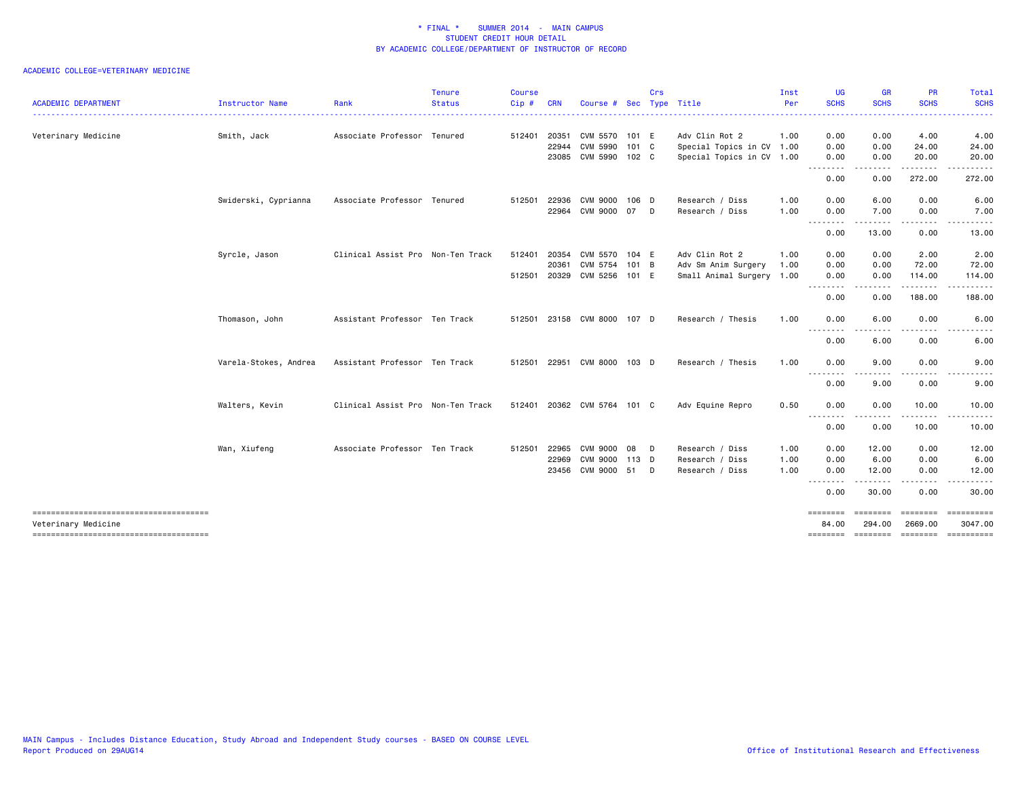|                                       |                                                    |                                   | <b>Tenure</b>               | <b>Course</b> |            |                             |       | Crs |                                              | Inst | UG                  | <b>GR</b>           | <b>PR</b>                                                                                                                                                     | Total                               |
|---------------------------------------|----------------------------------------------------|-----------------------------------|-----------------------------|---------------|------------|-----------------------------|-------|-----|----------------------------------------------|------|---------------------|---------------------|---------------------------------------------------------------------------------------------------------------------------------------------------------------|-------------------------------------|
| <b>ACADEMIC DEPARTMENT</b>            | <b>Instructor Name</b><br>------------------------ | Rank                              | <b>Status</b><br>. <u>.</u> | Cip#          | <b>CRN</b> | Course #                    |       |     | Sec Type Title<br>-------------------------- | Per  | <b>SCHS</b><br>.    | <b>SCHS</b>         | <b>SCHS</b>                                                                                                                                                   | <b>SCHS</b>                         |
| Veterinary Medicine                   | Smith, Jack                                        | Associate Professor Tenured       |                             | 512401        | 20351      | CVM 5570                    | 101 E |     | Adv Clin Rot 2                               | 1.00 | 0.00                | 0.00                | 4.00                                                                                                                                                          | 4.00                                |
|                                       |                                                    |                                   |                             |               | 22944      | CVM 5990                    | 101 C |     | Special Topics in CV 1.00                    |      | 0.00                | 0.00                | 24.00                                                                                                                                                         | 24.00                               |
|                                       |                                                    |                                   |                             |               | 23085      | CVM 5990 102 C              |       |     | Special Topics in CV 1.00                    |      | 0.00<br>.           | 0.00<br>.           | 20.00                                                                                                                                                         | 20.00                               |
|                                       |                                                    |                                   |                             |               |            |                             |       |     |                                              |      | 0.00                | 0.00                | 272.00                                                                                                                                                        | 272.00                              |
|                                       | Swiderski, Cyprianna                               | Associate Professor Tenured       |                             | 512501        | 22936      | CVM 9000 106 D              |       |     | Research / Diss                              | 1.00 | 0.00                | 6.00                | 0.00                                                                                                                                                          | 6.00                                |
|                                       |                                                    |                                   |                             |               | 22964      | CVM 9000 07                 |       | D   | Research / Diss                              | 1.00 | 0.00<br>--------    | 7.00<br>.           | 0.00                                                                                                                                                          | 7.00                                |
|                                       |                                                    |                                   |                             |               |            |                             |       |     |                                              |      | 0.00                | 13.00               | 0.00                                                                                                                                                          | 13.00                               |
|                                       | Syrcle, Jason                                      | Clinical Assist Pro Non-Ten Track |                             | 512401        | 20354      | CVM 5570 104 E              |       |     | Adv Clin Rot 2                               | 1.00 | 0.00                | 0.00                | 2.00                                                                                                                                                          | 2.00                                |
|                                       |                                                    |                                   |                             |               | 20361      | CVM 5754 101 B              |       |     | Adv Sm Anim Surgery                          | 1.00 | 0.00                | 0.00                | 72.00                                                                                                                                                         | 72.00                               |
|                                       |                                                    |                                   |                             | 512501 20329  |            | CVM 5256 101 E              |       |     | Small Animal Surgery 1.00                    |      | 0.00<br>---------   | 0.00<br>.           | 114.00<br>.                                                                                                                                                   | 114.00                              |
|                                       |                                                    |                                   |                             |               |            |                             |       |     |                                              |      | 0.00                | 0.00                | 188.00                                                                                                                                                        | 188.00                              |
|                                       | Thomason, John                                     | Assistant Professor Ten Track     |                             |               |            | 512501 23158 CVM 8000 107 D |       |     | Research / Thesis                            | 1.00 | 0.00<br>- - - - - - | 6.00                | 0.00                                                                                                                                                          | 6.00                                |
|                                       |                                                    |                                   |                             |               |            |                             |       |     |                                              |      | $  -$<br>0.00       | $- - -$<br>6.00     | 0.00                                                                                                                                                          | 6.00                                |
|                                       | Varela-Stokes, Andrea                              | Assistant Professor Ten Track     |                             | 512501        |            | 22951 CVM 8000 103 D        |       |     | Research / Thesis                            | 1.00 | 0.00                | 9.00                | 0.00                                                                                                                                                          | 9.00                                |
|                                       |                                                    |                                   |                             |               |            |                             |       |     |                                              |      | 0.00                | 9.00                | 0.00                                                                                                                                                          | 9.00                                |
|                                       | Walters, Kevin                                     | Clinical Assist Pro Non-Ten Track |                             |               |            | 512401 20362 CVM 5764 101 C |       |     | Adv Equine Repro                             | 0.50 | 0.00                | 0.00                | 10.00                                                                                                                                                         | 10.00                               |
|                                       |                                                    |                                   |                             |               |            |                             |       |     |                                              |      | ---------<br>0.00   | $\cdots$<br>0.00    | $\frac{1}{2} \left( \frac{1}{2} \right) \left( \frac{1}{2} \right) \left( \frac{1}{2} \right) \left( \frac{1}{2} \right) \left( \frac{1}{2} \right)$<br>10.00 | 10.00                               |
|                                       | Wan, Xiufeng                                       | Associate Professor Ten Track     |                             | 512501        | 22965      | CVM 9000                    | 08    | D   | Research / Diss                              | 1.00 | 0.00                | 12.00               | 0.00                                                                                                                                                          | 12.00                               |
|                                       |                                                    |                                   |                             |               | 22969      | CVM 9000 113 D              |       |     | Research / Diss                              | 1.00 | 0.00                | 6.00                | 0.00                                                                                                                                                          | 6.00                                |
|                                       |                                                    |                                   |                             |               | 23456      | CVM 9000 51                 |       | D   | Research / Diss                              | 1.00 | 0.00<br>--------    | 12.00<br>. <b>.</b> | 0.00                                                                                                                                                          | 12.00                               |
|                                       |                                                    |                                   |                             |               |            |                             |       |     |                                              |      | 0.00                | 30.00               | 0.00                                                                                                                                                          | 30.00                               |
| ------------------------------------- |                                                    |                                   |                             |               |            |                             |       |     |                                              |      |                     | ========            | ========                                                                                                                                                      |                                     |
| Veterinary Medicine                   |                                                    |                                   |                             |               |            |                             |       |     |                                              |      | 84.00               | 294.00              | 2669,00                                                                                                                                                       | 3047.00                             |
|                                       |                                                    |                                   |                             |               |            |                             |       |     |                                              |      |                     |                     |                                                                                                                                                               | -------- ------- -------- --------- |